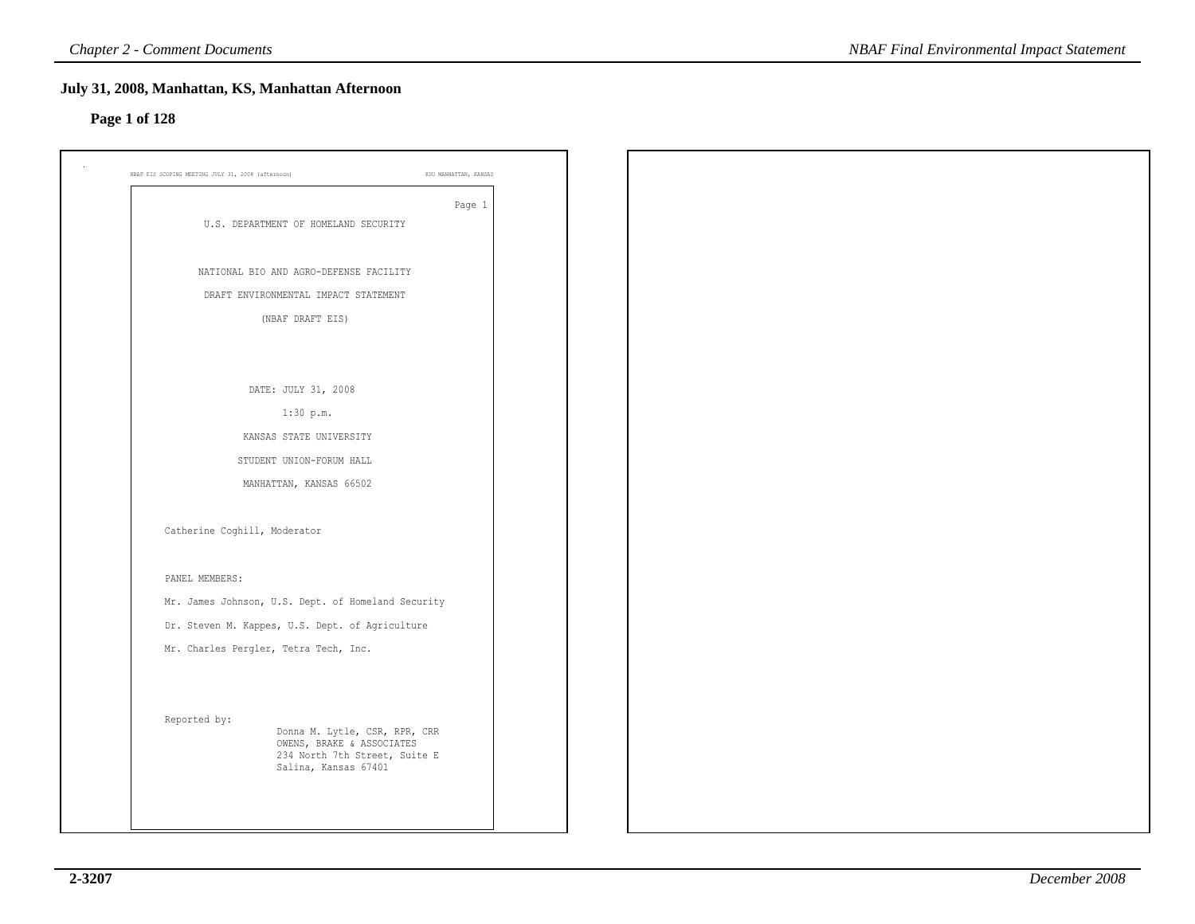### **Page 1 of 128**

| Page 1<br>U.S. DEPARTMENT OF HOMELAND SECURITY<br>NATIONAL BIO AND AGRO-DEFENSE FACILITY<br>DRAFT ENVIRONMENTAL IMPACT STATEMENT<br>(NBAF DRAFT EIS)<br>DATE: JULY 31, 2008<br>1:30 p.m.<br>KANSAS STATE UNIVERSITY<br>STUDENT UNION-FORUM HALL<br>MANHATTAN, KANSAS 66502<br>Catherine Coghill, Moderator<br>PANEL MEMBERS:<br>Mr. James Johnson, U.S. Dept. of Homeland Security<br>Dr. Steven M. Kappes, U.S. Dept. of Agriculture<br>Mr. Charles Pergler, Tetra Tech, Inc.<br>Reported by:<br>Donna M. Lytle, CSR, RPR, CRR<br>OWENS, BRAKE & ASSOCIATES<br>234 North 7th Street, Suite E<br>Salina, Kansas 67401 | KSU MANHATTAN, KANSAS<br>NBAF EIS SCOPING MEETING JULY 31, 2008 (afternoon) |  |  |
|-----------------------------------------------------------------------------------------------------------------------------------------------------------------------------------------------------------------------------------------------------------------------------------------------------------------------------------------------------------------------------------------------------------------------------------------------------------------------------------------------------------------------------------------------------------------------------------------------------------------------|-----------------------------------------------------------------------------|--|--|
|                                                                                                                                                                                                                                                                                                                                                                                                                                                                                                                                                                                                                       |                                                                             |  |  |
|                                                                                                                                                                                                                                                                                                                                                                                                                                                                                                                                                                                                                       |                                                                             |  |  |
|                                                                                                                                                                                                                                                                                                                                                                                                                                                                                                                                                                                                                       |                                                                             |  |  |
|                                                                                                                                                                                                                                                                                                                                                                                                                                                                                                                                                                                                                       |                                                                             |  |  |
|                                                                                                                                                                                                                                                                                                                                                                                                                                                                                                                                                                                                                       |                                                                             |  |  |
|                                                                                                                                                                                                                                                                                                                                                                                                                                                                                                                                                                                                                       |                                                                             |  |  |
|                                                                                                                                                                                                                                                                                                                                                                                                                                                                                                                                                                                                                       |                                                                             |  |  |
|                                                                                                                                                                                                                                                                                                                                                                                                                                                                                                                                                                                                                       |                                                                             |  |  |
|                                                                                                                                                                                                                                                                                                                                                                                                                                                                                                                                                                                                                       |                                                                             |  |  |
|                                                                                                                                                                                                                                                                                                                                                                                                                                                                                                                                                                                                                       |                                                                             |  |  |
|                                                                                                                                                                                                                                                                                                                                                                                                                                                                                                                                                                                                                       |                                                                             |  |  |
|                                                                                                                                                                                                                                                                                                                                                                                                                                                                                                                                                                                                                       |                                                                             |  |  |
|                                                                                                                                                                                                                                                                                                                                                                                                                                                                                                                                                                                                                       |                                                                             |  |  |
|                                                                                                                                                                                                                                                                                                                                                                                                                                                                                                                                                                                                                       |                                                                             |  |  |
|                                                                                                                                                                                                                                                                                                                                                                                                                                                                                                                                                                                                                       |                                                                             |  |  |
|                                                                                                                                                                                                                                                                                                                                                                                                                                                                                                                                                                                                                       |                                                                             |  |  |
|                                                                                                                                                                                                                                                                                                                                                                                                                                                                                                                                                                                                                       |                                                                             |  |  |
|                                                                                                                                                                                                                                                                                                                                                                                                                                                                                                                                                                                                                       |                                                                             |  |  |
|                                                                                                                                                                                                                                                                                                                                                                                                                                                                                                                                                                                                                       |                                                                             |  |  |
|                                                                                                                                                                                                                                                                                                                                                                                                                                                                                                                                                                                                                       |                                                                             |  |  |
|                                                                                                                                                                                                                                                                                                                                                                                                                                                                                                                                                                                                                       |                                                                             |  |  |
|                                                                                                                                                                                                                                                                                                                                                                                                                                                                                                                                                                                                                       |                                                                             |  |  |
|                                                                                                                                                                                                                                                                                                                                                                                                                                                                                                                                                                                                                       |                                                                             |  |  |
|                                                                                                                                                                                                                                                                                                                                                                                                                                                                                                                                                                                                                       |                                                                             |  |  |
|                                                                                                                                                                                                                                                                                                                                                                                                                                                                                                                                                                                                                       |                                                                             |  |  |
|                                                                                                                                                                                                                                                                                                                                                                                                                                                                                                                                                                                                                       |                                                                             |  |  |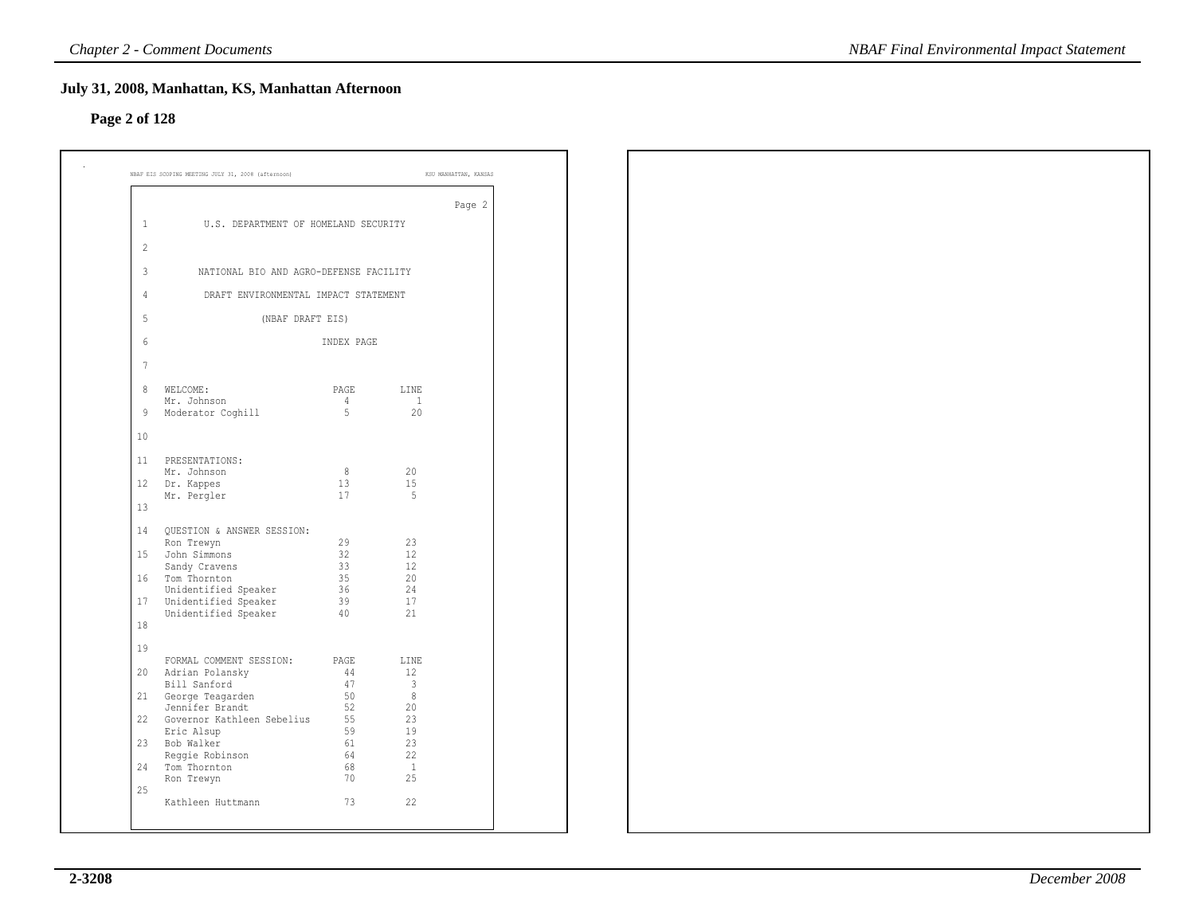### **Page 2 of 128**

|                |                                        |            |                      | Page 2 |
|----------------|----------------------------------------|------------|----------------------|--------|
| $\mathbf{1}$   | U.S. DEPARTMENT OF HOMELAND SECURITY   |            |                      |        |
| $\overline{c}$ |                                        |            |                      |        |
| 3              | NATIONAL BIO AND AGRO-DEFENSE FACILITY |            |                      |        |
| 4              | DRAFT ENVIRONMENTAL IMPACT STATEMENT   |            |                      |        |
| 5              | (NBAF DRAFT EIS)                       |            |                      |        |
|                |                                        |            |                      |        |
| 6              |                                        | INDEX PAGE |                      |        |
| $\overline{7}$ |                                        |            |                      |        |
| 8              | WELCOME:                               | PAGE       | LINE                 |        |
| 9              | Mr. Johnson<br>Moderator Coghill       | 4<br>5     | $\overline{1}$<br>20 |        |
| 10             |                                        |            |                      |        |
| 11             | PRESENTATIONS:                         |            |                      |        |
|                | Mr. Johnson                            | 8          | 20                   |        |
| 12             | Dr. Kappes<br>Mr. Pergler              | 13<br>17   | 15<br>- 5            |        |
| 13             |                                        |            |                      |        |
| 14             | QUESTION & ANSWER SESSION:             |            |                      |        |
| 15             | Ron Trewyn<br>John Simmons             | 29<br>32   | 23<br>12             |        |
|                | Sandy Cravens                          | 33         | 12                   |        |
|                | 16 Tom Thornton                        | 35         | 20                   |        |
|                | Unidentified Speaker                   | 36         | 24                   |        |
| 17             | Unidentified Speaker                   | 39         | 17                   |        |
| 18             | Unidentified Speaker                   | 40         | 21                   |        |
| 19             |                                        |            |                      |        |
|                | FORMAL COMMENT SESSION: PAGE           |            | LINE                 |        |
| 20             | Adrian Polansky<br>Bill Sanford        | 44<br>47   | 12<br>3              |        |
| 21             | George Teagarden                       | 50         | 8                    |        |
|                | Jennifer Brandt                        | 52         | 20                   |        |
| 22             | Governor Kathleen Sebelius             | 55         | 23                   |        |
|                | Eric Alsup                             | 59         | 19                   |        |
| 23             | Bob Walker                             | 61         | 23                   |        |
| 24             | Reggie Robinson<br>Tom Thornton        | 64<br>68   | 22<br>$\overline{1}$ |        |
|                | Ron Trewyn                             | 70         | 25                   |        |
| 25             |                                        |            |                      |        |
|                | Kathleen Huttmann                      | 73         | 22                   |        |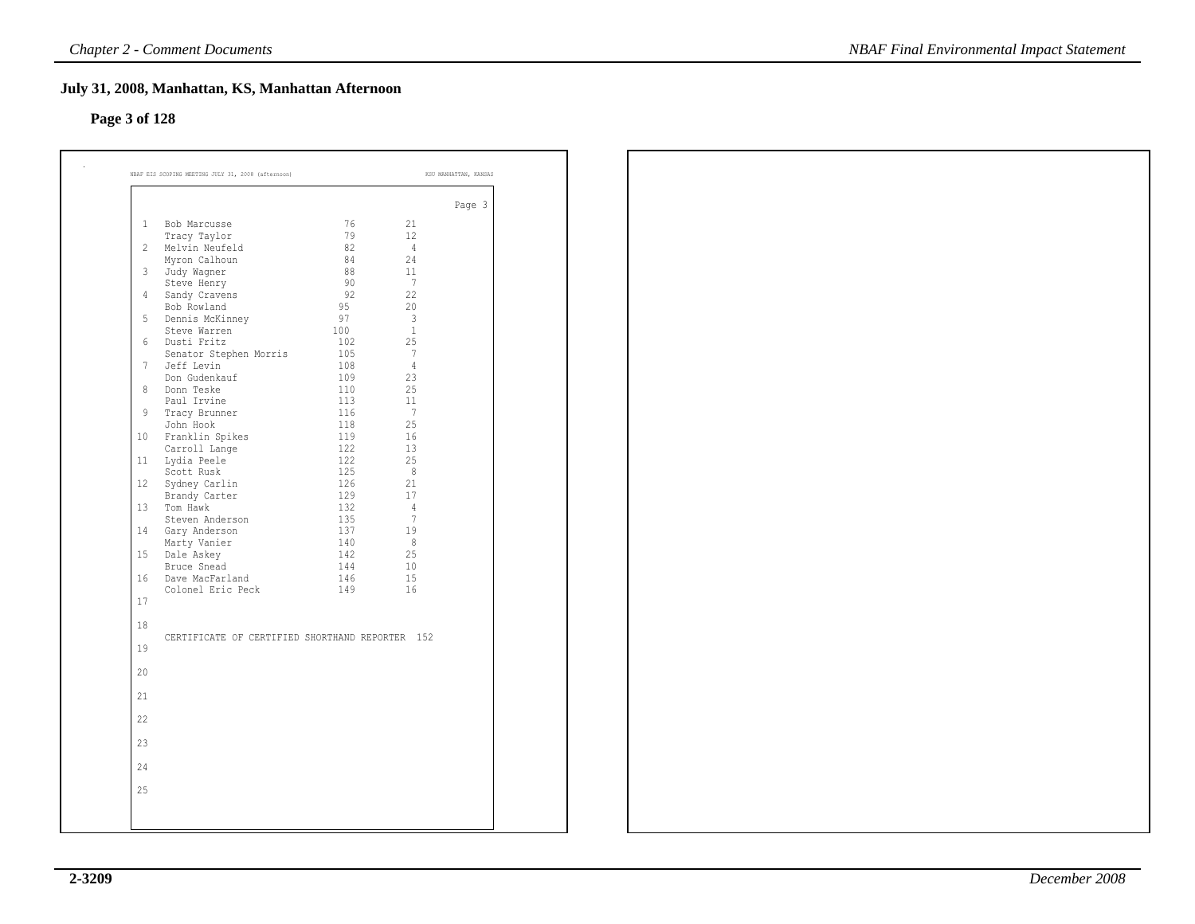# **Page 3 of 128**

|                |                                                 |            |                | Page 3 |
|----------------|-------------------------------------------------|------------|----------------|--------|
| 1              | Bob Marcusse                                    | 76         | 21             |        |
|                | Tracy Taylor                                    | 79         | 12             |        |
| $\overline{c}$ | Melvin Neufeld                                  | 82         | 4              |        |
|                | Myron Calhoun                                   | 84         | 24             |        |
| 3              | Judy Wagner                                     | 88         | 11             |        |
|                | Steve Henry                                     | 90         | -7             |        |
| 4              | Sandy Cravens                                   | 92         | 22             |        |
|                | Bob Rowland                                     | 95         | 20             |        |
| 5              | Dennis McKinney                                 | 97         | $\overline{3}$ |        |
|                | Steve Warren                                    | 100        | $\mathbf{1}$   |        |
| 6              | Dusti Fritz                                     | 102        | 25             |        |
|                | Senator Stephen Morris                          | 105        | -7             |        |
| 7              | Jeff Levin                                      | 108        | $\overline{4}$ |        |
|                | Don Gudenkauf                                   | 109        | 23             |        |
| 8              | Donn Teske<br>Paul Irvine                       | 110        | 25<br>11       |        |
|                |                                                 | 113        |                |        |
| 9              | Tracy Brunner                                   | 116<br>118 | -7<br>25       |        |
| 10             | John Hook<br>Franklin Spikes                    | 119        | 16             |        |
|                |                                                 | 122        | 13             |        |
| 11             | Carroll Lange<br>Lydia Peele                    | 122        | 25             |        |
|                | Scott Rusk                                      | 125        | - 8            |        |
| 12             | Sydney Carlin                                   | 126        | 21             |        |
|                | Brandy Carter                                   | 129        | 17             |        |
| 13             | Tom Hawk                                        | 132        | $\overline{4}$ |        |
|                | Steven Anderson                                 | 135        | 7              |        |
| 14             | Gary Anderson                                   | 137        | 19             |        |
|                | Marty Vanier                                    | 140        | 8              |        |
| 15             | Dale Askey                                      | 142        | 25             |        |
|                | Bruce Snead                                     | 144        | 10             |        |
| 16             | Dave MacFarland                                 | 146        | 15             |        |
|                | Colonel Eric Peck                               | 149        | 16             |        |
| 17             |                                                 |            |                |        |
|                |                                                 |            |                |        |
| 18             |                                                 |            |                |        |
| 19             | CERTIFICATE OF CERTIFIED SHORTHAND REPORTER 152 |            |                |        |
| 20             |                                                 |            |                |        |
| 21             |                                                 |            |                |        |
|                |                                                 |            |                |        |
| 22             |                                                 |            |                |        |
| 23             |                                                 |            |                |        |
| 24             |                                                 |            |                |        |
| 25             |                                                 |            |                |        |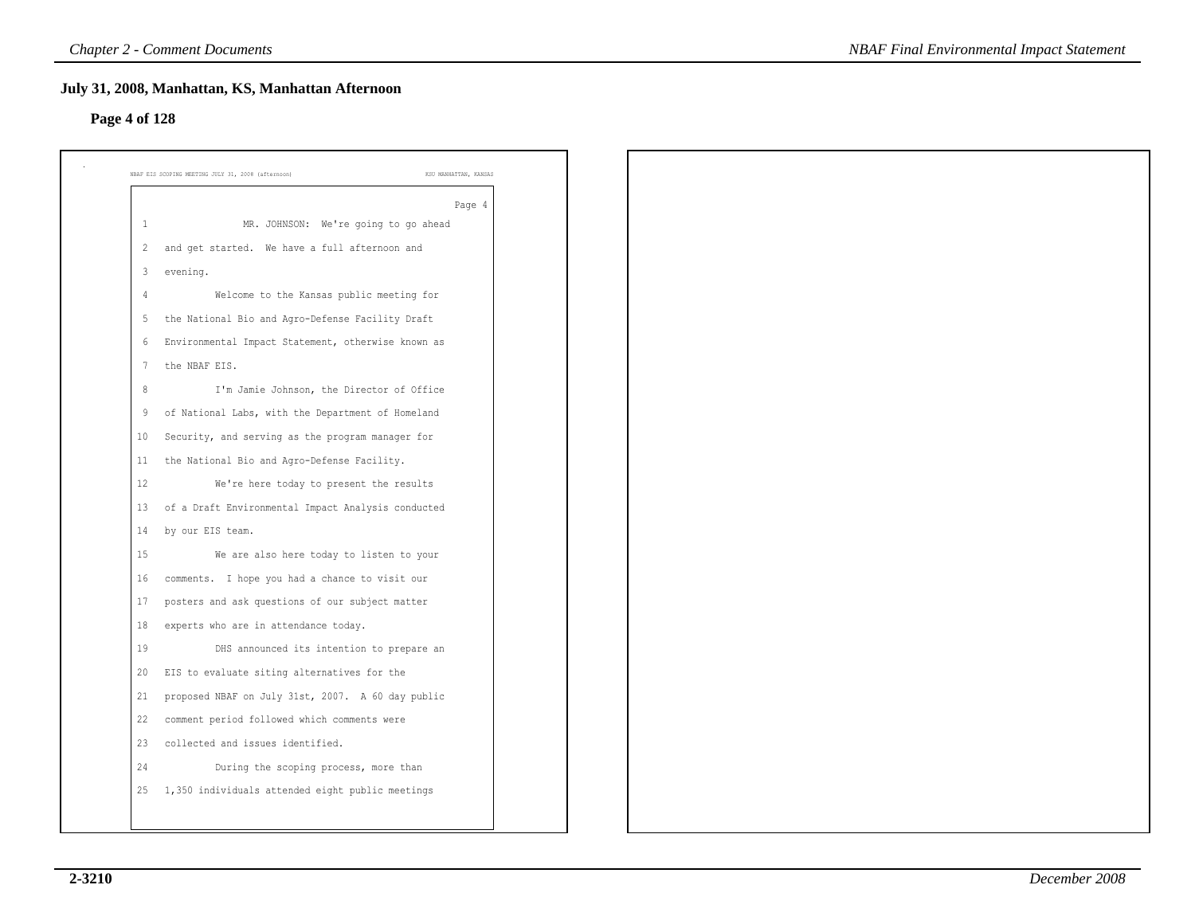### **Page 4 of 128**

|                | Page 4                                             |
|----------------|----------------------------------------------------|
| 1              | MR. JOHNSON: We're going to go ahead               |
| 2              | and get started. We have a full afternoon and      |
| 3              | evening.                                           |
| $\overline{4}$ | Welcome to the Kansas public meeting for           |
| 5              | the National Bio and Agro-Defense Facility Draft   |
| 6              | Environmental Impact Statement, otherwise known as |
| 7              | the NBAF EIS.                                      |
| 8              | I'm Jamie Johnson, the Director of Office          |
| 9              | of National Labs, with the Department of Homeland  |
| 10             | Security, and serving as the program manager for   |
| 11             | the National Bio and Agro-Defense Facility.        |
| 12             | We're here today to present the results            |
| 13             | of a Draft Environmental Impact Analysis conducted |
| 14             | by our EIS team.                                   |
| 15             | We are also here today to listen to your           |
| 16             | comments. I hope you had a chance to visit our     |
| 17             | posters and ask questions of our subject matter    |
| 18             | experts who are in attendance today.               |
| 19             | DHS announced its intention to prepare an          |
| 20             | EIS to evaluate siting alternatives for the        |
| 21             | proposed NBAF on July 31st, 2007. A 60 day public  |
| 22             | comment period followed which comments were        |
| 23             | collected and issues identified.                   |
| 24             | During the scoping process, more than              |
| 25             | 1,350 individuals attended eight public meetings   |
|                |                                                    |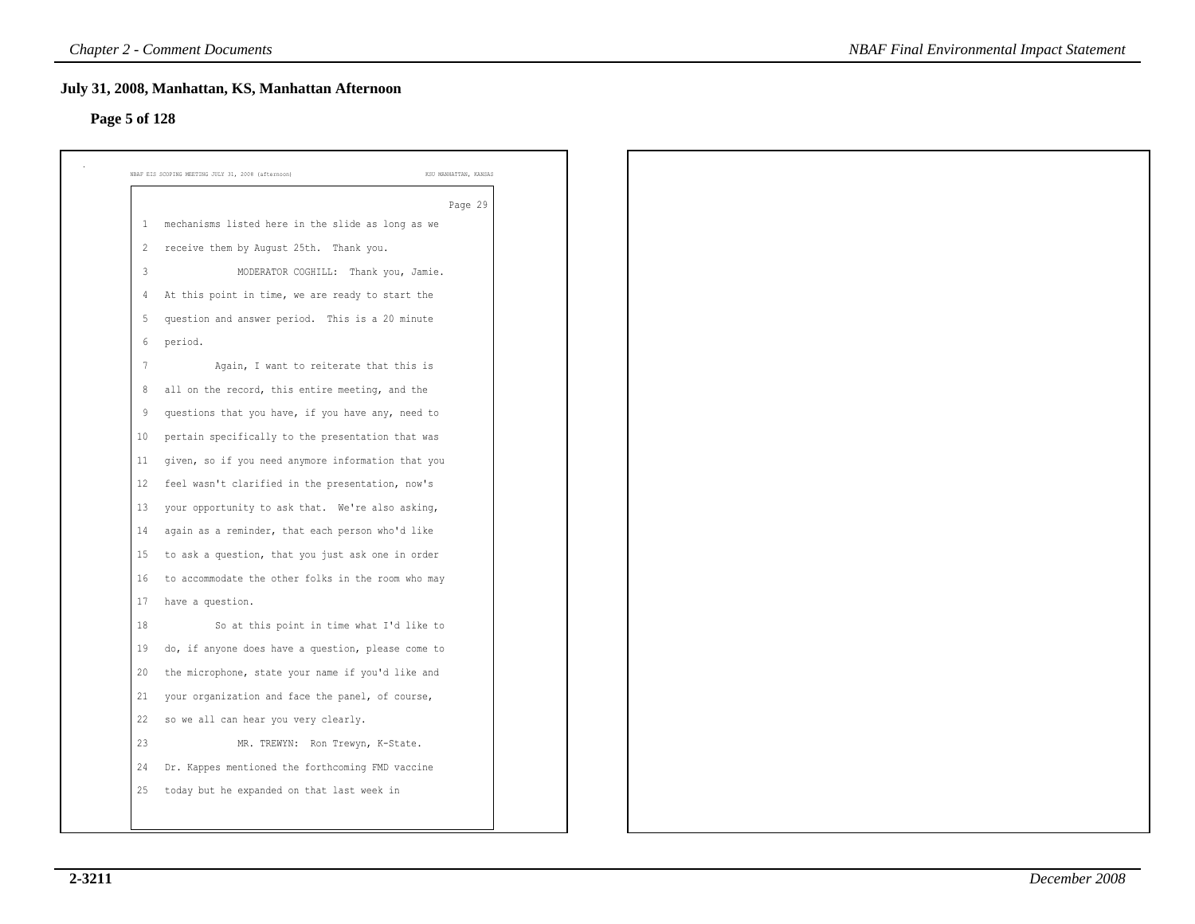### **Page 5 of 128**

|    | Page 29                                            |
|----|----------------------------------------------------|
| 1  | mechanisms listed here in the slide as long as we  |
| 2  | receive them by August 25th. Thank you.            |
| 3  | MODERATOR COGHILL: Thank you, Jamie.               |
| 4  | At this point in time, we are ready to start the   |
| 5  | question and answer period. This is a 20 minute    |
| 6  | period.                                            |
| 7  | Again, I want to reiterate that this is            |
| 8  | all on the record, this entire meeting, and the    |
| 9  | questions that you have, if you have any, need to  |
| 10 | pertain specifically to the presentation that was  |
| 11 | given, so if you need anymore information that you |
| 12 | feel wasn't clarified in the presentation, now's   |
| 13 | your opportunity to ask that. We're also asking,   |
| 14 | again as a reminder, that each person who'd like   |
| 15 | to ask a question, that you just ask one in order  |
| 16 | to accommodate the other folks in the room who may |
| 17 | have a question.                                   |
| 18 | So at this point in time what I'd like to          |
| 19 | do, if anyone does have a question, please come to |
| 20 | the microphone, state your name if you'd like and  |
| 21 | your organization and face the panel, of course,   |
| 22 | so we all can hear you very clearly.               |
| 23 | MR. TREWYN: Ron Trewyn, K-State.                   |
| 24 | Dr. Kappes mentioned the forthcoming FMD vaccine   |
| 25 | today but he expanded on that last week in         |
|    |                                                    |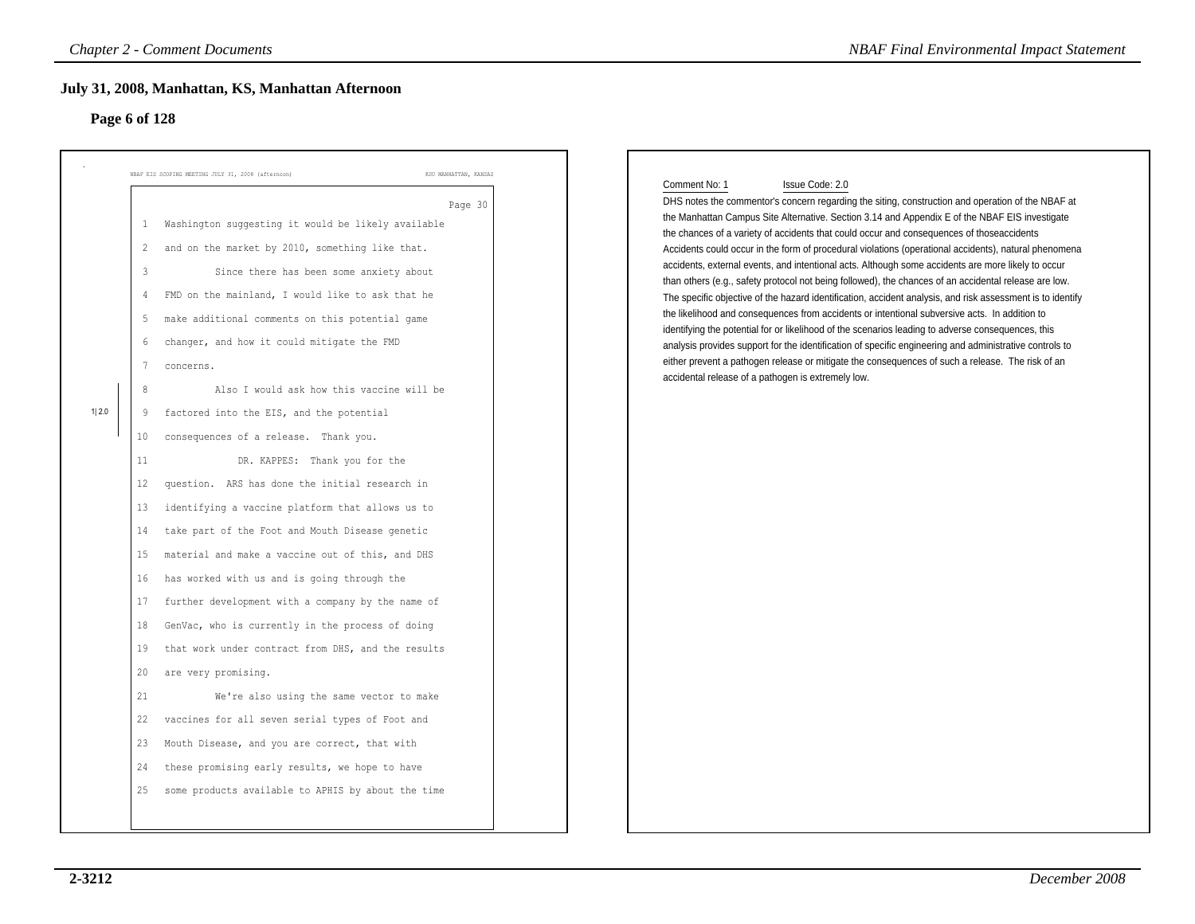### **Page 6 of 128**

|                        |                                                                                                                               | <b>Chapter 2 - Comment Documents</b><br>July 31, 2008, Manhattan, KS, Manhattan Afternoon                                                                                                                                                                                                                                                                                                                                                                                                                                                                                                                                                                                                                                                                                                                                                                                                                                                                                                                  | <b>NBAF Final Environmental Impact Statement</b>                                                                                                                                                                                                                                                                                                                                                                                                                                                                                                                                                                                                                                                                                                                                                                                                                                                                                                                                                                                                                                                                                                                                                                                                        |
|------------------------|-------------------------------------------------------------------------------------------------------------------------------|------------------------------------------------------------------------------------------------------------------------------------------------------------------------------------------------------------------------------------------------------------------------------------------------------------------------------------------------------------------------------------------------------------------------------------------------------------------------------------------------------------------------------------------------------------------------------------------------------------------------------------------------------------------------------------------------------------------------------------------------------------------------------------------------------------------------------------------------------------------------------------------------------------------------------------------------------------------------------------------------------------|---------------------------------------------------------------------------------------------------------------------------------------------------------------------------------------------------------------------------------------------------------------------------------------------------------------------------------------------------------------------------------------------------------------------------------------------------------------------------------------------------------------------------------------------------------------------------------------------------------------------------------------------------------------------------------------------------------------------------------------------------------------------------------------------------------------------------------------------------------------------------------------------------------------------------------------------------------------------------------------------------------------------------------------------------------------------------------------------------------------------------------------------------------------------------------------------------------------------------------------------------------|
| Page 6 of 128<br>1 2.0 | $\mathbf{1}$<br>$\overline{c}$<br>3<br>4<br>5<br>6<br>7<br>8<br>9<br>10<br>11<br>12<br>13<br>14<br>15<br>16<br>17<br>18<br>19 | NBAF EIS SCOPING MEETING JULY 31, 2008 (afternoon)<br>KSU MANHATTAN, KANSAS<br>Page 30<br>Washington suggesting it would be likely available<br>and on the market by 2010, something like that.<br>Since there has been some anxiety about<br>FMD on the mainland, I would like to ask that he<br>make additional comments on this potential game<br>changer, and how it could mitigate the FMD<br>concerns.<br>Also I would ask how this vaccine will be<br>factored into the EIS, and the potential<br>consequences of a release. Thank you.<br>DR. KAPPES: Thank you for the<br>question. ARS has done the initial research in<br>identifying a vaccine platform that allows us to<br>take part of the Foot and Mouth Disease genetic<br>material and make a vaccine out of this, and DHS<br>has worked with us and is going through the<br>further development with a company by the name of<br>GenVac, who is currently in the process of doing<br>that work under contract from DHS, and the results | Issue Code: 2.0<br>Comment No: 1<br>DHS notes the commentor's concern regarding the siting, construction and operation of the NBAF at<br>the Manhattan Campus Site Alternative. Section 3.14 and Appendix E of the NBAF EIS investigate<br>the chances of a variety of accidents that could occur and consequences of those accidents<br>Accidents could occur in the form of procedural violations (operational accidents), natural phenomena<br>accidents, external events, and intentional acts. Although some accidents are more likely to occur<br>than others (e.g., safety protocol not being followed), the chances of an accidental release are low.<br>The specific objective of the hazard identification, accident analysis, and risk assessment is to identify<br>the likelihood and consequences from accidents or intentional subversive acts. In addition to<br>identifying the potential for or likelihood of the scenarios leading to adverse consequences, this<br>analysis provides support for the identification of specific engineering and administrative controls to<br>either prevent a pathogen release or mitigate the consequences of such a release. The risk of an<br>accidental release of a pathogen is extremely low. |
|                        | 20<br>21<br>22<br>23<br>24<br>25                                                                                              | are very promising.<br>We're also using the same vector to make<br>vaccines for all seven serial types of Foot and<br>Mouth Disease, and you are correct, that with<br>these promising early results, we hope to have<br>some products available to APHIS by about the time                                                                                                                                                                                                                                                                                                                                                                                                                                                                                                                                                                                                                                                                                                                                |                                                                                                                                                                                                                                                                                                                                                                                                                                                                                                                                                                                                                                                                                                                                                                                                                                                                                                                                                                                                                                                                                                                                                                                                                                                         |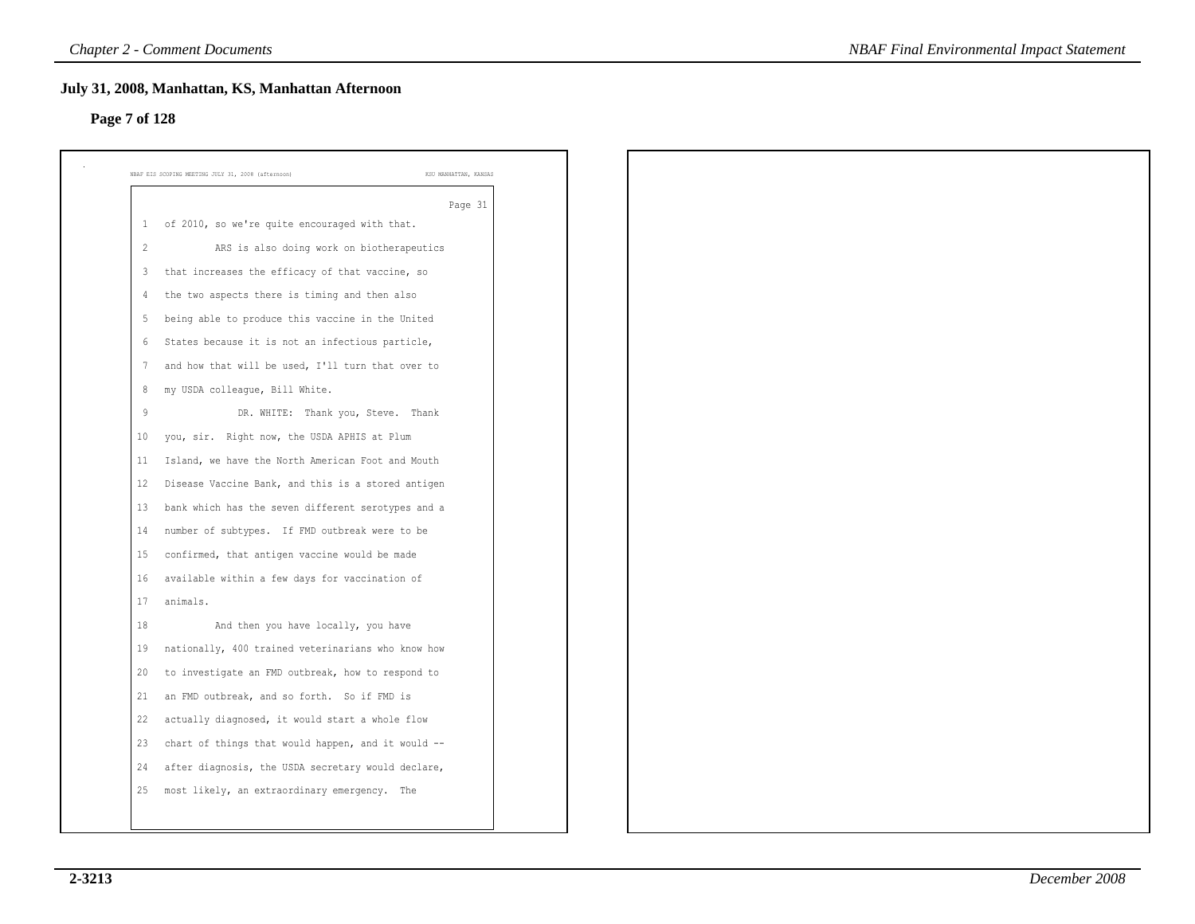# **Page 7 of 128**

|              | Page 31                                            |
|--------------|----------------------------------------------------|
| $\mathbf{1}$ | of 2010, so we're quite encouraged with that.      |
| 2            | ARS is also doing work on biotherapeutics          |
| 3            | that increases the efficacy of that vaccine, so    |
| 4            | the two aspects there is timing and then also      |
| -5           | being able to produce this vaccine in the United   |
| 6            | States because it is not an infectious particle,   |
| 7            | and how that will be used, I'll turn that over to  |
| 8            | my USDA colleague, Bill White.                     |
| 9            | DR. WHITE: Thank you, Steve. Thank                 |
| 10           | you, sir. Right now, the USDA APHIS at Plum        |
| 11           | Island, we have the North American Foot and Mouth  |
| 12           | Disease Vaccine Bank, and this is a stored antigen |
| 13           | bank which has the seven different serotypes and a |
| 14           | number of subtypes. If FMD outbreak were to be     |
| 15           | confirmed, that antigen vaccine would be made      |
| 16           | available within a few days for vaccination of     |
| 17           | animals.                                           |
| 18           | And then you have locally, you have                |
| 19           | nationally, 400 trained veterinarians who know how |
| 20           | to investigate an FMD outbreak, how to respond to  |
| 21           | an FMD outbreak, and so forth. So if FMD is        |
| 22           | actually diagnosed, it would start a whole flow    |
| 23           | chart of things that would happen, and it would -- |
| 24           | after diagnosis, the USDA secretary would declare, |
| 25           | most likely, an extraordinary emergency. The       |
|              |                                                    |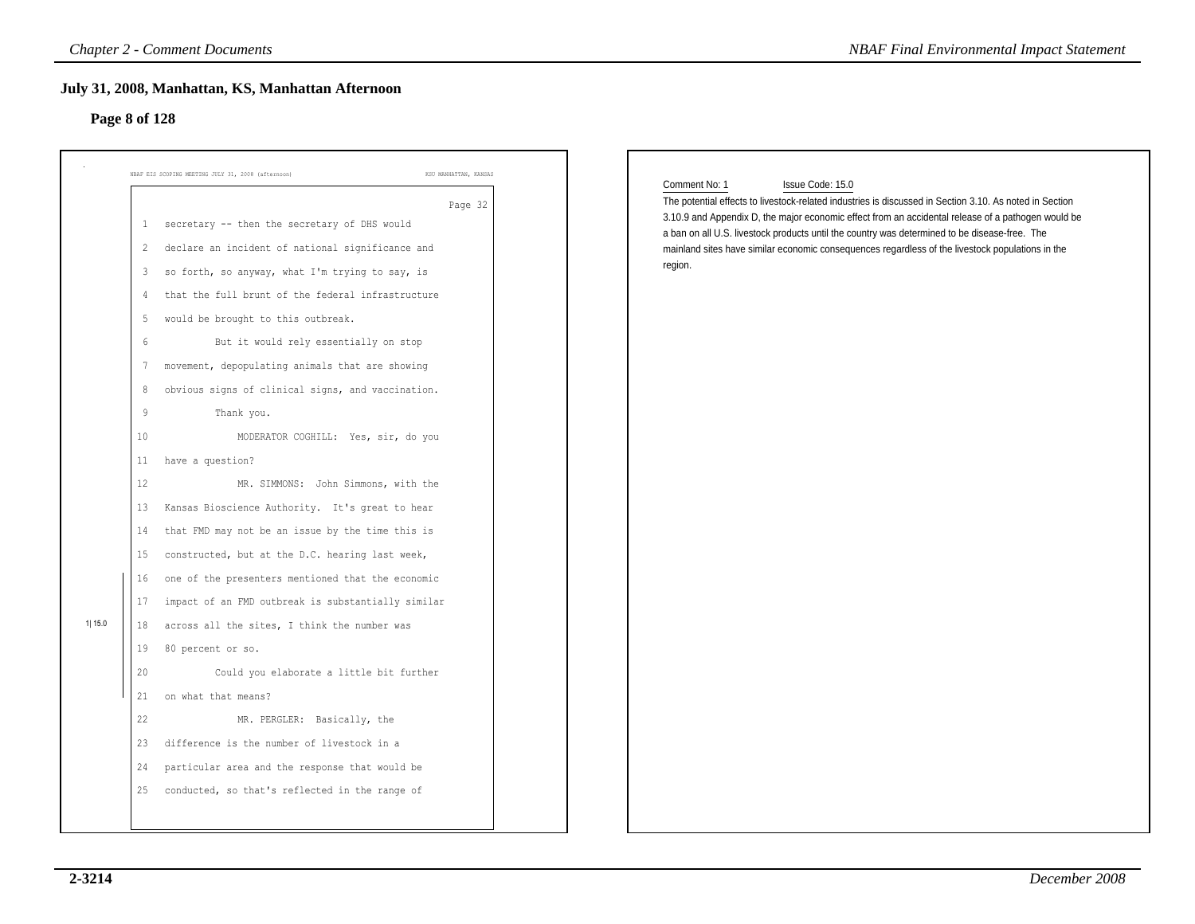### **Page 8 of 128**

|               |              | <b>Chapter 2 - Comment Documents</b>                                                             | <b>NBAF Final Environmental Impact Statement</b>                                                                                                                                                  |
|---------------|--------------|--------------------------------------------------------------------------------------------------|---------------------------------------------------------------------------------------------------------------------------------------------------------------------------------------------------|
|               |              | July 31, 2008, Manhattan, KS, Manhattan Afternoon                                                |                                                                                                                                                                                                   |
| Page 8 of 128 |              |                                                                                                  |                                                                                                                                                                                                   |
|               |              |                                                                                                  |                                                                                                                                                                                                   |
|               |              | NBAF EIS SCOPING MEETING JULY 31, 2008 (afternoon)<br>KSU MANHATTAN, KANSAS                      |                                                                                                                                                                                                   |
|               |              |                                                                                                  | Comment No: 1<br>Issue Code: 15.0<br>The potential effects to livestock-related industries is discussed in Section 3.10. As noted in Section                                                      |
|               | $\mathbf{1}$ | Page 32<br>secretary -- then the secretary of DHS would                                          | 3.10.9 and Appendix D, the major economic effect from an accidental release of a pathogen would be                                                                                                |
|               | 2            | declare an incident of national significance and                                                 | a ban on all U.S. livestock products until the country was determined to be disease-free. The<br>mainland sites have similar economic consequences regardless of the livestock populations in the |
|               | 3            | so forth, so anyway, what I'm trying to say, is                                                  | region.                                                                                                                                                                                           |
|               | 4            | that the full brunt of the federal infrastructure                                                |                                                                                                                                                                                                   |
|               | 5            | would be brought to this outbreak.                                                               |                                                                                                                                                                                                   |
|               | 6            | But it would rely essentially on stop                                                            |                                                                                                                                                                                                   |
|               | 7            | movement, depopulating animals that are showing                                                  |                                                                                                                                                                                                   |
|               | 8            | obvious signs of clinical signs, and vaccination.                                                |                                                                                                                                                                                                   |
|               | $\,9$        | Thank you.                                                                                       |                                                                                                                                                                                                   |
|               | 10           | MODERATOR COGHILL: Yes, sir, do you                                                              |                                                                                                                                                                                                   |
|               | 11           | have a question?                                                                                 |                                                                                                                                                                                                   |
|               | 12           | MR. SIMMONS: John Simmons, with the                                                              |                                                                                                                                                                                                   |
|               | 13           | Kansas Bioscience Authority. It's great to hear                                                  |                                                                                                                                                                                                   |
|               | 14           | that FMD may not be an issue by the time this is                                                 |                                                                                                                                                                                                   |
|               | 15           | constructed, but at the D.C. hearing last week,                                                  |                                                                                                                                                                                                   |
|               | 16           | one of the presenters mentioned that the economic                                                |                                                                                                                                                                                                   |
|               | 17           | impact of an FMD outbreak is substantially similar                                               |                                                                                                                                                                                                   |
| 11 15.0       | 18           | across all the sites, I think the number was                                                     |                                                                                                                                                                                                   |
|               | 19           | 80 percent or so.                                                                                |                                                                                                                                                                                                   |
|               | 20           | Could you elaborate a little bit further                                                         |                                                                                                                                                                                                   |
|               | 21           | on what that means?                                                                              |                                                                                                                                                                                                   |
|               | 22           | MR. PERGLER: Basically, the                                                                      |                                                                                                                                                                                                   |
|               | 23           | difference is the number of livestock in a                                                       |                                                                                                                                                                                                   |
|               |              |                                                                                                  |                                                                                                                                                                                                   |
|               | 24<br>25     | particular area and the response that would be<br>conducted, so that's reflected in the range of |                                                                                                                                                                                                   |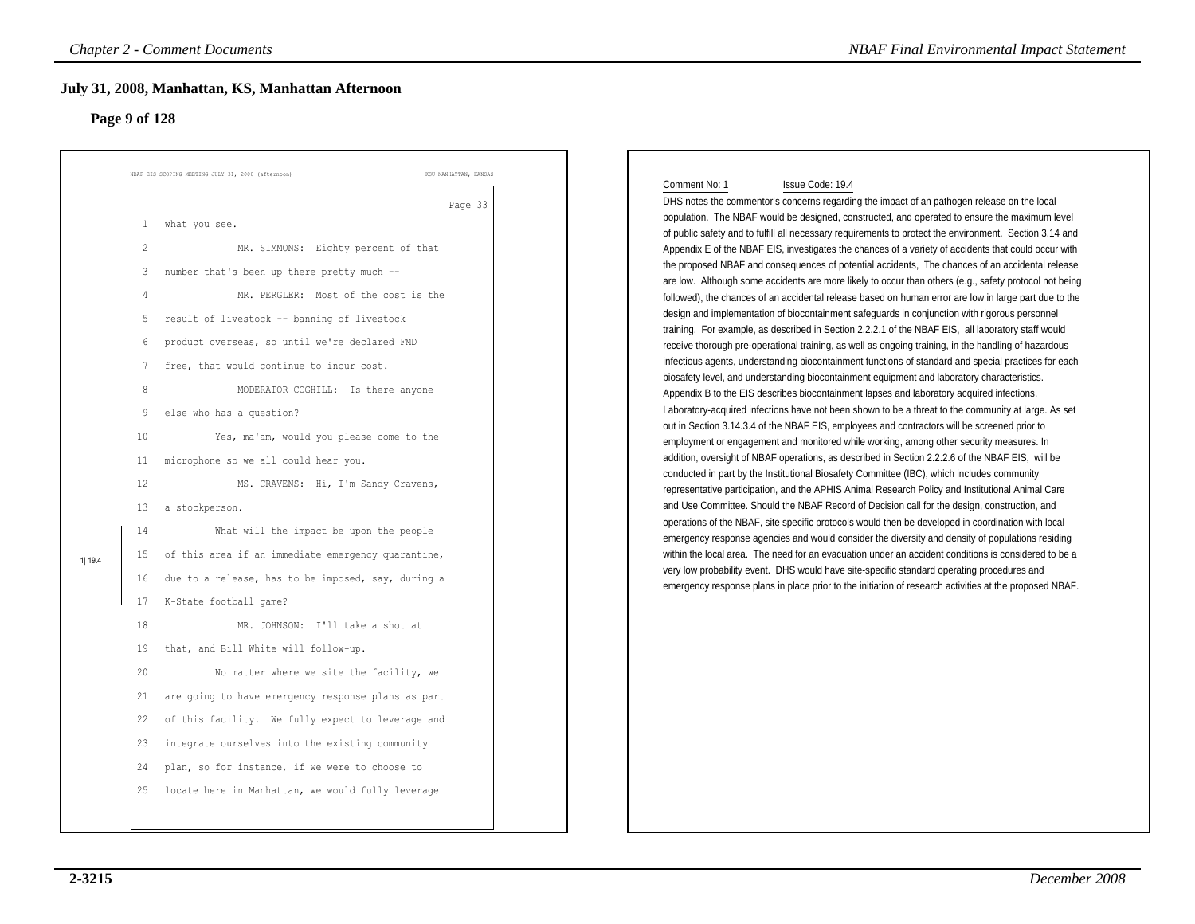# **Page 9 of 128**

|        | <b>Chapter 2 - Comment Documents</b>                                                                                                                                                                                                                                                                                                                                                                                                                                                                                                                                                                                                                                                                                                                                                                                                                                                                                                                                                                                                                                                                                                                                                                                                                                                                                                         | <b>NBAF Final Environmental Impact Statement</b>                                                                                                                                                                                                                                                                                                                                                                                                                                                                                                                                                                                                                                                                                                                                                                                                                                                                                                                                                                                                                                                                                                                                                                                                                                                                                                                                                                                                                                                                                                                                                                                                                                                                                                                                                                                                                                                                                                                                                                                                                                                                                                                                                                                                                                                                                                                                                                                                                                                                                                                                                                                |
|--------|----------------------------------------------------------------------------------------------------------------------------------------------------------------------------------------------------------------------------------------------------------------------------------------------------------------------------------------------------------------------------------------------------------------------------------------------------------------------------------------------------------------------------------------------------------------------------------------------------------------------------------------------------------------------------------------------------------------------------------------------------------------------------------------------------------------------------------------------------------------------------------------------------------------------------------------------------------------------------------------------------------------------------------------------------------------------------------------------------------------------------------------------------------------------------------------------------------------------------------------------------------------------------------------------------------------------------------------------|---------------------------------------------------------------------------------------------------------------------------------------------------------------------------------------------------------------------------------------------------------------------------------------------------------------------------------------------------------------------------------------------------------------------------------------------------------------------------------------------------------------------------------------------------------------------------------------------------------------------------------------------------------------------------------------------------------------------------------------------------------------------------------------------------------------------------------------------------------------------------------------------------------------------------------------------------------------------------------------------------------------------------------------------------------------------------------------------------------------------------------------------------------------------------------------------------------------------------------------------------------------------------------------------------------------------------------------------------------------------------------------------------------------------------------------------------------------------------------------------------------------------------------------------------------------------------------------------------------------------------------------------------------------------------------------------------------------------------------------------------------------------------------------------------------------------------------------------------------------------------------------------------------------------------------------------------------------------------------------------------------------------------------------------------------------------------------------------------------------------------------------------------------------------------------------------------------------------------------------------------------------------------------------------------------------------------------------------------------------------------------------------------------------------------------------------------------------------------------------------------------------------------------------------------------------------------------------------------------------------------------|
|        | July 31, 2008, Manhattan, KS, Manhattan Afternoon<br>Page 9 of 128                                                                                                                                                                                                                                                                                                                                                                                                                                                                                                                                                                                                                                                                                                                                                                                                                                                                                                                                                                                                                                                                                                                                                                                                                                                                           |                                                                                                                                                                                                                                                                                                                                                                                                                                                                                                                                                                                                                                                                                                                                                                                                                                                                                                                                                                                                                                                                                                                                                                                                                                                                                                                                                                                                                                                                                                                                                                                                                                                                                                                                                                                                                                                                                                                                                                                                                                                                                                                                                                                                                                                                                                                                                                                                                                                                                                                                                                                                                                 |
| 1 19.4 | KSU MANHATTAN, KANSAS<br>NBAF EIS SCOPING MEETING JULY 31, 2008 (afternoon)<br>Page 33<br>what you see.<br>$\mathbf{1}$<br>$\overline{2}$<br>MR. SIMMONS: Eighty percent of that<br>number that's been up there pretty much --<br>3<br>MR. PERGLER: Most of the cost is the<br>4<br>result of livestock -- banning of livestock<br>5<br>product overseas, so until we're declared FMD<br>6<br>free, that would continue to incur cost.<br>7<br>8<br>MODERATOR COGHILL: Is there anyone<br>else who has a question?<br>9<br>10<br>Yes, ma'am, would you please come to the<br>microphone so we all could hear you.<br>11<br>12<br>MS. CRAVENS: Hi, I'm Sandy Cravens,<br>13<br>a stockperson.<br>What will the impact be upon the people<br>14<br>of this area if an immediate emergency quarantine,<br>15<br>due to a release, has to be imposed, say, during a<br>16<br>K-State football game?<br>17<br>18<br>MR. JOHNSON: I'll take a shot at<br>that, and Bill White will follow-up.<br>19<br>20<br>No matter where we site the facility, we<br>are going to have emergency response plans as part<br>21<br>22 of this facility. We fully expect to leverage and<br>23 integrate ourselves into the existing community<br>plan, so for instance, if we were to choose to<br>24<br>locate here in Manhattan, we would fully leverage<br>25 | Issue Code: 19.4<br>Comment No: 1<br>DHS notes the commentor's concerns regarding the impact of an pathogen release on the local<br>population. The NBAF would be designed, constructed, and operated to ensure the maximum level<br>of public safety and to fulfill all necessary requirements to protect the environment. Section 3.14 and<br>Appendix E of the NBAF EIS, investigates the chances of a variety of accidents that could occur with<br>the proposed NBAF and consequences of potential accidents, The chances of an accidental release<br>are low. Although some accidents are more likely to occur than others (e.g., safety protocol not being<br>followed), the chances of an accidental release based on human error are low in large part due to the<br>design and implementation of biocontainment safeguards in conjunction with rigorous personnel<br>training. For example, as described in Section 2.2.2.1 of the NBAF EIS, all laboratory staff would<br>receive thorough pre-operational training, as well as ongoing training, in the handling of hazardous<br>infectious agents, understanding biocontainment functions of standard and special practices for each<br>biosafety level, and understanding biocontainment equipment and laboratory characteristics.<br>Appendix B to the EIS describes biocontainment lapses and laboratory acquired infections.<br>Laboratory-acquired infections have not been shown to be a threat to the community at large. As set<br>out in Section 3.14.3.4 of the NBAF EIS, employees and contractors will be screened prior to<br>employment or engagement and monitored while working, among other security measures. In<br>addition, oversight of NBAF operations, as described in Section 2.2.2.6 of the NBAF EIS, will be<br>conducted in part by the Institutional Biosafety Committee (IBC), which includes community<br>representative participation, and the APHIS Animal Research Policy and Institutional Animal Care<br>and Use Committee. Should the NBAF Record of Decision call for the design, construction, and<br>operations of the NBAF, site specific protocols would then be developed in coordination with local<br>emergency response agencies and would consider the diversity and density of populations residing<br>within the local area. The need for an evacuation under an accident conditions is considered to be a<br>very low probability event. DHS would have site-specific standard operating procedures and<br>emergency response plans in place prior to the initiation of research activities at the proposed NBAF. |
|        |                                                                                                                                                                                                                                                                                                                                                                                                                                                                                                                                                                                                                                                                                                                                                                                                                                                                                                                                                                                                                                                                                                                                                                                                                                                                                                                                              |                                                                                                                                                                                                                                                                                                                                                                                                                                                                                                                                                                                                                                                                                                                                                                                                                                                                                                                                                                                                                                                                                                                                                                                                                                                                                                                                                                                                                                                                                                                                                                                                                                                                                                                                                                                                                                                                                                                                                                                                                                                                                                                                                                                                                                                                                                                                                                                                                                                                                                                                                                                                                                 |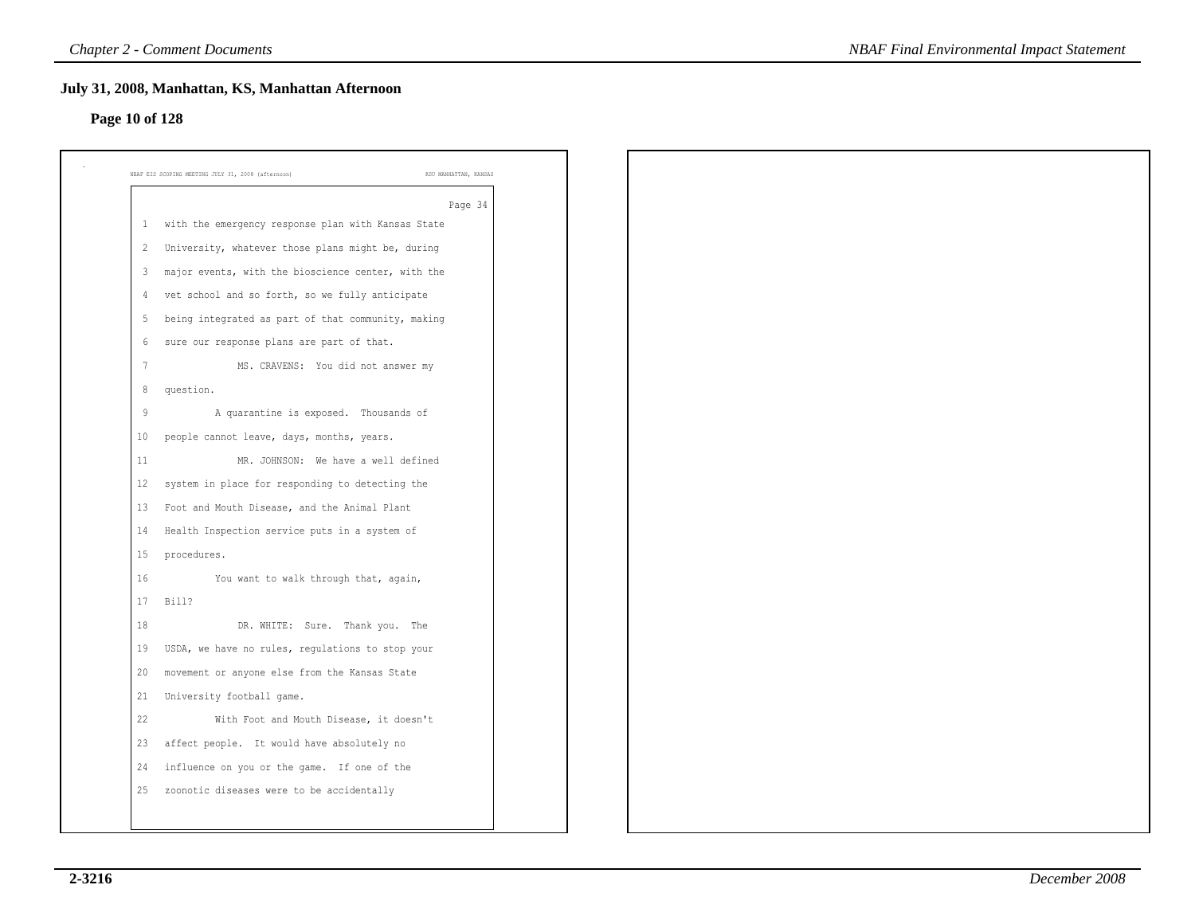### **Page 10 of 128**

| $\mathbf{1}$<br>2<br>3 | Page 34<br>with the emergency response plan with Kansas State |
|------------------------|---------------------------------------------------------------|
|                        |                                                               |
|                        | University, whatever those plans might be, during             |
|                        | major events, with the bioscience center, with the            |
| 4                      | vet school and so forth, so we fully anticipate               |
| 5                      | being integrated as part of that community, making            |
| 6                      | sure our response plans are part of that.                     |
| $7\phantom{.0}$        | MS. CRAVENS: You did not answer my                            |
| 8                      | question.                                                     |
| 9                      | A quarantine is exposed. Thousands of                         |
| 10                     | people cannot leave, days, months, years.                     |
| 11                     | MR. JOHNSON: We have a well defined                           |
| 12                     | system in place for responding to detecting the               |
| 13                     | Foot and Mouth Disease, and the Animal Plant                  |
| 14                     | Health Inspection service puts in a system of                 |
| 15                     | procedures.                                                   |
| 16                     | You want to walk through that, again,                         |
| 17                     | Bill?                                                         |
| 18                     | DR. WHITE: Sure. Thank you. The                               |
| 19                     | USDA, we have no rules, regulations to stop your              |
| 20                     | movement or anyone else from the Kansas State                 |
| 21                     | University football game.                                     |
| 22                     | With Foot and Mouth Disease, it doesn't                       |
| 23                     | affect people. It would have absolutely no                    |
| 24                     | influence on you or the game. If one of the                   |
| 25                     | zoonotic diseases were to be accidentally                     |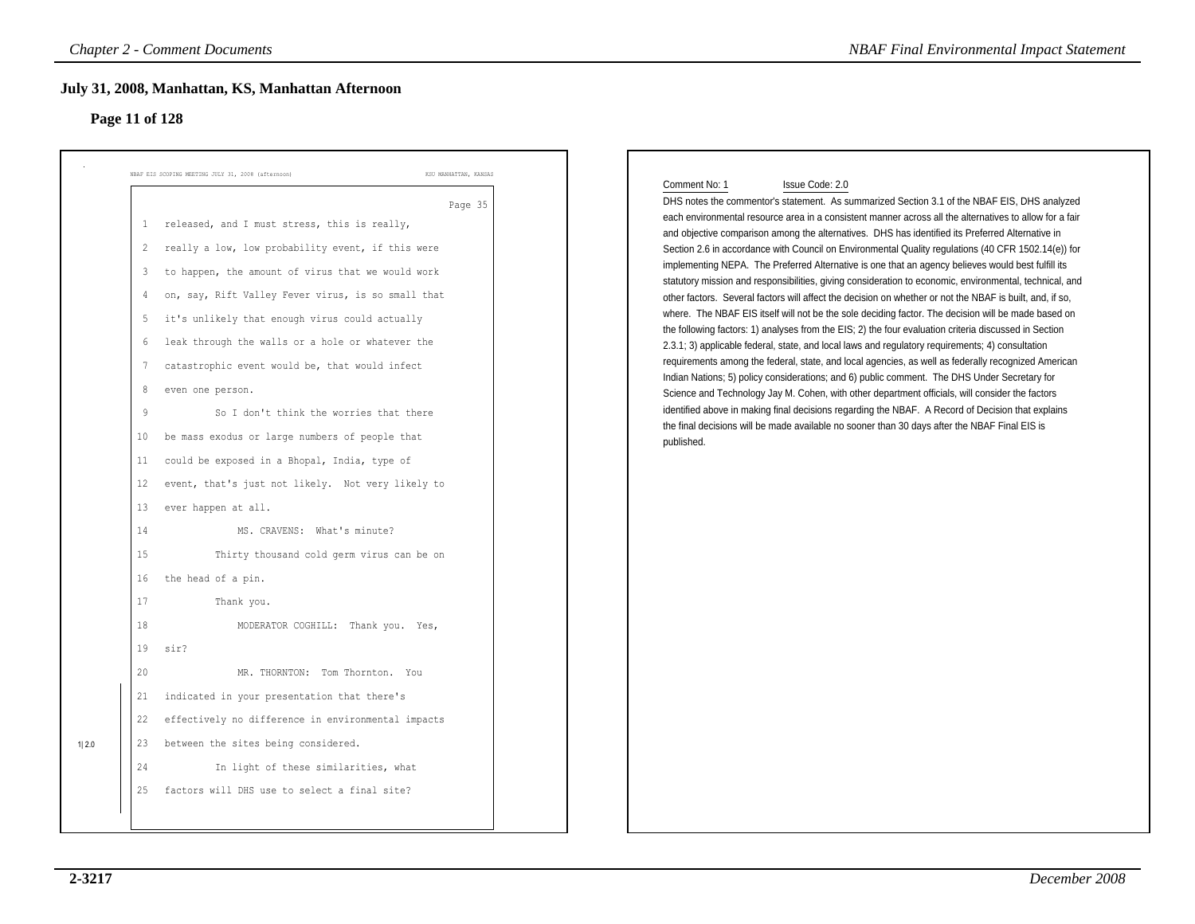# **Page 11 of 128**

|                |                                                                                                                                                                      | <b>Chapter 2 - Comment Documents</b>                                                                                                                                                                                                                                                                                                                                                                                                                                                                                                                                                                                                                                                                                                                                                                                                                                                                                                                                                                                                                                                                                                             | <b>NBAF Final Environmental Impact Statement</b>                                                                                                                                                                                                                                                                                                                                                                                                                                                                                                                                                                                                                                                                                                                                                                                                                                                                                                                                                                                                                                                                                                                                                                                                                                                                                                                                                                                                                                                                                                                                                                                      |
|----------------|----------------------------------------------------------------------------------------------------------------------------------------------------------------------|--------------------------------------------------------------------------------------------------------------------------------------------------------------------------------------------------------------------------------------------------------------------------------------------------------------------------------------------------------------------------------------------------------------------------------------------------------------------------------------------------------------------------------------------------------------------------------------------------------------------------------------------------------------------------------------------------------------------------------------------------------------------------------------------------------------------------------------------------------------------------------------------------------------------------------------------------------------------------------------------------------------------------------------------------------------------------------------------------------------------------------------------------|---------------------------------------------------------------------------------------------------------------------------------------------------------------------------------------------------------------------------------------------------------------------------------------------------------------------------------------------------------------------------------------------------------------------------------------------------------------------------------------------------------------------------------------------------------------------------------------------------------------------------------------------------------------------------------------------------------------------------------------------------------------------------------------------------------------------------------------------------------------------------------------------------------------------------------------------------------------------------------------------------------------------------------------------------------------------------------------------------------------------------------------------------------------------------------------------------------------------------------------------------------------------------------------------------------------------------------------------------------------------------------------------------------------------------------------------------------------------------------------------------------------------------------------------------------------------------------------------------------------------------------------|
| Page 11 of 128 |                                                                                                                                                                      | July 31, 2008, Manhattan, KS, Manhattan Afternoon                                                                                                                                                                                                                                                                                                                                                                                                                                                                                                                                                                                                                                                                                                                                                                                                                                                                                                                                                                                                                                                                                                |                                                                                                                                                                                                                                                                                                                                                                                                                                                                                                                                                                                                                                                                                                                                                                                                                                                                                                                                                                                                                                                                                                                                                                                                                                                                                                                                                                                                                                                                                                                                                                                                                                       |
| 1 2.0          | 1<br>$\overline{2}$<br>3<br>4<br>5<br>6<br>$7\phantom{.0}$<br>8<br>9<br>10<br>11<br>12<br>13<br>14<br>15<br>16<br>17<br>18<br>19<br>20<br>21<br>22<br>23<br>24<br>25 | NBAF EIS SCOPING MEETING JULY 31, 2008 (afternoon)<br>KSU MANHATTAN, KANSAS<br>Page 35<br>released, and I must stress, this is really,<br>really a low, low probability event, if this were<br>to happen, the amount of virus that we would work<br>on, say, Rift Valley Fever virus, is so small that<br>it's unlikely that enough virus could actually<br>leak through the walls or a hole or whatever the<br>catastrophic event would be, that would infect<br>even one person.<br>So I don't think the worries that there<br>be mass exodus or large numbers of people that<br>could be exposed in a Bhopal, India, type of<br>event, that's just not likely. Not very likely to<br>ever happen at all.<br>MS. CRAVENS: What's minute?<br>Thirty thousand cold germ virus can be on<br>the head of a pin.<br>Thank you.<br>MODERATOR COGHILL: Thank you. Yes,<br>sir?<br>MR. THORNTON: Tom Thornton. You<br>indicated in your presentation that there's<br>effectively no difference in environmental impacts<br>between the sites being considered.<br>In light of these similarities, what<br>factors will DHS use to select a final site? | Comment No: 1<br>Issue Code: 2.0<br>DHS notes the commentor's statement. As summarized Section 3.1 of the NBAF EIS, DHS analyzed<br>each environmental resource area in a consistent manner across all the alternatives to allow for a fair<br>and objective comparison among the alternatives. DHS has identified its Preferred Alternative in<br>Section 2.6 in accordance with Council on Environmental Quality regulations (40 CFR 1502.14(e)) for<br>implementing NEPA. The Preferred Alternative is one that an agency believes would best fulfill its<br>statutory mission and responsibilities, giving consideration to economic, environmental, technical, and<br>other factors. Several factors will affect the decision on whether or not the NBAF is built, and, if so,<br>where. The NBAF EIS itself will not be the sole deciding factor. The decision will be made based on<br>the following factors: 1) analyses from the EIS; 2) the four evaluation criteria discussed in Section<br>2.3.1; 3) applicable federal, state, and local laws and regulatory requirements; 4) consultation<br>requirements among the federal, state, and local agencies, as well as federally recognized American<br>Indian Nations; 5) policy considerations; and 6) public comment. The DHS Under Secretary for<br>Science and Technology Jay M. Cohen, with other department officials, will consider the factors<br>identified above in making final decisions regarding the NBAF. A Record of Decision that explains<br>the final decisions will be made available no sooner than 30 days after the NBAF Final EIS is<br>published. |
|                |                                                                                                                                                                      |                                                                                                                                                                                                                                                                                                                                                                                                                                                                                                                                                                                                                                                                                                                                                                                                                                                                                                                                                                                                                                                                                                                                                  |                                                                                                                                                                                                                                                                                                                                                                                                                                                                                                                                                                                                                                                                                                                                                                                                                                                                                                                                                                                                                                                                                                                                                                                                                                                                                                                                                                                                                                                                                                                                                                                                                                       |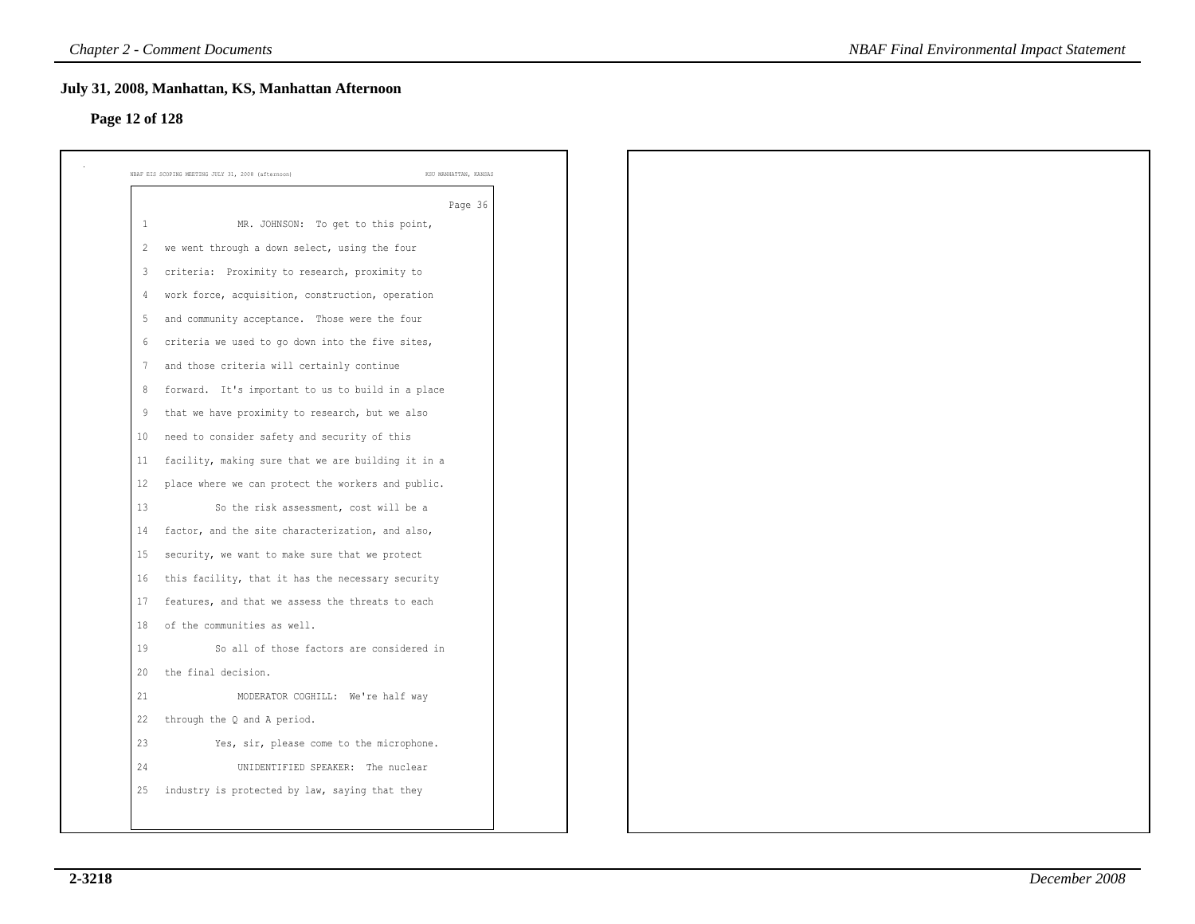# **Page 12 of 128**

|                   | Page 36                                            |
|-------------------|----------------------------------------------------|
| 1                 | MR. JOHNSON: To get to this point,                 |
| -2                | we went through a down select, using the four      |
| 3                 | criteria: Proximity to research, proximity to      |
| 4                 | work force, acquisition, construction, operation   |
| -5                | and community acceptance. Those were the four      |
| 6                 | criteria we used to go down into the five sites,   |
| 7                 | and those criteria will certainly continue         |
| 8                 | forward. It's important to us to build in a place  |
| 9                 | that we have proximity to research, but we also    |
| 10 <sup>°</sup>   | need to consider safety and security of this       |
| 11                | facility, making sure that we are building it in a |
| $12 \overline{ }$ | place where we can protect the workers and public. |
| 13                | So the risk assessment, cost will be a             |
| 14                | factor, and the site characterization, and also,   |
| 15                | security, we want to make sure that we protect     |
| 16                | this facility, that it has the necessary security  |
| 17                | features, and that we assess the threats to each   |
| 18                | of the communities as well.                        |
| 19                | So all of those factors are considered in          |
| 20                | the final decision.                                |
| 21                | MODERATOR COGHILL: We're half way                  |
| 22                | through the Q and A period.                        |
| 23                | Yes, sir, please come to the microphone.           |
| 24                | UNIDENTIFIED SPEAKER: The nuclear                  |
| 25                | industry is protected by law, saying that they     |
|                   |                                                    |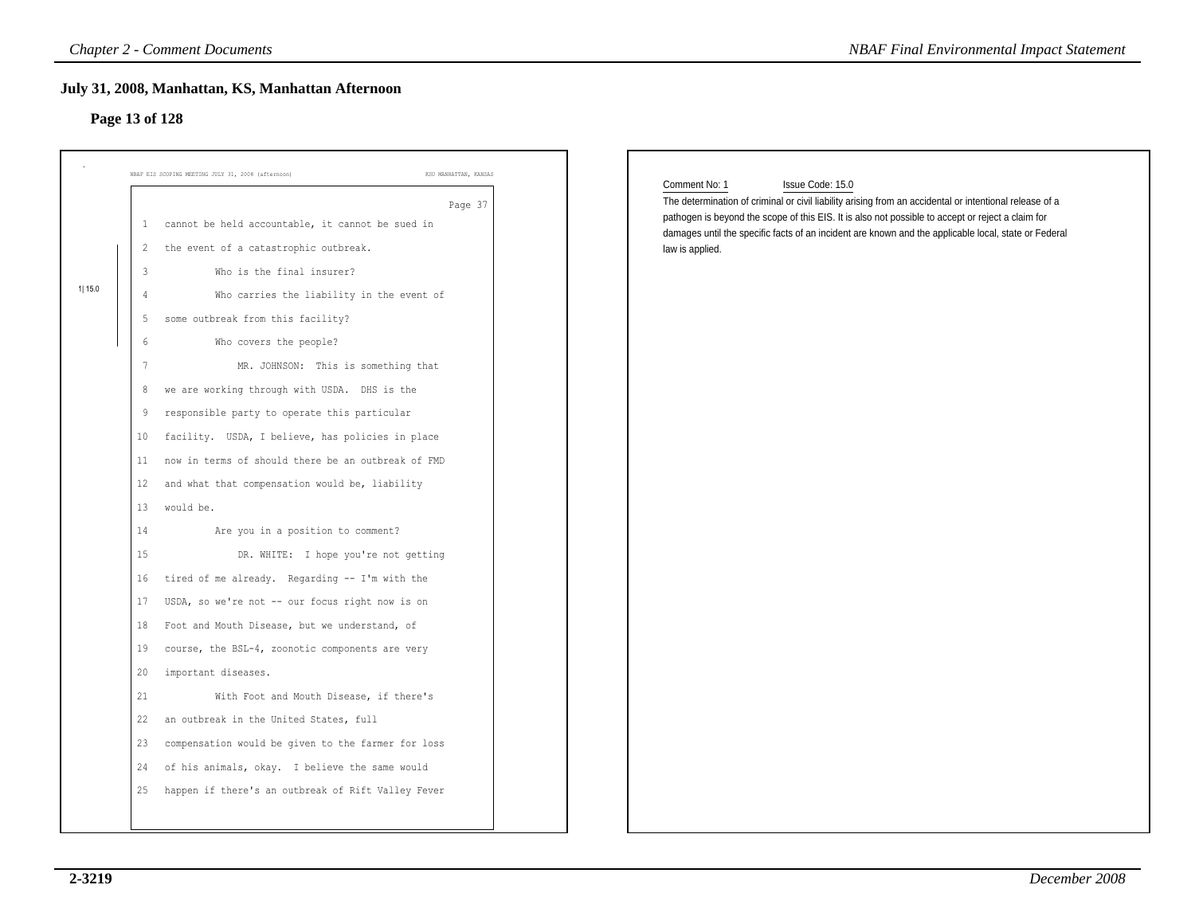# **Page 13 of 128**

|                                                                                          | KSU MANHATTAN, KANSAS<br>NBAF EIS SCOPING MEETING JULY 31, 2008 (afternoon)                                                                                                                                                                                                                                                                                                                                                                                                                                                                                                                                                                                                                                                                                                                                                                  |                                                                                                                                                                                                                                                                                                                                                                              |
|------------------------------------------------------------------------------------------|----------------------------------------------------------------------------------------------------------------------------------------------------------------------------------------------------------------------------------------------------------------------------------------------------------------------------------------------------------------------------------------------------------------------------------------------------------------------------------------------------------------------------------------------------------------------------------------------------------------------------------------------------------------------------------------------------------------------------------------------------------------------------------------------------------------------------------------------|------------------------------------------------------------------------------------------------------------------------------------------------------------------------------------------------------------------------------------------------------------------------------------------------------------------------------------------------------------------------------|
| 3<br>4<br>5<br>$\overline{7}$<br>9<br>10<br>11<br>12<br>13<br>14<br>15<br>16<br>17<br>18 | Page 37<br>cannot be held accountable, it cannot be sued in<br>$\mathbf{1}$<br>the event of a catastrophic outbreak.<br>$\overline{2}$<br>Who is the final insurer?<br>Who carries the liability in the event of<br>some outbreak from this facility?<br>6<br>Who covers the people?<br>MR. JOHNSON: This is something that<br>we are working through with USDA. DHS is the<br>8<br>responsible party to operate this particular<br>facility. USDA, I believe, has policies in place<br>now in terms of should there be an outbreak of FMD<br>and what that compensation would be, liability<br>would be.<br>Are you in a position to comment?<br>DR. WHITE: I hope you're not getting<br>tired of me already. Regarding -- I'm with the<br>USDA, so we're not -- our focus right now is on<br>Foot and Mouth Disease, but we understand, of | Comment No: 1<br>Issue Code: 15.0<br>The determination of criminal or civil liability arising from an accidental or intentional release of a<br>pathogen is beyond the scope of this EIS. It is also not possible to accept or reject a claim for<br>damages until the specific facts of an incident are known and the applicable local, state or Federal<br>law is applied. |
| 19<br>20<br>21                                                                           | course, the BSL-4, zoonotic components are very<br>important diseases.<br>With Foot and Mouth Disease, if there's<br>22 an outbreak in the United States, full<br>23 compensation would be given to the farmer for loss<br>of his animals, okay. I believe the same would<br>24                                                                                                                                                                                                                                                                                                                                                                                                                                                                                                                                                              |                                                                                                                                                                                                                                                                                                                                                                              |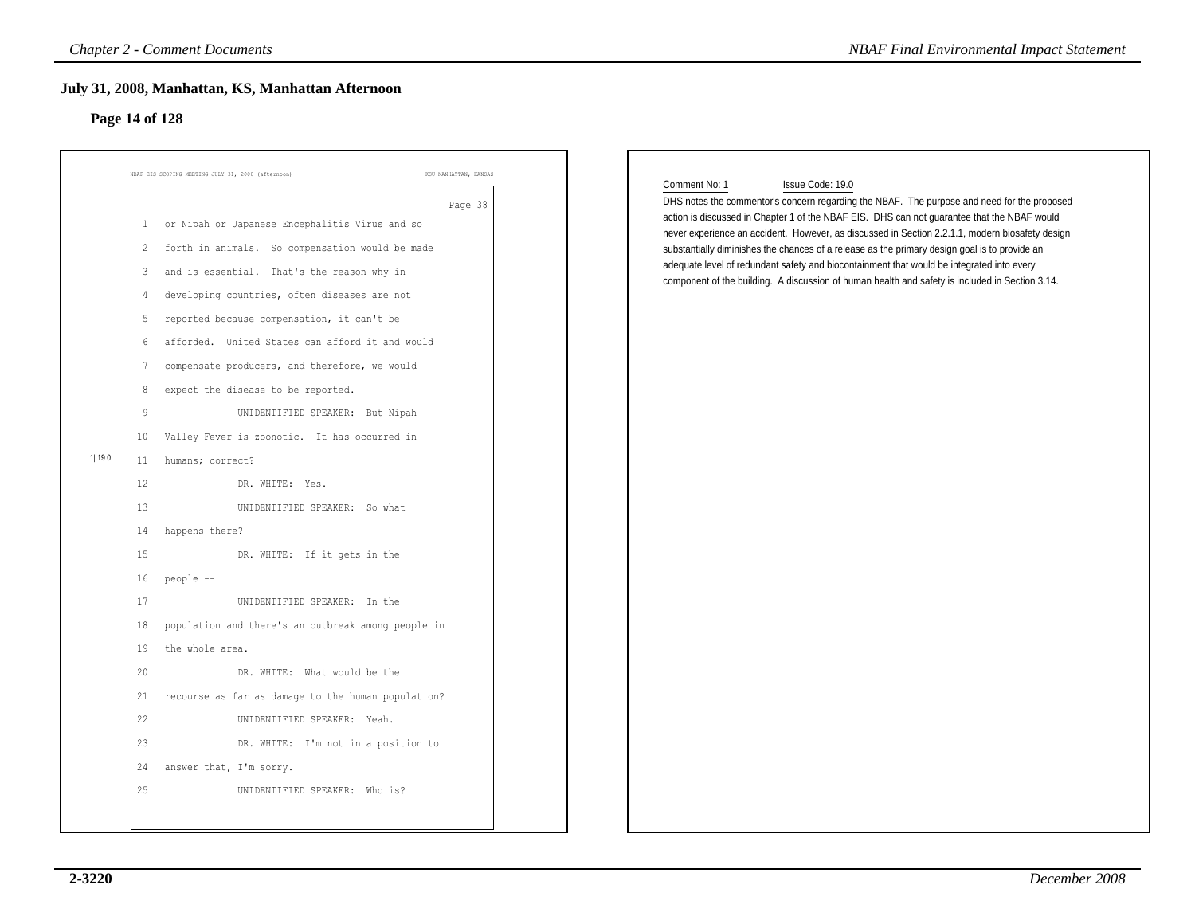### **Page 14 of 128**

| NBAF EIS SCOPING MEETING JULY 31, 2008 (afternoon)                                                                                                                                                                                                                                                                                                                                                                                                                                                                                                                                                                                                                                                                                                                                                                                                                                                                                                                                                                                                                                                       | KSU MANHATTAN, KANSAS |                                                                                                                                                                                                                                                                                                                                                                                                                                                                                                                                                                                                                                     |
|----------------------------------------------------------------------------------------------------------------------------------------------------------------------------------------------------------------------------------------------------------------------------------------------------------------------------------------------------------------------------------------------------------------------------------------------------------------------------------------------------------------------------------------------------------------------------------------------------------------------------------------------------------------------------------------------------------------------------------------------------------------------------------------------------------------------------------------------------------------------------------------------------------------------------------------------------------------------------------------------------------------------------------------------------------------------------------------------------------|-----------------------|-------------------------------------------------------------------------------------------------------------------------------------------------------------------------------------------------------------------------------------------------------------------------------------------------------------------------------------------------------------------------------------------------------------------------------------------------------------------------------------------------------------------------------------------------------------------------------------------------------------------------------------|
| or Nipah or Japanese Encephalitis Virus and so<br>$\mathbf{1}$<br>forth in animals. So compensation would be made<br>$\overline{2}$<br>and is essential. That's the reason why in<br>3<br>developing countries, often diseases are not<br>4<br>reported because compensation, it can't be<br>5<br>afforded. United States can afford it and would<br>6<br>compensate producers, and therefore, we would<br>7<br>expect the disease to be reported.<br>8<br>9<br>UNIDENTIFIED SPEAKER: But Nipah<br>Valley Fever is zoonotic. It has occurred in<br>10 <sub>1</sub><br>1  19.0<br>humans; correct?<br>11<br>12<br>DR. WHITE: Yes.<br>13<br>UNIDENTIFIED SPEAKER: So what<br>happens there?<br>14<br>15<br>DR. WHITE: If it gets in the<br>16<br>people --<br>17<br>UNIDENTIFIED SPEAKER: In the<br>population and there's an outbreak among people in<br>18<br>the whole area.<br>19<br>20<br>DR. WHITE: What would be the<br>recourse as far as damage to the human population?<br>21<br>22<br>UNIDENTIFIED SPEAKER: Yeah.<br>23<br>DR. WHITE: I'm not in a position to<br>answer that, I'm sorry.<br>24 | Page 38               | Comment No: 1<br>Issue Code: 19.0<br>DHS notes the commentor's concern regarding the NBAF. The purpose and need for the proposed<br>action is discussed in Chapter 1 of the NBAF EIS. DHS can not guarantee that the NBAF would<br>never experience an accident. However, as discussed in Section 2.2.1.1, modern biosafety design<br>substantially diminishes the chances of a release as the primary design goal is to provide an<br>adequate level of redundant safety and biocontainment that would be integrated into every<br>component of the building. A discussion of human health and safety is included in Section 3.14. |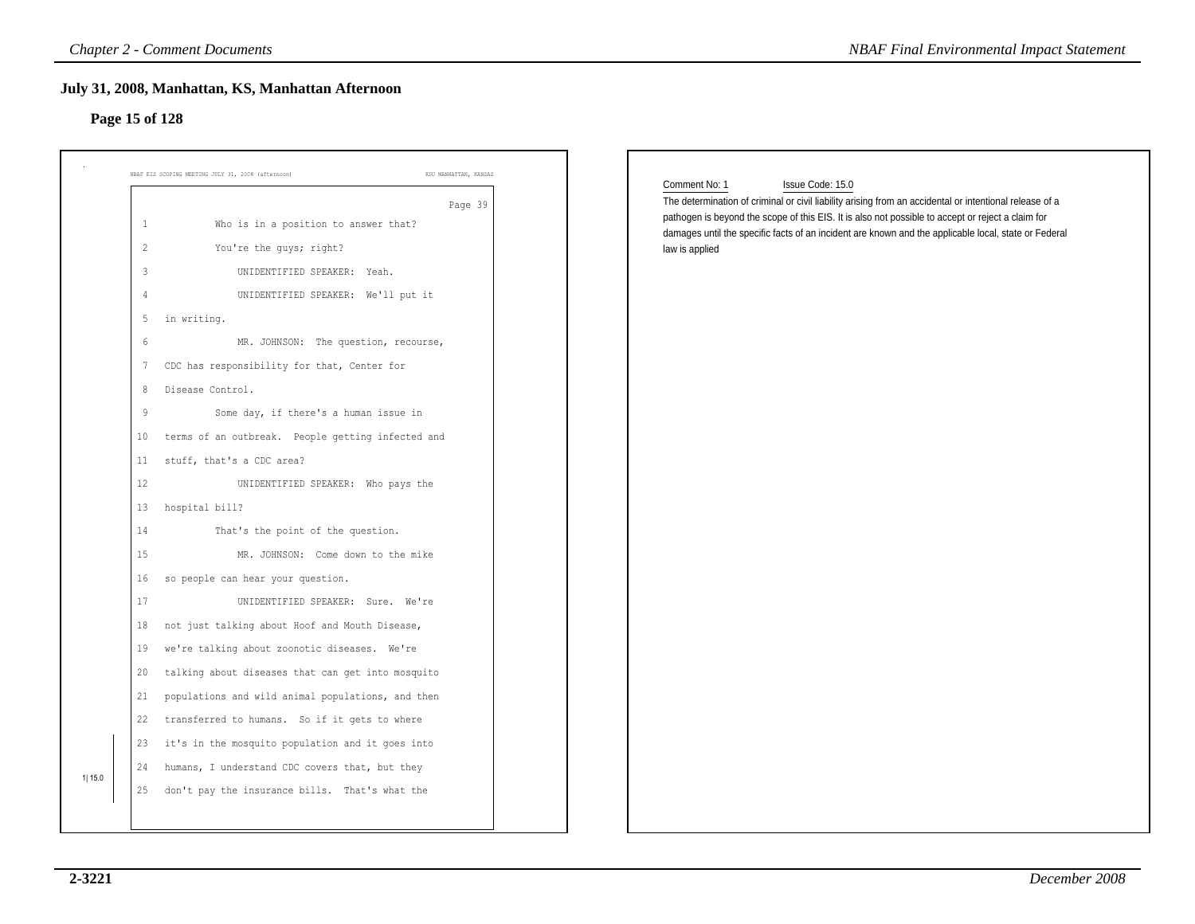### **Page 15 of 128**

| NBAF EIS SCOPING MEETING JULY 31, 2008 (afternoon)                                       | KSU MANHATTAN, KANSAS | Comment No: 1<br>Issue Code: 15.0                                                                                                                                                                                                                                                                                    |
|------------------------------------------------------------------------------------------|-----------------------|----------------------------------------------------------------------------------------------------------------------------------------------------------------------------------------------------------------------------------------------------------------------------------------------------------------------|
| Who is in a position to answer that?<br>1                                                | Page 39               | The determination of criminal or civil liability arising from an accidental or intentional release of a<br>pathogen is beyond the scope of this EIS. It is also not possible to accept or reject a claim for<br>damages until the specific facts of an incident are known and the applicable local, state or Federal |
| $\overline{c}$<br>You're the guys; right?<br>$\mathbf{3}$<br>UNIDENTIFIED SPEAKER: Yeah. |                       | law is applied                                                                                                                                                                                                                                                                                                       |
| UNIDENTIFIED SPEAKER: We'll put it<br>4                                                  |                       |                                                                                                                                                                                                                                                                                                                      |
| in writing.<br>5 <sub>1</sub>                                                            |                       |                                                                                                                                                                                                                                                                                                                      |
| 6<br>MR. JOHNSON: The question, recourse,                                                |                       |                                                                                                                                                                                                                                                                                                                      |
| CDC has responsibility for that, Center for<br>7                                         |                       |                                                                                                                                                                                                                                                                                                                      |
| Disease Control.<br>8                                                                    |                       |                                                                                                                                                                                                                                                                                                                      |
| 9<br>Some day, if there's a human issue in                                               |                       |                                                                                                                                                                                                                                                                                                                      |
| terms of an outbreak. People getting infected and<br>10                                  |                       |                                                                                                                                                                                                                                                                                                                      |
| stuff, that's a CDC area?<br>11                                                          |                       |                                                                                                                                                                                                                                                                                                                      |
| 12<br>UNIDENTIFIED SPEAKER: Who pays the                                                 |                       |                                                                                                                                                                                                                                                                                                                      |
| hospital bill?<br>13                                                                     |                       |                                                                                                                                                                                                                                                                                                                      |
| 14<br>That's the point of the question.                                                  |                       |                                                                                                                                                                                                                                                                                                                      |
| 15<br>MR. JOHNSON: Come down to the mike                                                 |                       |                                                                                                                                                                                                                                                                                                                      |
| so people can hear your question.<br>16                                                  |                       |                                                                                                                                                                                                                                                                                                                      |
| 17<br>UNIDENTIFIED SPEAKER: Sure. We're                                                  |                       |                                                                                                                                                                                                                                                                                                                      |
| not just talking about Hoof and Mouth Disease,<br>18                                     |                       |                                                                                                                                                                                                                                                                                                                      |
| we're talking about zoonotic diseases. We're<br>19                                       |                       |                                                                                                                                                                                                                                                                                                                      |
| talking about diseases that can get into mosquito<br>20                                  |                       |                                                                                                                                                                                                                                                                                                                      |
| populations and wild animal populations, and then<br>21                                  |                       |                                                                                                                                                                                                                                                                                                                      |
| 22 transferred to humans. So if it gets to where                                         |                       |                                                                                                                                                                                                                                                                                                                      |
| it's in the mosquito population and it goes into<br>23                                   |                       |                                                                                                                                                                                                                                                                                                                      |
| humans, I understand CDC covers that, but they<br>24                                     |                       |                                                                                                                                                                                                                                                                                                                      |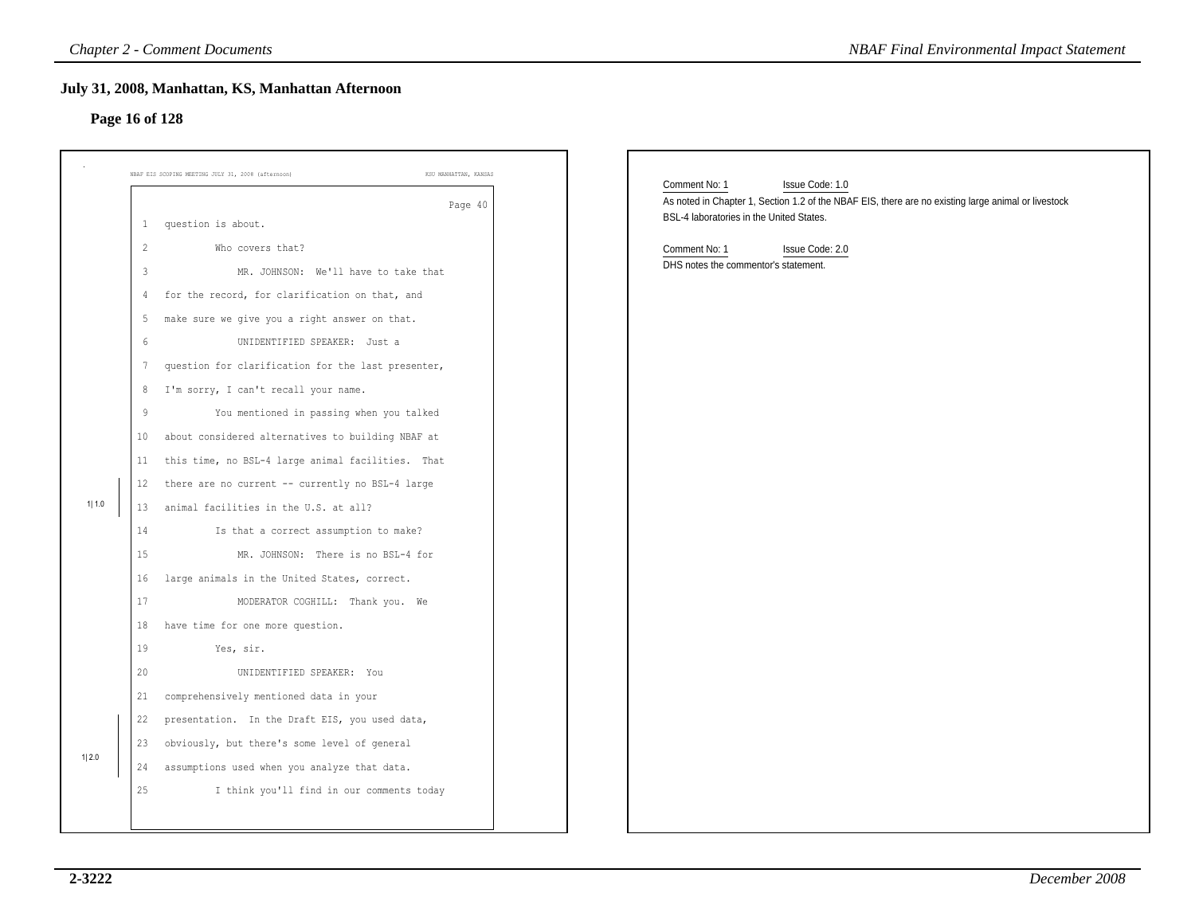### **Page 16 of 128**

|                |                                  | <b>Chapter 2 - Comment Documents</b>                                                                  | <b>NBAF Final Environmental Impact Statement</b>                                                                                                |
|----------------|----------------------------------|-------------------------------------------------------------------------------------------------------|-------------------------------------------------------------------------------------------------------------------------------------------------|
| Page 16 of 128 |                                  | July 31, 2008, Manhattan, KS, Manhattan Afternoon                                                     |                                                                                                                                                 |
|                |                                  | NBAF EIS SCOPING MEETING JULY 31, 2008 (afternoon)<br>KSU MANHATTAN, KANSAS                           | Comment No: 1<br>Issue Code: 1.0                                                                                                                |
|                |                                  | Page 40<br>1 question is about.                                                                       | As noted in Chapter 1, Section 1.2 of the NBAF EIS, there are no existing large animal or livestock<br>BSL-4 laboratories in the United States. |
|                | $\overline{c}$<br>$\overline{3}$ | Who covers that?<br>MR. JOHNSON: We'll have to take that                                              | Comment No: 1<br>Issue Code: 2.0<br>DHS notes the commentor's statement.                                                                        |
|                | 4                                | for the record, for clarification on that, and                                                        |                                                                                                                                                 |
|                | 5<br>$6\phantom{.}6$             | make sure we give you a right answer on that.<br>UNIDENTIFIED SPEAKER: Just a                         |                                                                                                                                                 |
|                | $7\phantom{.0}$<br>8             | question for clarification for the last presenter,<br>I'm sorry, I can't recall your name.            |                                                                                                                                                 |
|                | 9<br>10 <sub>1</sub>             | You mentioned in passing when you talked<br>about considered alternatives to building NBAF at         |                                                                                                                                                 |
|                | 11<br>12                         | this time, no BSL-4 large animal facilities. That<br>there are no current -- currently no BSL-4 large |                                                                                                                                                 |
| 1  1.0         | 13<br>14                         | animal facilities in the U.S. at all?<br>Is that a correct assumption to make?                        |                                                                                                                                                 |
|                | 15<br>16                         | MR. JOHNSON: There is no BSL-4 for<br>large animals in the United States, correct.                    |                                                                                                                                                 |
|                | 17<br>18                         | MODERATOR COGHILL: Thank you. We<br>have time for one more question.                                  |                                                                                                                                                 |
|                | 19<br>20                         | Yes, sir.<br>UNIDENTIFIED SPEAKER: You                                                                |                                                                                                                                                 |
|                | 21<br>22                         | comprehensively mentioned data in your<br>presentation. In the Draft EIS, you used data,              |                                                                                                                                                 |
| 1 2.0          | 23<br>24                         | obviously, but there's some level of general<br>assumptions used when you analyze that data.          |                                                                                                                                                 |
|                | 25                               | I think you'll find in our comments today                                                             |                                                                                                                                                 |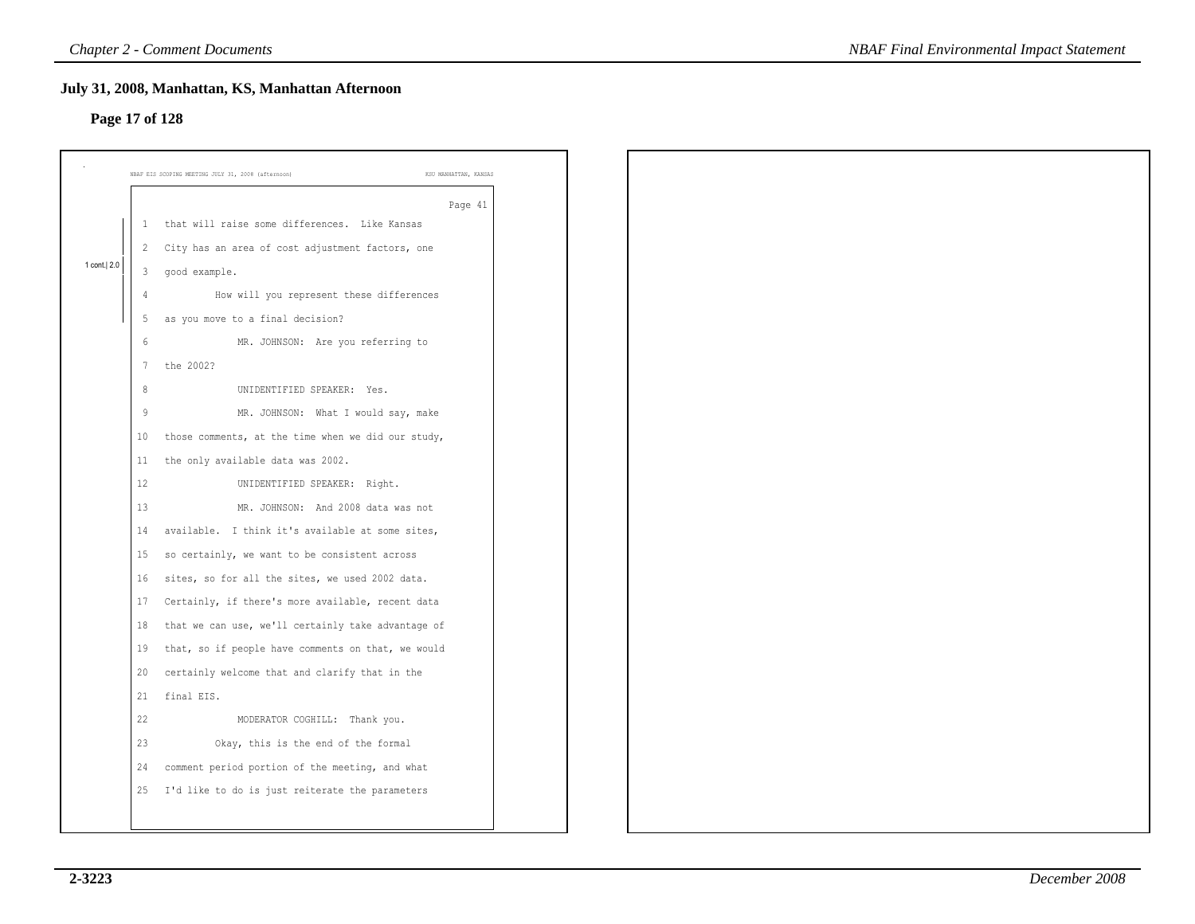|                |                 | <b>Chapter 2 - Comment Documents</b>                                        | <b>NBAF Final Environmental Impact Statement</b> |
|----------------|-----------------|-----------------------------------------------------------------------------|--------------------------------------------------|
| Page 17 of 128 |                 | July 31, 2008, Manhattan, KS, Manhattan Afternoon                           |                                                  |
|                |                 | KSU MANHATTAN, KANSAS<br>NBAF EIS SCOPING MEETING JULY 31, 2008 (afternoon) |                                                  |
|                | -1              | Page 41<br>that will raise some differences. Like Kansas                    |                                                  |
|                |                 | 2 City has an area of cost adjustment factors, one                          |                                                  |
| 1 cont. 2.0    | 3               | good example.                                                               |                                                  |
|                | 4               | How will you represent these differences                                    |                                                  |
|                | 5               | as you move to a final decision?                                            |                                                  |
|                | 6               | MR. JOHNSON: Are you referring to                                           |                                                  |
|                | $7\phantom{.0}$ | the 2002?                                                                   |                                                  |
|                | 8               | UNIDENTIFIED SPEAKER: Yes.                                                  |                                                  |
|                | 9               | MR. JOHNSON: What I would say, make                                         |                                                  |
|                | 10              | those comments, at the time when we did our study,                          |                                                  |
|                | 11              | the only available data was 2002.                                           |                                                  |
|                | 12              | UNIDENTIFIED SPEAKER: Right.                                                |                                                  |
|                | 13              | MR. JOHNSON: And 2008 data was not                                          |                                                  |
|                | 14              | available. I think it's available at some sites,                            |                                                  |
|                | 15              | so certainly, we want to be consistent across                               |                                                  |
|                | 16              | sites, so for all the sites, we used 2002 data.                             |                                                  |
|                | 17              | Certainly, if there's more available, recent data                           |                                                  |
|                | 18              | that we can use, we'll certainly take advantage of                          |                                                  |
|                | 19              | that, so if people have comments on that, we would                          |                                                  |
|                | 20              | certainly welcome that and clarify that in the                              |                                                  |
|                | 21              | final EIS.                                                                  |                                                  |
|                | 22              | MODERATOR COGHILL: Thank you.                                               |                                                  |
|                | 23              | Okay, this is the end of the formal                                         |                                                  |
|                | 24              | comment period portion of the meeting, and what                             |                                                  |
|                | 25              | I'd like to do is just reiterate the parameters                             |                                                  |
|                |                 |                                                                             |                                                  |
|                |                 |                                                                             |                                                  |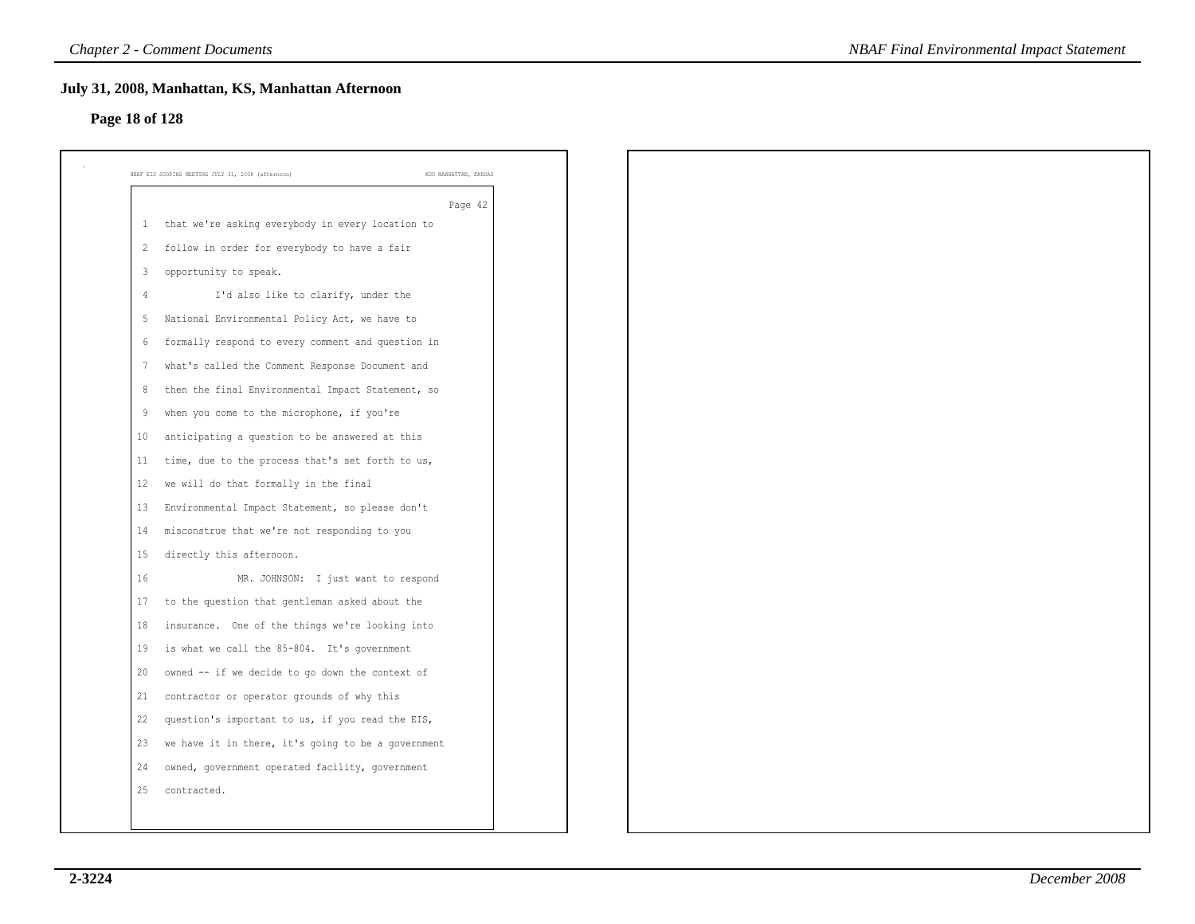### **Page 18 of 128**

| $\mathbf{1}$   | Page 42<br>that we're asking everybody in every location to |
|----------------|-------------------------------------------------------------|
| 2              | follow in order for everybody to have a fair                |
| 3              | opportunity to speak.                                       |
| $\overline{4}$ | I'd also like to clarify, under the                         |
| 5              | National Environmental Policy Act, we have to               |
| 6              | formally respond to every comment and question in           |
| -7             | what's called the Comment Response Document and             |
| 8              | then the final Environmental Impact Statement, so           |
| -9             | when you come to the microphone, if you're                  |
| 10             | anticipating a question to be answered at this              |
| 11             | time, due to the process that's set forth to us,            |
| 12             | we will do that formally in the final                       |
| 13             | Environmental Impact Statement, so please don't             |
| 14             | misconstrue that we're not responding to you                |
| 15             | directly this afternoon.                                    |
| 16             | MR. JOHNSON: I just want to respond                         |
| 17             | to the question that gentleman asked about the              |
| 18             | insurance. One of the things we're looking into             |
| 19             | is what we call the 85-804. It's government                 |
| 20             | owned -- if we decide to go down the context of             |
| 21             | contractor or operator grounds of why this                  |
| 22             | question's important to us, if you read the EIS,            |
| 23             | we have it in there, it's going to be a government          |
| 24             | owned, government operated facility, government             |
| 25             | contracted.                                                 |
|                |                                                             |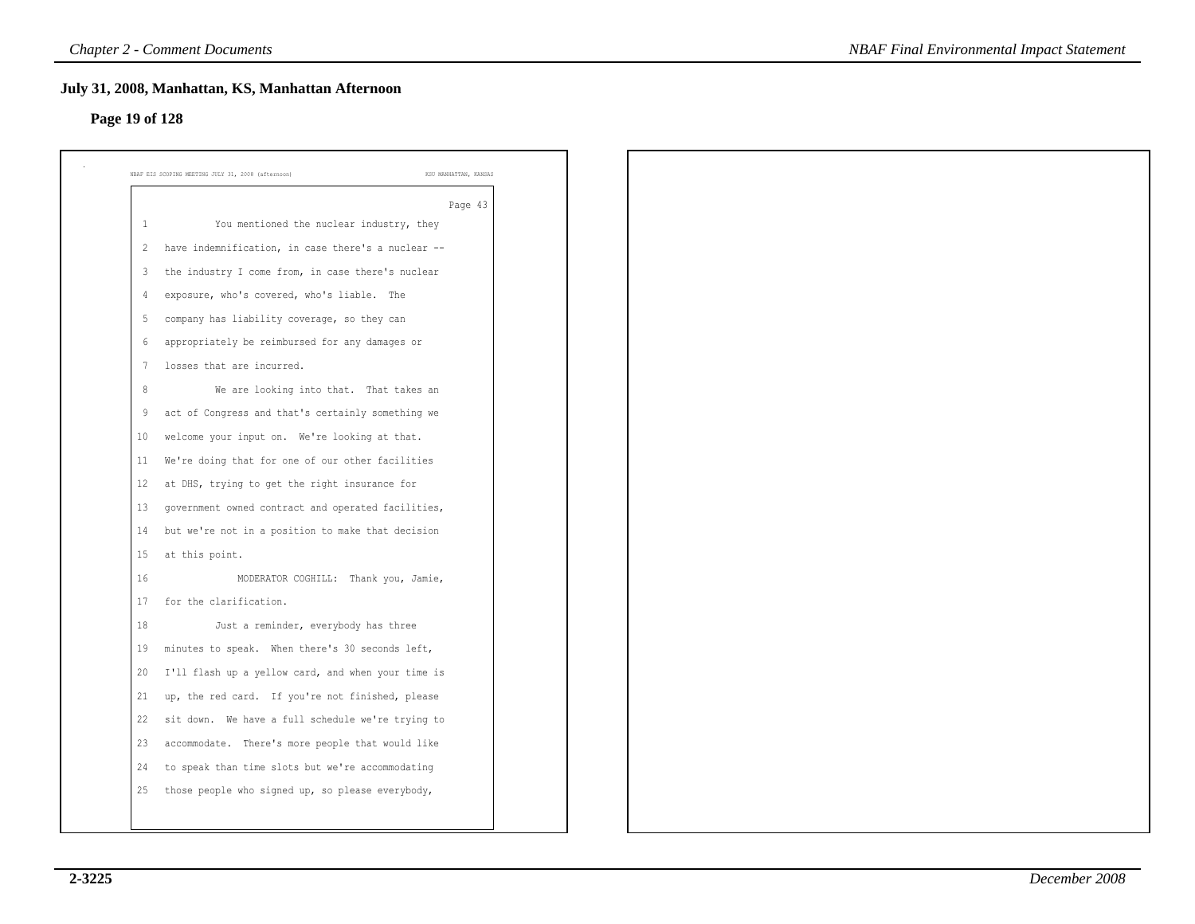### **Page 19 of 128**

|                   | NBAF EIS SCOPING MEETING JULY 31, 2008 (afternoon)<br>KSU MANHATTAN, KANSAS |
|-------------------|-----------------------------------------------------------------------------|
|                   | Page 43                                                                     |
| 1                 | You mentioned the nuclear industry, they                                    |
| 2                 | have indemnification, in case there's a nuclear --                          |
| 3                 | the industry I come from, in case there's nuclear                           |
| 4                 | exposure, who's covered, who's liable. The                                  |
| -5                | company has liability coverage, so they can                                 |
| 6                 | appropriately be reimbursed for any damages or                              |
| 7                 | losses that are incurred.                                                   |
| 8                 | We are looking into that. That takes an                                     |
| 9                 | act of Congress and that's certainly something we                           |
| 10                | welcome your input on. We're looking at that.                               |
| 11                | We're doing that for one of our other facilities                            |
| $12 \overline{ }$ | at DHS, trying to get the right insurance for                               |
| 13                | government owned contract and operated facilities,                          |
| 14                | but we're not in a position to make that decision                           |
| 15                | at this point.                                                              |
| 16                | MODERATOR COGHILL: Thank you, Jamie,                                        |
| 17                | for the clarification.                                                      |
| 18                | Just a reminder, everybody has three                                        |
| 19                | minutes to speak. When there's 30 seconds left,                             |
| 20                | I'll flash up a yellow card, and when your time is                          |
| 21                | up, the red card. If you're not finished, please                            |
| 22                | sit down. We have a full schedule we're trying to                           |
| 23                | accommodate. There's more people that would like                            |
| 24                | to speak than time slots but we're accommodating                            |
| 25                | those people who signed up, so please everybody,                            |
|                   |                                                                             |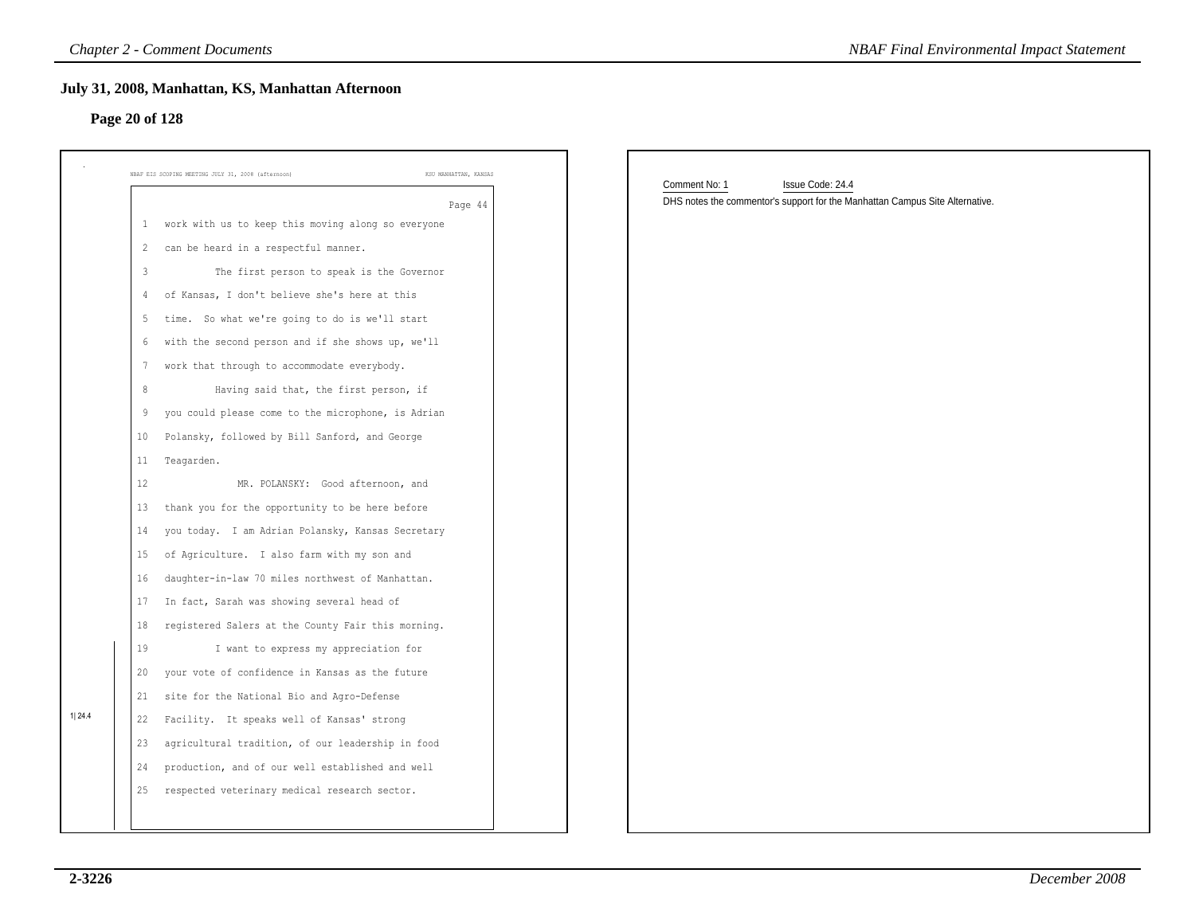### **Page 20 of 128**

|                |                         | <b>Chapter 2 - Comment Documents</b>                                        |               | <b>NBAF Final Environmental Impact Statement</b>                             |
|----------------|-------------------------|-----------------------------------------------------------------------------|---------------|------------------------------------------------------------------------------|
| Page 20 of 128 |                         | July 31, 2008, Manhattan, KS, Manhattan Afternoon                           |               |                                                                              |
|                |                         | KSU MANHATTAN, KANSAS<br>NBAF EIS SCOPING MEETING JULY 31, 2008 (afternoon) | Comment No: 1 | Issue Code: 24.4                                                             |
|                |                         | Page 44                                                                     |               | DHS notes the commentor's support for the Manhattan Campus Site Alternative. |
|                |                         | 1 work with us to keep this moving along so everyone                        |               |                                                                              |
|                | $\overline{2}$          | can be heard in a respectful manner.                                        |               |                                                                              |
|                | $\overline{\mathbf{3}}$ | The first person to speak is the Governor                                   |               |                                                                              |
|                | 4                       | of Kansas, I don't believe she's here at this                               |               |                                                                              |
|                | -5                      | time. So what we're going to do is we'll start                              |               |                                                                              |
|                | 6                       | with the second person and if she shows up, we'll                           |               |                                                                              |
|                | $7\phantom{.0}$         | work that through to accommodate everybody.                                 |               |                                                                              |
|                | 8                       | Having said that, the first person, if                                      |               |                                                                              |
|                | 9                       | you could please come to the microphone, is Adrian                          |               |                                                                              |
|                | 10                      | Polansky, followed by Bill Sanford, and George                              |               |                                                                              |
|                | 11                      | Teagarden.                                                                  |               |                                                                              |
|                | 12                      | MR. POLANSKY: Good afternoon, and                                           |               |                                                                              |
|                | 13                      | thank you for the opportunity to be here before                             |               |                                                                              |
|                | 14                      | you today. I am Adrian Polansky, Kansas Secretary                           |               |                                                                              |
|                | 15                      | of Agriculture. I also farm with my son and                                 |               |                                                                              |
|                | 16                      | daughter-in-law 70 miles northwest of Manhattan.                            |               |                                                                              |
|                | 17                      | In fact, Sarah was showing several head of                                  |               |                                                                              |
|                | 18                      | registered Salers at the County Fair this morning.                          |               |                                                                              |
|                | 19                      | I want to express my appreciation for                                       |               |                                                                              |
|                | 20                      | your vote of confidence in Kansas as the future                             |               |                                                                              |
|                | 21                      | site for the National Bio and Agro-Defense                                  |               |                                                                              |
| 1 24.4         | 22                      | Facility. It speaks well of Kansas' strong                                  |               |                                                                              |
|                | 23                      | agricultural tradition, of our leadership in food                           |               |                                                                              |
|                | 24                      | production, and of our well established and well                            |               |                                                                              |
|                | 25                      | respected veterinary medical research sector.                               |               |                                                                              |
|                |                         |                                                                             |               |                                                                              |
|                |                         |                                                                             |               |                                                                              |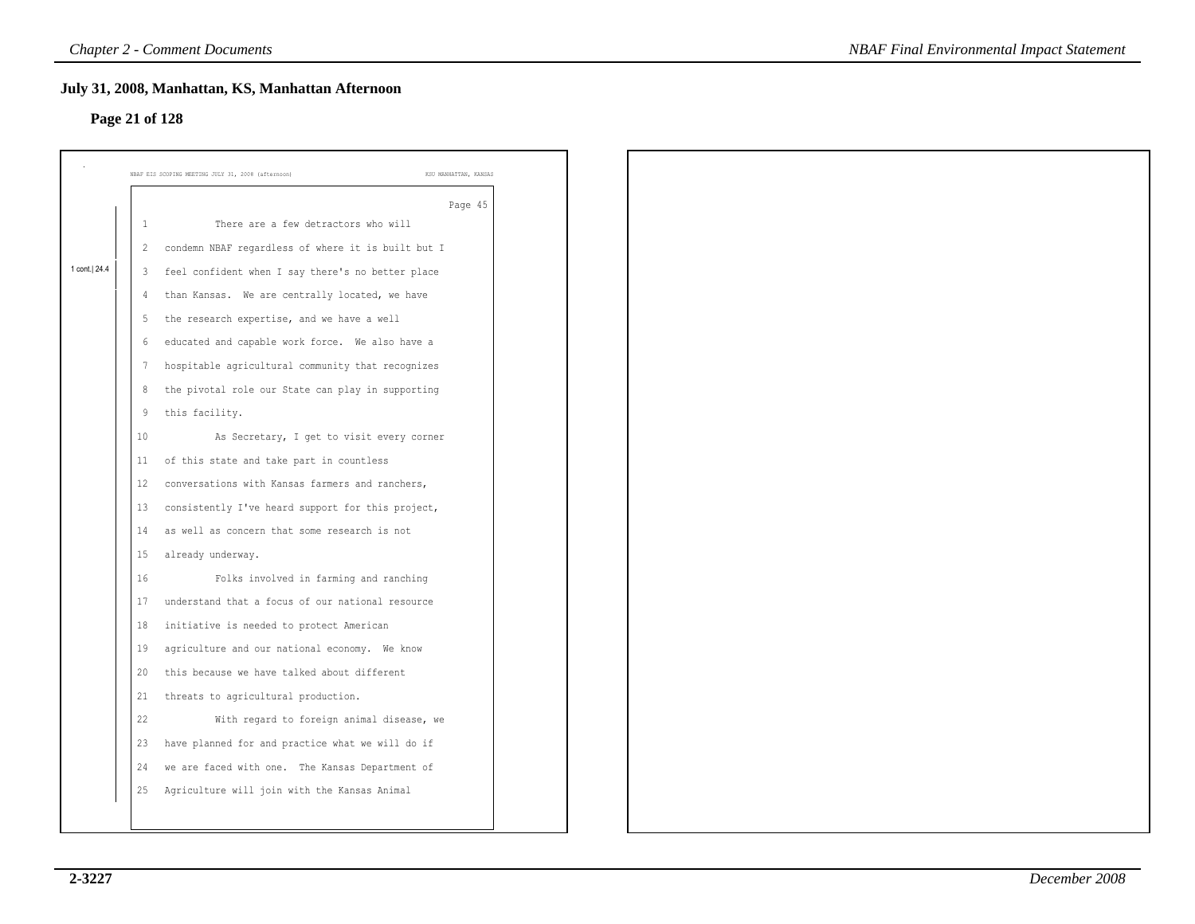# **Page 21 of 128**

|                | Page 21 of 128          | July 31, 2008, Manhattan, KS, Manhattan Afternoon  |                       |
|----------------|-------------------------|----------------------------------------------------|-----------------------|
|                |                         |                                                    |                       |
|                |                         | NBAF EIS SCOPING MEETING JULY 31, 2008 (afternoon) | KSU MANHATTAN, KANSAS |
|                |                         |                                                    | Page 45               |
|                | 1                       | There are a few detractors who will                |                       |
|                | $\overline{c}$          | condemn NBAF regardless of where it is built but I |                       |
| 1 cont.   24.4 | $\overline{\mathbf{3}}$ | feel confident when I say there's no better place  |                       |
|                |                         | than Kansas. We are centrally located, we have     |                       |
|                | -5                      | the research expertise, and we have a well         |                       |
|                | 6                       | educated and capable work force. We also have a    |                       |
|                | 7                       | hospitable agricultural community that recognizes  |                       |
|                | 8                       | the pivotal role our State can play in supporting  |                       |
|                | 9                       | this facility.                                     |                       |
|                | 10                      | As Secretary, I get to visit every corner          |                       |
|                | 11                      | of this state and take part in countless           |                       |
|                | 12                      | conversations with Kansas farmers and ranchers,    |                       |
|                | 13                      | consistently I've heard support for this project,  |                       |
|                | 14                      | as well as concern that some research is not       |                       |
|                | 15                      | already underway.                                  |                       |
|                | 16                      | Folks involved in farming and ranching             |                       |
|                | 17                      | understand that a focus of our national resource   |                       |
|                | $1\,8$                  | initiative is needed to protect American           |                       |
|                | 19                      | agriculture and our national economy. We know      |                       |
|                | 20                      | this because we have talked about different        |                       |
|                | 21                      | threats to agricultural production.                |                       |
|                | 22                      | With regard to foreign animal disease, we          |                       |
|                | 23                      | have planned for and practice what we will do if   |                       |
|                | 24                      | we are faced with one. The Kansas Department of    |                       |
|                | 25                      | Agriculture will join with the Kansas Animal       |                       |
|                |                         |                                                    |                       |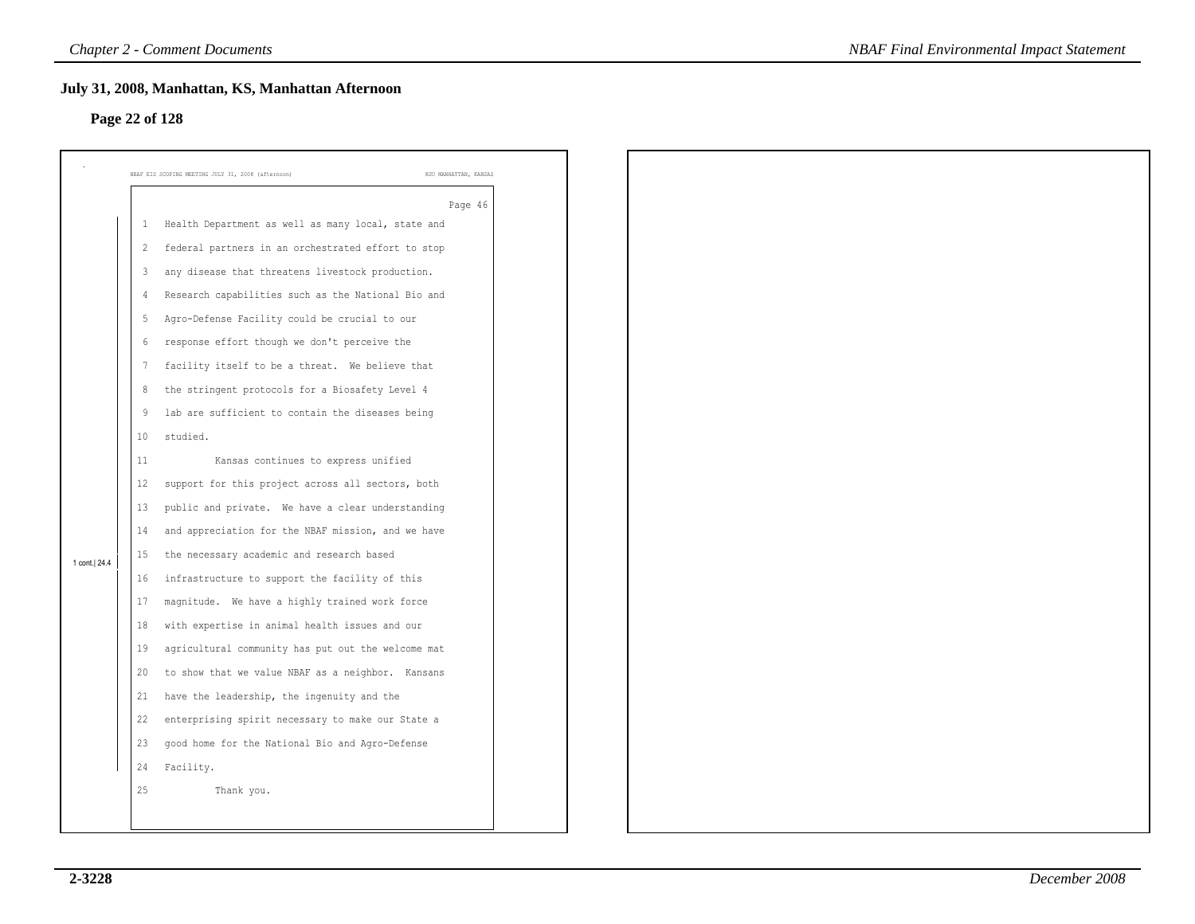# **Page 22 of 128**

| Page 22 of 128 |                         | July 31, 2008, Manhattan, KS, Manhattan Afternoon  |                       |
|----------------|-------------------------|----------------------------------------------------|-----------------------|
|                |                         |                                                    |                       |
|                |                         | NBAF EIS SCOPING MEETING JULY 31, 2008 (afternoon) | KSU MANHATTAN, KANSAS |
|                |                         |                                                    | Page 46               |
|                | -1                      | Health Department as well as many local, state and |                       |
|                | $\overline{2}$          | federal partners in an orchestrated effort to stop |                       |
|                | $\overline{\mathbf{3}}$ | any disease that threatens livestock production.   |                       |
|                | 4                       | Research capabilities such as the National Bio and |                       |
|                | 5                       | Agro-Defense Facility could be crucial to our      |                       |
|                | 6                       | response effort though we don't perceive the       |                       |
|                | -7                      | facility itself to be a threat. We believe that    |                       |
|                | 8                       | the stringent protocols for a Biosafety Level 4    |                       |
|                | 9                       | lab are sufficient to contain the diseases being   |                       |
|                | 10                      | studied.                                           |                       |
|                | 11                      | Kansas continues to express unified                |                       |
|                | 12                      | support for this project across all sectors, both  |                       |
|                | 13                      | public and private. We have a clear understanding  |                       |
|                | 14                      | and appreciation for the NBAF mission, and we have |                       |
| 1 cont. 24.4   | 15                      | the necessary academic and research based          |                       |
|                | 16                      | infrastructure to support the facility of this     |                       |
|                | 17                      | magnitude. We have a highly trained work force     |                       |
|                | $18\,$                  | with expertise in animal health issues and our     |                       |
|                | 19                      | agricultural community has put out the welcome mat |                       |
|                | 20                      | to show that we value NBAF as a neighbor. Kansans  |                       |
|                | 21                      | have the leadership, the ingenuity and the         |                       |
|                | 22                      | enterprising spirit necessary to make our State a  |                       |
|                | 23                      | good home for the National Bio and Agro-Defense    |                       |
|                | 24                      | Facility.                                          |                       |
|                | 25                      | Thank you.                                         |                       |
|                |                         |                                                    |                       |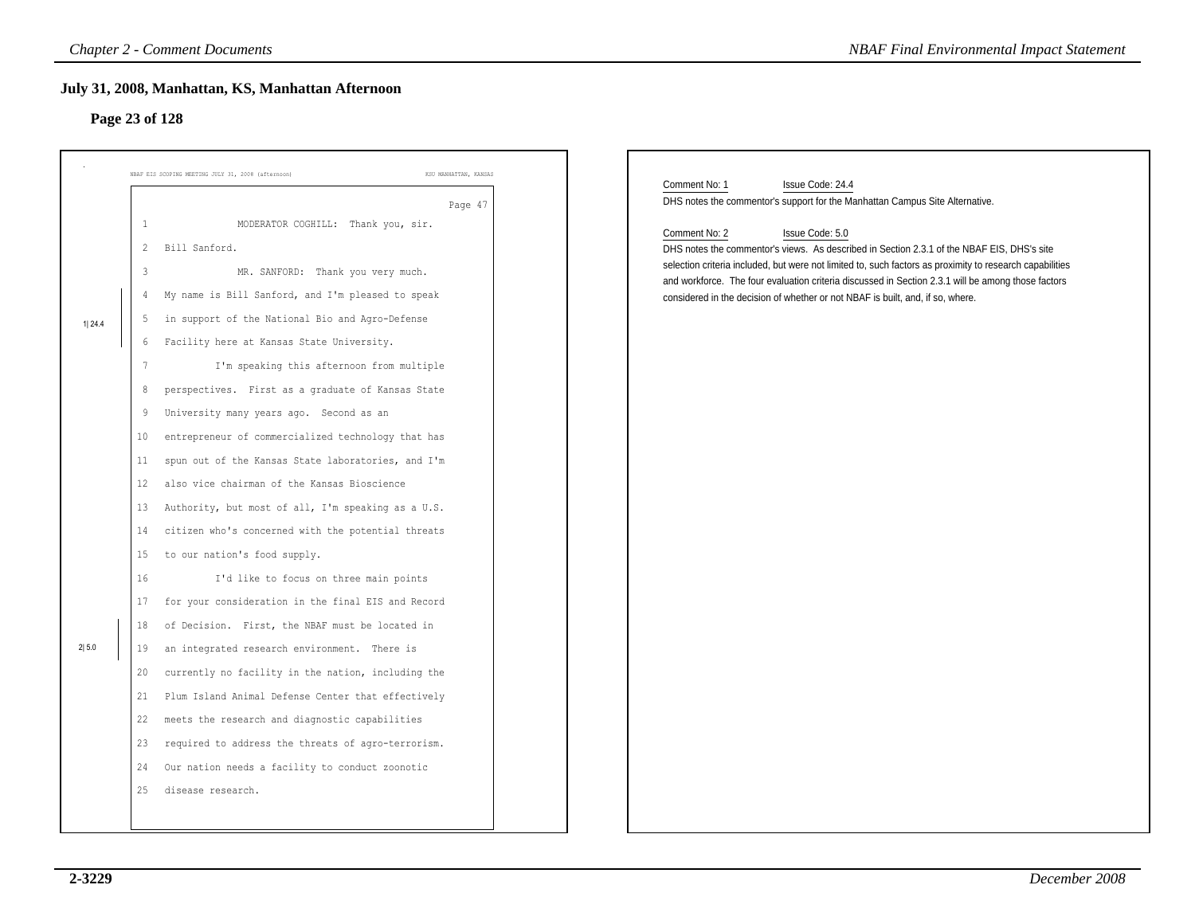# **Page 23 of 128**

|        | <b>Chapter 2 - Comment Documents</b>                                        | <b>NBAF Final Environmental Impact Statement</b>                                                                                                                                     |
|--------|-----------------------------------------------------------------------------|--------------------------------------------------------------------------------------------------------------------------------------------------------------------------------------|
|        | July 31, 2008, Manhattan, KS, Manhattan Afternoon                           |                                                                                                                                                                                      |
|        | Page 23 of 128                                                              |                                                                                                                                                                                      |
|        |                                                                             |                                                                                                                                                                                      |
|        | NBAF EIS SCOPING MEETING JULY 31, 2008 (afternoon)<br>KSU MANHATTAN, KANSAS |                                                                                                                                                                                      |
|        | Page 47                                                                     | Comment No: 1<br>Issue Code: 24.4<br>DHS notes the commentor's support for the Manhattan Campus Site Alternative.                                                                    |
|        | 1<br>MODERATOR COGHILL: Thank you, sir.                                     | Comment No: 2<br>Issue Code: 5.0                                                                                                                                                     |
|        | Bill Sanford.<br>$\overline{2}$                                             | DHS notes the commentor's views. As described in Section 2.3.1 of the NBAF EIS, DHS's site                                                                                           |
|        | MR. SANFORD: Thank you very much.<br>3                                      | selection criteria included, but were not limited to, such factors as proximity to research capabilities                                                                             |
|        | My name is Bill Sanford, and I'm pleased to speak<br>4                      | and workforce. The four evaluation criteria discussed in Section 2.3.1 will be among those factors<br>considered in the decision of whether or not NBAF is built, and, if so, where. |
| 1 24.4 | in support of the National Bio and Agro-Defense<br>5                        |                                                                                                                                                                                      |
|        | Facility here at Kansas State University.<br>6                              |                                                                                                                                                                                      |
|        | I'm speaking this afternoon from multiple                                   |                                                                                                                                                                                      |
|        | perspectives. First as a graduate of Kansas State<br>8                      |                                                                                                                                                                                      |
|        | University many years ago. Second as an<br>9                                |                                                                                                                                                                                      |
|        | entrepreneur of commercialized technology that has<br>10                    |                                                                                                                                                                                      |
|        | spun out of the Kansas State laboratories, and I'm<br>11                    |                                                                                                                                                                                      |
|        | also vice chairman of the Kansas Bioscience<br>12                           |                                                                                                                                                                                      |
|        | Authority, but most of all, I'm speaking as a U.S.<br>13                    |                                                                                                                                                                                      |
|        | citizen who's concerned with the potential threats<br>14                    |                                                                                                                                                                                      |
|        | to our nation's food supply.<br>15                                          |                                                                                                                                                                                      |
|        | 16<br>I'd like to focus on three main points                                |                                                                                                                                                                                      |
|        | for your consideration in the final EIS and Record<br>17                    |                                                                                                                                                                                      |
|        | of Decision. First, the NBAF must be located in<br>18                       |                                                                                                                                                                                      |
| 2 5.0  | an integrated research environment. There is<br>19                          |                                                                                                                                                                                      |
|        | currently no facility in the nation, including the<br>20                    |                                                                                                                                                                                      |
|        | Plum Island Animal Defense Center that effectively<br>21                    |                                                                                                                                                                                      |
|        | 22<br>meets the research and diagnostic capabilities                        |                                                                                                                                                                                      |
|        | 23 required to address the threats of agro-terrorism.                       |                                                                                                                                                                                      |
|        | 24 Our nation needs a facility to conduct zoonotic                          |                                                                                                                                                                                      |
|        | 25 disease research.                                                        |                                                                                                                                                                                      |
|        |                                                                             |                                                                                                                                                                                      |
|        |                                                                             |                                                                                                                                                                                      |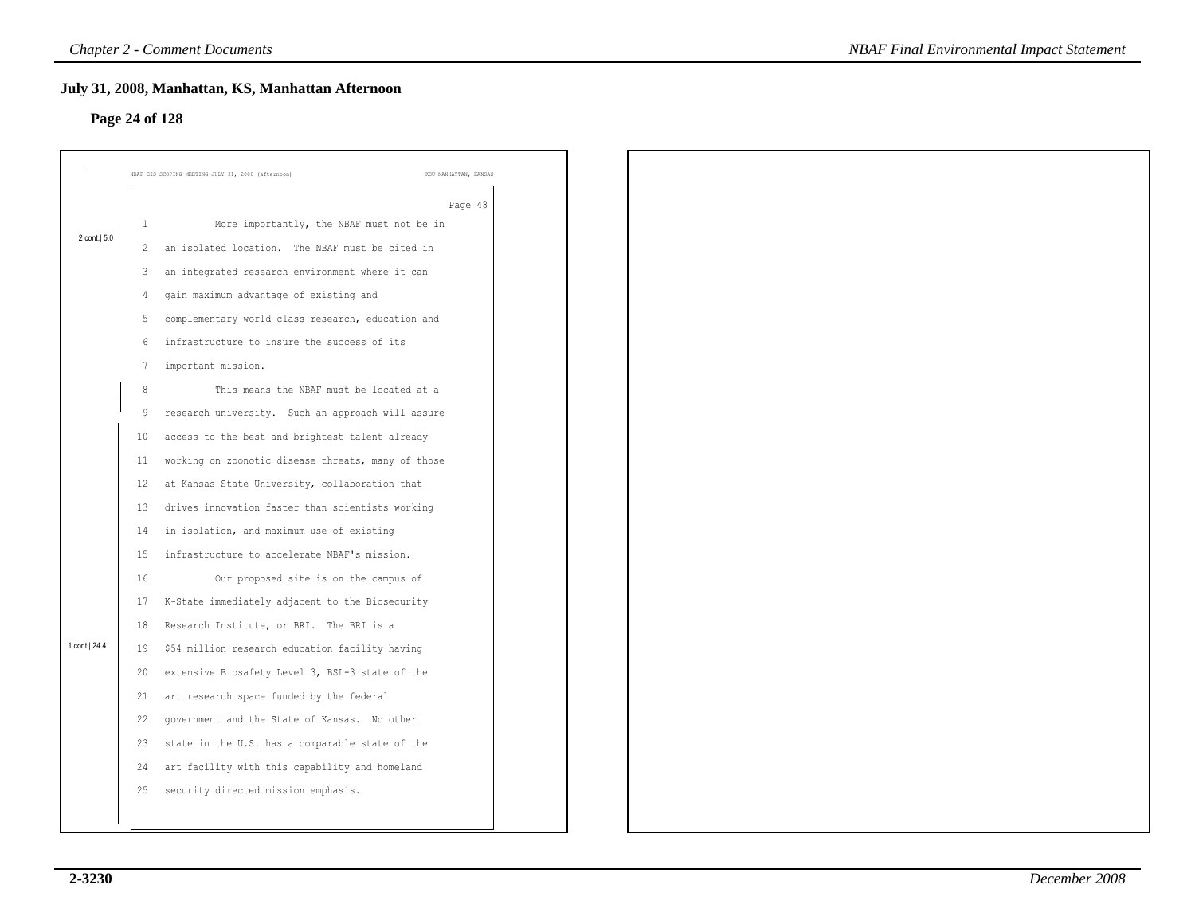# **Page 24 of 128**

|                |              | July 31, 2008, Manhattan, KS, Manhattan Afternoon  |                       |
|----------------|--------------|----------------------------------------------------|-----------------------|
| Page 24 of 128 |              |                                                    |                       |
|                |              | NBAF EIS SCOPING MEETING JULY 31, 2008 (afternoon) | KSU MANHATTAN, KANSAS |
|                |              |                                                    | Page 48               |
|                | -1           | More importantly, the NBAF must not be in          |                       |
| 2 cont.   5.0  | 2            | an isolated location. The NBAF must be cited in    |                       |
|                | $\mathbf{3}$ | an integrated research environment where it can    |                       |
|                |              | gain maximum advantage of existing and             |                       |
|                | 5            | complementary world class research, education and  |                       |
|                | 6            | infrastructure to insure the success of its        |                       |
|                | 7            | important mission.                                 |                       |
|                | 8            | This means the NBAF must be located at a           |                       |
|                | 9            | research university. Such an approach will assure  |                       |
|                | 10           | access to the best and brightest talent already    |                       |
|                | 11           | working on zoonotic disease threats, many of those |                       |
|                | 12           | at Kansas State University, collaboration that     |                       |
|                | 13           | drives innovation faster than scientists working   |                       |
|                | 14           | in isolation, and maximum use of existing          |                       |
|                | 15           | infrastructure to accelerate NBAF's mission.       |                       |
|                | 16           | Our proposed site is on the campus of              |                       |
|                | 17           | K-State immediately adjacent to the Biosecurity    |                       |
|                | 18           | Research Institute, or BRI. The BRI is a           |                       |
| 1 cont. 24.4   | 19           | \$54 million research education facility having    |                       |
|                | 20           | extensive Biosafety Level 3, BSL-3 state of the    |                       |
|                | 21           | art research space funded by the federal           |                       |
|                | 22           | government and the State of Kansas. No other       |                       |
|                | 23           | state in the U.S. has a comparable state of the    |                       |
|                | 24           | art facility with this capability and homeland     |                       |
|                | 25           | security directed mission emphasis.                |                       |
|                |              |                                                    |                       |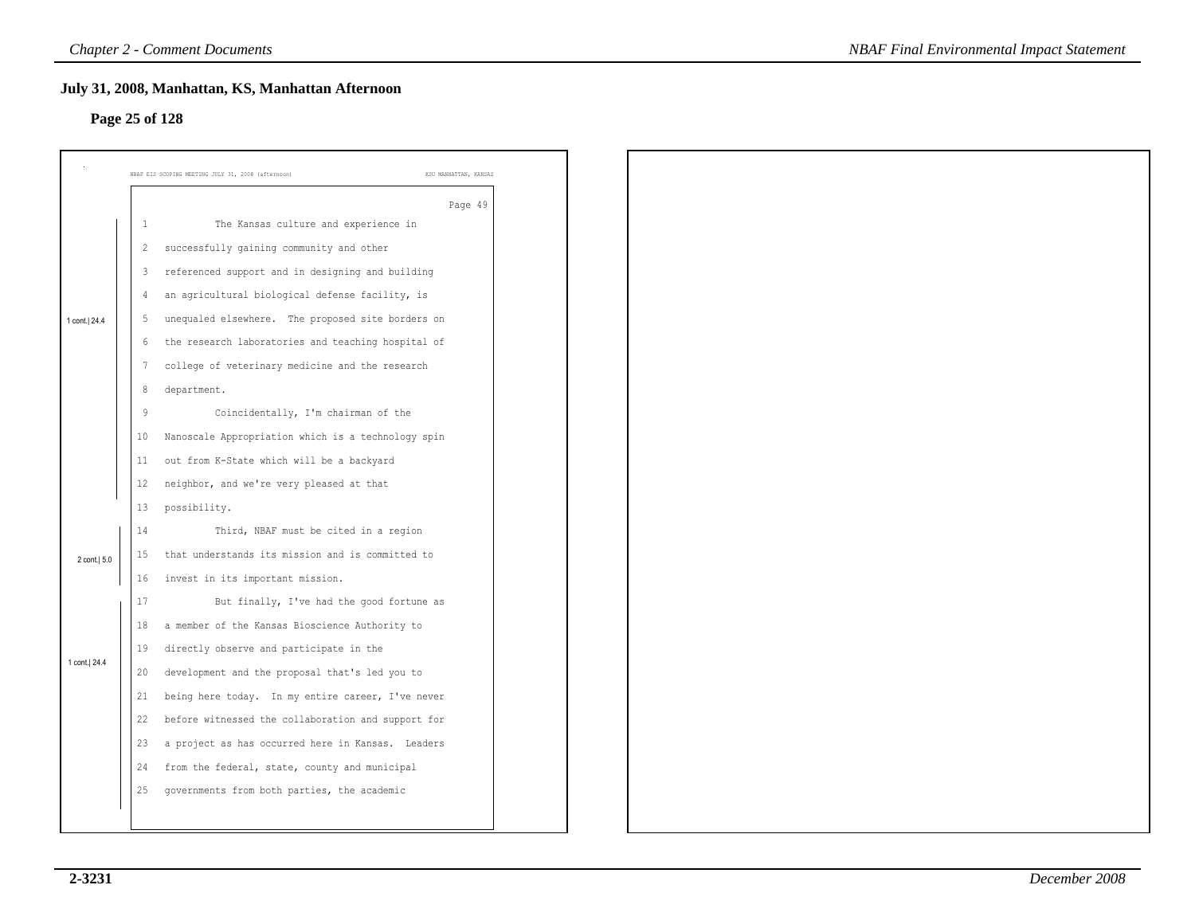### **Page 25 of 128**

|                |                | July 31, 2008, Manhattan, KS, Manhattan Afternoon  |                       |
|----------------|----------------|----------------------------------------------------|-----------------------|
| Page 25 of 128 |                |                                                    |                       |
|                |                |                                                    |                       |
|                |                | NBAF EIS SCOPING MEETING JULY 31, 2008 (afternoon) | KSU MANHATTAN, KANSAS |
|                |                |                                                    | Page 49               |
|                | $\mathbf{1}$   | The Kansas culture and experience in               |                       |
|                | $\overline{2}$ | successfully gaining community and other           |                       |
|                | $\mathbf{3}$   | referenced support and in designing and building   |                       |
|                | 4              | an agricultural biological defense facility, is    |                       |
| 1 cont.   24.4 | -5             | unequaled elsewhere. The proposed site borders on  |                       |
|                | -6             | the research laboratories and teaching hospital of |                       |
|                | 7              | college of veterinary medicine and the research    |                       |
|                | 8              | department.                                        |                       |
|                | 9              | Coincidentally, I'm chairman of the                |                       |
|                | 10             | Nanoscale Appropriation which is a technology spin |                       |
|                | 11             | out from K-State which will be a backyard          |                       |
|                | 12             | neighbor, and we're very pleased at that           |                       |
|                | 13             | possibility.                                       |                       |
|                | $14\,$         | Third, NBAF must be cited in a region              |                       |
| 2 cont.   5.0  | 15             | that understands its mission and is committed to   |                       |
|                | 16             | invest in its important mission.                   |                       |
|                | 17             | But finally, I've had the good fortune as          |                       |
|                | 18             | a member of the Kansas Bioscience Authority to     |                       |
|                | 19             | directly observe and participate in the            |                       |
| 1 cont.  24.4  | 20             | development and the proposal that's led you to     |                       |
|                | 21             | being here today. In my entire career, I've never  |                       |
|                | 22             | before witnessed the collaboration and support for |                       |
|                | 23             | a project as has occurred here in Kansas. Leaders  |                       |
|                | 24             | from the federal, state, county and municipal      |                       |
|                | 25             | governments from both parties, the academic        |                       |
|                |                |                                                    |                       |
|                |                |                                                    |                       |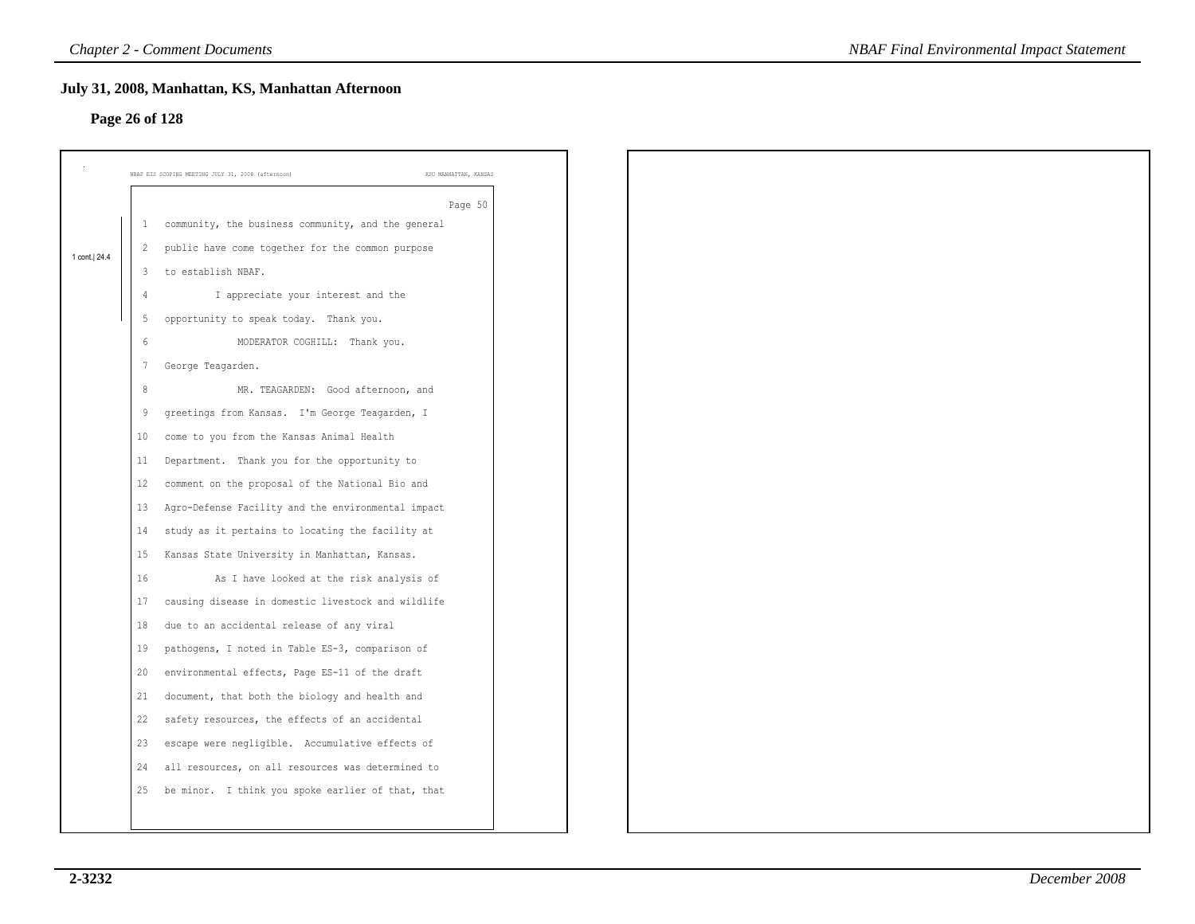# **Page 26 of 128**

|                |                         | July 31, 2008, Manhattan, KS, Manhattan Afternoon  |                       |
|----------------|-------------------------|----------------------------------------------------|-----------------------|
| Page 26 of 128 |                         |                                                    |                       |
|                |                         |                                                    |                       |
|                |                         | NBAF EIS SCOPING MEETING JULY 31, 2008 (afternoon) | KSU MANHATTAN, KANSAS |
|                |                         |                                                    | Page 50               |
|                | 1                       | community, the business community, and the general |                       |
| 1 cont. 24.4   | $\overline{c}$          | public have come together for the common purpose   |                       |
|                | $\overline{\mathbf{3}}$ | to establish NBAF.                                 |                       |
|                | 4                       | I appreciate your interest and the                 |                       |
|                | 5                       | opportunity to speak today. Thank you.             |                       |
|                | 6                       | MODERATOR COGHILL: Thank you.                      |                       |
|                | $\overline{7}$          | George Teagarden.                                  |                       |
|                | 8                       | MR. TEAGARDEN: Good afternoon, and                 |                       |
|                | 9                       | greetings from Kansas. I'm George Teagarden, I     |                       |
|                | 10                      | come to you from the Kansas Animal Health          |                       |
|                | 11                      | Department. Thank you for the opportunity to       |                       |
|                | 12                      | comment on the proposal of the National Bio and    |                       |
|                | 13                      | Agro-Defense Facility and the environmental impact |                       |
|                | 14                      | study as it pertains to locating the facility at   |                       |
|                | 15                      | Kansas State University in Manhattan, Kansas.      |                       |
|                | 16                      | As I have looked at the risk analysis of           |                       |
|                | 17                      | causing disease in domestic livestock and wildlife |                       |
|                | 18                      | due to an accidental release of any viral          |                       |
|                | 19                      | pathogens, I noted in Table ES-3, comparison of    |                       |
|                | 20                      | environmental effects, Page ES-11 of the draft     |                       |
|                | 21                      | document, that both the biology and health and     |                       |
|                | 22                      | safety resources, the effects of an accidental     |                       |
|                | 23                      | escape were negligible. Accumulative effects of    |                       |
|                | 24                      | all resources, on all resources was determined to  |                       |
|                |                         |                                                    |                       |
|                | 25                      | be minor. I think you spoke earlier of that, that  |                       |
|                |                         |                                                    |                       |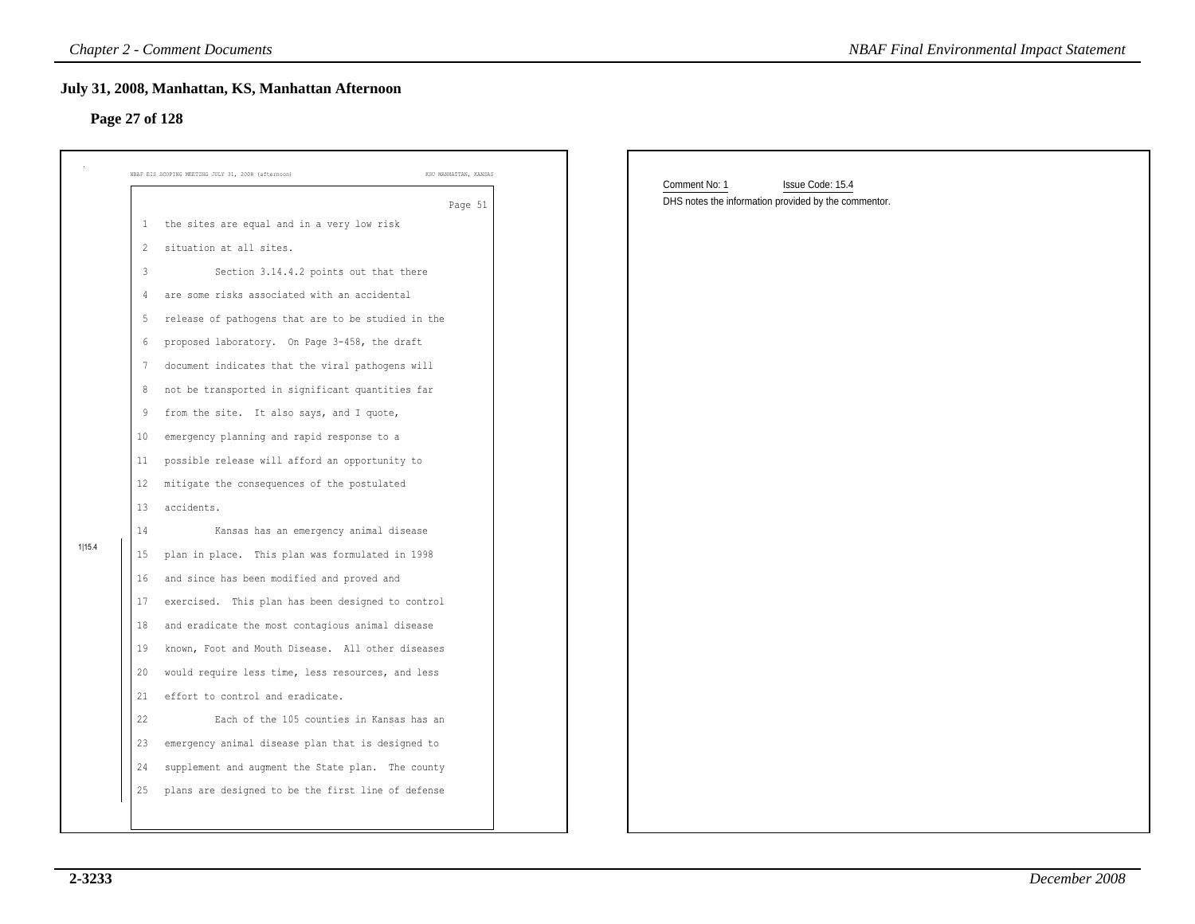### **Page 27 of 128**

|        |                | <b>Chapter 2 - Comment Documents</b>                                        | <b>NBAF Final Environmental Impact Statement</b>     |
|--------|----------------|-----------------------------------------------------------------------------|------------------------------------------------------|
|        |                | July 31, 2008, Manhattan, KS, Manhattan Afternoon<br>Page 27 of 128         |                                                      |
|        |                | KSU MANHATTAN, KANSAS<br>NBAF EIS SCOPING MEETING JULY 31, 2008 (afternoon) | Comment No: 1<br>Issue Code: 15.4                    |
|        |                | Page 51                                                                     | DHS notes the information provided by the commentor. |
|        | $\mathbf{1}$   | the sites are equal and in a very low risk                                  |                                                      |
|        | $\overline{2}$ | situation at all sites.                                                     |                                                      |
|        | $\overline{3}$ | Section 3.14.4.2 points out that there                                      |                                                      |
|        | 4              | are some risks associated with an accidental                                |                                                      |
|        | -5             | release of pathogens that are to be studied in the                          |                                                      |
|        | 6              | proposed laboratory. On Page 3-458, the draft                               |                                                      |
|        | 7              | document indicates that the viral pathogens will                            |                                                      |
|        | 8              | not be transported in significant quantities far                            |                                                      |
|        | 9              | from the site. It also says, and I quote,                                   |                                                      |
|        | 10             | emergency planning and rapid response to a                                  |                                                      |
|        | 11             | possible release will afford an opportunity to                              |                                                      |
|        | 12             | mitigate the consequences of the postulated                                 |                                                      |
|        | 13             | accidents.                                                                  |                                                      |
|        | 14             | Kansas has an emergency animal disease                                      |                                                      |
| 1 15.4 | 15             | plan in place. This plan was formulated in 1998                             |                                                      |
|        | 16             | and since has been modified and proved and                                  |                                                      |
|        | 17             | exercised. This plan has been designed to control                           |                                                      |
|        | 18             | and eradicate the most contagious animal disease                            |                                                      |
|        | 19             | known, Foot and Mouth Disease. All other diseases                           |                                                      |
|        | 20             | would require less time, less resources, and less                           |                                                      |
|        | 21             | effort to control and eradicate.                                            |                                                      |
|        | 22             | Each of the 105 counties in Kansas has an                                   |                                                      |
|        | 23             | emergency animal disease plan that is designed to                           |                                                      |
|        | 24             | supplement and augment the State plan. The county                           |                                                      |
|        | 25             | plans are designed to be the first line of defense                          |                                                      |
|        |                |                                                                             |                                                      |
|        |                |                                                                             |                                                      |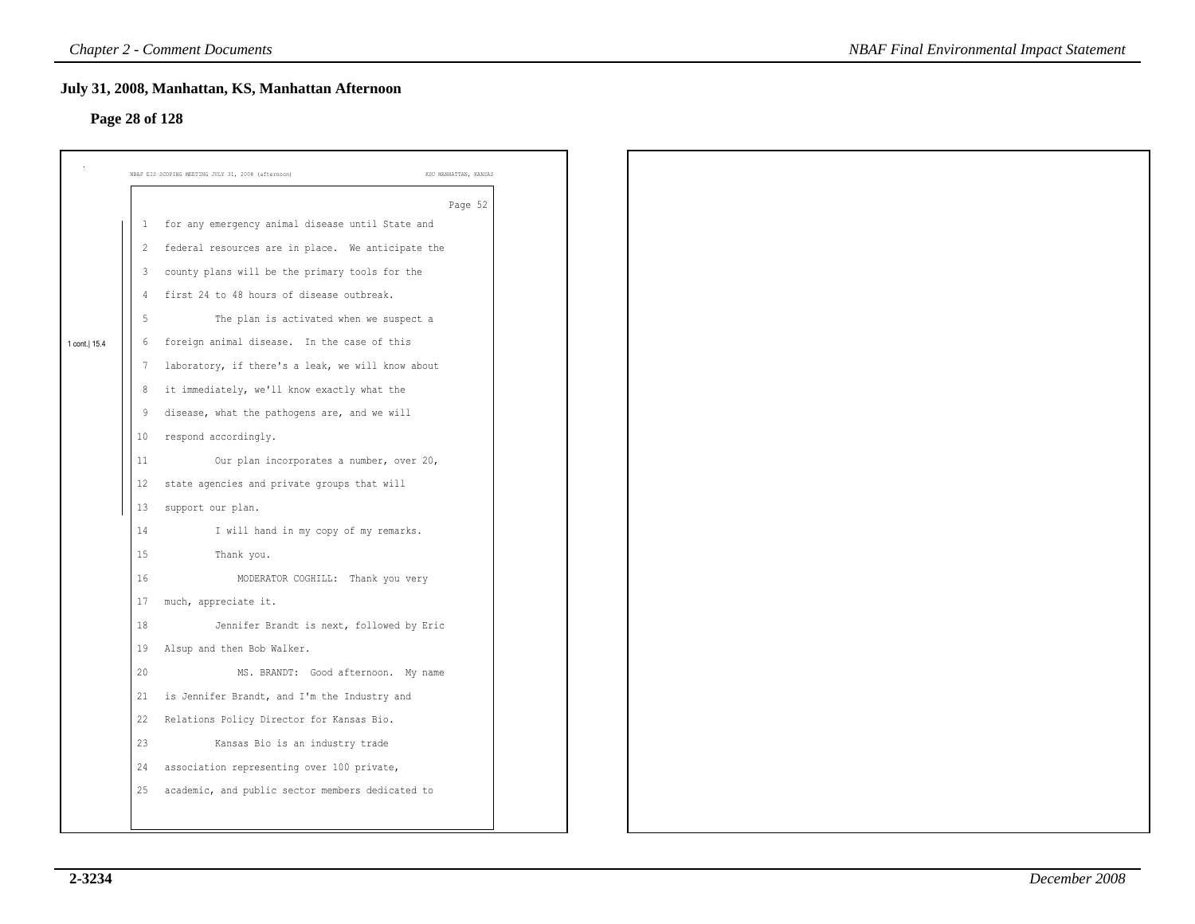### **Page 28 of 128**

|                |                | July 31, 2008, Manhattan, KS, Manhattan Afternoon                           |  |
|----------------|----------------|-----------------------------------------------------------------------------|--|
| Page 28 of 128 |                |                                                                             |  |
|                |                |                                                                             |  |
|                |                | NBAF EIS SCOPING MEETING JULY 31, 2008 (afternoon)<br>KSU MANHATTAN, KANSAS |  |
|                |                | Page 52                                                                     |  |
|                | 1              | for any emergency animal disease until State and                            |  |
|                | $\overline{2}$ | federal resources are in place. We anticipate the                           |  |
|                | 3              | county plans will be the primary tools for the                              |  |
|                | $\overline{4}$ | first 24 to 48 hours of disease outbreak.                                   |  |
|                | 5              | The plan is activated when we suspect a                                     |  |
| 1 cont.   15.4 | 6              | foreign animal disease. In the case of this                                 |  |
|                | 7              | laboratory, if there's a leak, we will know about                           |  |
|                | 8              | it immediately, we'll know exactly what the                                 |  |
|                | 9              | disease, what the pathogens are, and we will                                |  |
|                | 10             | respond accordingly.                                                        |  |
|                | 11             | Our plan incorporates a number, over 20,                                    |  |
|                | 12             | state agencies and private groups that will                                 |  |
|                | 13             | support our plan.                                                           |  |
|                | 14             | I will hand in my copy of my remarks.                                       |  |
|                | 15             | Thank you.                                                                  |  |
|                | 16             | MODERATOR COGHILL: Thank you very                                           |  |
|                | 17             | much, appreciate it.                                                        |  |
|                | 18             | Jennifer Brandt is next, followed by Eric                                   |  |
|                | 19             | Alsup and then Bob Walker.                                                  |  |
|                | 20             | MS. BRANDT: Good afternoon. My name                                         |  |
|                | 21             | is Jennifer Brandt, and I'm the Industry and                                |  |
|                | 22             | Relations Policy Director for Kansas Bio.                                   |  |
|                | 23             | Kansas Bio is an industry trade                                             |  |
|                | 24             | association representing over 100 private,                                  |  |
|                | 25             | academic, and public sector members dedicated to                            |  |
|                |                |                                                                             |  |
|                |                |                                                                             |  |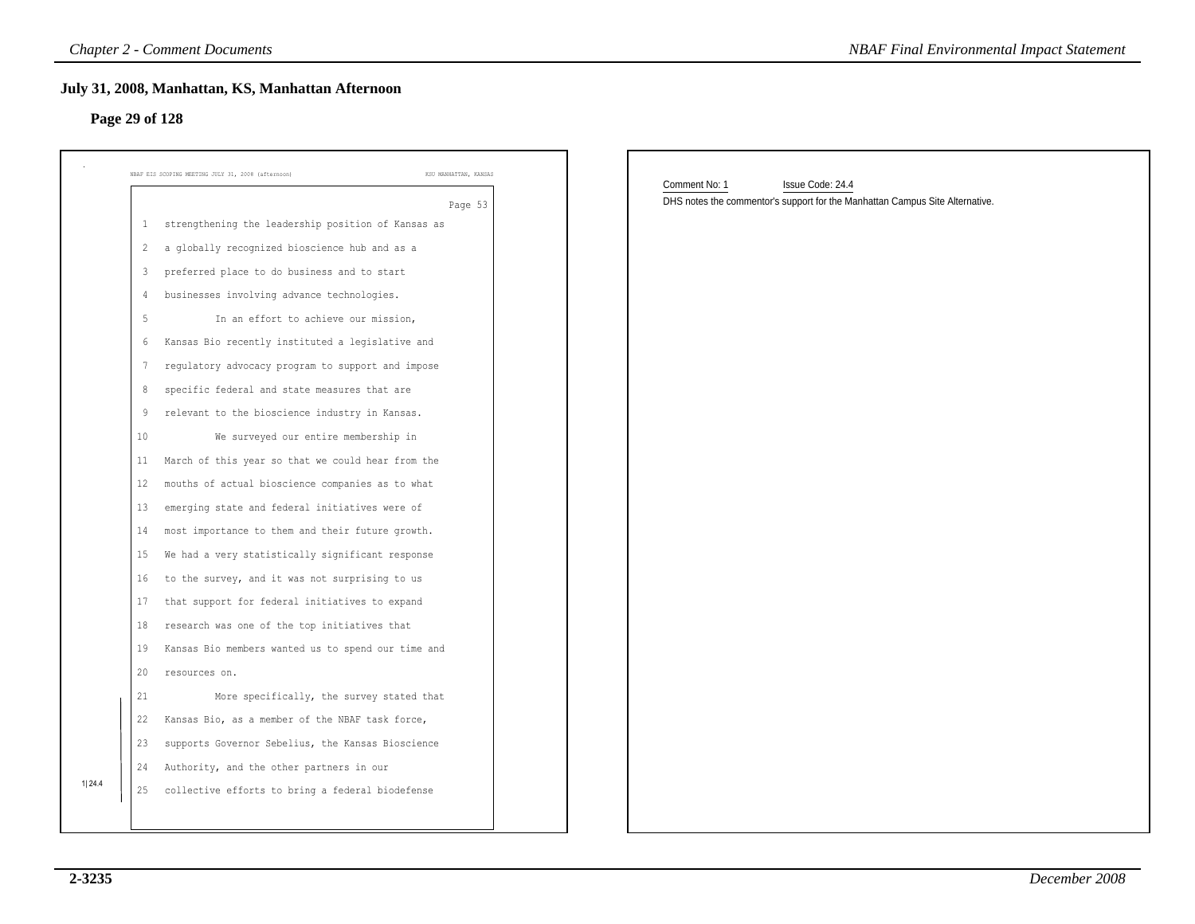| NBAF EIS SCOPING MEETING JULY 31, 2008 (afternoon)<br>KSU MANHATTAN, KANSAS   | Comment No: 1<br>Issue Code: 24.4<br>DHS notes the commentor's support for the Manhattan Campus Site Alternative. |
|-------------------------------------------------------------------------------|-------------------------------------------------------------------------------------------------------------------|
| Page 53<br>strengthening the leadership position of Kansas as<br>$\mathbf{1}$ |                                                                                                                   |
| a globally recognized bioscience hub and as a<br>$\overline{2}$               |                                                                                                                   |
| preferred place to do business and to start<br>3                              |                                                                                                                   |
| businesses involving advance technologies.<br>4                               |                                                                                                                   |
| 5<br>In an effort to achieve our mission,                                     |                                                                                                                   |
| Kansas Bio recently instituted a legislative and<br>6                         |                                                                                                                   |
| regulatory advocacy program to support and impose<br>7                        |                                                                                                                   |
| specific federal and state measures that are<br>8                             |                                                                                                                   |
| relevant to the bioscience industry in Kansas.<br>9                           |                                                                                                                   |
| We surveyed our entire membership in<br>10                                    |                                                                                                                   |
| March of this year so that we could hear from the<br>11                       |                                                                                                                   |
| 12<br>mouths of actual bioscience companies as to what                        |                                                                                                                   |
| emerging state and federal initiatives were of<br>13                          |                                                                                                                   |
| most importance to them and their future growth.<br>14                        |                                                                                                                   |
| We had a very statistically significant response<br>15                        |                                                                                                                   |
| to the survey, and it was not surprising to us<br>16                          |                                                                                                                   |
| that support for federal initiatives to expand<br>17                          |                                                                                                                   |
| research was one of the top initiatives that<br>18                            |                                                                                                                   |
| Kansas Bio members wanted us to spend our time and<br>19                      |                                                                                                                   |
| 20<br>resources on.                                                           |                                                                                                                   |
| More specifically, the survey stated that<br>21                               |                                                                                                                   |
| 22<br>Kansas Bio, as a member of the NBAF task force,                         |                                                                                                                   |
| 23 supports Governor Sebelius, the Kansas Bioscience                          |                                                                                                                   |
| 24 Authority, and the other partners in our                                   |                                                                                                                   |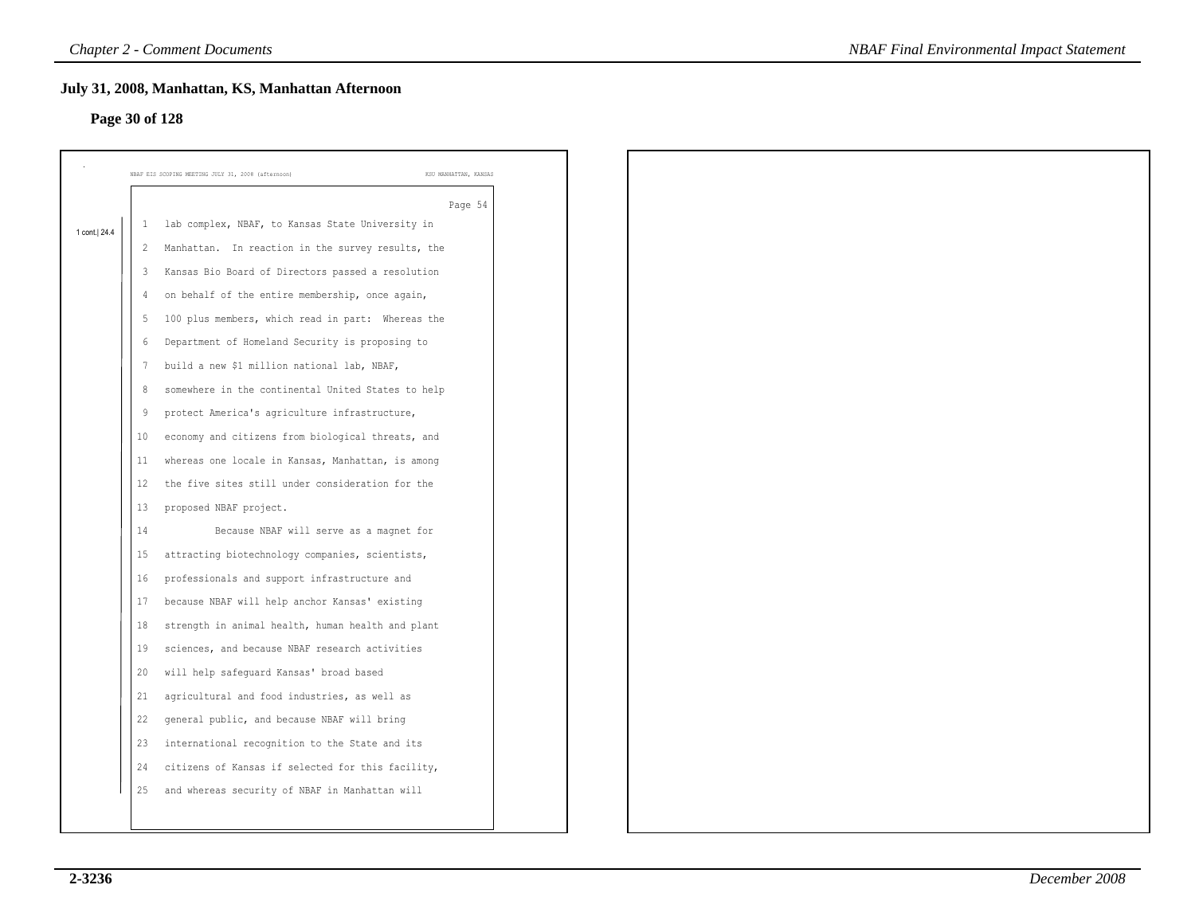# **Page 30 of 128**

| Page 30 of 128 |                | July 31, 2008, Manhattan, KS, Manhattan Afternoon  |                       |
|----------------|----------------|----------------------------------------------------|-----------------------|
|                |                |                                                    |                       |
|                |                | NBAF EIS SCOPING MEETING JULY 31, 2008 (afternoon) | KSU MANHATTAN, KANSAS |
|                |                |                                                    | Page 54               |
| 1 cont.   24.4 | -1             | lab complex, NBAF, to Kansas State University in   |                       |
|                | 2              | Manhattan. In reaction in the survey results, the  |                       |
|                | 3              | Kansas Bio Board of Directors passed a resolution  |                       |
|                | 4              | on behalf of the entire membership, once again,    |                       |
|                | -5             | 100 plus members, which read in part: Whereas the  |                       |
|                | 6              | Department of Homeland Security is proposing to    |                       |
|                | 7              | build a new \$1 million national lab, NBAF,        |                       |
|                | 8              | somewhere in the continental United States to help |                       |
|                | $\overline{9}$ | protect America's agriculture infrastructure,      |                       |
|                | 10             | economy and citizens from biological threats, and  |                       |
|                | 11             | whereas one locale in Kansas, Manhattan, is among  |                       |
|                | 12             | the five sites still under consideration for the   |                       |
|                | 13             | proposed NBAF project.                             |                       |
|                | 14             | Because NBAF will serve as a magnet for            |                       |
|                | 15             | attracting biotechnology companies, scientists,    |                       |
|                | 16             | professionals and support infrastructure and       |                       |
|                | 17             | because NBAF will help anchor Kansas' existing     |                       |
|                | 18             | strength in animal health, human health and plant  |                       |
|                | 19             | sciences, and because NBAF research activities     |                       |
|                | 20             | will help safeguard Kansas' broad based            |                       |
|                | 21             | agricultural and food industries, as well as       |                       |
|                | 22             | general public, and because NBAF will bring        |                       |
|                | 23             | international recognition to the State and its     |                       |
|                | 24             | citizens of Kansas if selected for this facility,  |                       |
|                | 25             | and whereas security of NBAF in Manhattan will     |                       |
|                |                |                                                    |                       |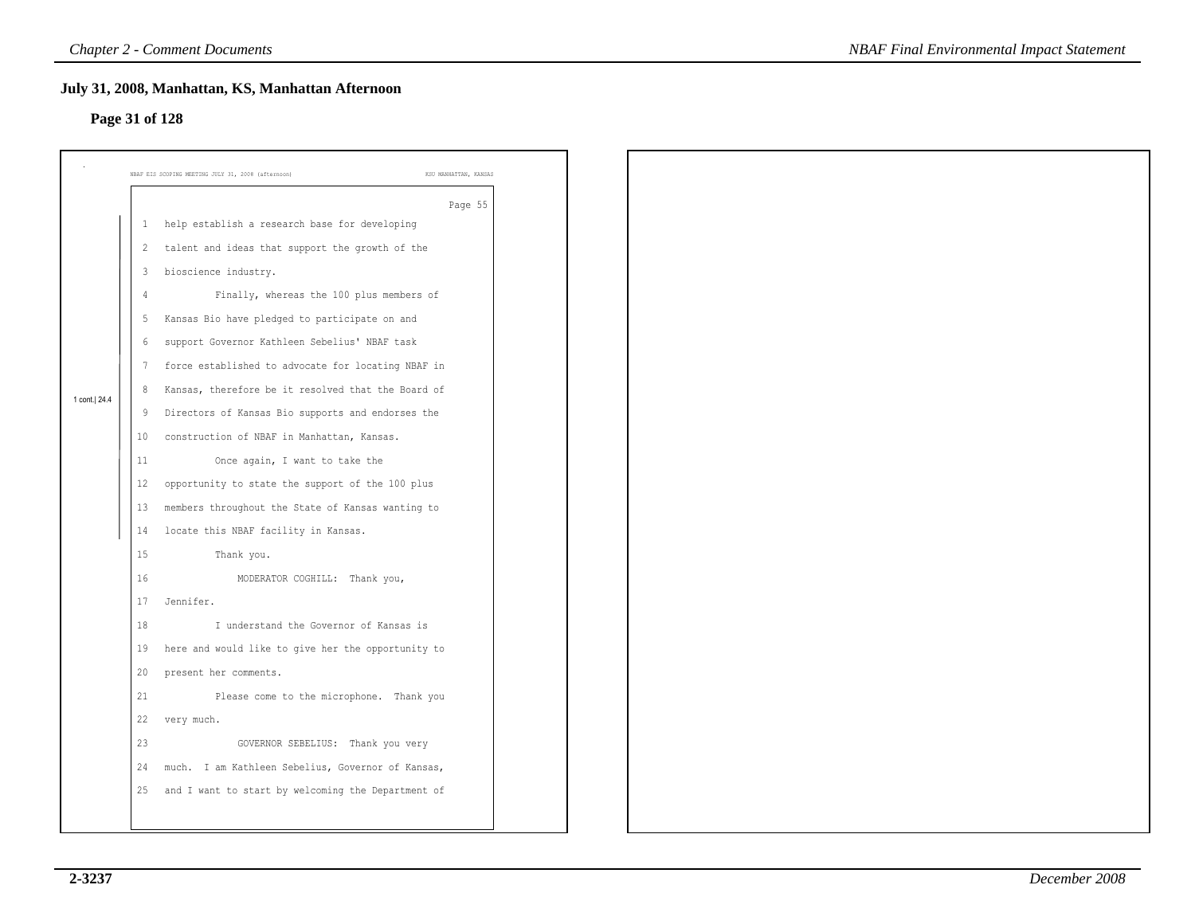### **Page 31 of 128**

|                         | July 31, 2008, Manhattan, KS, Manhattan Afternoon                           |
|-------------------------|-----------------------------------------------------------------------------|
|                         |                                                                             |
|                         | NBAF EIS SCOPING MEETING JULY 31, 2008 (afternoon)<br>KSU MANHATTAN, KANSAS |
|                         | Page 55                                                                     |
| 1                       | help establish a research base for developing                               |
| $\overline{2}$          | talent and ideas that support the growth of the                             |
| $\overline{\mathbf{3}}$ | bioscience industry.                                                        |
| $\overline{4}$          | Finally, whereas the 100 plus members of                                    |
| -5                      | Kansas Bio have pledged to participate on and                               |
| 6                       | support Governor Kathleen Sebelius' NBAF task                               |
| 7                       | force established to advocate for locating NBAF in                          |
| 8                       | Kansas, therefore be it resolved that the Board of                          |
| 9                       | Directors of Kansas Bio supports and endorses the                           |
| 10                      | construction of NBAF in Manhattan, Kansas.                                  |
| 11                      | Once again, I want to take the                                              |
| 12                      | opportunity to state the support of the 100 plus                            |
| 13                      | members throughout the State of Kansas wanting to                           |
| 14                      | locate this NBAF facility in Kansas.                                        |
| 15                      | Thank you.                                                                  |
| 16                      | MODERATOR COGHILL: Thank you,                                               |
| 17                      | Jennifer.                                                                   |
| 18                      | I understand the Governor of Kansas is                                      |
| 19                      | here and would like to give her the opportunity to                          |
| 20                      | present her comments.                                                       |
| 21                      | Please come to the microphone. Thank you                                    |
| 22                      | very much.                                                                  |
| 23                      | GOVERNOR SEBELIUS: Thank you very                                           |
| 24                      | much. I am Kathleen Sebelius, Governor of Kansas,                           |
| 25                      | and I want to start by welcoming the Department of                          |
|                         |                                                                             |
|                         | Page 31 of 128                                                              |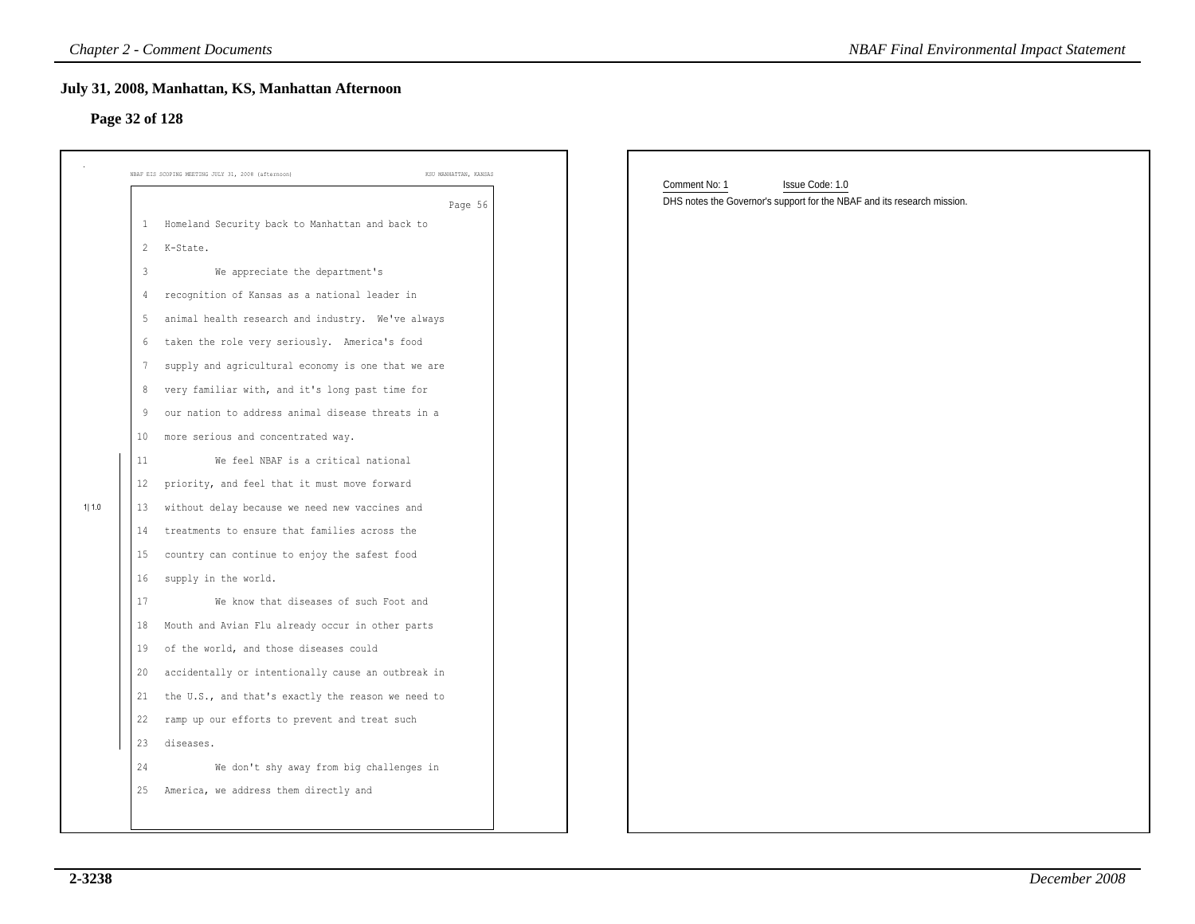# **Page 32 of 128**

|        |                 | <b>Chapter 2 - Comment Documents</b>                                        | <b>NBAF Final Environmental Impact Statement</b>                                           |
|--------|-----------------|-----------------------------------------------------------------------------|--------------------------------------------------------------------------------------------|
|        | Page 32 of 128  | July 31, 2008, Manhattan, KS, Manhattan Afternoon                           |                                                                                            |
|        |                 | KSU MANHATTAN, KANSAS<br>NBAF EIS SCOPING MEETING JULY 31, 2008 (afternoon) | Comment No: 1                                                                              |
|        |                 | Page 56                                                                     | Issue Code: 1.0<br>DHS notes the Governor's support for the NBAF and its research mission. |
|        | $\mathbf{1}$    | Homeland Security back to Manhattan and back to                             |                                                                                            |
|        | $\overline{2}$  | K-State.                                                                    |                                                                                            |
|        | $\mathbf{3}$    | We appreciate the department's                                              |                                                                                            |
|        | $\overline{4}$  | recognition of Kansas as a national leader in                               |                                                                                            |
|        | 5               | animal health research and industry. We've always                           |                                                                                            |
|        | 6               | taken the role very seriously. America's food                               |                                                                                            |
|        | $7\phantom{.0}$ | supply and agricultural economy is one that we are                          |                                                                                            |
|        | 8               | very familiar with, and it's long past time for                             |                                                                                            |
|        | 9               | our nation to address animal disease threats in a                           |                                                                                            |
|        | 10 <sub>1</sub> | more serious and concentrated way.                                          |                                                                                            |
|        | 11              | We feel NBAF is a critical national                                         |                                                                                            |
|        | 12              | priority, and feel that it must move forward                                |                                                                                            |
| 1  1.0 | 13              | without delay because we need new vaccines and                              |                                                                                            |
|        | 14              | treatments to ensure that families across the                               |                                                                                            |
|        | 15              | country can continue to enjoy the safest food                               |                                                                                            |
|        | 16              | supply in the world.                                                        |                                                                                            |
|        | 17              | We know that diseases of such Foot and                                      |                                                                                            |
|        | 18              | Mouth and Avian Flu already occur in other parts                            |                                                                                            |
|        | 19              | of the world, and those diseases could                                      |                                                                                            |
|        | 20              | accidentally or intentionally cause an outbreak in                          |                                                                                            |
|        | 21              | the U.S., and that's exactly the reason we need to                          |                                                                                            |
|        | 22              | ramp up our efforts to prevent and treat such                               |                                                                                            |
|        | 23              | diseases.                                                                   |                                                                                            |
|        | 24              | We don't shy away from big challenges in                                    |                                                                                            |
|        | 25              | America, we address them directly and                                       |                                                                                            |
|        |                 |                                                                             |                                                                                            |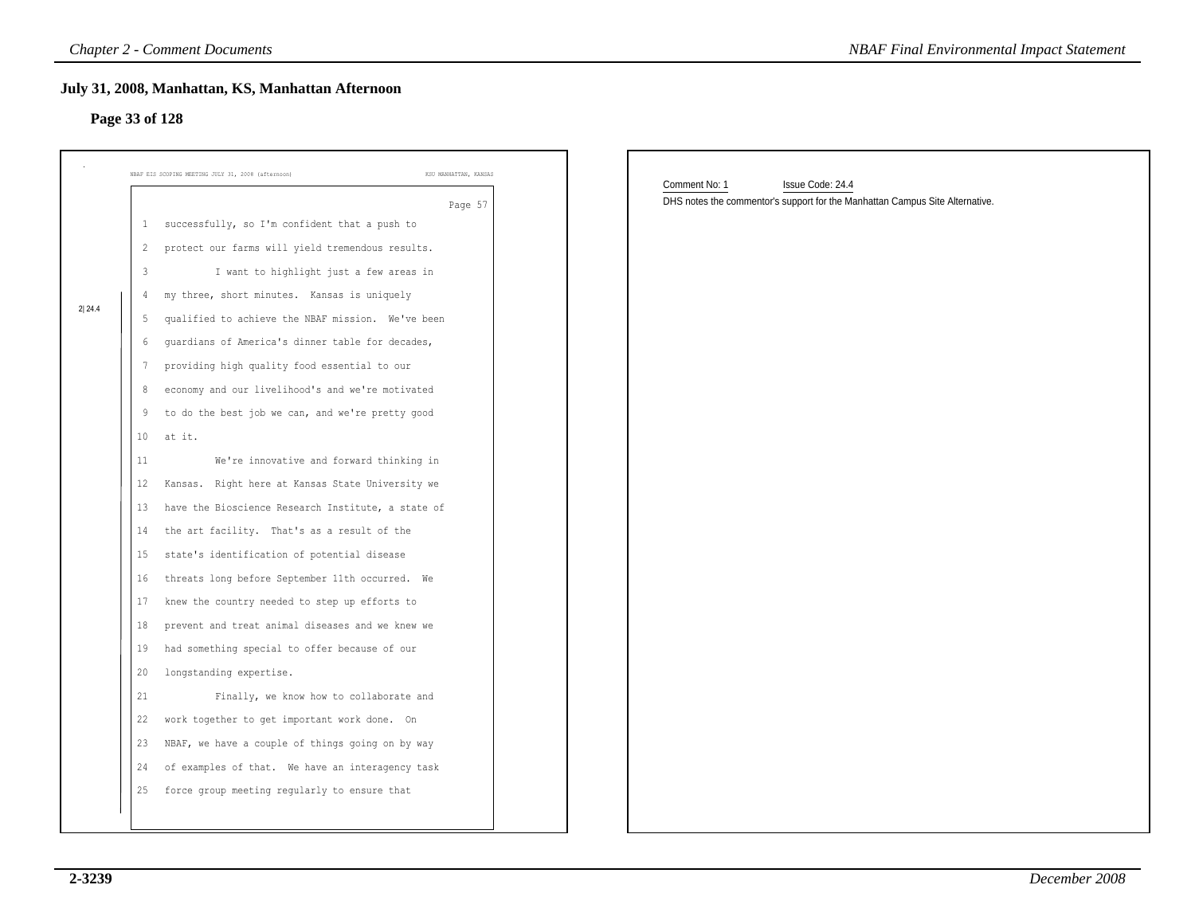# **Page 33 of 128**

|        | July 31, 2008, Manhattan, KS, Manhattan Afternoon<br>Page 33 of 128         |                                                                                                                   |
|--------|-----------------------------------------------------------------------------|-------------------------------------------------------------------------------------------------------------------|
|        | NBAF EIS SCOPING MEETING JULY 31, 2008 (afternoon)<br>KSU MANHATTAN, KANSAS |                                                                                                                   |
|        | Page 57                                                                     | Comment No: 1<br>Issue Code: 24.4<br>DHS notes the commentor's support for the Manhattan Campus Site Alternative. |
|        | successfully, so I'm confident that a push to<br>$\mathbf{1}$               |                                                                                                                   |
|        | protect our farms will yield tremendous results.<br>$\overline{2}$          |                                                                                                                   |
|        | $\mathbf{3}$<br>I want to highlight just a few areas in                     |                                                                                                                   |
|        | my three, short minutes. Kansas is uniquely                                 |                                                                                                                   |
| 2 24.4 | qualified to achieve the NBAF mission. We've been<br>5                      |                                                                                                                   |
|        | guardians of America's dinner table for decades,                            |                                                                                                                   |
|        | providing high quality food essential to our                                |                                                                                                                   |
|        | economy and our livelihood's and we're motivated<br>8                       |                                                                                                                   |
|        | to do the best job we can, and we're pretty good<br>9                       |                                                                                                                   |
|        | at it.<br>10                                                                |                                                                                                                   |
|        | We're innovative and forward thinking in<br>11                              |                                                                                                                   |
|        | Kansas. Right here at Kansas State University we<br>12                      |                                                                                                                   |
|        | have the Bioscience Research Institute, a state of<br>13                    |                                                                                                                   |
|        | the art facility. That's as a result of the<br>14                           |                                                                                                                   |
|        | state's identification of potential disease<br>15                           |                                                                                                                   |
|        | threats long before September 11th occurred. We<br>16                       |                                                                                                                   |
|        | knew the country needed to step up efforts to<br>17                         |                                                                                                                   |
|        | prevent and treat animal diseases and we knew we<br>18                      |                                                                                                                   |
|        | had something special to offer because of our<br>19                         |                                                                                                                   |
|        | longstanding expertise.<br>20                                               |                                                                                                                   |
|        | 21<br>Finally, we know how to collaborate and                               |                                                                                                                   |
|        | 22<br>work together to get important work done. On                          |                                                                                                                   |
|        | NBAF, we have a couple of things going on by way<br>23                      |                                                                                                                   |
|        | of examples of that. We have an interagency task<br>24                      |                                                                                                                   |
|        | force group meeting regularly to ensure that<br>25                          |                                                                                                                   |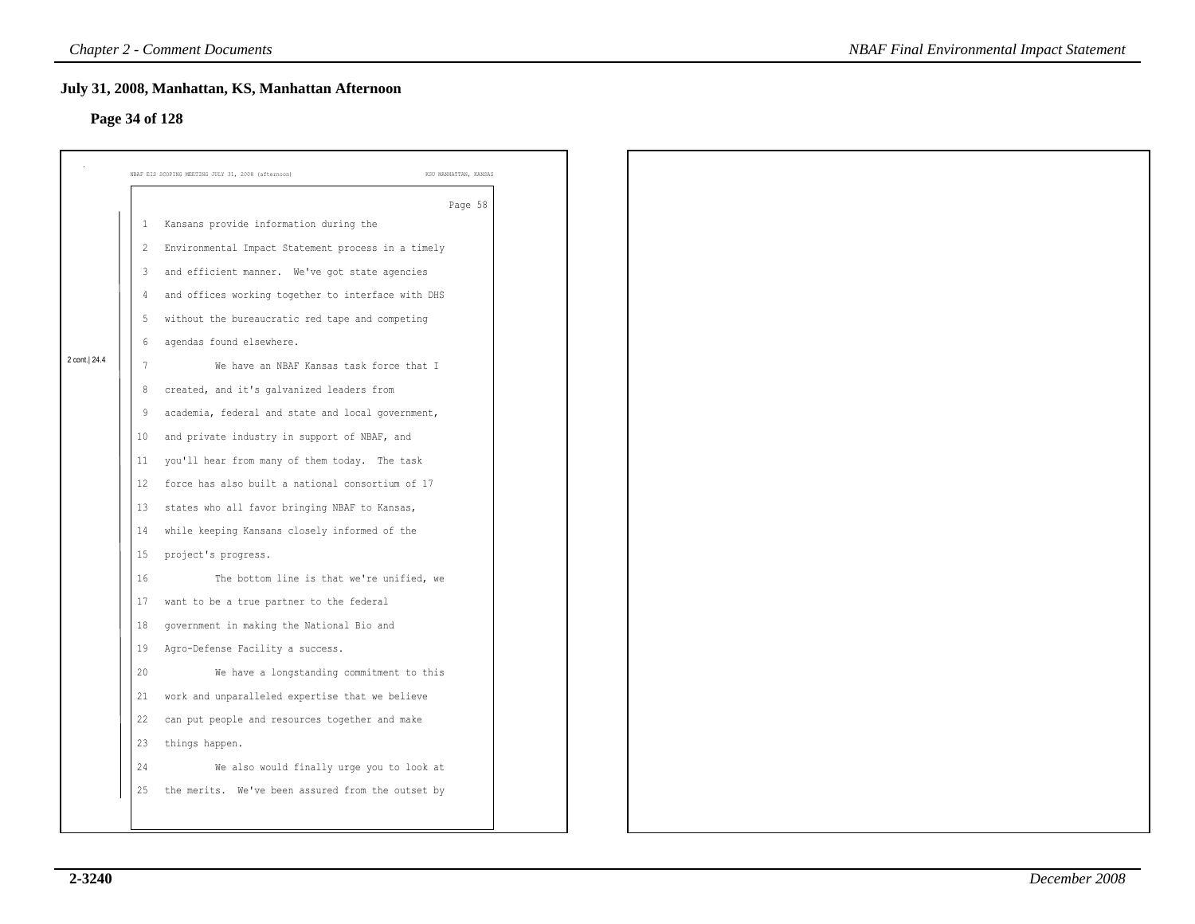### **Page 34 of 128**

|              | NBAF EIS SCOPING MEETING JULY 31, 2008 (afternoon)      | KSU MANHATTAN, KANSAS |
|--------------|---------------------------------------------------------|-----------------------|
|              |                                                         | Page 58               |
|              | 1 Kansans provide information during the                |                       |
|              | 2 Environmental Impact Statement process in a timely    |                       |
|              | 3 and efficient manner. We've got state agencies        |                       |
|              | and offices working together to interface with DHS<br>4 |                       |
|              | without the bureaucratic red tape and competing<br>5    |                       |
| 2 cont. 24.4 | 6<br>agendas found elsewhere.                           |                       |
|              | We have an NBAF Kansas task force that I<br>7           |                       |
|              | 8 created, and it's galvanized leaders from             |                       |
|              | academia, federal and state and local government,<br>9  |                       |
|              | and private industry in support of NBAF, and<br>10      |                       |
|              | 11 you'll hear from many of them today. The task        |                       |
|              | force has also built a national consortium of 17<br>12  |                       |
|              | states who all favor bringing NBAF to Kansas,<br>13     |                       |
|              | 14 while keeping Kansans closely informed of the        |                       |
|              | project's progress.<br>15                               |                       |
|              | 16<br>The bottom line is that we're unified, we         |                       |
|              | want to be a true partner to the federal<br>17          |                       |
|              | government in making the National Bio and<br>18         |                       |
|              | Agro-Defense Facility a success.<br>19                  |                       |
|              | 20<br>We have a longstanding commitment to this         |                       |
|              | work and unparalleled expertise that we believe<br>21   |                       |
|              | can put people and resources together and make<br>22    |                       |
|              | 23<br>things happen.                                    |                       |
|              | 24<br>We also would finally urge you to look at         |                       |
|              | the merits. We've been assured from the outset by<br>25 |                       |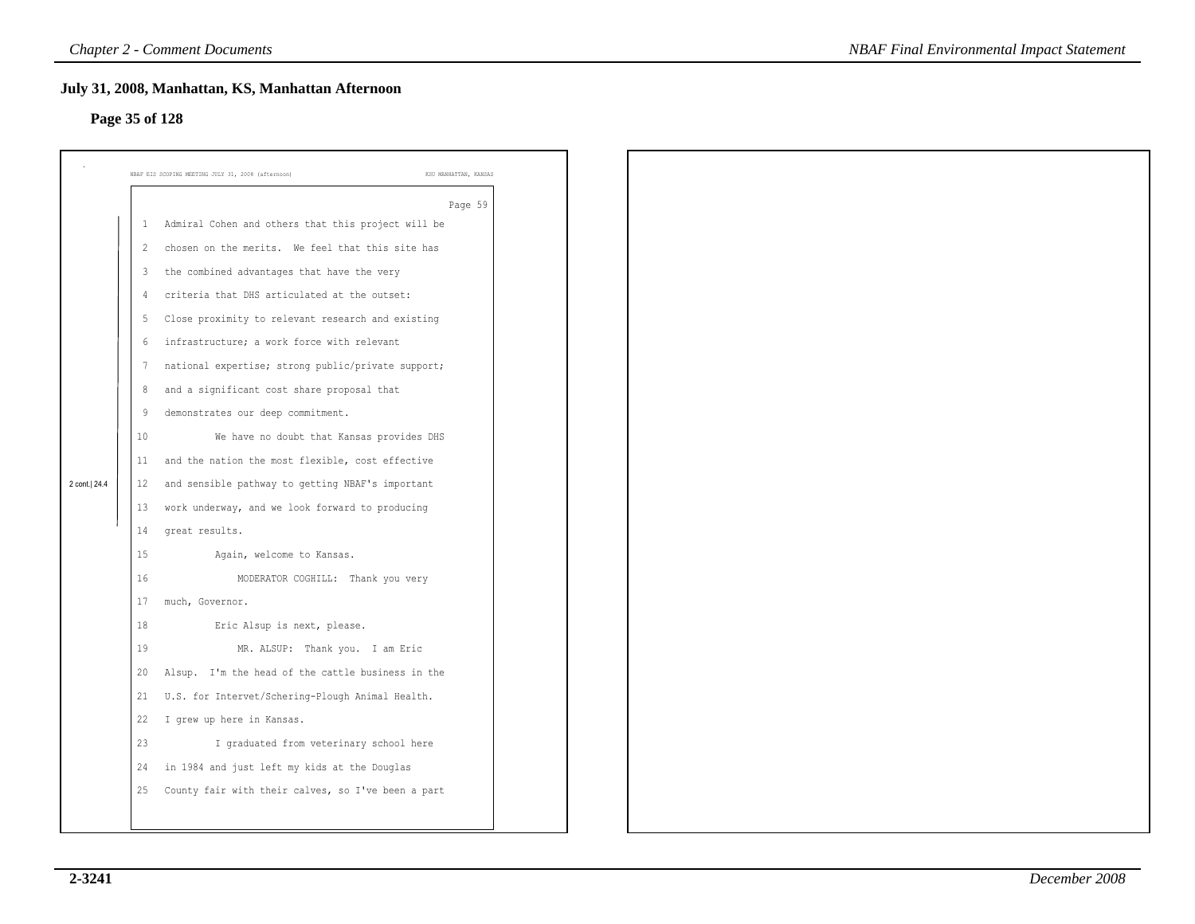### **Page 35 of 128**

|                |                         | July 31, 2008, Manhattan, KS, Manhattan Afternoon                           |  |
|----------------|-------------------------|-----------------------------------------------------------------------------|--|
| Page 35 of 128 |                         |                                                                             |  |
|                |                         |                                                                             |  |
|                |                         | NBAF EIS SCOPING MEETING JULY 31, 2008 (afternoon)<br>KSU MANHATTAN, KANSAS |  |
|                |                         | Page 59                                                                     |  |
|                | $\mathbf{1}$            | Admiral Cohen and others that this project will be                          |  |
|                | $\overline{c}$          | chosen on the merits. We feel that this site has                            |  |
|                | $\overline{\mathbf{3}}$ | the combined advantages that have the very                                  |  |
|                | 4                       | criteria that DHS articulated at the outset:                                |  |
|                | 5                       | Close proximity to relevant research and existing                           |  |
|                | $6\,$                   | infrastructure; a work force with relevant                                  |  |
|                | 7                       | national expertise; strong public/private support;                          |  |
|                | 8                       | and a significant cost share proposal that                                  |  |
|                | 9                       | demonstrates our deep commitment.                                           |  |
|                | 10                      | We have no doubt that Kansas provides DHS                                   |  |
|                | 11                      | and the nation the most flexible, cost effective                            |  |
| 2 cont. 24.4   | 12                      | and sensible pathway to getting NBAF's important                            |  |
|                | 13                      | work underway, and we look forward to producing                             |  |
|                | 14                      | great results.                                                              |  |
|                | 15                      | Again, welcome to Kansas.                                                   |  |
|                | 16                      | MODERATOR COGHILL: Thank you very                                           |  |
|                | 17                      | much, Governor.                                                             |  |
|                | 18                      | Eric Alsup is next, please.                                                 |  |
|                | 19                      | MR. ALSUP: Thank you. I am Eric                                             |  |
|                | 20                      | Alsup. I'm the head of the cattle business in the                           |  |
|                | 21                      | U.S. for Intervet/Schering-Plough Animal Health.                            |  |
|                | 22                      | I grew up here in Kansas.                                                   |  |
|                | 23                      | I graduated from veterinary school here                                     |  |
|                | 24                      | in 1984 and just left my kids at the Douglas                                |  |
|                | 25                      | County fair with their calves, so I've been a part                          |  |
|                |                         |                                                                             |  |
|                |                         |                                                                             |  |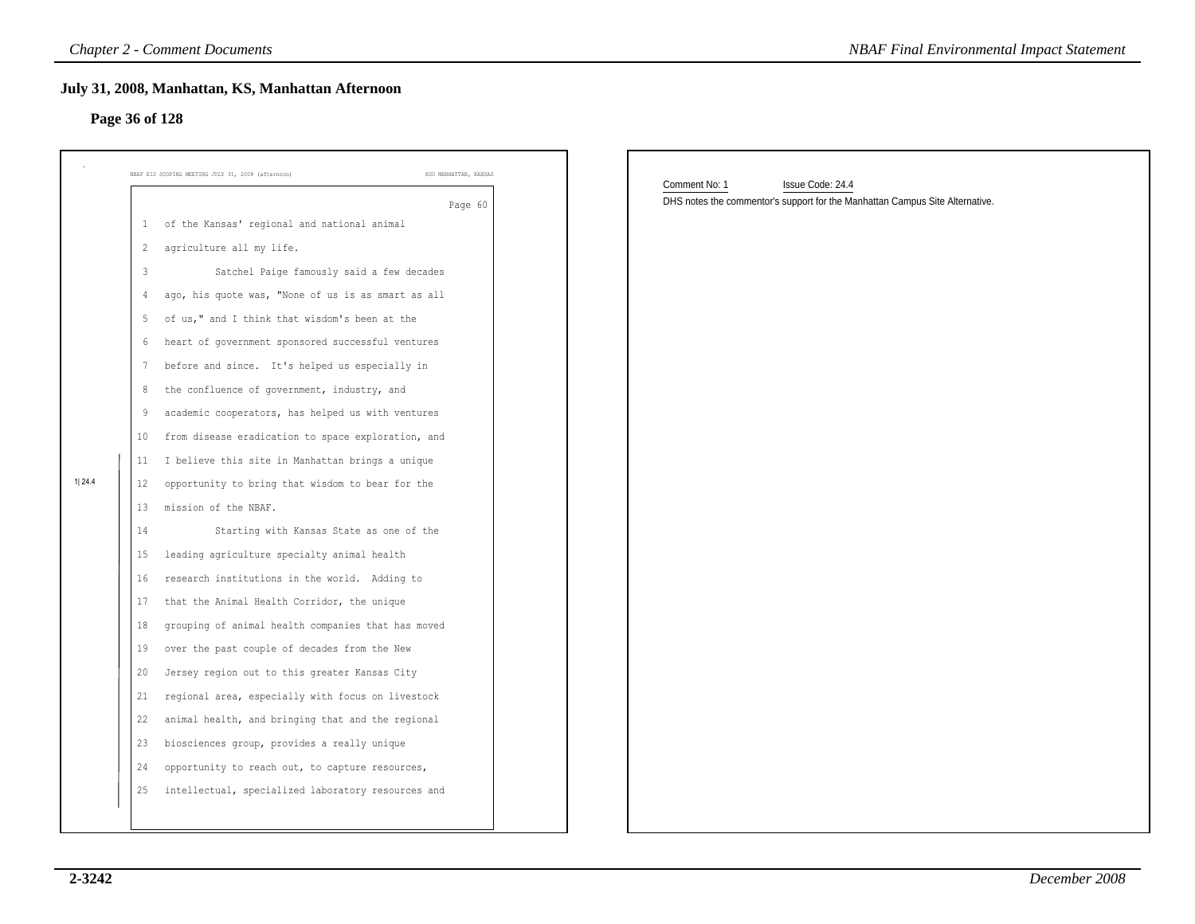### **Page 36 of 128**

| July 31, 2008, Manhattan, KS, Manhattan Afternoon<br>Page 36 of 128 |                |                                                                             |                                                                              |  |  |
|---------------------------------------------------------------------|----------------|-----------------------------------------------------------------------------|------------------------------------------------------------------------------|--|--|
|                                                                     |                | NBAF EIS SCOPING MEETING JULY 31, 2008 (afternoon)<br>KSU MANHATTAN, KANSAS | Comment No: 1<br>Issue Code: 24.4                                            |  |  |
|                                                                     |                | Page 60                                                                     | DHS notes the commentor's support for the Manhattan Campus Site Alternative. |  |  |
|                                                                     | $\mathbf{1}$   | of the Kansas' regional and national animal                                 |                                                                              |  |  |
|                                                                     | 2              | agriculture all my life.                                                    |                                                                              |  |  |
|                                                                     | $\overline{3}$ | Satchel Paige famously said a few decades                                   |                                                                              |  |  |
|                                                                     | 4              | ago, his quote was, "None of us is as smart as all                          |                                                                              |  |  |
|                                                                     | 5              | of us," and I think that wisdom's been at the                               |                                                                              |  |  |
|                                                                     | 6              | heart of government sponsored successful ventures                           |                                                                              |  |  |
|                                                                     | 7              | before and since. It's helped us especially in                              |                                                                              |  |  |
|                                                                     | 8              | the confluence of government, industry, and                                 |                                                                              |  |  |
|                                                                     | 9              | academic cooperators, has helped us with ventures                           |                                                                              |  |  |
|                                                                     | 10             | from disease eradication to space exploration, and                          |                                                                              |  |  |
|                                                                     | 11             | I believe this site in Manhattan brings a unique                            |                                                                              |  |  |
| 1 24.4                                                              | 12             | opportunity to bring that wisdom to bear for the                            |                                                                              |  |  |
|                                                                     | 13             | mission of the NBAF.                                                        |                                                                              |  |  |
|                                                                     | 14             | Starting with Kansas State as one of the                                    |                                                                              |  |  |
|                                                                     | 15             | leading agriculture specialty animal health                                 |                                                                              |  |  |
|                                                                     | 16             | research institutions in the world. Adding to                               |                                                                              |  |  |
|                                                                     | 17             | that the Animal Health Corridor, the unique                                 |                                                                              |  |  |
|                                                                     | 18             | grouping of animal health companies that has moved                          |                                                                              |  |  |
|                                                                     | 19             | over the past couple of decades from the New                                |                                                                              |  |  |
|                                                                     | 20             | Jersey region out to this greater Kansas City                               |                                                                              |  |  |
|                                                                     | 21             | regional area, especially with focus on livestock                           |                                                                              |  |  |
|                                                                     | 22             | animal health, and bringing that and the regional                           |                                                                              |  |  |
|                                                                     | 23             | biosciences group, provides a really unique                                 |                                                                              |  |  |
|                                                                     | 24             | opportunity to reach out, to capture resources,                             |                                                                              |  |  |
|                                                                     | 25             | intellectual, specialized laboratory resources and                          |                                                                              |  |  |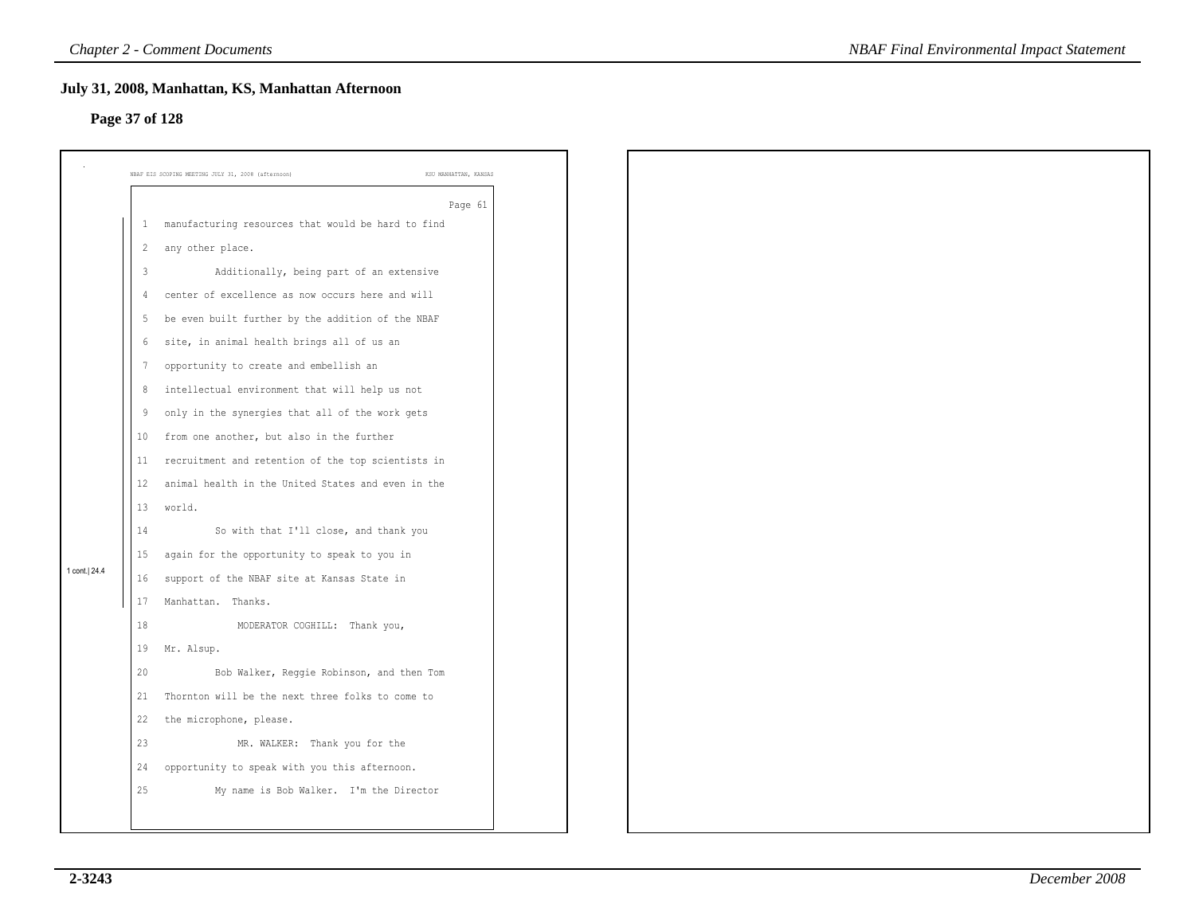# **Page 37 of 128**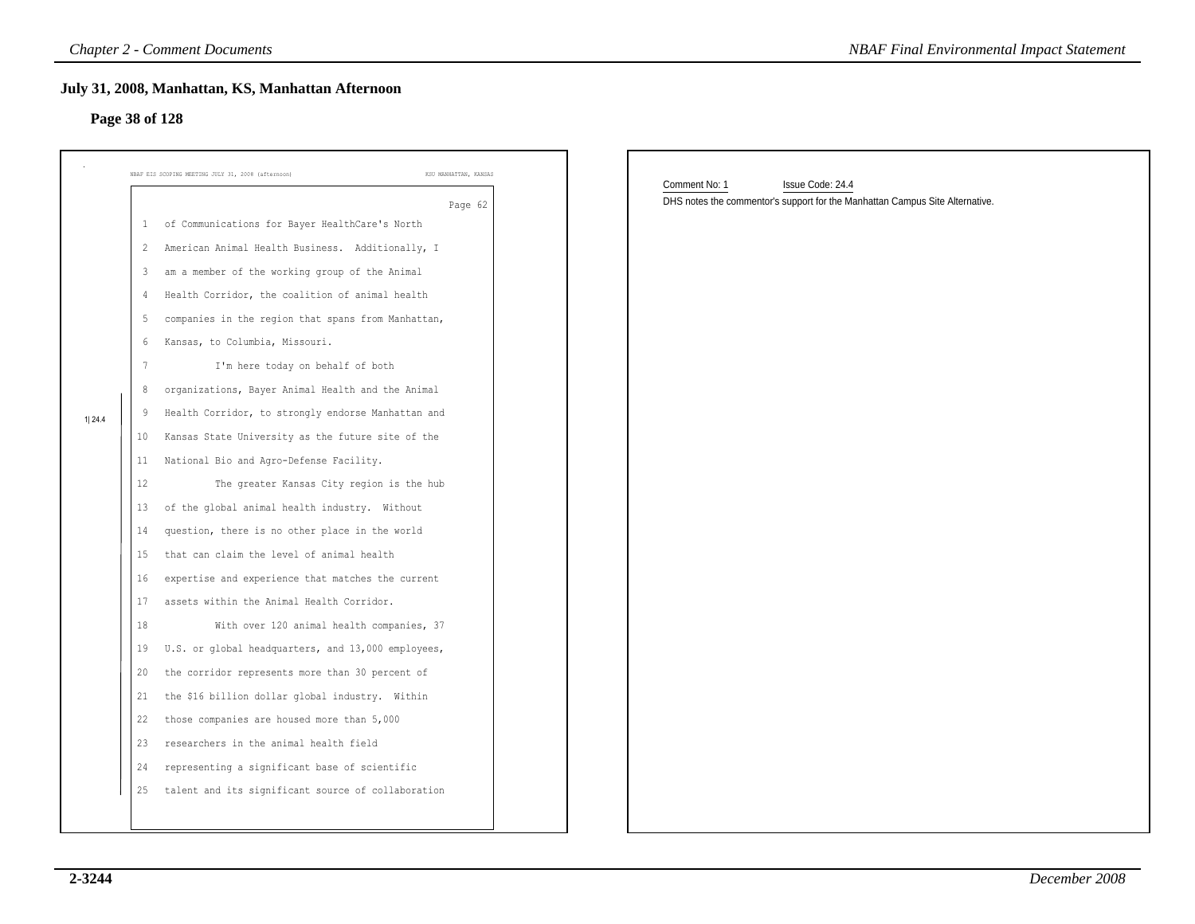# **Page 38 of 128**

| Page 38 of 128                                                                                                            | July 31, 2008, Manhattan, KS, Manhattan Afternoon                                                                                                                                                                                                                                                                                                                                                                                                                                                                                                                                                                                                                                                                                                                                                                                                        |                                                                                                                   |
|---------------------------------------------------------------------------------------------------------------------------|----------------------------------------------------------------------------------------------------------------------------------------------------------------------------------------------------------------------------------------------------------------------------------------------------------------------------------------------------------------------------------------------------------------------------------------------------------------------------------------------------------------------------------------------------------------------------------------------------------------------------------------------------------------------------------------------------------------------------------------------------------------------------------------------------------------------------------------------------------|-------------------------------------------------------------------------------------------------------------------|
|                                                                                                                           | NBAF EIS SCOPING MEETING JULY 31, 2008 (afternoon)<br>KSU MANHATTAN, KANSAS                                                                                                                                                                                                                                                                                                                                                                                                                                                                                                                                                                                                                                                                                                                                                                              |                                                                                                                   |
| $\mathbf{1}$<br>$\mathbf{2}$<br>3<br>4<br>5<br>6<br>7<br>8<br>9<br>1 24.4<br>10<br>11<br>12<br>13<br>14<br>15<br>16<br>17 | Page 62<br>of Communications for Bayer HealthCare's North<br>American Animal Health Business. Additionally, I<br>am a member of the working group of the Animal<br>Health Corridor, the coalition of animal health<br>companies in the region that spans from Manhattan,<br>Kansas, to Columbia, Missouri.<br>I'm here today on behalf of both<br>organizations, Bayer Animal Health and the Animal<br>Health Corridor, to strongly endorse Manhattan and<br>Kansas State University as the future site of the<br>National Bio and Agro-Defense Facility.<br>The greater Kansas City region is the hub<br>of the global animal health industry. Without<br>question, there is no other place in the world<br>that can claim the level of animal health<br>expertise and experience that matches the current<br>assets within the Animal Health Corridor. | Comment No: 1<br>Issue Code: 24.4<br>DHS notes the commentor's support for the Manhattan Campus Site Alternative. |
| 18<br>19<br>20<br>21<br>22<br>23<br>24<br>25                                                                              | With over 120 animal health companies, 37<br>U.S. or global headquarters, and 13,000 employees,<br>the corridor represents more than 30 percent of<br>the \$16 billion dollar global industry. Within<br>those companies are housed more than 5,000<br>researchers in the animal health field<br>representing a significant base of scientific<br>talent and its significant source of collaboration                                                                                                                                                                                                                                                                                                                                                                                                                                                     |                                                                                                                   |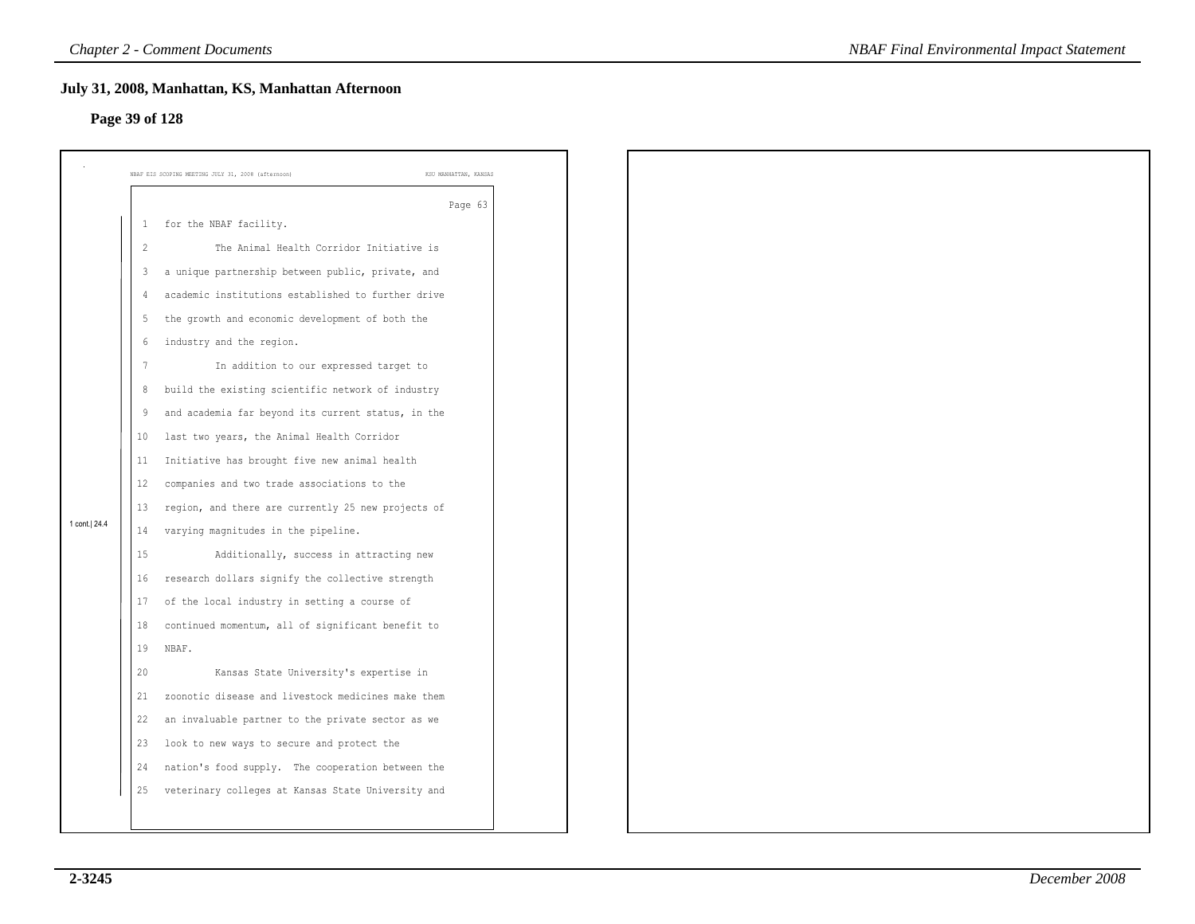# **Page 39 of 128**

|                |                | July 31, 2008, Manhattan, KS, Manhattan Afternoon                           |         |
|----------------|----------------|-----------------------------------------------------------------------------|---------|
| Page 39 of 128 |                |                                                                             |         |
|                |                |                                                                             |         |
|                |                | NBAF EIS SCOPING MEETING JULY 31, 2008 (afternoon)<br>KSU MANHATTAN, KANSAS |         |
|                |                |                                                                             | Page 63 |
|                | 1              | for the NBAF facility.                                                      |         |
|                | $\overline{2}$ | The Animal Health Corridor Initiative is                                    |         |
|                | $\mathsf 3$    | a unique partnership between public, private, and                           |         |
|                | 4              | academic institutions established to further drive                          |         |
|                | 5              | the growth and economic development of both the                             |         |
|                | 6              | industry and the region.                                                    |         |
|                | 7              | In addition to our expressed target to                                      |         |
|                | 8              | build the existing scientific network of industry                           |         |
|                | 9              | and academia far beyond its current status, in the                          |         |
|                | 10             | last two years, the Animal Health Corridor                                  |         |
|                | 11             | Initiative has brought five new animal health                               |         |
|                | 12             | companies and two trade associations to the                                 |         |
|                | 13             | region, and there are currently 25 new projects of                          |         |
| 1 cont.   24.4 | 14             | varying magnitudes in the pipeline.                                         |         |
|                | 15             | Additionally, success in attracting new                                     |         |
|                | 16             | research dollars signify the collective strength                            |         |
|                | 17             | of the local industry in setting a course of                                |         |
|                | 18             | continued momentum, all of significant benefit to                           |         |
|                | 19             | NBAF.                                                                       |         |
|                | 20             | Kansas State University's expertise in                                      |         |
|                | 21             | zoonotic disease and livestock medicines make them                          |         |
|                | 22             | an invaluable partner to the private sector as we                           |         |
|                | 23             | look to new ways to secure and protect the                                  |         |
|                | 24             | nation's food supply. The cooperation between the                           |         |
|                | 25             | veterinary colleges at Kansas State University and                          |         |
|                |                |                                                                             |         |
|                |                |                                                                             |         |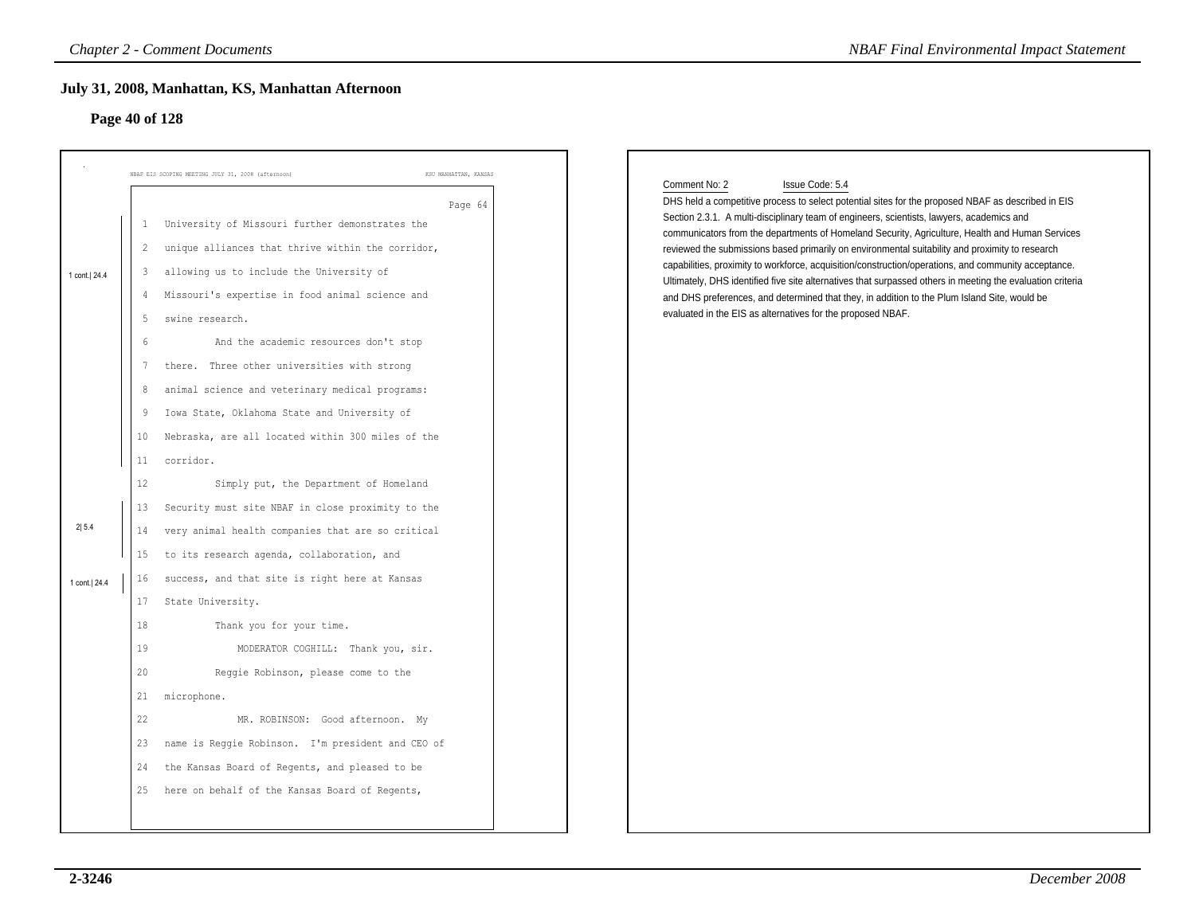# **Page 40 of 128**

|                                         |                                                                                                                      | NBAF EIS SCOPING MEETING JULY 31, 2008 (afternoon)<br>KSU MANHATTAN, KANSAS                                                                                                                                                                                                                                                                                                                                                                                                                                                                                                                                                                                                                                                                                                                                                               |                                                                                                                                                                                                                                                                                                                                                                                                                                                                                                                                                                                                                                                                                                                                                                                                                                |
|-----------------------------------------|----------------------------------------------------------------------------------------------------------------------|-------------------------------------------------------------------------------------------------------------------------------------------------------------------------------------------------------------------------------------------------------------------------------------------------------------------------------------------------------------------------------------------------------------------------------------------------------------------------------------------------------------------------------------------------------------------------------------------------------------------------------------------------------------------------------------------------------------------------------------------------------------------------------------------------------------------------------------------|--------------------------------------------------------------------------------------------------------------------------------------------------------------------------------------------------------------------------------------------------------------------------------------------------------------------------------------------------------------------------------------------------------------------------------------------------------------------------------------------------------------------------------------------------------------------------------------------------------------------------------------------------------------------------------------------------------------------------------------------------------------------------------------------------------------------------------|
| 1 cont. 24.4<br>2 5.4<br>1 cont.   24.4 | -1<br>$\overline{2}$<br>3<br>4<br>5<br>6<br>7<br>8<br>-9<br>10<br>11<br>12<br>13<br>14<br>15<br>16<br>17<br>18<br>19 | Page 64<br>University of Missouri further demonstrates the<br>unique alliances that thrive within the corridor,<br>allowing us to include the University of<br>Missouri's expertise in food animal science and<br>swine research.<br>And the academic resources don't stop<br>there. Three other universities with strong<br>animal science and veterinary medical programs:<br>Iowa State, Oklahoma State and University of<br>Nebraska, are all located within 300 miles of the<br>corridor.<br>Simply put, the Department of Homeland<br>Security must site NBAF in close proximity to the<br>very animal health companies that are so critical<br>to its research agenda, collaboration, and<br>success, and that site is right here at Kansas<br>State University.<br>Thank you for your time.<br>MODERATOR COGHILL: Thank you, sir. | Comment No: 2<br>Issue Code: 5.4<br>DHS held a competitive process to select potential sites for the proposed NBAF as described in EIS<br>Section 2.3.1. A multi-disciplinary team of engineers, scientists, lawyers, academics and<br>communicators from the departments of Homeland Security, Agriculture, Health and Human Services<br>reviewed the submissions based primarily on environmental suitability and proximity to research<br>capabilities, proximity to workforce, acquisition/construction/operations, and community acceptance.<br>Ultimately, DHS identified five site alternatives that surpassed others in meeting the evaluation criteria<br>and DHS preferences, and determined that they, in addition to the Plum Island Site, would be<br>evaluated in the EIS as alternatives for the proposed NBAF. |
|                                         | 20<br>21                                                                                                             | Reggie Robinson, please come to the<br>microphone.                                                                                                                                                                                                                                                                                                                                                                                                                                                                                                                                                                                                                                                                                                                                                                                        |                                                                                                                                                                                                                                                                                                                                                                                                                                                                                                                                                                                                                                                                                                                                                                                                                                |
|                                         | 22<br>23<br>24<br>25                                                                                                 | MR. ROBINSON: Good afternoon. My<br>name is Reggie Robinson. I'm president and CEO of<br>the Kansas Board of Regents, and pleased to be<br>here on behalf of the Kansas Board of Regents,                                                                                                                                                                                                                                                                                                                                                                                                                                                                                                                                                                                                                                                 |                                                                                                                                                                                                                                                                                                                                                                                                                                                                                                                                                                                                                                                                                                                                                                                                                                |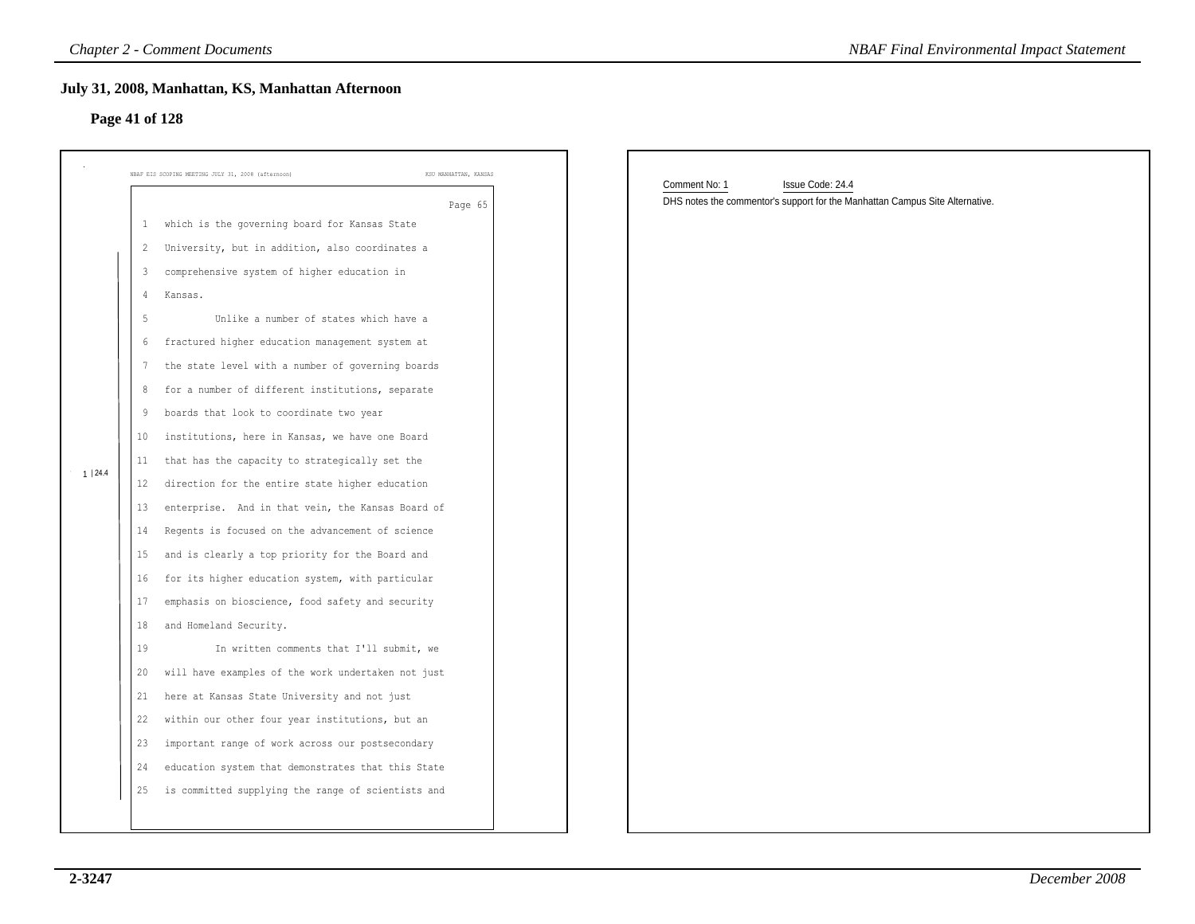# **Page 41 of 128**

| July 31, 2008, Manhattan, KS, Manhattan Afternoon<br>Page 41 of 128                                                                                                                                                                                                                                                                                                                                                                                                                                                                                                                                                                                                                                                                                                                                                                                                                                                                                                                                                                                                                                                                                                                                                                                                                                                                                                                                                       |                       |                                                                                                                   |
|---------------------------------------------------------------------------------------------------------------------------------------------------------------------------------------------------------------------------------------------------------------------------------------------------------------------------------------------------------------------------------------------------------------------------------------------------------------------------------------------------------------------------------------------------------------------------------------------------------------------------------------------------------------------------------------------------------------------------------------------------------------------------------------------------------------------------------------------------------------------------------------------------------------------------------------------------------------------------------------------------------------------------------------------------------------------------------------------------------------------------------------------------------------------------------------------------------------------------------------------------------------------------------------------------------------------------------------------------------------------------------------------------------------------------|-----------------------|-------------------------------------------------------------------------------------------------------------------|
|                                                                                                                                                                                                                                                                                                                                                                                                                                                                                                                                                                                                                                                                                                                                                                                                                                                                                                                                                                                                                                                                                                                                                                                                                                                                                                                                                                                                                           |                       |                                                                                                                   |
| NBAF EIS SCOPING MEETING JULY 31, 2008 (afternoon)                                                                                                                                                                                                                                                                                                                                                                                                                                                                                                                                                                                                                                                                                                                                                                                                                                                                                                                                                                                                                                                                                                                                                                                                                                                                                                                                                                        | KSU MANHATTAN, KANSAS |                                                                                                                   |
| which is the governing board for Kansas State<br>$\mathbf{1}$<br>University, but in addition, also coordinates a<br>$\overline{c}$<br>comprehensive system of higher education in<br>3<br>Kansas.<br>4<br>Unlike a number of states which have a<br>-5<br>fractured higher education management system at<br>6<br>the state level with a number of governing boards<br>-7<br>for a number of different institutions, separate<br>8<br>boards that look to coordinate two year<br>9<br>institutions, here in Kansas, we have one Board<br>10<br>that has the capacity to strategically set the<br>11<br>1   24.4<br>direction for the entire state higher education<br>12<br>enterprise. And in that vein, the Kansas Board of<br>13<br>Regents is focused on the advancement of science<br>14<br>and is clearly a top priority for the Board and<br>15<br>for its higher education system, with particular<br>16<br>17<br>emphasis on bioscience, food safety and security<br>and Homeland Security.<br>18<br>19<br>In written comments that I'll submit, we<br>will have examples of the work undertaken not just<br>20<br>here at Kansas State University and not just<br>21<br>22<br>within our other four year institutions, but an<br>important range of work across our postsecondary<br>23<br>education system that demonstrates that this State<br>24<br>is committed supplying the range of scientists and<br>25 | Page 65               | Comment No: 1<br>Issue Code: 24.4<br>DHS notes the commentor's support for the Manhattan Campus Site Alternative. |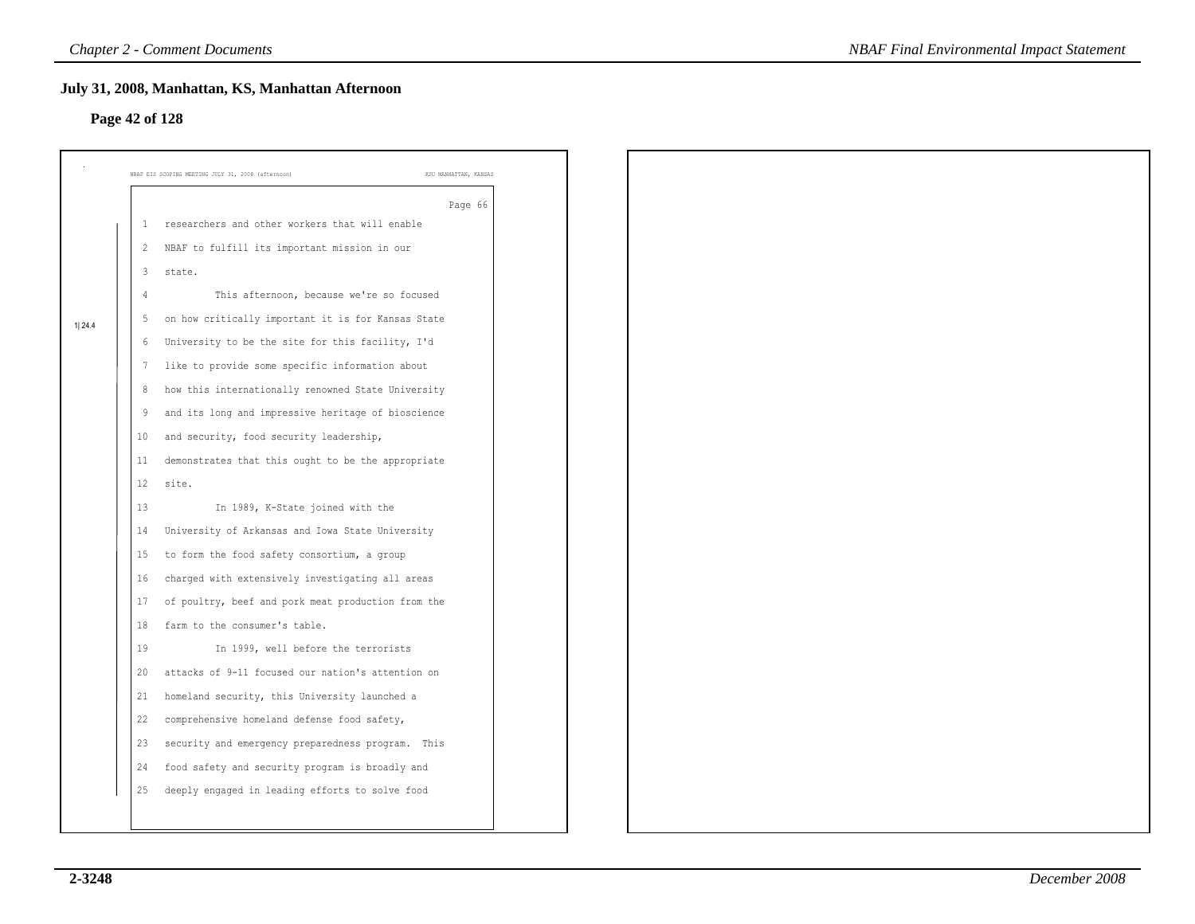# **Page 42 of 128**

|        |                   | NBAF EIS SCOPING MEETING JULY 31, 2008 (afternoon)<br>KSU MANHATTAN, KANSAS |
|--------|-------------------|-----------------------------------------------------------------------------|
|        |                   | Page 66                                                                     |
|        | 1                 | researchers and other workers that will enable                              |
|        | -2                | NBAF to fulfill its important mission in our                                |
|        | 3                 | state.                                                                      |
|        | 4                 | This afternoon, because we're so focused                                    |
| 1 24.4 | -5                | on how critically important it is for Kansas State                          |
|        | 6                 | University to be the site for this facility, I'd                            |
|        | 7                 | like to provide some specific information about                             |
|        | 8                 | how this internationally renowned State University                          |
|        | -9                | and its long and impressive heritage of bioscience                          |
|        | 10                | and security, food security leadership,                                     |
|        | 11                | demonstrates that this ought to be the appropriate                          |
|        | $12 \overline{ }$ | site.                                                                       |
|        | 13                | In 1989, K-State joined with the                                            |
|        | 14                | University of Arkansas and Iowa State University                            |
|        | 15                | to form the food safety consortium, a group                                 |
|        | 16                | charged with extensively investigating all areas                            |
|        | 17                | of poultry, beef and pork meat production from the                          |
|        | 18                | farm to the consumer's table.                                               |
|        | 19                | In 1999, well before the terrorists                                         |
|        | 20                | attacks of 9-11 focused our nation's attention on                           |
|        | 21                | homeland security, this University launched a                               |
|        | 22                | comprehensive homeland defense food safety,                                 |
|        | 23                | security and emergency preparedness program. This                           |
|        | 24                | food safety and security program is broadly and                             |
|        | 25                | deeply engaged in leading efforts to solve food                             |
|        |                   |                                                                             |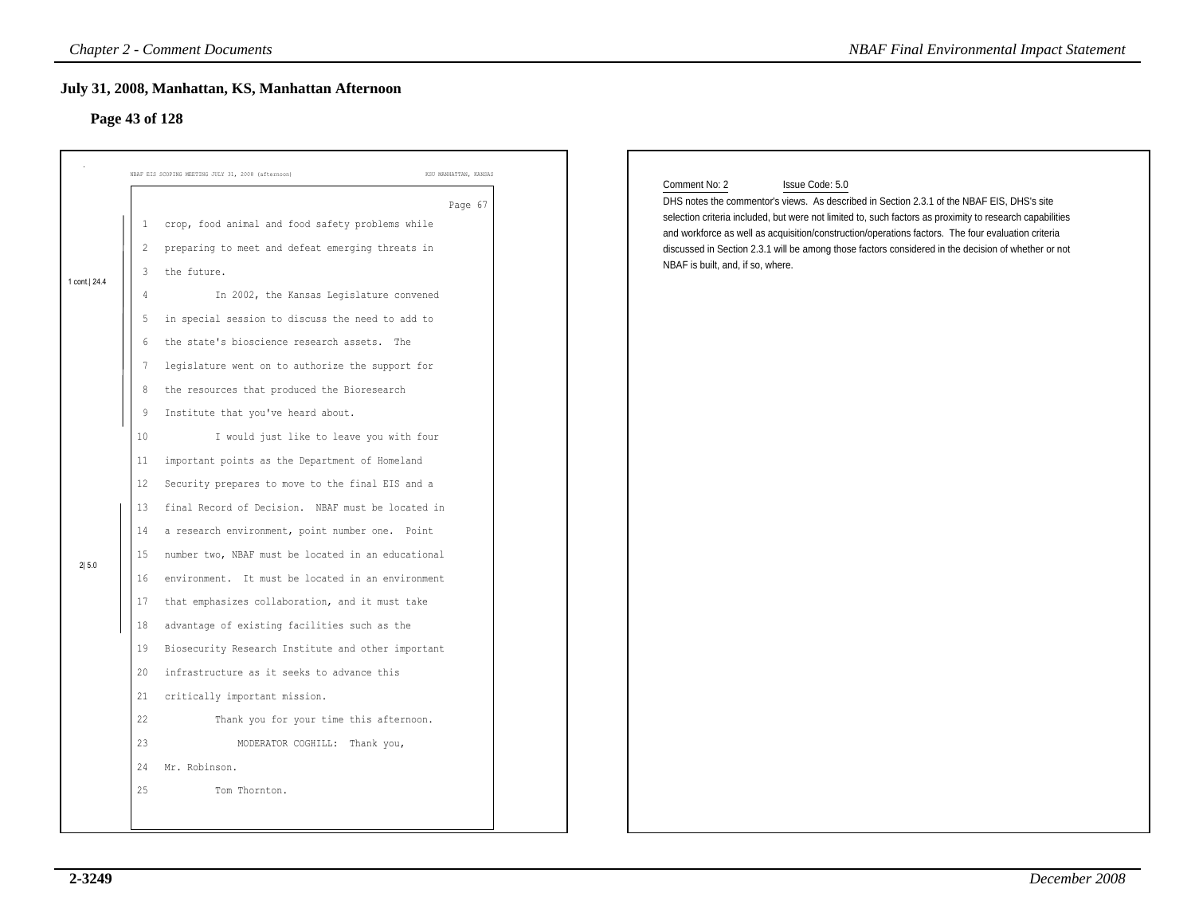# **Page 43 of 128**

|                         |                                                                                                                         | <b>Chapter 2 - Comment Documents</b>                                                                                                                                                                                                                                                                                                                                                                                                                                                                                                                                                                                                                                                                                                                                                                                                                                                           |
|-------------------------|-------------------------------------------------------------------------------------------------------------------------|------------------------------------------------------------------------------------------------------------------------------------------------------------------------------------------------------------------------------------------------------------------------------------------------------------------------------------------------------------------------------------------------------------------------------------------------------------------------------------------------------------------------------------------------------------------------------------------------------------------------------------------------------------------------------------------------------------------------------------------------------------------------------------------------------------------------------------------------------------------------------------------------|
| Page 43 of 128          |                                                                                                                         | July 31, 2008, Manhattan, KS, Manhattan Afternoon                                                                                                                                                                                                                                                                                                                                                                                                                                                                                                                                                                                                                                                                                                                                                                                                                                              |
|                         |                                                                                                                         | NBAF EIS SCOPING MEETING JULY 31, 2008 (afternoon)<br>KSU MANHATTAN, KANSAS                                                                                                                                                                                                                                                                                                                                                                                                                                                                                                                                                                                                                                                                                                                                                                                                                    |
| 1 cont.   24.4<br>2 5.0 | $\mathbf{1}$<br>$\overline{c}$<br>3<br>4<br>5<br>6<br>7<br>8<br>9<br>10<br>11<br>12<br>13<br>14<br>15<br>16<br>17<br>18 | Page 67<br>crop, food animal and food safety problems while<br>preparing to meet and defeat emerging threats in<br>the future.<br>In 2002, the Kansas Legislature convened<br>in special session to discuss the need to add to<br>the state's bioscience research assets. The<br>legislature went on to authorize the support for<br>the resources that produced the Bioresearch<br>Institute that you've heard about.<br>I would just like to leave you with four<br>important points as the Department of Homeland<br>Security prepares to move to the final EIS and a<br>final Record of Decision. NBAF must be located in<br>a research environment, point number one. Point<br>number two, NBAF must be located in an educational<br>environment. It must be located in an environment<br>that emphasizes collaboration, and it must take<br>advantage of existing facilities such as the |
|                         | 19<br>20<br>21<br>22<br>23                                                                                              | Biosecurity Research Institute and other important<br>infrastructure as it seeks to advance this<br>critically important mission.<br>Thank you for your time this afternoon.<br>MODERATOR COGHILL: Thank you,                                                                                                                                                                                                                                                                                                                                                                                                                                                                                                                                                                                                                                                                                  |
|                         | 25                                                                                                                      | 24 Mr. Robinson.<br>Tom Thornton.                                                                                                                                                                                                                                                                                                                                                                                                                                                                                                                                                                                                                                                                                                                                                                                                                                                              |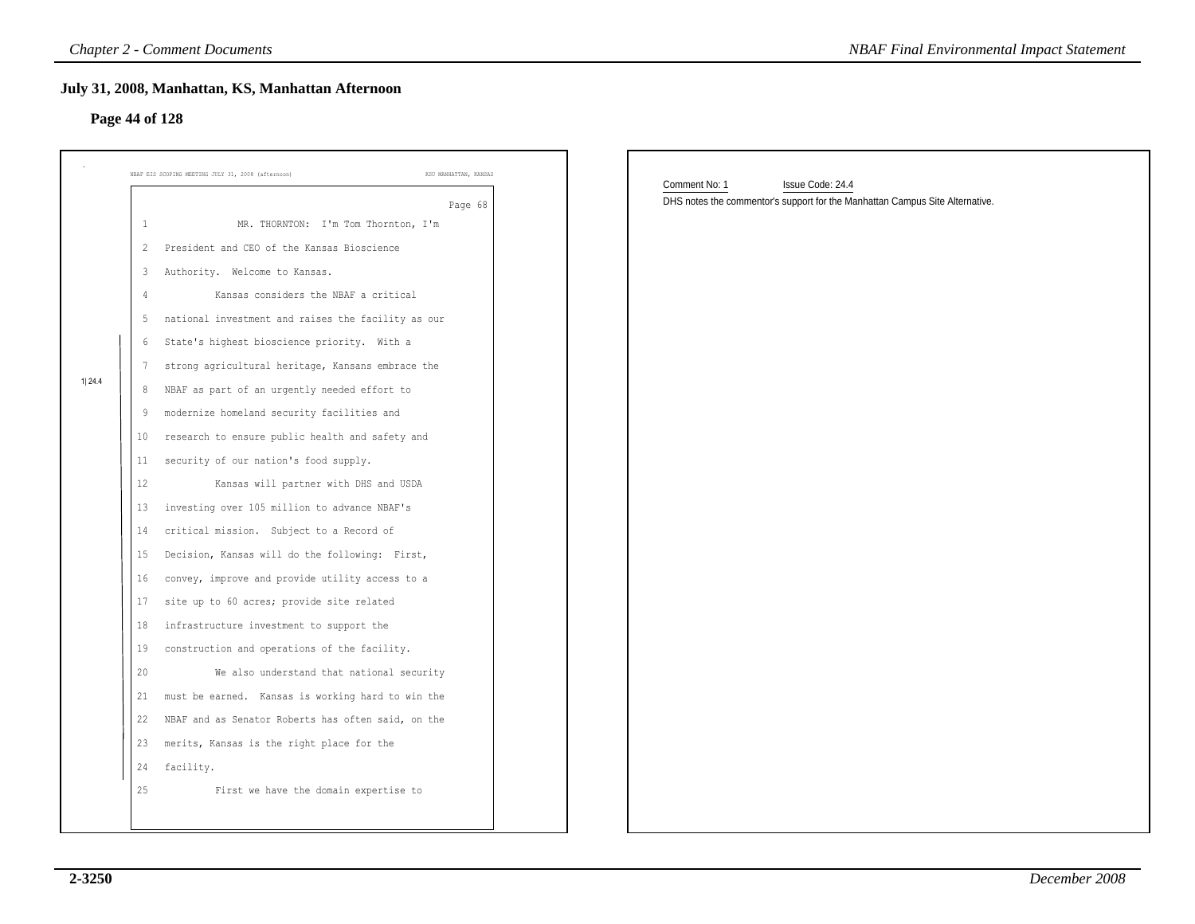# **Page 44 of 128**

| Page 44 of 128                                                                                                                                             | July 31, 2008, Manhattan, KS, Manhattan Afternoon                                                                                                                                                                                                                                                                                                                                                                                                                                                                                                                                                                                                                                                                                                                                                                                                                                                                                                                                                                                                                                                                                                                    |                       |                                                                                                                   |
|------------------------------------------------------------------------------------------------------------------------------------------------------------|----------------------------------------------------------------------------------------------------------------------------------------------------------------------------------------------------------------------------------------------------------------------------------------------------------------------------------------------------------------------------------------------------------------------------------------------------------------------------------------------------------------------------------------------------------------------------------------------------------------------------------------------------------------------------------------------------------------------------------------------------------------------------------------------------------------------------------------------------------------------------------------------------------------------------------------------------------------------------------------------------------------------------------------------------------------------------------------------------------------------------------------------------------------------|-----------------------|-------------------------------------------------------------------------------------------------------------------|
|                                                                                                                                                            | NBAF EIS SCOPING MEETING JULY 31, 2008 (afternoon)                                                                                                                                                                                                                                                                                                                                                                                                                                                                                                                                                                                                                                                                                                                                                                                                                                                                                                                                                                                                                                                                                                                   | KSU MANHATTAN, KANSAS |                                                                                                                   |
| 1<br>$2^{\circ}$<br>3<br>4<br>5<br>7<br>1  24.4<br>8<br>9<br>10 <sub>1</sub><br>11<br>12<br>13<br>14<br>15<br>16<br>17<br>18<br>19<br>20<br>21<br>22<br>25 | MR. THORNTON: I'm Tom Thornton, I'm<br>President and CEO of the Kansas Bioscience<br>Authority. Welcome to Kansas.<br>Kansas considers the NBAF a critical<br>national investment and raises the facility as our<br>6 State's highest bioscience priority. With a<br>strong agricultural heritage, Kansans embrace the<br>NBAF as part of an urgently needed effort to<br>modernize homeland security facilities and<br>research to ensure public health and safety and<br>security of our nation's food supply.<br>Kansas will partner with DHS and USDA<br>investing over 105 million to advance NBAF's<br>critical mission. Subject to a Record of<br>Decision, Kansas will do the following: First,<br>convey, improve and provide utility access to a<br>site up to 60 acres; provide site related<br>infrastructure investment to support the<br>construction and operations of the facility.<br>We also understand that national security<br>must be earned. Kansas is working hard to win the<br>NBAF and as Senator Roberts has often said, on the<br>23 merits, Kansas is the right place for the<br>24 facility.<br>First we have the domain expertise to | Page 68               | Comment No: 1<br>Issue Code: 24.4<br>DHS notes the commentor's support for the Manhattan Campus Site Alternative. |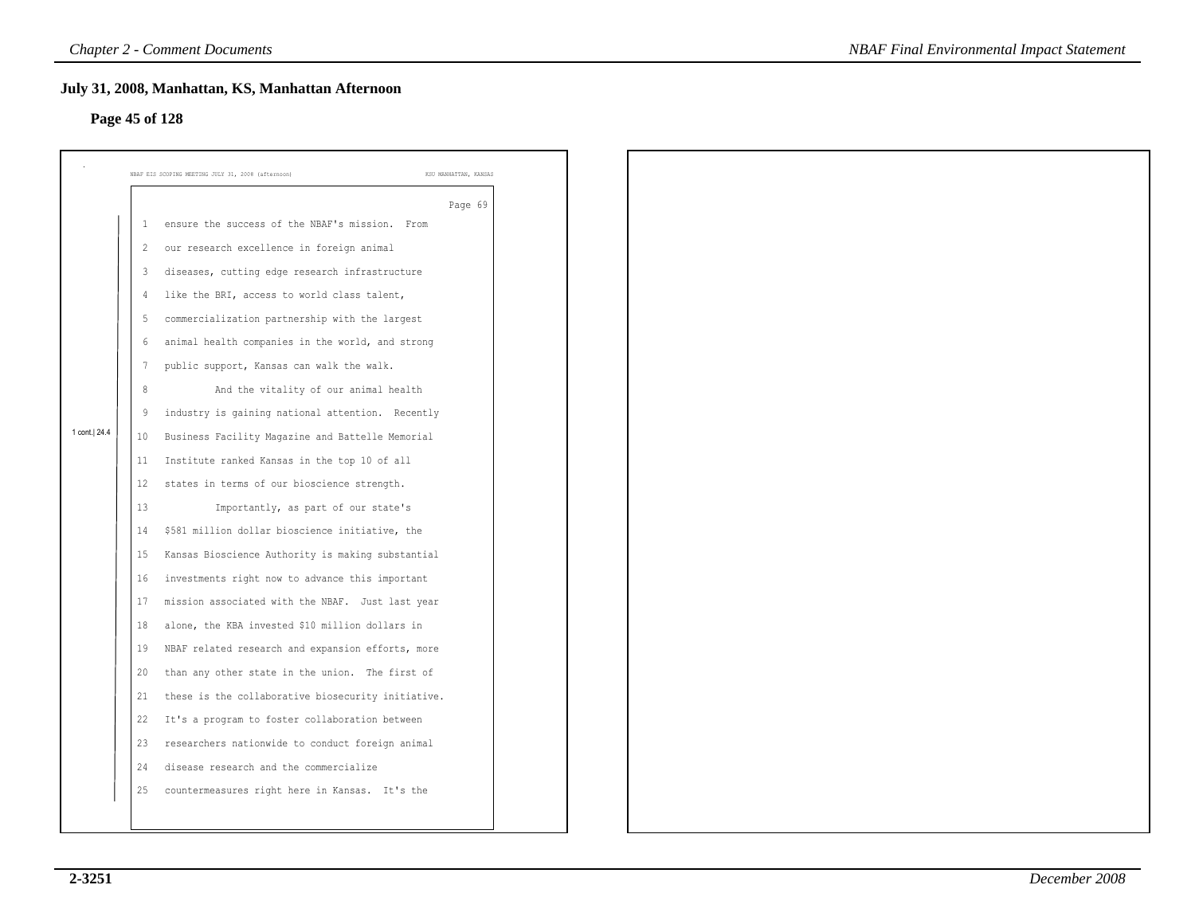# **Page 45 of 128**

|                |                | July 31, 2008, Manhattan, KS, Manhattan Afternoon  |                       |
|----------------|----------------|----------------------------------------------------|-----------------------|
| Page 45 of 128 |                |                                                    |                       |
|                |                | NBAF EIS SCOPING MEETING JULY 31, 2008 (afternoon) | KSU MANHATTAN, KANSAS |
|                |                |                                                    | Page 69               |
|                | -1             | ensure the success of the NBAF's mission. From     |                       |
|                | 2              | our research excellence in foreign animal          |                       |
|                | 3              | diseases, cutting edge research infrastructure     |                       |
|                | $\overline{4}$ | like the BRI, access to world class talent,        |                       |
|                | -5             | commercialization partnership with the largest     |                       |
|                | 6              | animal health companies in the world, and strong   |                       |
|                | 7              | public support, Kansas can walk the walk.          |                       |
|                | 8              | And the vitality of our animal health              |                       |
|                | 9              | industry is gaining national attention. Recently   |                       |
| 1 cont. 24.4   | 10             | Business Facility Magazine and Battelle Memorial   |                       |
|                | 11             | Institute ranked Kansas in the top 10 of all       |                       |
|                | 12             | states in terms of our bioscience strength.        |                       |
|                | 13             | Importantly, as part of our state's                |                       |
|                | 14             | \$581 million dollar bioscience initiative, the    |                       |
|                | 15             | Kansas Bioscience Authority is making substantial  |                       |
|                | 16             | investments right now to advance this important    |                       |
|                | 17             | mission associated with the NBAF. Just last year   |                       |
|                | 18             | alone, the KBA invested \$10 million dollars in    |                       |
|                | 19             | NBAF related research and expansion efforts, more  |                       |
|                | 20             | than any other state in the union. The first of    |                       |
|                | 21             | these is the collaborative biosecurity initiative. |                       |
|                | 22             | It's a program to foster collaboration between     |                       |
|                | 23             | researchers nationwide to conduct foreign animal   |                       |
|                | 24             | disease research and the commercialize             |                       |
|                | 25             | countermeasures right here in Kansas. It's the     |                       |
|                |                |                                                    |                       |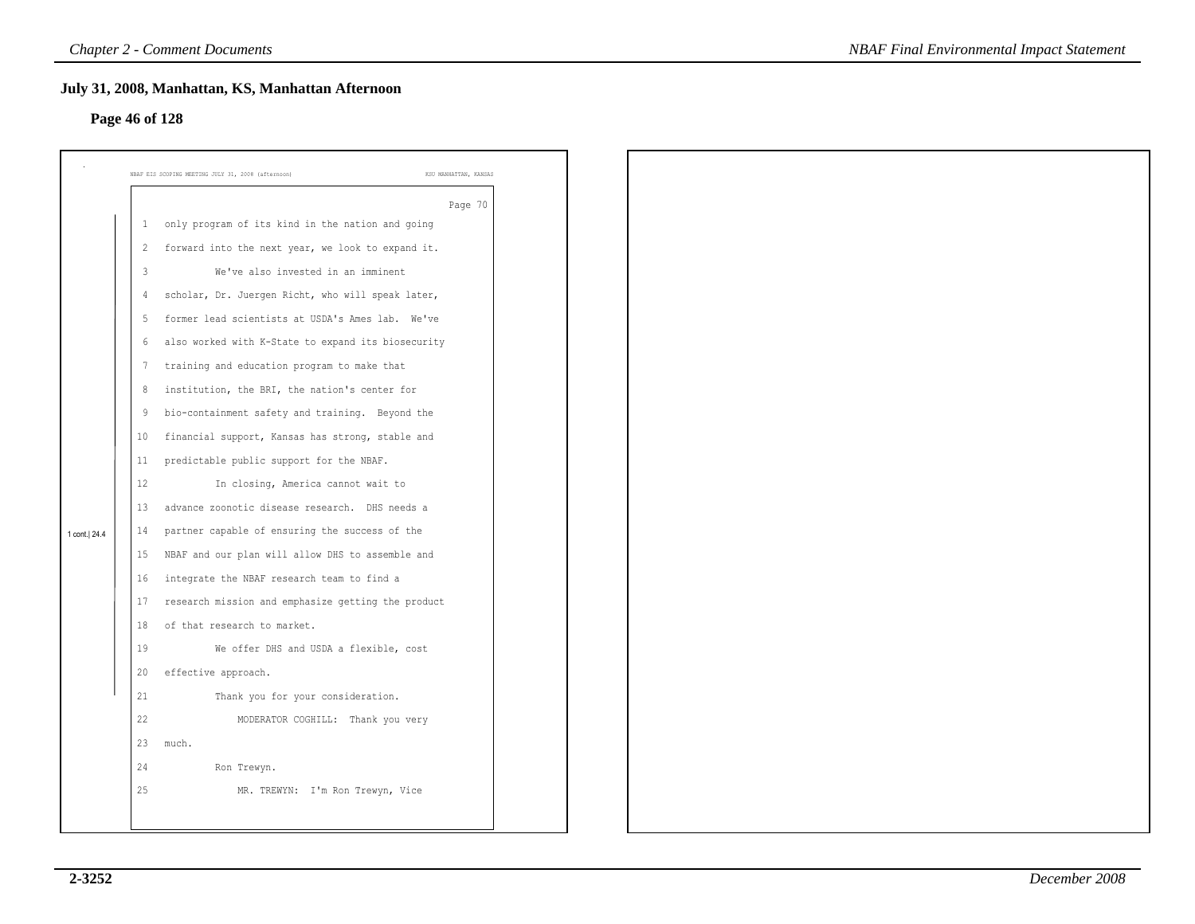# **Page 46 of 128**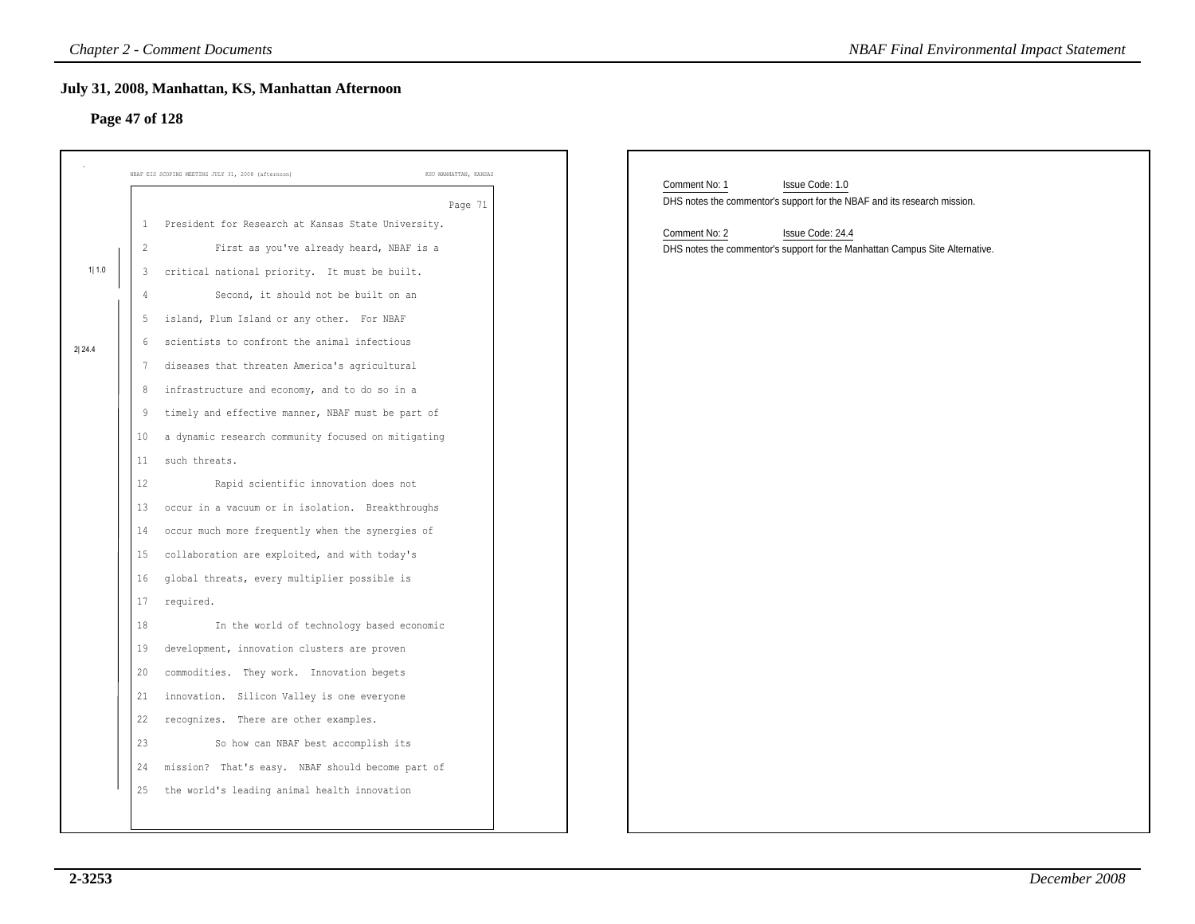# **Page 47 of 128**

|       | Page 47 of 128 | July 31, 2008, Manhattan, KS, Manhattan Afternoon                           |                                                                                                              |  |
|-------|----------------|-----------------------------------------------------------------------------|--------------------------------------------------------------------------------------------------------------|--|
|       |                | KSU MANHATTAN, KANSAS<br>NBAF EIS SCOPING MEETING JULY 31, 2008 (afternoon) |                                                                                                              |  |
|       |                | Page 71                                                                     | Comment No: 1<br>Issue Code: 1.0<br>DHS notes the commentor's support for the NBAF and its research mission. |  |
|       | 1              | President for Research at Kansas State University.                          | Comment No: 2<br>Issue Code: 24.4                                                                            |  |
|       | 2              | First as you've already heard, NBAF is a                                    | DHS notes the commentor's support for the Manhattan Campus Site Alternative.                                 |  |
| 1 1.0 | 3              | critical national priority. It must be built.                               |                                                                                                              |  |
|       | 4              | Second, it should not be built on an                                        |                                                                                                              |  |
|       | 5              | island, Plum Island or any other. For NBAF                                  |                                                                                                              |  |
|       | 6              | scientists to confront the animal infectious                                |                                                                                                              |  |
|       | 7              | diseases that threaten America's agricultural                               |                                                                                                              |  |
|       | 8              | infrastructure and economy, and to do so in a                               |                                                                                                              |  |
|       | 9              | timely and effective manner, NBAF must be part of                           |                                                                                                              |  |
|       | 10             | a dynamic research community focused on mitigating                          |                                                                                                              |  |
|       | 11             | such threats.                                                               |                                                                                                              |  |
|       | 12             | Rapid scientific innovation does not                                        |                                                                                                              |  |
|       | 13             | occur in a vacuum or in isolation. Breakthroughs                            |                                                                                                              |  |
|       | 14             | occur much more frequently when the synergies of                            |                                                                                                              |  |
|       | 15             | collaboration are exploited, and with today's                               |                                                                                                              |  |
|       | 16             | global threats, every multiplier possible is                                |                                                                                                              |  |
|       | 17             | required.                                                                   |                                                                                                              |  |
|       | 18             | In the world of technology based economic                                   |                                                                                                              |  |
|       | 19             | development, innovation clusters are proven                                 |                                                                                                              |  |
|       | 20             | commodities. They work. Innovation begets                                   |                                                                                                              |  |
|       | 21             | innovation. Silicon Valley is one everyone                                  |                                                                                                              |  |
|       | 22             | recognizes. There are other examples.                                       |                                                                                                              |  |
|       | 23             | So how can NBAF best accomplish its                                         |                                                                                                              |  |
|       | 24             | mission? That's easy. NBAF should become part of                            |                                                                                                              |  |
|       | 25             | the world's leading animal health innovation                                |                                                                                                              |  |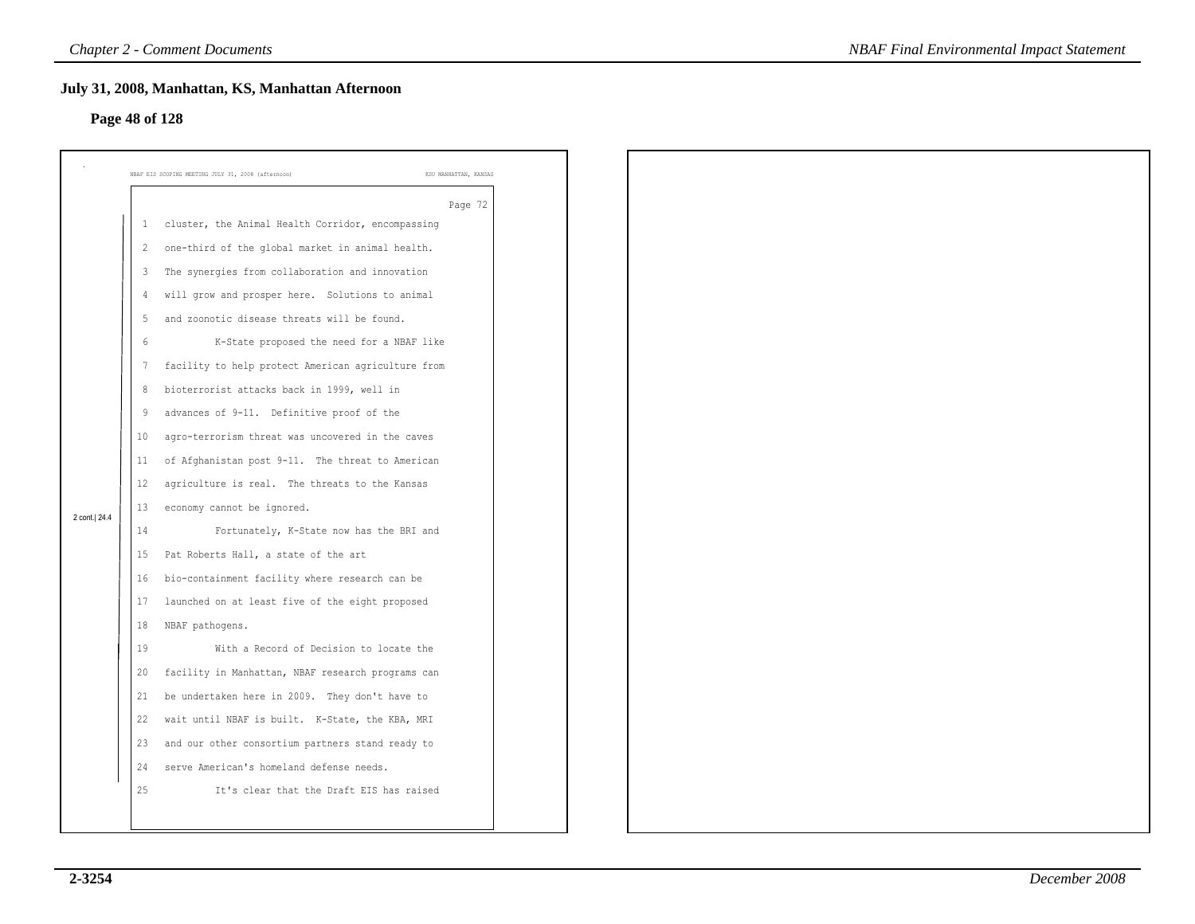# **Page 48 of 128**

|                |                | July 31, 2008, Manhattan, KS, Manhattan Afternoon  |                       |
|----------------|----------------|----------------------------------------------------|-----------------------|
| Page 48 of 128 |                |                                                    |                       |
|                |                |                                                    |                       |
|                |                | NBAF EIS SCOPING MEETING JULY 31, 2008 (afternoon) | KSU MANHATTAN, KANSAS |
|                |                |                                                    | Page 72               |
|                | 1              | cluster, the Animal Health Corridor, encompassing  |                       |
|                | 2              | one-third of the global market in animal health.   |                       |
|                | $\overline{3}$ | The synergies from collaboration and innovation    |                       |
|                | 4              | will grow and prosper here. Solutions to animal    |                       |
|                | -5             | and zoonotic disease threats will be found.        |                       |
|                | 6              | K-State proposed the need for a NBAF like          |                       |
|                | $\overline{7}$ | facility to help protect American agriculture from |                       |
|                | 8              | bioterrorist attacks back in 1999, well in         |                       |
|                | 9              | advances of 9-11. Definitive proof of the          |                       |
|                | 10             | agro-terrorism threat was uncovered in the caves   |                       |
|                | 11             | of Afghanistan post 9-11. The threat to American   |                       |
|                | 12             | agriculture is real. The threats to the Kansas     |                       |
| 2 cont.  24.4  | 13             | economy cannot be ignored.                         |                       |
|                | 14             | Fortunately, K-State now has the BRI and           |                       |
|                | 15             | Pat Roberts Hall, a state of the art               |                       |
|                | 16             | bio-containment facility where research can be     |                       |
|                | 17             | launched on at least five of the eight proposed    |                       |
|                | 18             | NBAF pathogens.                                    |                       |
|                | 19             | With a Record of Decision to locate the            |                       |
|                | 20             | facility in Manhattan, NBAF research programs can  |                       |
|                | 21             | be undertaken here in 2009. They don't have to     |                       |
|                | 22             | wait until NBAF is built. K-State, the KBA, MRI    |                       |
|                | 23             | and our other consortium partners stand ready to   |                       |
|                | 24             | serve American's homeland defense needs.           |                       |
|                | 25             | It's clear that the Draft EIS has raised           |                       |
|                |                |                                                    |                       |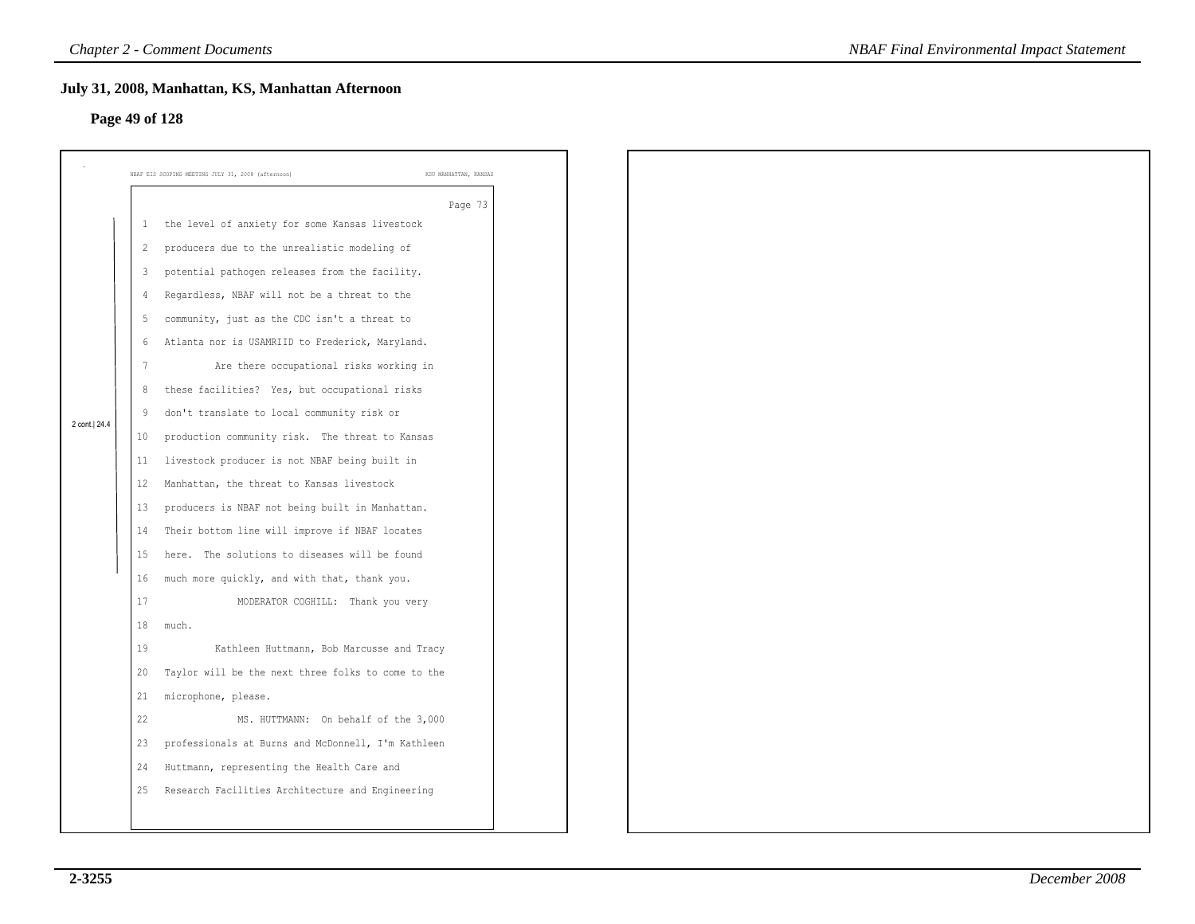# **Page 49 of 128**

|                |                | July 31, 2008, Manhattan, KS, Manhattan Afternoon                           |
|----------------|----------------|-----------------------------------------------------------------------------|
| Page 49 of 128 |                |                                                                             |
|                |                |                                                                             |
|                |                | NBAF EIS SCOPING MEETING JULY 31, 2008 (afternoon)<br>KSU MANHATTAN, KANSAS |
|                |                | Page 73                                                                     |
|                | $\mathbf{1}$   | the level of anxiety for some Kansas livestock                              |
|                | 2              | producers due to the unrealistic modeling of                                |
|                | $\mathbf{3}$   | potential pathogen releases from the facility.                              |
|                | $\overline{4}$ | Regardless, NBAF will not be a threat to the                                |
|                | -5             | community, just as the CDC isn't a threat to                                |
|                | 6              | Atlanta nor is USAMRIID to Frederick, Maryland.                             |
|                | 7              | Are there occupational risks working in                                     |
|                | 8              | these facilities? Yes, but occupational risks                               |
| 2 cont. 24.4   | 9              | don't translate to local community risk or                                  |
|                | 10             | production community risk. The threat to Kansas                             |
|                | 11             | livestock producer is not NBAF being built in                               |
|                | 12             | Manhattan, the threat to Kansas livestock                                   |
|                | 13             | producers is NBAF not being built in Manhattan.                             |
|                | 14             | Their bottom line will improve if NBAF locates                              |
|                | 15             | here. The solutions to diseases will be found                               |
|                | 16             | much more quickly, and with that, thank you.                                |
|                | 17             | MODERATOR COGHILL: Thank you very                                           |
|                | 18             | much.                                                                       |
|                | 19             | Kathleen Huttmann, Bob Marcusse and Tracy                                   |
|                | 20             | Taylor will be the next three folks to come to the                          |
|                | 21             | microphone, please.                                                         |
|                | 22             | MS. HUTTMANN: On behalf of the 3,000                                        |
|                | 23             | professionals at Burns and McDonnell, I'm Kathleen                          |
|                | 24             | Huttmann, representing the Health Care and                                  |
|                | 25             | Research Facilities Architecture and Engineering                            |
|                |                |                                                                             |
|                |                |                                                                             |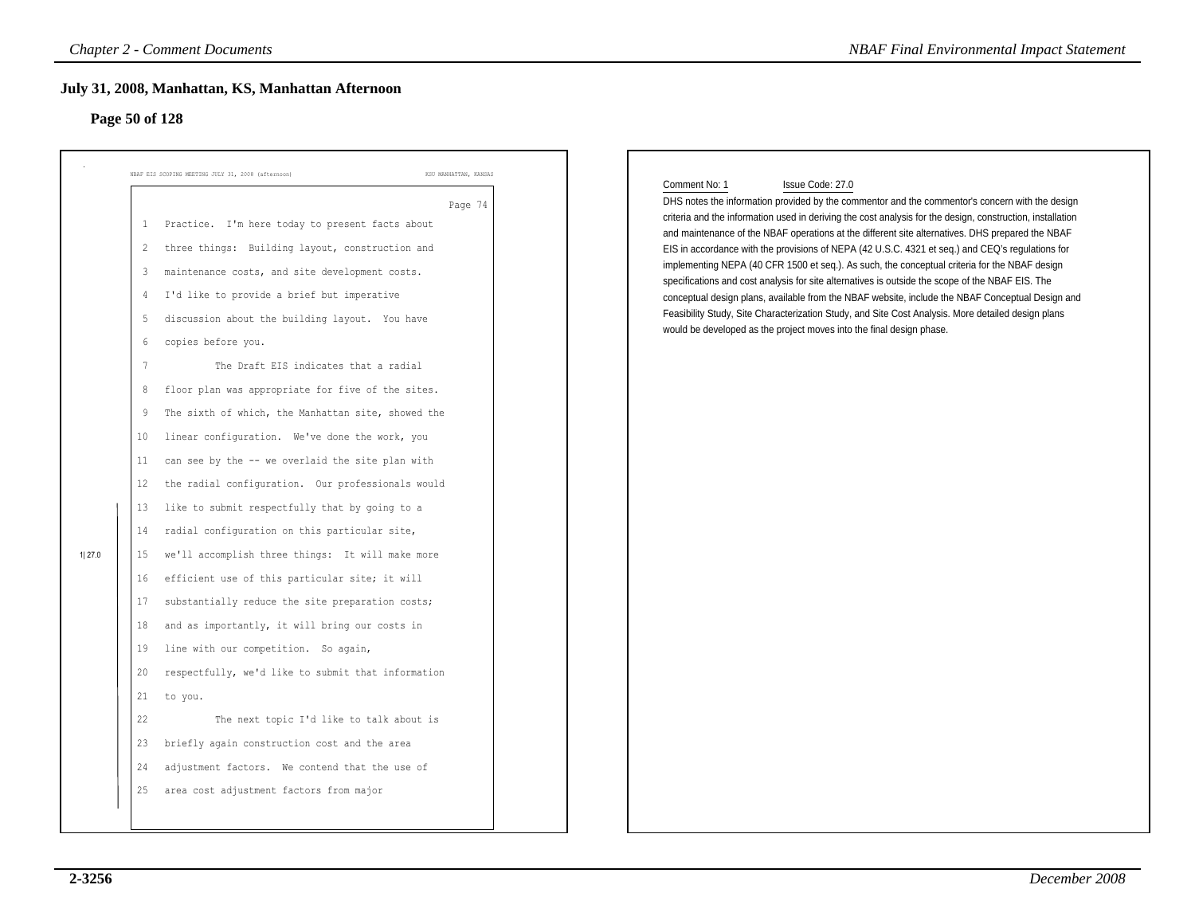# **Page 50 of 128**

|        | Page 50 of 128                                                                                                                                                                                                                                                                                                                                                                                                                                                                                                                                                                                                                                                                                                                                                                                                                                                                                                                                                                                                                                                                                                                           |                                  |                                                                                                                                                                                                                                                                                                                                                                                                                                                                                                                                                                                                                                                                                                                                                                                                                                                                                                                                                   |
|--------|------------------------------------------------------------------------------------------------------------------------------------------------------------------------------------------------------------------------------------------------------------------------------------------------------------------------------------------------------------------------------------------------------------------------------------------------------------------------------------------------------------------------------------------------------------------------------------------------------------------------------------------------------------------------------------------------------------------------------------------------------------------------------------------------------------------------------------------------------------------------------------------------------------------------------------------------------------------------------------------------------------------------------------------------------------------------------------------------------------------------------------------|----------------------------------|---------------------------------------------------------------------------------------------------------------------------------------------------------------------------------------------------------------------------------------------------------------------------------------------------------------------------------------------------------------------------------------------------------------------------------------------------------------------------------------------------------------------------------------------------------------------------------------------------------------------------------------------------------------------------------------------------------------------------------------------------------------------------------------------------------------------------------------------------------------------------------------------------------------------------------------------------|
| 1 27.0 | NBAF EIS SCOPING MEETING JULY 31, 2008 (afternoon)<br>Practice. I'm here today to present facts about<br>$\mathbf{1}$<br>three things: Building layout, construction and<br>$\overline{2}$<br>maintenance costs, and site development costs.<br>3<br>I'd like to provide a brief but imperative<br>4<br>discussion about the building layout. You have<br>5<br>copies before you.<br>6<br>The Draft EIS indicates that a radial<br>-7<br>floor plan was appropriate for five of the sites.<br>8<br>The sixth of which, the Manhattan site, showed the<br>9<br>linear configuration. We've done the work, you<br>10<br>can see by the -- we overlaid the site plan with<br>11<br>the radial configuration. Our professionals would<br>12<br>like to submit respectfully that by going to a<br>13<br>radial configuration on this particular site,<br>14<br>we'll accomplish three things: It will make more<br>15<br>efficient use of this particular site; it will<br>16<br>substantially reduce the site preparation costs;<br>17<br>and as importantly, it will bring our costs in<br>18<br>line with our competition. So again,<br>19 | KSU MANHATTAN, KANSAS<br>Page 74 | Issue Code: 27.0<br>Comment No: 1<br>DHS notes the information provided by the commentor and the commentor's concern with the design<br>criteria and the information used in deriving the cost analysis for the design, construction, installation<br>and maintenance of the NBAF operations at the different site alternatives. DHS prepared the NBAF<br>EIS in accordance with the provisions of NEPA (42 U.S.C. 4321 et seq.) and CEQ's regulations for<br>implementing NEPA (40 CFR 1500 et seq.). As such, the conceptual criteria for the NBAF design<br>specifications and cost analysis for site alternatives is outside the scope of the NBAF EIS. The<br>conceptual design plans, available from the NBAF website, include the NBAF Conceptual Design and<br>Feasibility Study, Site Characterization Study, and Site Cost Analysis. More detailed design plans<br>would be developed as the project moves into the final design phase. |
|        | respectfully, we'd like to submit that information<br>20<br>21<br>to you.<br>22<br>The next topic I'd like to talk about is<br>briefly again construction cost and the area<br>23<br>adjustment factors. We contend that the use of<br>24<br>area cost adjustment factors from major<br>25                                                                                                                                                                                                                                                                                                                                                                                                                                                                                                                                                                                                                                                                                                                                                                                                                                               |                                  |                                                                                                                                                                                                                                                                                                                                                                                                                                                                                                                                                                                                                                                                                                                                                                                                                                                                                                                                                   |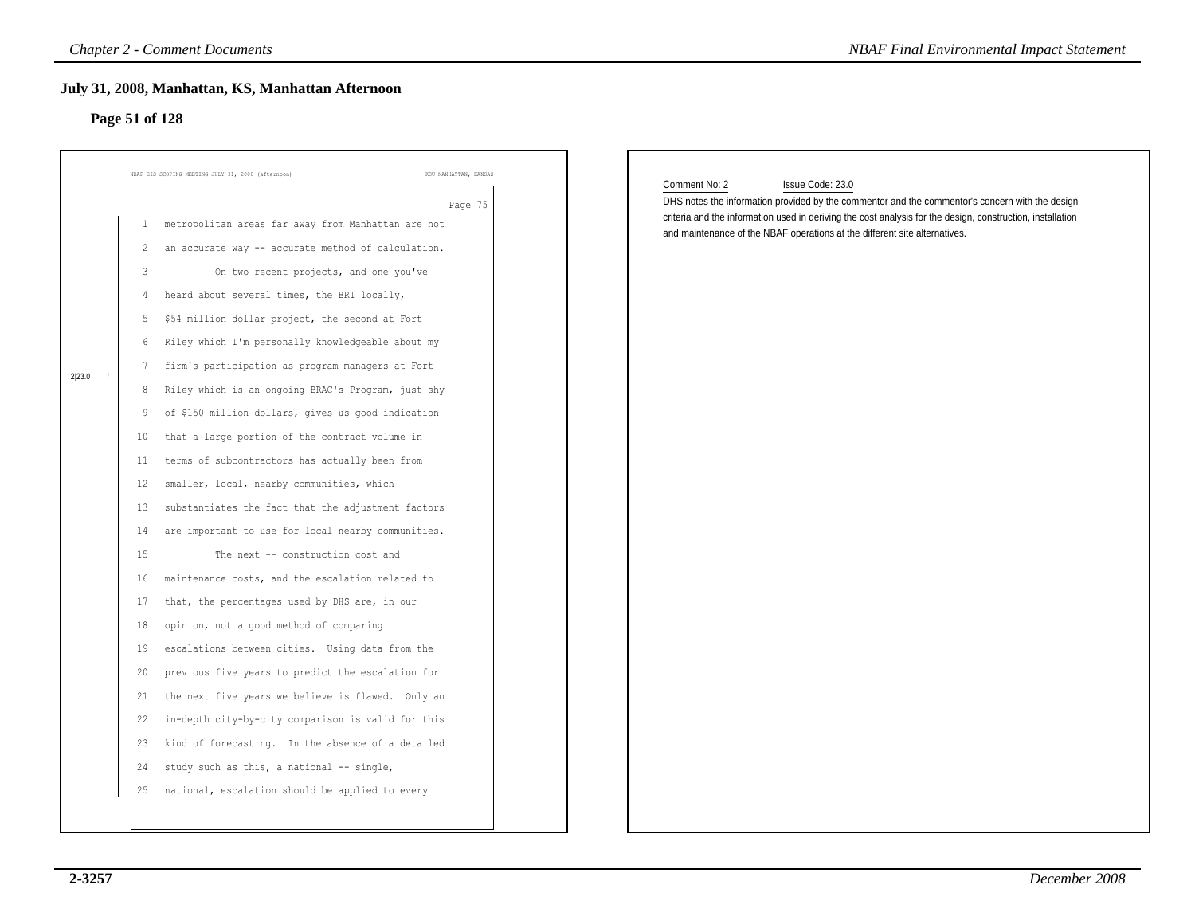# **Page 51 of 128**

|        | NBAF EIS SCOPING MEETING JULY 31, 2008 (afternoon)                   | KSU MANHATTAN, KANSAS |                                                                                                                                                                                                                                                    |
|--------|----------------------------------------------------------------------|-----------------------|----------------------------------------------------------------------------------------------------------------------------------------------------------------------------------------------------------------------------------------------------|
|        |                                                                      | Page 75               | Comment No: 2<br>Issue Code: 23.0<br>DHS notes the information provided by the commentor and the commentor's concern with the design<br>criteria and the information used in deriving the cost analysis for the design, construction, installation |
|        | metropolitan areas far away from Manhattan are not<br>$\mathbf{1}$   |                       | and maintenance of the NBAF operations at the different site alternatives.                                                                                                                                                                         |
|        | an accurate way -- accurate method of calculation.<br>$\overline{2}$ |                       |                                                                                                                                                                                                                                                    |
|        | 3<br>On two recent projects, and one you've                          |                       |                                                                                                                                                                                                                                                    |
|        | heard about several times, the BRI locally,<br>4                     |                       |                                                                                                                                                                                                                                                    |
|        | \$54 million dollar project, the second at Fort<br>5                 |                       |                                                                                                                                                                                                                                                    |
|        | Riley which I'm personally knowledgeable about my<br>6               |                       |                                                                                                                                                                                                                                                    |
| 2 23.0 | firm's participation as program managers at Fort<br>7                |                       |                                                                                                                                                                                                                                                    |
|        | Riley which is an ongoing BRAC's Program, just shy<br>8              |                       |                                                                                                                                                                                                                                                    |
|        | of \$150 million dollars, gives us good indication<br>9              |                       |                                                                                                                                                                                                                                                    |
|        | that a large portion of the contract volume in<br>10                 |                       |                                                                                                                                                                                                                                                    |
|        | terms of subcontractors has actually been from<br>11                 |                       |                                                                                                                                                                                                                                                    |
|        | smaller, local, nearby communities, which<br>12 <sub>2</sub>         |                       |                                                                                                                                                                                                                                                    |
|        | substantiates the fact that the adjustment factors<br>13             |                       |                                                                                                                                                                                                                                                    |
|        | are important to use for local nearby communities.<br>14             |                       |                                                                                                                                                                                                                                                    |
|        | 15<br>The next -- construction cost and                              |                       |                                                                                                                                                                                                                                                    |
|        | maintenance costs, and the escalation related to<br>16               |                       |                                                                                                                                                                                                                                                    |
|        | that, the percentages used by DHS are, in our<br>17                  |                       |                                                                                                                                                                                                                                                    |
|        | opinion, not a good method of comparing<br>18                        |                       |                                                                                                                                                                                                                                                    |
|        | escalations between cities. Using data from the<br>19                |                       |                                                                                                                                                                                                                                                    |
|        | previous five years to predict the escalation for<br>20              |                       |                                                                                                                                                                                                                                                    |
|        | the next five years we believe is flawed. Only an<br>21              |                       |                                                                                                                                                                                                                                                    |
|        | 22 in-depth city-by-city comparison is valid for this                |                       |                                                                                                                                                                                                                                                    |
|        | kind of forecasting. In the absence of a detailed<br>23              |                       |                                                                                                                                                                                                                                                    |
|        | study such as this, a national -- single,<br>24                      |                       |                                                                                                                                                                                                                                                    |
|        | national, escalation should be applied to every<br>25                |                       |                                                                                                                                                                                                                                                    |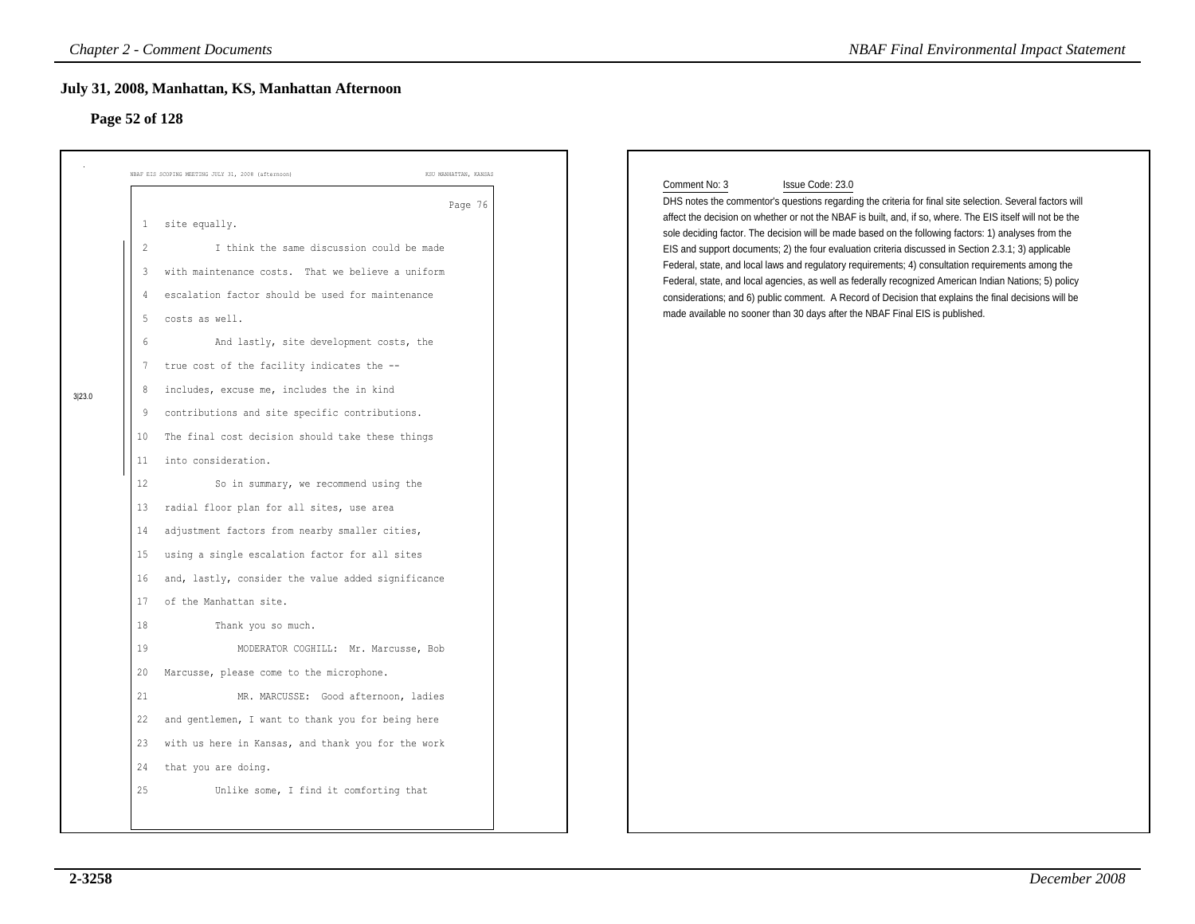# **Page 52 of 128**

|        |                | <b>Chapter 2 - Comment Documents</b>                                        | <b>NBAF Final Environmental Impact Statement</b>                                                                                                                                                                                                                                                                                                                     |
|--------|----------------|-----------------------------------------------------------------------------|----------------------------------------------------------------------------------------------------------------------------------------------------------------------------------------------------------------------------------------------------------------------------------------------------------------------------------------------------------------------|
|        | Page 52 of 128 | July 31, 2008, Manhattan, KS, Manhattan Afternoon                           |                                                                                                                                                                                                                                                                                                                                                                      |
|        |                |                                                                             |                                                                                                                                                                                                                                                                                                                                                                      |
|        |                | NBAF EIS SCOPING MEETING JULY 31, 2008 (afternoon)<br>KSU MANHATTAN, KANSAS |                                                                                                                                                                                                                                                                                                                                                                      |
|        | $\mathbf{1}$   | Page 76<br>site equally.                                                    | Comment No: 3<br>Issue Code: 23.0<br>DHS notes the commentor's questions regarding the criteria for final site selection. Several factors will<br>affect the decision on whether or not the NBAF is built, and, if so, where. The EIS itself will not be the<br>sole deciding factor. The decision will be made based on the following factors: 1) analyses from the |
|        | 2              | I think the same discussion could be made                                   | EIS and support documents; 2) the four evaluation criteria discussed in Section 2.3.1; 3) applicable                                                                                                                                                                                                                                                                 |
|        | 3              | with maintenance costs. That we believe a uniform                           | Federal, state, and local laws and regulatory requirements; 4) consultation requirements among the<br>Federal, state, and local agencies, as well as federally recognized American Indian Nations; 5) policy                                                                                                                                                         |
|        | 4              | escalation factor should be used for maintenance                            | considerations; and 6) public comment. A Record of Decision that explains the final decisions will be                                                                                                                                                                                                                                                                |
|        | 5              | costs as well.                                                              | made available no sooner than 30 days after the NBAF Final EIS is published.                                                                                                                                                                                                                                                                                         |
|        | $6\,$          | And lastly, site development costs, the                                     |                                                                                                                                                                                                                                                                                                                                                                      |
|        | 7              | true cost of the facility indicates the --                                  |                                                                                                                                                                                                                                                                                                                                                                      |
| 3 23.0 | 8              | includes, excuse me, includes the in kind                                   |                                                                                                                                                                                                                                                                                                                                                                      |
|        | 9              | contributions and site specific contributions.                              |                                                                                                                                                                                                                                                                                                                                                                      |
|        | 10             | The final cost decision should take these things                            |                                                                                                                                                                                                                                                                                                                                                                      |
|        | 11             | into consideration.                                                         |                                                                                                                                                                                                                                                                                                                                                                      |
|        | 12             | So in summary, we recommend using the                                       |                                                                                                                                                                                                                                                                                                                                                                      |
|        | 13             | radial floor plan for all sites, use area                                   |                                                                                                                                                                                                                                                                                                                                                                      |
|        | 14             | adjustment factors from nearby smaller cities,                              |                                                                                                                                                                                                                                                                                                                                                                      |
|        | 15             | using a single escalation factor for all sites                              |                                                                                                                                                                                                                                                                                                                                                                      |
|        | 16             | and, lastly, consider the value added significance                          |                                                                                                                                                                                                                                                                                                                                                                      |
|        | 17             | of the Manhattan site.                                                      |                                                                                                                                                                                                                                                                                                                                                                      |
|        | 18             | Thank you so much.                                                          |                                                                                                                                                                                                                                                                                                                                                                      |
|        | 19             | MODERATOR COGHILL: Mr. Marcusse, Bob                                        |                                                                                                                                                                                                                                                                                                                                                                      |
|        | 20             | Marcusse, please come to the microphone.                                    |                                                                                                                                                                                                                                                                                                                                                                      |
|        | 21             | MR. MARCUSSE: Good afternoon, ladies                                        |                                                                                                                                                                                                                                                                                                                                                                      |
|        | 22             | and gentlemen, I want to thank you for being here                           |                                                                                                                                                                                                                                                                                                                                                                      |
|        |                | 23 with us here in Kansas, and thank you for the work                       |                                                                                                                                                                                                                                                                                                                                                                      |
|        | 24             | that you are doing.                                                         |                                                                                                                                                                                                                                                                                                                                                                      |
|        | 25             | Unlike some, I find it comforting that                                      |                                                                                                                                                                                                                                                                                                                                                                      |
|        |                |                                                                             |                                                                                                                                                                                                                                                                                                                                                                      |
|        |                |                                                                             |                                                                                                                                                                                                                                                                                                                                                                      |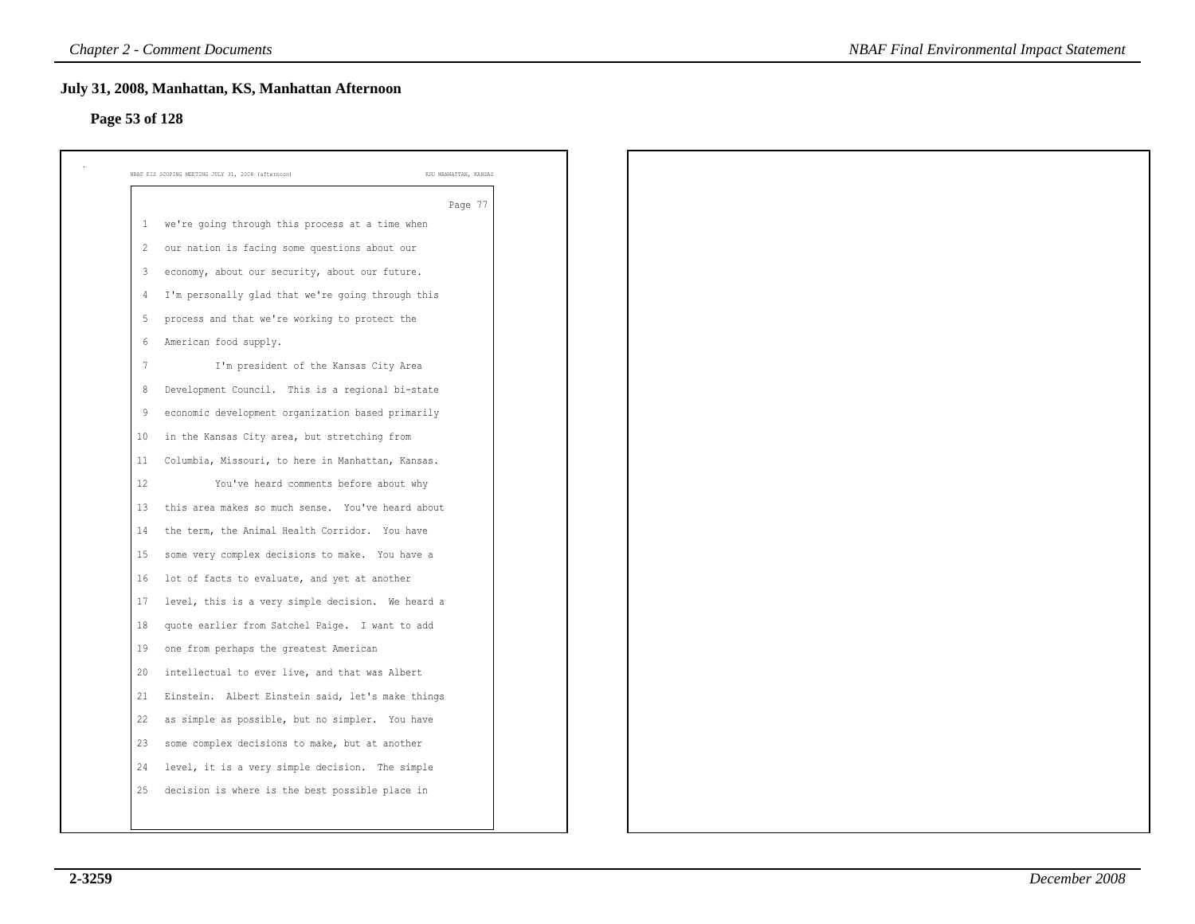# **Page 53 of 128**

|                 | Page 77                                           |
|-----------------|---------------------------------------------------|
| 1               | we're going through this process at a time when   |
| 2               | our nation is facing some questions about our     |
| 3               | economy, about our security, about our future.    |
| 4               | I'm personally glad that we're going through this |
| 5               | process and that we're working to protect the     |
| 6               | American food supply.                             |
| $7\phantom{.0}$ | I'm president of the Kansas City Area             |
| 8               | Development Council. This is a regional bi-state  |
| 9               | economic development organization based primarily |
| 10              | in the Kansas City area, but stretching from      |
| 11              | Columbia, Missouri, to here in Manhattan, Kansas. |
| 12              | You've heard comments before about why            |
| 13              | this area makes so much sense. You've heard about |
| 14              | the term, the Animal Health Corridor. You have    |
| 15              | some very complex decisions to make. You have a   |
| 16              | lot of facts to evaluate, and yet at another      |
| 17              | level, this is a very simple decision. We heard a |
| 18              | quote earlier from Satchel Paige. I want to add   |
| 19              | one from perhaps the greatest American            |
| 20              | intellectual to ever live, and that was Albert    |
| 21              | Einstein. Albert Einstein said, let's make things |
| 22              | as simple as possible, but no simpler. You have   |
| 23              | some complex decisions to make, but at another    |
| 24              | level, it is a very simple decision. The simple   |
| 25              | decision is where is the best possible place in   |
|                 |                                                   |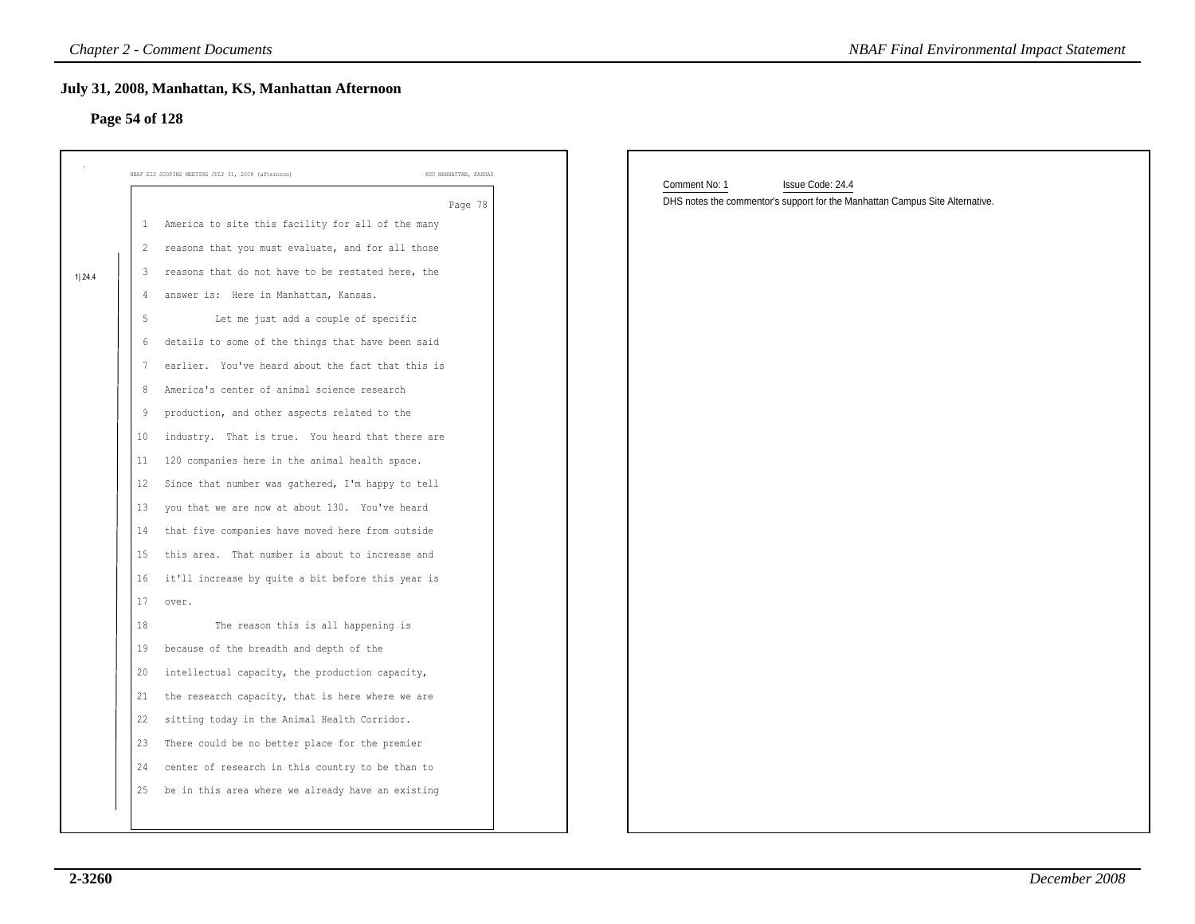# **Page 54 of 128**

|        | <b>Chapter 2 - Comment Documents</b>                                        | <b>NBAF Final Environmental Impact Statement</b>                             |
|--------|-----------------------------------------------------------------------------|------------------------------------------------------------------------------|
|        | July 31, 2008, Manhattan, KS, Manhattan Afternoon<br>Page 54 of 128         |                                                                              |
|        |                                                                             |                                                                              |
|        | KSU MANHATTAN, KANSAS<br>NBAF EIS SCOPING MEETING JULY 31, 2008 (afternoon) | Comment No: 1<br>Issue Code: 24.4                                            |
|        | Page 78                                                                     | DHS notes the commentor's support for the Manhattan Campus Site Alternative. |
|        | America to site this facility for all of the many<br>$\mathbf{1}$           |                                                                              |
|        | 2 reasons that you must evaluate, and for all those                         |                                                                              |
| 1 24.4 | reasons that do not have to be restated here, the<br>3                      |                                                                              |
|        | answer is: Here in Manhattan, Kansas.<br>4                                  |                                                                              |
|        | Let me just add a couple of specific                                        |                                                                              |
|        | details to some of the things that have been said<br>6                      |                                                                              |
|        | earlier. You've heard about the fact that this is                           |                                                                              |
|        | America's center of animal science research                                 |                                                                              |
|        | production, and other aspects related to the<br>9                           |                                                                              |
|        | industry. That is true. You heard that there are<br>10                      |                                                                              |
|        | 120 companies here in the animal health space.<br>11                        |                                                                              |
|        | Since that number was gathered, I'm happy to tell<br>12                     |                                                                              |
|        | you that we are now at about 130. You've heard<br>13                        |                                                                              |
|        | that five companies have moved here from outside<br>14                      |                                                                              |
|        | this area. That number is about to increase and<br>15                       |                                                                              |
|        | it'll increase by quite a bit before this year is<br>16                     |                                                                              |
|        | 17<br>over.                                                                 |                                                                              |
|        | The reason this is all happening is<br>18                                   |                                                                              |
|        | because of the breadth and depth of the<br>19                               |                                                                              |
|        | intellectual capacity, the production capacity,<br>20                       |                                                                              |
|        | the research capacity, that is here where we are<br>21                      |                                                                              |
|        | 22<br>sitting today in the Animal Health Corridor.                          |                                                                              |
|        | 23 There could be no better place for the premier                           |                                                                              |
|        | center of research in this country to be than to<br>24                      |                                                                              |
|        | be in this area where we already have an existing<br>25                     |                                                                              |
|        |                                                                             |                                                                              |
|        |                                                                             |                                                                              |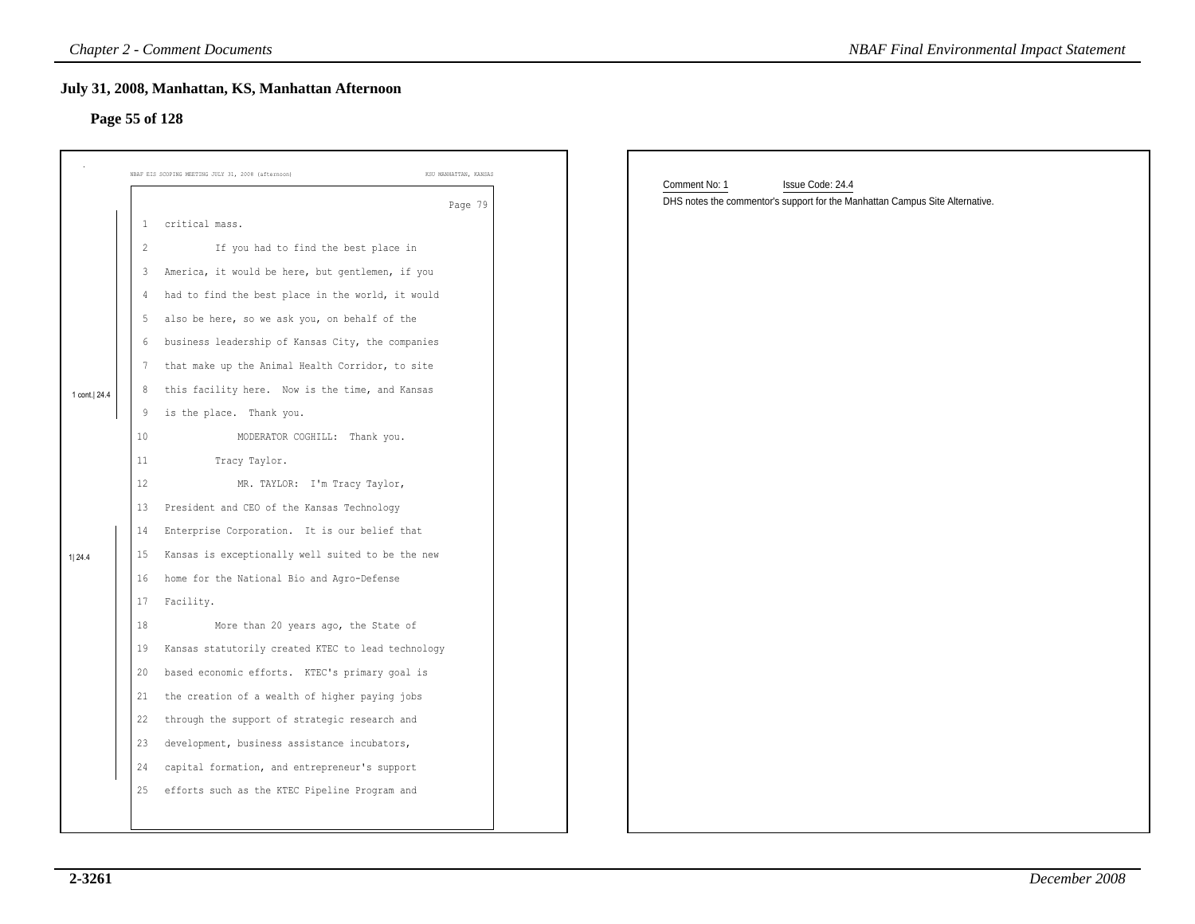# **Page 55 of 128**

|                |                | <b>Chapter 2 - Comment Documents</b>                                        | <b>NBAF Final Environmental Impact Statement</b>                                                                  |
|----------------|----------------|-----------------------------------------------------------------------------|-------------------------------------------------------------------------------------------------------------------|
| Page 55 of 128 |                | July 31, 2008, Manhattan, KS, Manhattan Afternoon                           |                                                                                                                   |
|                |                | NBAF EIS SCOPING MEETING JULY 31, 2008 (afternoon)<br>KSU MANHATTAN, KANSAS |                                                                                                                   |
|                |                | Page 79                                                                     | Comment No: 1<br>Issue Code: 24.4<br>DHS notes the commentor's support for the Manhattan Campus Site Alternative. |
|                | 1              | critical mass.                                                              |                                                                                                                   |
|                | $\overline{2}$ | If you had to find the best place in                                        |                                                                                                                   |
|                | 3              | America, it would be here, but gentlemen, if you                            |                                                                                                                   |
|                | 4              | had to find the best place in the world, it would                           |                                                                                                                   |
|                | -5             | also be here, so we ask you, on behalf of the                               |                                                                                                                   |
|                | 6              | business leadership of Kansas City, the companies                           |                                                                                                                   |
|                | 7              | that make up the Animal Health Corridor, to site                            |                                                                                                                   |
| 1 cont. 24.4   | 8              | this facility here. Now is the time, and Kansas                             |                                                                                                                   |
|                | 9              | is the place. Thank you.                                                    |                                                                                                                   |
|                | 10             | MODERATOR COGHILL: Thank you.                                               |                                                                                                                   |
|                | 11             | Tracy Taylor.                                                               |                                                                                                                   |
|                | 12             | MR. TAYLOR: I'm Tracy Taylor,                                               |                                                                                                                   |
|                | 13             | President and CEO of the Kansas Technology                                  |                                                                                                                   |
|                | 14             | Enterprise Corporation. It is our belief that                               |                                                                                                                   |
| 1 24.4         | 15             | Kansas is exceptionally well suited to be the new                           |                                                                                                                   |
|                | 16             | home for the National Bio and Agro-Defense                                  |                                                                                                                   |
|                | 17             | Facility.                                                                   |                                                                                                                   |
|                | 18             | More than 20 years ago, the State of                                        |                                                                                                                   |
|                | 19             | Kansas statutorily created KTEC to lead technology                          |                                                                                                                   |
|                | 20             | based economic efforts. KTEC's primary goal is                              |                                                                                                                   |
|                | 21             | the creation of a wealth of higher paying jobs                              |                                                                                                                   |
|                | 22             | through the support of strategic research and                               |                                                                                                                   |
|                | 23             | development, business assistance incubators,                                |                                                                                                                   |
|                | 24             | capital formation, and entrepreneur's support                               |                                                                                                                   |
|                | 25             | efforts such as the KTEC Pipeline Program and                               |                                                                                                                   |
|                |                |                                                                             |                                                                                                                   |
|                |                |                                                                             |                                                                                                                   |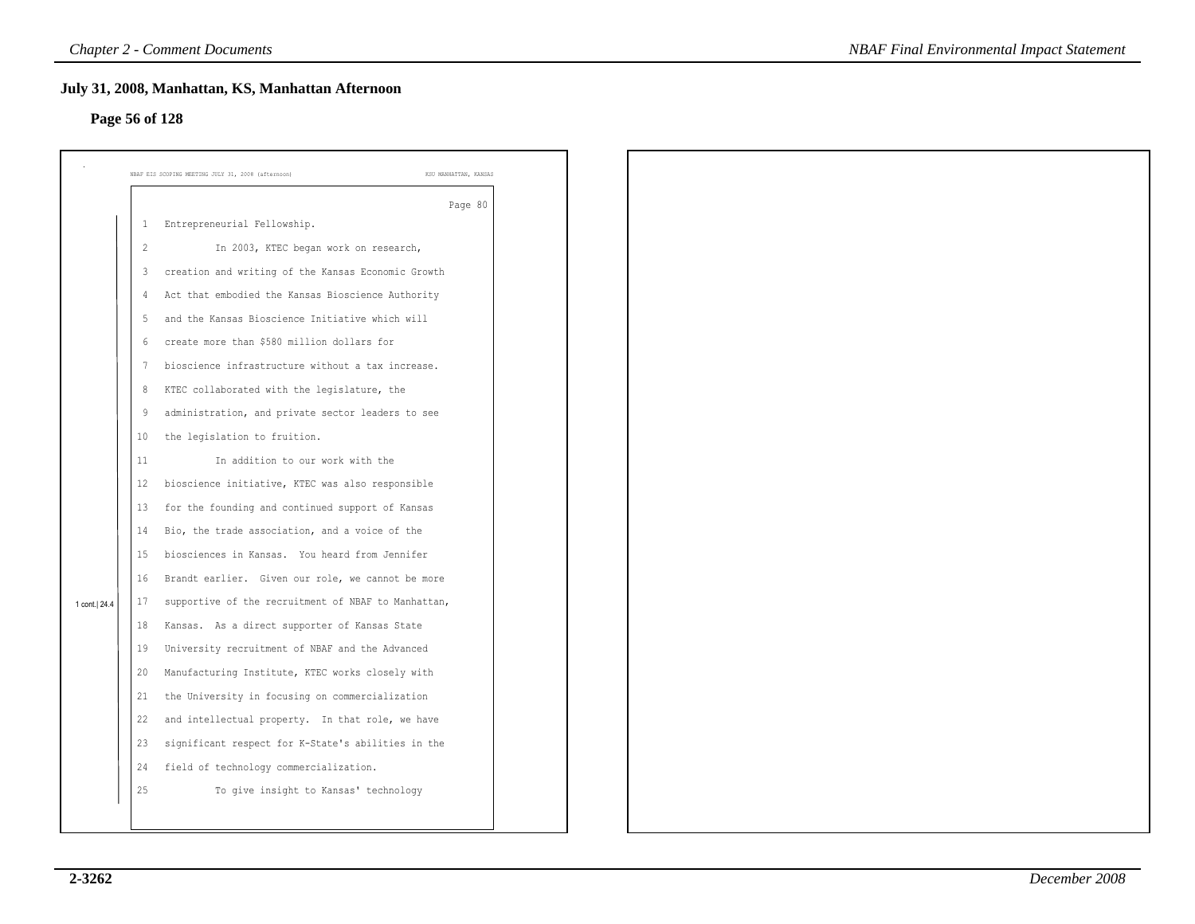# **Page 56 of 128**

|                |                | July 31, 2008, Manhattan, KS, Manhattan Afternoon                           |  |
|----------------|----------------|-----------------------------------------------------------------------------|--|
| Page 56 of 128 |                |                                                                             |  |
|                |                |                                                                             |  |
|                |                | NBAF EIS SCOPING MEETING JULY 31, 2008 (afternoon)<br>KSU MANHATTAN, KANSAS |  |
|                |                | Page 80                                                                     |  |
|                | 1              | Entrepreneurial Fellowship.                                                 |  |
|                | $\overline{c}$ | In 2003, KTEC began work on research,                                       |  |
|                | 3              | creation and writing of the Kansas Economic Growth                          |  |
|                | 4              | Act that embodied the Kansas Bioscience Authority                           |  |
|                | 5              | and the Kansas Bioscience Initiative which will                             |  |
|                | 6              | create more than \$580 million dollars for                                  |  |
|                | -7             | bioscience infrastructure without a tax increase.                           |  |
|                | $\,8\,$        | KTEC collaborated with the legislature, the                                 |  |
|                | 9              | administration, and private sector leaders to see                           |  |
|                | 10             | the legislation to fruition.                                                |  |
|                | 11             | In addition to our work with the                                            |  |
|                | 12             | bioscience initiative, KTEC was also responsible                            |  |
|                | 13             | for the founding and continued support of Kansas                            |  |
|                | 14             | Bio, the trade association, and a voice of the                              |  |
|                | 15             | biosciences in Kansas. You heard from Jennifer                              |  |
|                | 16             | Brandt earlier. Given our role, we cannot be more                           |  |
| 1 cont. 24.4   | 17             | supportive of the recruitment of NBAF to Manhattan,                         |  |
|                | 18             | Kansas. As a direct supporter of Kansas State                               |  |
|                | 19             | University recruitment of NBAF and the Advanced                             |  |
|                | 20             | Manufacturing Institute, KTEC works closely with                            |  |
|                | 21             | the University in focusing on commercialization                             |  |
|                | 22             | and intellectual property. In that role, we have                            |  |
|                | 23             | significant respect for K-State's abilities in the                          |  |
|                | 24             | field of technology commercialization.                                      |  |
|                | 25             | To give insight to Kansas' technology                                       |  |
|                |                |                                                                             |  |
|                |                |                                                                             |  |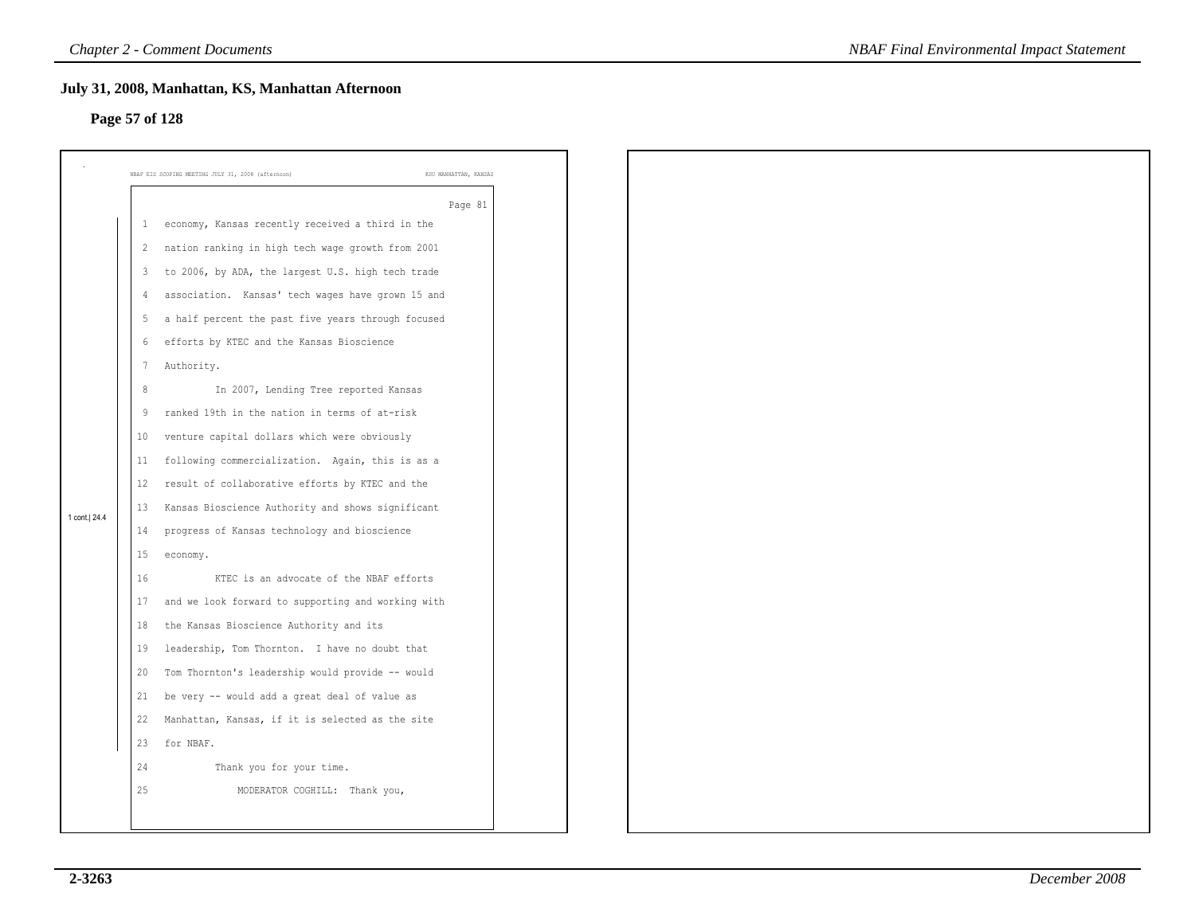# **Page 57 of 128**

|                |                         | July 31, 2008, Manhattan, KS, Manhattan Afternoon  |                       |
|----------------|-------------------------|----------------------------------------------------|-----------------------|
| Page 57 of 128 |                         |                                                    |                       |
|                |                         | NBAF EIS SCOPING MEETING JULY 31, 2008 (afternoon) | KSU MANHATTAN, KANSAS |
|                |                         |                                                    | Page 81               |
|                | 1                       | economy, Kansas recently received a third in the   |                       |
|                | $\overline{2}$          | nation ranking in high tech wage growth from 2001  |                       |
|                | $\overline{\mathbf{3}}$ | to 2006, by ADA, the largest U.S. high tech trade  |                       |
|                | $\overline{4}$          | association. Kansas' tech wages have grown 15 and  |                       |
|                | 5                       | a half percent the past five years through focused |                       |
|                | 6                       | efforts by KTEC and the Kansas Bioscience          |                       |
|                | $7\phantom{.0}$         | Authority.                                         |                       |
|                | 8                       | In 2007, Lending Tree reported Kansas              |                       |
|                | 9                       | ranked 19th in the nation in terms of at-risk      |                       |
|                | 10                      | venture capital dollars which were obviously       |                       |
|                | 11                      | following commercialization. Again, this is as a   |                       |
|                | 12                      | result of collaborative efforts by KTEC and the    |                       |
| 1 cont. 24.4   | 13                      | Kansas Bioscience Authority and shows significant  |                       |
|                | 14                      | progress of Kansas technology and bioscience       |                       |
|                | $15\,$                  | economy.                                           |                       |
|                | 16                      | KTEC is an advocate of the NBAF efforts            |                       |
|                | 17                      | and we look forward to supporting and working with |                       |
|                | 18                      | the Kansas Bioscience Authority and its            |                       |
|                | 19                      | leadership, Tom Thornton. I have no doubt that     |                       |
|                | 20                      | Tom Thornton's leadership would provide -- would   |                       |
|                | 21                      | be very -- would add a great deal of value as      |                       |
|                | 22                      | Manhattan, Kansas, if it is selected as the site   |                       |
|                | 23                      | for NBAF.                                          |                       |
|                | 24                      | Thank you for your time.                           |                       |
|                | 25                      | MODERATOR COGHILL: Thank you,                      |                       |
|                |                         |                                                    |                       |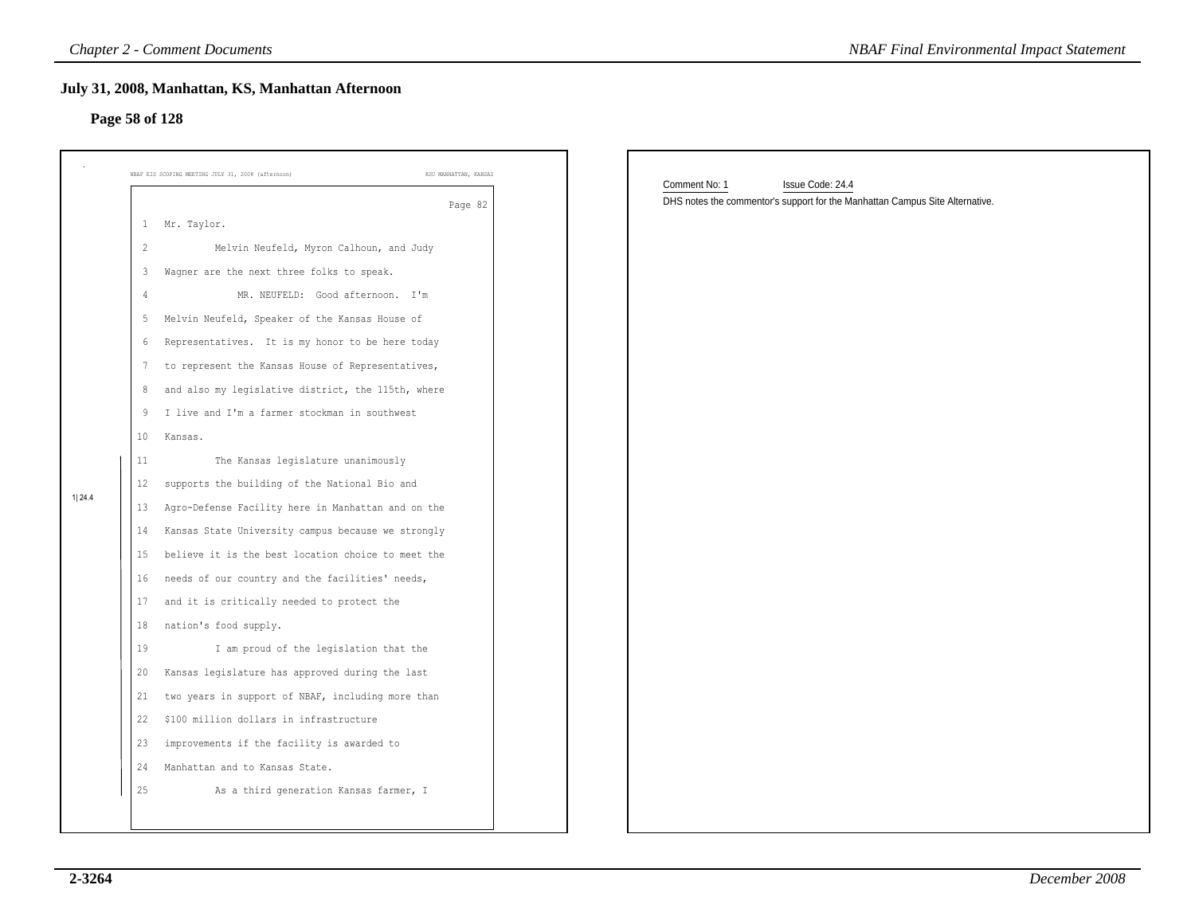# **Page 58 of 128**

|                |                | <b>Chapter 2 - Comment Documents</b>                                        | <b>NBAF Final Environmental Impact Statement</b>                             |
|----------------|----------------|-----------------------------------------------------------------------------|------------------------------------------------------------------------------|
| Page 58 of 128 |                | July 31, 2008, Manhattan, KS, Manhattan Afternoon                           |                                                                              |
|                |                | KSU MANHATTAN, KANSAS<br>NBAF EIS SCOPING MEETING JULY 31, 2008 (afternoon) | Comment No: 1<br>Issue Code: 24.4                                            |
|                |                | Page 82                                                                     | DHS notes the commentor's support for the Manhattan Campus Site Alternative. |
|                | $\mathbf{1}$   | Mr. Taylor.                                                                 |                                                                              |
|                | $\overline{c}$ | Melvin Neufeld, Myron Calhoun, and Judy                                     |                                                                              |
|                | 3              | Wagner are the next three folks to speak.                                   |                                                                              |
|                | $\overline{4}$ | MR. NEUFELD: Good afternoon. I'm                                            |                                                                              |
|                | -5             | Melvin Neufeld, Speaker of the Kansas House of                              |                                                                              |
|                | 6              | Representatives. It is my honor to be here today                            |                                                                              |
|                | 7              | to represent the Kansas House of Representatives,                           |                                                                              |
|                | 8              | and also my legislative district, the 115th, where                          |                                                                              |
|                | 9              | I live and I'm a farmer stockman in southwest                               |                                                                              |
|                | 10             | Kansas.                                                                     |                                                                              |
|                | 11             | The Kansas legislature unanimously                                          |                                                                              |
|                | 12             | supports the building of the National Bio and                               |                                                                              |
| 1 24.4         | 13             | Agro-Defense Facility here in Manhattan and on the                          |                                                                              |
|                | 14             | Kansas State University campus because we strongly                          |                                                                              |
|                | 15             | believe it is the best location choice to meet the                          |                                                                              |
|                | 16             | needs of our country and the facilities' needs,                             |                                                                              |
|                | 17             | and it is critically needed to protect the                                  |                                                                              |
|                | 18             | nation's food supply.                                                       |                                                                              |
|                | 19             | I am proud of the legislation that the                                      |                                                                              |
|                | 20             | Kansas legislature has approved during the last                             |                                                                              |
|                | 21             | two years in support of NBAF, including more than                           |                                                                              |
|                | 22             | \$100 million dollars in infrastructure                                     |                                                                              |
|                | 23             | improvements if the facility is awarded to                                  |                                                                              |
|                | 24             | Manhattan and to Kansas State.                                              |                                                                              |
|                | 25             | As a third generation Kansas farmer, I                                      |                                                                              |
|                |                |                                                                             |                                                                              |
|                |                |                                                                             |                                                                              |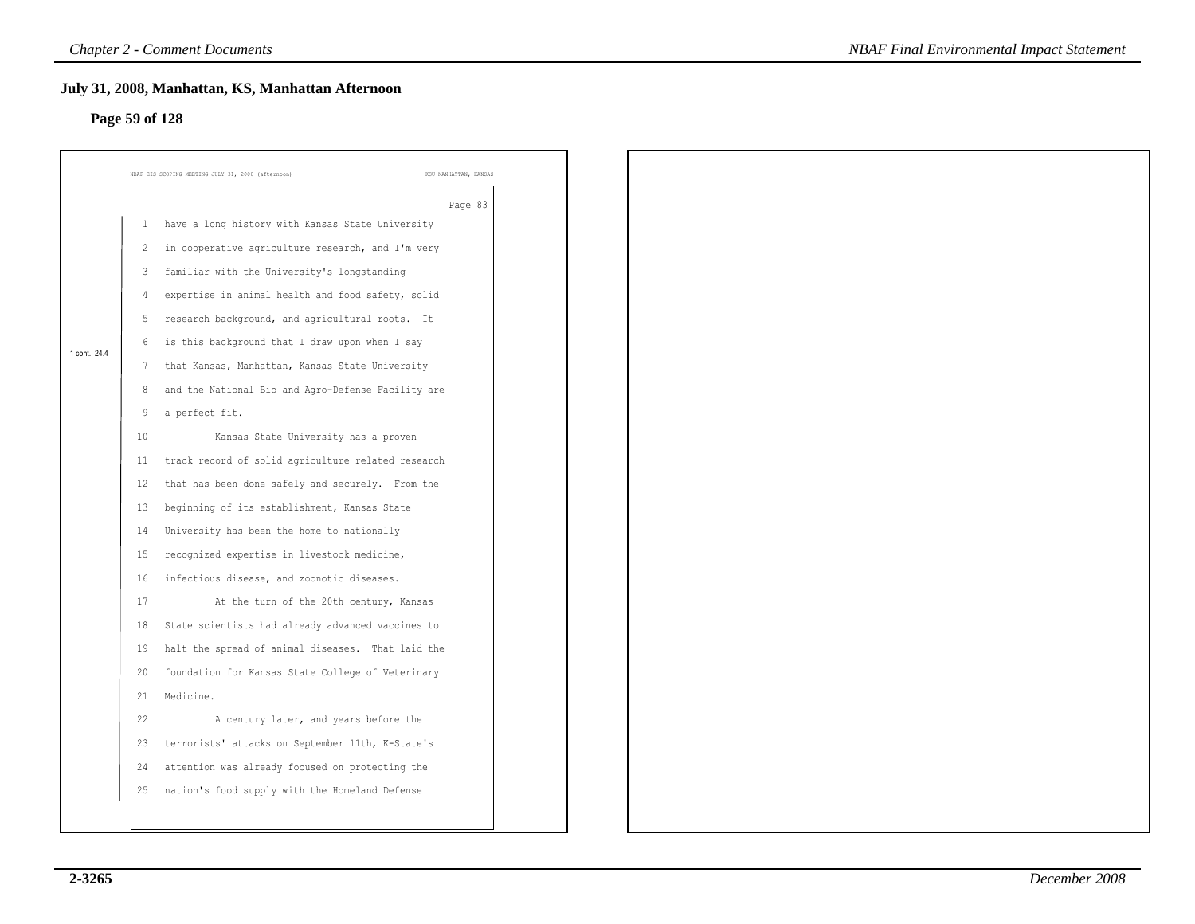# **Page 59 of 128**

| Page 59 of 128 |                         | July 31, 2008, Manhattan, KS, Manhattan Afternoon  |                       |
|----------------|-------------------------|----------------------------------------------------|-----------------------|
|                |                         |                                                    |                       |
|                |                         | NBAF EIS SCOPING MEETING JULY 31, 2008 (afternoon) | KSU MANHATTAN, KANSAS |
|                |                         |                                                    | Page 83               |
|                | -1                      | have a long history with Kansas State University   |                       |
|                | $\overline{c}$          | in cooperative agriculture research, and I'm very  |                       |
|                | $\overline{\mathbf{3}}$ | familiar with the University's longstanding        |                       |
|                | $\sqrt{4}$              | expertise in animal health and food safety, solid  |                       |
|                | 5                       | research background, and agricultural roots. It    |                       |
| 1 cont.   24.4 | 6                       | is this background that I draw upon when I say     |                       |
|                | 7                       | that Kansas, Manhattan, Kansas State University    |                       |
|                | 8                       | and the National Bio and Agro-Defense Facility are |                       |
|                | 9                       | a perfect fit.                                     |                       |
|                | 10                      | Kansas State University has a proven               |                       |
|                | 11                      | track record of solid agriculture related research |                       |
|                | 12                      | that has been done safely and securely. From the   |                       |
|                | 13                      | beginning of its establishment, Kansas State       |                       |
|                | 14                      | University has been the home to nationally         |                       |
|                | 15                      | recognized expertise in livestock medicine,        |                       |
|                | 16                      | infectious disease, and zoonotic diseases.         |                       |
|                | 17                      | At the turn of the 20th century, Kansas            |                       |
|                | 18                      | State scientists had already advanced vaccines to  |                       |
|                | 19                      | halt the spread of animal diseases. That laid the  |                       |
|                | 20                      | foundation for Kansas State College of Veterinary  |                       |
|                | 21                      | Medicine.                                          |                       |
|                | 22                      | A century later, and years before the              |                       |
|                | 23                      | terrorists' attacks on September 11th, K-State's   |                       |
|                | 24                      | attention was already focused on protecting the    |                       |
|                | 25                      | nation's food supply with the Homeland Defense     |                       |
|                |                         |                                                    |                       |
|                |                         |                                                    |                       |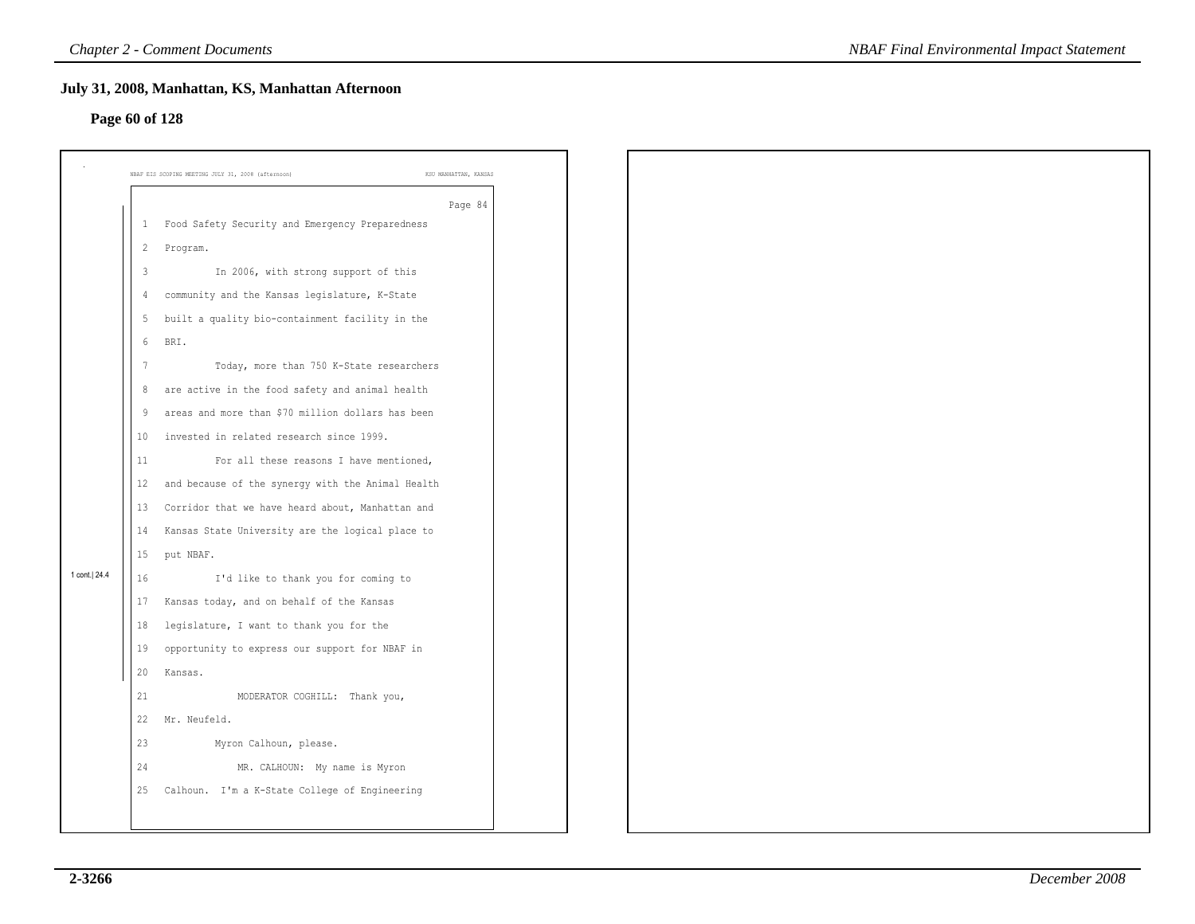# **Page 60 of 128**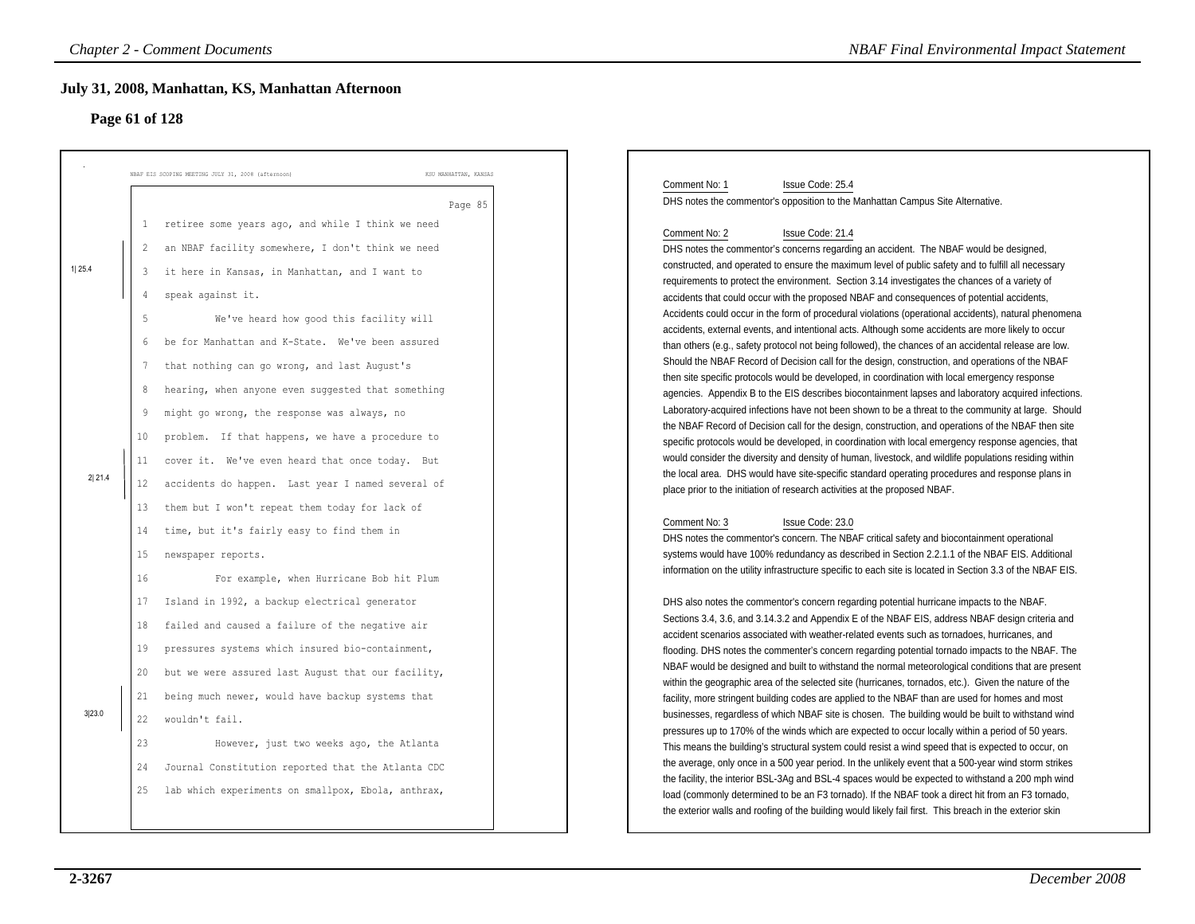# **Page 61 of 128**

|        | <b>Chapter 2 - Comment Documents</b>                                        | <b>NBAF Final Environmental Impact Statement</b>                                                                                                                                                       |
|--------|-----------------------------------------------------------------------------|--------------------------------------------------------------------------------------------------------------------------------------------------------------------------------------------------------|
|        | July 31, 2008, Manhattan, KS, Manhattan Afternoon<br>Page 61 of 128         |                                                                                                                                                                                                        |
|        | KSU MANHATTAN, KANSAS<br>NBAF EIS SCOPING MEETING JULY 31, 2008 (afternoon) |                                                                                                                                                                                                        |
|        | Page 85                                                                     | Comment No: 1<br>Issue Code: 25.4<br>DHS notes the commentor's opposition to the Manhattan Campus Site Alternative.                                                                                    |
|        | retiree some years ago, and while I think we need<br>1                      | Comment No: 2<br>Issue Code: 21.4                                                                                                                                                                      |
|        | an NBAF facility somewhere, I don't think we need<br>$\overline{2}$         | DHS notes the commentor's concerns regarding an accident. The NBAF would be designed,                                                                                                                  |
| 1 25.4 |                                                                             | constructed, and operated to ensure the maximum level of public safety and to fulfill all necessary                                                                                                    |
|        | 3<br>it here in Kansas, in Manhattan, and I want to                         | requirements to protect the environment. Section 3.14 investigates the chances of a variety of                                                                                                         |
|        | speak against it.<br>4                                                      | accidents that could occur with the proposed NBAF and consequences of potential accidents,                                                                                                             |
|        | 5<br>We've heard how good this facility will                                | Accidents could occur in the form of procedural violations (operational accidents), natural phenomena                                                                                                  |
|        |                                                                             | accidents, external events, and intentional acts. Although some accidents are more likely to occur                                                                                                     |
|        | 6<br>be for Manhattan and K-State. We've been assured                       | than others (e.g., safety protocol not being followed), the chances of an accidental release are low.                                                                                                  |
|        | that nothing can go wrong, and last August's<br>7                           | Should the NBAF Record of Decision call for the design, construction, and operations of the NBAF                                                                                                       |
|        | hearing, when anyone even suggested that something<br>8                     | then site specific protocols would be developed, in coordination with local emergency response<br>agencies. Appendix B to the EIS describes biocontainment lapses and laboratory acquired infections.  |
|        | 9                                                                           | Laboratory-acquired infections have not been shown to be a threat to the community at large. Should                                                                                                    |
|        | might go wrong, the response was always, no                                 | the NBAF Record of Decision call for the design, construction, and operations of the NBAF then site                                                                                                    |
|        | problem. If that happens, we have a procedure to<br>10                      | specific protocols would be developed, in coordination with local emergency response agencies, that                                                                                                    |
|        | cover it. We've even heard that once today. But<br>11                       | would consider the diversity and density of human, livestock, and wildlife populations residing within                                                                                                 |
| 2 21.4 | accidents do happen. Last year I named several of<br>12                     | the local area. DHS would have site-specific standard operating procedures and response plans in                                                                                                       |
|        |                                                                             | place prior to the initiation of research activities at the proposed NBAF.                                                                                                                             |
|        | them but I won't repeat them today for lack of<br>13                        |                                                                                                                                                                                                        |
|        | time, but it's fairly easy to find them in<br>14                            | Issue Code: 23.0<br>Comment No: 3                                                                                                                                                                      |
|        | 15<br>newspaper reports.                                                    | DHS notes the commentor's concern. The NBAF critical safety and biocontainment operational<br>systems would have 100% redundancy as described in Section 2.2.1.1 of the NBAF EIS. Additional           |
|        |                                                                             | information on the utility infrastructure specific to each site is located in Section 3.3 of the NBAF EIS.                                                                                             |
|        | 16<br>For example, when Hurricane Bob hit Plum                              |                                                                                                                                                                                                        |
|        | 17<br>Island in 1992, a backup electrical generator                         | DHS also notes the commentor's concern regarding potential hurricane impacts to the NBAF.                                                                                                              |
|        | failed and caused a failure of the negative air<br>18                       | Sections 3.4, 3.6, and 3.14.3.2 and Appendix E of the NBAF EIS, address NBAF design criteria and                                                                                                       |
|        |                                                                             | accident scenarios associated with weather-related events such as tornadoes, hurricanes, and                                                                                                           |
|        | 19<br>pressures systems which insured bio-containment,                      | flooding. DHS notes the commenter's concern regarding potential tornado impacts to the NBAF. The                                                                                                       |
|        | but we were assured last August that our facility,<br>20                    | NBAF would be designed and built to withstand the normal meteorological conditions that are present                                                                                                    |
|        | being much newer, would have backup systems that<br>21                      | within the geographic area of the selected site (hurricanes, tornados, etc.). Given the nature of the                                                                                                  |
| 3 23.0 |                                                                             | facility, more stringent building codes are applied to the NBAF than are used for homes and most<br>businesses, regardless of which NBAF site is chosen. The building would be built to withstand wind |
|        | wouldn't fail.<br>22                                                        | pressures up to 170% of the winds which are expected to occur locally within a period of 50 years.                                                                                                     |
|        | 23<br>However, just two weeks ago, the Atlanta                              | This means the building's structural system could resist a wind speed that is expected to occur, on                                                                                                    |
|        | Journal Constitution reported that the Atlanta CDC<br>24                    | the average, only once in a 500 year period. In the unlikely event that a 500-year wind storm strikes                                                                                                  |
|        |                                                                             | the facility, the interior BSL-3Ag and BSL-4 spaces would be expected to withstand a 200 mph wind                                                                                                      |
|        | 25<br>lab which experiments on smallpox, Ebola, anthrax,                    | load (commonly determined to be an F3 tornado). If the NBAF took a direct hit from an F3 tornado,                                                                                                      |
|        |                                                                             | the exterior walls and roofing of the building would likely fail first. This breach in the exterior skin                                                                                               |
|        |                                                                             |                                                                                                                                                                                                        |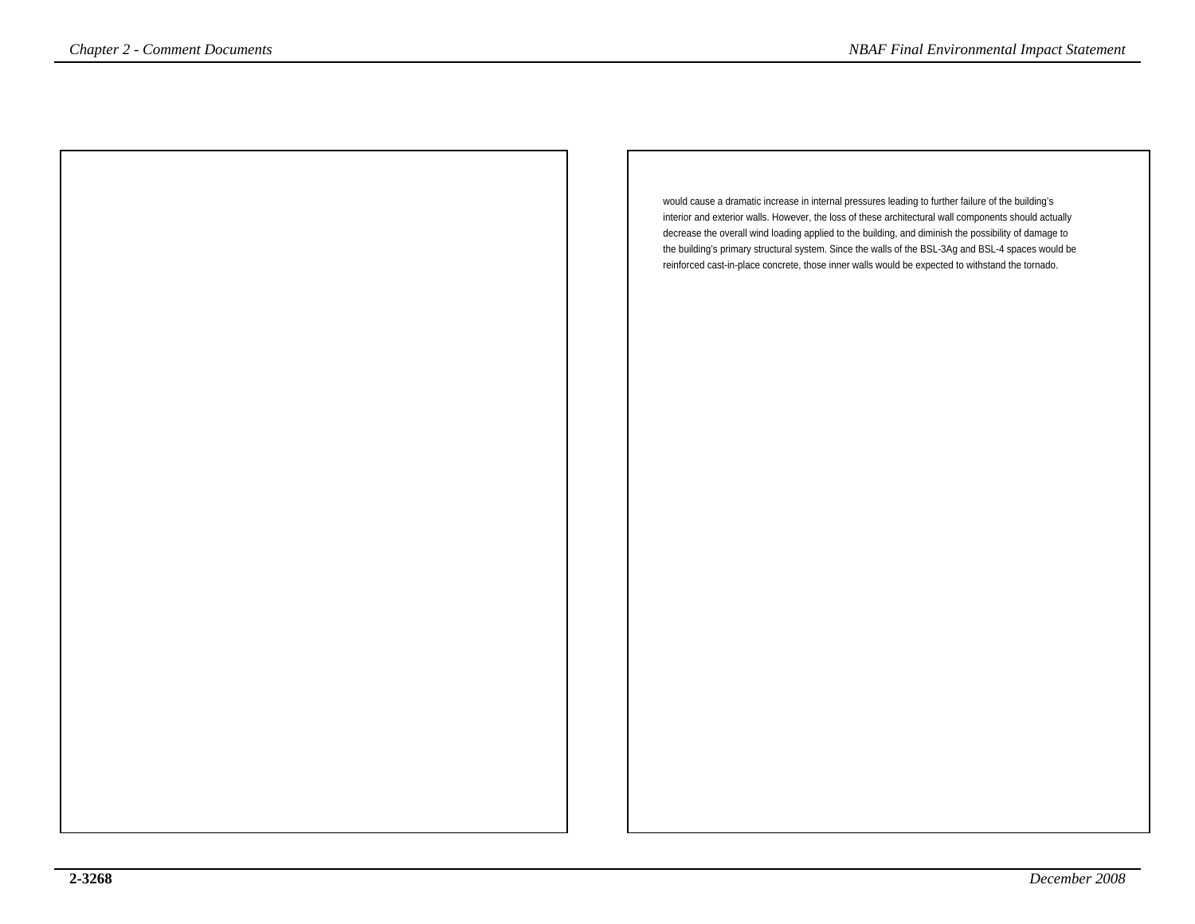would cause a dramatic increase in internal pressures leading to further failure of the building's interior and exterior walls. However, the loss of these architectural wall components should actually decrease the overall wind loading applied to the building, and diminish the possibility of damage to the building's primary structural system. Since the walls of the BSL-3Ag and BSL-4 spaces would bereinforced cast-in-place concrete, those inner walls would be expected to withstand the tornado.*NBAF Final Environmental Impact Statement*<br>
would cause a dramatic increase in internal pressures leading to further failure of the building's<br>
interior and exterior and exterior walls. However, the loss of these architec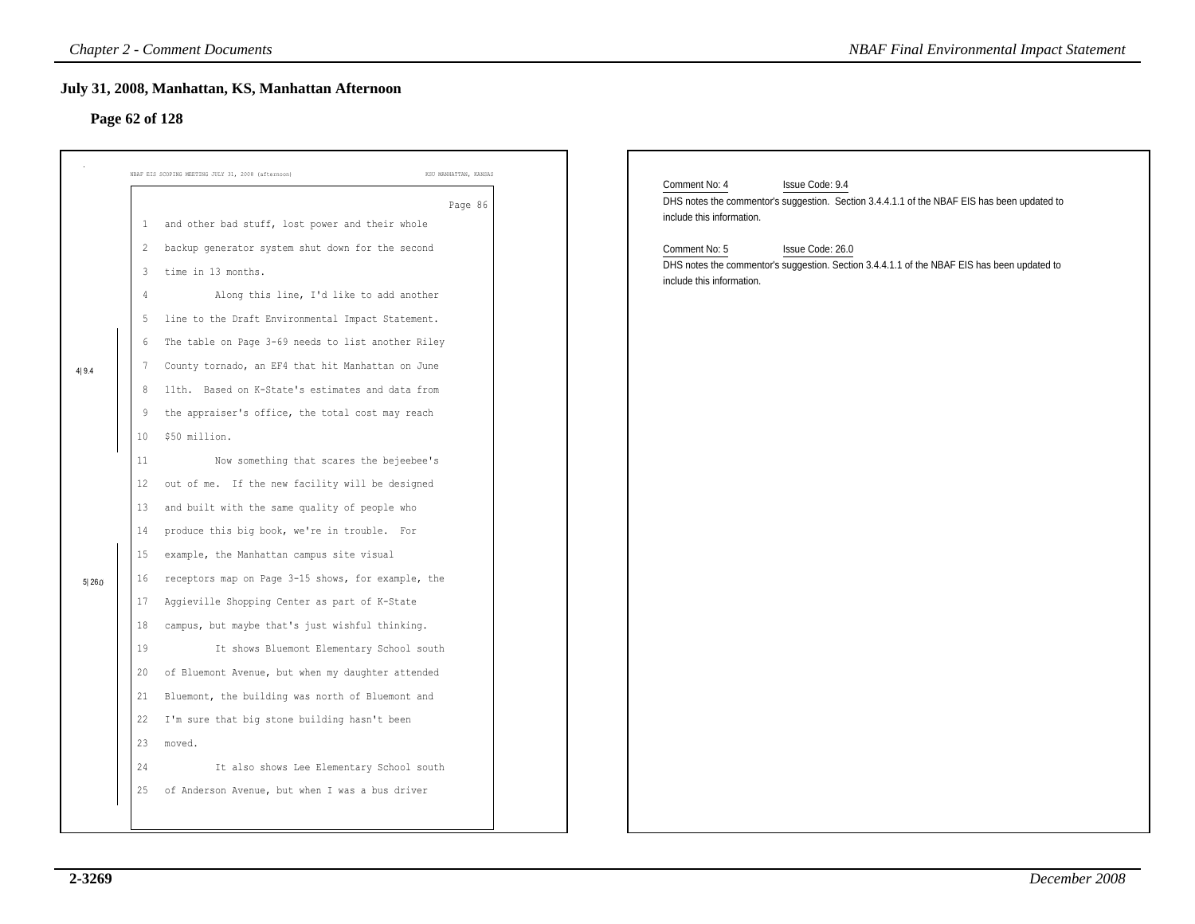# **Page 62 of 128**

|        | July 31, 2008, Manhattan, KS, Manhattan Afternoon<br>Page 62 of 128                                                                                                      |                       |                                                                                                                                                               |
|--------|--------------------------------------------------------------------------------------------------------------------------------------------------------------------------|-----------------------|---------------------------------------------------------------------------------------------------------------------------------------------------------------|
|        | NBAF EIS SCOPING MEETING JULY 31, 2008 (afternoon)                                                                                                                       | KSU MANHATTAN, KANSAS | Comment No: 4<br>Issue Code: 9.4                                                                                                                              |
|        | 1 and other bad stuff, lost power and their whole<br>backup generator system shut down for the second                                                                    | Page 86               | DHS notes the commentor's suggestion. Section 3.4.4.1.1 of the NBAF EIS has been updated to<br>include this information.                                      |
|        | $\mathbf{2}$<br>time in 13 months.<br>3<br>Along this line, I'd like to add another<br>4                                                                                 |                       | Issue Code: 26.0<br>Comment No: 5<br>DHS notes the commentor's suggestion. Section 3.4.4.1.1 of the NBAF EIS has been updated to<br>include this information. |
|        | 5 line to the Draft Environmental Impact Statement.<br>The table on Page 3-69 needs to list another Riley<br>6                                                           |                       |                                                                                                                                                               |
| 4 9.4  | County tornado, an EF4 that hit Manhattan on June<br>7<br>11th. Based on K-State's estimates and data from<br>8<br>the appraiser's office, the total cost may reach<br>9 |                       |                                                                                                                                                               |
|        | \$50 million.<br>10<br>Now something that scares the bejeebee's<br>11                                                                                                    |                       |                                                                                                                                                               |
|        | out of me. If the new facility will be designed<br>12<br>and built with the same quality of people who<br>13<br>produce this big book, we're in trouble. For<br>14       |                       |                                                                                                                                                               |
| 5 26.0 | example, the Manhattan campus site visual<br>15<br>receptors map on Page 3-15 shows, for example, the<br>16                                                              |                       |                                                                                                                                                               |
|        | Aggieville Shopping Center as part of K-State<br>17<br>campus, but maybe that's just wishful thinking.<br>18<br>It shows Bluemont Elementary School south<br>19          |                       |                                                                                                                                                               |
|        | of Bluemont Avenue, but when my daughter attended<br>20<br>Bluemont, the building was north of Bluemont and<br>21                                                        |                       |                                                                                                                                                               |
|        | 22 I'm sure that big stone building hasn't been<br>23<br>moved.                                                                                                          |                       |                                                                                                                                                               |
|        | It also shows Lee Elementary School south<br>24<br>25 of Anderson Avenue, but when I was a bus driver                                                                    |                       |                                                                                                                                                               |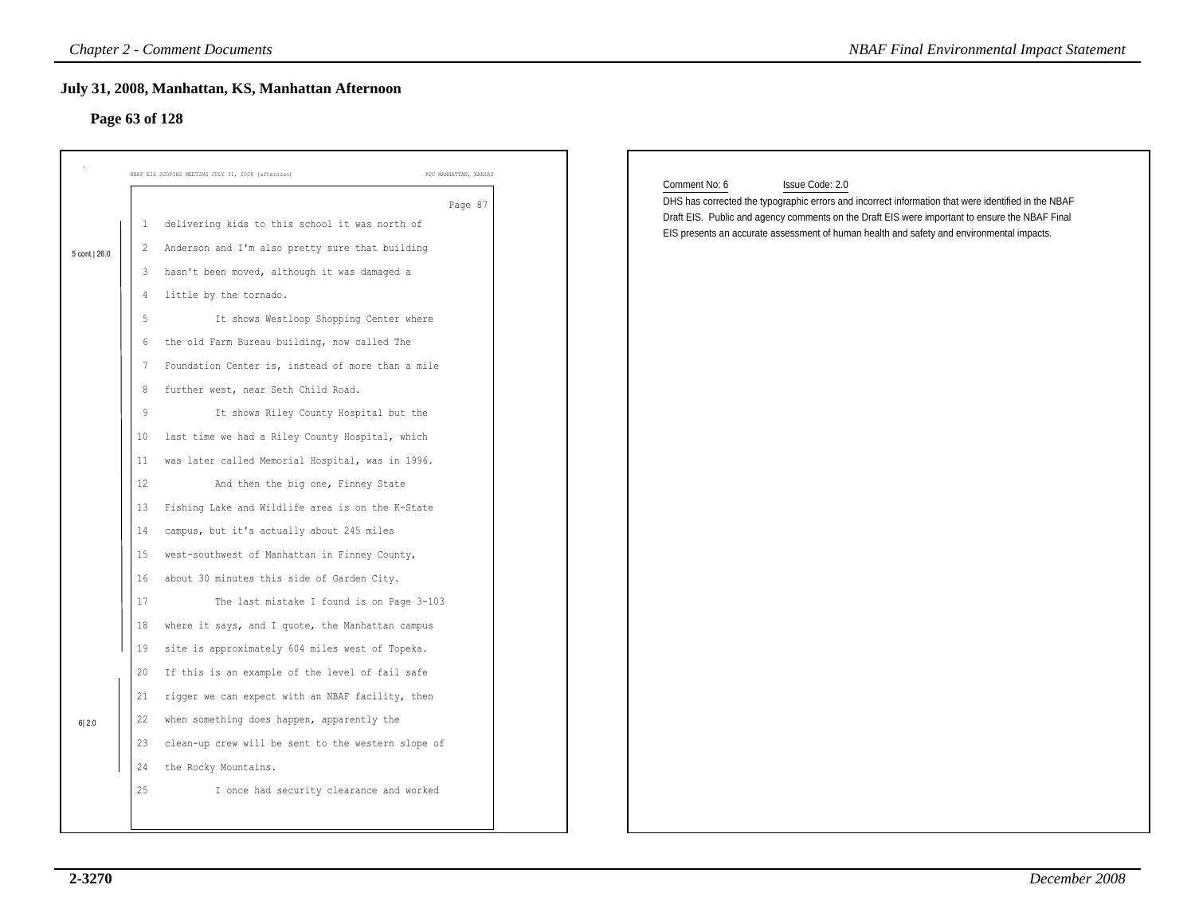# **Page 63 of 128**

|              |              | <b>Chapter 2 - Comment Documents</b>                                        | <b>NBAF Final Environmental Impact Statement</b>                                                                                        |
|--------------|--------------|-----------------------------------------------------------------------------|-----------------------------------------------------------------------------------------------------------------------------------------|
|              |              | July 31, 2008, Manhattan, KS, Manhattan Afternoon                           |                                                                                                                                         |
|              |              | Page 63 of 128                                                              |                                                                                                                                         |
|              |              |                                                                             |                                                                                                                                         |
|              |              | NBAF EIS SCOPING MEETING JULY 31, 2008 (afternoon)<br>KSU MANHATTAN, KANSAS |                                                                                                                                         |
|              |              | Page 87                                                                     | Comment No: 6<br>Issue Code: 2.0<br>DHS has corrected the typographic errors and incorrect information that were identified in the NBAF |
|              | $\mathbf{1}$ | delivering kids to this school it was north of                              | Draft EIS. Public and agency comments on the Draft EIS were important to ensure the NBAF Final                                          |
| 5 cont. 26.0 | $\mathbf{2}$ | Anderson and I'm also pretty sure that building                             | EIS presents an accurate assessment of human health and safety and environmental impacts.                                               |
|              | 3            | hasn't been moved, although it was damaged a                                |                                                                                                                                         |
|              | 4            | little by the tornado.                                                      |                                                                                                                                         |
|              | 5            | It shows Westloop Shopping Center where                                     |                                                                                                                                         |
|              | 6            | the old Farm Bureau building, now called The                                |                                                                                                                                         |
|              | 7            | Foundation Center is, instead of more than a mile                           |                                                                                                                                         |
|              | 8            | further west, near Seth Child Road.                                         |                                                                                                                                         |
|              | 9            | It shows Riley County Hospital but the                                      |                                                                                                                                         |
|              | 10           | last time we had a Riley County Hospital, which                             |                                                                                                                                         |
|              | 11           | was later called Memorial Hospital, was in 1996.                            |                                                                                                                                         |
|              | 12           | And then the big one, Finney State                                          |                                                                                                                                         |
|              | 13           | Fishing Lake and Wildlife area is on the K-State                            |                                                                                                                                         |
|              | 14           | campus, but it's actually about 245 miles                                   |                                                                                                                                         |
|              | 15           | west-southwest of Manhattan in Finney County,                               |                                                                                                                                         |
|              | 16           | about 30 minutes this side of Garden City.                                  |                                                                                                                                         |
|              | 17           | The last mistake I found is on Page 3-103                                   |                                                                                                                                         |
|              | 18           | where it says, and I quote, the Manhattan campus                            |                                                                                                                                         |
|              | 19           | site is approximately 604 miles west of Topeka.                             |                                                                                                                                         |
|              | 20           | If this is an example of the level of fail safe                             |                                                                                                                                         |
|              | 21           | rigger we can expect with an NBAF facility, then                            |                                                                                                                                         |
| 6 2.0        | 22           | when something does happen, apparently the                                  |                                                                                                                                         |
|              |              | 23 clean-up crew will be sent to the western slope of                       |                                                                                                                                         |
|              | 24           | the Rocky Mountains.                                                        |                                                                                                                                         |
|              | 25           | I once had security clearance and worked                                    |                                                                                                                                         |
|              |              |                                                                             |                                                                                                                                         |
|              |              |                                                                             |                                                                                                                                         |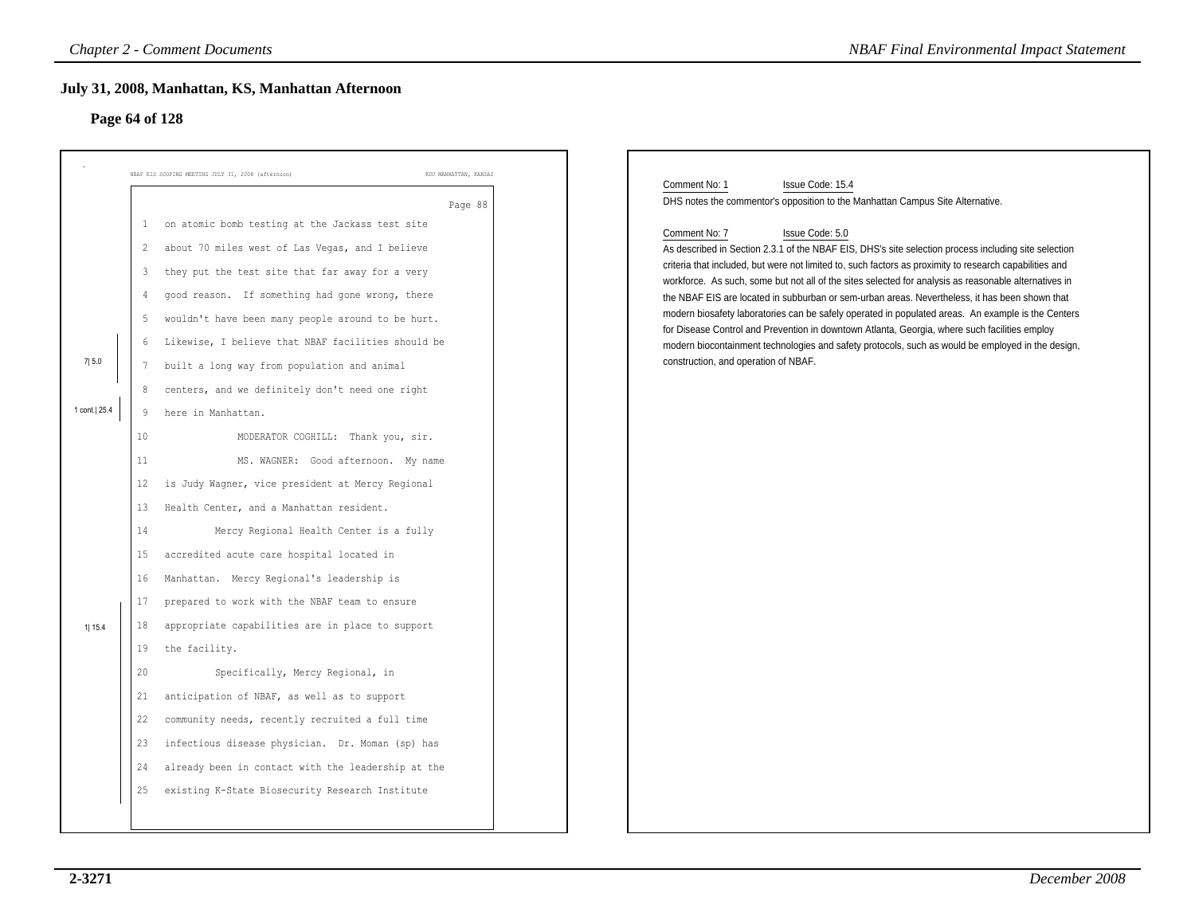# **Page 64 of 128**

|                       | July 31, 2008, Manhattan, KS, Manhattan Afternoon<br>Page 64 of 128                                                                                                                                                                                                                                                                                                                                                                                                                                                                                                                                                                                                                                                                                                                                                                               |                                  |                                                                                                                                                                                                                                                                                                                                                                                                                                                                                                                                                                                                                                                                                                                                                                                                                                                                                                                                           |
|-----------------------|---------------------------------------------------------------------------------------------------------------------------------------------------------------------------------------------------------------------------------------------------------------------------------------------------------------------------------------------------------------------------------------------------------------------------------------------------------------------------------------------------------------------------------------------------------------------------------------------------------------------------------------------------------------------------------------------------------------------------------------------------------------------------------------------------------------------------------------------------|----------------------------------|-------------------------------------------------------------------------------------------------------------------------------------------------------------------------------------------------------------------------------------------------------------------------------------------------------------------------------------------------------------------------------------------------------------------------------------------------------------------------------------------------------------------------------------------------------------------------------------------------------------------------------------------------------------------------------------------------------------------------------------------------------------------------------------------------------------------------------------------------------------------------------------------------------------------------------------------|
| 7 5.0<br>1 cont. 25.4 | NBAF EIS SCOPING MEETING JULY 31, 2008 (afternoon)<br>on atomic bomb testing at the Jackass test site<br>$\mathbf{1}$<br>about 70 miles west of Las Vegas, and I believe<br>$\overline{2}$<br>they put the test site that far away for a very<br>3<br>good reason. If something had gone wrong, there<br>4<br>wouldn't have been many people around to be hurt.<br>5<br>Likewise, I believe that NBAF facilities should be<br>6<br>built a long way from population and animal<br>7<br>centers, and we definitely don't need one right<br>8<br>here in Manhattan.<br>9                                                                                                                                                                                                                                                                            | KSU MANHATTAN, KANSAS<br>Page 88 | Comment No: 1<br>Issue Code: 15.4<br>DHS notes the commentor's opposition to the Manhattan Campus Site Alternative.<br>Issue Code: 5.0<br>Comment No: 7<br>As described in Section 2.3.1 of the NBAF EIS, DHS's site selection process including site selection<br>criteria that included, but were not limited to, such factors as proximity to research capabilities and<br>workforce. As such, some but not all of the sites selected for analysis as reasonable alternatives in<br>the NBAF EIS are located in subburban or sem-urban areas. Nevertheless, it has been shown that<br>modern biosafety laboratories can be safely operated in populated areas. An example is the Centers<br>for Disease Control and Prevention in downtown Atlanta, Georgia, where such facilities employ<br>modern biocontainment technologies and safety protocols, such as would be employed in the design,<br>construction, and operation of NBAF. |
| 1  15.4               | 10 <sup>°</sup><br>MODERATOR COGHILL: Thank you, sir.<br>11<br>MS. WAGNER: Good afternoon. My name<br>is Judy Wagner, vice president at Mercy Regional<br>12<br>Health Center, and a Manhattan resident.<br>13<br>Mercy Regional Health Center is a fully<br>14<br>accredited acute care hospital located in<br>15<br>Manhattan. Mercy Regional's leadership is<br>16<br>prepared to work with the NBAF team to ensure<br>17<br>appropriate capabilities are in place to support<br>18<br>the facility.<br>19<br>Specifically, Mercy Regional, in<br>20<br>anticipation of NBAF, as well as to support<br>21<br>22<br>community needs, recently recruited a full time<br>23 infectious disease physician. Dr. Moman (sp) has<br>already been in contact with the leadership at the<br>24<br>existing K-State Biosecurity Research Institute<br>25 |                                  |                                                                                                                                                                                                                                                                                                                                                                                                                                                                                                                                                                                                                                                                                                                                                                                                                                                                                                                                           |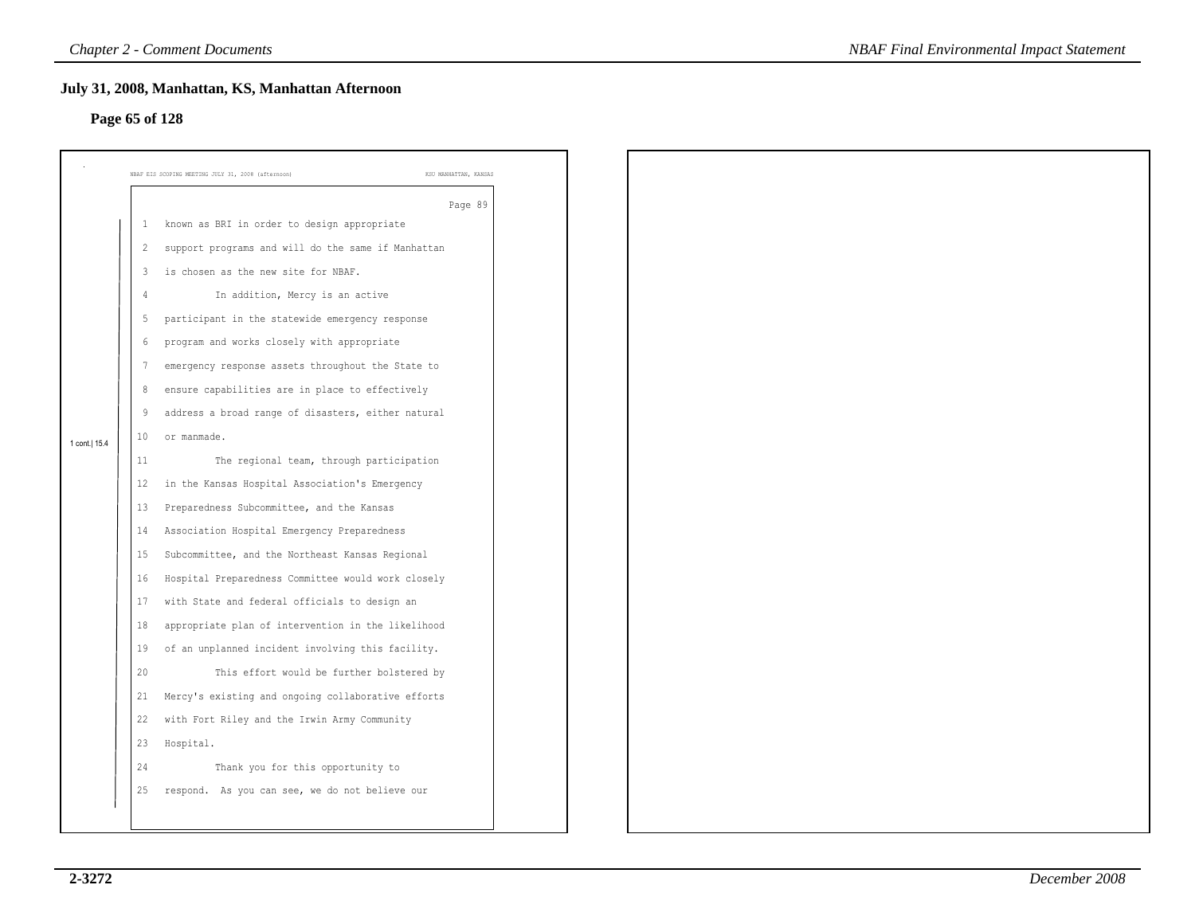# **Page 65 of 128**

|                | July 31, 2008, Manhattan, KS, Manhattan Afternoon  |                                                                                 |
|----------------|----------------------------------------------------|---------------------------------------------------------------------------------|
|                |                                                    |                                                                                 |
|                |                                                    |                                                                                 |
|                | KSU MANHATTAN, KANSAS                              |                                                                                 |
|                |                                                    |                                                                                 |
| -1             | known as BRI in order to design appropriate        |                                                                                 |
| 2              | support programs and will do the same if Manhattan |                                                                                 |
| $\overline{3}$ | is chosen as the new site for NBAF.                |                                                                                 |
| 4              | In addition, Mercy is an active                    |                                                                                 |
| 5              | participant in the statewide emergency response    |                                                                                 |
| 6              | program and works closely with appropriate         |                                                                                 |
| 7              | emergency response assets throughout the State to  |                                                                                 |
| 8              | ensure capabilities are in place to effectively    |                                                                                 |
| 9              | address a broad range of disasters, either natural |                                                                                 |
| 10             | or manmade.                                        |                                                                                 |
| 11             | The regional team, through participation           |                                                                                 |
| 12             | in the Kansas Hospital Association's Emergency     |                                                                                 |
| 13             | Preparedness Subcommittee, and the Kansas          |                                                                                 |
| 14             | Association Hospital Emergency Preparedness        |                                                                                 |
| 15             | Subcommittee, and the Northeast Kansas Regional    |                                                                                 |
| 16             | Hospital Preparedness Committee would work closely |                                                                                 |
| 17             | with State and federal officials to design an      |                                                                                 |
| 18             | appropriate plan of intervention in the likelihood |                                                                                 |
| 19             | of an unplanned incident involving this facility.  |                                                                                 |
| 20             | This effort would be further bolstered by          |                                                                                 |
| 21             | Mercy's existing and ongoing collaborative efforts |                                                                                 |
| 22             | with Fort Riley and the Irwin Army Community       |                                                                                 |
| 23             | Hospital.                                          |                                                                                 |
| 24             | Thank you for this opportunity to                  |                                                                                 |
| 25             | respond. As you can see, we do not believe our     |                                                                                 |
|                |                                                    |                                                                                 |
|                |                                                    | Page 65 of 128<br>NBAF EIS SCOPING MEETING JULY 31, 2008 (afternoon)<br>Page 89 |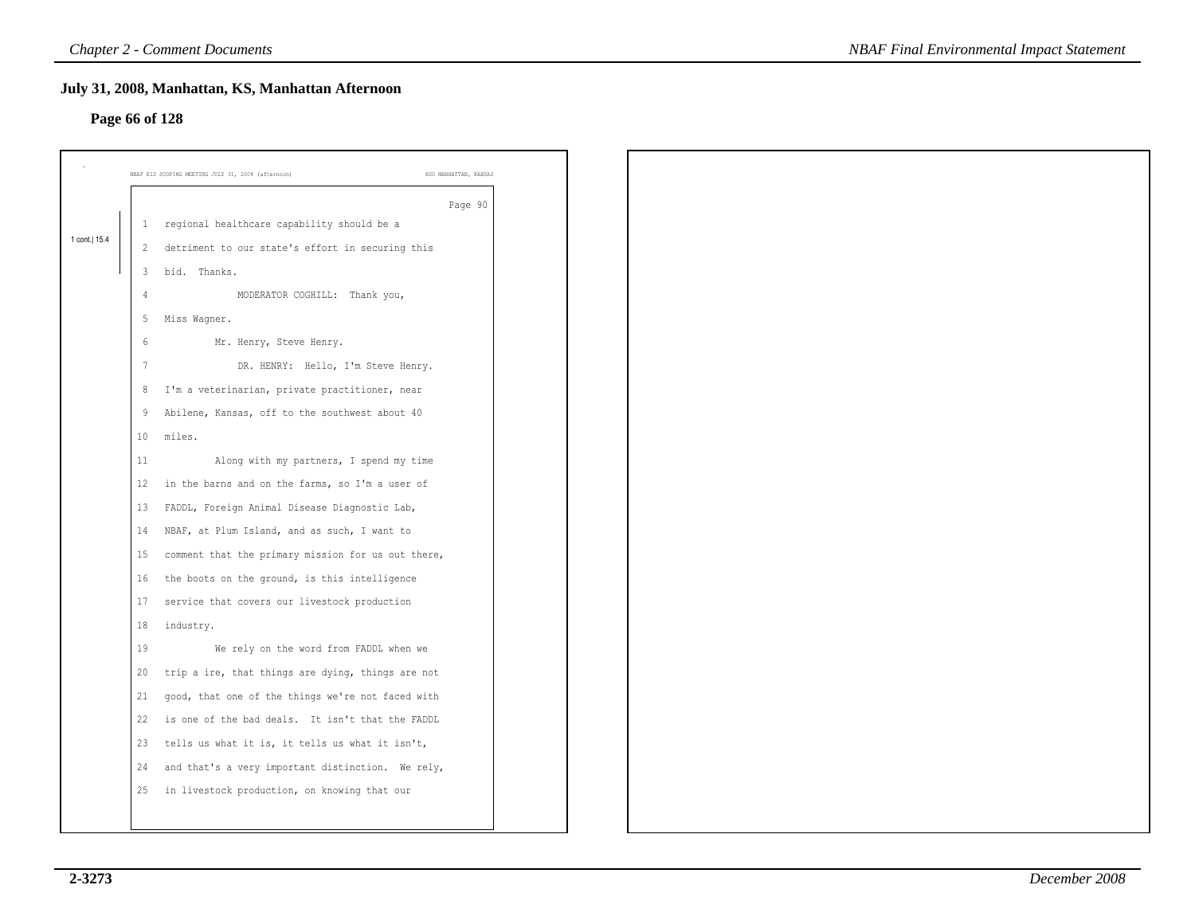# **Page 66 of 128**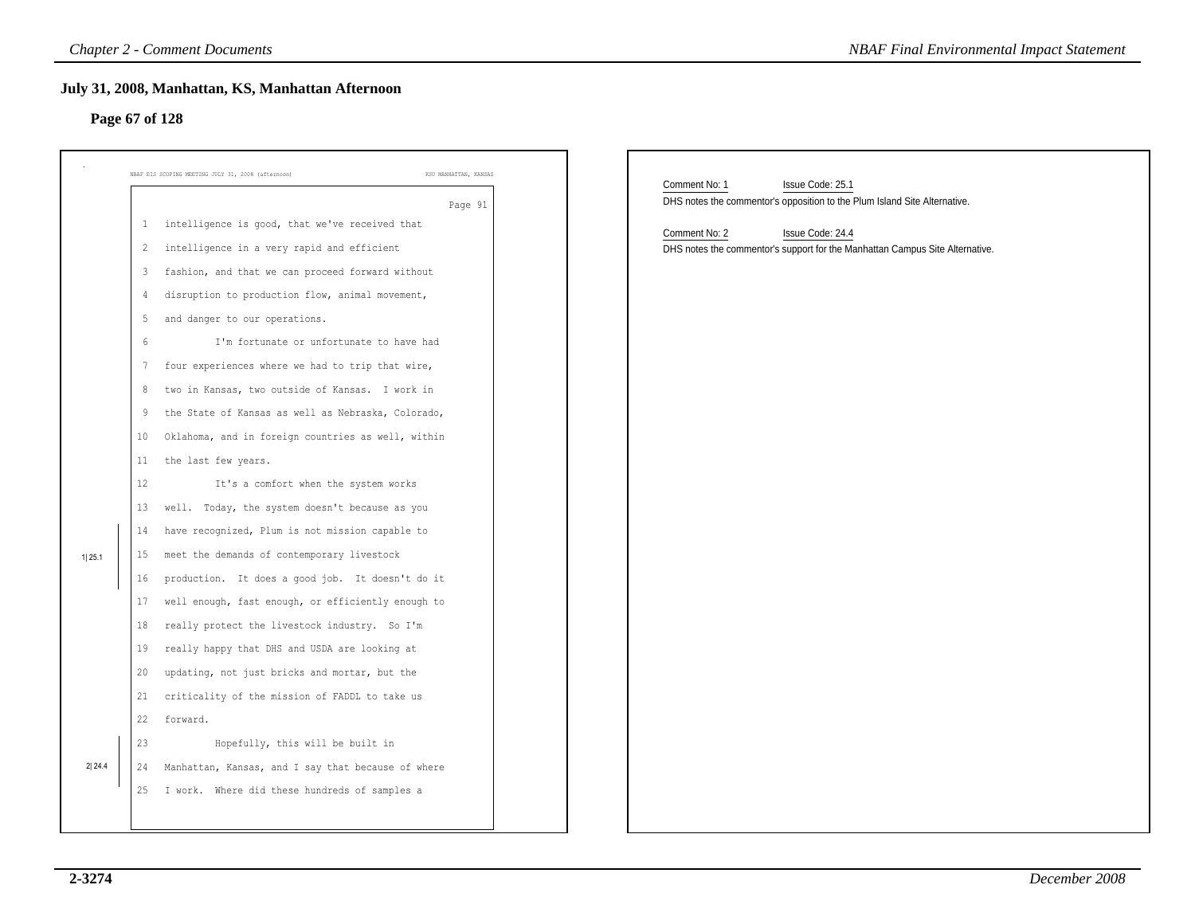# **Page 67 of 128**

|        |             | <b>Chapter 2 - Comment Documents</b>                                        | <b>NBAF Final Environmental Impact Statement</b>                             |
|--------|-------------|-----------------------------------------------------------------------------|------------------------------------------------------------------------------|
|        |             | July 31, 2008, Manhattan, KS, Manhattan Afternoon<br>Page 67 of 128         |                                                                              |
|        |             | KSU MANHATTAN, KANSAS<br>NBAF EIS SCOPING MEETING JULY 31, 2008 (afternoon) | Comment No: 1<br>Issue Code: 25.1                                            |
|        |             | Page 91                                                                     | DHS notes the commentor's opposition to the Plum Island Site Alternative.    |
|        |             | 1 intelligence is good, that we've received that                            | Comment No: 2<br>Issue Code: 24.4                                            |
|        | $2^{\circ}$ | intelligence in a very rapid and efficient                                  | DHS notes the commentor's support for the Manhattan Campus Site Alternative. |
|        | 3           | fashion, and that we can proceed forward without                            |                                                                              |
|        | 4           | disruption to production flow, animal movement,                             |                                                                              |
|        | 5           | and danger to our operations.                                               |                                                                              |
|        | 6           | I'm fortunate or unfortunate to have had                                    |                                                                              |
|        | 7           | four experiences where we had to trip that wire,                            |                                                                              |
|        | 8           | two in Kansas, two outside of Kansas. I work in                             |                                                                              |
|        | 9           | the State of Kansas as well as Nebraska, Colorado,                          |                                                                              |
|        | 10          | Oklahoma, and in foreign countries as well, within                          |                                                                              |
|        | 11          | the last few years.                                                         |                                                                              |
|        | 12          | It's a comfort when the system works                                        |                                                                              |
|        | 13          | well. Today, the system doesn't because as you                              |                                                                              |
|        | 14          | have recognized, Plum is not mission capable to                             |                                                                              |
| 1 25.1 | 15          | meet the demands of contemporary livestock                                  |                                                                              |
|        | 16          | production. It does a good job. It doesn't do it                            |                                                                              |
|        | 17          | well enough, fast enough, or efficiently enough to                          |                                                                              |
|        | 18          | really protect the livestock industry. So I'm                               |                                                                              |
|        | 19          | really happy that DHS and USDA are looking at                               |                                                                              |
|        | 20          | updating, not just bricks and mortar, but the                               |                                                                              |
|        | 21          | criticality of the mission of FADDL to take us                              |                                                                              |
|        |             | 22 forward.                                                                 |                                                                              |
|        | 23          | Hopefully, this will be built in                                            |                                                                              |
| 2 24.4 | 24          | Manhattan, Kansas, and I say that because of where                          |                                                                              |
|        | 25          | I work. Where did these hundreds of samples a                               |                                                                              |
|        |             |                                                                             |                                                                              |
|        |             |                                                                             |                                                                              |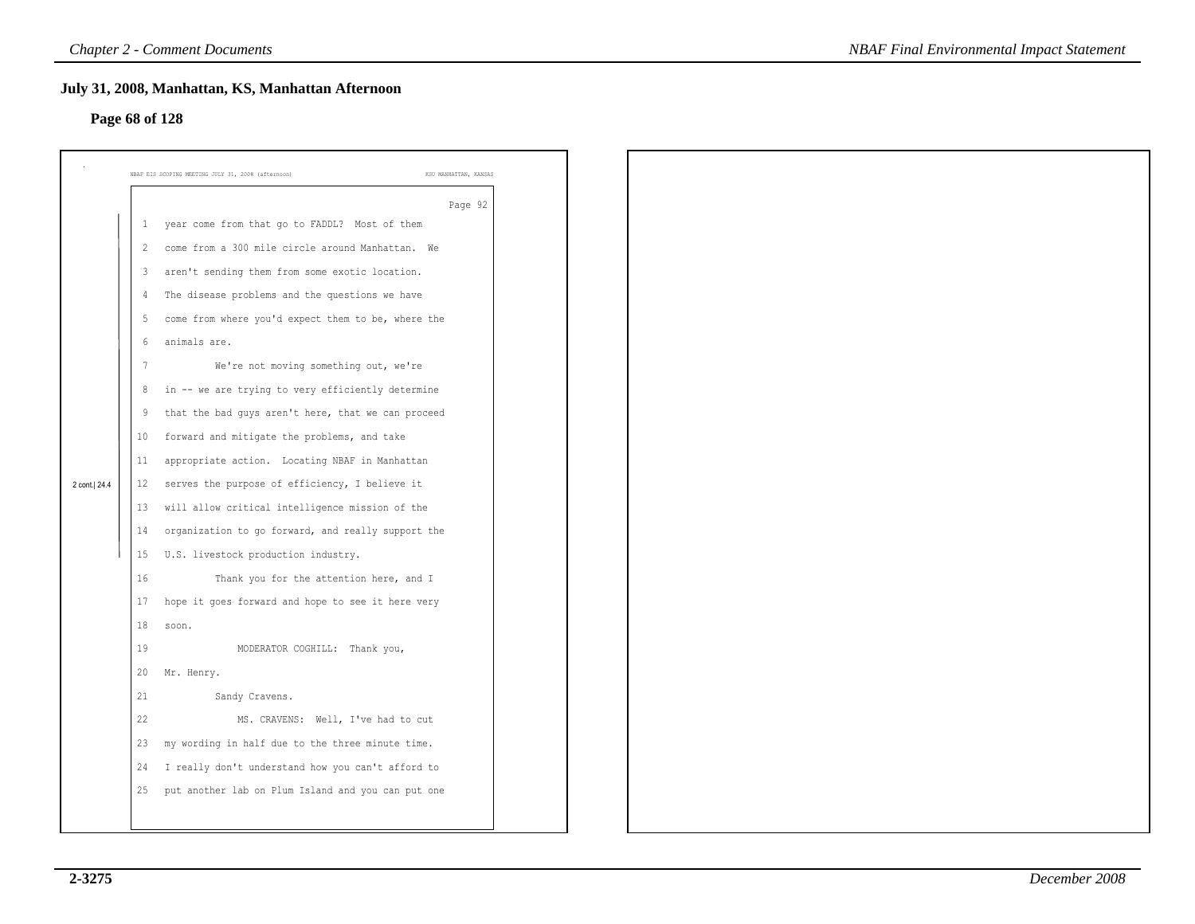# **Page 68 of 128**

|                |                | July 31, 2008, Manhattan, KS, Manhattan Afternoon                           |  |
|----------------|----------------|-----------------------------------------------------------------------------|--|
| Page 68 of 128 |                |                                                                             |  |
|                |                |                                                                             |  |
|                |                | NBAF EIS SCOPING MEETING JULY 31, 2008 (afternoon)<br>KSU MANHATTAN, KANSAS |  |
|                |                | Page 92                                                                     |  |
|                | 1              | year come from that go to FADDL? Most of them                               |  |
|                | 2              | come from a 300 mile circle around Manhattan. We                            |  |
|                | $\mathbf{3}$   | aren't sending them from some exotic location.                              |  |
|                | 4              | The disease problems and the questions we have                              |  |
|                | 5              | come from where you'd expect them to be, where the                          |  |
|                | 6              | animals are.                                                                |  |
|                | $\overline{7}$ | We're not moving something out, we're                                       |  |
|                | 8              | in -- we are trying to very efficiently determine                           |  |
|                | 9              | that the bad guys aren't here, that we can proceed                          |  |
|                | 10             | forward and mitigate the problems, and take                                 |  |
|                | 11             | appropriate action. Locating NBAF in Manhattan                              |  |
| 2 cont. 24.4   | 12             | serves the purpose of efficiency, I believe it                              |  |
|                | 13             | will allow critical intelligence mission of the                             |  |
|                | 14             | organization to go forward, and really support the                          |  |
|                | 15             | U.S. livestock production industry.                                         |  |
|                | 16             | Thank you for the attention here, and I                                     |  |
|                | 17             | hope it goes forward and hope to see it here very                           |  |
|                | 18             | soon.                                                                       |  |
|                | 19             | MODERATOR COGHILL: Thank you,                                               |  |
|                | 20             | Mr. Henry.                                                                  |  |
|                | 21             | Sandy Cravens.                                                              |  |
|                | 22             | MS. CRAVENS: Well, I've had to cut                                          |  |
|                | 23             | my wording in half due to the three minute time.                            |  |
|                | 24             | I really don't understand how you can't afford to                           |  |
|                | 25             | put another lab on Plum Island and you can put one                          |  |
|                |                |                                                                             |  |
|                |                |                                                                             |  |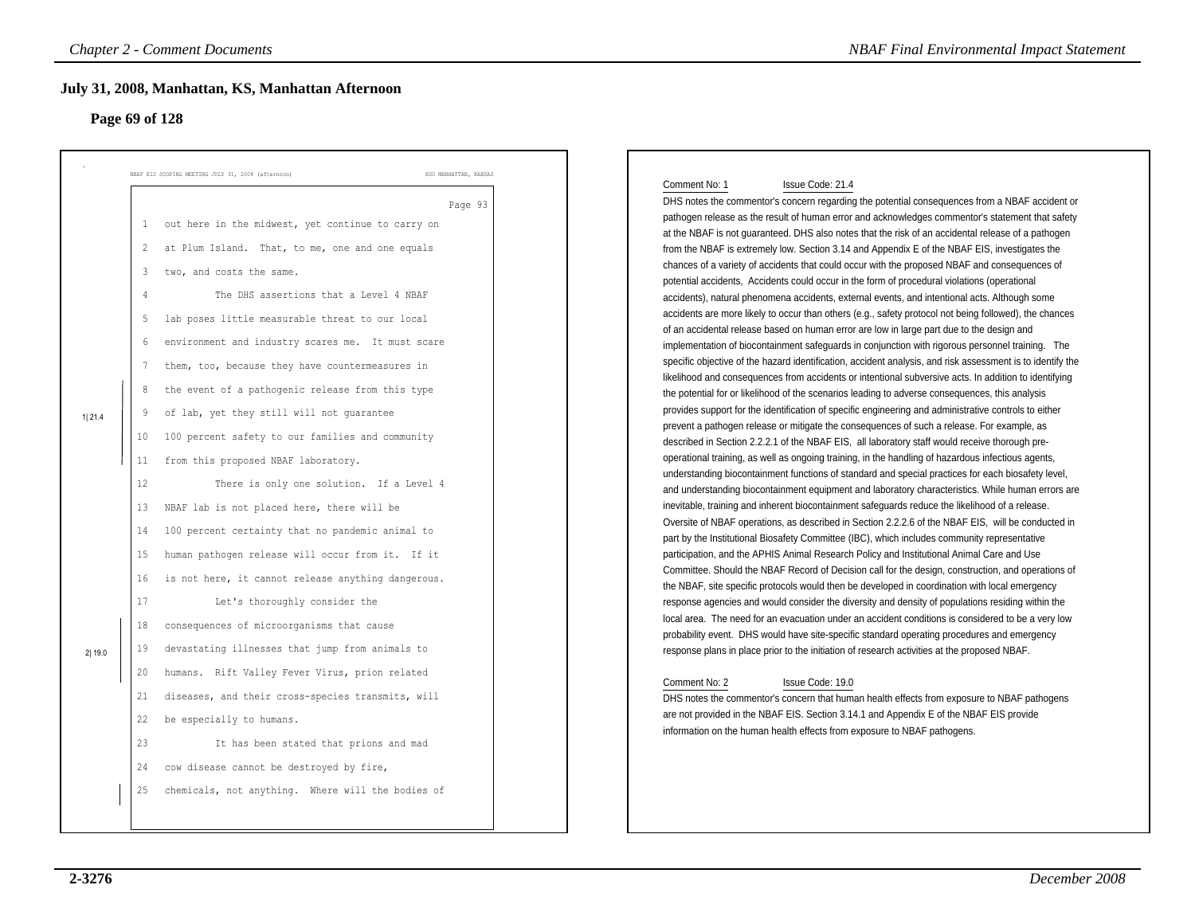# **Page 69 of 128**

| July 31, 2008, Manhattan, KS, Manhattan Afternoon<br>Page 69 of 128                                                                                                                                                                                                 |                                                                                                                                                                                                                                                                                                                                                                                                                                                                                                                                                                                                                                                                                                                                                                                                                                                                                                                                                                                                                                                            |                                                                                                                                                                                                                                                                                                                                                                                                                                                                                                                                                                                                                                                                                                                                                                                                                                                                                                                                                                                                                                                                                                                                                                                                                                                                                                                                                                                                                                                                                                                                                                                                                                                                                                                                                                                                                                                                                                                                                                                                                                                                                                                                                                                                                                                                                                                                                                                                                                                                                                                                                                                                                                                                                                                                                                                                                                                                                                                                                                                                                                                                                                                                                                                                                                                                                                                                                    |
|---------------------------------------------------------------------------------------------------------------------------------------------------------------------------------------------------------------------------------------------------------------------|------------------------------------------------------------------------------------------------------------------------------------------------------------------------------------------------------------------------------------------------------------------------------------------------------------------------------------------------------------------------------------------------------------------------------------------------------------------------------------------------------------------------------------------------------------------------------------------------------------------------------------------------------------------------------------------------------------------------------------------------------------------------------------------------------------------------------------------------------------------------------------------------------------------------------------------------------------------------------------------------------------------------------------------------------------|----------------------------------------------------------------------------------------------------------------------------------------------------------------------------------------------------------------------------------------------------------------------------------------------------------------------------------------------------------------------------------------------------------------------------------------------------------------------------------------------------------------------------------------------------------------------------------------------------------------------------------------------------------------------------------------------------------------------------------------------------------------------------------------------------------------------------------------------------------------------------------------------------------------------------------------------------------------------------------------------------------------------------------------------------------------------------------------------------------------------------------------------------------------------------------------------------------------------------------------------------------------------------------------------------------------------------------------------------------------------------------------------------------------------------------------------------------------------------------------------------------------------------------------------------------------------------------------------------------------------------------------------------------------------------------------------------------------------------------------------------------------------------------------------------------------------------------------------------------------------------------------------------------------------------------------------------------------------------------------------------------------------------------------------------------------------------------------------------------------------------------------------------------------------------------------------------------------------------------------------------------------------------------------------------------------------------------------------------------------------------------------------------------------------------------------------------------------------------------------------------------------------------------------------------------------------------------------------------------------------------------------------------------------------------------------------------------------------------------------------------------------------------------------------------------------------------------------------------------------------------------------------------------------------------------------------------------------------------------------------------------------------------------------------------------------------------------------------------------------------------------------------------------------------------------------------------------------------------------------------------------------------------------------------------------------------------------------------------|
| NBAF EIS SCOPING MEETING JULY 31, 2008 (afternoon)                                                                                                                                                                                                                  | KSU MANHATTAN, KANSAS                                                                                                                                                                                                                                                                                                                                                                                                                                                                                                                                                                                                                                                                                                                                                                                                                                                                                                                                                                                                                                      |                                                                                                                                                                                                                                                                                                                                                                                                                                                                                                                                                                                                                                                                                                                                                                                                                                                                                                                                                                                                                                                                                                                                                                                                                                                                                                                                                                                                                                                                                                                                                                                                                                                                                                                                                                                                                                                                                                                                                                                                                                                                                                                                                                                                                                                                                                                                                                                                                                                                                                                                                                                                                                                                                                                                                                                                                                                                                                                                                                                                                                                                                                                                                                                                                                                                                                                                                    |
| 2<br>two, and costs the same.<br>3<br>$\overline{4}$<br>5<br>6<br>7<br>8<br>9<br>1 21.4<br>10<br>11<br>12<br>13<br>14<br>15<br>16<br>17<br>18<br>19<br>2 19.0<br>20<br>21<br>be especially to humans.<br>22<br>23<br>cow disease cannot be destroyed by fire,<br>24 | Page 93<br>out here in the midwest, yet continue to carry on<br>at Plum Island. That, to me, one and one equals<br>The DHS assertions that a Level 4 NBAF<br>lab poses little measurable threat to our local<br>environment and industry scares me. It must scare<br>them, too, because they have countermeasures in<br>the event of a pathogenic release from this type<br>of lab, yet they still will not guarantee<br>100 percent safety to our families and community<br>from this proposed NBAF laboratory.<br>There is only one solution. If a Level 4<br>NBAF lab is not placed here, there will be<br>100 percent certainty that no pandemic animal to<br>human pathogen release will occur from it. If it<br>is not here, it cannot release anything dangerous.<br>Let's thoroughly consider the<br>consequences of microorganisms that cause<br>devastating illnesses that jump from animals to<br>humans. Rift Valley Fever Virus, prion related<br>diseases, and their cross-species transmits, will<br>It has been stated that prions and mad | Comment No: 1<br>Issue Code: 21.4<br>DHS notes the commentor's concern regarding the potential consequences from a NBAF accident or<br>pathogen release as the result of human error and acknowledges commentor's statement that safety<br>at the NBAF is not guaranteed. DHS also notes that the risk of an accidental release of a pathogen<br>from the NBAF is extremely low. Section 3.14 and Appendix E of the NBAF EIS, investigates the<br>chances of a variety of accidents that could occur with the proposed NBAF and consequences of<br>potential accidents, Accidents could occur in the form of procedural violations (operational<br>accidents), natural phenomena accidents, external events, and intentional acts. Although some<br>accidents are more likely to occur than others (e.g., safety protocol not being followed), the chances<br>of an accidental release based on human error are low in large part due to the design and<br>implementation of biocontainment safeguards in conjunction with rigorous personnel training. The<br>specific objective of the hazard identification, accident analysis, and risk assessment is to identify the<br>likelihood and consequences from accidents or intentional subversive acts. In addition to identifying<br>the potential for or likelihood of the scenarios leading to adverse consequences, this analysis<br>provides support for the identification of specific engineering and administrative controls to either<br>prevent a pathogen release or mitigate the consequences of such a release. For example, as<br>described in Section 2.2.2.1 of the NBAF EIS, all laboratory staff would receive thorough pre-<br>operational training, as well as ongoing training, in the handling of hazardous infectious agents,<br>understanding biocontainment functions of standard and special practices for each biosafety level,<br>and understanding biocontainment equipment and laboratory characteristics. While human errors are<br>inevitable, training and inherent biocontainment safeguards reduce the likelihood of a release.<br>Oversite of NBAF operations, as described in Section 2.2.2.6 of the NBAF EIS, will be conducted in<br>part by the Institutional Biosafety Committee (IBC), which includes community representative<br>participation, and the APHIS Animal Research Policy and Institutional Animal Care and Use<br>Committee. Should the NBAF Record of Decision call for the design, construction, and operations of<br>the NBAF, site specific protocols would then be developed in coordination with local emergency<br>response agencies and would consider the diversity and density of populations residing within the<br>local area. The need for an evacuation under an accident conditions is considered to be a very low<br>probability event. DHS would have site-specific standard operating procedures and emergency<br>response plans in place prior to the initiation of research activities at the proposed NBAF.<br>Comment No: 2<br>Issue Code: 19.0<br>DHS notes the commentor's concern that human health effects from exposure to NBAF pathogens<br>are not provided in the NBAF EIS. Section 3.14.1 and Appendix E of the NBAF EIS provide<br>information on the human health effects from exposure to NBAF pathogens. |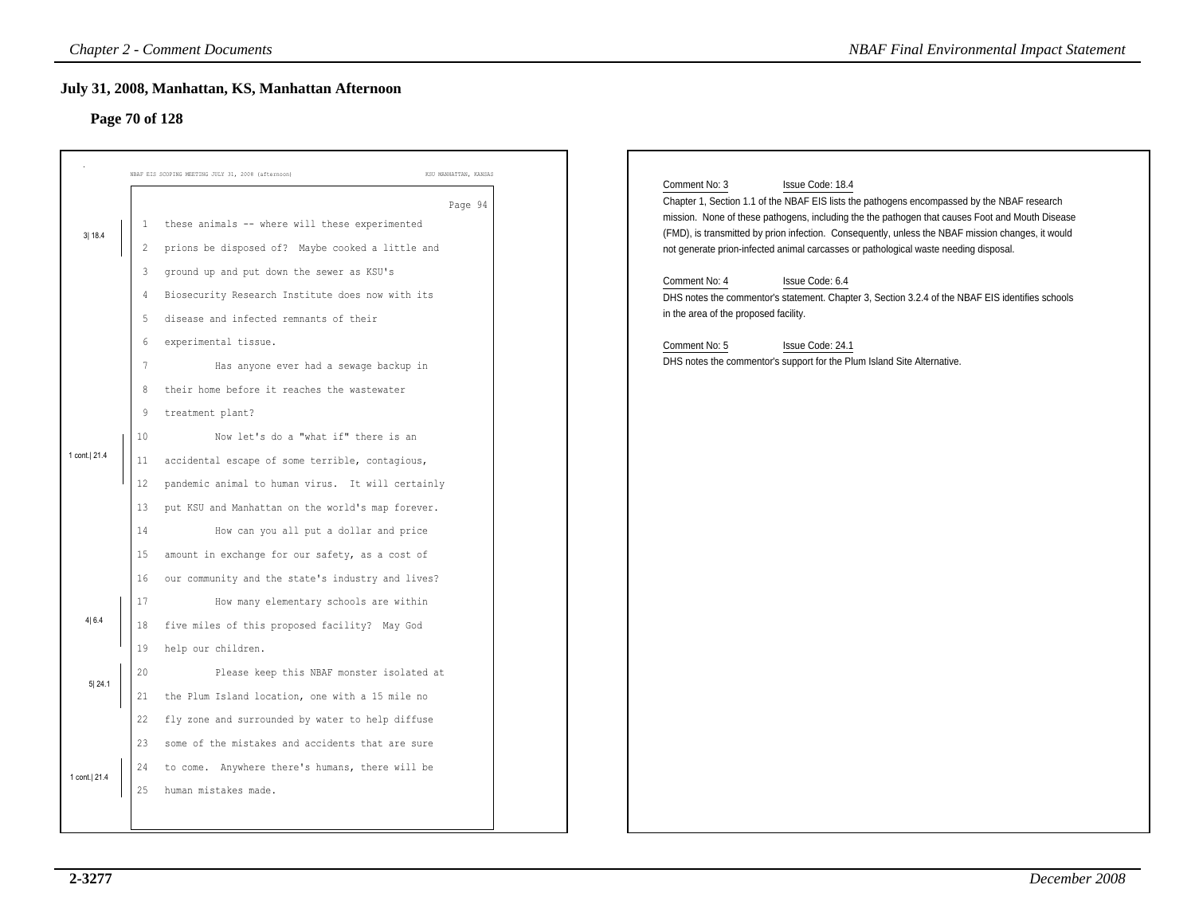# **Page 70 of 128**

|                                 |                                                                                                                          | <b>Chapter 2 - Comment Documents</b>                                                                                                                                                                                                                                                                                                                                                                                                                                                                                                                                                                                                                                                                                                                                                                                                                                                                                                                                                             | <b>NBAF Final Environmental Impact Statement</b>                                                                                                                                                                                                                                                                                                                                                                                                                                                                                                                                                                                                                                                                                  |
|---------------------------------|--------------------------------------------------------------------------------------------------------------------------|--------------------------------------------------------------------------------------------------------------------------------------------------------------------------------------------------------------------------------------------------------------------------------------------------------------------------------------------------------------------------------------------------------------------------------------------------------------------------------------------------------------------------------------------------------------------------------------------------------------------------------------------------------------------------------------------------------------------------------------------------------------------------------------------------------------------------------------------------------------------------------------------------------------------------------------------------------------------------------------------------|-----------------------------------------------------------------------------------------------------------------------------------------------------------------------------------------------------------------------------------------------------------------------------------------------------------------------------------------------------------------------------------------------------------------------------------------------------------------------------------------------------------------------------------------------------------------------------------------------------------------------------------------------------------------------------------------------------------------------------------|
| Page 70 of 128                  |                                                                                                                          | July 31, 2008, Manhattan, KS, Manhattan Afternoon                                                                                                                                                                                                                                                                                                                                                                                                                                                                                                                                                                                                                                                                                                                                                                                                                                                                                                                                                |                                                                                                                                                                                                                                                                                                                                                                                                                                                                                                                                                                                                                                                                                                                                   |
| 3 18.4<br>1 cont. 21.4<br>4 6.4 | $\overline{2}$<br>3<br>4<br>5<br>6<br>7<br>8<br>9<br>10<br>11<br>$12 \,$<br>13<br>14<br>15<br>16<br>17<br>18<br>19<br>20 | NBAF EIS SCOPING MEETING JULY 31, 2008 (afternoon<br>KSU MANHATTAN, KANSAS<br>Page 94<br>these animals -- where will these experimented<br>prions be disposed of? Maybe cooked a little and<br>ground up and put down the sewer as KSU's<br>Biosecurity Research Institute does now with its<br>disease and infected remnants of their<br>experimental tissue.<br>Has anyone ever had a sewage backup in<br>their home before it reaches the wastewater<br>treatment plant?<br>Now let's do a "what if" there is an<br>accidental escape of some terrible, contagious,<br>pandemic animal to human virus. It will certainly<br>put KSU and Manhattan on the world's map forever.<br>How can you all put a dollar and price<br>amount in exchange for our safety, as a cost of<br>our community and the state's industry and lives?<br>How many elementary schools are within<br>five miles of this proposed facility? May God<br>help our children.<br>Please keep this NBAF monster isolated at | Comment No: 3<br>Issue Code: 18.4<br>Chapter 1, Section 1.1 of the NBAF EIS lists the pathogens encompassed by the NBAF research<br>mission. None of these pathogens, including the the pathogen that causes Foot and Mouth Disease<br>(FMD), is transmitted by prion infection. Consequently, unless the NBAF mission changes, it would<br>not generate prion-infected animal carcasses or pathological waste needing disposal.<br>Issue Code: 6.4<br>Comment No: 4<br>DHS notes the commentor's statement. Chapter 3, Section 3.2.4 of the NBAF EIS identifies schools<br>in the area of the proposed facility.<br>Comment No: 5<br>Issue Code: 24.1<br>DHS notes the commentor's support for the Plum Island Site Alternative. |
| 5 24.1<br>1 cont. 21.4          | 21<br>22<br>25                                                                                                           | the Plum Island location, one with a 15 mile no<br>fly zone and surrounded by water to help diffuse<br>23 some of the mistakes and accidents that are sure<br>24 to come. Anywhere there's humans, there will be<br>human mistakes made.                                                                                                                                                                                                                                                                                                                                                                                                                                                                                                                                                                                                                                                                                                                                                         |                                                                                                                                                                                                                                                                                                                                                                                                                                                                                                                                                                                                                                                                                                                                   |
|                                 |                                                                                                                          |                                                                                                                                                                                                                                                                                                                                                                                                                                                                                                                                                                                                                                                                                                                                                                                                                                                                                                                                                                                                  |                                                                                                                                                                                                                                                                                                                                                                                                                                                                                                                                                                                                                                                                                                                                   |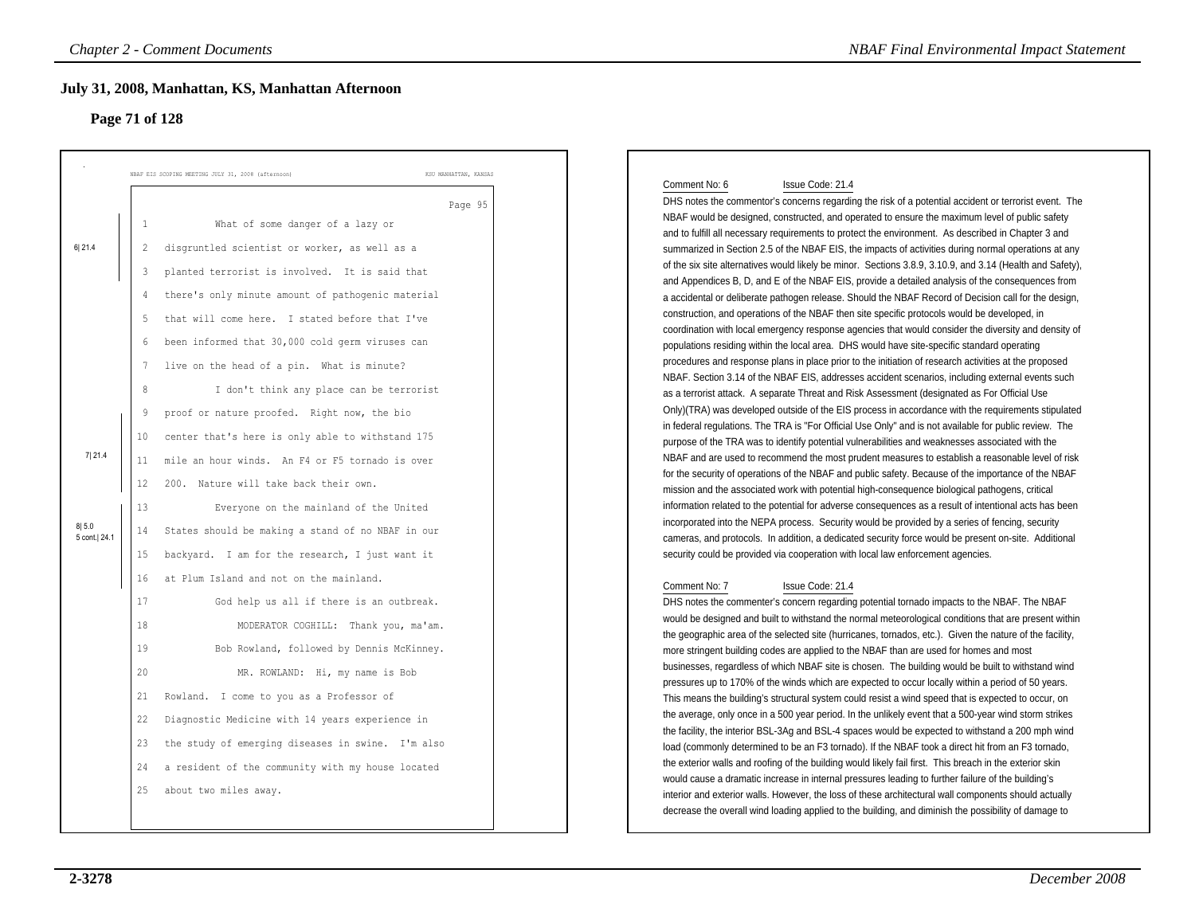### **Page 71 of 128**

| Page 71 of 128 |                | July 31, 2008, Manhattan, KS, Manhattan Afternoon                           |                                                                                                                                                                                                               |
|----------------|----------------|-----------------------------------------------------------------------------|---------------------------------------------------------------------------------------------------------------------------------------------------------------------------------------------------------------|
|                |                | KSU MANHATTAN, KANSAS<br>NBAF EIS SCOPING MEETING JULY 31, 2008 (afternoon) |                                                                                                                                                                                                               |
|                |                | Page 95                                                                     | Comment No: 6<br>Issue Code: 21.4<br>DHS notes the commentor's concerns regarding the risk of a potential accident or terrorist event. The                                                                    |
|                | $\mathbf{1}$   | What of some danger of a lazy or                                            | NBAF would be designed, constructed, and operated to ensure the maximum level of public safety                                                                                                                |
| 6 21.4         | $\overline{2}$ | disgruntled scientist or worker, as well as a                               | and to fulfill all necessary requirements to protect the environment. As described in Chapter 3 and<br>summarized in Section 2.5 of the NBAF EIS, the impacts of activities during normal operations at any   |
|                |                |                                                                             | of the six site alternatives would likely be minor. Sections 3.8.9, 3.10.9, and 3.14 (Health and Safety),                                                                                                     |
|                | 3              | planted terrorist is involved. It is said that                              | and Appendices B, D, and E of the NBAF EIS, provide a detailed analysis of the consequences from                                                                                                              |
|                | 4              | there's only minute amount of pathogenic material                           | a accidental or deliberate pathogen release. Should the NBAF Record of Decision call for the design,                                                                                                          |
|                | 5              | that will come here. I stated before that I've                              | construction, and operations of the NBAF then site specific protocols would be developed, in                                                                                                                  |
|                | 6              | been informed that 30,000 cold germ viruses can                             | coordination with local emergency response agencies that would consider the diversity and density of<br>populations residing within the local area. DHS would have site-specific standard operating           |
|                |                |                                                                             | procedures and response plans in place prior to the initiation of research activities at the proposed                                                                                                         |
|                | 7              | live on the head of a pin. What is minute?                                  | NBAF. Section 3.14 of the NBAF EIS, addresses accident scenarios, including external events such                                                                                                              |
|                | 8              | I don't think any place can be terrorist                                    | as a terrorist attack. A separate Threat and Risk Assessment (designated as For Official Use                                                                                                                  |
|                | 9              | proof or nature proofed. Right now, the bio                                 | Only)(TRA) was developed outside of the EIS process in accordance with the requirements stipulated                                                                                                            |
|                | 10             | center that's here is only able to withstand 175                            | in federal regulations. The TRA is "For Official Use Only" and is not available for public review. The                                                                                                        |
| 7 21.4         |                | mile an hour winds. An F4 or F5 tornado is over                             | purpose of the TRA was to identify potential vulnerabilities and weaknesses associated with the<br>NBAF and are used to recommend the most prudent measures to establish a reasonable level of risk           |
|                | 11             |                                                                             | for the security of operations of the NBAF and public safety. Because of the importance of the NBAF                                                                                                           |
|                | 12             | 200. Nature will take back their own.                                       | mission and the associated work with potential high-consequence biological pathogens, critical                                                                                                                |
|                | 13             | Everyone on the mainland of the United                                      | information related to the potential for adverse consequences as a result of intentional acts has been                                                                                                        |
| 8 5.0          | 14             | States should be making a stand of no NBAF in our                           | incorporated into the NEPA process. Security would be provided by a series of fencing, security                                                                                                               |
| 5 cont.  24.1  | 15             |                                                                             | cameras, and protocols. In addition, a dedicated security force would be present on-site. Additional                                                                                                          |
|                |                | backyard. I am for the research, I just want it                             | security could be provided via cooperation with local law enforcement agencies.                                                                                                                               |
|                | 16             | at Plum Island and not on the mainland.                                     | Comment No: 7<br>Issue Code: 21.4                                                                                                                                                                             |
|                | 17             | God help us all if there is an outbreak.                                    | DHS notes the commenter's concern regarding potential tornado impacts to the NBAF. The NBAF                                                                                                                   |
|                | 18             | MODERATOR COGHILL: Thank you, ma'am.                                        | would be designed and built to withstand the normal meteorological conditions that are present within                                                                                                         |
|                | 19             | Bob Rowland, followed by Dennis McKinney.                                   | the geographic area of the selected site (hurricanes, tornados, etc.). Given the nature of the facility,                                                                                                      |
|                |                |                                                                             | more stringent building codes are applied to the NBAF than are used for homes and most<br>businesses, regardless of which NBAF site is chosen. The building would be built to withstand wind                  |
|                | 20             | MR. ROWLAND: Hi, my name is Bob                                             | pressures up to 170% of the winds which are expected to occur locally within a period of 50 years.                                                                                                            |
|                | 21             | Rowland. I come to you as a Professor of                                    | This means the building's structural system could resist a wind speed that is expected to occur, on                                                                                                           |
|                | 22             | Diagnostic Medicine with 14 years experience in                             | the average, only once in a 500 year period. In the unlikely event that a 500-year wind storm strikes                                                                                                         |
|                | 23             | the study of emerging diseases in swine. I'm also                           | the facility, the interior BSL-3Ag and BSL-4 spaces would be expected to withstand a 200 mph wind                                                                                                             |
|                |                |                                                                             | load (commonly determined to be an F3 tornado). If the NBAF took a direct hit from an F3 tornado,<br>the exterior walls and roofing of the building would likely fail first. This breach in the exterior skin |
|                | 24             | a resident of the community with my house located                           | would cause a dramatic increase in internal pressures leading to further failure of the building's                                                                                                            |
|                | 25             | about two miles away.                                                       | interior and exterior walls. However, the loss of these architectural wall components should actually                                                                                                         |
|                |                |                                                                             | decrease the overall wind loading applied to the building, and diminish the possibility of damage to                                                                                                          |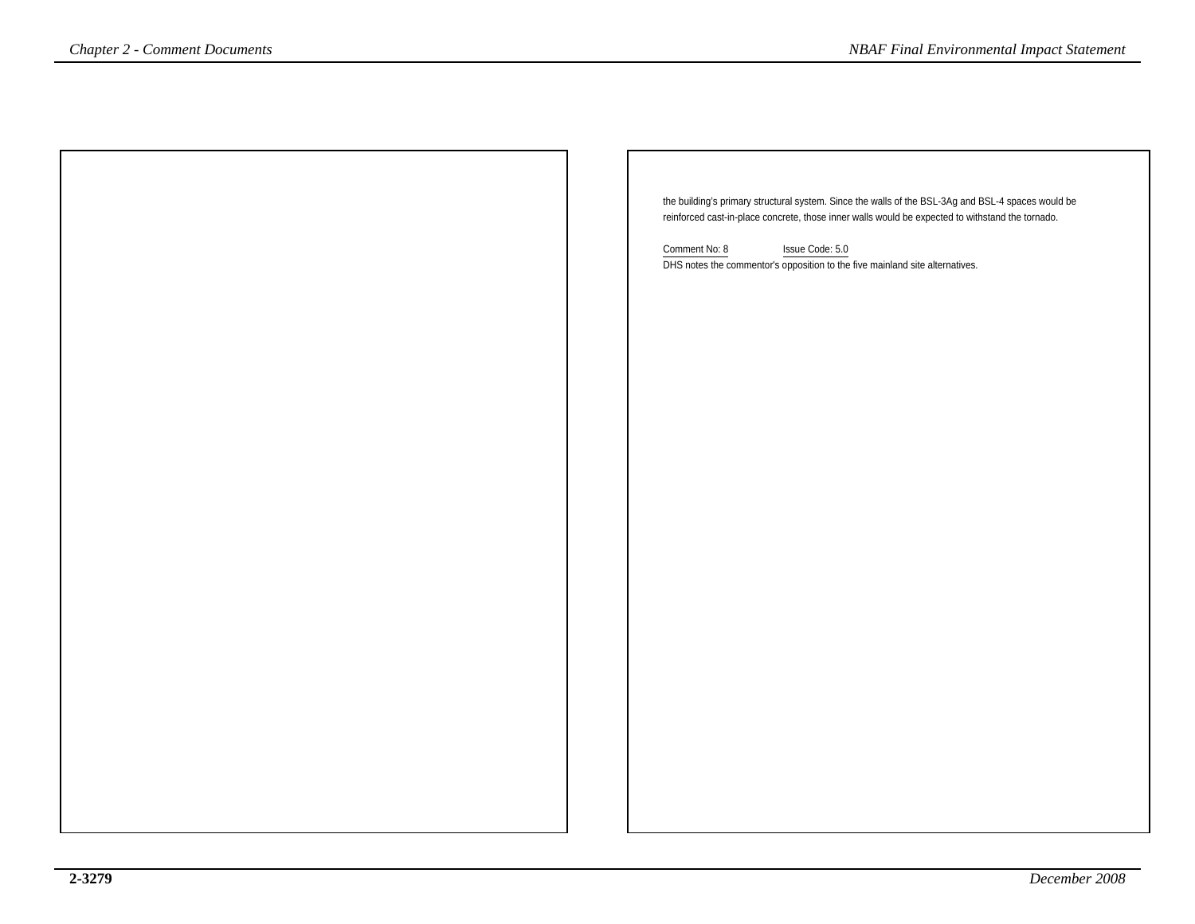| Chapter 2 - Comment Documents | <b>NBAF Final Environmental Impact Statement</b>                                                   |
|-------------------------------|----------------------------------------------------------------------------------------------------|
|                               |                                                                                                    |
|                               |                                                                                                    |
|                               |                                                                                                    |
|                               |                                                                                                    |
|                               |                                                                                                    |
|                               | the building's primary structural system. Since the walls of the BSL-3Ag and BSL-4 spaces would be |
|                               | reinforced cast-in-place concrete, those inner walls would be expected to withstand the tornado.   |
|                               | Comment No: 8<br>Issue Code: 5.0                                                                   |
|                               | DHS notes the commentor's opposition to the five mainland site alternatives.                       |
|                               |                                                                                                    |
|                               |                                                                                                    |
|                               |                                                                                                    |
|                               |                                                                                                    |
|                               |                                                                                                    |
|                               |                                                                                                    |
|                               |                                                                                                    |
|                               |                                                                                                    |
|                               |                                                                                                    |
|                               |                                                                                                    |
|                               |                                                                                                    |
|                               |                                                                                                    |
|                               |                                                                                                    |
|                               |                                                                                                    |
|                               |                                                                                                    |
|                               |                                                                                                    |
|                               |                                                                                                    |
|                               |                                                                                                    |
|                               |                                                                                                    |
|                               |                                                                                                    |
|                               |                                                                                                    |
|                               |                                                                                                    |
|                               |                                                                                                    |
|                               |                                                                                                    |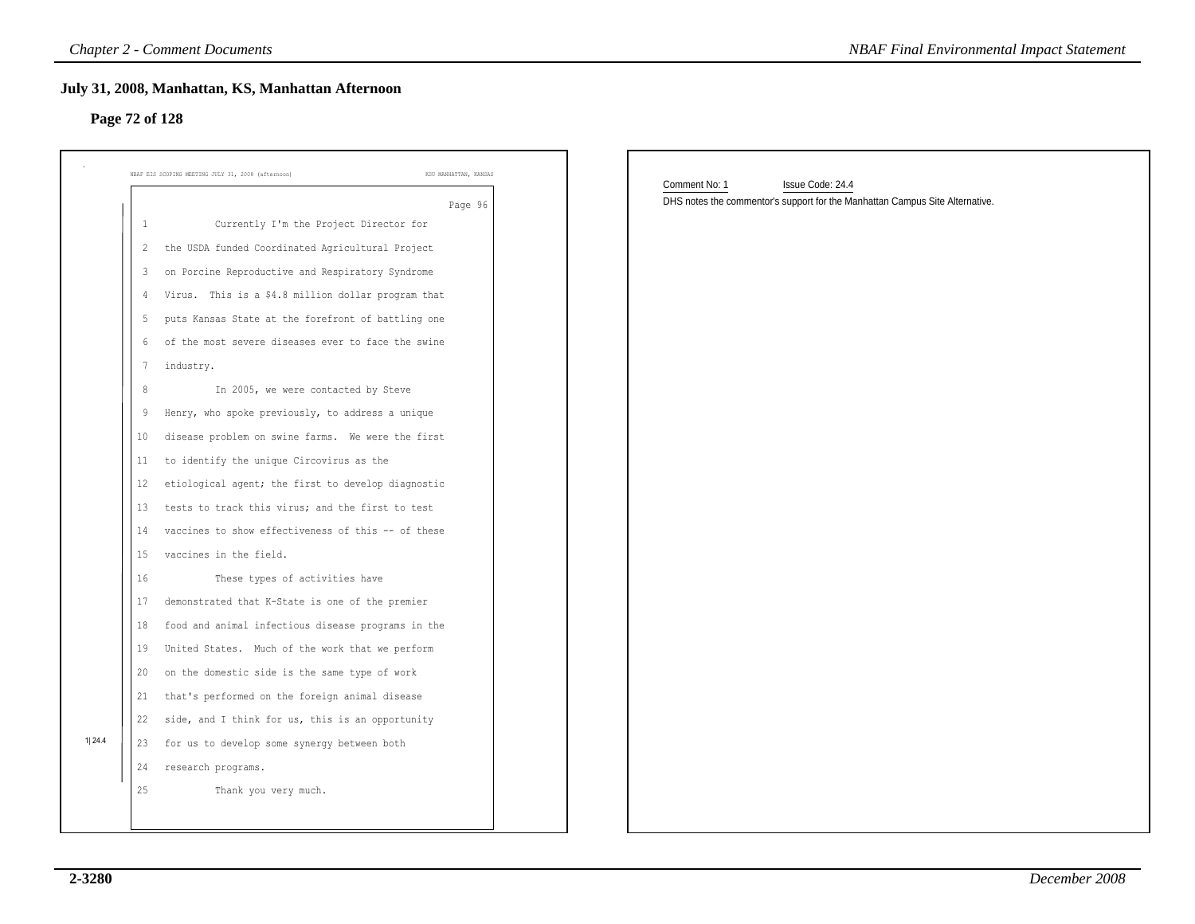### **Page 72 of 128**

|                |                | <b>Chapter 2 - Comment Documents</b>                                        | <b>NBAF Final Environmental Impact Statement</b>                             |
|----------------|----------------|-----------------------------------------------------------------------------|------------------------------------------------------------------------------|
| Page 72 of 128 |                | July 31, 2008, Manhattan, KS, Manhattan Afternoon                           |                                                                              |
|                |                | NBAF EIS SCOPING MEETING JULY 31, 2008 (afternoon)<br>KSU MANHATTAN, KANSAS | Comment No: 1<br>Issue Code: 24.4                                            |
|                |                | Page 96                                                                     | DHS notes the commentor's support for the Manhattan Campus Site Alternative. |
|                | 1              | Currently I'm the Project Director for                                      |                                                                              |
|                | $\overline{2}$ | the USDA funded Coordinated Agricultural Project                            |                                                                              |
|                | 3              | on Porcine Reproductive and Respiratory Syndrome                            |                                                                              |
|                | 4              | Virus. This is a \$4.8 million dollar program that                          |                                                                              |
|                | 5              | puts Kansas State at the forefront of battling one                          |                                                                              |
|                | 6              | of the most severe diseases ever to face the swine                          |                                                                              |
|                | $\overline{7}$ | industry.                                                                   |                                                                              |
|                | 8              | In 2005, we were contacted by Steve                                         |                                                                              |
|                | 9              | Henry, who spoke previously, to address a unique                            |                                                                              |
|                | 10             | disease problem on swine farms. We were the first                           |                                                                              |
|                | 11             | to identify the unique Circovirus as the                                    |                                                                              |
|                | 12             | etiological agent; the first to develop diagnostic                          |                                                                              |
|                | 13             | tests to track this virus; and the first to test                            |                                                                              |
|                | 14             | vaccines to show effectiveness of this -- of these                          |                                                                              |
|                | 15             | vaccines in the field.                                                      |                                                                              |
|                | 16             | These types of activities have                                              |                                                                              |
|                | 17             | demonstrated that K-State is one of the premier                             |                                                                              |
|                | 18             | food and animal infectious disease programs in the                          |                                                                              |
|                | 19             | United States. Much of the work that we perform                             |                                                                              |
|                | 20             | on the domestic side is the same type of work                               |                                                                              |
|                | 21             | that's performed on the foreign animal disease                              |                                                                              |
|                | 22             | side, and I think for us, this is an opportunity                            |                                                                              |
| 1  24.4        | 23             | for us to develop some synergy between both                                 |                                                                              |
|                | 24             | research programs.                                                          |                                                                              |
|                | 25             | Thank you very much.                                                        |                                                                              |
|                |                |                                                                             |                                                                              |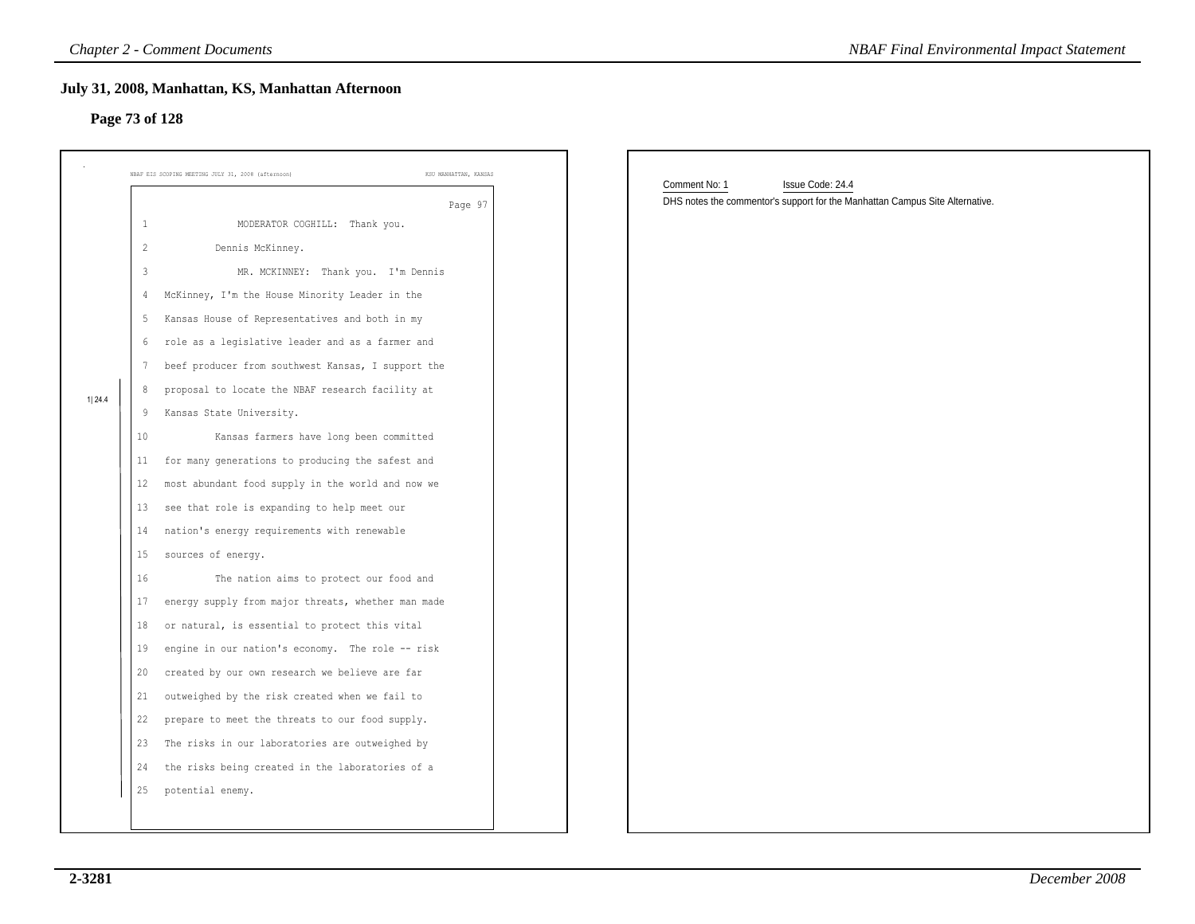### **Page 73 of 128**

|                                                                                                                                                                                      | <b>Chapter 2 - Comment Documents</b>                                                                                                                                                                                                                                                                                                                                                                                                                                                                                                                                                                                                                                                                                                                                                                                                                                                                                                                                                                                                                                                                                                                 | <b>NBAF Final Environmental Impact Statement</b>                                                                  |
|--------------------------------------------------------------------------------------------------------------------------------------------------------------------------------------|------------------------------------------------------------------------------------------------------------------------------------------------------------------------------------------------------------------------------------------------------------------------------------------------------------------------------------------------------------------------------------------------------------------------------------------------------------------------------------------------------------------------------------------------------------------------------------------------------------------------------------------------------------------------------------------------------------------------------------------------------------------------------------------------------------------------------------------------------------------------------------------------------------------------------------------------------------------------------------------------------------------------------------------------------------------------------------------------------------------------------------------------------|-------------------------------------------------------------------------------------------------------------------|
| Page 73 of 128                                                                                                                                                                       | July 31, 2008, Manhattan, KS, Manhattan Afternoon                                                                                                                                                                                                                                                                                                                                                                                                                                                                                                                                                                                                                                                                                                                                                                                                                                                                                                                                                                                                                                                                                                    |                                                                                                                   |
|                                                                                                                                                                                      | NBAF EIS SCOPING MEETING JULY 31, 2008 (afternoon)<br>KSU MANHATTAN, KANSAS                                                                                                                                                                                                                                                                                                                                                                                                                                                                                                                                                                                                                                                                                                                                                                                                                                                                                                                                                                                                                                                                          |                                                                                                                   |
| 1<br>$\overline{c}$<br>$\mathbf{3}$<br>4<br>5<br>6<br>7<br>8<br>1 24.4<br>-9<br>10<br>11<br>12<br>13<br>14<br>15<br>16<br>17<br>18<br>19<br>20<br>21<br>22<br>25<br>potential enemy. | Page 97<br>MODERATOR COGHILL: Thank you.<br>Dennis McKinney.<br>MR. MCKINNEY: Thank you. I'm Dennis<br>McKinney, I'm the House Minority Leader in the<br>Kansas House of Representatives and both in my<br>role as a legislative leader and as a farmer and<br>beef producer from southwest Kansas, I support the<br>proposal to locate the NBAF research facility at<br>Kansas State University.<br>Kansas farmers have long been committed<br>for many generations to producing the safest and<br>most abundant food supply in the world and now we<br>see that role is expanding to help meet our<br>nation's energy requirements with renewable<br>sources of energy.<br>The nation aims to protect our food and<br>energy supply from major threats, whether man made<br>or natural, is essential to protect this vital<br>engine in our nation's economy. The role -- risk<br>created by our own research we believe are far<br>outweighed by the risk created when we fail to<br>prepare to meet the threats to our food supply.<br>23 The risks in our laboratories are outweighed by<br>24 the risks being created in the laboratories of a | Comment No: 1<br>Issue Code: 24.4<br>DHS notes the commentor's support for the Manhattan Campus Site Alternative. |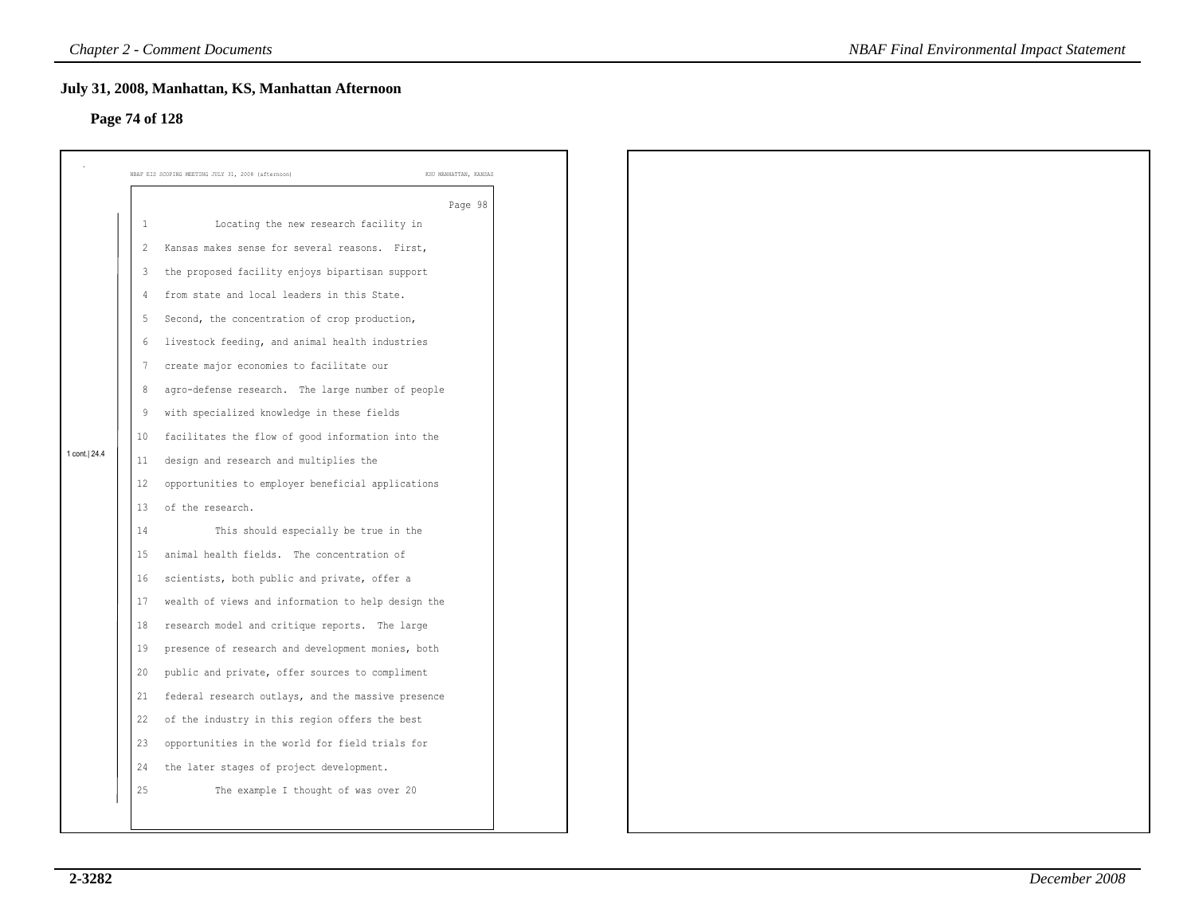### **Page 74 of 128**

|                | July 31, 2008, Manhattan, KS, Manhattan Afternoon  |                                                                      |
|----------------|----------------------------------------------------|----------------------------------------------------------------------|
|                |                                                    |                                                                      |
|                |                                                    |                                                                      |
|                |                                                    | KSU MANHATTAN, KANSAS                                                |
|                |                                                    | Page 98                                                              |
| -1             | Locating the new research facility in              |                                                                      |
| 2              | Kansas makes sense for several reasons. First,     |                                                                      |
| $\overline{3}$ | the proposed facility enjoys bipartisan support    |                                                                      |
| 4              | from state and local leaders in this State.        |                                                                      |
| -5             | Second, the concentration of crop production,      |                                                                      |
| 6              | livestock feeding, and animal health industries    |                                                                      |
| 7              | create major economies to facilitate our           |                                                                      |
| 8              | agro-defense research. The large number of people  |                                                                      |
| 9              | with specialized knowledge in these fields         |                                                                      |
| 10             | facilitates the flow of good information into the  |                                                                      |
| 11             | design and research and multiplies the             |                                                                      |
| 12             | opportunities to employer beneficial applications  |                                                                      |
| 13             | of the research.                                   |                                                                      |
| 14             | This should especially be true in the              |                                                                      |
| 15             | animal health fields. The concentration of         |                                                                      |
| 16             | scientists, both public and private, offer a       |                                                                      |
| 17             | wealth of views and information to help design the |                                                                      |
| 18             | research model and critique reports. The large     |                                                                      |
| 19             | presence of research and development monies, both  |                                                                      |
| 20             | public and private, offer sources to compliment    |                                                                      |
| 21             | federal research outlays, and the massive presence |                                                                      |
| 22             | of the industry in this region offers the best     |                                                                      |
| 23             | opportunities in the world for field trials for    |                                                                      |
| 24             | the later stages of project development.           |                                                                      |
| 25             | The example I thought of was over 20               |                                                                      |
|                |                                                    |                                                                      |
|                |                                                    | Page 74 of 128<br>NBAF EIS SCOPING MEETING JULY 31, 2008 (afternoon) |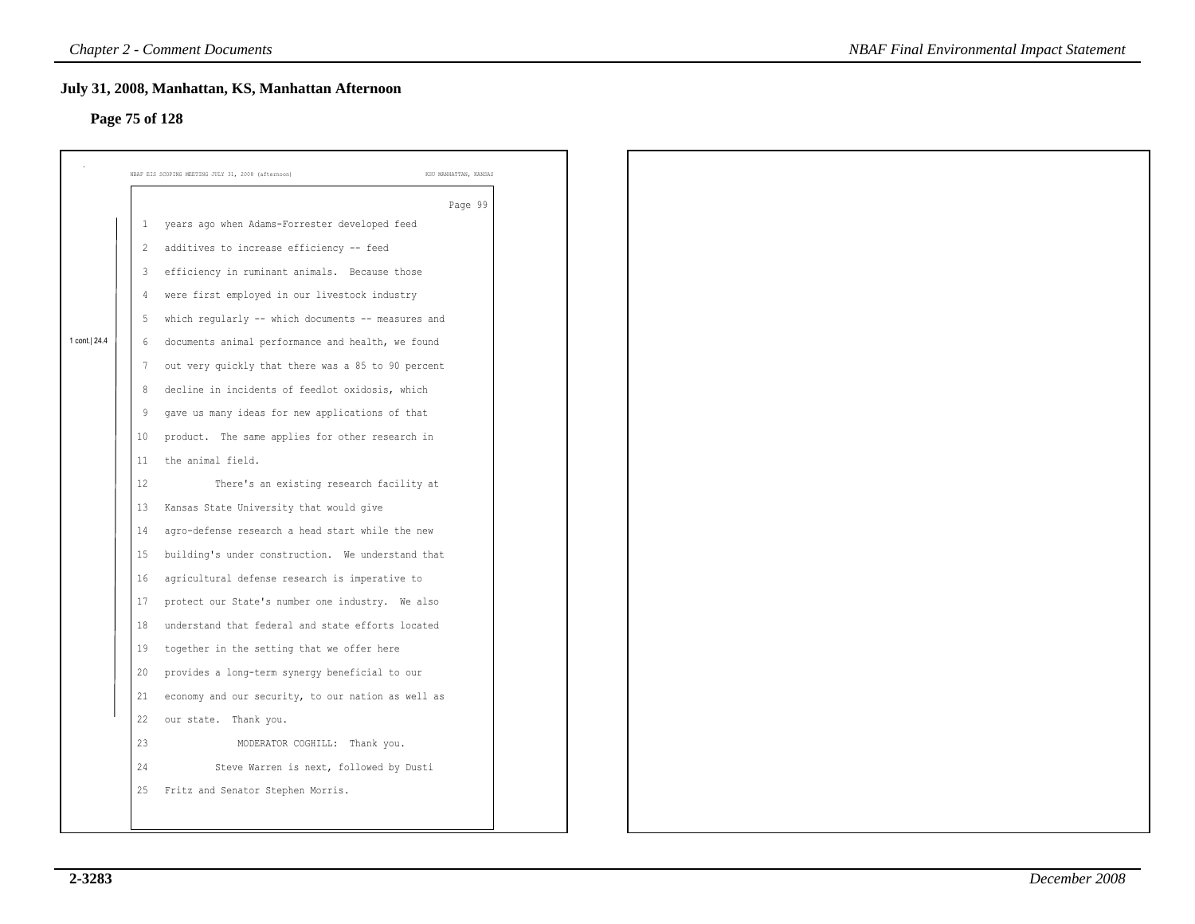### **Page 75 of 128**

|                |                         | July 31, 2008, Manhattan, KS, Manhattan Afternoon                                                     |
|----------------|-------------------------|-------------------------------------------------------------------------------------------------------|
| Page 75 of 128 |                         |                                                                                                       |
|                |                         |                                                                                                       |
|                |                         | NBAF EIS SCOPING MEETING JULY 31, 2008 (afternoon)<br>KSU MANHATTAN, KANSAS                           |
|                |                         | Page 99<br>years ago when Adams-Forrester developed feed                                              |
|                | 1                       |                                                                                                       |
|                | $\overline{2}$          | additives to increase efficiency -- feed                                                              |
|                | $\overline{\mathbf{3}}$ | efficiency in ruminant animals. Because those                                                         |
|                | $\overline{4}$          | were first employed in our livestock industry                                                         |
| 1 cont. 24.4   | 5                       | which regularly -- which documents -- measures and                                                    |
|                | 6                       | documents animal performance and health, we found                                                     |
|                | $7\phantom{.0}$<br>8    | out very quickly that there was a 85 to 90 percent<br>decline in incidents of feedlot oxidosis, which |
|                | 9                       | gave us many ideas for new applications of that                                                       |
|                | 10                      |                                                                                                       |
|                | 11                      | product. The same applies for other research in<br>the animal field.                                  |
|                | 12                      | There's an existing research facility at                                                              |
|                |                         | Kansas State University that would give                                                               |
|                | 13                      |                                                                                                       |
|                | 14                      | agro-defense research a head start while the new                                                      |
|                | 15                      | building's under construction. We understand that                                                     |
|                | 16                      | agricultural defense research is imperative to                                                        |
|                | 17                      | protect our State's number one industry. We also                                                      |
|                | 18                      | understand that federal and state efforts located                                                     |
|                | 19                      | together in the setting that we offer here                                                            |
|                | 20<br>21                | provides a long-term synergy beneficial to our                                                        |
|                | 22                      | economy and our security, to our nation as well as                                                    |
|                | 23                      | our state. Thank you.                                                                                 |
|                | 24                      | MODERATOR COGHILL: Thank you.<br>Steve Warren is next, followed by Dusti                              |
|                | 25                      | Fritz and Senator Stephen Morris.                                                                     |
|                |                         |                                                                                                       |
|                |                         |                                                                                                       |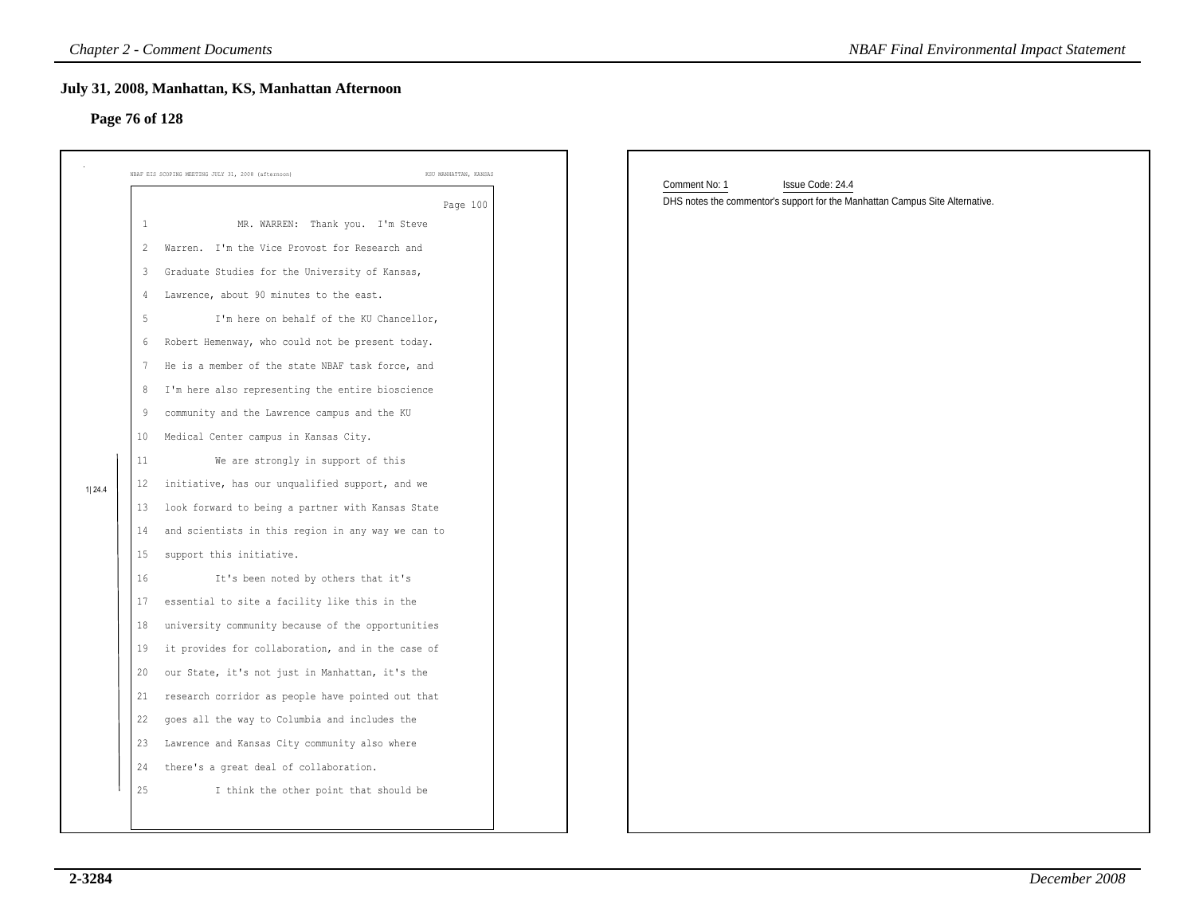### **Page 76 of 128**

| Page 76 of 128 |               | July 31, 2008, Manhattan, KS, Manhattan Afternoon                           |                                                                              |
|----------------|---------------|-----------------------------------------------------------------------------|------------------------------------------------------------------------------|
|                |               | KSU MANHATTAN, KANSAS<br>NBAF EIS SCOPING MEETING JULY 31, 2008 (afternoon) | Comment No: 1<br>Issue Code: 24.4                                            |
|                |               | Page 100                                                                    | DHS notes the commentor's support for the Manhattan Campus Site Alternative. |
|                | 1             | MR. WARREN: Thank you. I'm Steve                                            |                                                                              |
|                | 2             | Warren. I'm the Vice Provost for Research and                               |                                                                              |
|                | 3             | Graduate Studies for the University of Kansas,                              |                                                                              |
|                | $\frac{4}{3}$ | Lawrence, about 90 minutes to the east.                                     |                                                                              |
|                | -5            | I'm here on behalf of the KU Chancellor,                                    |                                                                              |
|                | 6             | Robert Hemenway, who could not be present today.                            |                                                                              |
|                | 7             | He is a member of the state NBAF task force, and                            |                                                                              |
|                | 8             | I'm here also representing the entire bioscience                            |                                                                              |
|                | 9             | community and the Lawrence campus and the KU                                |                                                                              |
|                | 10            | Medical Center campus in Kansas City.                                       |                                                                              |
|                | 11            | We are strongly in support of this                                          |                                                                              |
| 1 24.4         | 12            | initiative, has our unqualified support, and we                             |                                                                              |
|                | 13            | look forward to being a partner with Kansas State                           |                                                                              |
|                | 14            | and scientists in this region in any way we can to                          |                                                                              |
|                | 15            | support this initiative.                                                    |                                                                              |
|                | 16            | It's been noted by others that it's                                         |                                                                              |
|                | 17            | essential to site a facility like this in the                               |                                                                              |
|                | 18            | university community because of the opportunities                           |                                                                              |
|                | 19            | it provides for collaboration, and in the case of                           |                                                                              |
|                | 20            | our State, it's not just in Manhattan, it's the                             |                                                                              |
|                | 21            | research corridor as people have pointed out that                           |                                                                              |
|                | 22            | goes all the way to Columbia and includes the                               |                                                                              |
|                | 23            | Lawrence and Kansas City community also where                               |                                                                              |
|                | 24            | there's a great deal of collaboration.                                      |                                                                              |
|                |               | I think the other point that should be                                      |                                                                              |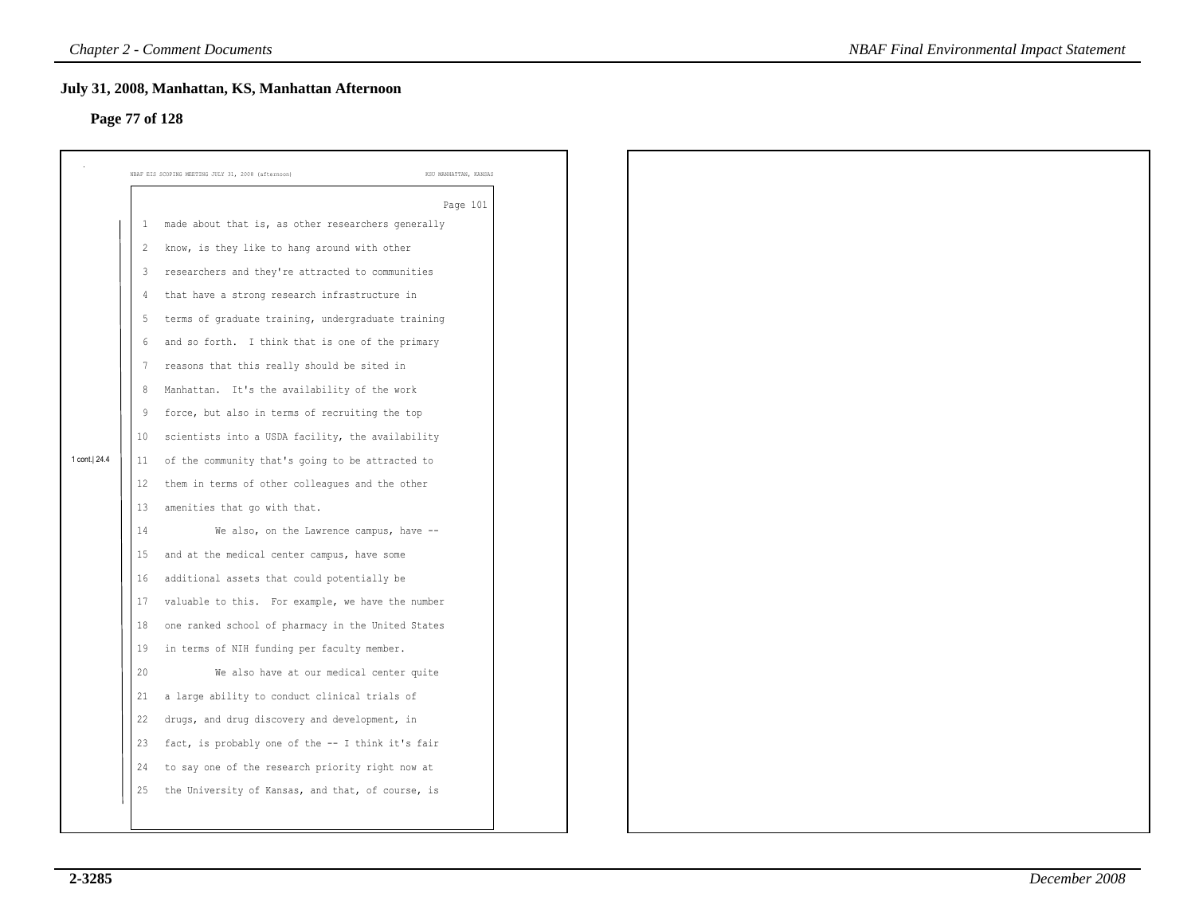### **Page 77 of 128**

|                |                | July 31, 2008, Manhattan, KS, Manhattan Afternoon  |                       |
|----------------|----------------|----------------------------------------------------|-----------------------|
| Page 77 of 128 |                |                                                    |                       |
|                |                | NBAF EIS SCOPING MEETING JULY 31, 2008 (afternoon) | KSU MANHATTAN, KANSAS |
|                |                |                                                    |                       |
|                | -1             | made about that is, as other researchers generally | Page 101              |
|                | 2              | know, is they like to hang around with other       |                       |
|                | $\overline{3}$ | researchers and they're attracted to communities   |                       |
|                | 4              | that have a strong research infrastructure in      |                       |
|                | -5             | terms of graduate training, undergraduate training |                       |
|                | 6              | and so forth. I think that is one of the primary   |                       |
|                | -7             | reasons that this really should be sited in        |                       |
|                | 8              | Manhattan. It's the availability of the work       |                       |
|                | 9              | force, but also in terms of recruiting the top     |                       |
|                | 10             | scientists into a USDA facility, the availability  |                       |
| 1 cont. 24.4   | 11             | of the community that's going to be attracted to   |                       |
|                | 12             | them in terms of other colleagues and the other    |                       |
|                | 13             | amenities that go with that.                       |                       |
|                | 14             | We also, on the Lawrence campus, have --           |                       |
|                | 15             | and at the medical center campus, have some        |                       |
|                | 16             | additional assets that could potentially be        |                       |
|                | 17             | valuable to this. For example, we have the number  |                       |
|                | 18             | one ranked school of pharmacy in the United States |                       |
|                | 19             | in terms of NIH funding per faculty member.        |                       |
|                | 20             | We also have at our medical center quite           |                       |
|                | 21             | a large ability to conduct clinical trials of      |                       |
|                | 22             | drugs, and drug discovery and development, in      |                       |
|                | 23             | fact, is probably one of the -- I think it's fair  |                       |
|                | 24             | to say one of the research priority right now at   |                       |
|                | 25             | the University of Kansas, and that, of course, is  |                       |
|                |                |                                                    |                       |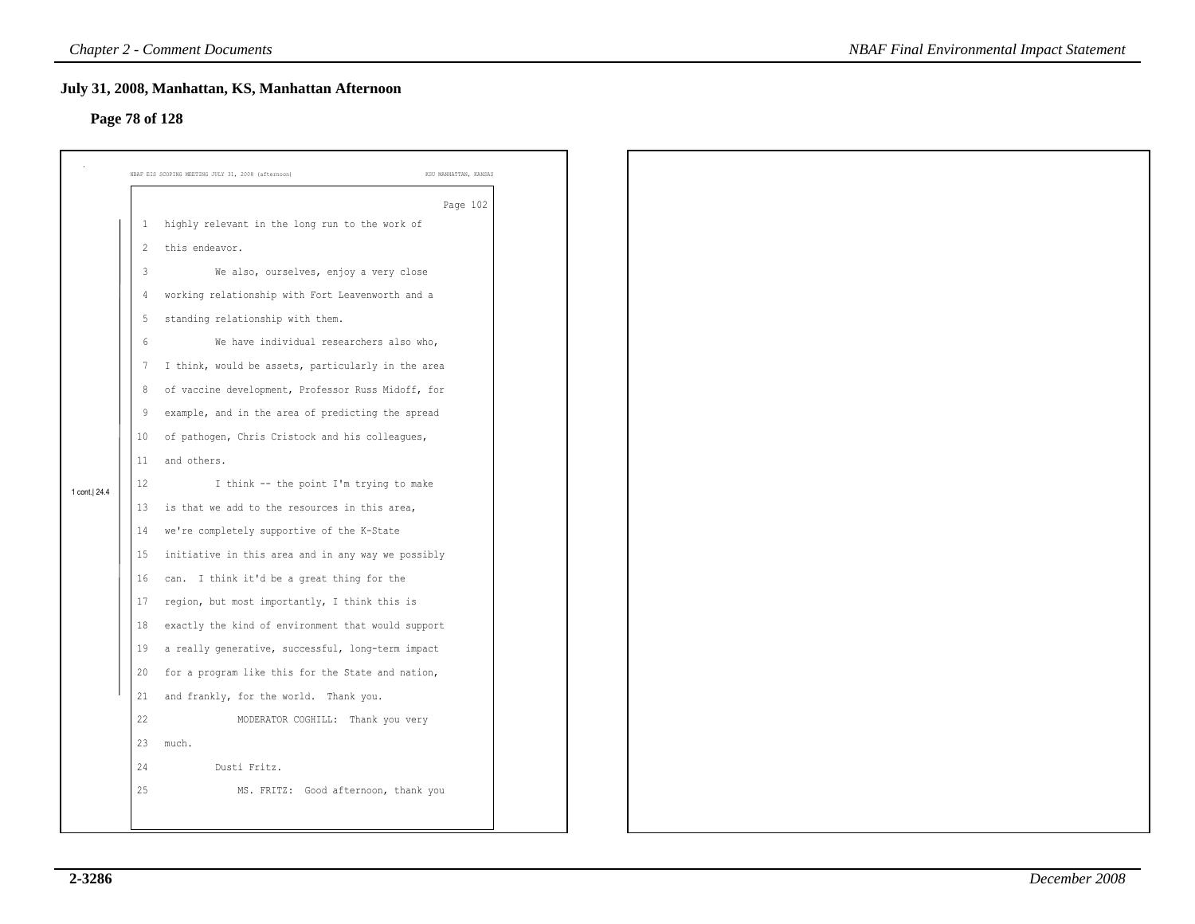# **Page 78 of 128**

| Page 78 of 128 |                | July 31, 2008, Manhattan, KS, Manhattan Afternoon                           |
|----------------|----------------|-----------------------------------------------------------------------------|
|                |                |                                                                             |
|                |                | NBAF EIS SCOPING MEETING JULY 31, 2008 (afternoon)<br>KSU MANHATTAN, KANSAS |
|                |                | Page 102                                                                    |
|                | 1              | highly relevant in the long run to the work of                              |
|                | $\overline{2}$ | this endeavor.                                                              |
|                | $\mathbf{3}$   | We also, ourselves, enjoy a very close                                      |
|                | 4              | working relationship with Fort Leavenworth and a                            |
|                | 5              | standing relationship with them.                                            |
|                | 6              | We have individual researchers also who,                                    |
|                | 7              | I think, would be assets, particularly in the area                          |
|                | 8              | of vaccine development, Professor Russ Midoff, for                          |
|                | 9              | example, and in the area of predicting the spread                           |
|                | 10             | of pathogen, Chris Cristock and his colleagues,                             |
|                | 11             | and others.                                                                 |
| 1 cont.   24.4 | 12             | I think -- the point I'm trying to make                                     |
|                | 13             | is that we add to the resources in this area,                               |
|                | 14             | we're completely supportive of the K-State                                  |
|                | 15             | initiative in this area and in any way we possibly                          |
|                | 16             | can. I think it'd be a great thing for the                                  |
|                | 17             | region, but most importantly, I think this is                               |
|                | 18             | exactly the kind of environment that would support                          |
|                | 19             | a really generative, successful, long-term impact                           |
|                | 20             | for a program like this for the State and nation,                           |
|                | 21             | and frankly, for the world. Thank you.                                      |
|                | 22             | MODERATOR COGHILL: Thank you very                                           |
|                | 23             | much.                                                                       |
|                | 24             | Dusti Fritz.                                                                |
|                | 25             | MS. FRITZ: Good afternoon, thank you                                        |
|                |                |                                                                             |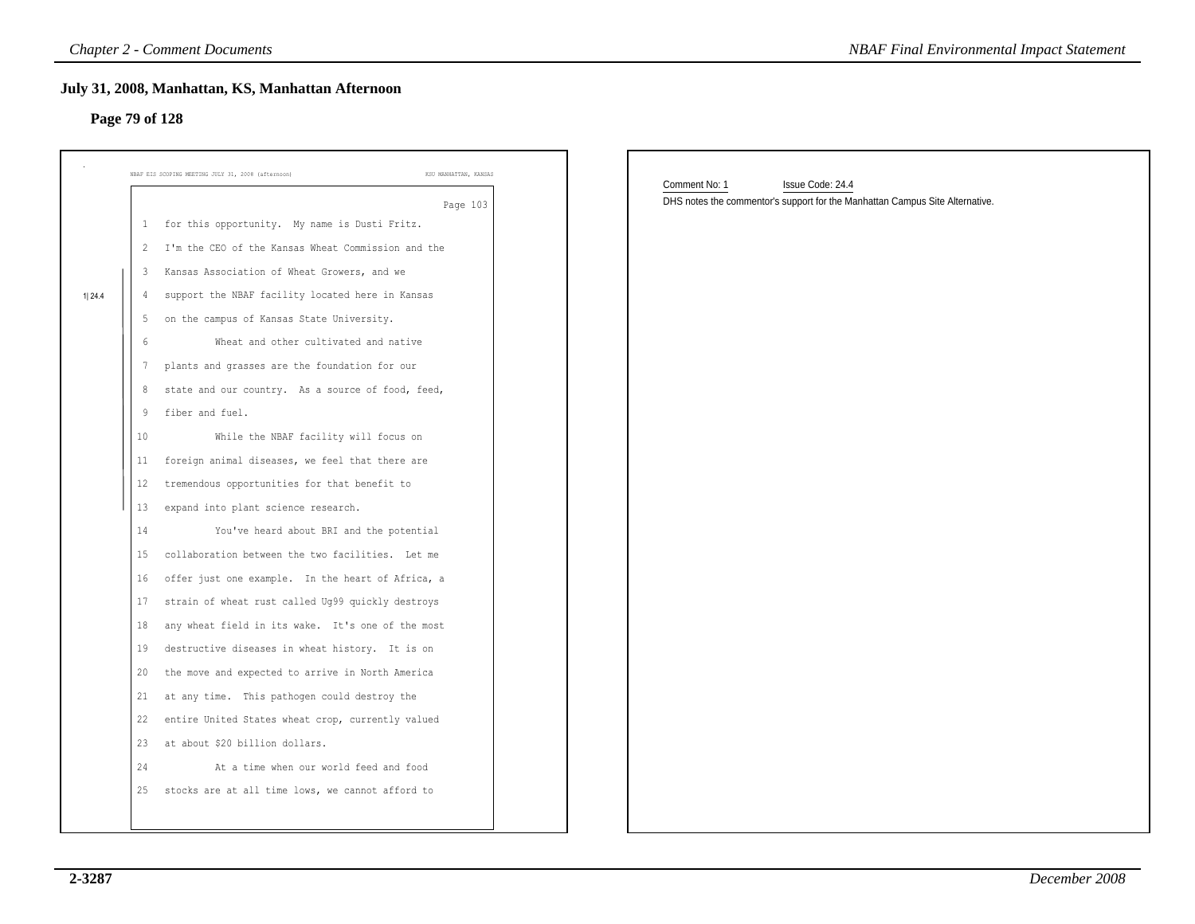## **Page 79 of 128**

|        |    | <b>Chapter 2 - Comment Documents</b>                                        | <b>NBAF Final Environmental Impact Statement</b>                             |
|--------|----|-----------------------------------------------------------------------------|------------------------------------------------------------------------------|
|        |    | July 31, 2008, Manhattan, KS, Manhattan Afternoon                           |                                                                              |
|        |    | Page 79 of 128                                                              |                                                                              |
|        |    |                                                                             |                                                                              |
|        |    | KSU MANHATTAN, KANSAS<br>NBAF EIS SCOPING MEETING JULY 31, 2008 (afternoon) | Comment No: 1<br>Issue Code: 24.4                                            |
|        |    | Page 103                                                                    | DHS notes the commentor's support for the Manhattan Campus Site Alternative. |
|        |    | 1 for this opportunity. My name is Dusti Fritz.                             |                                                                              |
|        |    | 2 I'm the CEO of the Kansas Wheat Commission and the                        |                                                                              |
|        |    | 3 Kansas Association of Wheat Growers, and we                               |                                                                              |
| 1 24.4 | 4  | support the NBAF facility located here in Kansas                            |                                                                              |
|        | 5  | on the campus of Kansas State University.                                   |                                                                              |
|        | 6  | Wheat and other cultivated and native                                       |                                                                              |
|        | 7  | plants and grasses are the foundation for our                               |                                                                              |
|        | 8  | state and our country. As a source of food, feed,                           |                                                                              |
|        | 9  | fiber and fuel.                                                             |                                                                              |
|        | 10 | While the NBAF facility will focus on                                       |                                                                              |
|        | 11 | foreign animal diseases, we feel that there are                             |                                                                              |
|        | 12 | tremendous opportunities for that benefit to                                |                                                                              |
|        | 13 | expand into plant science research.                                         |                                                                              |
|        | 14 | You've heard about BRI and the potential                                    |                                                                              |
|        | 15 | collaboration between the two facilities. Let me                            |                                                                              |
|        | 16 | offer just one example. In the heart of Africa, a                           |                                                                              |
|        | 17 | strain of wheat rust called Ug99 quickly destroys                           |                                                                              |
|        | 18 | any wheat field in its wake. It's one of the most                           |                                                                              |
|        | 19 | destructive diseases in wheat history. It is on                             |                                                                              |
|        | 20 | the move and expected to arrive in North America                            |                                                                              |
|        | 21 | at any time. This pathogen could destroy the                                |                                                                              |
|        |    | 22 entire United States wheat crop, currently valued                        |                                                                              |
|        |    | 23 at about \$20 billion dollars.                                           |                                                                              |
|        | 24 | At a time when our world feed and food                                      |                                                                              |
|        |    | 25 stocks are at all time lows, we cannot afford to                         |                                                                              |
|        |    |                                                                             |                                                                              |
|        |    |                                                                             |                                                                              |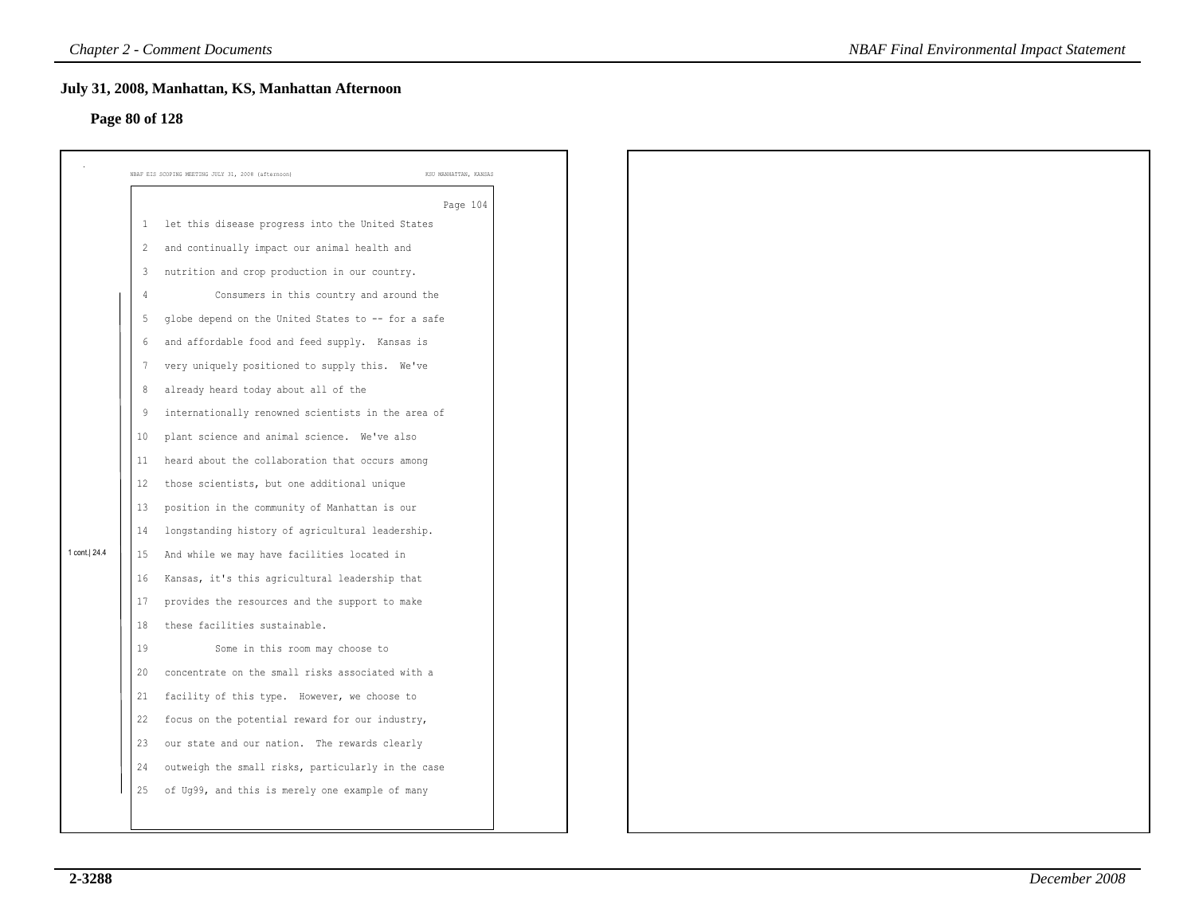### **Page 80 of 128**

|                |                | July 31, 2008, Manhattan, KS, Manhattan Afternoon                           |
|----------------|----------------|-----------------------------------------------------------------------------|
| Page 80 of 128 |                |                                                                             |
|                |                |                                                                             |
|                |                | NBAF EIS SCOPING MEETING JULY 31, 2008 (afternoon)<br>KSU MANHATTAN, KANSAS |
|                |                | Page 104                                                                    |
|                | 1              | let this disease progress into the United States                            |
|                | $\overline{2}$ | and continually impact our animal health and                                |
|                | 3              | nutrition and crop production in our country.                               |
|                | $\overline{4}$ | Consumers in this country and around the                                    |
|                | 5              | globe depend on the United States to -- for a safe                          |
|                | 6              | and affordable food and feed supply. Kansas is                              |
|                | -7             | very uniquely positioned to supply this. We've                              |
|                | 8              | already heard today about all of the                                        |
|                | 9              | internationally renowned scientists in the area of                          |
|                | 10             | plant science and animal science. We've also                                |
|                | 11             | heard about the collaboration that occurs among                             |
|                | 12             | those scientists, but one additional unique                                 |
|                | 13             | position in the community of Manhattan is our                               |
|                | 14             | longstanding history of agricultural leadership.                            |
| 1 cont.   24.4 | 15             | And while we may have facilities located in                                 |
|                | 16             | Kansas, it's this agricultural leadership that                              |
|                | 17             | provides the resources and the support to make                              |
|                | 18             | these facilities sustainable.                                               |
|                | 19             | Some in this room may choose to                                             |
|                | 20             | concentrate on the small risks associated with a                            |
|                | 21             | facility of this type. However, we choose to                                |
|                | 22             | focus on the potential reward for our industry,                             |
|                | 23             | our state and our nation. The rewards clearly                               |
|                | 24             | outweigh the small risks, particularly in the case                          |
|                | 25             | of Ug99, and this is merely one example of many                             |
|                |                |                                                                             |
|                |                |                                                                             |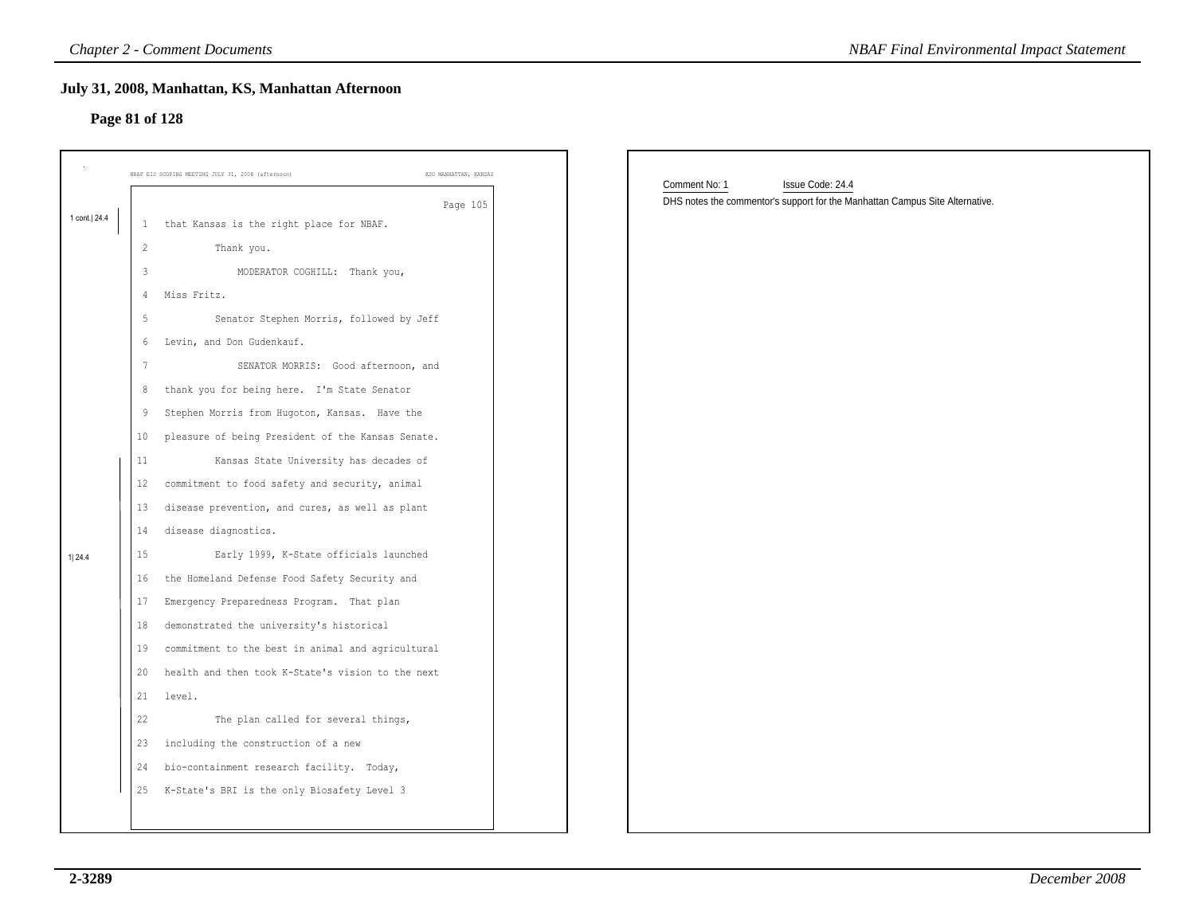### **July 31, 2008, Manhattan, KS, Manhattan Afternoon**

## **Page 81 of 128**

| Page 81 of 128 |                | July 31, 2008, Manhattan, KS, Manhattan Afternoon                           |                                                                              |
|----------------|----------------|-----------------------------------------------------------------------------|------------------------------------------------------------------------------|
|                |                |                                                                             |                                                                              |
|                |                | NBAF EIS SCOPING MEETING JULY 31, 2008 (afternoon)<br>KSU MANHATTAN, KANSAS | Comment No: 1<br>Issue Code: 24.4                                            |
|                |                | Page 105                                                                    | DHS notes the commentor's support for the Manhattan Campus Site Alternative. |
| 1 cont. 24.4   | 1              | that Kansas is the right place for NBAF.                                    |                                                                              |
|                | $\overline{2}$ | Thank you.                                                                  |                                                                              |
|                | $\mathbf{3}$   | MODERATOR COGHILL: Thank you,                                               |                                                                              |
|                | 4              | Miss Fritz.                                                                 |                                                                              |
|                | -5             | Senator Stephen Morris, followed by Jeff                                    |                                                                              |
|                | 6              | Levin, and Don Gudenkauf.                                                   |                                                                              |
|                |                | SENATOR MORRIS: Good afternoon, and                                         |                                                                              |
|                | 8              | thank you for being here. I'm State Senator                                 |                                                                              |
|                | 9              | Stephen Morris from Hugoton, Kansas. Have the                               |                                                                              |
|                | 10             | pleasure of being President of the Kansas Senate.                           |                                                                              |
|                | 11             | Kansas State University has decades of                                      |                                                                              |
|                | 12             | commitment to food safety and security, animal                              |                                                                              |
|                | 13             | disease prevention, and cures, as well as plant                             |                                                                              |
|                | 14             | disease diagnostics.                                                        |                                                                              |
|                | 15             | Early 1999, K-State officials launched                                      |                                                                              |
|                | 16             | the Homeland Defense Food Safety Security and                               |                                                                              |
|                | 17             | Emergency Preparedness Program. That plan                                   |                                                                              |
|                | 18             | demonstrated the university's historical                                    |                                                                              |
|                | 19             | commitment to the best in animal and agricultural                           |                                                                              |
|                | 20             | health and then took K-State's vision to the next                           |                                                                              |
|                | 21             | level.                                                                      |                                                                              |
|                | 22             | The plan called for several things,                                         |                                                                              |
|                |                | 23 including the construction of a new                                      |                                                                              |
|                | 24             | bio-containment research facility. Today,                                   |                                                                              |
|                | 25             | K-State's BRI is the only Biosafety Level 3                                 |                                                                              |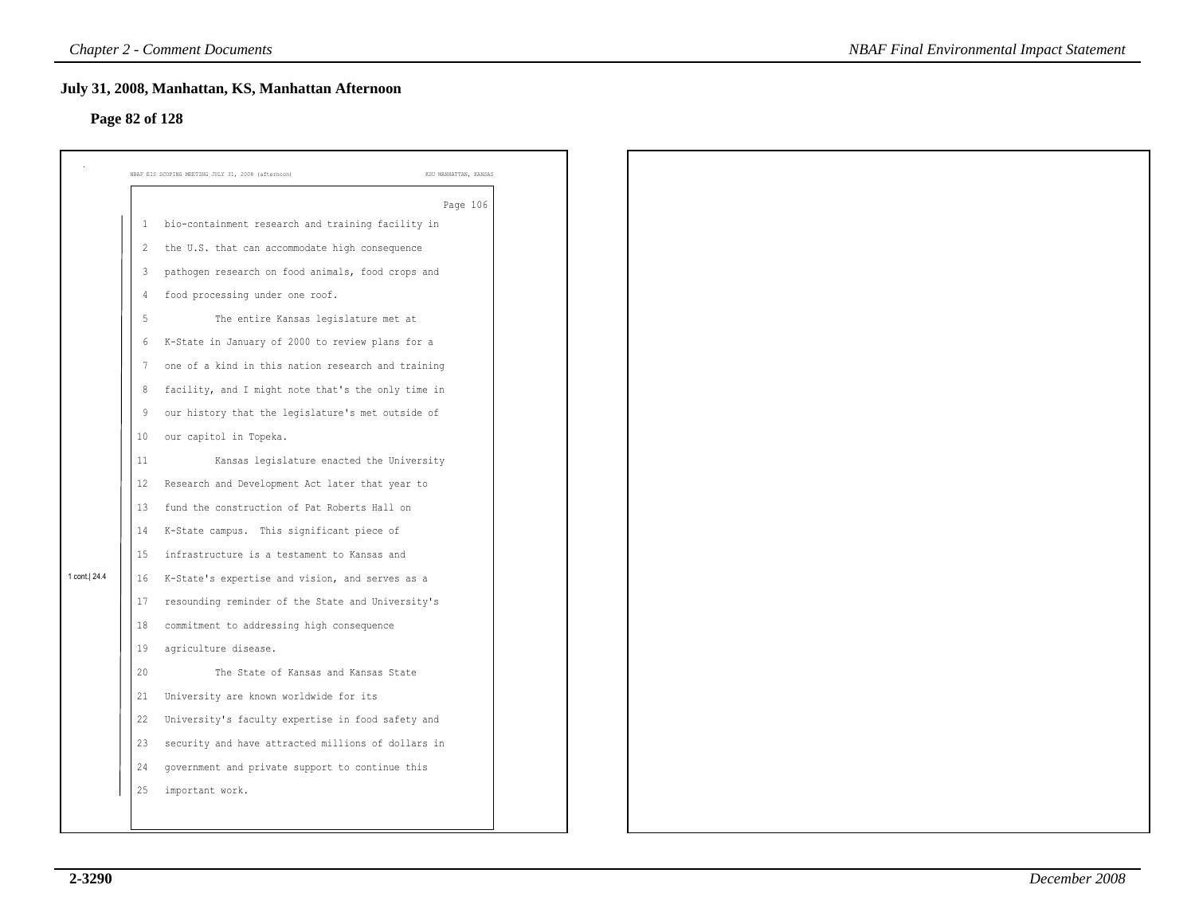### **Page 82 of 128**

|              | July 31, 2008, Manhattan, KS, Manhattan Afternoon                           |
|--------------|-----------------------------------------------------------------------------|
|              |                                                                             |
|              | NBAF EIS SCOPING MEETING JULY 31, 2008 (afternoon)<br>KSU MANHATTAN, KANSAS |
|              | Page 106                                                                    |
| 1            | bio-containment research and training facility in                           |
| 2            | the U.S. that can accommodate high consequence                              |
| $\mathbf{3}$ | pathogen research on food animals, food crops and                           |
|              | food processing under one roof.                                             |
| 5            | The entire Kansas legislature met at                                        |
| 6            | K-State in January of 2000 to review plans for a                            |
|              | one of a kind in this nation research and training                          |
| 8            | facility, and I might note that's the only time in                          |
| 9            | our history that the legislature's met outside of                           |
| 10           | our capitol in Topeka.                                                      |
| 11           | Kansas legislature enacted the University                                   |
| 12           | Research and Development Act later that year to                             |
| 13           | fund the construction of Pat Roberts Hall on                                |
| 14           | K-State campus. This significant piece of                                   |
| 15           | infrastructure is a testament to Kansas and                                 |
| 16           | K-State's expertise and vision, and serves as a                             |
| 17           | resounding reminder of the State and University's                           |
| 18           | commitment to addressing high consequence                                   |
| 19           | agriculture disease.                                                        |
| 20           | The State of Kansas and Kansas State                                        |
| 21           | University are known worldwide for its                                      |
| 22           | University's faculty expertise in food safety and                           |
| 23           | security and have attracted millions of dollars in                          |
| 24           | government and private support to continue this                             |
| 25           | important work.                                                             |
|              |                                                                             |
|              | Page 82 of 128                                                              |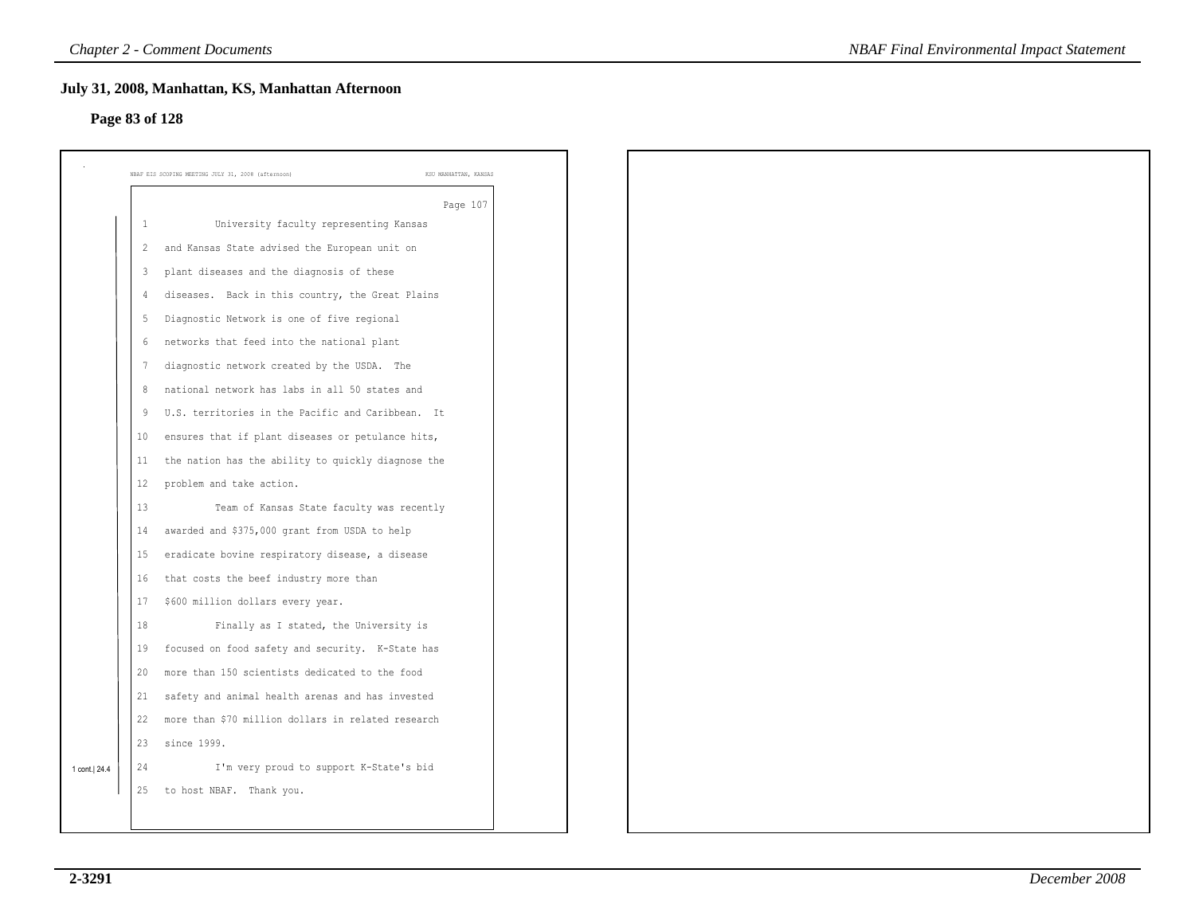### **Page 83 of 128**

|                | NBAF EIS SCOPING MEETING JULY 31, 2008 (afternoon) | KSU MANHATTAN, KANSAS |
|----------------|----------------------------------------------------|-----------------------|
|                |                                                    |                       |
| 1              | University faculty representing Kansas             | Page 107              |
| $\overline{2}$ | and Kansas State advised the European unit on      |                       |
| $\overline{3}$ | plant diseases and the diagnosis of these          |                       |
| 4              | diseases. Back in this country, the Great Plains   |                       |
| -5             | Diagnostic Network is one of five regional         |                       |
| 6              | networks that feed into the national plant         |                       |
| 7              | diagnostic network created by the USDA. The        |                       |
| 8              | national network has labs in all 50 states and     |                       |
| 9              | U.S. territories in the Pacific and Caribbean. It  |                       |
| 10             | ensures that if plant diseases or petulance hits,  |                       |
| 11             | the nation has the ability to quickly diagnose the |                       |
| 12             | problem and take action.                           |                       |
| 13             | Team of Kansas State faculty was recently          |                       |
| 14             | awarded and \$375,000 grant from USDA to help      |                       |
| 15             | eradicate bovine respiratory disease, a disease    |                       |
| 16             | that costs the beef industry more than             |                       |
| 17             | \$600 million dollars every year.                  |                       |
| 18             | Finally as I stated, the University is             |                       |
| 19             | focused on food safety and security. K-State has   |                       |
| 20             | more than 150 scientists dedicated to the food     |                       |
| 21             | safety and animal health arenas and has invested   |                       |
| 22             | more than \$70 million dollars in related research |                       |
| 23             | since 1999.                                        |                       |
| 24             | I'm very proud to support K-State's bid            |                       |
| 25             | to host NBAF. Thank you.                           |                       |
|                |                                                    |                       |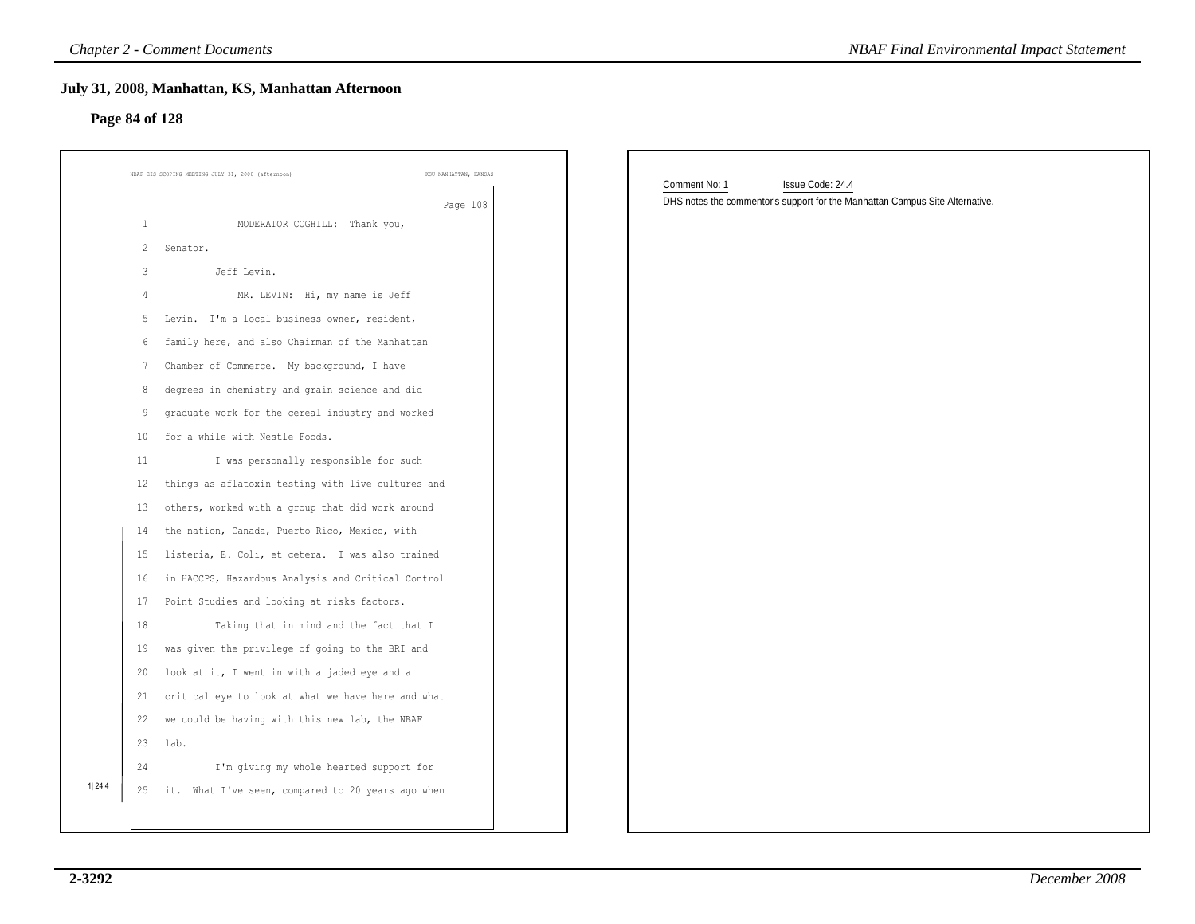| Page 84 of 128                                                                             | July 31, 2008, Manhattan, KS, Manhattan Afternoon                                                                                                                                                                                                                                                                                                                                                                                                                                                                                                                                                   |                                                                                                                   |
|--------------------------------------------------------------------------------------------|-----------------------------------------------------------------------------------------------------------------------------------------------------------------------------------------------------------------------------------------------------------------------------------------------------------------------------------------------------------------------------------------------------------------------------------------------------------------------------------------------------------------------------------------------------------------------------------------------------|-------------------------------------------------------------------------------------------------------------------|
|                                                                                            | NBAF EIS SCOPING MEETING JULY 31, 2008 (afternoon)<br>KSU MANHATTAN, KANSAS                                                                                                                                                                                                                                                                                                                                                                                                                                                                                                                         |                                                                                                                   |
| $\mathbf{1}$<br>$\overline{c}$<br>3<br>5<br>6<br>7<br>8<br>9<br>10<br>11<br>12<br>13<br>14 | Page 108<br>MODERATOR COGHILL: Thank you,<br>Senator.<br>Jeff Levin.<br>MR. LEVIN: Hi, my name is Jeff<br>Levin. I'm a local business owner, resident,<br>family here, and also Chairman of the Manhattan<br>Chamber of Commerce. My background, I have<br>degrees in chemistry and grain science and did<br>graduate work for the cereal industry and worked<br>for a while with Nestle Foods.<br>I was personally responsible for such<br>things as aflatoxin testing with live cultures and<br>others, worked with a group that did work around<br>the nation, Canada, Puerto Rico, Mexico, with | Comment No: 1<br>Issue Code: 24.4<br>DHS notes the commentor's support for the Manhattan Campus Site Alternative. |
| 15<br>16<br>17<br>18<br>19<br>20<br>21<br>22<br>23<br>24<br>1 24.4                         | listeria, E. Coli, et cetera. I was also trained<br>in HACCPS, Hazardous Analysis and Critical Control<br>Point Studies and looking at risks factors.<br>Taking that in mind and the fact that I<br>was given the privilege of going to the BRI and<br>look at it, I went in with a jaded eye and a<br>critical eye to look at what we have here and what<br>we could be having with this new lab, the NBAF<br>lab.<br>I'm giving my whole hearted support for<br>25 it. What I've seen, compared to 20 years ago when                                                                              |                                                                                                                   |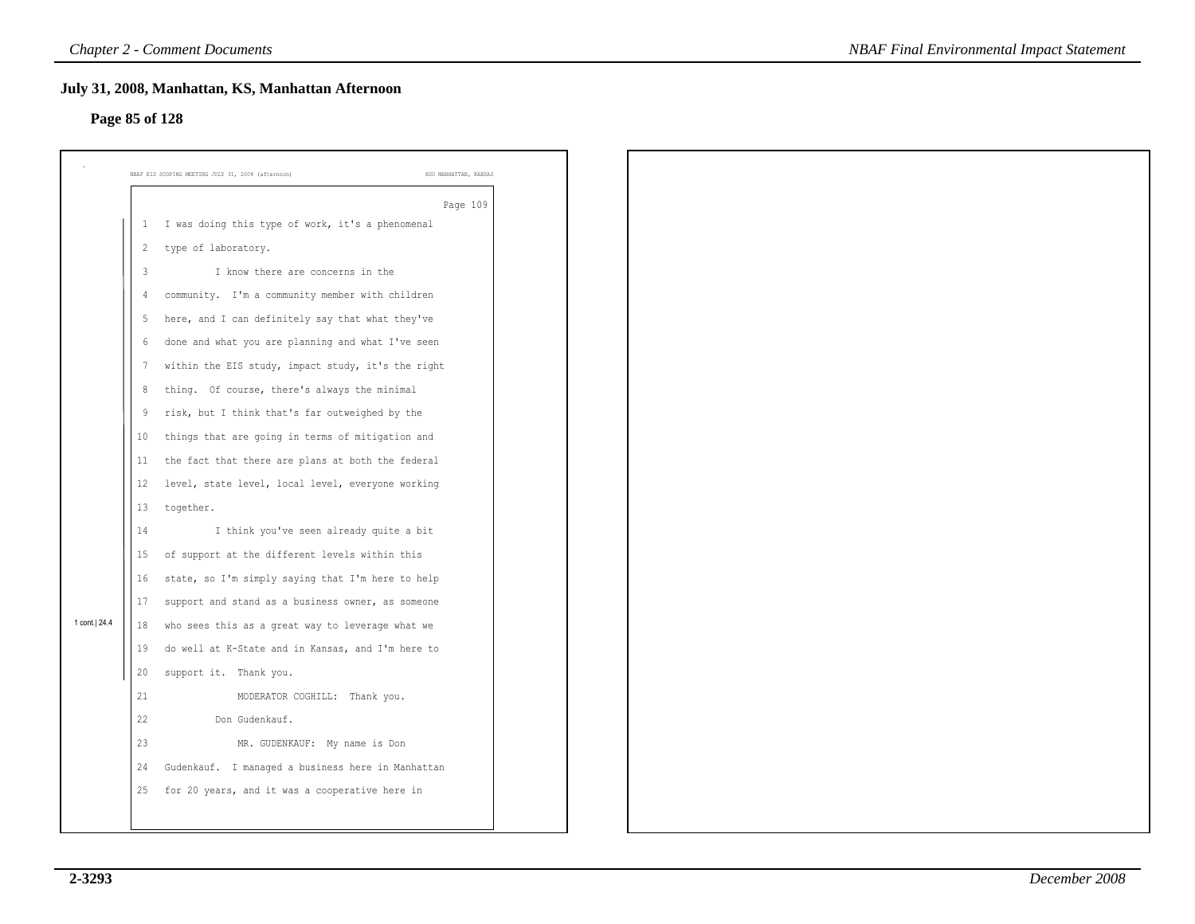### **Page 85 of 128**

|                |                | July 31, 2008, Manhattan, KS, Manhattan Afternoon                                                      |
|----------------|----------------|--------------------------------------------------------------------------------------------------------|
| Page 85 of 128 |                |                                                                                                        |
|                |                | NBAF EIS SCOPING MEETING JULY 31, 2008 (afternoon)<br>KSU MANHATTAN, KANSAS                            |
|                |                | Page 109                                                                                               |
|                | 1              | I was doing this type of work, it's a phenomenal                                                       |
|                | $\overline{c}$ | type of laboratory.                                                                                    |
|                | $\overline{3}$ | I know there are concerns in the                                                                       |
|                | $\overline{4}$ | community. I'm a community member with children                                                        |
|                | -5             | here, and I can definitely say that what they've                                                       |
|                | 6              | done and what you are planning and what I've seen                                                      |
|                | -7             | within the EIS study, impact study, it's the right                                                     |
|                | 8              | thing. Of course, there's always the minimal                                                           |
|                | 9              | risk, but I think that's far outweighed by the                                                         |
|                | 10             | things that are going in terms of mitigation and                                                       |
|                | 11<br>12       | the fact that there are plans at both the federal<br>level, state level, local level, everyone working |
|                | 13             | together.                                                                                              |
|                | 14             | I think you've seen already quite a bit                                                                |
|                | 15             | of support at the different levels within this                                                         |
|                | 16             | state, so I'm simply saying that I'm here to help                                                      |
|                | 17             | support and stand as a business owner, as someone                                                      |
| 1 cont. 24.4   | 18             | who sees this as a great way to leverage what we                                                       |
|                | 19             | do well at K-State and in Kansas, and I'm here to                                                      |
|                | 20             | support it. Thank you.                                                                                 |
|                | 21             | MODERATOR COGHILL: Thank you.                                                                          |
|                | 22             | Don Gudenkauf.                                                                                         |
|                | 23             | MR. GUDENKAUF: My name is Don                                                                          |
|                | 24             | Gudenkauf. I managed a business here in Manhattan                                                      |
|                | 25             | for 20 years, and it was a cooperative here in                                                         |
|                |                |                                                                                                        |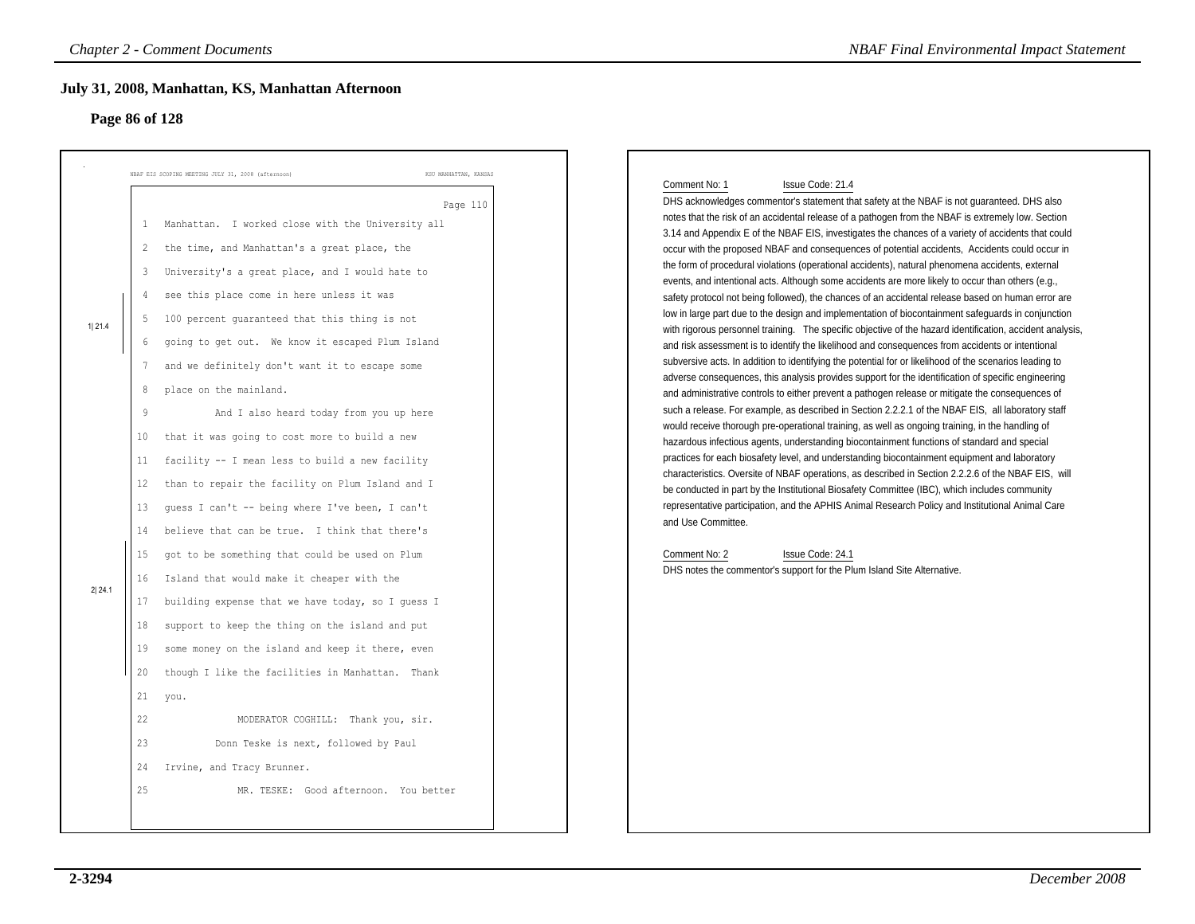### **Page 86 of 128**

| KSU MANHATTAN, KANSAS<br>NBAF EIS SCOPING MEETING JULY 31, 2008 (afternoon)<br>Comment No: 1<br>Issue Code: 21.4<br>DHS acknowledges commentor's statement that safety at the NBAF is not guaranteed. DHS also<br>Page 110<br>notes that the risk of an accidental release of a pathogen from the NBAF is extremely low. Section<br>Manhattan. I worked close with the University all<br>1<br>3.14 and Appendix E of the NBAF EIS, investigates the chances of a variety of accidents that could<br>the time, and Manhattan's a great place, the<br>$\overline{2}$<br>occur with the proposed NBAF and consequences of potential accidents, Accidents could occur in<br>the form of procedural violations (operational accidents), natural phenomena accidents, external<br>University's a great place, and I would hate to<br>3<br>events, and intentional acts. Although some accidents are more likely to occur than others (e.g.,<br>see this place come in here unless it was<br>4<br>safety protocol not being followed), the chances of an accidental release based on human error are<br>low in large part due to the design and implementation of biocontainment safeguards in conjunction<br>100 percent guaranteed that this thing is not<br>1 21.4<br>with rigorous personnel training. The specific objective of the hazard identification, accident analysis,<br>going to get out. We know it escaped Plum Island<br>6<br>and risk assessment is to identify the likelihood and consequences from accidents or intentional<br>subversive acts. In addition to identifying the potential for or likelihood of the scenarios leading to<br>and we definitely don't want it to escape some<br>7<br>adverse consequences, this analysis provides support for the identification of specific engineering<br>place on the mainland.<br>8<br>and administrative controls to either prevent a pathogen release or mitigate the consequences of<br>such a release. For example, as described in Section 2.2.2.1 of the NBAF EIS, all laboratory staff<br>9<br>And I also heard today from you up here<br>would receive thorough pre-operational training, as well as ongoing training, in the handling of<br>that it was going to cost more to build a new<br>10<br>hazardous infectious agents, understanding biocontainment functions of standard and special<br>practices for each biosafety level, and understanding biocontainment equipment and laboratory<br>facility -- I mean less to build a new facility<br>11<br>characteristics. Oversite of NBAF operations, as described in Section 2.2.2.6 of the NBAF EIS, will<br>than to repair the facility on Plum Island and I<br>12<br>be conducted in part by the Institutional Biosafety Committee (IBC), which includes community<br>representative participation, and the APHIS Animal Research Policy and Institutional Animal Care<br>quess I can't -- being where I've been, I can't<br>13<br>and Use Committee.<br>believe that can be true. I think that there's<br>14<br>got to be something that could be used on Plum<br>Comment No: 2<br>Issue Code: 24.1<br>15<br>DHS notes the commentor's support for the Plum Island Site Alternative.<br>Island that would make it cheaper with the<br>16<br>2 24.1<br>building expense that we have today, so I guess I<br>17<br>support to keep the thing on the island and put<br>18<br>some money on the island and keep it there, even<br>19<br>20<br>though I like the facilities in Manhattan. Thank<br>21<br>you.<br>22<br>MODERATOR COGHILL: Thank you, sir.<br>23 |
|-------------------------------------------------------------------------------------------------------------------------------------------------------------------------------------------------------------------------------------------------------------------------------------------------------------------------------------------------------------------------------------------------------------------------------------------------------------------------------------------------------------------------------------------------------------------------------------------------------------------------------------------------------------------------------------------------------------------------------------------------------------------------------------------------------------------------------------------------------------------------------------------------------------------------------------------------------------------------------------------------------------------------------------------------------------------------------------------------------------------------------------------------------------------------------------------------------------------------------------------------------------------------------------------------------------------------------------------------------------------------------------------------------------------------------------------------------------------------------------------------------------------------------------------------------------------------------------------------------------------------------------------------------------------------------------------------------------------------------------------------------------------------------------------------------------------------------------------------------------------------------------------------------------------------------------------------------------------------------------------------------------------------------------------------------------------------------------------------------------------------------------------------------------------------------------------------------------------------------------------------------------------------------------------------------------------------------------------------------------------------------------------------------------------------------------------------------------------------------------------------------------------------------------------------------------------------------------------------------------------------------------------------------------------------------------------------------------------------------------------------------------------------------------------------------------------------------------------------------------------------------------------------------------------------------------------------------------------------------------------------------------------------------------------------------------------------------------------------------------------------------------------------------------------------------------------------------------------------------------------------------------------------------------------------------------------------------------------------------------------------------------------------------------------------------------------------------------------------------------------------------------------------------------------------------------------------------------------|
| Donn Teske is next, followed by Paul                                                                                                                                                                                                                                                                                                                                                                                                                                                                                                                                                                                                                                                                                                                                                                                                                                                                                                                                                                                                                                                                                                                                                                                                                                                                                                                                                                                                                                                                                                                                                                                                                                                                                                                                                                                                                                                                                                                                                                                                                                                                                                                                                                                                                                                                                                                                                                                                                                                                                                                                                                                                                                                                                                                                                                                                                                                                                                                                                                                                                                                                                                                                                                                                                                                                                                                                                                                                                                                                                                                                                      |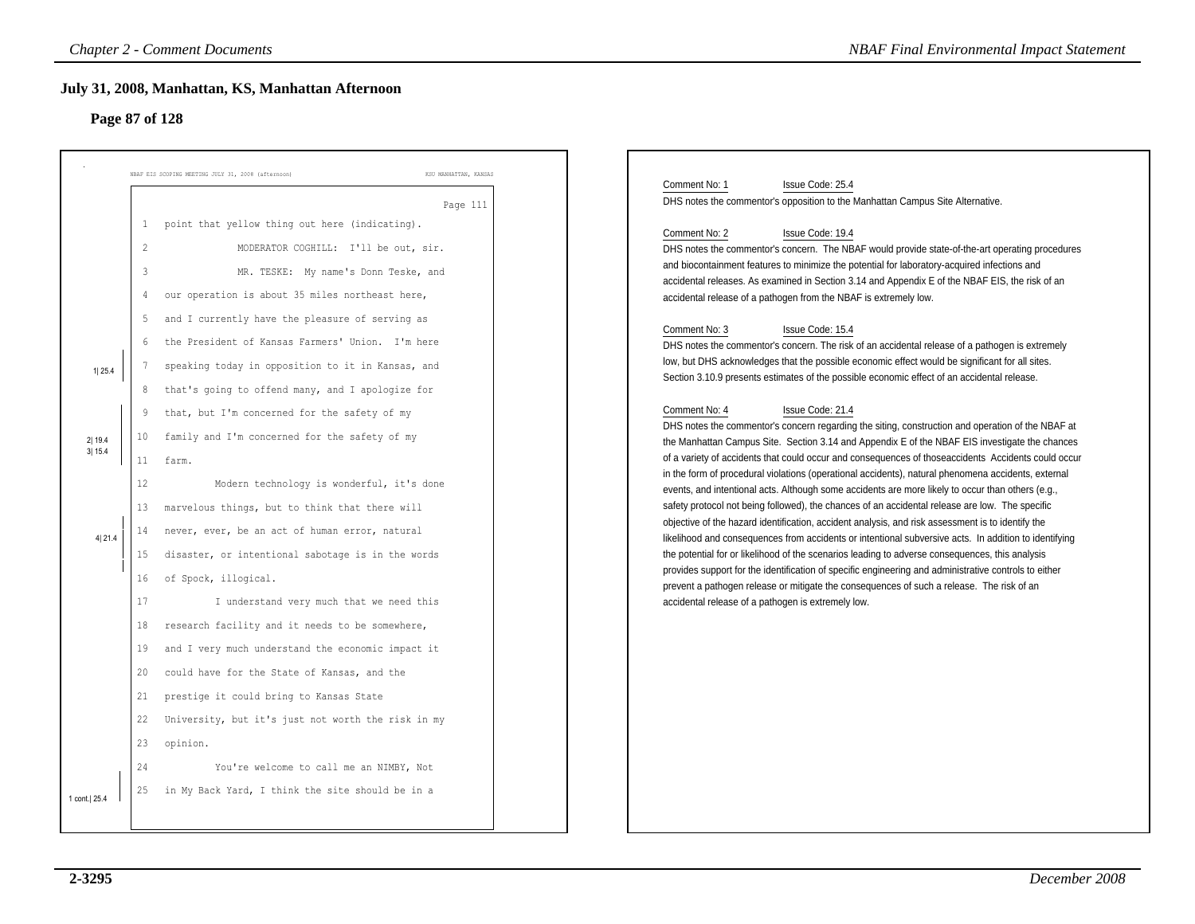### **Page 87 of 128**

|                  |                                                 | <b>Chapter 2 - Comment Documents</b><br>July 31, 2008, Manhattan, KS, Manhattan Afternoon                                                                                                                                            | <b>NBAF Final Environmental Impact Statement</b>                                                                                                                                                                                                                                                                                                                                                                                                                                                                      |
|------------------|-------------------------------------------------|--------------------------------------------------------------------------------------------------------------------------------------------------------------------------------------------------------------------------------------|-----------------------------------------------------------------------------------------------------------------------------------------------------------------------------------------------------------------------------------------------------------------------------------------------------------------------------------------------------------------------------------------------------------------------------------------------------------------------------------------------------------------------|
| Page 87 of 128   |                                                 |                                                                                                                                                                                                                                      |                                                                                                                                                                                                                                                                                                                                                                                                                                                                                                                       |
|                  |                                                 | NBAF EIS SCOPING MEETING JULY 31, 2008 (afternoon)<br>KSU MANHATTAN, KANSAS<br>Page 111                                                                                                                                              | Comment No: 1<br>Issue Code: 25.4<br>DHS notes the commentor's opposition to the Manhattan Campus Site Alternative.                                                                                                                                                                                                                                                                                                                                                                                                   |
|                  | 1<br>$\overline{2}$<br>3<br>$\overline{4}$<br>5 | point that yellow thing out here (indicating).<br>MODERATOR COGHILL: I'll be out, sir.<br>MR. TESKE: My name's Donn Teske, and<br>our operation is about 35 miles northeast here,<br>and I currently have the pleasure of serving as | Comment No: 2<br>Issue Code: 19.4<br>DHS notes the commentor's concern. The NBAF would provide state-of-the-art operating procedures<br>and biocontainment features to minimize the potential for laboratory-acquired infections and<br>accidental releases. As examined in Section 3.14 and Appendix E of the NBAF EIS, the risk of an<br>accidental release of a pathogen from the NBAF is extremely low.<br>Comment No: 3<br>Issue Code: 15.4                                                                      |
| 1 25.4           | 6<br>7<br>8<br>9                                | the President of Kansas Farmers' Union. I'm here<br>speaking today in opposition to it in Kansas, and<br>that's going to offend many, and I apologize for<br>that, but I'm concerned for the safety of my                            | DHS notes the commentor's concern. The risk of an accidental release of a pathogen is extremely<br>low, but DHS acknowledges that the possible economic effect would be significant for all sites.<br>Section 3.10.9 presents estimates of the possible economic effect of an accidental release.<br>Comment No: 4<br>Issue Code: 21.4<br>DHS notes the commentor's concern regarding the siting, construction and operation of the NBAF at                                                                           |
| 2 19.4<br>3 15.4 | 10<br>11<br>12<br>13                            | family and I'm concerned for the safety of my<br>farm.<br>Modern technology is wonderful, it's done<br>marvelous things, but to think that there will                                                                                | the Manhattan Campus Site. Section 3.14 and Appendix E of the NBAF EIS investigate the chances<br>of a variety of accidents that could occur and consequences of those accidents Accidents could occur<br>in the form of procedural violations (operational accidents), natural phenomena accidents, external<br>events, and intentional acts. Although some accidents are more likely to occur than others (e.g.,<br>safety protocol not being followed), the chances of an accidental release are low. The specific |
| 4 21.4           | 14<br>15<br>16<br>17                            | never, ever, be an act of human error, natural<br>disaster, or intentional sabotage is in the words<br>of Spock, illogical.<br>I understand very much that we need this                                                              | objective of the hazard identification, accident analysis, and risk assessment is to identify the<br>likelihood and consequences from accidents or intentional subversive acts. In addition to identifying<br>the potential for or likelihood of the scenarios leading to adverse consequences, this analysis<br>provides support for the identification of specific engineering and administrative controls to either<br>prevent a pathogen release or mitigate the consequences of such a release. The risk of an   |
|                  | 18<br>19<br>20                                  | research facility and it needs to be somewhere,<br>and I very much understand the economic impact it<br>could have for the State of Kansas, and the                                                                                  | accidental release of a pathogen is extremely low.                                                                                                                                                                                                                                                                                                                                                                                                                                                                    |
|                  | 21<br>22<br>23                                  | prestige it could bring to Kansas State<br>University, but it's just not worth the risk in my<br>opinion.                                                                                                                            |                                                                                                                                                                                                                                                                                                                                                                                                                                                                                                                       |
| 1 cont.  25.4    | 24<br>25                                        | You're welcome to call me an NIMBY, Not<br>in My Back Yard, I think the site should be in a                                                                                                                                          |                                                                                                                                                                                                                                                                                                                                                                                                                                                                                                                       |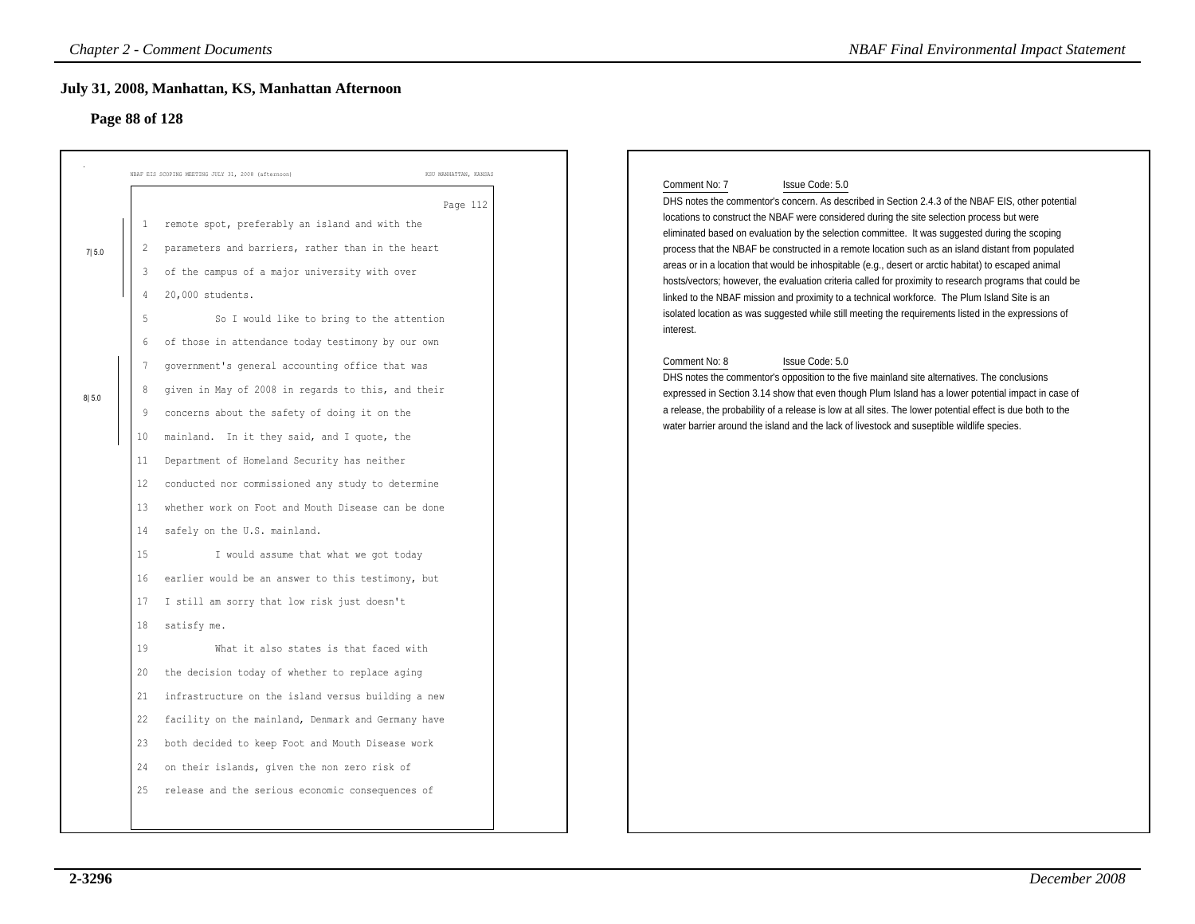### **July 31, 2008, Manhattan, KS, Manhattan Afternoon**

### **Page 88 of 128**

|                | <b>Chapter 2 - Comment Documents</b>                                                                                                                                                              |                                                                                                                                                                                                                                                                                                                                                                                                                                                                                                                                                                                                                                                                                                                                                                                                                                                                                                                                                                                                                                                                                                                                                      | <b>NBAF Final Environmental Impact Statement</b>                                                                                                                                                                                                                                                                                                                                                                                                                                                                                                                                                                                                                                                                                                                                                                                                                                                                                                                                                                                                                                                                                                                                                                                                                                                                                            |
|----------------|---------------------------------------------------------------------------------------------------------------------------------------------------------------------------------------------------|------------------------------------------------------------------------------------------------------------------------------------------------------------------------------------------------------------------------------------------------------------------------------------------------------------------------------------------------------------------------------------------------------------------------------------------------------------------------------------------------------------------------------------------------------------------------------------------------------------------------------------------------------------------------------------------------------------------------------------------------------------------------------------------------------------------------------------------------------------------------------------------------------------------------------------------------------------------------------------------------------------------------------------------------------------------------------------------------------------------------------------------------------|---------------------------------------------------------------------------------------------------------------------------------------------------------------------------------------------------------------------------------------------------------------------------------------------------------------------------------------------------------------------------------------------------------------------------------------------------------------------------------------------------------------------------------------------------------------------------------------------------------------------------------------------------------------------------------------------------------------------------------------------------------------------------------------------------------------------------------------------------------------------------------------------------------------------------------------------------------------------------------------------------------------------------------------------------------------------------------------------------------------------------------------------------------------------------------------------------------------------------------------------------------------------------------------------------------------------------------------------|
|                | July 31, 2008, Manhattan, KS, Manhattan Afternoon                                                                                                                                                 |                                                                                                                                                                                                                                                                                                                                                                                                                                                                                                                                                                                                                                                                                                                                                                                                                                                                                                                                                                                                                                                                                                                                                      |                                                                                                                                                                                                                                                                                                                                                                                                                                                                                                                                                                                                                                                                                                                                                                                                                                                                                                                                                                                                                                                                                                                                                                                                                                                                                                                                             |
|                | Page 88 of 128                                                                                                                                                                                    |                                                                                                                                                                                                                                                                                                                                                                                                                                                                                                                                                                                                                                                                                                                                                                                                                                                                                                                                                                                                                                                                                                                                                      |                                                                                                                                                                                                                                                                                                                                                                                                                                                                                                                                                                                                                                                                                                                                                                                                                                                                                                                                                                                                                                                                                                                                                                                                                                                                                                                                             |
|                | NBAF EIS SCOPING MEETING JULY 31, 2008 (afternoon)                                                                                                                                                | KSU MANHATTAN, KANSAS                                                                                                                                                                                                                                                                                                                                                                                                                                                                                                                                                                                                                                                                                                                                                                                                                                                                                                                                                                                                                                                                                                                                |                                                                                                                                                                                                                                                                                                                                                                                                                                                                                                                                                                                                                                                                                                                                                                                                                                                                                                                                                                                                                                                                                                                                                                                                                                                                                                                                             |
| 7 5.0<br>8 5.0 | 3<br>20,000 students.<br>4<br>5<br>6<br>7<br>8<br>9<br>10<br>11<br>$12 \,$<br>13<br>safely on the U.S. mainland.<br>14<br>15<br>16<br>17<br>satisfy me.<br>18<br>19<br>20<br>21<br>23<br>24<br>25 | Page 112<br>remote spot, preferably an island and with the<br>parameters and barriers, rather than in the heart<br>of the campus of a major university with over<br>So I would like to bring to the attention<br>of those in attendance today testimony by our own<br>government's general accounting office that was<br>given in May of 2008 in regards to this, and their<br>concerns about the safety of doing it on the<br>mainland. In it they said, and I quote, the<br>Department of Homeland Security has neither<br>conducted nor commissioned any study to determine<br>whether work on Foot and Mouth Disease can be done<br>I would assume that what we got today<br>earlier would be an answer to this testimony, but<br>I still am sorry that low risk just doesn't<br>What it also states is that faced with<br>the decision today of whether to replace aging<br>infrastructure on the island versus building a new<br>22 facility on the mainland, Denmark and Germany have<br>both decided to keep Foot and Mouth Disease work<br>on their islands, given the non zero risk of<br>release and the serious economic consequences of | Comment No: 7<br>Issue Code: 5.0<br>DHS notes the commentor's concern. As described in Section 2.4.3 of the NBAF EIS, other potential<br>locations to construct the NBAF were considered during the site selection process but were<br>eliminated based on evaluation by the selection committee. It was suggested during the scoping<br>process that the NBAF be constructed in a remote location such as an island distant from populated<br>areas or in a location that would be inhospitable (e.g., desert or arctic habitat) to escaped animal<br>hosts/vectors; however, the evaluation criteria called for proximity to research programs that could be<br>linked to the NBAF mission and proximity to a technical workforce. The Plum Island Site is an<br>isolated location as was suggested while still meeting the requirements listed in the expressions of<br>interest.<br>Comment No: 8<br>Issue Code: 5.0<br>DHS notes the commentor's opposition to the five mainland site alternatives. The conclusions<br>expressed in Section 3.14 show that even though Plum Island has a lower potential impact in case of<br>a release, the probability of a release is low at all sites. The lower potential effect is due both to the<br>water barrier around the island and the lack of livestock and suseptible wildlife species. |
|                |                                                                                                                                                                                                   |                                                                                                                                                                                                                                                                                                                                                                                                                                                                                                                                                                                                                                                                                                                                                                                                                                                                                                                                                                                                                                                                                                                                                      |                                                                                                                                                                                                                                                                                                                                                                                                                                                                                                                                                                                                                                                                                                                                                                                                                                                                                                                                                                                                                                                                                                                                                                                                                                                                                                                                             |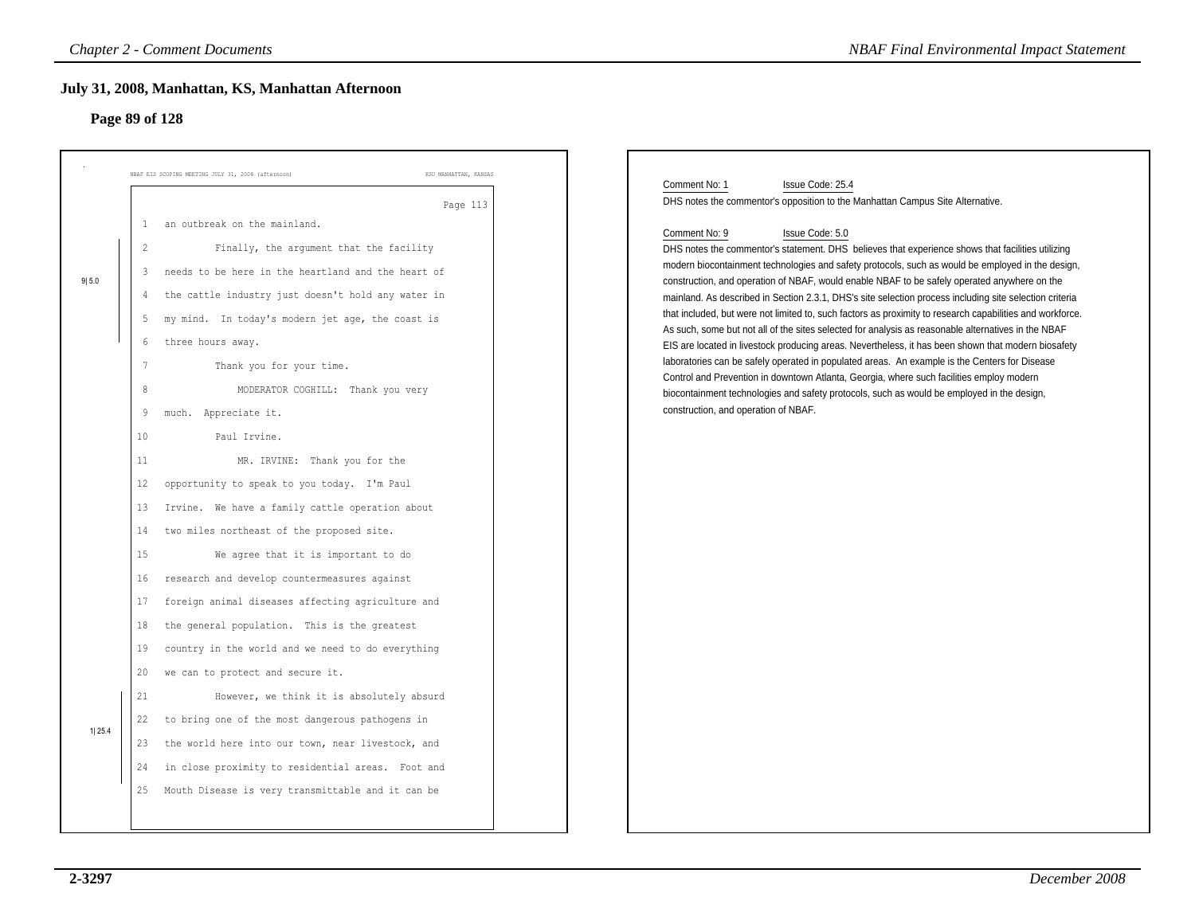### **Page 89 of 128**

|        |                | <b>Chapter 2 - Comment Documents</b>                                        | <b>NBAF Final Environmental Impact Statement</b>                                                                                                                                                           |
|--------|----------------|-----------------------------------------------------------------------------|------------------------------------------------------------------------------------------------------------------------------------------------------------------------------------------------------------|
|        |                | July 31, 2008, Manhattan, KS, Manhattan Afternoon                           |                                                                                                                                                                                                            |
|        | Page 89 of 128 |                                                                             |                                                                                                                                                                                                            |
|        |                |                                                                             |                                                                                                                                                                                                            |
|        |                | NBAF EIS SCOPING MEETING JULY 31, 2008 (afternoon)<br>KSU MANHATTAN, KANSAS | Issue Code: 25.4<br>Comment No: 1                                                                                                                                                                          |
|        |                | Page 113                                                                    | DHS notes the commentor's opposition to the Manhattan Campus Site Alternative.                                                                                                                             |
|        |                | an outbreak on the mainland.                                                | Comment No: 9<br>Issue Code: 5.0                                                                                                                                                                           |
|        | $\overline{c}$ | Finally, the argument that the facility                                     | DHS notes the commentor's statement. DHS believes that experience shows that facilities utilizing                                                                                                          |
| 9 5.0  | 3              | needs to be here in the heartland and the heart of                          | modern biocontainment technologies and safety protocols, such as would be employed in the design,<br>construction, and operation of NBAF, would enable NBAF to be safely operated anywhere on the          |
|        |                | the cattle industry just doesn't hold any water in                          | mainland. As described in Section 2.3.1, DHS's site selection process including site selection criteria                                                                                                    |
|        | 5              | my mind. In today's modern jet age, the coast is                            | that included, but were not limited to, such factors as proximity to research capabilities and workforce.                                                                                                  |
|        | 6              | three hours away.                                                           | As such, some but not all of the sites selected for analysis as reasonable alternatives in the NBAF<br>EIS are located in livestock producing areas. Nevertheless, it has been shown that modern biosafety |
|        | $\overline{7}$ | Thank you for your time.                                                    | laboratories can be safely operated in populated areas. An example is the Centers for Disease                                                                                                              |
|        | 8              | MODERATOR COGHILL: Thank you very                                           | Control and Prevention in downtown Atlanta, Georgia, where such facilities employ modern<br>biocontainment technologies and safety protocols, such as would be employed in the design,                     |
|        | 9              | much. Appreciate it.                                                        | construction, and operation of NBAF.                                                                                                                                                                       |
|        | 10             | Paul Irvine.                                                                |                                                                                                                                                                                                            |
|        | 11             | MR. IRVINE: Thank you for the                                               |                                                                                                                                                                                                            |
|        | 12             | opportunity to speak to you today. I'm Paul                                 |                                                                                                                                                                                                            |
|        | 13             | Irvine. We have a family cattle operation about                             |                                                                                                                                                                                                            |
|        | 14             | two miles northeast of the proposed site.                                   |                                                                                                                                                                                                            |
|        | 15             | We agree that it is important to do                                         |                                                                                                                                                                                                            |
|        | 16             | research and develop countermeasures against                                |                                                                                                                                                                                                            |
|        | 17             | foreign animal diseases affecting agriculture and                           |                                                                                                                                                                                                            |
|        | 18             | the general population. This is the greatest                                |                                                                                                                                                                                                            |
|        | 19             | country in the world and we need to do everything                           |                                                                                                                                                                                                            |
|        | 20             | we can to protect and secure it.                                            |                                                                                                                                                                                                            |
|        | 21             | However, we think it is absolutely absurd                                   |                                                                                                                                                                                                            |
|        | 22             | to bring one of the most dangerous pathogens in                             |                                                                                                                                                                                                            |
| 1 25.4 | 23             | the world here into our town, near livestock, and                           |                                                                                                                                                                                                            |
|        | 24             | in close proximity to residential areas. Foot and                           |                                                                                                                                                                                                            |
|        | 25             | Mouth Disease is very transmittable and it can be                           |                                                                                                                                                                                                            |
|        |                |                                                                             |                                                                                                                                                                                                            |
|        |                |                                                                             |                                                                                                                                                                                                            |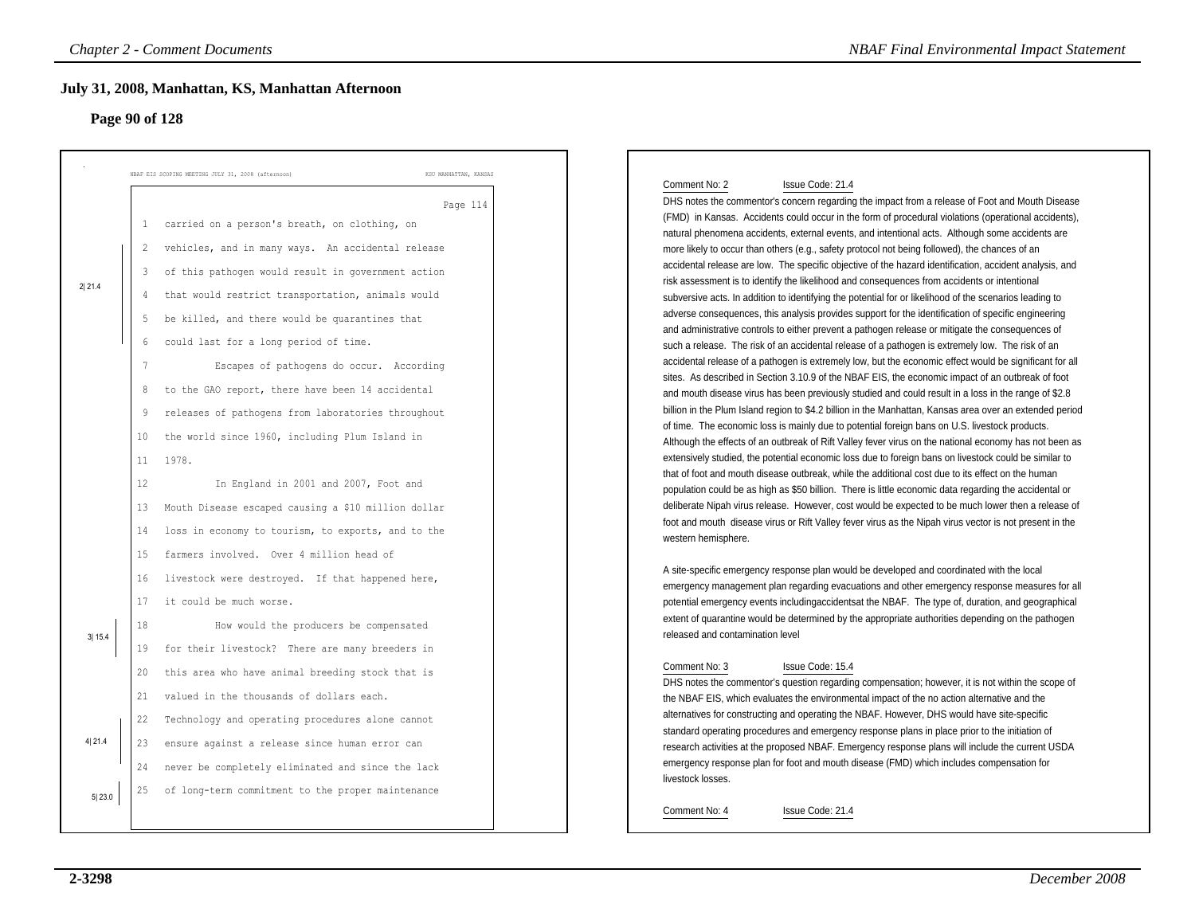### **Page 90 of 128**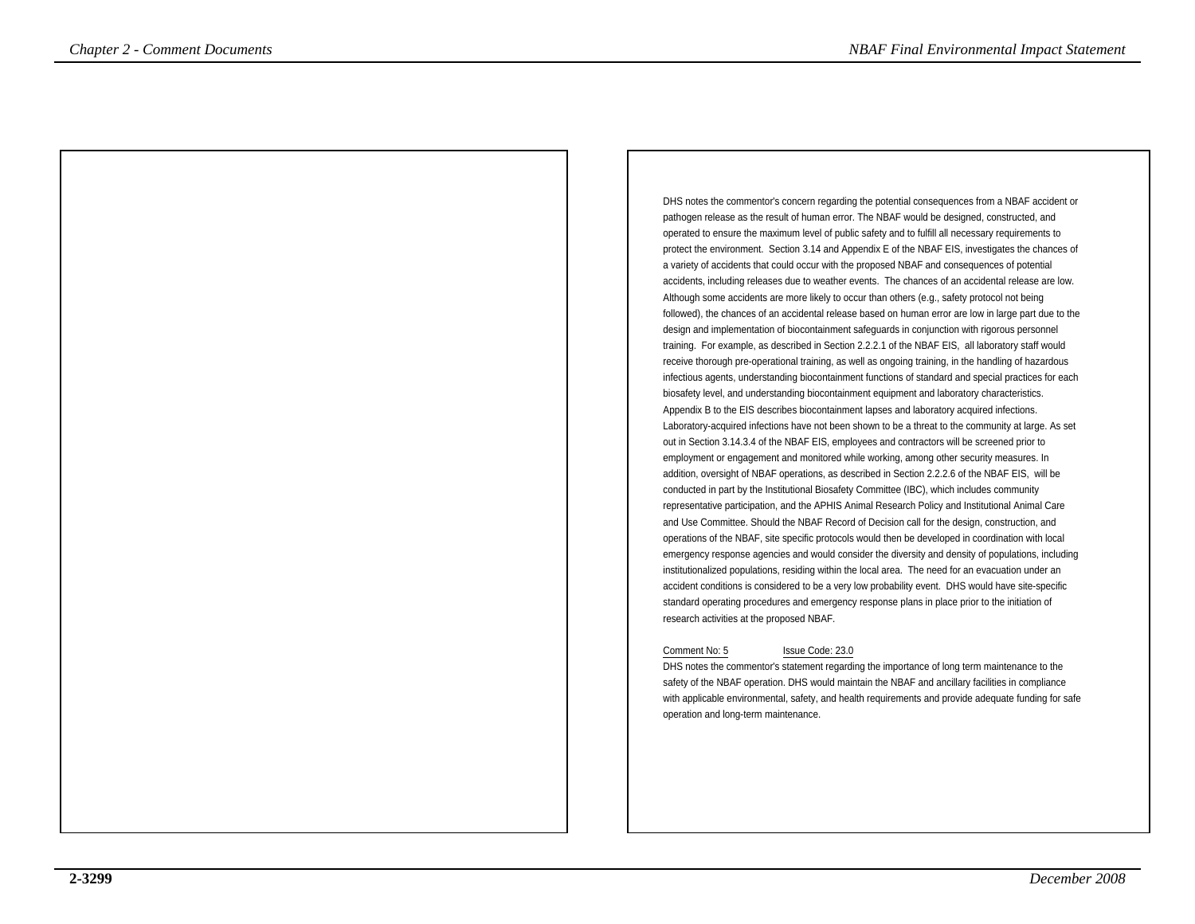DHS notes the commentor's concern regarding the potential consequences from a NBAF accident orpathogen release as the result of human error. The NBAF would be designed, constructed, and operated to ensure the maximum level of public safety and to fulfill all necessary requirements to protect the environment. Section 3.14 and Appendix E of the NBAF EIS, investigates the chances ofa variety of accidents that could occur with the proposed NBAF and consequences of potentialaccidents, including releases due to weather events. The chances of an accidental release are low.Although some accidents are more likely to occur than others (e.g., safety protocol not being followed), the chances of an accidental release based on human error are low in large part due to thedesign and implementation of biocontainment safeguards in conjunction with rigorous personneltraining. For example, as described in Section 2.2.2.1 of the NBAF EIS, all laboratory staff would receive thorough pre-operational training, as well as ongoing training, in the handling of hazardous infectious agents, understanding biocontainment functions of standard and special practices for eachbiosafety level, and understanding biocontainment equipment and laboratory characteristics.Appendix B to the EIS describes biocontainment lapses and laboratory acquired infections. Laboratory-acquired infections have not been shown to be a threat to the community at large. As setout in Section 3.14.3.4 of the NBAF EIS, employees and contractors will be screened prior to employment or engagement and monitored while working, among other security measures. In addition, oversight of NBAF operations, as described in Section 2.2.2.6 of the NBAF EIS, will beconducted in part by the Institutional Biosafety Committee (IBC), which includes community representative participation, and the APHIS Animal Research Policy and Institutional Animal Careand Use Committee. Should the NBAF Record of Decision call for the design, construction, and operations of the NBAF, site specific protocols would then be developed in coordination with localemergency response agencies and would consider the diversity and density of populations, includinginstitutionalized populations, residing within the local area. The need for an evacuation under an accident conditions is considered to be a very low probability event. DHS would have site-specificstandard operating procedures and emergency response plans in place prior to the initiation ofresearch activities at the proposed NBAF. *Chapter 2 - Comments Documents* <br>
Chapter 3 - Comments and the commental Impact Statemental International International International International International International International International International Int

### Comment No: 5 Issue Code: 23.0

 DHS notes the commentor's statement regarding the importance of long term maintenance to the safety of the NBAF operation. DHS would maintain the NBAF and ancillary facilities in compliance with applicable environmental, safety, and health requirements and provide adequate funding for safeoperation and long-term maintenance.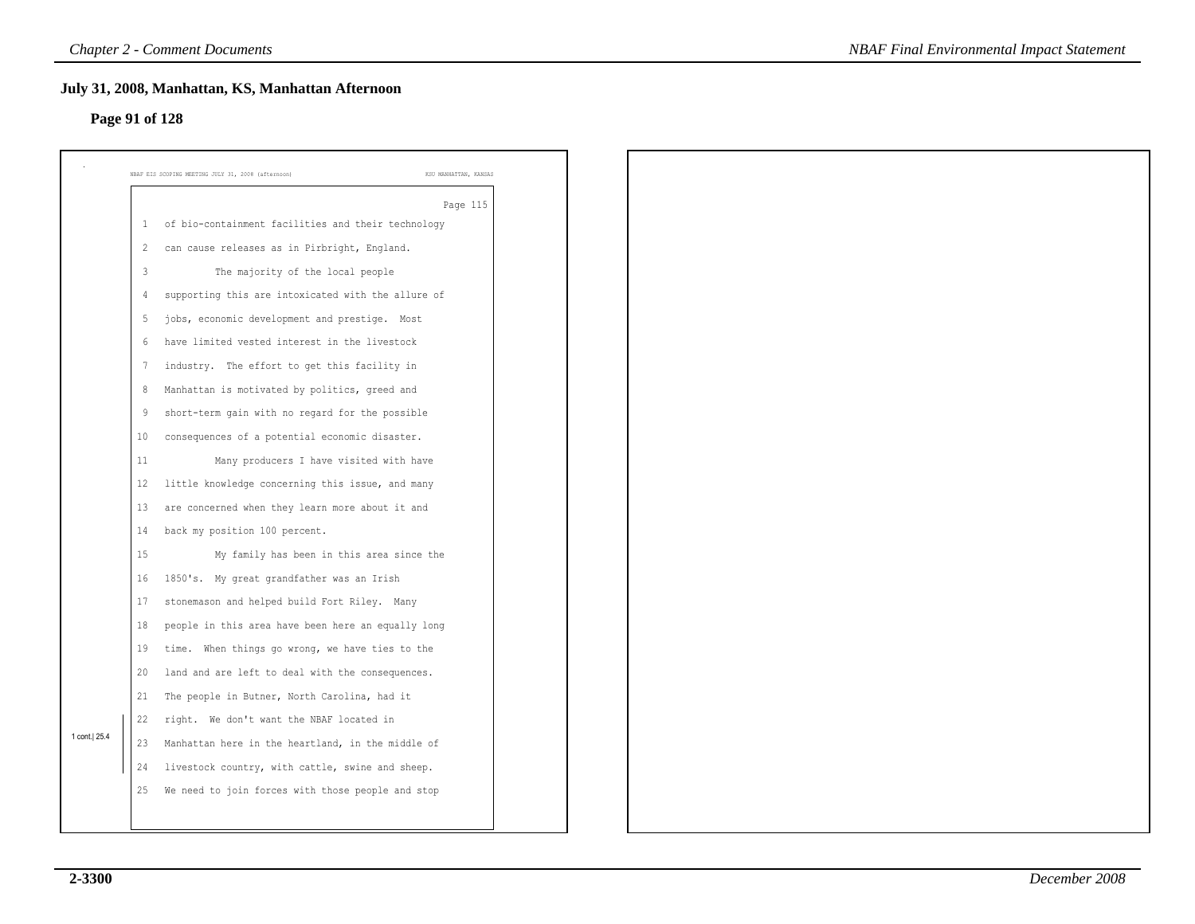### **Page 91 of 128**

|                |                | July 31, 2008, Manhattan, KS, Manhattan Afternoon  |                       |  |
|----------------|----------------|----------------------------------------------------|-----------------------|--|
| Page 91 of 128 |                |                                                    |                       |  |
|                |                | NBAF EIS SCOPING MEETING JULY 31, 2008 (afternoon) | KSU MANHATTAN, KANSAS |  |
|                |                |                                                    | Page 115              |  |
|                | $\,$ $\,$ $\,$ | of bio-containment facilities and their technology |                       |  |
|                | 2              | can cause releases as in Pirbright, England.       |                       |  |
|                | $\overline{3}$ | The majority of the local people                   |                       |  |
|                | 4              | supporting this are intoxicated with the allure of |                       |  |
|                | 5              | jobs, economic development and prestige. Most      |                       |  |
|                | 6              | have limited vested interest in the livestock      |                       |  |
|                | 7              | industry. The effort to get this facility in       |                       |  |
|                | 8              | Manhattan is motivated by politics, greed and      |                       |  |
|                | 9              | short-term gain with no regard for the possible    |                       |  |
|                | 10             | consequences of a potential economic disaster.     |                       |  |
|                | 11             | Many producers I have visited with have            |                       |  |
|                | 12             | little knowledge concerning this issue, and many   |                       |  |
|                | 13             | are concerned when they learn more about it and    |                       |  |
|                | 14             | back my position 100 percent.                      |                       |  |
|                | 15             | My family has been in this area since the          |                       |  |
|                | 16             | 1850's. My great grandfather was an Irish          |                       |  |
|                | 17             | stonemason and helped build Fort Riley. Many       |                       |  |
|                | 18             | people in this area have been here an equally long |                       |  |
|                | 19             | time. When things go wrong, we have ties to the    |                       |  |
|                | 20             | land and are left to deal with the consequences.   |                       |  |
|                | 21             | The people in Butner, North Carolina, had it       |                       |  |
|                | 22             | right. We don't want the NBAF located in           |                       |  |
| 1 cont.   25.4 | 23             | Manhattan here in the heartland, in the middle of  |                       |  |
|                | 24             | livestock country, with cattle, swine and sheep.   |                       |  |
|                | 25             | We need to join forces with those people and stop  |                       |  |
|                |                |                                                    |                       |  |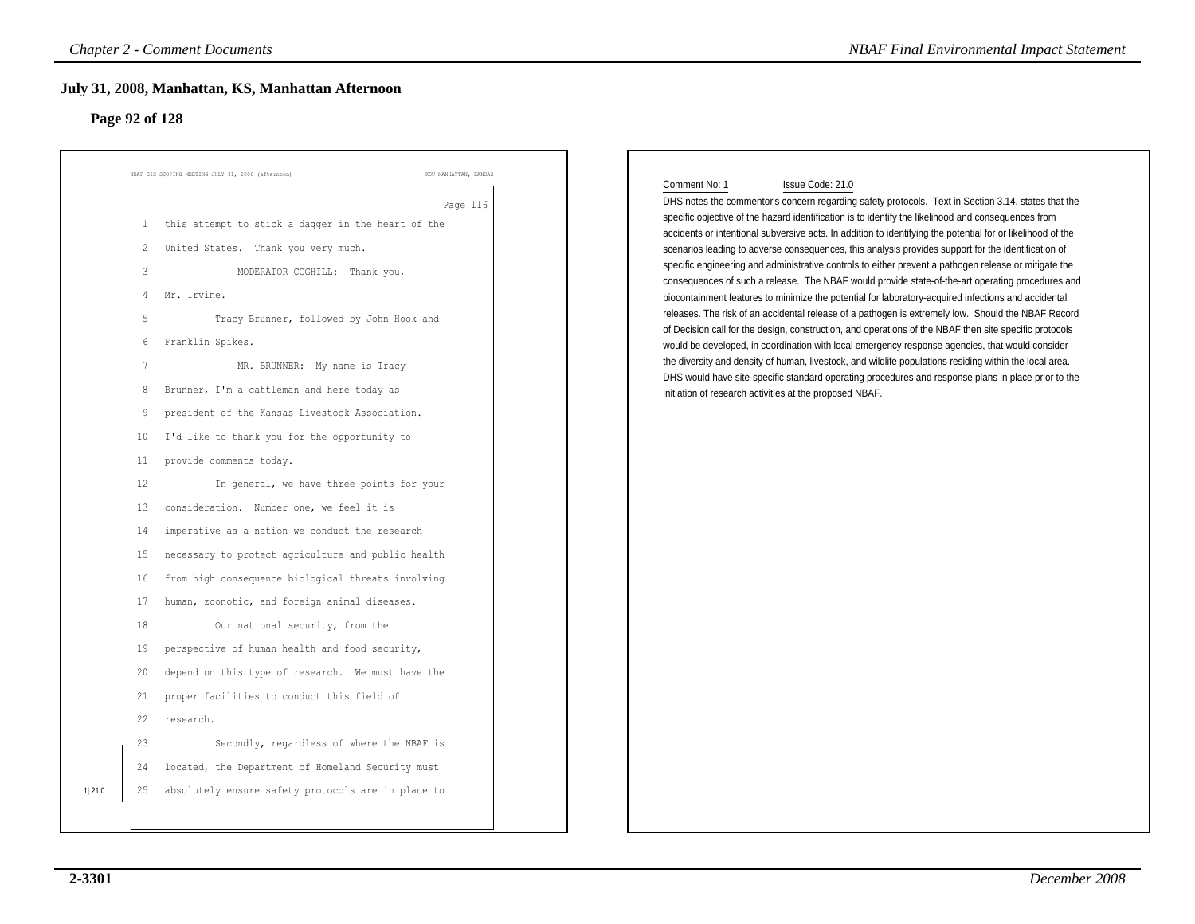| Page 92 of 128                                     |                                                    |                       |                                                                                                                                                                                                                    |
|----------------------------------------------------|----------------------------------------------------|-----------------------|--------------------------------------------------------------------------------------------------------------------------------------------------------------------------------------------------------------------|
| NBAF EIS SCOPING MEETING JULY 31, 2008 (afternoon) |                                                    | KSU MANHATTAN, KANSAS |                                                                                                                                                                                                                    |
|                                                    |                                                    | Page 116              | Issue Code: 21.0<br>Comment No: 1<br>DHS notes the commentor's concern regarding safety protocols. Text in Section 3.14, states that the                                                                           |
| $\mathbf{1}$                                       | this attempt to stick a dagger in the heart of the |                       | specific objective of the hazard identification is to identify the likelihood and consequences from<br>accidents or intentional subversive acts. In addition to identifying the potential for or likelihood of the |
| 2                                                  | United States. Thank you very much.                |                       | scenarios leading to adverse consequences, this analysis provides support for the identification of                                                                                                                |
| 3                                                  | MODERATOR COGHILL: Thank you,                      |                       | specific engineering and administrative controls to either prevent a pathogen release or mitigate the                                                                                                              |
| Mr. Irvine.<br>4                                   |                                                    |                       | consequences of such a release. The NBAF would provide state-of-the-art operating procedures and<br>biocontainment features to minimize the potential for laboratory-acquired infections and accidental            |
| 5                                                  | Tracy Brunner, followed by John Hook and           |                       | releases. The risk of an accidental release of a pathogen is extremely low. Should the NBAF Record<br>of Decision call for the design, construction, and operations of the NBAF then site specific protocols       |
| Franklin Spikes.<br>6                              |                                                    |                       | would be developed, in coordination with local emergency response agencies, that would consider                                                                                                                    |
| $7\phantom{.0}$                                    | MR. BRUNNER: My name is Tracy                      |                       | the diversity and density of human, livestock, and wildlife populations residing within the local area.                                                                                                            |
| 8                                                  | Brunner, I'm a cattleman and here today as         |                       | DHS would have site-specific standard operating procedures and response plans in place prior to the<br>initiation of research activities at the proposed NBAF.                                                     |
| 9                                                  | president of the Kansas Livestock Association.     |                       |                                                                                                                                                                                                                    |
| 10 <sub>1</sub>                                    | I'd like to thank you for the opportunity to       |                       |                                                                                                                                                                                                                    |
| 11                                                 | provide comments today.                            |                       |                                                                                                                                                                                                                    |
| 12                                                 | In general, we have three points for your          |                       |                                                                                                                                                                                                                    |
| 13                                                 | consideration. Number one, we feel it is           |                       |                                                                                                                                                                                                                    |
| 14                                                 | imperative as a nation we conduct the research     |                       |                                                                                                                                                                                                                    |
| 15                                                 | necessary to protect agriculture and public health |                       |                                                                                                                                                                                                                    |
| 16                                                 | from high consequence biological threats involving |                       |                                                                                                                                                                                                                    |
| 17                                                 | human, zoonotic, and foreign animal diseases.      |                       |                                                                                                                                                                                                                    |
| 18                                                 | Our national security, from the                    |                       |                                                                                                                                                                                                                    |
| 19                                                 | perspective of human health and food security,     |                       |                                                                                                                                                                                                                    |
| 20                                                 | depend on this type of research. We must have the  |                       |                                                                                                                                                                                                                    |
| 21                                                 | proper facilities to conduct this field of         |                       |                                                                                                                                                                                                                    |
| 22<br>research.                                    |                                                    |                       |                                                                                                                                                                                                                    |
| 23                                                 | Secondly, regardless of where the NBAF is          |                       |                                                                                                                                                                                                                    |
| 24                                                 | located, the Department of Homeland Security must  |                       |                                                                                                                                                                                                                    |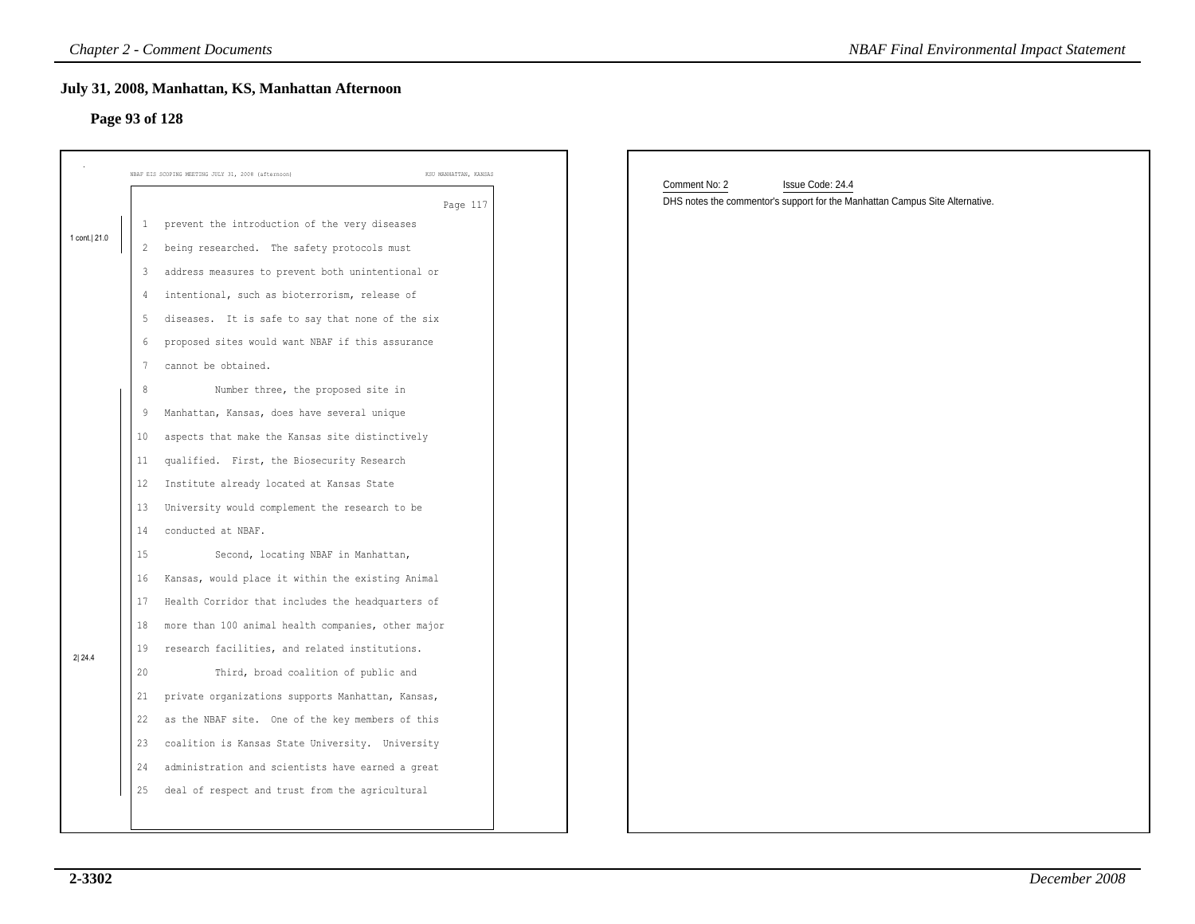### **July 31, 2008, Manhattan, KS, Manhattan Afternoon**

## **Page 93 of 128**

|              | <b>Chapter 2 - Comment Documents</b>                                        | <b>NBAF Final Environmental Impact Statement</b>                                                                  |
|--------------|-----------------------------------------------------------------------------|-------------------------------------------------------------------------------------------------------------------|
|              | July 31, 2008, Manhattan, KS, Manhattan Afternoon                           |                                                                                                                   |
|              | Page 93 of 128                                                              |                                                                                                                   |
|              | NBAF EIS SCOPING MEETING JULY 31, 2008 (afternoon)<br>KSU MANHATTAN, KANSAS |                                                                                                                   |
|              | Page 117                                                                    | Comment No: 2<br>Issue Code: 24.4<br>DHS notes the commentor's support for the Manhattan Campus Site Alternative. |
|              | prevent the introduction of the very diseases<br>$\mathbf{1}$               |                                                                                                                   |
| 1 cont. 21.0 | 2 being researched. The safety protocols must                               |                                                                                                                   |
|              | address measures to prevent both unintentional or<br>3                      |                                                                                                                   |
|              | intentional, such as bioterrorism, release of<br>4                          |                                                                                                                   |
|              | 5<br>diseases. It is safe to say that none of the six                       |                                                                                                                   |
|              | proposed sites would want NBAF if this assurance<br>6                       |                                                                                                                   |
|              | cannot be obtained.<br>7                                                    |                                                                                                                   |
|              | Number three, the proposed site in<br>8                                     |                                                                                                                   |
|              | Manhattan, Kansas, does have several unique<br>9                            |                                                                                                                   |
|              | aspects that make the Kansas site distinctively<br>10                       |                                                                                                                   |
|              | qualified. First, the Biosecurity Research<br>11                            |                                                                                                                   |
|              | 12<br>Institute already located at Kansas State                             |                                                                                                                   |
|              | University would complement the research to be<br>13                        |                                                                                                                   |
|              | conducted at NBAF.<br>14                                                    |                                                                                                                   |
|              | 15<br>Second, locating NBAF in Manhattan,                                   |                                                                                                                   |
|              | Kansas, would place it within the existing Animal<br>16                     |                                                                                                                   |
|              | Health Corridor that includes the headquarters of<br>17                     |                                                                                                                   |
|              | more than 100 animal health companies, other major<br>18                    |                                                                                                                   |
| 2 24.4       | research facilities, and related institutions.<br>19                        |                                                                                                                   |
|              | Third, broad coalition of public and<br>20                                  |                                                                                                                   |
|              | private organizations supports Manhattan, Kansas,<br>21                     |                                                                                                                   |
|              | 22 as the NBAF site. One of the key members of this                         |                                                                                                                   |
|              | 23 coalition is Kansas State University. University                         |                                                                                                                   |
|              | 24 administration and scientists have earned a great                        |                                                                                                                   |
|              | deal of respect and trust from the agricultural<br>25                       |                                                                                                                   |
|              |                                                                             |                                                                                                                   |
|              |                                                                             |                                                                                                                   |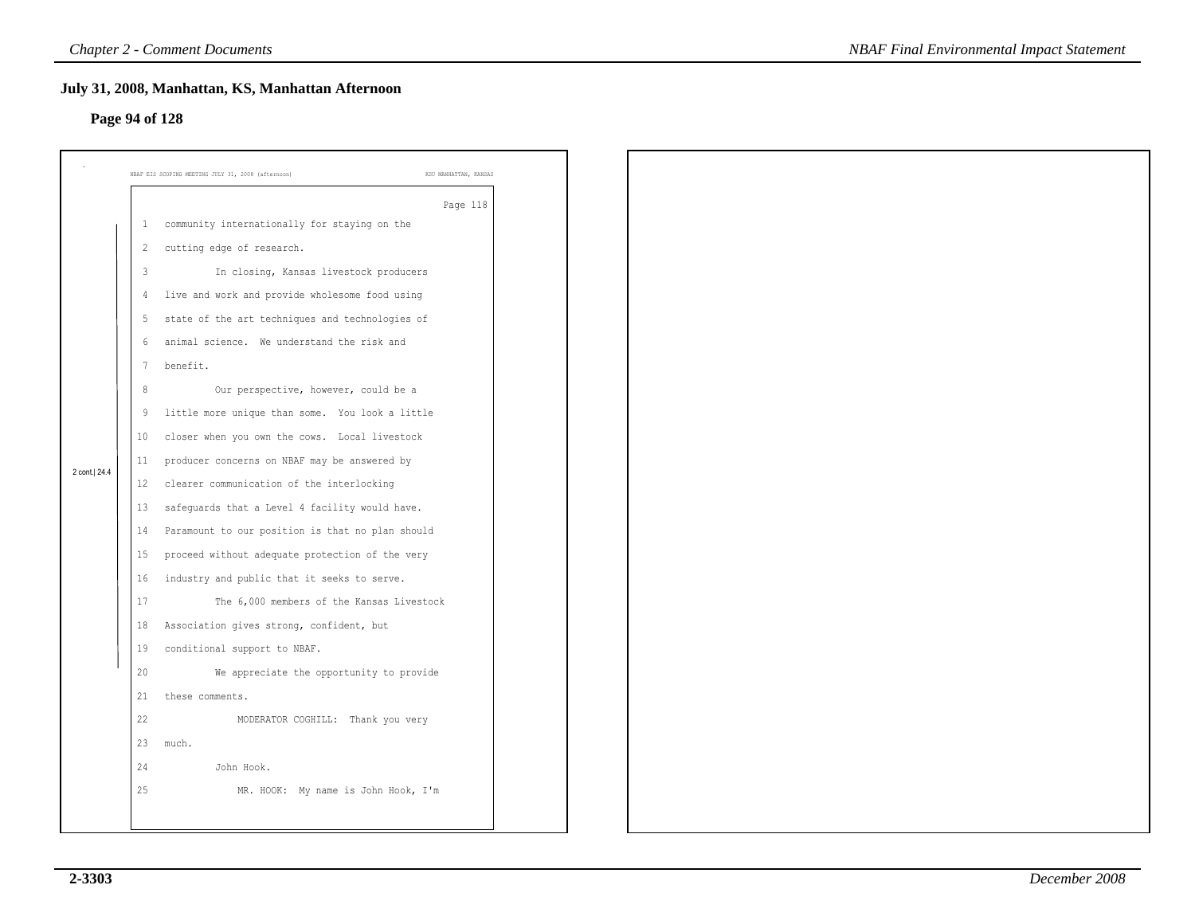### **Page 94 of 128**

|                |                 | July 31, 2008, Manhattan, KS, Manhattan Afternoon                           |  |
|----------------|-----------------|-----------------------------------------------------------------------------|--|
| Page 94 of 128 |                 |                                                                             |  |
|                |                 |                                                                             |  |
|                |                 | NBAF EIS SCOPING MEETING JULY 31, 2008 (afternoon)<br>KSU MANHATTAN, KANSAS |  |
|                |                 | Page 118                                                                    |  |
|                | $\perp$         | community internationally for staying on the                                |  |
|                | $\overline{2}$  | cutting edge of research.                                                   |  |
|                | $\overline{3}$  | In closing, Kansas livestock producers                                      |  |
|                | $\overline{4}$  | live and work and provide wholesome food using                              |  |
|                | 5               | state of the art techniques and technologies of                             |  |
|                | 6               | animal science. We understand the risk and                                  |  |
|                | $7\phantom{.0}$ | benefit.                                                                    |  |
|                | 8               | Our perspective, however, could be a                                        |  |
|                | 9               | little more unique than some. You look a little                             |  |
|                | 10              | closer when you own the cows. Local livestock                               |  |
| 2 cont. 24.4   | 11              | producer concerns on NBAF may be answered by                                |  |
|                | 12              | clearer communication of the interlocking                                   |  |
|                | 13              | safeguards that a Level 4 facility would have.                              |  |
|                | 14              | Paramount to our position is that no plan should                            |  |
|                | 15              | proceed without adequate protection of the very                             |  |
|                | 16              | industry and public that it seeks to serve.                                 |  |
|                | 17              | The 6,000 members of the Kansas Livestock                                   |  |
|                | 18              | Association gives strong, confident, but                                    |  |
|                | 19              | conditional support to NBAF.                                                |  |
|                | 20              | We appreciate the opportunity to provide                                    |  |
|                | 21              | these comments.                                                             |  |
|                | 22              | MODERATOR COGHILL: Thank you very                                           |  |
|                | 23              | much.                                                                       |  |
|                | 24              | John Hook.                                                                  |  |
|                | 25              | MR. HOOK: My name is John Hook, I'm                                         |  |
|                |                 |                                                                             |  |
|                |                 |                                                                             |  |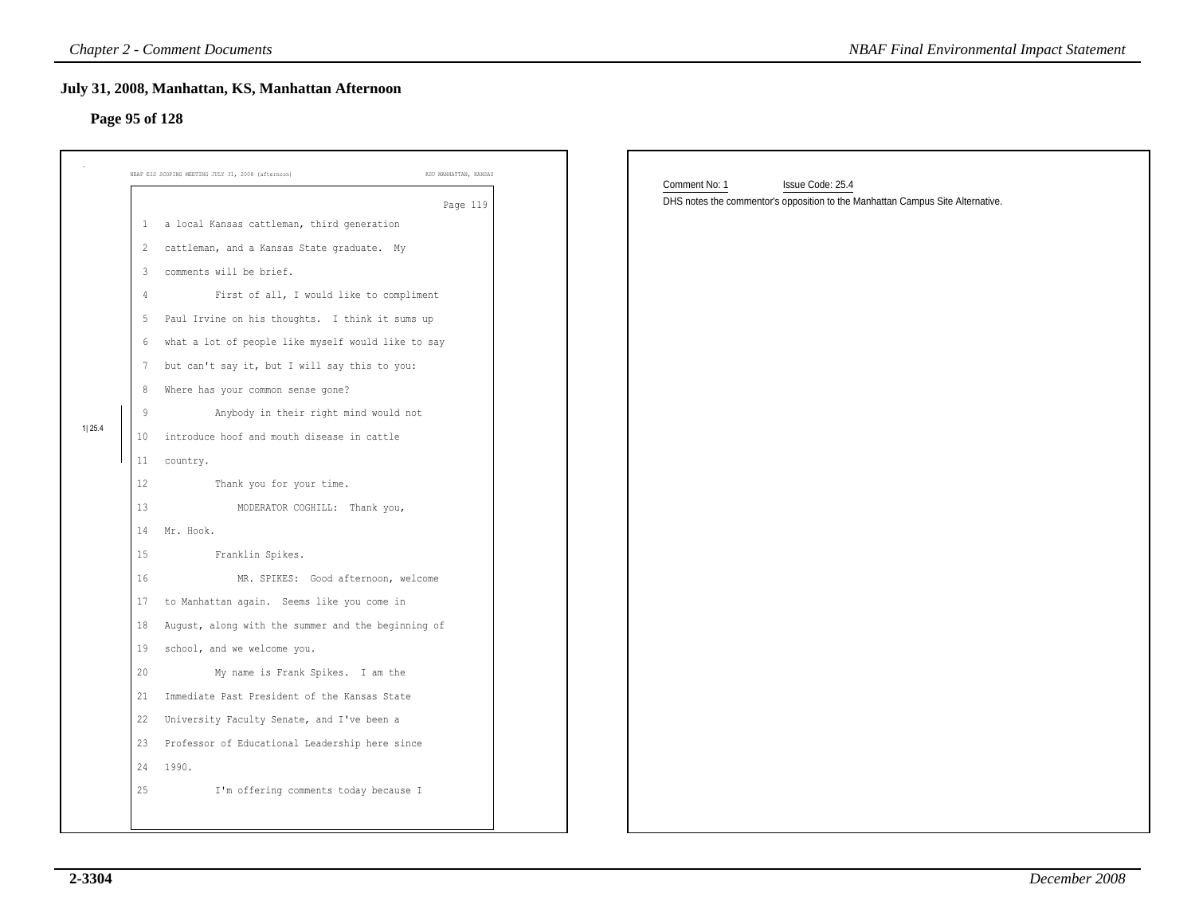### **Page 95 of 128**

|                |                | <b>Chapter 2 - Comment Documents</b>                                        | <b>NBAF Final Environmental Impact Statement</b>                               |  |
|----------------|----------------|-----------------------------------------------------------------------------|--------------------------------------------------------------------------------|--|
| Page 95 of 128 |                | July 31, 2008, Manhattan, KS, Manhattan Afternoon                           |                                                                                |  |
|                |                | NBAF EIS SCOPING MEETING JULY 31, 2008 (afternoon)<br>KSU MANHATTAN, KANSAS | Comment No: 1<br>Issue Code: 25.4                                              |  |
|                |                | Page 119                                                                    | DHS notes the commentor's opposition to the Manhattan Campus Site Alternative. |  |
|                |                | 1 a local Kansas cattleman, third generation                                |                                                                                |  |
|                |                | 2 cattleman, and a Kansas State graduate. My                                |                                                                                |  |
|                | $\mathbf{3}$   | comments will be brief.                                                     |                                                                                |  |
|                | $\overline{4}$ | First of all, I would like to compliment                                    |                                                                                |  |
|                | -5             | Paul Irvine on his thoughts. I think it sums up                             |                                                                                |  |
|                | 6              | what a lot of people like myself would like to say                          |                                                                                |  |
|                | 7              | but can't say it, but I will say this to you:                               |                                                                                |  |
|                | 8              | Where has your common sense gone?                                           |                                                                                |  |
| 1 25.4         | 9              | Anybody in their right mind would not                                       |                                                                                |  |
|                | 10             | introduce hoof and mouth disease in cattle                                  |                                                                                |  |
|                | $11\,$         | country.                                                                    |                                                                                |  |
|                | 12             | Thank you for your time.                                                    |                                                                                |  |
|                | 13             | MODERATOR COGHILL: Thank you,                                               |                                                                                |  |
|                | 14             | Mr. Hook.                                                                   |                                                                                |  |
|                | 15             | Franklin Spikes.                                                            |                                                                                |  |
|                | 16             | MR. SPIKES: Good afternoon, welcome                                         |                                                                                |  |
|                | 17             | to Manhattan again. Seems like you come in                                  |                                                                                |  |
|                | 18             | August, along with the summer and the beginning of                          |                                                                                |  |
|                | 19             | school, and we welcome you.                                                 |                                                                                |  |
|                | 20             | My name is Frank Spikes. I am the                                           |                                                                                |  |
|                | 21             | Immediate Past President of the Kansas State                                |                                                                                |  |
|                | 22             | University Faculty Senate, and I've been a                                  |                                                                                |  |
|                |                | 23 Professor of Educational Leadership here since                           |                                                                                |  |
|                | 24             | 1990.                                                                       |                                                                                |  |
|                | 25             | I'm offering comments today because I                                       |                                                                                |  |
|                |                |                                                                             |                                                                                |  |
|                |                |                                                                             |                                                                                |  |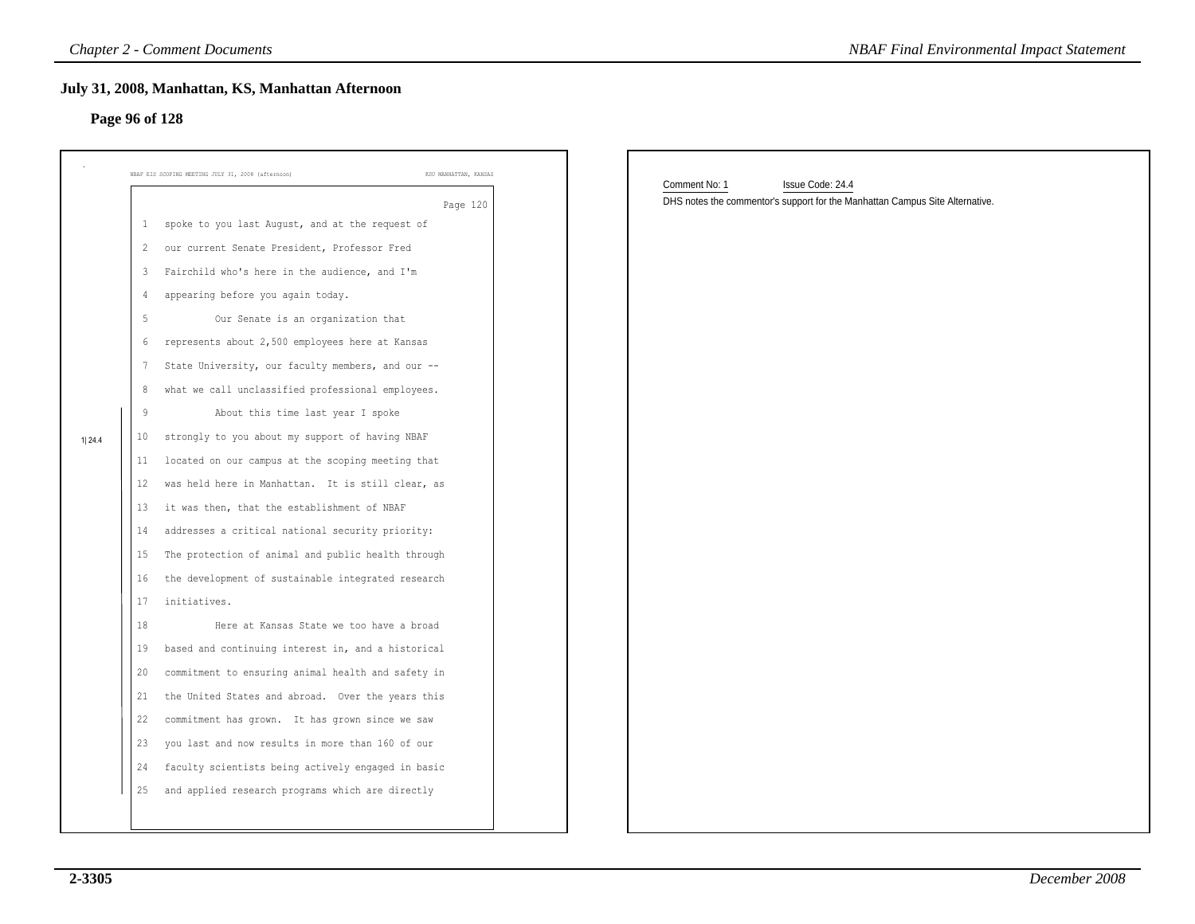### **July 31, 2008, Manhattan, KS, Manhattan Afternoon**

# **Page 96 of 128**

|                |                                                                                                                                                               | <b>Chapter 2 - Comment Documents</b>                                                                                                                                                                                                                                                                                                                                                                                                                                                                                                                                                                                                                                                                                                                                                                                                                                                                                                                                                                                                                                                                                                                                                                            | <b>NBAF Final Environmental Impact Statement</b>                                                                  |
|----------------|---------------------------------------------------------------------------------------------------------------------------------------------------------------|-----------------------------------------------------------------------------------------------------------------------------------------------------------------------------------------------------------------------------------------------------------------------------------------------------------------------------------------------------------------------------------------------------------------------------------------------------------------------------------------------------------------------------------------------------------------------------------------------------------------------------------------------------------------------------------------------------------------------------------------------------------------------------------------------------------------------------------------------------------------------------------------------------------------------------------------------------------------------------------------------------------------------------------------------------------------------------------------------------------------------------------------------------------------------------------------------------------------|-------------------------------------------------------------------------------------------------------------------|
| Page 96 of 128 |                                                                                                                                                               | July 31, 2008, Manhattan, KS, Manhattan Afternoon                                                                                                                                                                                                                                                                                                                                                                                                                                                                                                                                                                                                                                                                                                                                                                                                                                                                                                                                                                                                                                                                                                                                                               |                                                                                                                   |
|                |                                                                                                                                                               | KSU MANHATTAN, KANSAS<br>NBAF EIS SCOPING MEETING JULY 31, 2008 (afternoon)                                                                                                                                                                                                                                                                                                                                                                                                                                                                                                                                                                                                                                                                                                                                                                                                                                                                                                                                                                                                                                                                                                                                     |                                                                                                                   |
| 1 24.4         | $\mathbf{1}$<br>2<br>3<br>4<br>-5<br>6<br>$7\phantom{.0}$<br>8<br>9<br>10<br>11<br>12<br>13<br>14<br>15<br>16<br>17<br>18<br>19<br>20<br>21<br>22<br>23<br>24 | Page 120<br>spoke to you last August, and at the request of<br>our current Senate President, Professor Fred<br>Fairchild who's here in the audience, and I'm<br>appearing before you again today.<br>Our Senate is an organization that<br>represents about 2,500 employees here at Kansas<br>State University, our faculty members, and our --<br>what we call unclassified professional employees.<br>About this time last year I spoke<br>strongly to you about my support of having NBAF<br>located on our campus at the scoping meeting that<br>was held here in Manhattan. It is still clear, as<br>it was then, that the establishment of NBAF<br>addresses a critical national security priority:<br>The protection of animal and public health through<br>the development of sustainable integrated research<br>initiatives.<br>Here at Kansas State we too have a broad<br>based and continuing interest in, and a historical<br>commitment to ensuring animal health and safety in<br>the United States and abroad. Over the years this<br>commitment has grown. It has grown since we saw<br>you last and now results in more than 160 of our<br>faculty scientists being actively engaged in basic | Comment No: 1<br>Issue Code: 24.4<br>DHS notes the commentor's support for the Manhattan Campus Site Alternative. |
|                | 25                                                                                                                                                            | and applied research programs which are directly                                                                                                                                                                                                                                                                                                                                                                                                                                                                                                                                                                                                                                                                                                                                                                                                                                                                                                                                                                                                                                                                                                                                                                |                                                                                                                   |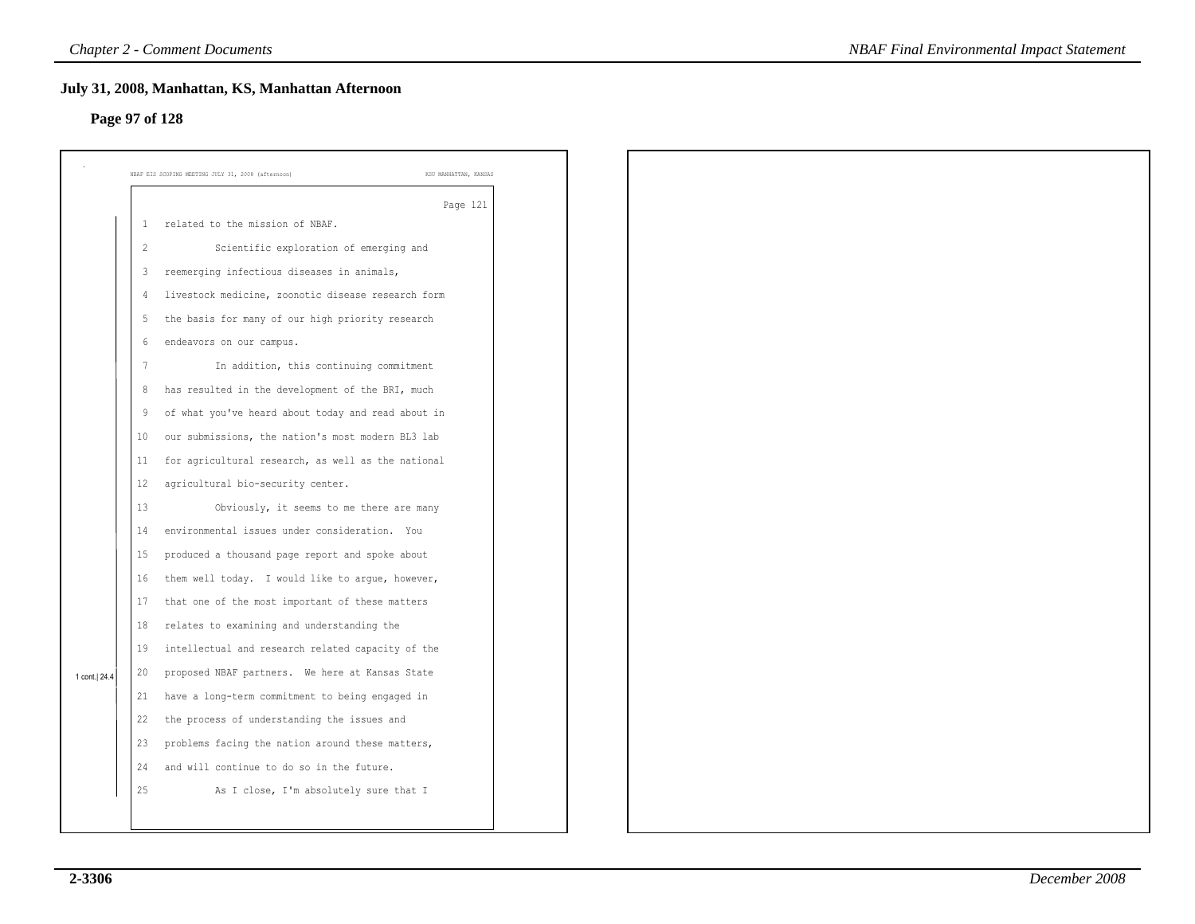### **Page 97 of 128**

|                |                | July 31, 2008, Manhattan, KS, Manhattan Afternoon                           |
|----------------|----------------|-----------------------------------------------------------------------------|
| Page 97 of 128 |                |                                                                             |
|                |                | NBAF EIS SCOPING MEETING JULY 31, 2008 (afternoon)<br>KSU MANHATTAN, KANSAS |
|                |                | Page 121                                                                    |
|                | $\mathbf{1}$   | related to the mission of NBAF.                                             |
|                | $\overline{c}$ | Scientific exploration of emerging and                                      |
|                | 3              | reemerging infectious diseases in animals,                                  |
|                | $\overline{4}$ | livestock medicine, zoonotic disease research form                          |
|                | 5              | the basis for many of our high priority research                            |
|                | 6              | endeavors on our campus.                                                    |
|                | 7              | In addition, this continuing commitment                                     |
|                | 8              | has resulted in the development of the BRI, much                            |
|                | 9              | of what you've heard about today and read about in                          |
|                | 10             | our submissions, the nation's most modern BL3 lab                           |
|                | 11             | for agricultural research, as well as the national                          |
|                | 12             | agricultural bio-security center.                                           |
|                | 13             | Obviously, it seems to me there are many                                    |
|                | 14             | environmental issues under consideration. You                               |
|                | 15             | produced a thousand page report and spoke about                             |
|                | 16             | them well today. I would like to argue, however,                            |
|                | 17             | that one of the most important of these matters                             |
|                | 18             | relates to examining and understanding the                                  |
|                | 19             | intellectual and research related capacity of the                           |
| 1 cont.  24.4  | 20             | proposed NBAF partners. We here at Kansas State                             |
|                | 21             | have a long-term commitment to being engaged in                             |
|                | 22             | the process of understanding the issues and                                 |
|                | 23             | problems facing the nation around these matters,                            |
|                | 24             | and will continue to do so in the future.                                   |
|                | 25             | As I close, I'm absolutely sure that I                                      |
|                |                |                                                                             |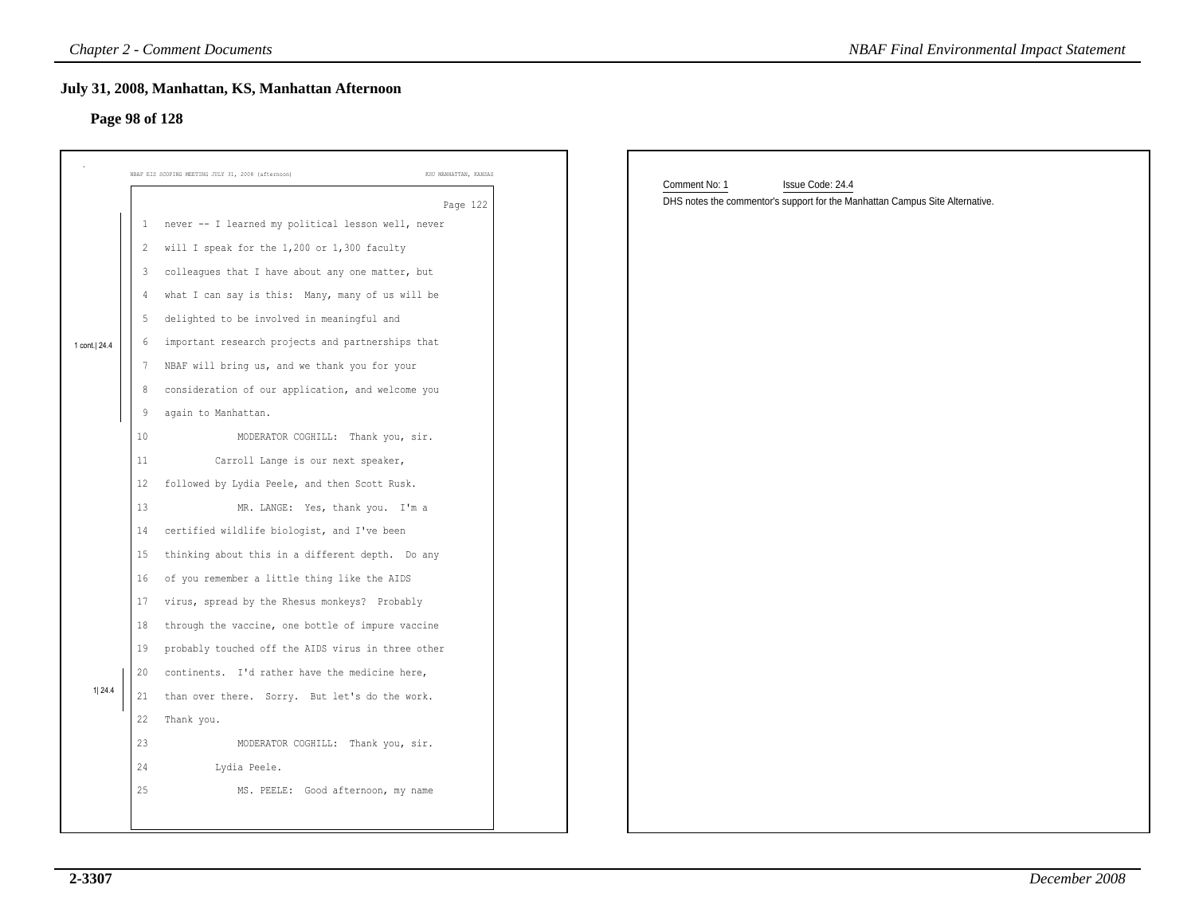### **Page 98 of 128**

|                |    | <b>Chapter 2 - Comment Documents</b>                                        | <b>NBAF Final Environmental Impact Statement</b>                             |
|----------------|----|-----------------------------------------------------------------------------|------------------------------------------------------------------------------|
|                |    | July 31, 2008, Manhattan, KS, Manhattan Afternoon                           |                                                                              |
| Page 98 of 128 |    |                                                                             |                                                                              |
|                |    |                                                                             |                                                                              |
|                |    |                                                                             |                                                                              |
|                |    | NBAF EIS SCOPING MEETING JULY 31, 2008 (afternoon)<br>KSU MANHATTAN, KANSAS | Comment No: 1<br>Issue Code: 24.4                                            |
|                |    | Page 122                                                                    | DHS notes the commentor's support for the Manhattan Campus Site Alternative. |
|                | 1  | never -- I learned my political lesson well, never                          |                                                                              |
|                |    | 2 will I speak for the 1,200 or 1,300 faculty                               |                                                                              |
|                | 3  | colleagues that I have about any one matter, but                            |                                                                              |
|                | 4  | what I can say is this: Many, many of us will be                            |                                                                              |
|                | -5 | delighted to be involved in meaningful and                                  |                                                                              |
| 1 cont.   24.4 | 6  | important research projects and partnerships that                           |                                                                              |
|                |    | NBAF will bring us, and we thank you for your                               |                                                                              |
|                | 8  | consideration of our application, and welcome you                           |                                                                              |
|                | 9  | again to Manhattan.                                                         |                                                                              |
|                | 10 | MODERATOR COGHILL: Thank you, sir.                                          |                                                                              |
|                | 11 | Carroll Lange is our next speaker,                                          |                                                                              |
|                | 12 | followed by Lydia Peele, and then Scott Rusk.                               |                                                                              |
|                | 13 | MR. LANGE: Yes, thank you. I'm a                                            |                                                                              |
|                | 14 | certified wildlife biologist, and I've been                                 |                                                                              |
|                | 15 | thinking about this in a different depth. Do any                            |                                                                              |
|                | 16 | of you remember a little thing like the AIDS                                |                                                                              |
|                | 17 | virus, spread by the Rhesus monkeys? Probably                               |                                                                              |
|                | 18 | through the vaccine, one bottle of impure vaccine                           |                                                                              |
|                | 19 | probably touched off the AIDS virus in three other                          |                                                                              |
|                | 20 | continents. I'd rather have the medicine here,                              |                                                                              |
| 1 24.4         | 21 | than over there. Sorry. But let's do the work.                              |                                                                              |
|                | 22 | Thank you.                                                                  |                                                                              |
|                | 23 | MODERATOR COGHILL: Thank you, sir.                                          |                                                                              |
|                | 24 | Lydia Peele.                                                                |                                                                              |
|                | 25 | MS. PEELE: Good afternoon, my name                                          |                                                                              |
|                |    |                                                                             |                                                                              |
|                |    |                                                                             |                                                                              |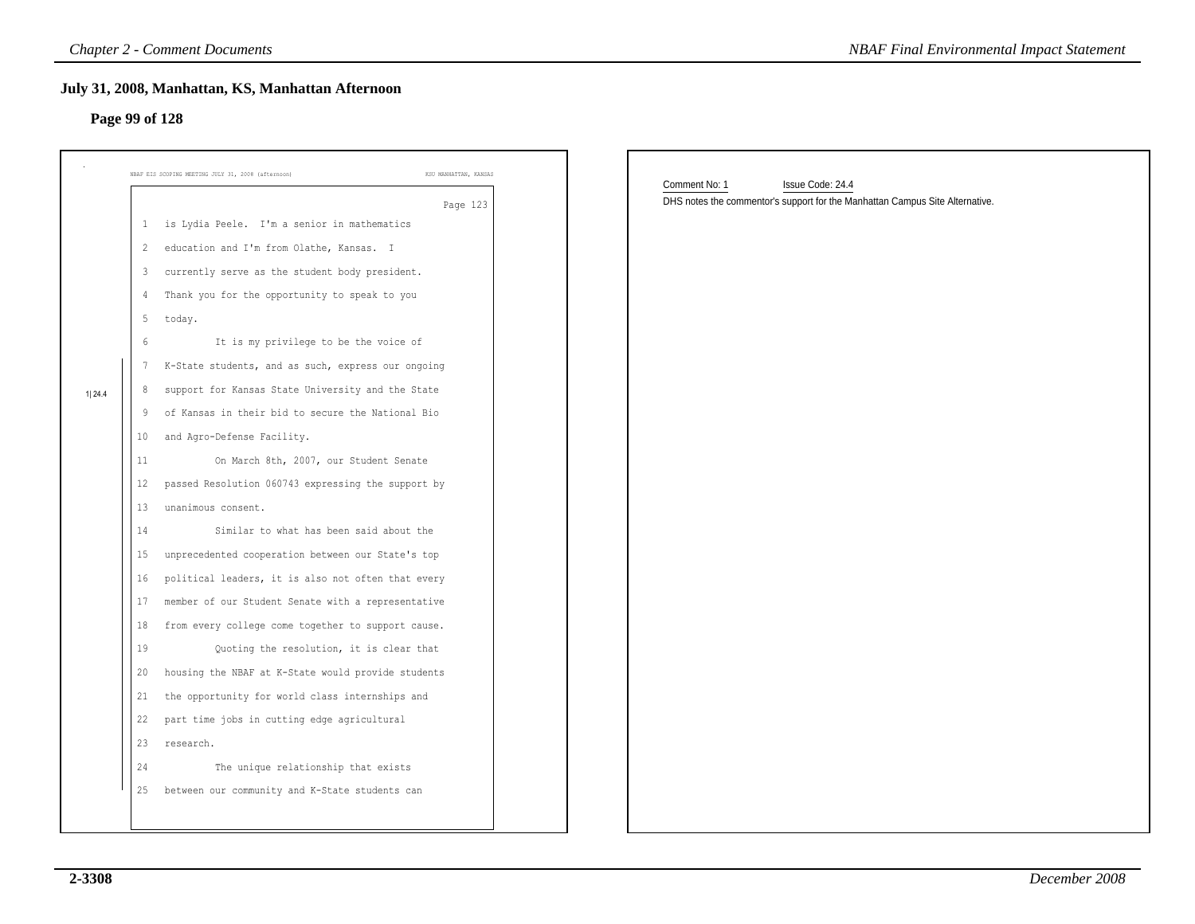### **Page 99 of 128**

| Page 99 of 128                                                                                                                        | July 31, 2008, Manhattan, KS, Manhattan Afternoon                                                                                                                                                                                                                                                                                                                                                                                                                                                                                                                                                                                                                                                                                                                                                                                                                                                                                                                                                                                                                       |                                                                                                                   |
|---------------------------------------------------------------------------------------------------------------------------------------|-------------------------------------------------------------------------------------------------------------------------------------------------------------------------------------------------------------------------------------------------------------------------------------------------------------------------------------------------------------------------------------------------------------------------------------------------------------------------------------------------------------------------------------------------------------------------------------------------------------------------------------------------------------------------------------------------------------------------------------------------------------------------------------------------------------------------------------------------------------------------------------------------------------------------------------------------------------------------------------------------------------------------------------------------------------------------|-------------------------------------------------------------------------------------------------------------------|
|                                                                                                                                       | NBAF EIS SCOPING MEETING JULY 31, 2008 (afternoon)<br>KSU MANHATTAN, KANSAS                                                                                                                                                                                                                                                                                                                                                                                                                                                                                                                                                                                                                                                                                                                                                                                                                                                                                                                                                                                             |                                                                                                                   |
| 3<br>4<br>5<br>6<br>$7\phantom{.0}$<br>8<br>1 24.4<br>9<br>10<br>11<br>12<br>13<br>14<br>15<br>16<br>17<br>18<br>19<br>20<br>21<br>22 | Page 123<br>1 is Lydia Peele. I'm a senior in mathematics<br>2 education and I'm from Olathe, Kansas. I<br>currently serve as the student body president.<br>Thank you for the opportunity to speak to you<br>today.<br>It is my privilege to be the voice of<br>K-State students, and as such, express our ongoing<br>support for Kansas State University and the State<br>of Kansas in their bid to secure the National Bio<br>and Agro-Defense Facility.<br>On March 8th, 2007, our Student Senate<br>passed Resolution 060743 expressing the support by<br>unanimous consent.<br>Similar to what has been said about the<br>unprecedented cooperation between our State's top<br>political leaders, it is also not often that every<br>member of our Student Senate with a representative<br>from every college come together to support cause.<br>Quoting the resolution, it is clear that<br>housing the NBAF at K-State would provide students<br>the opportunity for world class internships and<br>part time jobs in cutting edge agricultural<br>23 research. | Comment No: 1<br>Issue Code: 24.4<br>DHS notes the commentor's support for the Manhattan Campus Site Alternative. |
| 24<br>25                                                                                                                              | The unique relationship that exists<br>between our community and K-State students can                                                                                                                                                                                                                                                                                                                                                                                                                                                                                                                                                                                                                                                                                                                                                                                                                                                                                                                                                                                   |                                                                                                                   |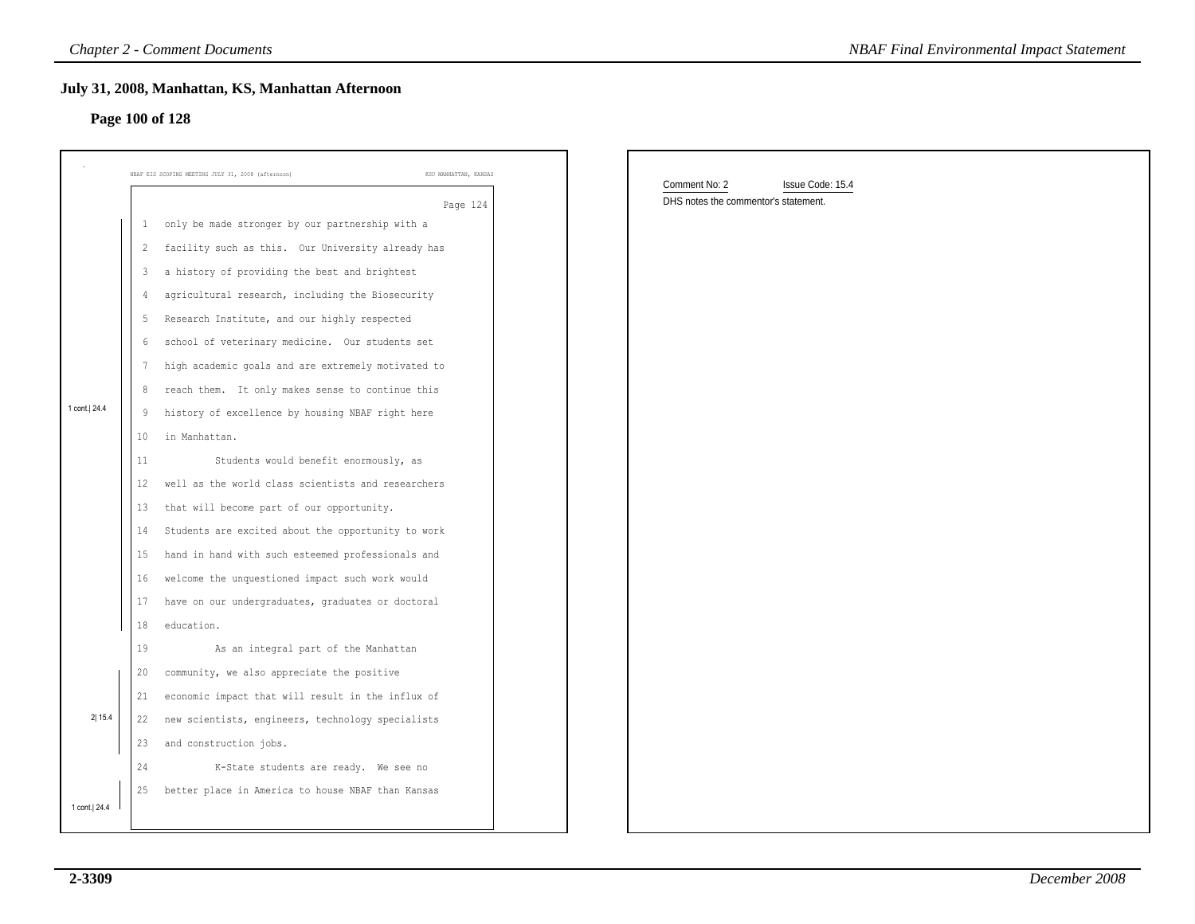### **Page 100 of 128**

|              |    | <b>Chapter 2 - Comment Documents</b>                                        | <b>NBAF Final Environmental Impact Statement</b> |
|--------------|----|-----------------------------------------------------------------------------|--------------------------------------------------|
|              |    | July 31, 2008, Manhattan, KS, Manhattan Afternoon<br>Page 100 of 128        |                                                  |
|              |    | NBAF EIS SCOPING MEETING JULY 31, 2008 (afternoon)<br>KSU MANHATTAN, KANSAS | Comment No: 2<br>Issue Code: 15.4                |
|              |    | Page 124                                                                    | DHS notes the commentor's statement.             |
|              |    | only be made stronger by our partnership with a                             |                                                  |
|              |    | 2 facility such as this. Our University already has                         |                                                  |
|              | 3  | a history of providing the best and brightest                               |                                                  |
|              | 4  | agricultural research, including the Biosecurity                            |                                                  |
|              | 5  | Research Institute, and our highly respected                                |                                                  |
|              | 6  | school of veterinary medicine. Our students set                             |                                                  |
|              | -7 | high academic goals and are extremely motivated to                          |                                                  |
|              | 8  | reach them. It only makes sense to continue this                            |                                                  |
| 1 cont. 24.4 | 9  | history of excellence by housing NBAF right here                            |                                                  |
|              | 10 | in Manhattan.                                                               |                                                  |
|              | 11 | Students would benefit enormously, as                                       |                                                  |
|              | 12 | well as the world class scientists and researchers                          |                                                  |
|              | 13 | that will become part of our opportunity.                                   |                                                  |
|              | 14 | Students are excited about the opportunity to work                          |                                                  |
|              | 15 | hand in hand with such esteemed professionals and                           |                                                  |
|              | 16 | welcome the unquestioned impact such work would                             |                                                  |
|              | 17 | have on our undergraduates, graduates or doctoral                           |                                                  |
|              | 18 | education.                                                                  |                                                  |
|              | 19 | As an integral part of the Manhattan                                        |                                                  |
|              | 20 | community, we also appreciate the positive                                  |                                                  |
|              | 21 | economic impact that will result in the influx of                           |                                                  |
| 2 15.4       | 22 | new scientists, engineers, technology specialists                           |                                                  |
|              | 23 | and construction jobs.                                                      |                                                  |
|              | 24 | K-State students are ready. We see no                                       |                                                  |
|              |    | 25 better place in America to house NBAF than Kansas                        |                                                  |
| 1 cont. 24.4 |    |                                                                             |                                                  |
|              |    |                                                                             |                                                  |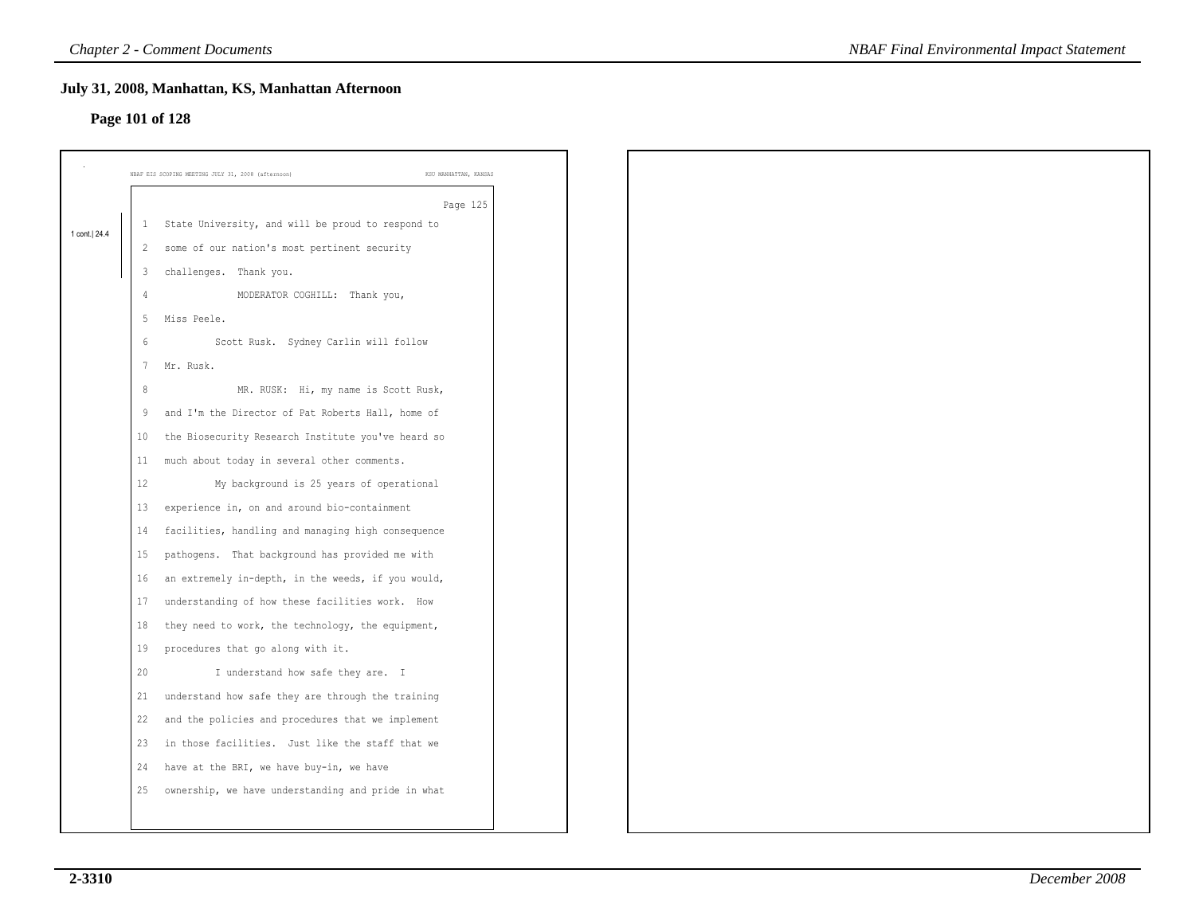# **Page 101 of 128**

|               |                 | July 31, 2008, Manhattan, KS, Manhattan Afternoon<br>Page 101 of 128        |  |
|---------------|-----------------|-----------------------------------------------------------------------------|--|
|               |                 | NBAF EIS SCOPING MEETING JULY 31, 2008 (afternoon)<br>KSU MANHATTAN, KANSAS |  |
|               |                 | Page 125<br>1 State University, and will be proud to respond to             |  |
| 1 cont.  24.4 |                 | 2 some of our nation's most pertinent security                              |  |
|               |                 | 3 challenges. Thank you.                                                    |  |
|               | 4               | MODERATOR COGHILL: Thank you,                                               |  |
|               | 5               | Miss Peele.                                                                 |  |
|               | 6               | Scott Rusk. Sydney Carlin will follow                                       |  |
|               | $7\phantom{.0}$ | Mr. Rusk.                                                                   |  |
|               | $\,8\,$         | MR. RUSK: Hi, my name is Scott Rusk,                                        |  |
|               |                 | 9 and I'm the Director of Pat Roberts Hall, home of                         |  |
|               | 10              | the Biosecurity Research Institute you've heard so                          |  |
|               | 11              | much about today in several other comments.                                 |  |
|               | 12              | My background is 25 years of operational                                    |  |
|               | 13              | experience in, on and around bio-containment                                |  |
|               | 14              | facilities, handling and managing high consequence                          |  |
|               | 15              | pathogens. That background has provided me with                             |  |
|               | 16              | an extremely in-depth, in the weeds, if you would,                          |  |
|               | 17              | understanding of how these facilities work. How                             |  |
|               | 18              | they need to work, the technology, the equipment,                           |  |
|               | 19              | procedures that go along with it.                                           |  |
|               | 20              | I understand how safe they are. I                                           |  |
|               | 21              | understand how safe they are through the training                           |  |
|               | 22              | and the policies and procedures that we implement                           |  |
|               | 23              | in those facilities. Just like the staff that we                            |  |
|               | 24              | have at the BRI, we have buy-in, we have                                    |  |
|               | 25              | ownership, we have understanding and pride in what                          |  |
|               |                 |                                                                             |  |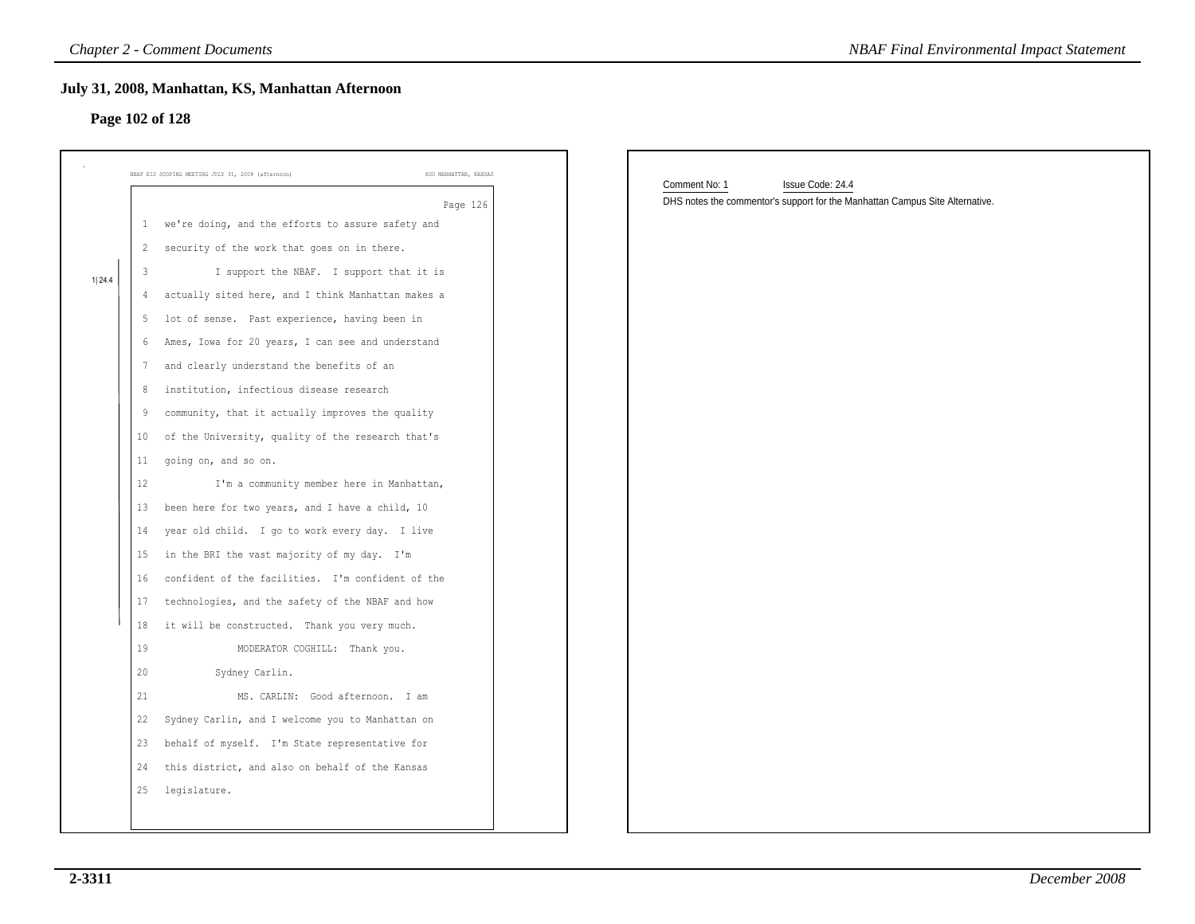### **Page 102 of 128**

| NBAF EIS SCOPING MEETING JULY 31, 2008 (afternoon)      | KSU MANHATTAN, KANSAS | Comment No: 1<br>Issue Code: 24.4                                            |  |
|---------------------------------------------------------|-----------------------|------------------------------------------------------------------------------|--|
|                                                         | Page 126              | DHS notes the commentor's support for the Manhattan Campus Site Alternative. |  |
| we're doing, and the efforts to assure safety and<br>1  |                       |                                                                              |  |
| 2 security of the work that goes on in there.           |                       |                                                                              |  |
| I support the NBAF. I support that it is<br>3           |                       |                                                                              |  |
| actually sited here, and I think Manhattan makes a<br>4 |                       |                                                                              |  |
| lot of sense. Past experience, having been in<br>5      |                       |                                                                              |  |
| Ames, Iowa for 20 years, I can see and understand<br>6  |                       |                                                                              |  |
| and clearly understand the benefits of an<br>7          |                       |                                                                              |  |
| institution, infectious disease research<br>8           |                       |                                                                              |  |
| community, that it actually improves the quality<br>-9  |                       |                                                                              |  |
| of the University, quality of the research that's<br>10 |                       |                                                                              |  |
| 11<br>going on, and so on.                              |                       |                                                                              |  |
| 12<br>I'm a community member here in Manhattan,         |                       |                                                                              |  |
| been here for two years, and I have a child, 10<br>13   |                       |                                                                              |  |
| year old child. I go to work every day. I live<br>14    |                       |                                                                              |  |
| in the BRI the vast majority of my day. I'm<br>15       |                       |                                                                              |  |
| confident of the facilities. I'm confident of the<br>16 |                       |                                                                              |  |
| 17<br>technologies, and the safety of the NBAF and how  |                       |                                                                              |  |
| it will be constructed. Thank you very much.<br>18      |                       |                                                                              |  |
| 19<br>MODERATOR COGHILL: Thank you.                     |                       |                                                                              |  |
| 20<br>Sydney Carlin.                                    |                       |                                                                              |  |
| 21<br>MS. CARLIN: Good afternoon. I am                  |                       |                                                                              |  |
| 22<br>Sydney Carlin, and I welcome you to Manhattan on  |                       |                                                                              |  |
| 23 behalf of myself. I'm State representative for       |                       |                                                                              |  |
| 24 this district, and also on behalf of the Kansas      |                       |                                                                              |  |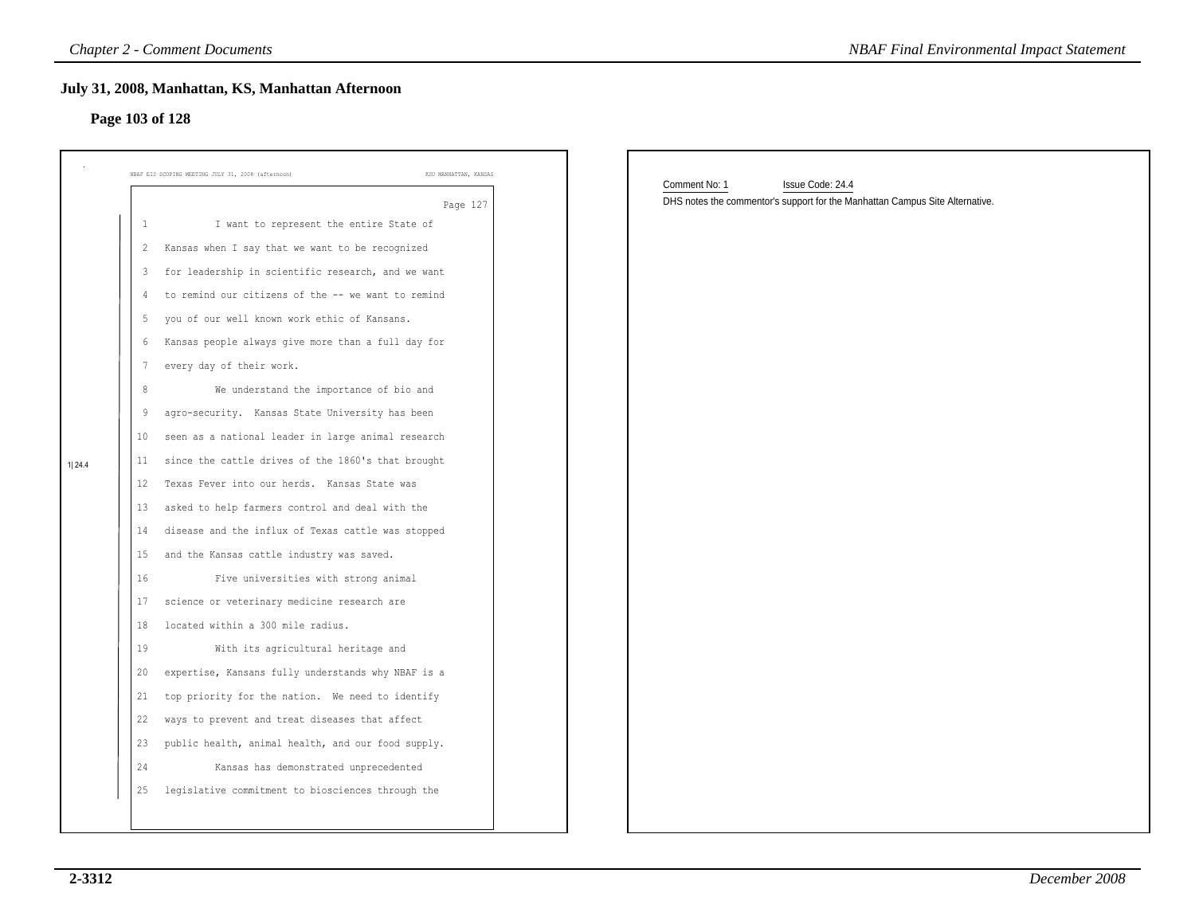### **July 31, 2008, Manhattan, KS, Manhattan Afternoon**

### **Page 103 of 128**

| NBAF EIS SCOPING MEETING JULY 31, 2008 (afternoon) | KSU MANHATTAN, KANSAS<br>Page 127                  | Comment No: 1<br>Issue Code: 24.4<br>DHS notes the commentor's support for the Manhattan Campus Site Alternative. |
|----------------------------------------------------|----------------------------------------------------|-------------------------------------------------------------------------------------------------------------------|
| -1                                                 | I want to represent the entire State of            |                                                                                                                   |
| $\overline{2}$                                     | Kansas when I say that we want to be recognized    |                                                                                                                   |
| -3                                                 | for leadership in scientific research, and we want |                                                                                                                   |
| 4                                                  | to remind our citizens of the -- we want to remind |                                                                                                                   |
| -5                                                 | you of our well known work ethic of Kansans.       |                                                                                                                   |
| 6                                                  | Kansas people always give more than a full day for |                                                                                                                   |
| every day of their work.<br>$\overline{7}$         |                                                    |                                                                                                                   |
| 8                                                  | We understand the importance of bio and            |                                                                                                                   |
| 9                                                  | agro-security. Kansas State University has been    |                                                                                                                   |
| 10                                                 | seen as a national leader in large animal research |                                                                                                                   |
| 11                                                 | since the cattle drives of the 1860's that brought |                                                                                                                   |
| 12                                                 | Texas Fever into our herds. Kansas State was       |                                                                                                                   |
| 13                                                 | asked to help farmers control and deal with the    |                                                                                                                   |
| 14                                                 | disease and the influx of Texas cattle was stopped |                                                                                                                   |
| 15                                                 | and the Kansas cattle industry was saved.          |                                                                                                                   |
| 16                                                 | Five universities with strong animal               |                                                                                                                   |
| 17                                                 | science or veterinary medicine research are        |                                                                                                                   |
| 18                                                 | located within a 300 mile radius.                  |                                                                                                                   |
| 19                                                 | With its agricultural heritage and                 |                                                                                                                   |
| 20                                                 | expertise, Kansans fully understands why NBAF is a |                                                                                                                   |
| 21                                                 | top priority for the nation. We need to identify   |                                                                                                                   |
| 22                                                 | ways to prevent and treat diseases that affect     |                                                                                                                   |
| 23                                                 | public health, animal health, and our food supply. |                                                                                                                   |
| 24                                                 | Kansas has demonstrated unprecedented              |                                                                                                                   |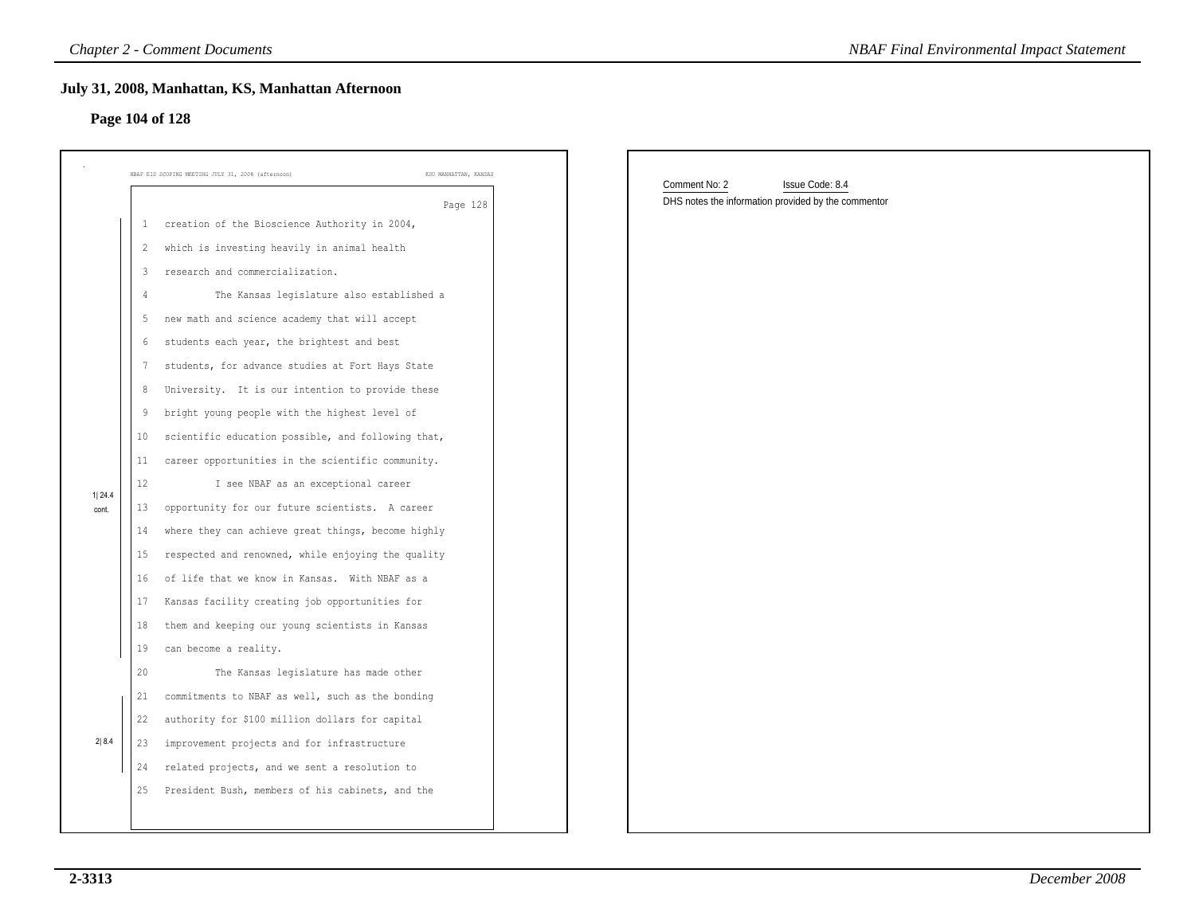### **Page 104 of 128**

|                 |                      | <b>Chapter 2 - Comment Documents</b>                                                                                                                        | <b>NBAF Final Environmental Impact Statement</b>    |
|-----------------|----------------------|-------------------------------------------------------------------------------------------------------------------------------------------------------------|-----------------------------------------------------|
|                 |                      | July 31, 2008, Manhattan, KS, Manhattan Afternoon<br>Page 104 of 128                                                                                        |                                                     |
|                 |                      | KSU MANHATTAN, KANSAS<br>NBAF EIS SCOPING MEETING JULY 31, 2008 (afternoon)                                                                                 | Comment No: 2<br>Issue Code: 8.4                    |
|                 | -1<br>$\overline{2}$ | Page 128<br>creation of the Bioscience Authority in 2004,<br>which is investing heavily in animal health                                                    | DHS notes the information provided by the commentor |
|                 | 3<br>$\overline{4}$  | research and commercialization.<br>The Kansas legislature also established a                                                                                |                                                     |
|                 | 5<br>6<br>7          | new math and science academy that will accept<br>students each year, the brightest and best<br>students, for advance studies at Fort Hays State             |                                                     |
|                 | 8<br>9               | University. It is our intention to provide these<br>bright young people with the highest level of                                                           |                                                     |
|                 | 10<br>11<br>12       | scientific education possible, and following that,<br>career opportunities in the scientific community.<br>I see NBAF as an exceptional career              |                                                     |
| 1 24.4<br>cont. | 13<br>14<br>15       | opportunity for our future scientists. A career<br>where they can achieve great things, become highly<br>respected and renowned, while enjoying the quality |                                                     |
|                 | 16<br>17             | of life that we know in Kansas. With NBAF as a<br>Kansas facility creating job opportunities for                                                            |                                                     |
|                 | 18<br>19<br>20       | them and keeping our young scientists in Kansas<br>can become a reality.<br>The Kansas legislature has made other                                           |                                                     |
|                 | 21<br>22             | commitments to NBAF as well, such as the bonding<br>authority for \$100 million dollars for capital                                                         |                                                     |
| 2 8.4           | 24<br>25             | 23 improvement projects and for infrastructure<br>related projects, and we sent a resolution to<br>President Bush, members of his cabinets, and the         |                                                     |
|                 |                      |                                                                                                                                                             |                                                     |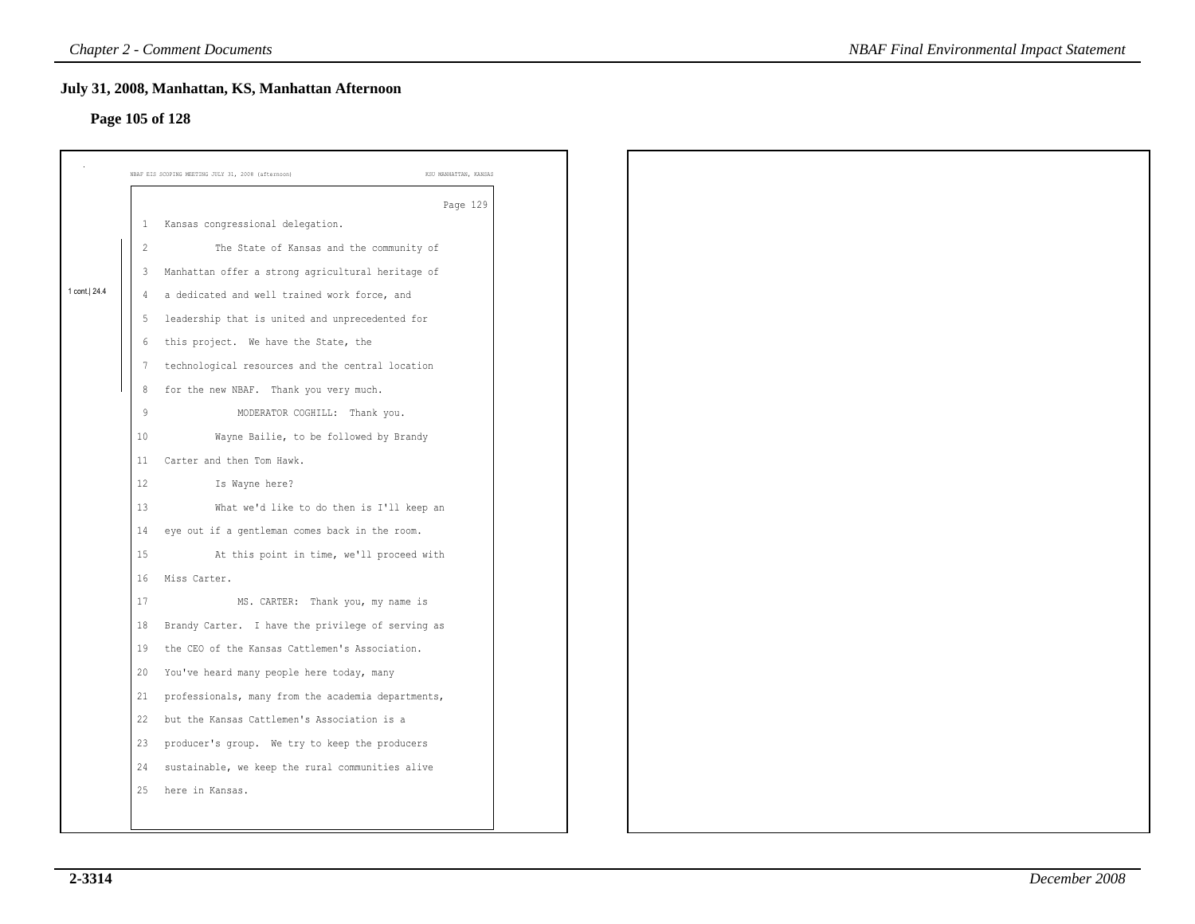### **Page 105 of 128**

|                |                | July 31, 2008, Manhattan, KS, Manhattan Afternoon<br>Page 105 of 128 |                       |  |
|----------------|----------------|----------------------------------------------------------------------|-----------------------|--|
|                |                |                                                                      |                       |  |
|                |                | NBAF EIS SCOPING MEETING JULY 31, 2008 (afternoon)                   | KSU MANHATTAN, KANSAS |  |
|                |                |                                                                      | Page 129              |  |
|                |                | 1 Kansas congressional delegation.                                   |                       |  |
|                | $\overline{2}$ | The State of Kansas and the community of                             |                       |  |
|                |                | 3 Manhattan offer a strong agricultural heritage of                  |                       |  |
| 1 cont.   24.4 |                | 4 a dedicated and well trained work force, and                       |                       |  |
|                |                | 5 leadership that is united and unprecedented for                    |                       |  |
|                |                | 6 this project. We have the State, the                               |                       |  |
|                | 7              | technological resources and the central location                     |                       |  |
|                |                | 8 for the new NBAF. Thank you very much.                             |                       |  |
|                | 9              | MODERATOR COGHILL: Thank you.                                        |                       |  |
|                | 10             | Wayne Bailie, to be followed by Brandy                               |                       |  |
|                |                | 11 Carter and then Tom Hawk.                                         |                       |  |
|                | 12             | Is Wayne here?                                                       |                       |  |
|                | 13             | What we'd like to do then is I'll keep an                            |                       |  |
|                |                | 14 eye out if a gentleman comes back in the room.                    |                       |  |
|                | 15             | At this point in time, we'll proceed with                            |                       |  |
|                | 16             | Miss Carter.                                                         |                       |  |
|                | 17             | MS. CARTER: Thank you, my name is                                    |                       |  |
|                | 18             | Brandy Carter. I have the privilege of serving as                    |                       |  |
|                | 19             | the CEO of the Kansas Cattlemen's Association.                       |                       |  |
|                |                | 20 You've heard many people here today, many                         |                       |  |
|                | 21             | professionals, many from the academia departments,                   |                       |  |
|                | 22             | but the Kansas Cattlemen's Association is a                          |                       |  |
|                | 23             | producer's group. We try to keep the producers                       |                       |  |
|                | 24             | sustainable, we keep the rural communities alive                     |                       |  |
|                | 25             | here in Kansas.                                                      |                       |  |
|                |                |                                                                      |                       |  |
|                |                |                                                                      |                       |  |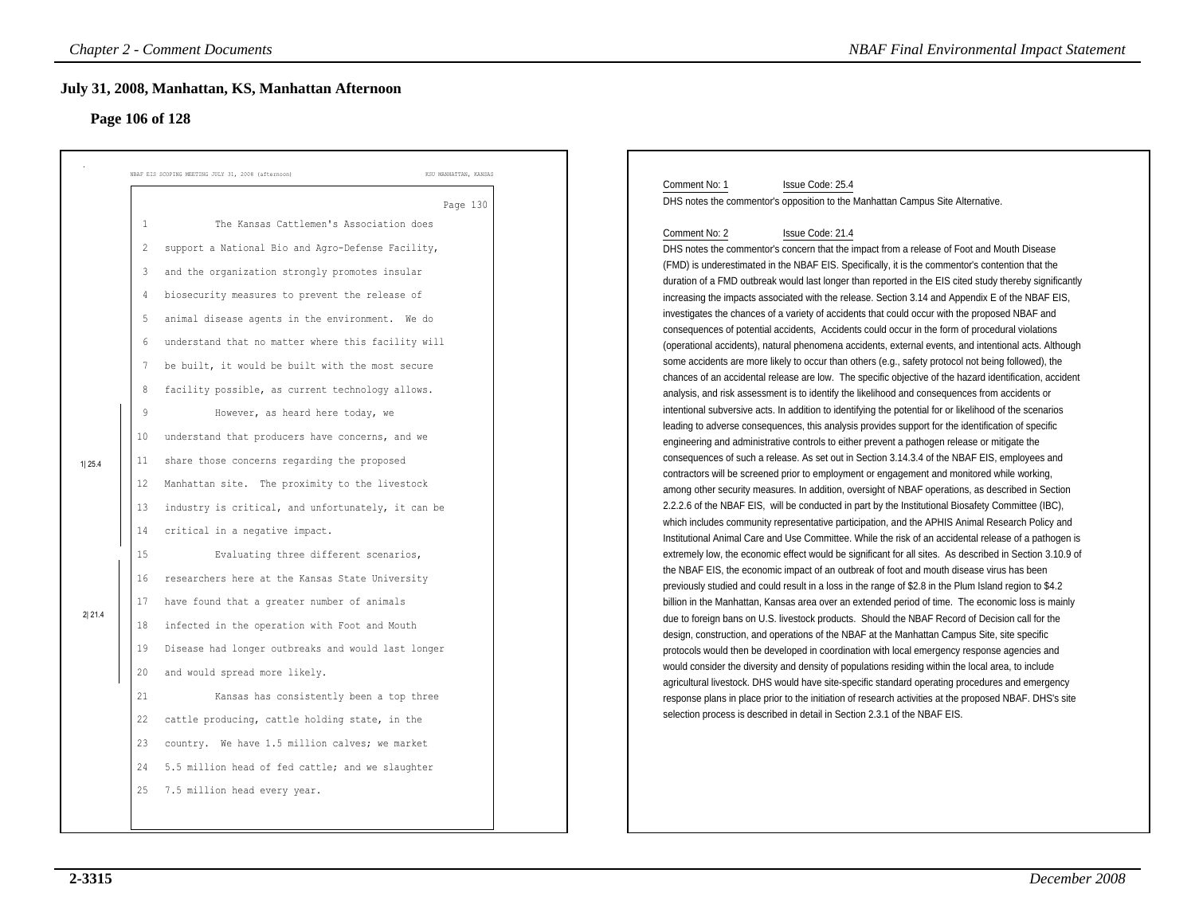### **Page 106 of 128**

|                  | <b>Chapter 2 - Comment Documents</b>                                                                                                                                                                                                                                                                                                                                                                                                                                                                                                                                                                                                                                                                                                                                                                                                                                                                                                                                                                                                                                                                                                                                                                                                                                                                                                                                                                                | <b>NBAF Final Environmental Impact Statement</b>                                                                                                                                                                                                                                                                                                                                                                                                                                                                                                                                                                                                                                                                                                                                                                                                                                                                                                                                                                                                                                                                                                                                                                                                                                                                                                                                                                                                                                                                                                                                                                                                                                                                                                                                                                                                                                                                                                                                                                                                                                                                                                                                                                                                                                                                                                                                                                                                                                                                                                                                                                                                                                                                                                                                                                                                                                                                                                                                                                                                                                                                                                                                                                                                                                    |
|------------------|---------------------------------------------------------------------------------------------------------------------------------------------------------------------------------------------------------------------------------------------------------------------------------------------------------------------------------------------------------------------------------------------------------------------------------------------------------------------------------------------------------------------------------------------------------------------------------------------------------------------------------------------------------------------------------------------------------------------------------------------------------------------------------------------------------------------------------------------------------------------------------------------------------------------------------------------------------------------------------------------------------------------------------------------------------------------------------------------------------------------------------------------------------------------------------------------------------------------------------------------------------------------------------------------------------------------------------------------------------------------------------------------------------------------|-------------------------------------------------------------------------------------------------------------------------------------------------------------------------------------------------------------------------------------------------------------------------------------------------------------------------------------------------------------------------------------------------------------------------------------------------------------------------------------------------------------------------------------------------------------------------------------------------------------------------------------------------------------------------------------------------------------------------------------------------------------------------------------------------------------------------------------------------------------------------------------------------------------------------------------------------------------------------------------------------------------------------------------------------------------------------------------------------------------------------------------------------------------------------------------------------------------------------------------------------------------------------------------------------------------------------------------------------------------------------------------------------------------------------------------------------------------------------------------------------------------------------------------------------------------------------------------------------------------------------------------------------------------------------------------------------------------------------------------------------------------------------------------------------------------------------------------------------------------------------------------------------------------------------------------------------------------------------------------------------------------------------------------------------------------------------------------------------------------------------------------------------------------------------------------------------------------------------------------------------------------------------------------------------------------------------------------------------------------------------------------------------------------------------------------------------------------------------------------------------------------------------------------------------------------------------------------------------------------------------------------------------------------------------------------------------------------------------------------------------------------------------------------------------------------------------------------------------------------------------------------------------------------------------------------------------------------------------------------------------------------------------------------------------------------------------------------------------------------------------------------------------------------------------------------------------------------------------------------------------------------------------------------|
|                  | July 31, 2008, Manhattan, KS, Manhattan Afternoon<br>Page 106 of 128                                                                                                                                                                                                                                                                                                                                                                                                                                                                                                                                                                                                                                                                                                                                                                                                                                                                                                                                                                                                                                                                                                                                                                                                                                                                                                                                                |                                                                                                                                                                                                                                                                                                                                                                                                                                                                                                                                                                                                                                                                                                                                                                                                                                                                                                                                                                                                                                                                                                                                                                                                                                                                                                                                                                                                                                                                                                                                                                                                                                                                                                                                                                                                                                                                                                                                                                                                                                                                                                                                                                                                                                                                                                                                                                                                                                                                                                                                                                                                                                                                                                                                                                                                                                                                                                                                                                                                                                                                                                                                                                                                                                                                                     |
| 1125.4<br>2 21.4 | NBAF EIS SCOPING MEETING JULY 31, 2008 (afternoon)<br>KSU MANHATTAN, KANSAS<br>Page 130<br>$\mathbf{1}$<br>The Kansas Cattlemen's Association does<br>support a National Bio and Agro-Defense Facility,<br>2<br>3<br>and the organization strongly promotes insular<br>biosecurity measures to prevent the release of<br>$\overline{4}$<br>5<br>animal disease agents in the environment. We do<br>understand that no matter where this facility will<br>6<br>be built, it would be built with the most secure<br>$7\phantom{.0}$<br>facility possible, as current technology allows.<br>8<br>$\overline{9}$<br>However, as heard here today, we<br>10<br>understand that producers have concerns, and we<br>11<br>share those concerns regarding the proposed<br>Manhattan site. The proximity to the livestock<br>12<br>industry is critical, and unfortunately, it can be<br>13<br>14<br>critical in a negative impact.<br>15<br>Evaluating three different scenarios,<br>researchers here at the Kansas State University<br>16<br>have found that a greater number of animals<br>17<br>infected in the operation with Foot and Mouth<br>18<br>19<br>Disease had longer outbreaks and would last longer<br>and would spread more likely.<br>20<br>21<br>Kansas has consistently been a top three<br>22<br>cattle producing, cattle holding state, in the<br>23<br>country. We have 1.5 million calves; we market | Comment No: 1<br>Issue Code: 25.4<br>DHS notes the commentor's opposition to the Manhattan Campus Site Alternative.<br>Comment No: 2<br>Issue Code: 21.4<br>DHS notes the commentor's concern that the impact from a release of Foot and Mouth Disease<br>(FMD) is underestimated in the NBAF EIS. Specifically, it is the commentor's contention that the<br>duration of a FMD outbreak would last longer than reported in the EIS cited study thereby significantly<br>increasing the impacts associated with the release. Section 3.14 and Appendix E of the NBAF EIS,<br>investigates the chances of a variety of accidents that could occur with the proposed NBAF and<br>consequences of potential accidents, Accidents could occur in the form of procedural violations<br>(operational accidents), natural phenomena accidents, external events, and intentional acts. Although<br>some accidents are more likely to occur than others (e.g., safety protocol not being followed), the<br>chances of an accidental release are low. The specific objective of the hazard identification, accident<br>analysis, and risk assessment is to identify the likelihood and consequences from accidents or<br>intentional subversive acts. In addition to identifying the potential for or likelihood of the scenarios<br>leading to adverse consequences, this analysis provides support for the identification of specific<br>engineering and administrative controls to either prevent a pathogen release or mitigate the<br>consequences of such a release. As set out in Section 3.14.3.4 of the NBAF EIS, employees and<br>contractors will be screened prior to employment or engagement and monitored while working,<br>among other security measures. In addition, oversight of NBAF operations, as described in Section<br>2.2.2.6 of the NBAF EIS, will be conducted in part by the Institutional Biosafety Committee (IBC),<br>which includes community representative participation, and the APHIS Animal Research Policy and<br>Institutional Animal Care and Use Committee. While the risk of an accidental release of a pathogen is<br>extremely low, the economic effect would be significant for all sites. As described in Section 3.10.9 of<br>the NBAF EIS, the economic impact of an outbreak of foot and mouth disease virus has been<br>previously studied and could result in a loss in the range of \$2.8 in the Plum Island region to \$4.2<br>billion in the Manhattan, Kansas area over an extended period of time. The economic loss is mainly<br>due to foreign bans on U.S. livestock products. Should the NBAF Record of Decision call for the<br>design, construction, and operations of the NBAF at the Manhattan Campus Site, site specific<br>protocols would then be developed in coordination with local emergency response agencies and<br>would consider the diversity and density of populations residing within the local area, to include<br>agricultural livestock. DHS would have site-specific standard operating procedures and emergency<br>response plans in place prior to the initiation of research activities at the proposed NBAF. DHS's site<br>selection process is described in detail in Section 2.3.1 of the NBAF EIS. |
|                  | 5.5 million head of fed cattle; and we slaughter<br>24<br>25<br>7.5 million head every year.                                                                                                                                                                                                                                                                                                                                                                                                                                                                                                                                                                                                                                                                                                                                                                                                                                                                                                                                                                                                                                                                                                                                                                                                                                                                                                                        |                                                                                                                                                                                                                                                                                                                                                                                                                                                                                                                                                                                                                                                                                                                                                                                                                                                                                                                                                                                                                                                                                                                                                                                                                                                                                                                                                                                                                                                                                                                                                                                                                                                                                                                                                                                                                                                                                                                                                                                                                                                                                                                                                                                                                                                                                                                                                                                                                                                                                                                                                                                                                                                                                                                                                                                                                                                                                                                                                                                                                                                                                                                                                                                                                                                                                     |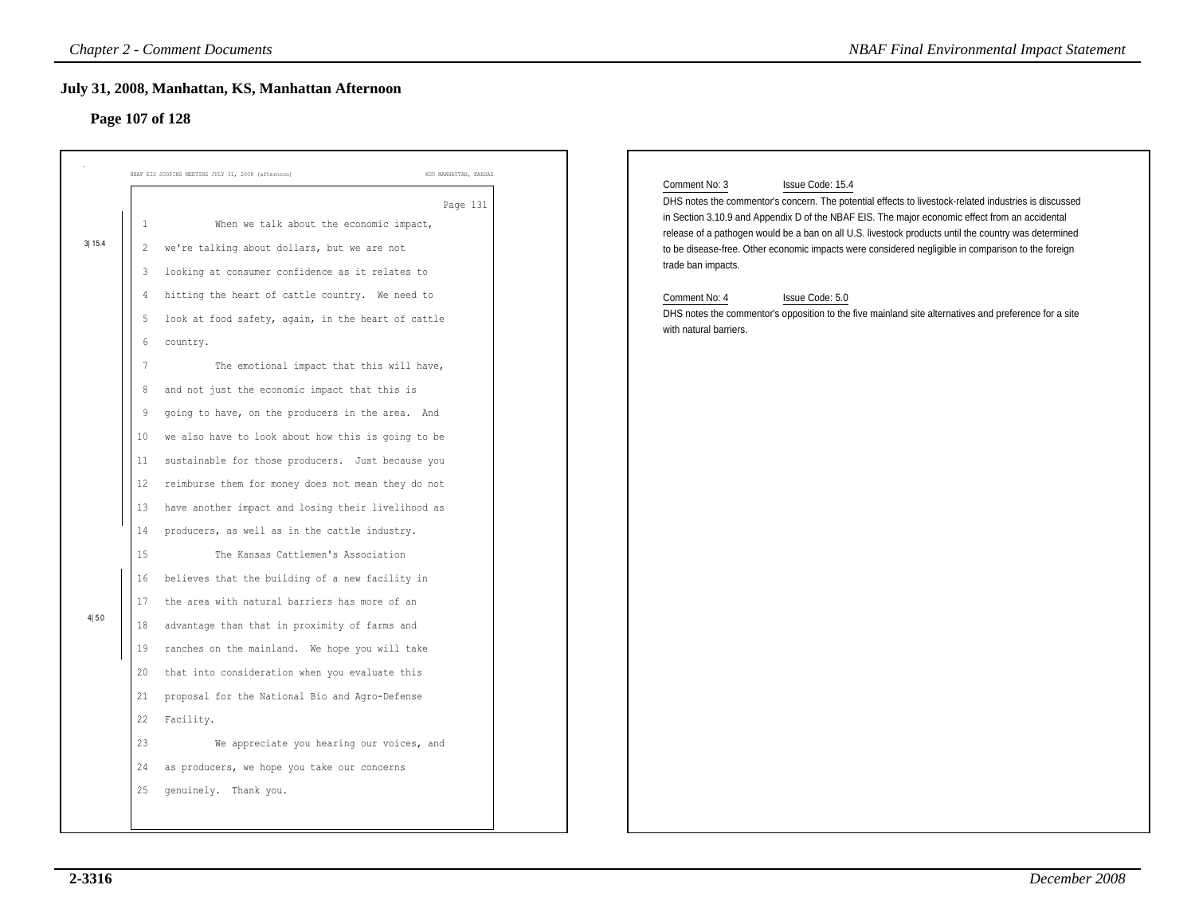### **Page 107 of 128**

|                 | <b>Chapter 2 - Comment Documents</b>                                                                                                                                                                                                                                                                                                                                                                                                                                                                                                                                                                                                                                                                                                                                                                                                                                                                                                                                                                                                                                                                                                                                                                                                                                        | <b>NBAF Final Environmental Impact Statement</b>                                                                                                                                                                                                                                                                                                                                                                                                                                                                                                                                                                                                        |
|-----------------|-----------------------------------------------------------------------------------------------------------------------------------------------------------------------------------------------------------------------------------------------------------------------------------------------------------------------------------------------------------------------------------------------------------------------------------------------------------------------------------------------------------------------------------------------------------------------------------------------------------------------------------------------------------------------------------------------------------------------------------------------------------------------------------------------------------------------------------------------------------------------------------------------------------------------------------------------------------------------------------------------------------------------------------------------------------------------------------------------------------------------------------------------------------------------------------------------------------------------------------------------------------------------------|---------------------------------------------------------------------------------------------------------------------------------------------------------------------------------------------------------------------------------------------------------------------------------------------------------------------------------------------------------------------------------------------------------------------------------------------------------------------------------------------------------------------------------------------------------------------------------------------------------------------------------------------------------|
|                 | July 31, 2008, Manhattan, KS, Manhattan Afternoon<br>Page 107 of 128                                                                                                                                                                                                                                                                                                                                                                                                                                                                                                                                                                                                                                                                                                                                                                                                                                                                                                                                                                                                                                                                                                                                                                                                        |                                                                                                                                                                                                                                                                                                                                                                                                                                                                                                                                                                                                                                                         |
| 3 15.4<br>4 5.0 | NBAF EIS SCOPING MEETING JULY 31, 2008 (afternoon<br>KSU MANHATTAN, KANSAS<br>Page 131<br>When we talk about the economic impact,<br>1<br>we're talking about dollars, but we are not<br>2<br>looking at consumer confidence as it relates to<br>3<br>hitting the heart of cattle country. We need to<br>4<br>look at food safety, again, in the heart of cattle<br>5<br>country.<br>6<br>The emotional impact that this will have,<br>7<br>and not just the economic impact that this is<br>8<br>going to have, on the producers in the area. And<br>9<br>we also have to look about how this is going to be<br>10<br>sustainable for those producers. Just because you<br>11<br>reimburse them for money does not mean they do not<br>12<br>13<br>have another impact and losing their livelihood as<br>producers, as well as in the cattle industry.<br>14<br>15<br>The Kansas Cattlemen's Association<br>believes that the building of a new facility in<br>16<br>17<br>the area with natural barriers has more of an<br>advantage than that in proximity of farms and<br>18<br>ranches on the mainland. We hope you will take<br>19<br>that into consideration when you evaluate this<br>20<br>proposal for the National Bio and Agro-Defense<br>21<br>22<br>Facility. | Comment No: 3<br>Issue Code: 15.4<br>DHS notes the commentor's concern. The potential effects to livestock-related industries is discussed<br>in Section 3.10.9 and Appendix D of the NBAF EIS. The major economic effect from an accidental<br>release of a pathogen would be a ban on all U.S. livestock products until the country was determined<br>to be disease-free. Other economic impacts were considered negligible in comparison to the foreign<br>trade ban impacts.<br>Comment No: 4<br>Issue Code: 5.0<br>DHS notes the commentor's opposition to the five mainland site alternatives and preference for a site<br>with natural barriers. |
|                 | 23<br>We appreciate you hearing our voices, and<br>24<br>as producers, we hope you take our concerns<br>genuinely. Thank you.<br>25                                                                                                                                                                                                                                                                                                                                                                                                                                                                                                                                                                                                                                                                                                                                                                                                                                                                                                                                                                                                                                                                                                                                         |                                                                                                                                                                                                                                                                                                                                                                                                                                                                                                                                                                                                                                                         |
|                 |                                                                                                                                                                                                                                                                                                                                                                                                                                                                                                                                                                                                                                                                                                                                                                                                                                                                                                                                                                                                                                                                                                                                                                                                                                                                             |                                                                                                                                                                                                                                                                                                                                                                                                                                                                                                                                                                                                                                                         |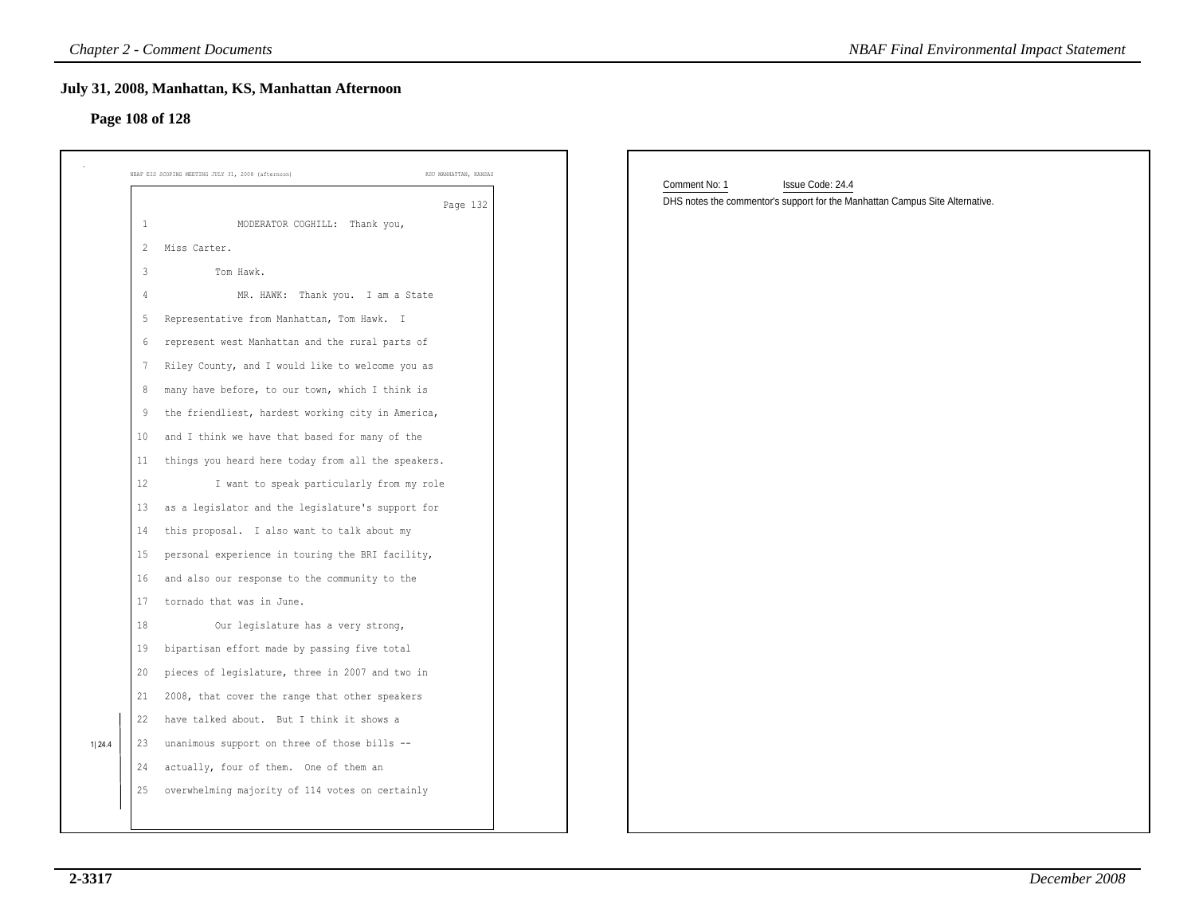# **Page 108 of 128**

|                |                                                                             | <b>NBAF Final Environmental Impact Statement</b>                                                                  |
|----------------|-----------------------------------------------------------------------------|-------------------------------------------------------------------------------------------------------------------|
|                | July 31, 2008, Manhattan, KS, Manhattan Afternoon<br>Page 108 of 128        |                                                                                                                   |
|                | NBAF EIS SCOPING MEETING JULY 31, 2008 (afternoon)<br>KSU MANHATTAN, KANSAS |                                                                                                                   |
|                | Page 132                                                                    | Comment No: 1<br>Issue Code: 24.4<br>DHS notes the commentor's support for the Manhattan Campus Site Alternative. |
| $\mathbf{1}$   | MODERATOR COGHILL: Thank you,                                               |                                                                                                                   |
| $\overline{2}$ | Miss Carter.                                                                |                                                                                                                   |
| $\overline{3}$ | Tom Hawk.                                                                   |                                                                                                                   |
| 4              | MR. HAWK: Thank you. I am a State                                           |                                                                                                                   |
| 5              | Representative from Manhattan, Tom Hawk. I                                  |                                                                                                                   |
| 6              | represent west Manhattan and the rural parts of                             |                                                                                                                   |
| 7              | Riley County, and I would like to welcome you as                            |                                                                                                                   |
| 8              | many have before, to our town, which I think is                             |                                                                                                                   |
| 9              | the friendliest, hardest working city in America,                           |                                                                                                                   |
| 10             | and I think we have that based for many of the                              |                                                                                                                   |
| 11             | things you heard here today from all the speakers.                          |                                                                                                                   |
| 12             | I want to speak particularly from my role                                   |                                                                                                                   |
| 13             | as a legislator and the legislature's support for                           |                                                                                                                   |
| 14             | this proposal. I also want to talk about my                                 |                                                                                                                   |
| 15             | personal experience in touring the BRI facility,                            |                                                                                                                   |
| 16             | and also our response to the community to the                               |                                                                                                                   |
| 17             | tornado that was in June.                                                   |                                                                                                                   |
| 18             | Our legislature has a very strong,                                          |                                                                                                                   |
| 19             | bipartisan effort made by passing five total                                |                                                                                                                   |
| 20             | pieces of legislature, three in 2007 and two in                             |                                                                                                                   |
| 21             | 2008, that cover the range that other speakers                              |                                                                                                                   |
| 22             | have talked about. But I think it shows a                                   |                                                                                                                   |
| 23             | unanimous support on three of those bills --                                |                                                                                                                   |
| 24             | actually, four of them. One of them an                                      |                                                                                                                   |
| 25             | overwhelming majority of 114 votes on certainly                             |                                                                                                                   |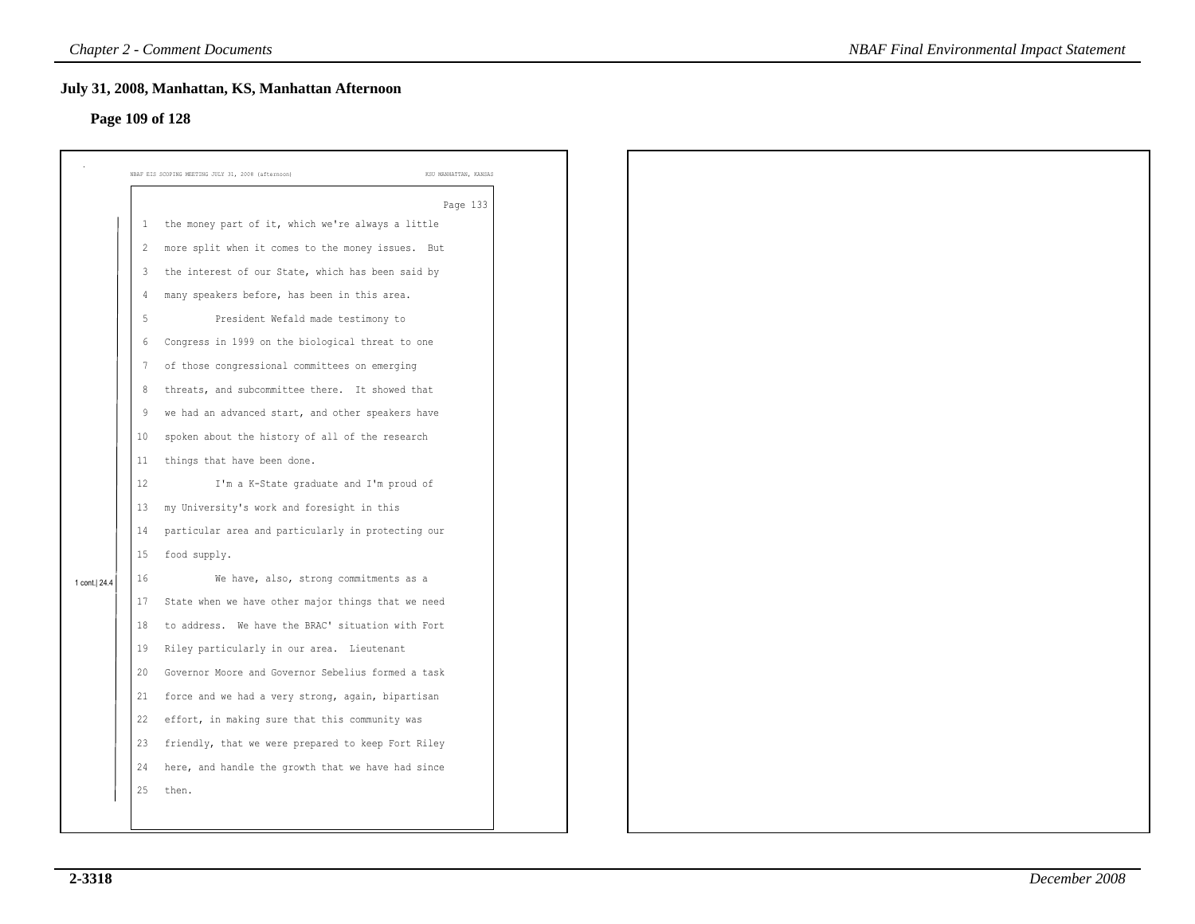### **Page 109 of 128**

|                 |                | July 31, 2008, Manhattan, KS, Manhattan Afternoon  |                       |
|-----------------|----------------|----------------------------------------------------|-----------------------|
| Page 109 of 128 |                |                                                    |                       |
|                 |                |                                                    |                       |
|                 |                | NBAF EIS SCOPING MEETING JULY 31, 2008 (afternoon) | KSU MANHATTAN, KANSAS |
|                 |                |                                                    | Page 133              |
|                 | 1              | the money part of it, which we're always a little  |                       |
|                 | $\overline{2}$ | more split when it comes to the money issues. But  |                       |
|                 | $\overline{3}$ | the interest of our State, which has been said by  |                       |
|                 | $\overline{4}$ | many speakers before, has been in this area.       |                       |
|                 | 5              | President Wefald made testimony to                 |                       |
|                 | 6              | Congress in 1999 on the biological threat to one   |                       |
|                 | -7             | of those congressional committees on emerging      |                       |
|                 | 8              | threats, and subcommittee there. It showed that    |                       |
|                 | 9              | we had an advanced start, and other speakers have  |                       |
|                 | $10$           | spoken about the history of all of the research    |                       |
|                 | 11             | things that have been done.                        |                       |
|                 | 12             | I'm a K-State graduate and I'm proud of            |                       |
|                 | 13             | my University's work and foresight in this         |                       |
|                 | 14             | particular area and particularly in protecting our |                       |
|                 | 15             | food supply.                                       |                       |
| 1 cont.  24.4   | 16             | We have, also, strong commitments as a             |                       |
|                 | 17             | State when we have other major things that we need |                       |
|                 | 18             | to address. We have the BRAC' situation with Fort  |                       |
|                 | 19             | Riley particularly in our area. Lieutenant         |                       |
|                 | 20             | Governor Moore and Governor Sebelius formed a task |                       |
|                 | 21             | force and we had a very strong, again, bipartisan  |                       |
|                 | 22             | effort, in making sure that this community was     |                       |
|                 | 23             | friendly, that we were prepared to keep Fort Riley |                       |
|                 | 24             | here, and handle the growth that we have had since |                       |
|                 | 25             | then.                                              |                       |
|                 |                |                                                    |                       |
|                 |                |                                                    |                       |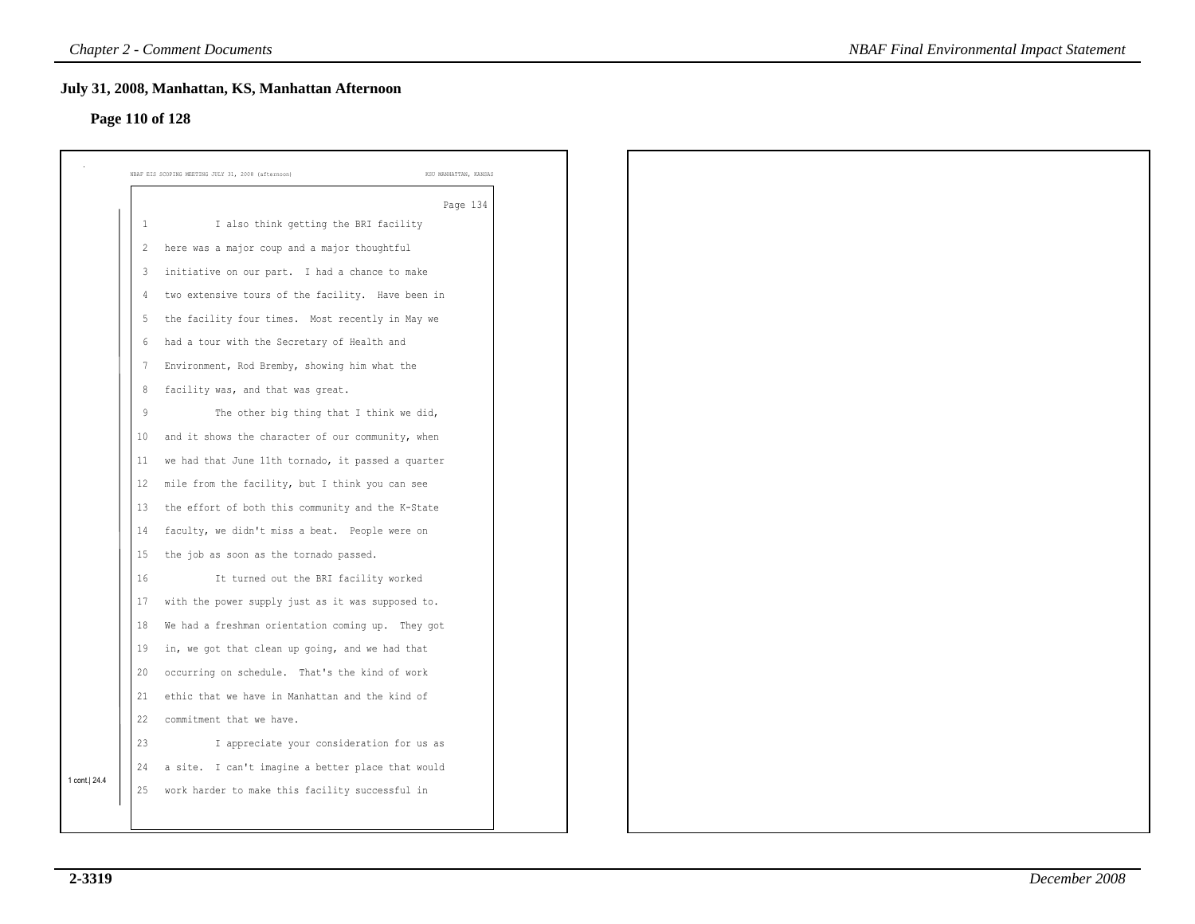### **Page 110 of 128**

|               | July 31, 2008, Manhattan, KS, Manhattan Afternoon<br>Page 110 of 128 |                       |
|---------------|----------------------------------------------------------------------|-----------------------|
|               |                                                                      |                       |
|               | NBAF EIS SCOPING MEETING JULY 31, 2008 (afternoon)                   | KSU MANHATTAN, KANSAS |
|               |                                                                      | Page 134              |
|               | I also think getting the BRI facility<br>$\mathbf{1}$                |                       |
|               | here was a major coup and a major thoughtful<br>$\overline{2}$       |                       |
|               | initiative on our part. I had a chance to make<br>$\mathbf{3}$       |                       |
|               | two extensive tours of the facility. Have been in<br>$\overline{4}$  |                       |
|               | the facility four times. Most recently in May we<br>5                |                       |
|               | had a tour with the Secretary of Health and<br>6                     |                       |
|               | Environment, Rod Bremby, showing him what the<br>7                   |                       |
|               | facility was, and that was great.<br>8                               |                       |
|               | 9<br>The other big thing that I think we did,                        |                       |
|               | and it shows the character of our community, when<br>10              |                       |
|               | we had that June 11th tornado, it passed a quarter<br>11             |                       |
|               | mile from the facility, but I think you can see<br>12                |                       |
|               | the effort of both this community and the K-State<br>13              |                       |
|               | faculty, we didn't miss a beat. People were on<br>14                 |                       |
|               | the job as soon as the tornado passed.<br>15                         |                       |
|               | 16<br>It turned out the BRI facility worked                          |                       |
|               | with the power supply just as it was supposed to.<br>17              |                       |
|               | We had a freshman orientation coming up. They got<br>18              |                       |
|               | in, we got that clean up going, and we had that<br>19                |                       |
|               | occurring on schedule. That's the kind of work<br>20                 |                       |
|               | ethic that we have in Manhattan and the kind of<br>21                |                       |
|               | 22<br>commitment that we have.                                       |                       |
|               | 23<br>I appreciate your consideration for us as                      |                       |
|               | a site. I can't imagine a better place that would<br>24              |                       |
| 1 cont.  24.4 | work harder to make this facility successful in<br>25                |                       |
|               |                                                                      |                       |
|               |                                                                      |                       |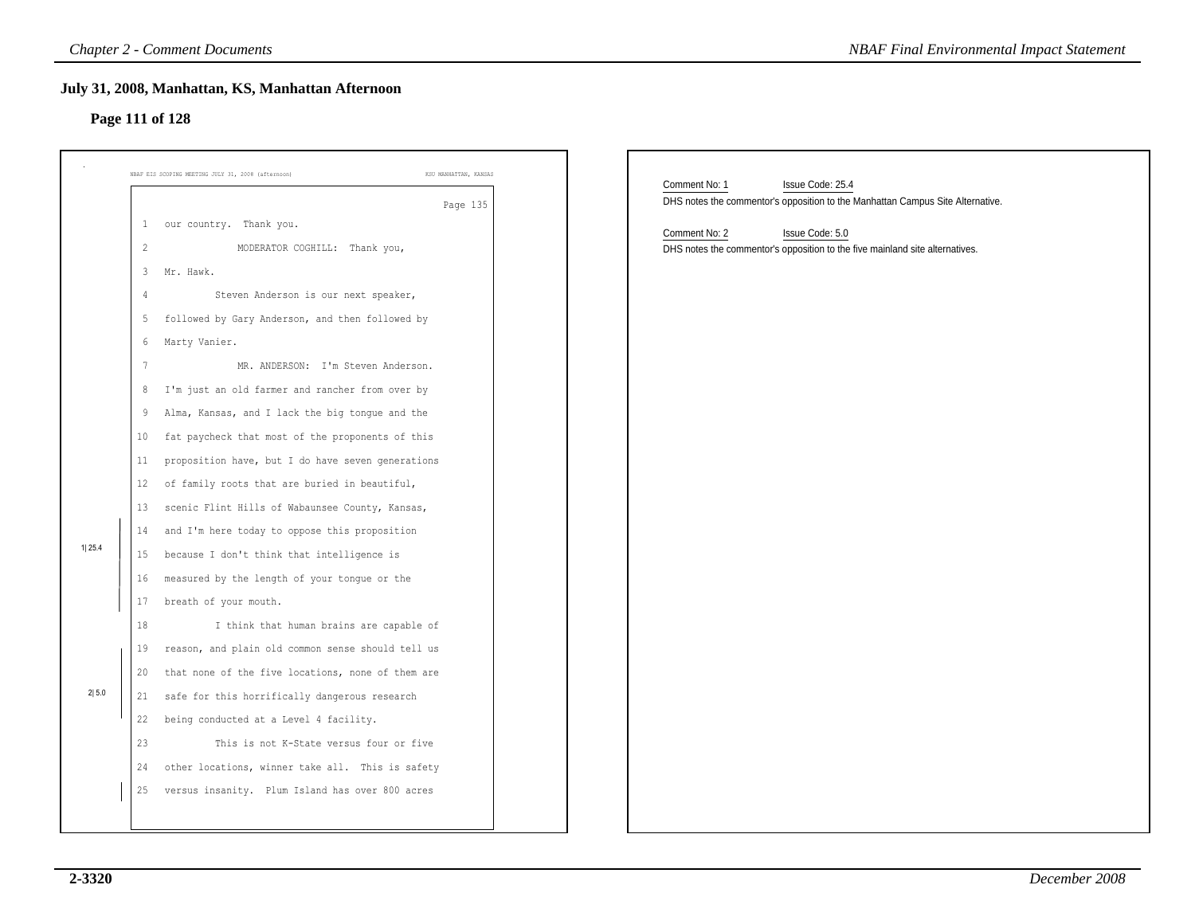# **Page 111 of 128**

|                | July 31, 2008, Manhattan, KS, Manhattan Afternoon<br>Page 111 of 128        |                                                                                |
|----------------|-----------------------------------------------------------------------------|--------------------------------------------------------------------------------|
|                | NBAF EIS SCOPING MEETING JULY 31, 2008 (afternoon)<br>KSU MANHATTAN, KANSAS | Comment No: 1<br>Issue Code: 25.4                                              |
|                | Page 135                                                                    | DHS notes the commentor's opposition to the Manhattan Campus Site Alternative. |
|                | 1 our country. Thank you.                                                   | Comment No: 2<br>Issue Code: 5.0                                               |
| $\overline{c}$ | MODERATOR COGHILL: Thank you,                                               | DHS notes the commentor's opposition to the five mainland site alternatives.   |
| 3 <sup>7</sup> | Mr. Hawk.                                                                   |                                                                                |
| 4              | Steven Anderson is our next speaker,                                        |                                                                                |
| 5              | followed by Gary Anderson, and then followed by                             |                                                                                |
| 6              | Marty Vanier.                                                               |                                                                                |
|                | MR. ANDERSON: I'm Steven Anderson.                                          |                                                                                |
| 8              | I'm just an old farmer and rancher from over by                             |                                                                                |
| 9              | Alma, Kansas, and I lack the big tongue and the                             |                                                                                |
| 10             | fat paycheck that most of the proponents of this                            |                                                                                |
| 11             | proposition have, but I do have seven generations                           |                                                                                |
| 12             | of family roots that are buried in beautiful,                               |                                                                                |
| 13             | scenic Flint Hills of Wabaunsee County, Kansas,                             |                                                                                |
| 14             | and I'm here today to oppose this proposition                               |                                                                                |
| 15             | because I don't think that intelligence is                                  |                                                                                |
| 16             | measured by the length of your tongue or the                                |                                                                                |
| 17             | breath of your mouth.                                                       |                                                                                |
| 18             | I think that human brains are capable of                                    |                                                                                |
| 19             | reason, and plain old common sense should tell us                           |                                                                                |
| 20             | that none of the five locations, none of them are                           |                                                                                |
| 21             | safe for this horrifically dangerous research                               |                                                                                |
| 22             | being conducted at a Level 4 facility.                                      |                                                                                |
| 23             | This is not K-State versus four or five                                     |                                                                                |
| 24             | other locations, winner take all. This is safety                            |                                                                                |
|                | 25 versus insanity. Plum Island has over 800 acres                          |                                                                                |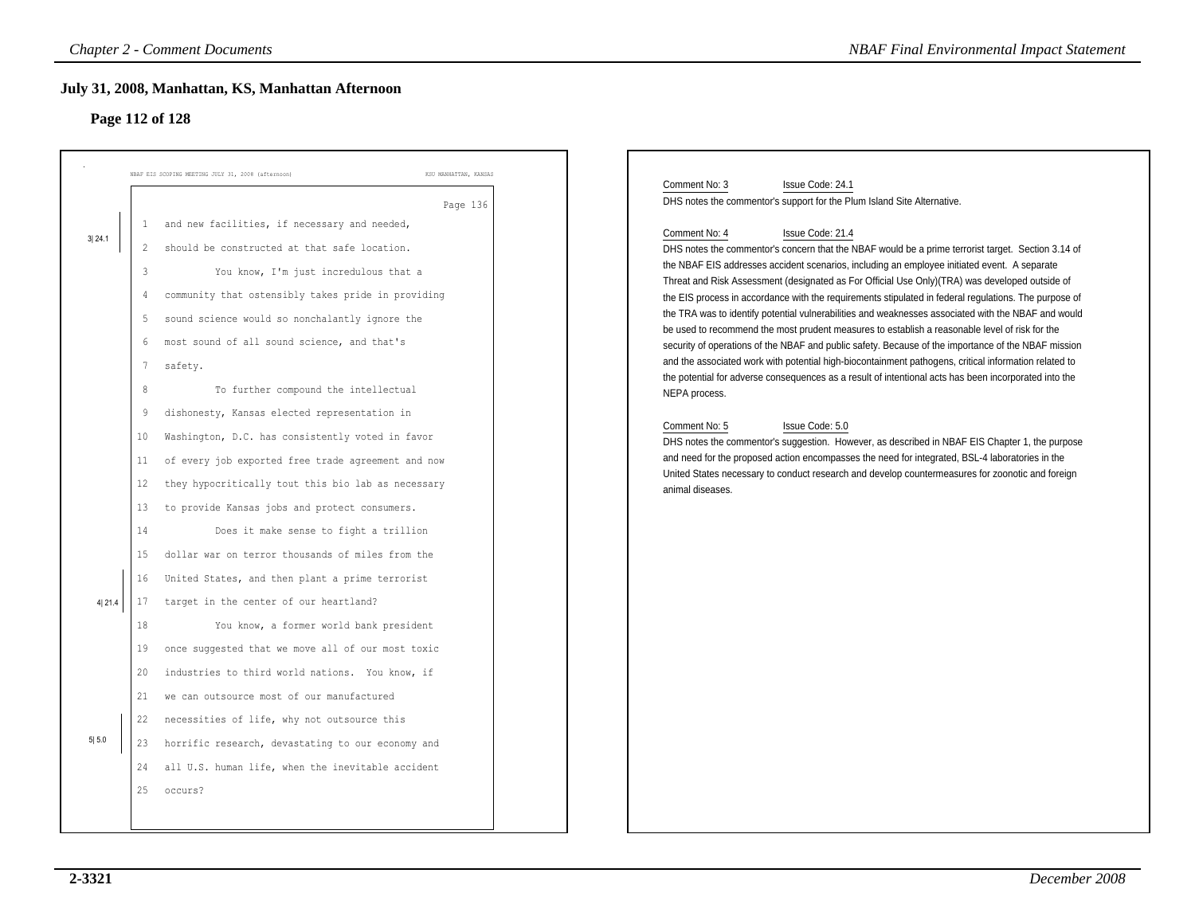# **Page 112 of 128**

| 1<br>3 24.1<br>2<br>$\mathsf 3$<br>4<br>5<br>6<br>7<br>8<br>9<br>10            | NBAF EIS SCOPING MEETING JULY 31, 2008 (afternoon)<br>KSU MANHATTAN, KANSAS<br>Page 136<br>and new facilities, if necessary and needed,<br>should be constructed at that safe location.<br>You know, I'm just incredulous that a<br>community that ostensibly takes pride in providing<br>sound science would so nonchalantly ignore the<br>most sound of all sound science, and that's<br>safety.<br>To further compound the intellectual<br>dishonesty, Kansas elected representation in                                                                                                                                                              |
|--------------------------------------------------------------------------------|---------------------------------------------------------------------------------------------------------------------------------------------------------------------------------------------------------------------------------------------------------------------------------------------------------------------------------------------------------------------------------------------------------------------------------------------------------------------------------------------------------------------------------------------------------------------------------------------------------------------------------------------------------|
|                                                                                |                                                                                                                                                                                                                                                                                                                                                                                                                                                                                                                                                                                                                                                         |
| 11<br>12<br>13<br>14<br>15<br>16<br>4 21.4<br>17<br>18<br>19<br>20<br>21<br>22 | Washington, D.C. has consistently voted in favor<br>of every job exported free trade agreement and now<br>they hypocritically tout this bio lab as necessary<br>to provide Kansas jobs and protect consumers.<br>Does it make sense to fight a trillion<br>dollar war on terror thousands of miles from the<br>United States, and then plant a prime terrorist<br>target in the center of our heartland?<br>You know, a former world bank president<br>once suggested that we move all of our most toxic<br>industries to third world nations. You know, if<br>we can outsource most of our manufactured<br>necessities of life, why not outsource this |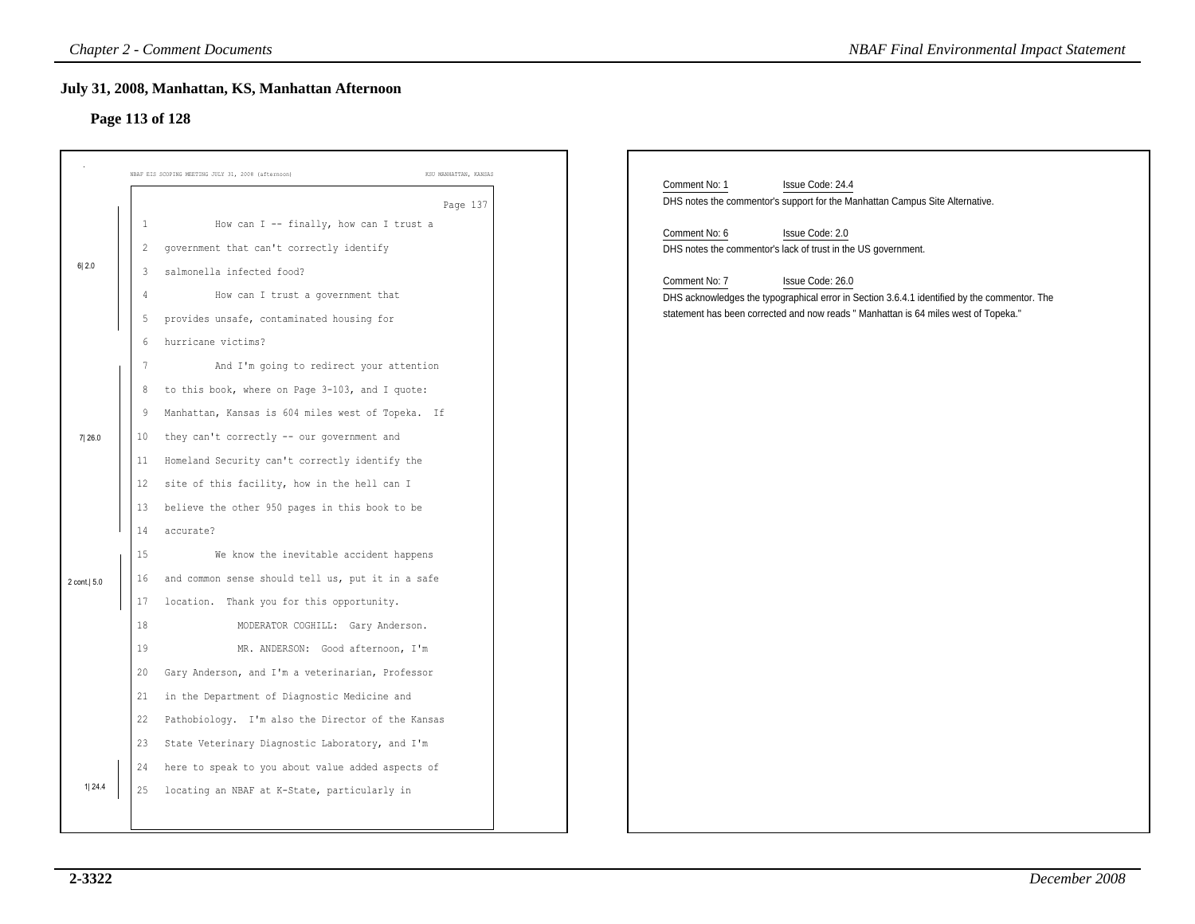# **Page 113 of 128**

|               | <b>Chapter 2 - Comment Documents</b>                                                                                                                                                                                                                                  |                       | <b>NBAF Final Environmental Impact Statement</b>                                                                                                                                                                         |
|---------------|-----------------------------------------------------------------------------------------------------------------------------------------------------------------------------------------------------------------------------------------------------------------------|-----------------------|--------------------------------------------------------------------------------------------------------------------------------------------------------------------------------------------------------------------------|
|               | July 31, 2008, Manhattan, KS, Manhattan Afternoon<br>Page 113 of 128                                                                                                                                                                                                  |                       |                                                                                                                                                                                                                          |
|               | NBAF EIS SCOPING MEETING JULY 31, 2008 (afternoon)                                                                                                                                                                                                                    | KSU MANHATTAN, KANSAS | Comment No: 1<br>Issue Code: 24.4                                                                                                                                                                                        |
|               | How can I -- finally, how can I trust a<br>1<br>government that can't correctly identify<br>$\overline{2}$                                                                                                                                                            | Page 137              | DHS notes the commentor's support for the Manhattan Campus Site Alternative.<br>Comment No: 6<br>Issue Code: 2.0<br>DHS notes the commentor's lack of trust in the US government.                                        |
| 6 2.0         | salmonella infected food?<br>3<br>How can I trust a government that<br>provides unsafe, contaminated housing for<br>5<br>hurricane victims?<br>6                                                                                                                      |                       | Comment No: 7<br>Issue Code: 26.0<br>DHS acknowledges the typographical error in Section 3.6.4.1 identified by the commentor. The<br>statement has been corrected and now reads " Manhattan is 64 miles west of Topeka." |
| 7 26.0        | And I'm going to redirect your attention<br>to this book, where on Page 3-103, and I quote:<br>8<br>Manhattan, Kansas is 604 miles west of Topeka. If<br>9<br>they can't correctly -- our government and<br>10                                                        |                       |                                                                                                                                                                                                                          |
|               | Homeland Security can't correctly identify the<br>11<br>site of this facility, how in the hell can I<br>12<br>believe the other 950 pages in this book to be<br>13<br>14<br>accurate?                                                                                 |                       |                                                                                                                                                                                                                          |
| 2 cont.   5.0 | 15<br>We know the inevitable accident happens<br>and common sense should tell us, put it in a safe<br>16<br>location. Thank you for this opportunity.<br>17<br>18<br>MODERATOR COGHILL: Gary Anderson.                                                                |                       |                                                                                                                                                                                                                          |
|               | 19<br>MR. ANDERSON: Good afternoon, I'm<br>Gary Anderson, and I'm a veterinarian, Professor<br>20<br>in the Department of Diagnostic Medicine and<br>21<br>22 Pathobiology. I'm also the Director of the Kansas<br>23 State Veterinary Diagnostic Laboratory, and I'm |                       |                                                                                                                                                                                                                          |
| 1 24.4        | here to speak to you about value added aspects of<br>24<br>25 locating an NBAF at K-State, particularly in                                                                                                                                                            |                       |                                                                                                                                                                                                                          |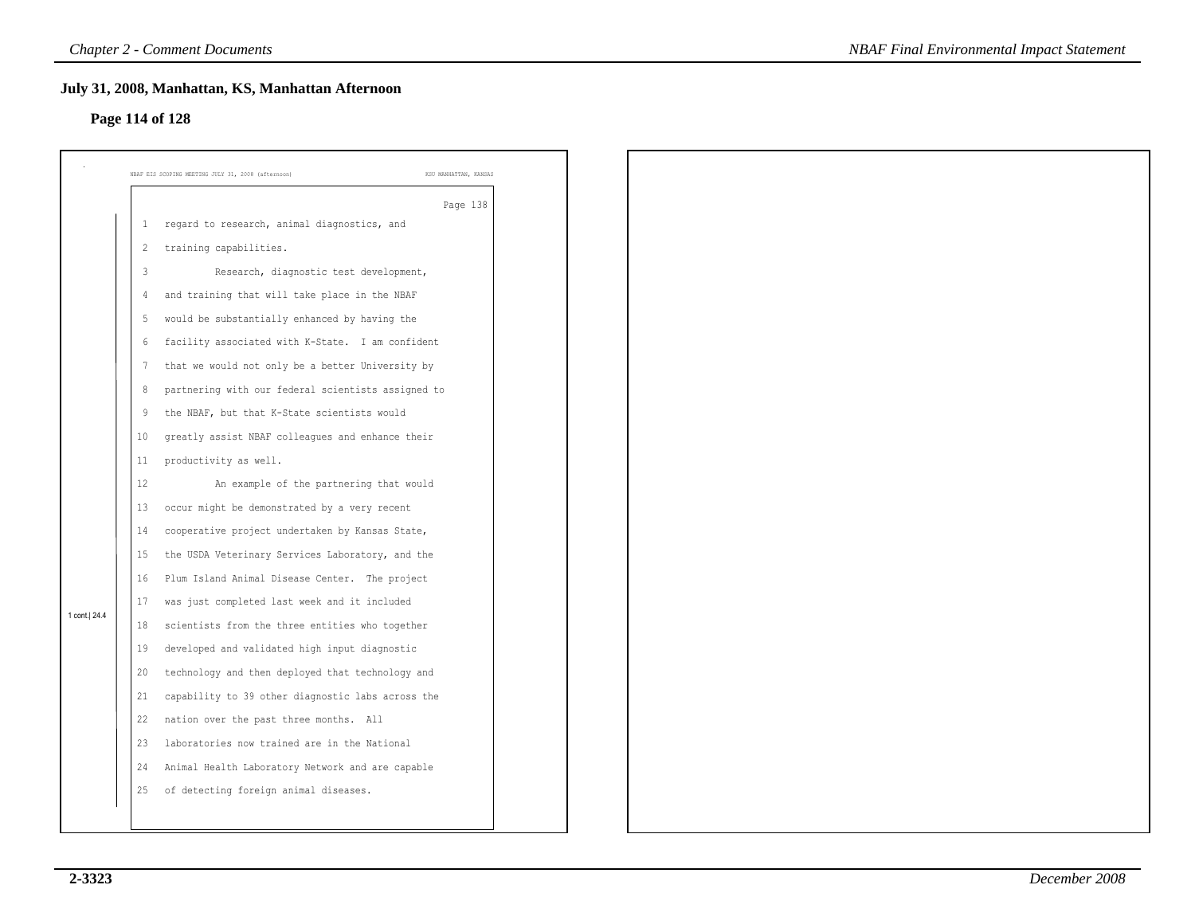# **Page 114 of 128**

|                |                | July 31, 2008, Manhattan, KS, Manhattan Afternoon<br>Page 114 of 128        |  |
|----------------|----------------|-----------------------------------------------------------------------------|--|
|                |                |                                                                             |  |
|                |                | NBAF EIS SCOPING MEETING JULY 31, 2008 (afternoon)<br>KSU MANHATTAN, KANSAS |  |
|                |                | Page 138                                                                    |  |
|                | 1              | regard to research, animal diagnostics, and                                 |  |
|                | $\overline{c}$ | training capabilities.                                                      |  |
|                | $\mathbf{3}$   | Research, diagnostic test development,                                      |  |
|                | 4              | and training that will take place in the NBAF                               |  |
|                | 5              | would be substantially enhanced by having the                               |  |
|                | 6              | facility associated with K-State. I am confident                            |  |
|                | 7              | that we would not only be a better University by                            |  |
|                | 8              | partnering with our federal scientists assigned to                          |  |
|                | 9              | the NBAF, but that K-State scientists would                                 |  |
|                | 10             | greatly assist NBAF colleagues and enhance their                            |  |
|                | 11             | productivity as well.                                                       |  |
|                | 12             | An example of the partnering that would                                     |  |
|                | 13             | occur might be demonstrated by a very recent                                |  |
|                | 14             | cooperative project undertaken by Kansas State,                             |  |
|                | 15             | the USDA Veterinary Services Laboratory, and the                            |  |
|                | 16             | Plum Island Animal Disease Center. The project                              |  |
| 1 cont.   24.4 | 17             | was just completed last week and it included                                |  |
|                | 18             | scientists from the three entities who together                             |  |
|                | 19             | developed and validated high input diagnostic                               |  |
|                | 20             | technology and then deployed that technology and                            |  |
|                | 21             | capability to 39 other diagnostic labs across the                           |  |
|                | 22             | nation over the past three months. All                                      |  |
|                | 23             | laboratories now trained are in the National                                |  |
|                | 24             | Animal Health Laboratory Network and are capable                            |  |
|                | 25             | of detecting foreign animal diseases.                                       |  |
|                |                |                                                                             |  |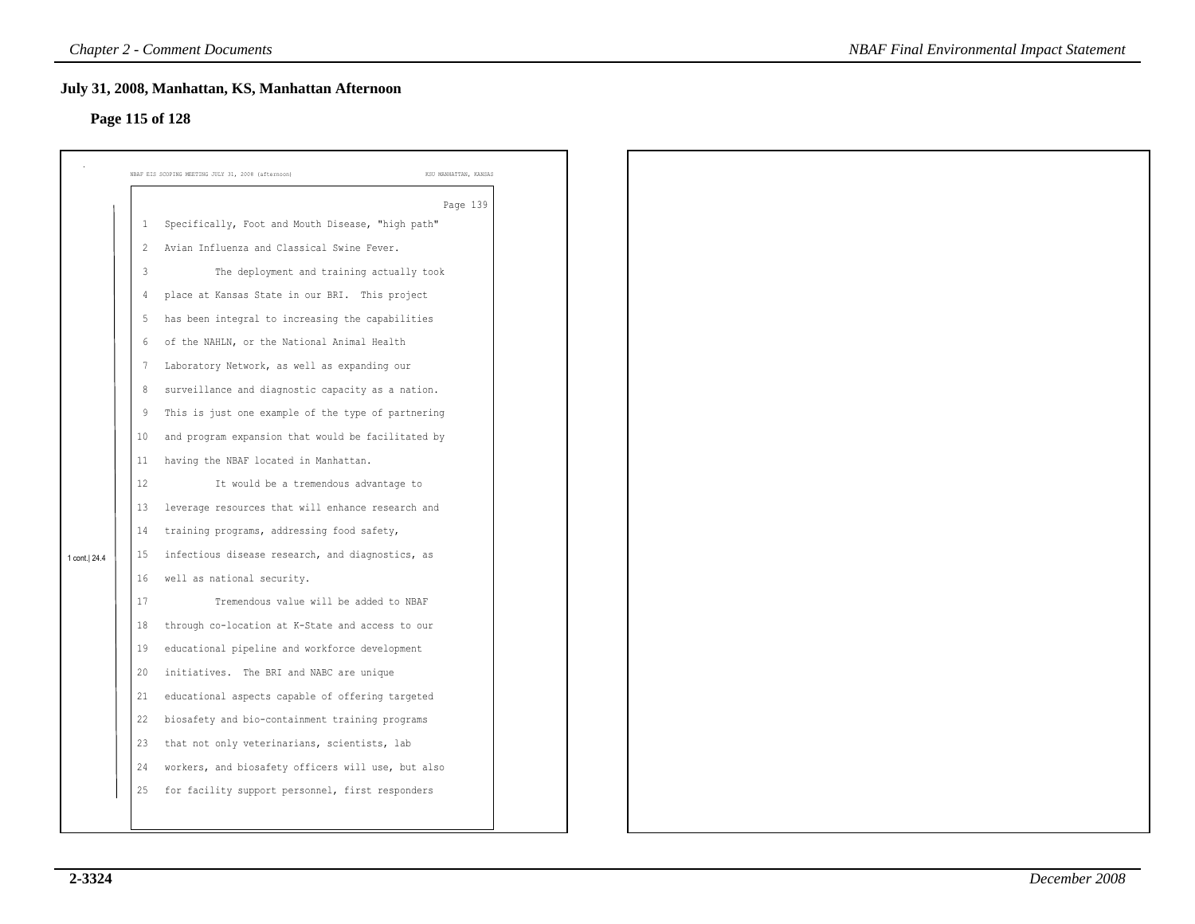### **Page 115 of 128**

|               |                | July 31, 2008, Manhattan, KS, Manhattan Afternoon<br>Page 115 of 128 |                       |
|---------------|----------------|----------------------------------------------------------------------|-----------------------|
|               |                |                                                                      |                       |
|               |                | NBAF EIS SCOPING MEETING JULY 31, 2008 (afternoon)                   | KSU MANHATTAN, KANSAS |
|               |                |                                                                      | Page 139              |
|               | $\mathbf{1}$   | Specifically, Foot and Mouth Disease, "high path"                    |                       |
|               | $\overline{c}$ | Avian Influenza and Classical Swine Fever.                           |                       |
|               | 3              | The deployment and training actually took                            |                       |
|               | 4              | place at Kansas State in our BRI. This project                       |                       |
|               | 5              | has been integral to increasing the capabilities                     |                       |
|               | 6              | of the NAHLN, or the National Animal Health                          |                       |
|               | 7              | Laboratory Network, as well as expanding our                         |                       |
|               | 8              | surveillance and diagnostic capacity as a nation.                    |                       |
|               | 9              | This is just one example of the type of partnering                   |                       |
|               | 10             | and program expansion that would be facilitated by                   |                       |
|               | 11             | having the NBAF located in Manhattan.                                |                       |
|               | 12             | It would be a tremendous advantage to                                |                       |
|               | 13             | leverage resources that will enhance research and                    |                       |
|               | 14             | training programs, addressing food safety,                           |                       |
| 1 cont.  24.4 | 15             | infectious disease research, and diagnostics, as                     |                       |
|               | 16             | well as national security.                                           |                       |
|               | 17             | Tremendous value will be added to NBAF                               |                       |
|               | 18             | through co-location at K-State and access to our                     |                       |
|               | 19             | educational pipeline and workforce development                       |                       |
|               | 20             | initiatives. The BRI and NABC are unique                             |                       |
|               | 21             | educational aspects capable of offering targeted                     |                       |
|               | 22             | biosafety and bio-containment training programs                      |                       |
|               | 23             | that not only veterinarians, scientists, lab                         |                       |
|               | 24             | workers, and biosafety officers will use, but also                   |                       |
|               | 25             | for facility support personnel, first responders                     |                       |
|               |                |                                                                      |                       |
|               |                |                                                                      |                       |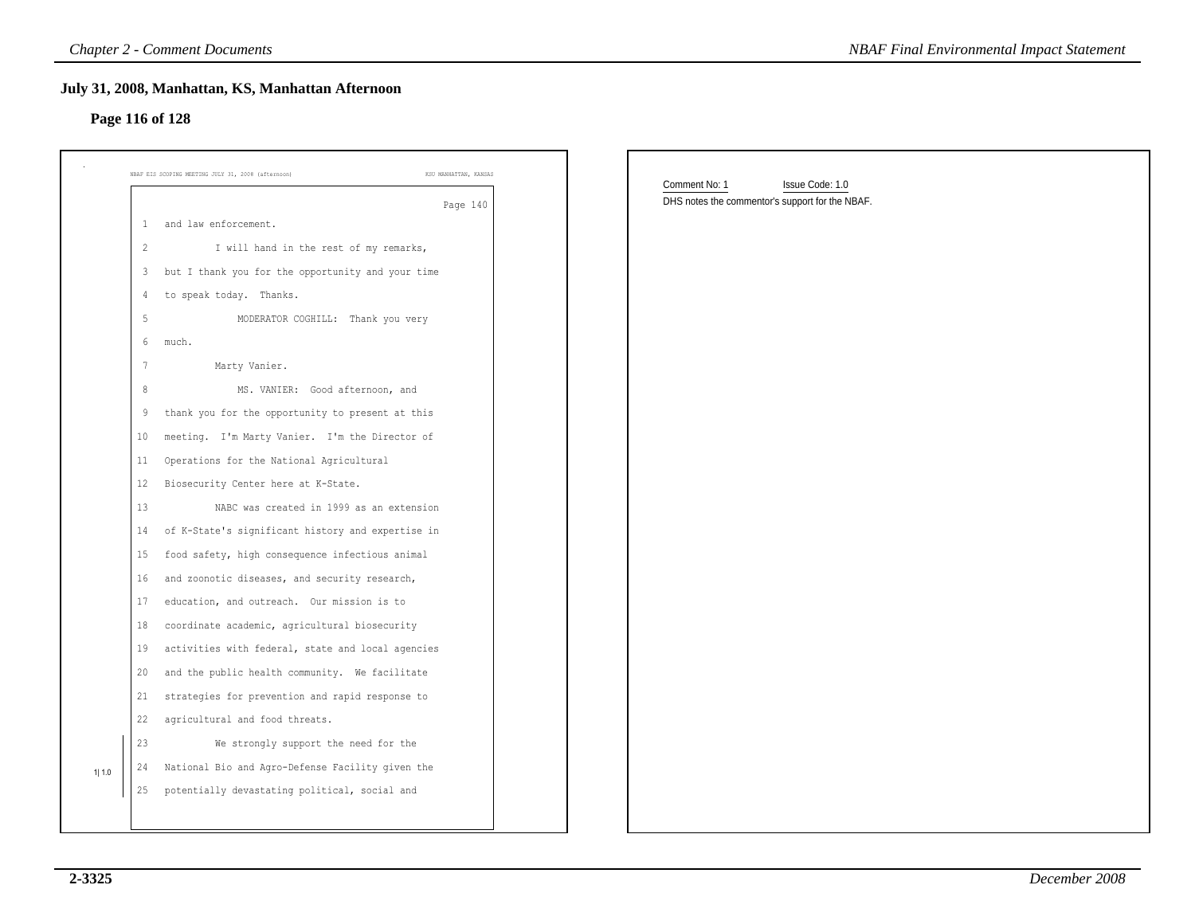# **Page 116 of 128**

|       |                                                                      | <b>Chapter 2 - Comment Documents</b>                                        |  | <b>NBAF Final Environmental Impact Statement</b>                                    |  |
|-------|----------------------------------------------------------------------|-----------------------------------------------------------------------------|--|-------------------------------------------------------------------------------------|--|
|       | July 31, 2008, Manhattan, KS, Manhattan Afternoon<br>Page 116 of 128 |                                                                             |  |                                                                                     |  |
|       |                                                                      | KSU MANHATTAN, KANSAS<br>NBAF EIS SCOPING MEETING JULY 31, 2008 (afternoon) |  |                                                                                     |  |
|       |                                                                      | Page 140                                                                    |  | Comment No: 1<br>Issue Code: 1.0<br>DHS notes the commentor's support for the NBAF. |  |
|       | 1                                                                    | and law enforcement.                                                        |  |                                                                                     |  |
|       | $\overline{2}$                                                       | I will hand in the rest of my remarks,                                      |  |                                                                                     |  |
|       | 3                                                                    | but I thank you for the opportunity and your time                           |  |                                                                                     |  |
|       | 4                                                                    | to speak today. Thanks.                                                     |  |                                                                                     |  |
|       | $\sqrt{5}$                                                           | MODERATOR COGHILL: Thank you very                                           |  |                                                                                     |  |
|       | 6                                                                    | much.                                                                       |  |                                                                                     |  |
|       | $\overline{7}$                                                       | Marty Vanier.                                                               |  |                                                                                     |  |
|       | $\,8\,$                                                              | MS. VANIER: Good afternoon, and                                             |  |                                                                                     |  |
|       | 9                                                                    | thank you for the opportunity to present at this                            |  |                                                                                     |  |
|       | 10                                                                   | meeting. I'm Marty Vanier. I'm the Director of                              |  |                                                                                     |  |
|       | 11                                                                   | Operations for the National Agricultural                                    |  |                                                                                     |  |
|       | 12                                                                   | Biosecurity Center here at K-State.                                         |  |                                                                                     |  |
|       | 13                                                                   | NABC was created in 1999 as an extension                                    |  |                                                                                     |  |
|       | 14                                                                   | of K-State's significant history and expertise in                           |  |                                                                                     |  |
|       | 15                                                                   | food safety, high consequence infectious animal                             |  |                                                                                     |  |
|       | 16                                                                   | and zoonotic diseases, and security research,                               |  |                                                                                     |  |
|       | 17                                                                   | education, and outreach. Our mission is to                                  |  |                                                                                     |  |
|       | 18                                                                   | coordinate academic, agricultural biosecurity                               |  |                                                                                     |  |
|       | 19                                                                   | activities with federal, state and local agencies                           |  |                                                                                     |  |
|       | 20                                                                   | and the public health community. We facilitate                              |  |                                                                                     |  |
|       | 21                                                                   | strategies for prevention and rapid response to                             |  |                                                                                     |  |
|       | 22                                                                   | agricultural and food threats.                                              |  |                                                                                     |  |
|       | 23                                                                   | We strongly support the need for the                                        |  |                                                                                     |  |
| 1 1.0 | 24                                                                   | National Bio and Agro-Defense Facility given the                            |  |                                                                                     |  |
|       | 25                                                                   | potentially devastating political, social and                               |  |                                                                                     |  |
|       |                                                                      |                                                                             |  |                                                                                     |  |
|       |                                                                      |                                                                             |  |                                                                                     |  |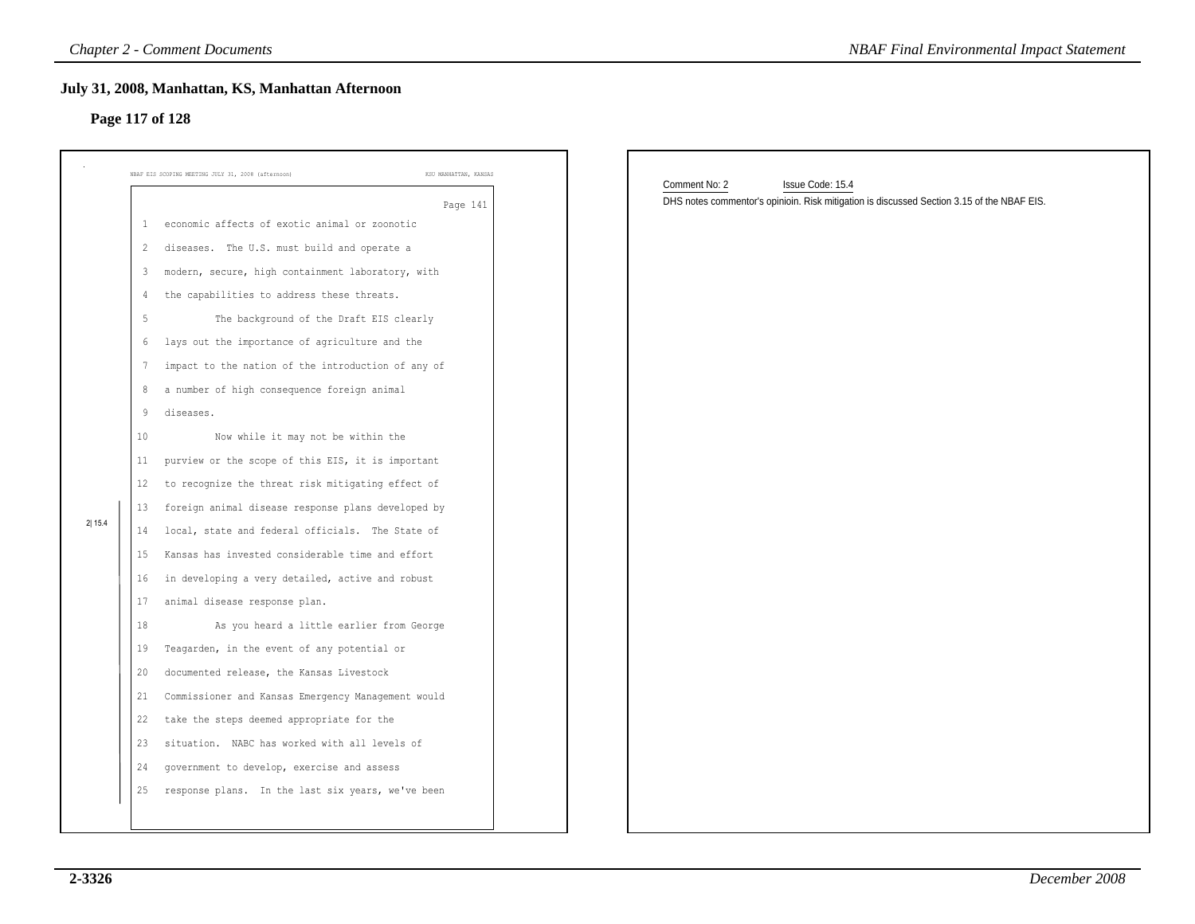### **Page 117 of 128**

|        | <b>Chapter 2 - Comment Documents</b>                                                                                                                                                                                                                                                                                                                                                                                                                                                                                                                                                                                                                                                                                                                          | <b>NBAF Final Environmental Impact Statement</b>                                                                                |
|--------|---------------------------------------------------------------------------------------------------------------------------------------------------------------------------------------------------------------------------------------------------------------------------------------------------------------------------------------------------------------------------------------------------------------------------------------------------------------------------------------------------------------------------------------------------------------------------------------------------------------------------------------------------------------------------------------------------------------------------------------------------------------|---------------------------------------------------------------------------------------------------------------------------------|
|        | July 31, 2008, Manhattan, KS, Manhattan Afternoon<br>Page 117 of 128                                                                                                                                                                                                                                                                                                                                                                                                                                                                                                                                                                                                                                                                                          |                                                                                                                                 |
|        | NBAF EIS SCOPING MEETING JULY 31, 2008 (afternoon)<br>KSU MANHATTAN, KANSAS                                                                                                                                                                                                                                                                                                                                                                                                                                                                                                                                                                                                                                                                                   |                                                                                                                                 |
| 2 15.4 | Page 141<br>economic affects of exotic animal or zoonotic<br>-1<br>2 diseases. The U.S. must build and operate a<br>modern, secure, high containment laboratory, with<br>3<br>the capabilities to address these threats.<br>4<br>5<br>The background of the Draft EIS clearly<br>lays out the importance of agriculture and the<br>6<br>impact to the nation of the introduction of any of<br>7<br>a number of high consequence foreign animal<br>8<br>9<br>diseases.<br>Now while it may not be within the<br>10<br>purview or the scope of this EIS, it is important<br>11<br>to recognize the threat risk mitigating effect of<br>12<br>foreign animal disease response plans developed by<br>13<br>local, state and federal officials. The State of<br>14 | Comment No: 2<br>Issue Code: 15.4<br>DHS notes commentor's opinioin. Risk mitigation is discussed Section 3.15 of the NBAF EIS. |
|        | Kansas has invested considerable time and effort<br>15<br>in developing a very detailed, active and robust<br>16<br>animal disease response plan.<br>17<br>18<br>As you heard a little earlier from George<br>Teagarden, in the event of any potential or<br>19<br>documented release, the Kansas Livestock<br>20<br>Commissioner and Kansas Emergency Management would<br>21<br>22<br>take the steps deemed appropriate for the<br>situation. NABC has worked with all levels of<br>23<br>government to develop, exercise and assess<br>24<br>response plans. In the last six years, we've been<br>25                                                                                                                                                        |                                                                                                                                 |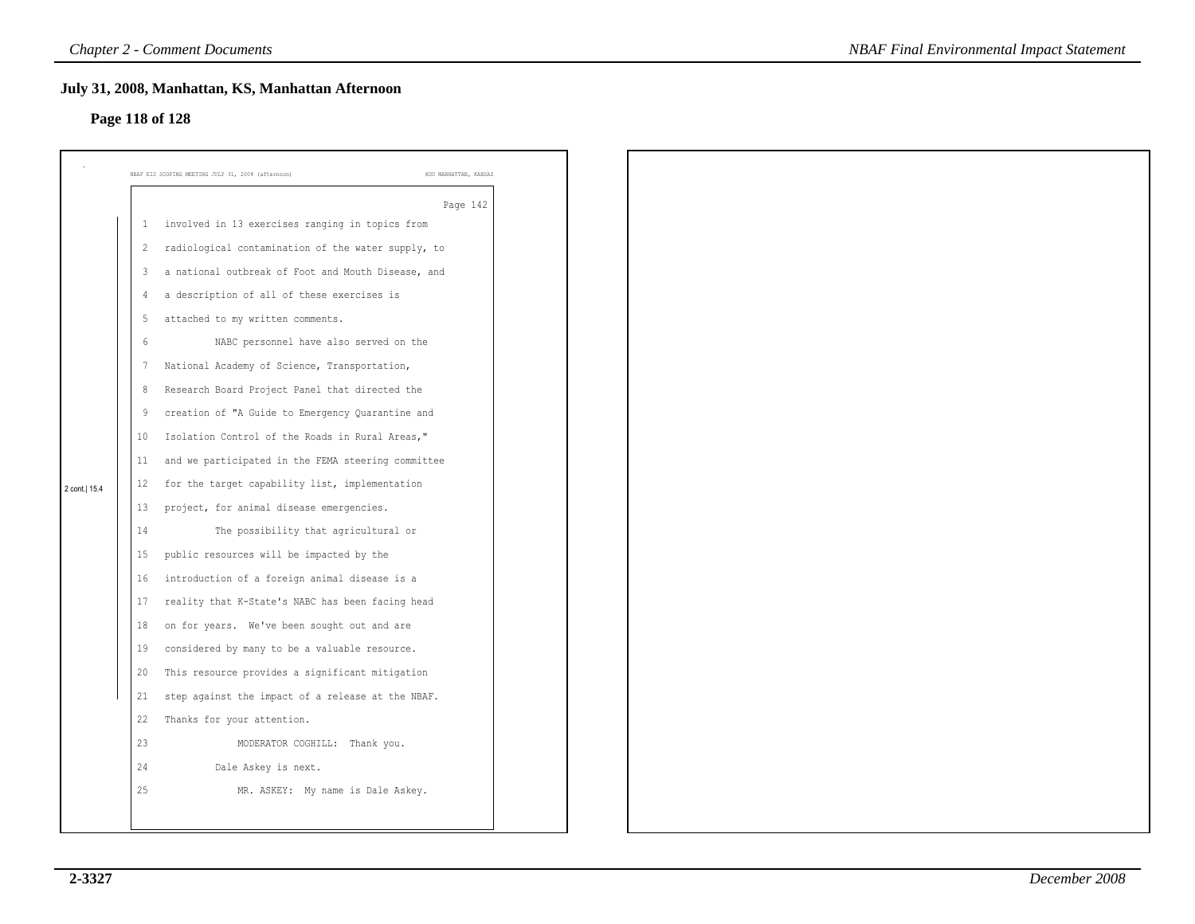### **Page 118 of 128**

|               |                | NBAF EIS SCOPING MEETING JULY 31, 2008 (afternoon)<br>KSU MANHATTAN, KANSAS |
|---------------|----------------|-----------------------------------------------------------------------------|
|               |                |                                                                             |
|               |                | Page 142<br>1 involved in 13 exercises ranging in topics from               |
|               |                |                                                                             |
|               | $\overline{c}$ | radiological contamination of the water supply, to                          |
|               | 3              | a national outbreak of Foot and Mouth Disease, and                          |
|               | 4              | a description of all of these exercises is                                  |
|               | 5              | attached to my written comments.                                            |
|               | -6             | NABC personnel have also served on the                                      |
|               | 7              | National Academy of Science, Transportation,                                |
|               | 8              | Research Board Project Panel that directed the                              |
|               | 9              | creation of "A Guide to Emergency Quarantine and                            |
|               | 10             | Isolation Control of the Roads in Rural Areas,"                             |
|               | 11             | and we participated in the FEMA steering committee                          |
| 2 cont.  15.4 | 12             | for the target capability list, implementation                              |
|               | 13             | project, for animal disease emergencies.                                    |
|               | 14             | The possibility that agricultural or                                        |
|               | 15             | public resources will be impacted by the                                    |
|               | 16             | introduction of a foreign animal disease is a                               |
|               | 17             | reality that K-State's NABC has been facing head                            |
|               | 18             | on for years. We've been sought out and are                                 |
|               | 19             | considered by many to be a valuable resource.                               |
|               | 20             | This resource provides a significant mitigation                             |
|               | 21             | step against the impact of a release at the NBAF.                           |
|               | 22             | Thanks for your attention.                                                  |
|               | 23             | MODERATOR COGHILL: Thank you.                                               |
|               | 24             | Dale Askey is next.                                                         |
|               | 25             | MR. ASKEY: My name is Dale Askey.                                           |
|               |                |                                                                             |
|               |                |                                                                             |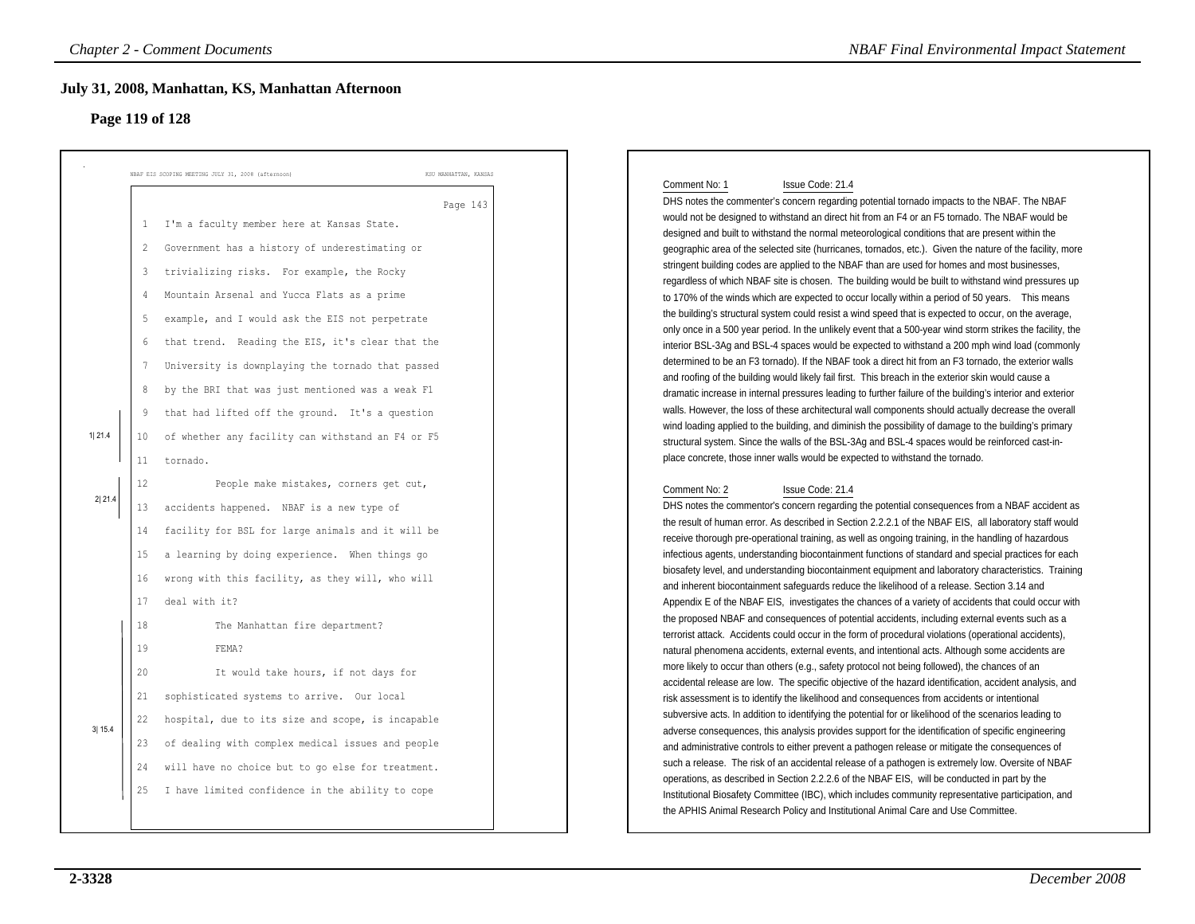### **Page 119 of 128**

|        | July 31, 2008, Manhattan, KS, Manhattan Afternoon<br>Page 119 of 128                                                                                                                                                                                                                                                                                                                                                                                                                                                                                                                   |                       |                                                                                                                                                                                                                                                                                                                                                                                                                                                                                                                                                                                                                                                                                                                                                                                                                                                                                                                                                                                                                                                                                                                                                                                                                                                                                                                                                                                                                                                                                                                                                                                                                                                                                                                                                                                          |
|--------|----------------------------------------------------------------------------------------------------------------------------------------------------------------------------------------------------------------------------------------------------------------------------------------------------------------------------------------------------------------------------------------------------------------------------------------------------------------------------------------------------------------------------------------------------------------------------------------|-----------------------|------------------------------------------------------------------------------------------------------------------------------------------------------------------------------------------------------------------------------------------------------------------------------------------------------------------------------------------------------------------------------------------------------------------------------------------------------------------------------------------------------------------------------------------------------------------------------------------------------------------------------------------------------------------------------------------------------------------------------------------------------------------------------------------------------------------------------------------------------------------------------------------------------------------------------------------------------------------------------------------------------------------------------------------------------------------------------------------------------------------------------------------------------------------------------------------------------------------------------------------------------------------------------------------------------------------------------------------------------------------------------------------------------------------------------------------------------------------------------------------------------------------------------------------------------------------------------------------------------------------------------------------------------------------------------------------------------------------------------------------------------------------------------------------|
|        | NBAF EIS SCOPING MEETING JULY 31, 2008 (afternoon)                                                                                                                                                                                                                                                                                                                                                                                                                                                                                                                                     | KSU MANHATTAN, KANSAS | Comment No: 1<br>Issue Code: 21.4                                                                                                                                                                                                                                                                                                                                                                                                                                                                                                                                                                                                                                                                                                                                                                                                                                                                                                                                                                                                                                                                                                                                                                                                                                                                                                                                                                                                                                                                                                                                                                                                                                                                                                                                                        |
| 1 21.4 | I'm a faculty member here at Kansas State.<br>1<br>Government has a history of underestimating or<br>2<br>trivializing risks. For example, the Rocky<br>3<br>Mountain Arsenal and Yucca Flats as a prime<br>4<br>example, and I would ask the EIS not perpetrate<br>5<br>that trend. Reading the EIS, it's clear that the<br>6<br>University is downplaying the tornado that passed<br>7<br>by the BRI that was just mentioned was a weak F1<br>8<br>that had lifted off the ground. It's a question<br>9<br>of whether any facility can withstand an F4 or F5<br>10<br>11<br>tornado. | Page 143              | DHS notes the commenter's concern regarding potential tornado impacts to the NBAF. The NBAF<br>would not be designed to withstand an direct hit from an F4 or an F5 tornado. The NBAF would be<br>designed and built to withstand the normal meteorological conditions that are present within the<br>geographic area of the selected site (hurricanes, tornados, etc.). Given the nature of the facility, more<br>stringent building codes are applied to the NBAF than are used for homes and most businesses,<br>regardless of which NBAF site is chosen. The building would be built to withstand wind pressures up<br>to 170% of the winds which are expected to occur locally within a period of 50 years. This means<br>the building's structural system could resist a wind speed that is expected to occur, on the average,<br>only once in a 500 year period. In the unlikely event that a 500-year wind storm strikes the facility, the<br>interior BSL-3Ag and BSL-4 spaces would be expected to withstand a 200 mph wind load (commonly<br>determined to be an F3 tornado). If the NBAF took a direct hit from an F3 tornado, the exterior walls<br>and roofing of the building would likely fail first. This breach in the exterior skin would cause a<br>dramatic increase in internal pressures leading to further failure of the building's interior and exterior<br>walls. However, the loss of these architectural wall components should actually decrease the overall<br>wind loading applied to the building, and diminish the possibility of damage to the building's primary<br>structural system. Since the walls of the BSL-3Aq and BSL-4 spaces would be reinforced cast-in-<br>place concrete, those inner walls would be expected to withstand the tornado. |
| 2 21.4 | 12<br>People make mistakes, corners get cut,<br>13<br>accidents happened. NBAF is a new type of<br>facility for BSL for large animals and it will be<br>14<br>a learning by doing experience. When things go<br>15<br>16<br>wrong with this facility, as they will, who will<br>17<br>deal with it?                                                                                                                                                                                                                                                                                    |                       | Comment No: 2<br>Issue Code: 21.4<br>DHS notes the commentor's concern regarding the potential consequences from a NBAF accident as<br>the result of human error. As described in Section 2.2.2.1 of the NBAF EIS, all laboratory staff would<br>receive thorough pre-operational training, as well as ongoing training, in the handling of hazardous<br>infectious agents, understanding biocontainment functions of standard and special practices for each<br>biosafety level, and understanding biocontainment equipment and laboratory characteristics. Training<br>and inherent biocontainment safeguards reduce the likelihood of a release. Section 3.14 and<br>Appendix E of the NBAF EIS, investigates the chances of a variety of accidents that could occur with                                                                                                                                                                                                                                                                                                                                                                                                                                                                                                                                                                                                                                                                                                                                                                                                                                                                                                                                                                                                             |
| 3 15.4 | 18<br>The Manhattan fire department?<br>19<br>FEMA?<br>20<br>It would take hours, if not days for<br>sophisticated systems to arrive. Our local<br>21<br>hospital, due to its size and scope, is incapable<br>22<br>of dealing with complex medical issues and people<br>23<br>will have no choice but to go else for treatment.<br>24<br>I have limited confidence in the ability to cope<br>25                                                                                                                                                                                       |                       | the proposed NBAF and consequences of potential accidents, including external events such as a<br>terrorist attack. Accidents could occur in the form of procedural violations (operational accidents),<br>natural phenomena accidents, external events, and intentional acts. Although some accidents are<br>more likely to occur than others (e.g., safety protocol not being followed), the chances of an<br>accidental release are low. The specific objective of the hazard identification, accident analysis, and<br>risk assessment is to identify the likelihood and consequences from accidents or intentional<br>subversive acts. In addition to identifying the potential for or likelihood of the scenarios leading to<br>adverse consequences, this analysis provides support for the identification of specific engineering<br>and administrative controls to either prevent a pathogen release or mitigate the consequences of<br>such a release. The risk of an accidental release of a pathogen is extremely low. Oversite of NBAF<br>operations, as described in Section 2.2.2.6 of the NBAF EIS, will be conducted in part by the<br>Institutional Biosafety Committee (IBC), which includes community representative participation, and                                                                                                                                                                                                                                                                                                                                                                                                                                                                                                                              |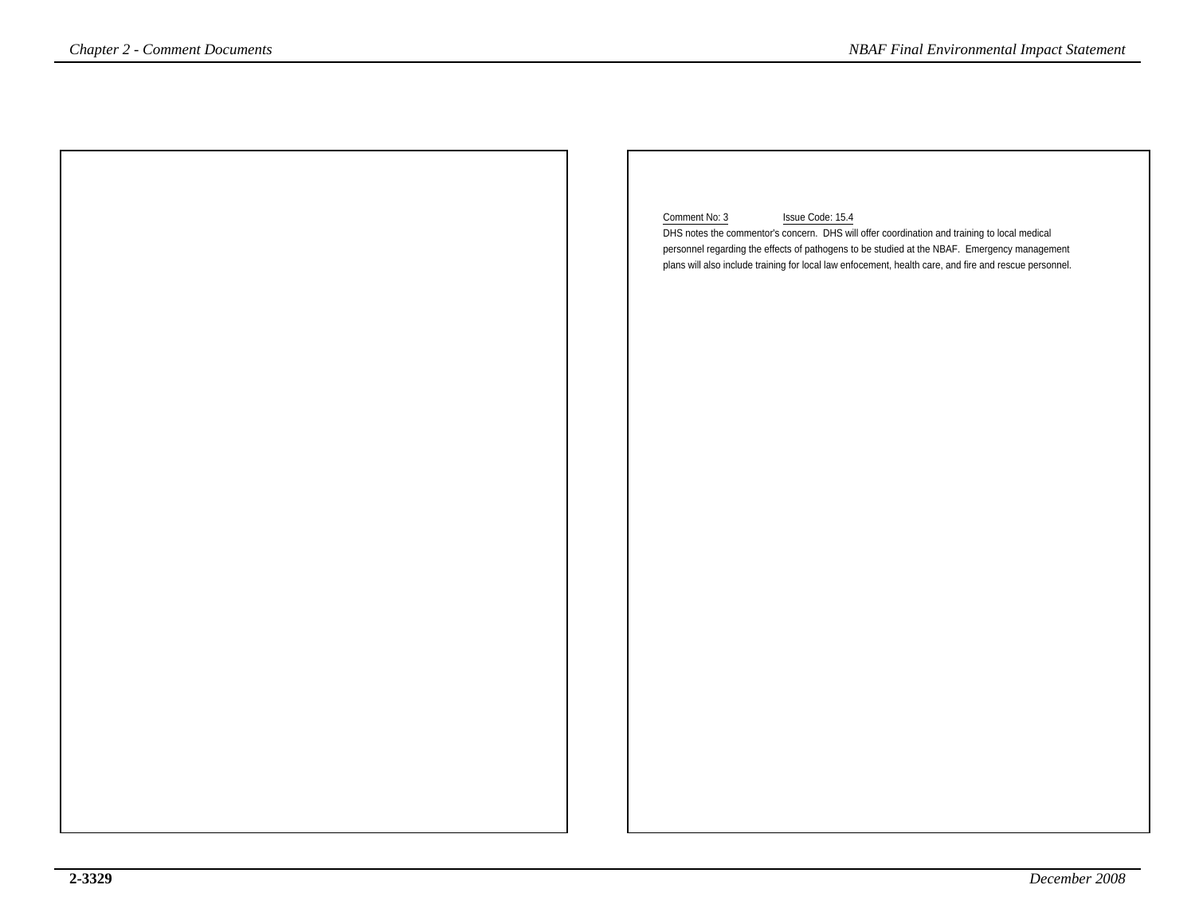| <i>Chapter 2 - Comment Documents</i> | <b>NBAF Final Environmental Impact Statement</b>                                                                                                                                             |
|--------------------------------------|----------------------------------------------------------------------------------------------------------------------------------------------------------------------------------------------|
|                                      |                                                                                                                                                                                              |
|                                      |                                                                                                                                                                                              |
|                                      |                                                                                                                                                                                              |
|                                      |                                                                                                                                                                                              |
|                                      |                                                                                                                                                                                              |
|                                      | Comment No: 3<br>Issue Code: 15.4                                                                                                                                                            |
|                                      | DHS notes the commentor's concern. DHS will offer coordination and training to local medical<br>personnel regarding the effects of pathogens to be studied at the NBAF. Emergency management |
|                                      | plans will also include training for local law enfocement, health care, and fire and rescue personnel.                                                                                       |
|                                      |                                                                                                                                                                                              |
|                                      |                                                                                                                                                                                              |
|                                      |                                                                                                                                                                                              |
|                                      |                                                                                                                                                                                              |
|                                      |                                                                                                                                                                                              |
|                                      |                                                                                                                                                                                              |
|                                      |                                                                                                                                                                                              |
|                                      |                                                                                                                                                                                              |
|                                      |                                                                                                                                                                                              |
|                                      |                                                                                                                                                                                              |
|                                      |                                                                                                                                                                                              |
|                                      |                                                                                                                                                                                              |
|                                      |                                                                                                                                                                                              |
|                                      |                                                                                                                                                                                              |
|                                      |                                                                                                                                                                                              |
|                                      |                                                                                                                                                                                              |
|                                      |                                                                                                                                                                                              |
|                                      |                                                                                                                                                                                              |
|                                      |                                                                                                                                                                                              |
|                                      |                                                                                                                                                                                              |
|                                      |                                                                                                                                                                                              |
|                                      |                                                                                                                                                                                              |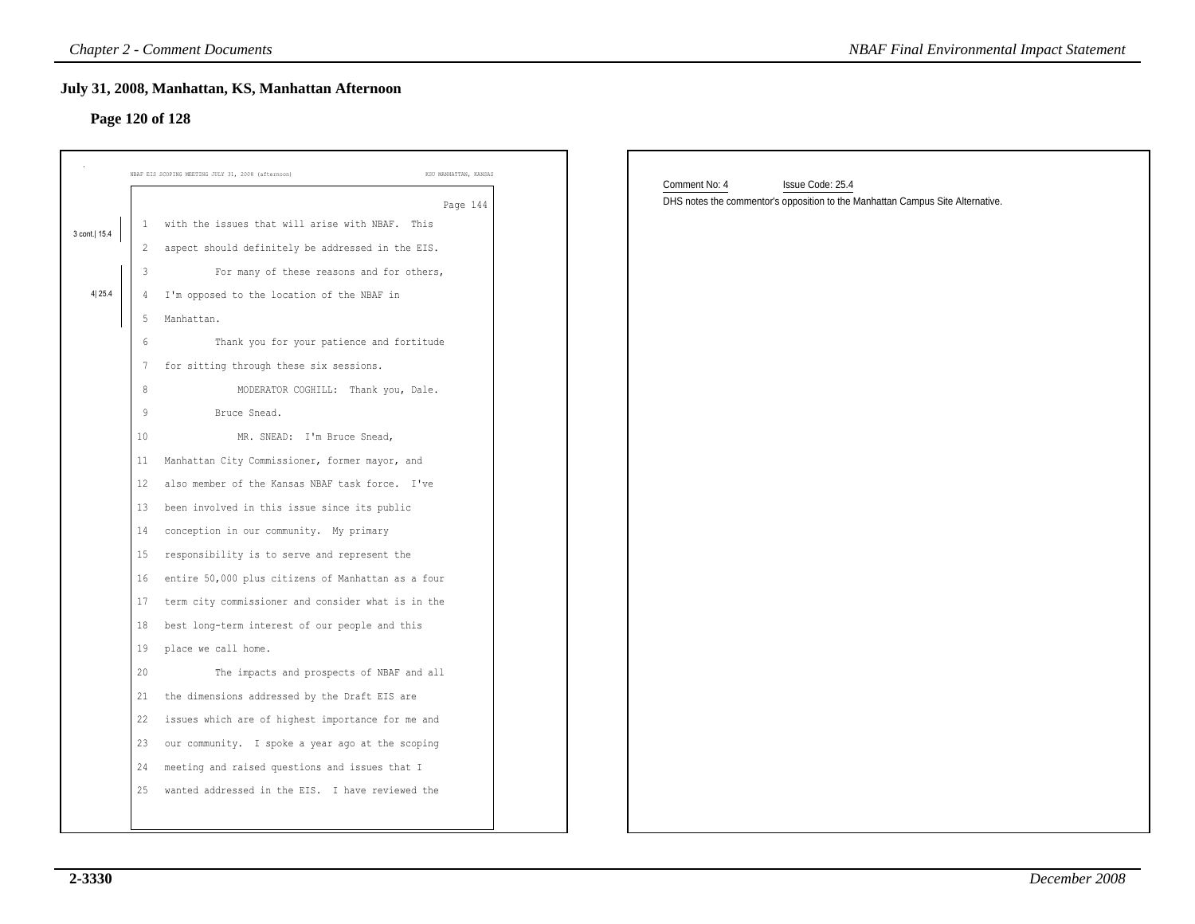# **Page 120 of 128**

|                | <b>Chapter 2 - Comment Documents</b>                                        | <b>NBAF Final Environmental Impact Statement</b>                               |
|----------------|-----------------------------------------------------------------------------|--------------------------------------------------------------------------------|
|                | July 31, 2008, Manhattan, KS, Manhattan Afternoon                           |                                                                                |
|                | Page 120 of 128                                                             |                                                                                |
|                |                                                                             |                                                                                |
|                | NBAF EIS SCOPING MEETING JULY 31, 2008 (afternoon)<br>KSU MANHATTAN, KANSAS | Comment No: 4<br>Issue Code: 25.4                                              |
|                | Page 144                                                                    | DHS notes the commentor's opposition to the Manhattan Campus Site Alternative. |
| 3 cont.   15.4 | with the issues that will arise with NBAF. This<br>$\mathbf{1}$             |                                                                                |
|                | 2 aspect should definitely be addressed in the EIS.                         |                                                                                |
|                | 3<br>For many of these reasons and for others,                              |                                                                                |
| 4 25.4         | I'm opposed to the location of the NBAF in<br>4                             |                                                                                |
|                | 5<br>Manhattan.                                                             |                                                                                |
|                | Thank you for your patience and fortitude<br>6                              |                                                                                |
|                | for sitting through these six sessions.<br>7                                |                                                                                |
|                | 8<br>MODERATOR COGHILL: Thank you, Dale.                                    |                                                                                |
|                | 9<br>Bruce Snead.                                                           |                                                                                |
|                | 10<br>MR. SNEAD: I'm Bruce Snead,                                           |                                                                                |
|                | Manhattan City Commissioner, former mayor, and<br>11                        |                                                                                |
|                | also member of the Kansas NBAF task force. I've<br>12                       |                                                                                |
|                | been involved in this issue since its public<br>13                          |                                                                                |
|                | conception in our community. My primary<br>14                               |                                                                                |
|                | responsibility is to serve and represent the<br>15                          |                                                                                |
|                | entire 50,000 plus citizens of Manhattan as a four<br>16                    |                                                                                |
|                | term city commissioner and consider what is in the<br>17                    |                                                                                |
|                | best long-term interest of our people and this<br>18                        |                                                                                |
|                | place we call home.<br>19                                                   |                                                                                |
|                | 20<br>The impacts and prospects of NBAF and all                             |                                                                                |
|                | the dimensions addressed by the Draft EIS are<br>21                         |                                                                                |
|                | 22 issues which are of highest importance for me and                        |                                                                                |
|                | 23 our community. I spoke a year ago at the scoping                         |                                                                                |
|                | 24 meeting and raised questions and issues that I                           |                                                                                |
|                | 25 wanted addressed in the EIS. I have reviewed the                         |                                                                                |
|                |                                                                             |                                                                                |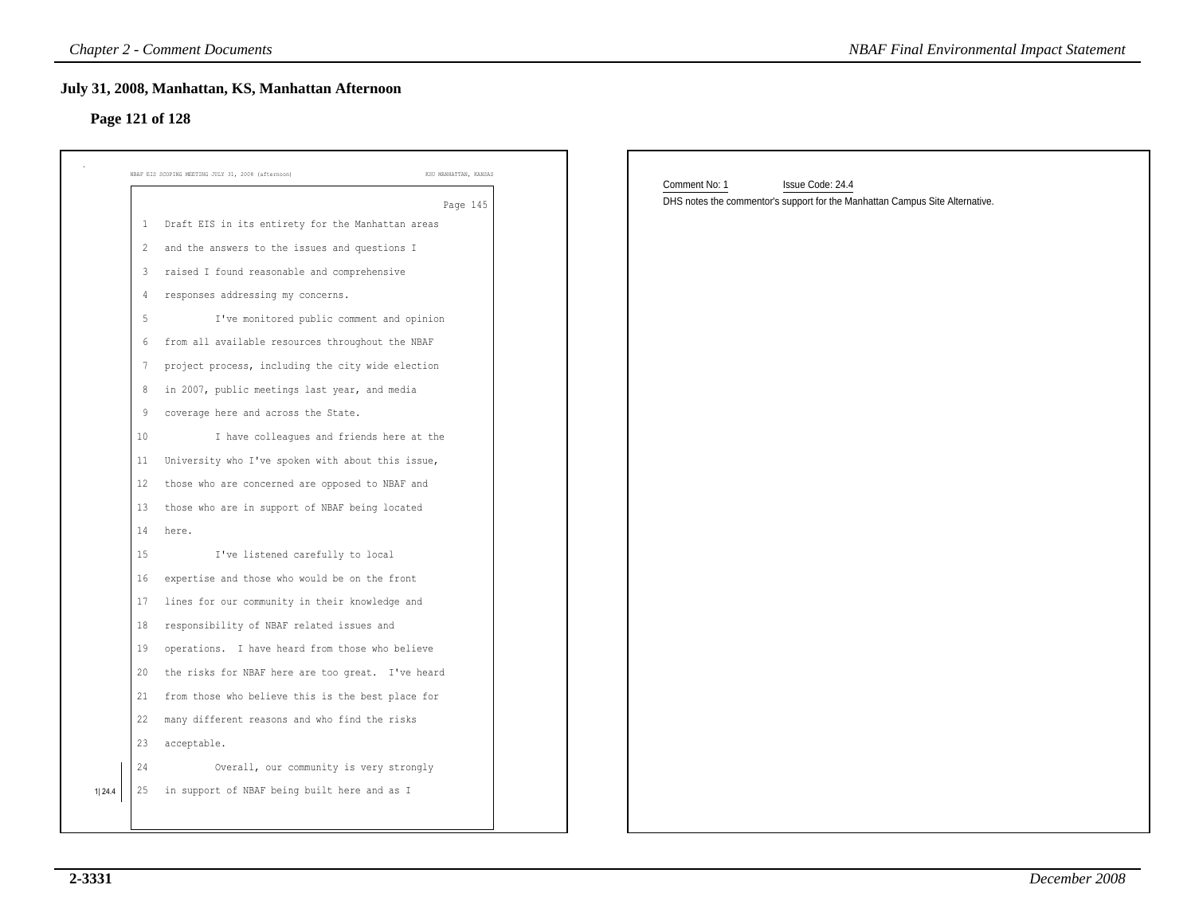| NBAF EIS SCOPING MEETING JULY 31, 2008 (afternoon)<br>KSU MANHATTAN, KANSAS | Comment No: 1<br>Issue Code: 24.4                                            |
|-----------------------------------------------------------------------------|------------------------------------------------------------------------------|
| Page 145                                                                    | DHS notes the commentor's support for the Manhattan Campus Site Alternative. |
| Draft EIS in its entirety for the Manhattan areas<br>$\mathbf{1}$           |                                                                              |
| and the answers to the issues and questions I<br>$\overline{c}$             |                                                                              |
| raised I found reasonable and comprehensive<br>3                            |                                                                              |
| responses addressing my concerns.<br>$\overline{4}$                         |                                                                              |
| $5\,$<br>I've monitored public comment and opinion                          |                                                                              |
| from all available resources throughout the NBAF<br>6                       |                                                                              |
| $7\phantom{.0}$<br>project process, including the city wide election        |                                                                              |
| in 2007, public meetings last year, and media<br>8                          |                                                                              |
| coverage here and across the State.<br>9                                    |                                                                              |
| I have colleagues and friends here at the<br>10                             |                                                                              |
| University who I've spoken with about this issue,<br>11                     |                                                                              |
| those who are concerned are opposed to NBAF and<br>12                       |                                                                              |
| those who are in support of NBAF being located<br>13                        |                                                                              |
| 14<br>here.                                                                 |                                                                              |
| I've listened carefully to local<br>15                                      |                                                                              |
| expertise and those who would be on the front<br>16                         |                                                                              |
| 17<br>lines for our community in their knowledge and                        |                                                                              |
| 18<br>responsibility of NBAF related issues and                             |                                                                              |
| operations. I have heard from those who believe<br>19                       |                                                                              |
| the risks for NBAF here are too great. I've heard<br>20                     |                                                                              |
| from those who believe this is the best place for<br>21                     |                                                                              |
| many different reasons and who find the risks<br>22                         |                                                                              |
| acceptable.<br>23                                                           |                                                                              |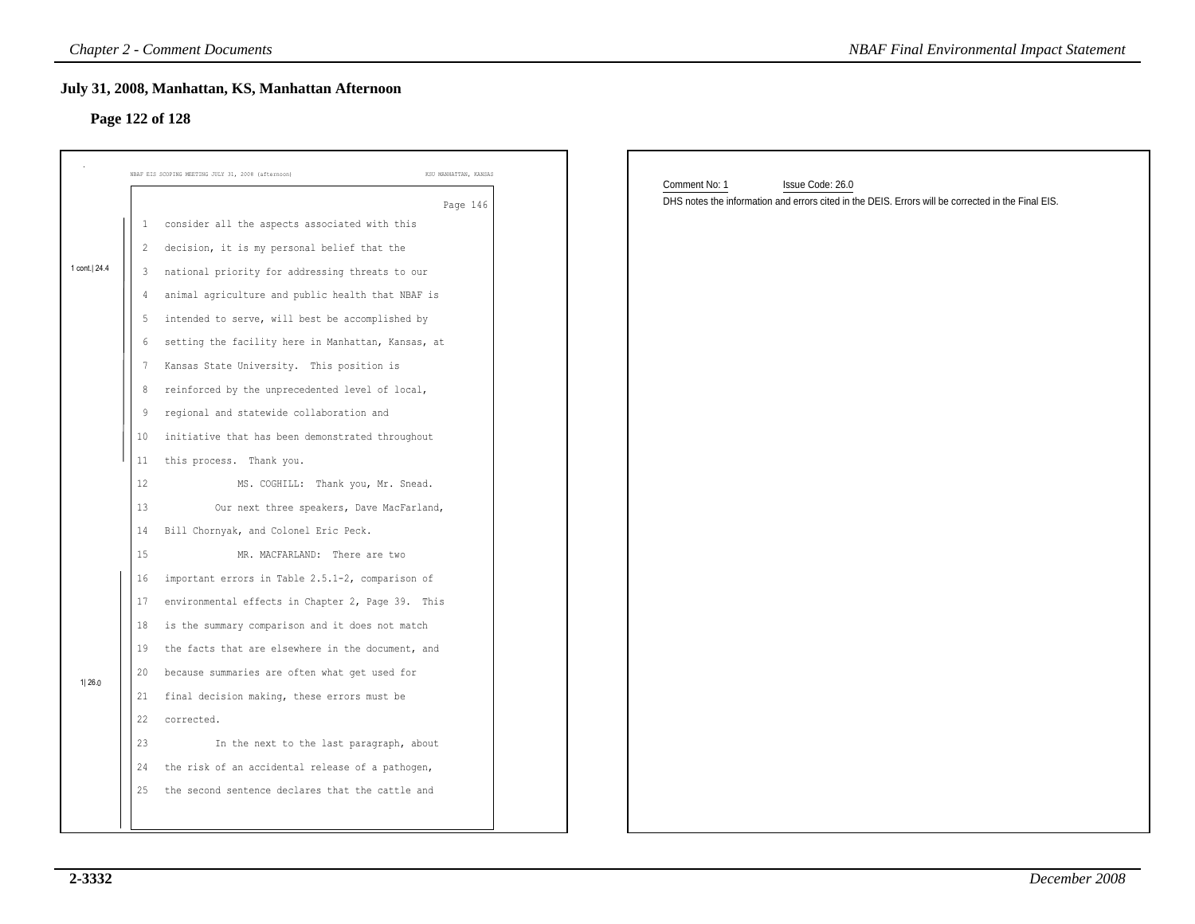### **Page 122 of 128**

|              | <b>Chapter 2 - Comment Documents</b>                                        | <b>NBAF Final Environmental Impact Statement</b>                                                   |
|--------------|-----------------------------------------------------------------------------|----------------------------------------------------------------------------------------------------|
|              | July 31, 2008, Manhattan, KS, Manhattan Afternoon<br>Page 122 of 128        |                                                                                                    |
|              | NBAF EIS SCOPING MEETING JULY 31, 2008 (afternoon)<br>KSU MANHATTAN, KANSAS | Comment No: 1<br>Issue Code: 26.0                                                                  |
|              | Page 146                                                                    | DHS notes the information and errors cited in the DEIS. Errors will be corrected in the Final EIS. |
|              | 1 consider all the aspects associated with this                             |                                                                                                    |
|              | 2 decision, it is my personal belief that the                               |                                                                                                    |
| 1 cont. 24.4 | 3 national priority for addressing threats to our                           |                                                                                                    |
|              | animal agriculture and public health that NBAF is<br>4                      |                                                                                                    |
|              | 5 intended to serve, will best be accomplished by                           |                                                                                                    |
|              | 6 setting the facility here in Manhattan, Kansas, at                        |                                                                                                    |
|              | Kansas State University. This position is<br>7                              |                                                                                                    |
|              | reinforced by the unprecedented level of local,<br>8                        |                                                                                                    |
|              | regional and statewide collaboration and<br>9                               |                                                                                                    |
|              | initiative that has been demonstrated throughout<br>10 <sub>1</sub>         |                                                                                                    |
|              | this process. Thank you.<br>11                                              |                                                                                                    |
|              | 12<br>MS. COGHILL: Thank you, Mr. Snead.                                    |                                                                                                    |
|              | 13<br>Our next three speakers, Dave MacFarland,                             |                                                                                                    |
|              | Bill Chornyak, and Colonel Eric Peck.<br>14                                 |                                                                                                    |
|              | 15<br>MR. MACFARLAND: There are two                                         |                                                                                                    |
|              | 16<br>important errors in Table 2.5.1-2, comparison of                      |                                                                                                    |
|              | environmental effects in Chapter 2, Page 39. This<br>17                     |                                                                                                    |
|              | is the summary comparison and it does not match<br>18                       |                                                                                                    |
|              | the facts that are elsewhere in the document, and<br>19                     |                                                                                                    |
| 1 26.0       | 20<br>because summaries are often what get used for                         |                                                                                                    |
|              | final decision making, these errors must be<br>21                           |                                                                                                    |
|              | 22<br>corrected.                                                            |                                                                                                    |
|              | 23<br>In the next to the last paragraph, about                              |                                                                                                    |
|              | 24<br>the risk of an accidental release of a pathogen,                      |                                                                                                    |
|              | the second sentence declares that the cattle and<br>25                      |                                                                                                    |
|              |                                                                             |                                                                                                    |
|              |                                                                             |                                                                                                    |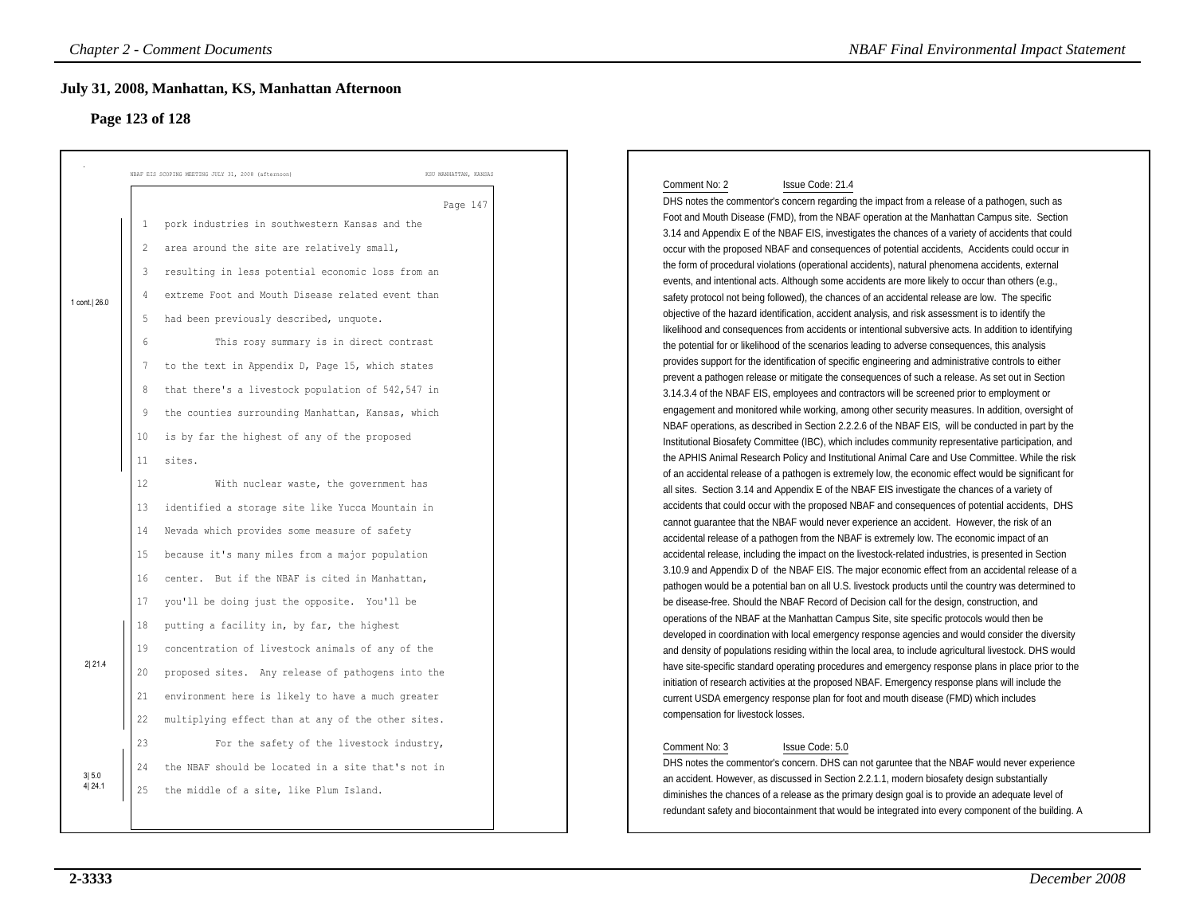# **Page 123 of 128**

|                | <b>Chapter 2 - Comment Documents</b>                         |                                                                                                                                   | <b>NBAF Final Environmental Impact Statement</b> |
|----------------|--------------------------------------------------------------|-----------------------------------------------------------------------------------------------------------------------------------|--------------------------------------------------|
|                | July 31, 2008, Manhattan, KS, Manhattan Afternoon            |                                                                                                                                   |                                                  |
|                | Page 123 of 128                                              |                                                                                                                                   |                                                  |
|                |                                                              |                                                                                                                                   |                                                  |
|                |                                                              |                                                                                                                                   |                                                  |
|                | NBAF EIS SCOPING MEETING JULY 31, 2008 (afternoon)           | KSU MANHATTAN, KANSAS                                                                                                             |                                                  |
|                |                                                              | Comment No: 2<br>Issue Code: 21.4<br>DHS notes the commentor's concern regarding the impact from a release of a pathogen, such as |                                                  |
|                |                                                              | Page 147<br>Foot and Mouth Disease (FMD), from the NBAF operation at the Manhattan Campus site. Section                           |                                                  |
|                | pork industries in southwestern Kansas and the<br>-1         | 3.14 and Appendix E of the NBAF EIS, investigates the chances of a variety of accidents that could                                |                                                  |
|                | area around the site are relatively small,<br>$\overline{2}$ | occur with the proposed NBAF and consequences of potential accidents, Accidents could occur in                                    |                                                  |
|                |                                                              | the form of procedural violations (operational accidents), natural phenomena accidents, external                                  |                                                  |
|                | 3<br>resulting in less potential economic loss from an       | events, and intentional acts. Although some accidents are more likely to occur than others (e.g.,                                 |                                                  |
| 1 cont.   26.0 | extreme Foot and Mouth Disease related event than<br>4       | safety protocol not being followed), the chances of an accidental release are low. The specific                                   |                                                  |
|                | 5<br>had been previously described, unquote.                 | objective of the hazard identification, accident analysis, and risk assessment is to identify the                                 |                                                  |
|                |                                                              | likelihood and consequences from accidents or intentional subversive acts. In addition to identifying                             |                                                  |
|                | This rosy summary is in direct contrast<br>$\epsilon$        | the potential for or likelihood of the scenarios leading to adverse consequences, this analysis                                   |                                                  |
|                | to the text in Appendix D, Page 15, which states<br>7        | provides support for the identification of specific engineering and administrative controls to either                             |                                                  |
|                |                                                              | prevent a pathogen release or mitigate the consequences of such a release. As set out in Section                                  |                                                  |
|                | that there's a livestock population of 542,547 in<br>8       | 3.14.3.4 of the NBAF EIS, employees and contractors will be screened prior to employment or                                       |                                                  |
|                | the counties surrounding Manhattan, Kansas, which<br>9       | engagement and monitored while working, among other security measures. In addition, oversight of                                  |                                                  |
|                |                                                              | NBAF operations, as described in Section 2.2.2.6 of the NBAF EIS, will be conducted in part by the                                |                                                  |
|                | 10<br>is by far the highest of any of the proposed           | Institutional Biosafety Committee (IBC), which includes community representative participation, and                               |                                                  |
|                | 11<br>sites.                                                 | the APHIS Animal Research Policy and Institutional Animal Care and Use Committee. While the risk                                  |                                                  |
|                | 12<br>With nuclear waste, the government has                 | of an accidental release of a pathogen is extremely low, the economic effect would be significant for                             |                                                  |
|                |                                                              | all sites. Section 3.14 and Appendix E of the NBAF EIS investigate the chances of a variety of                                    |                                                  |
|                | 13<br>identified a storage site like Yucca Mountain in       | accidents that could occur with the proposed NBAF and consequences of potential accidents, DHS                                    |                                                  |
|                | 14<br>Nevada which provides some measure of safety           | cannot guarantee that the NBAF would never experience an accident. However, the risk of an                                        |                                                  |
|                |                                                              | accidental release of a pathogen from the NBAF is extremely low. The economic impact of an                                        |                                                  |
|                | because it's many miles from a major population<br>15        | accidental release, including the impact on the livestock-related industries, is presented in Section                             |                                                  |
|                | 16<br>center. But if the NBAF is cited in Manhattan,         | 3.10.9 and Appendix D of the NBAF EIS. The major economic effect from an accidental release of a                                  |                                                  |
|                |                                                              | pathogen would be a potential ban on all U.S. livestock products until the country was determined to                              |                                                  |
|                | 17<br>you'll be doing just the opposite. You'll be           | be disease-free. Should the NBAF Record of Decision call for the design, construction, and                                        |                                                  |
|                | 18<br>putting a facility in, by far, the highest             | operations of the NBAF at the Manhattan Campus Site, site specific protocols would then be                                        |                                                  |
|                | 19<br>concentration of livestock animals of any of the       | developed in coordination with local emergency response agencies and would consider the diversity                                 |                                                  |
| 2 21.4         |                                                              | and density of populations residing within the local area, to include agricultural livestock. DHS would                           |                                                  |
|                | 20<br>proposed sites. Any release of pathogens into the      | have site-specific standard operating procedures and emergency response plans in place prior to the                               |                                                  |
|                | 21<br>environment here is likely to have a much greater      | initiation of research activities at the proposed NBAF. Emergency response plans will include the                                 |                                                  |
|                |                                                              | current USDA emergency response plan for foot and mouth disease (FMD) which includes                                              |                                                  |
|                | 22<br>multiplying effect than at any of the other sites.     | compensation for livestock losses.                                                                                                |                                                  |
|                | 23<br>For the safety of the livestock industry,              | Comment No: 3<br>Issue Code: 5.0                                                                                                  |                                                  |
|                |                                                              | DHS notes the commentor's concern. DHS can not garuntee that the NBAF would never experience                                      |                                                  |
| 3 5.0          | the NBAF should be located in a site that's not in<br>24     | an accident. However, as discussed in Section 2.2.1.1, modern biosafety design substantially                                      |                                                  |
| 4 24.1         | 25<br>the middle of a site, like Plum Island.                | diminishes the chances of a release as the primary design goal is to provide an adequate level of                                 |                                                  |
|                |                                                              | redundant safety and biocontainment that would be integrated into every component of the building. A                              |                                                  |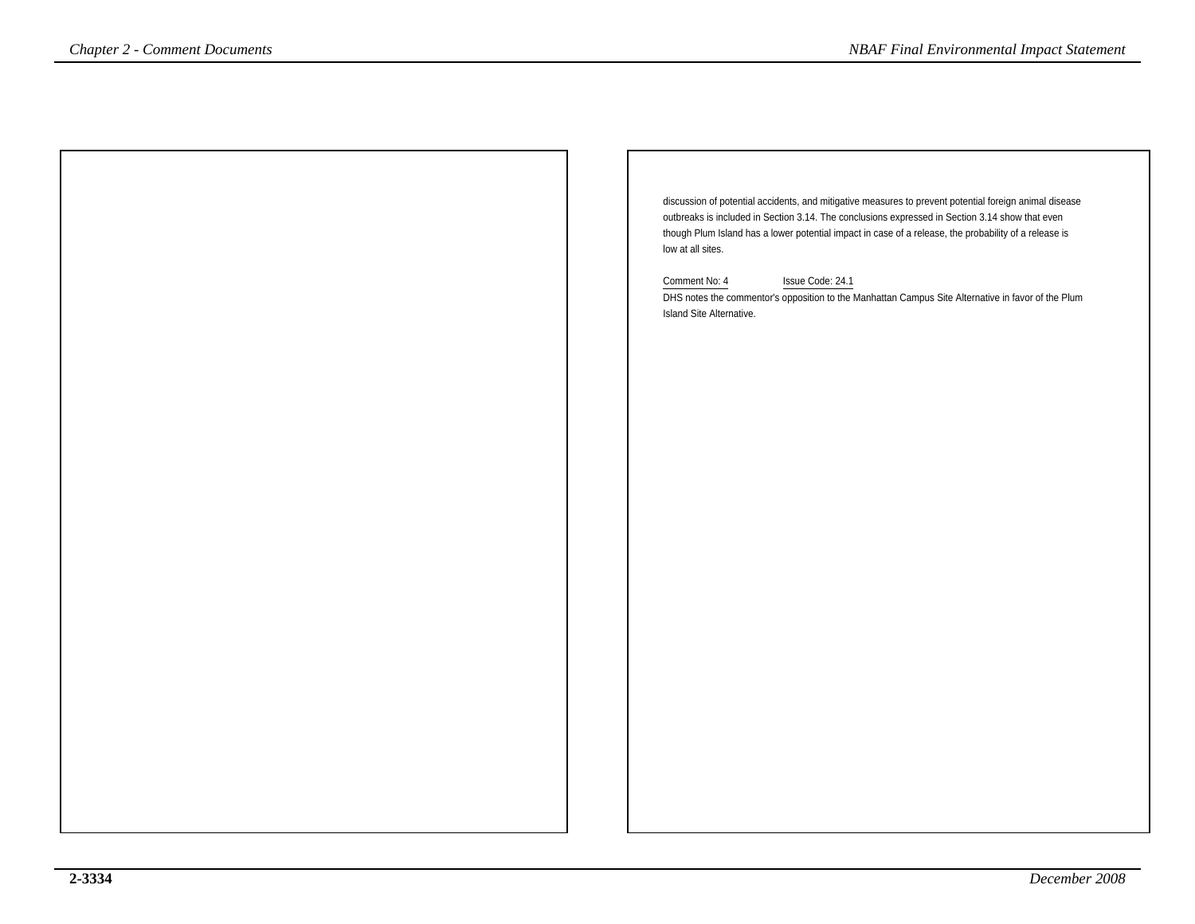discussion of potential accidents, and mitigative measures to prevent potential foreign animal diseaseoutbreaks is included in Section 3.14. The conclusions expressed in Section 3.14 show that even though Plum Island has a lower potential impact in case of a release, the probability of a release islow at all sites.Comment No: 4 Issue Code: 24.1 DHS notes the commentor's opposition to the Manhattan Campus Site Alternative in favor of the PlumIsland Site Alternative.*NBAF Final Environmental Impact Statement*<br> *Chapter 2 - Comment Documents*<br> *Comment Mac Happy animal disease<br>
outbetels is included in Section 3.14. The conclusions expressed in Section 3.14 show that even<br>
though Plu*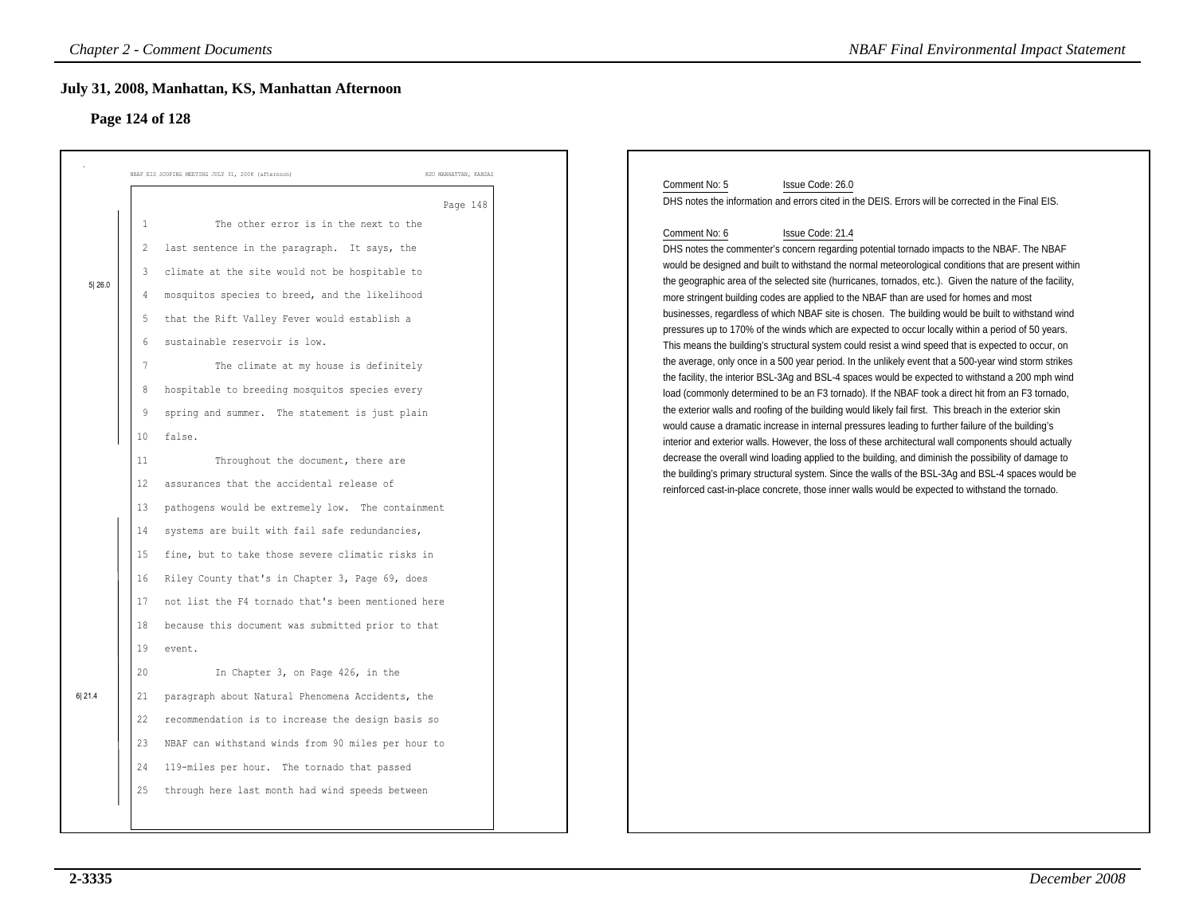## **Page 124 of 128**

|        | NBAF EIS SCOPING MEETING JULY 31, 2008 (afternoon)                                                                                                                                                                                                                                                                                                                                                                                                                                                                                | KSU MANHATTAN, KANSAS<br>Page 148 | Comment No: 5<br>Issue Code: 26.0<br>DHS notes the information and errors cited in the DEIS. Errors will be corrected in the Final EIS.                                                                                                                                                                                                                                                                                                                                                                                                                                                                                                                                                                                                                                                                                                                                                                                                                                                                                                                                                                                                                                                                                                                                                                                                                                                                                                                                                    |
|--------|-----------------------------------------------------------------------------------------------------------------------------------------------------------------------------------------------------------------------------------------------------------------------------------------------------------------------------------------------------------------------------------------------------------------------------------------------------------------------------------------------------------------------------------|-----------------------------------|--------------------------------------------------------------------------------------------------------------------------------------------------------------------------------------------------------------------------------------------------------------------------------------------------------------------------------------------------------------------------------------------------------------------------------------------------------------------------------------------------------------------------------------------------------------------------------------------------------------------------------------------------------------------------------------------------------------------------------------------------------------------------------------------------------------------------------------------------------------------------------------------------------------------------------------------------------------------------------------------------------------------------------------------------------------------------------------------------------------------------------------------------------------------------------------------------------------------------------------------------------------------------------------------------------------------------------------------------------------------------------------------------------------------------------------------------------------------------------------------|
|        | The other error is in the next to the<br>1<br>last sentence in the paragraph. It says, the<br>2                                                                                                                                                                                                                                                                                                                                                                                                                                   |                                   | Comment No: 6<br>Issue Code: 21.4<br>DHS notes the commenter's concern regarding potential tornado impacts to the NBAF. The NBAF                                                                                                                                                                                                                                                                                                                                                                                                                                                                                                                                                                                                                                                                                                                                                                                                                                                                                                                                                                                                                                                                                                                                                                                                                                                                                                                                                           |
| 5 26.0 | climate at the site would not be hospitable to<br>3<br>mosquitos species to breed, and the likelihood<br>4<br>that the Rift Valley Fever would establish a<br>5<br>sustainable reservoir is low.<br>6<br>7<br>The climate at my house is definitely<br>hospitable to breeding mosquitos species every<br>8<br>spring and summer. The statement is just plain<br>9<br>10 <sub>o</sub><br>false.<br>11<br>Throughout the document, there are                                                                                        |                                   | would be designed and built to withstand the normal meteorological conditions that are present within<br>the geographic area of the selected site (hurricanes, tornados, etc.). Given the nature of the facility,<br>more stringent building codes are applied to the NBAF than are used for homes and most<br>businesses, regardless of which NBAF site is chosen. The building would be built to withstand wind<br>pressures up to 170% of the winds which are expected to occur locally within a period of 50 years.<br>This means the building's structural system could resist a wind speed that is expected to occur, on<br>the average, only once in a 500 year period. In the unlikely event that a 500-year wind storm strikes<br>the facility, the interior BSL-3Ag and BSL-4 spaces would be expected to withstand a 200 mph wind<br>load (commonly determined to be an F3 tornado). If the NBAF took a direct hit from an F3 tornado,<br>the exterior walls and roofing of the building would likely fail first. This breach in the exterior skin<br>would cause a dramatic increase in internal pressures leading to further failure of the building's<br>interior and exterior walls. However, the loss of these architectural wall components should actually<br>decrease the overall wind loading applied to the building, and diminish the possibility of damage to<br>the building's primary structural system. Since the walls of the BSL-3Ag and BSL-4 spaces would be |
| 6 21.4 | 12<br>assurances that the accidental release of<br>pathogens would be extremely low. The containment<br>13<br>systems are built with fail safe redundancies,<br>14<br>fine, but to take those severe climatic risks in<br>15<br>Riley County that's in Chapter 3, Page 69, does<br>16<br>not list the F4 tornado that's been mentioned here<br>17<br>because this document was submitted prior to that<br>18<br>19<br>event.<br>20<br>In Chapter 3, on Page 426, in the<br>paragraph about Natural Phenomena Accidents, the<br>21 |                                   | reinforced cast-in-place concrete, those inner walls would be expected to withstand the tornado.                                                                                                                                                                                                                                                                                                                                                                                                                                                                                                                                                                                                                                                                                                                                                                                                                                                                                                                                                                                                                                                                                                                                                                                                                                                                                                                                                                                           |
|        | 22<br>recommendation is to increase the design basis so<br>NBAF can withstand winds from 90 miles per hour to<br>23<br>119-miles per hour. The tornado that passed<br>24<br>through here last month had wind speeds between<br>25                                                                                                                                                                                                                                                                                                 |                                   |                                                                                                                                                                                                                                                                                                                                                                                                                                                                                                                                                                                                                                                                                                                                                                                                                                                                                                                                                                                                                                                                                                                                                                                                                                                                                                                                                                                                                                                                                            |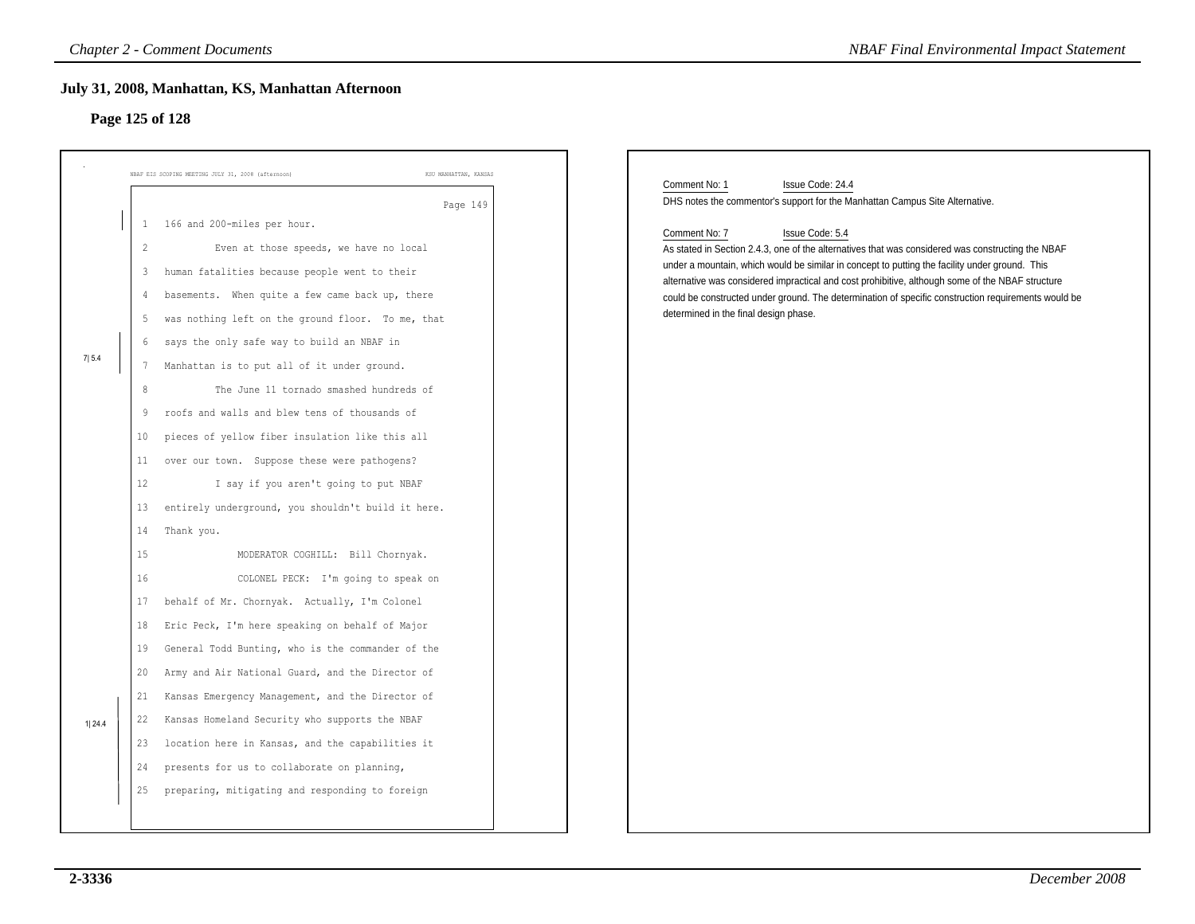## **Page 125 of 128**

|         | <b>Chapter 2 - Comment Documents</b>                                                                                                                                                                                                                                                                                                                                                                                                                                                                                                                                                                                                                                                                | <b>NBAF Final Environmental Impact Statement</b>                                                                                                                                                                                                                                                                                                                                                                                                                                                                                                                                                                 |
|---------|-----------------------------------------------------------------------------------------------------------------------------------------------------------------------------------------------------------------------------------------------------------------------------------------------------------------------------------------------------------------------------------------------------------------------------------------------------------------------------------------------------------------------------------------------------------------------------------------------------------------------------------------------------------------------------------------------------|------------------------------------------------------------------------------------------------------------------------------------------------------------------------------------------------------------------------------------------------------------------------------------------------------------------------------------------------------------------------------------------------------------------------------------------------------------------------------------------------------------------------------------------------------------------------------------------------------------------|
|         | July 31, 2008, Manhattan, KS, Manhattan Afternoon<br>Page 125 of 128                                                                                                                                                                                                                                                                                                                                                                                                                                                                                                                                                                                                                                |                                                                                                                                                                                                                                                                                                                                                                                                                                                                                                                                                                                                                  |
|         | NBAF EIS SCOPING MEETING JULY 31, 2008 (afternoon)<br>KSU MANHATTAN, KANSAS                                                                                                                                                                                                                                                                                                                                                                                                                                                                                                                                                                                                                         |                                                                                                                                                                                                                                                                                                                                                                                                                                                                                                                                                                                                                  |
| 7 5.4   | Page 149<br>166 and 200-miles per hour.<br>1<br>$\overline{2}$<br>Even at those speeds, we have no local<br>human fatalities because people went to their<br>3<br>basements. When quite a few came back up, there<br>4<br>was nothing left on the ground floor. To me, that<br>5<br>says the only safe way to build an NBAF in<br>6<br>Manhattan is to put all of it under ground.<br>7<br>8<br>The June 11 tornado smashed hundreds of<br>roofs and walls and blew tens of thousands of<br>9<br>pieces of yellow fiber insulation like this all<br>10<br>over our town. Suppose these were pathogens?<br>11<br>12<br>I say if you aren't going to put NBAF                                         | Comment No: 1<br>Issue Code: 24.4<br>DHS notes the commentor's support for the Manhattan Campus Site Alternative.<br>Issue Code: 5.4<br>Comment No: 7<br>As stated in Section 2.4.3, one of the alternatives that was considered was constructing the NBAF<br>under a mountain, which would be similar in concept to putting the facility under ground. This<br>alternative was considered impractical and cost prohibitive, although some of the NBAF structure<br>could be constructed under ground. The determination of specific construction requirements would be<br>determined in the final design phase. |
| 1  24.4 | entirely underground, you shouldn't build it here.<br>13<br>14<br>Thank you.<br>15<br>MODERATOR COGHILL: Bill Chornyak.<br>16<br>COLONEL PECK: I'm going to speak on<br>behalf of Mr. Chornyak. Actually, I'm Colonel<br>17<br>Eric Peck, I'm here speaking on behalf of Major<br>18<br>General Todd Bunting, who is the commander of the<br>19<br>Army and Air National Guard, and the Director of<br>20<br>Kansas Emergency Management, and the Director of<br>21<br>22<br>Kansas Homeland Security who supports the NBAF<br>location here in Kansas, and the capabilities it<br>23<br>presents for us to collaborate on planning,<br>24<br>preparing, mitigating and responding to foreign<br>25 |                                                                                                                                                                                                                                                                                                                                                                                                                                                                                                                                                                                                                  |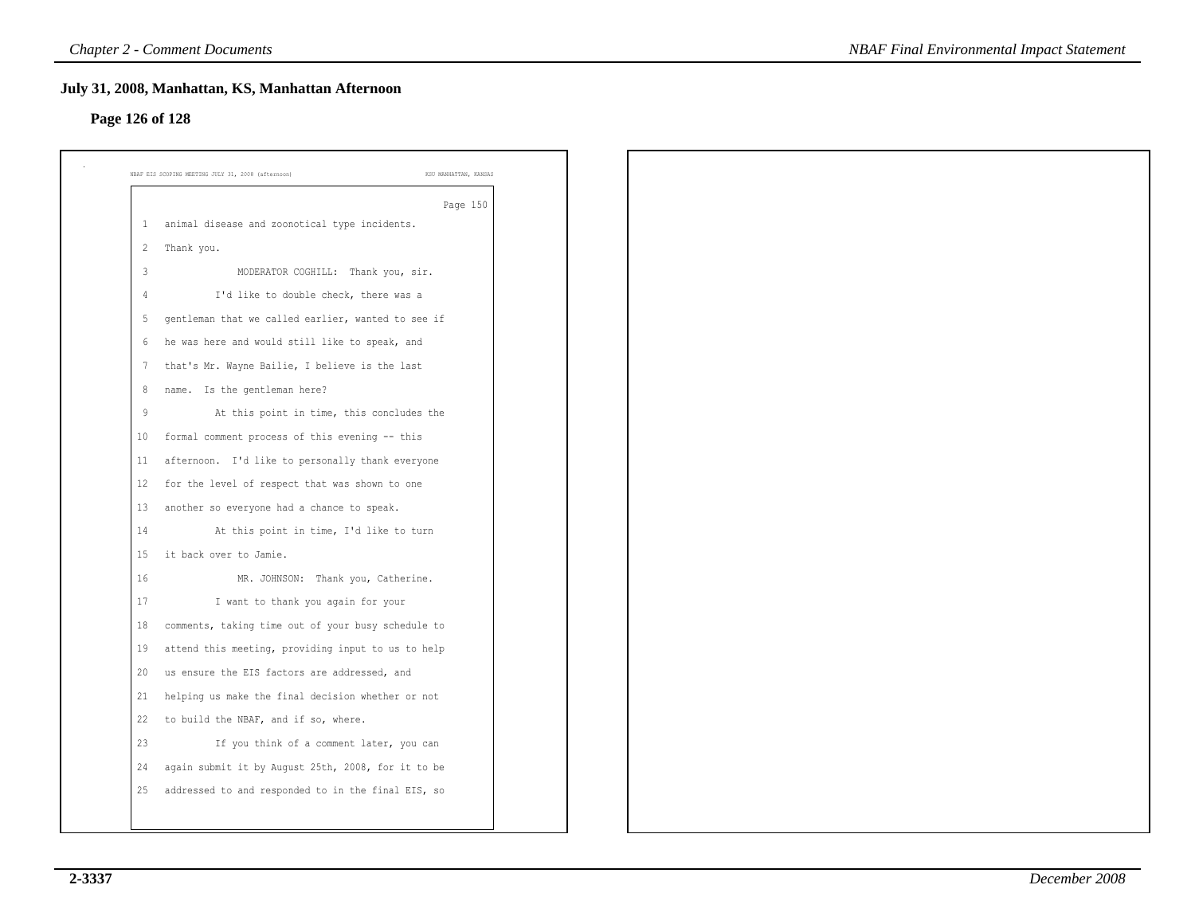# **Page 126 of 128**

|                | NBAF EIS SCOPING MEETING JULY 31, 2008 (afternoon)<br>KSU MANHATTAN, KANSAS |
|----------------|-----------------------------------------------------------------------------|
|                | Page 150                                                                    |
| $\mathbf{1}$   | animal disease and zoonotical type incidents.                               |
| $\overline{2}$ | Thank you.                                                                  |
| $\overline{3}$ | MODERATOR COGHILL: Thank you, sir.                                          |
| $\overline{4}$ | I'd like to double check, there was a                                       |
| 5              | gentleman that we called earlier, wanted to see if                          |
| 6              | he was here and would still like to speak, and                              |
| 7              | that's Mr. Wayne Bailie, I believe is the last                              |
| 8              | name. Is the gentleman here?                                                |
| 9              | At this point in time, this concludes the                                   |
| 10             | formal comment process of this evening -- this                              |
| 11             | afternoon. I'd like to personally thank everyone                            |
| 12             | for the level of respect that was shown to one                              |
| 13             | another so everyone had a chance to speak.                                  |
| 14             | At this point in time, I'd like to turn                                     |
| 15             | it back over to Jamie.                                                      |
| 16             | MR. JOHNSON: Thank you, Catherine.                                          |
| 17             | I want to thank you again for your                                          |
| 18             | comments, taking time out of your busy schedule to                          |
| 19             | attend this meeting, providing input to us to help                          |
| 20             | us ensure the EIS factors are addressed, and                                |
| 21             | helping us make the final decision whether or not                           |
| 22             | to build the NBAF, and if so, where.                                        |
| 23             | If you think of a comment later, you can                                    |
| 24             | again submit it by August 25th, 2008, for it to be                          |
| 25             | addressed to and responded to in the final EIS, so                          |
|                |                                                                             |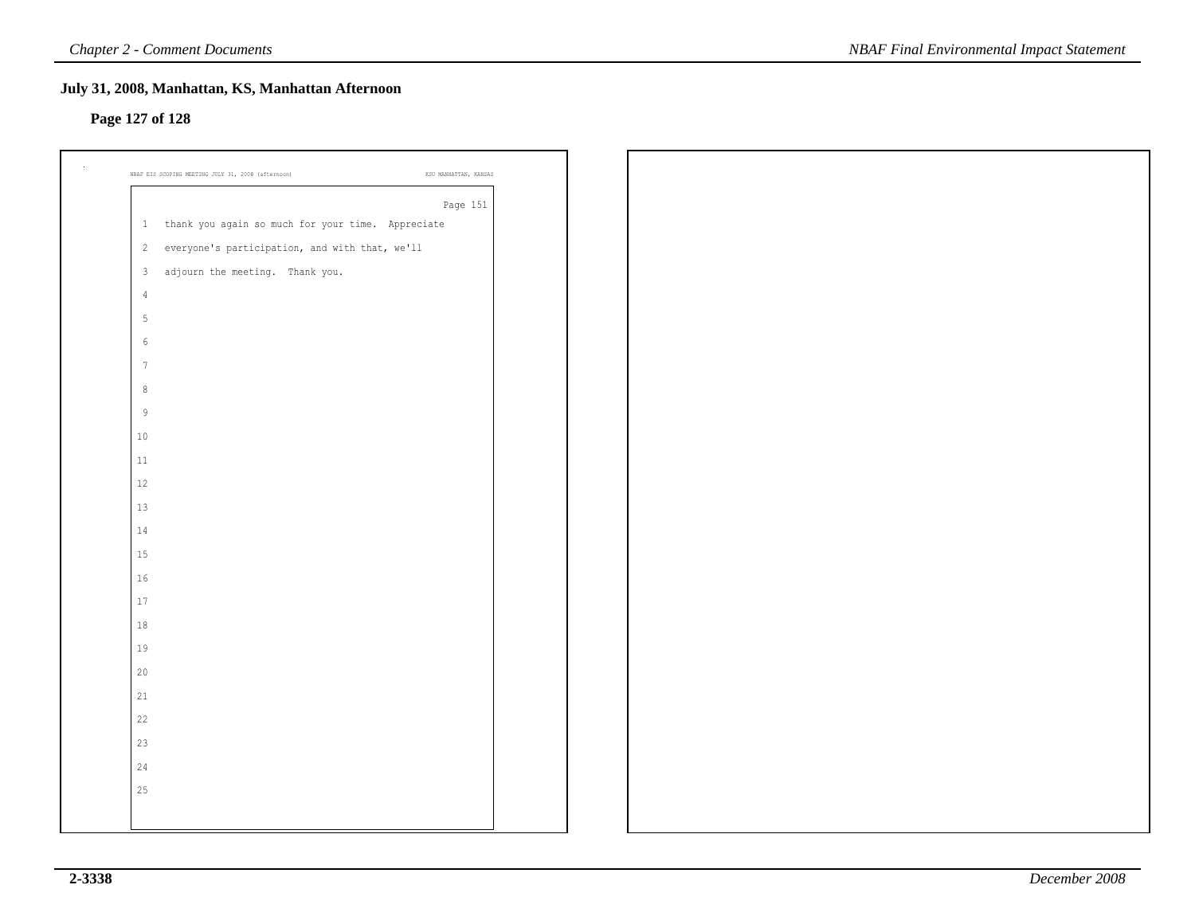### **Page 127 of 128**

| Page 151                                            |
|-----------------------------------------------------|
| 1 thank you again so much for your time. Appreciate |
| 2 everyone's participation, and with that, we'll    |
| 3 adjourn the meeting. Thank you.                   |
| $\overline{4}$                                      |
| $\mathsf S$                                         |
| $\epsilon$                                          |
| $7\phantom{.0}$                                     |
| $\,8\,$                                             |
| $\,9$                                               |
| $10\,$                                              |
| $11\,$                                              |
| $12\,$                                              |
| 13                                                  |
| 14                                                  |
| 15                                                  |
| $16$                                                |
| 17                                                  |
| $1\,8$                                              |
| 19                                                  |
| 20                                                  |
| 21                                                  |
| 22                                                  |
| 23                                                  |
| 24                                                  |
| 25                                                  |
|                                                     |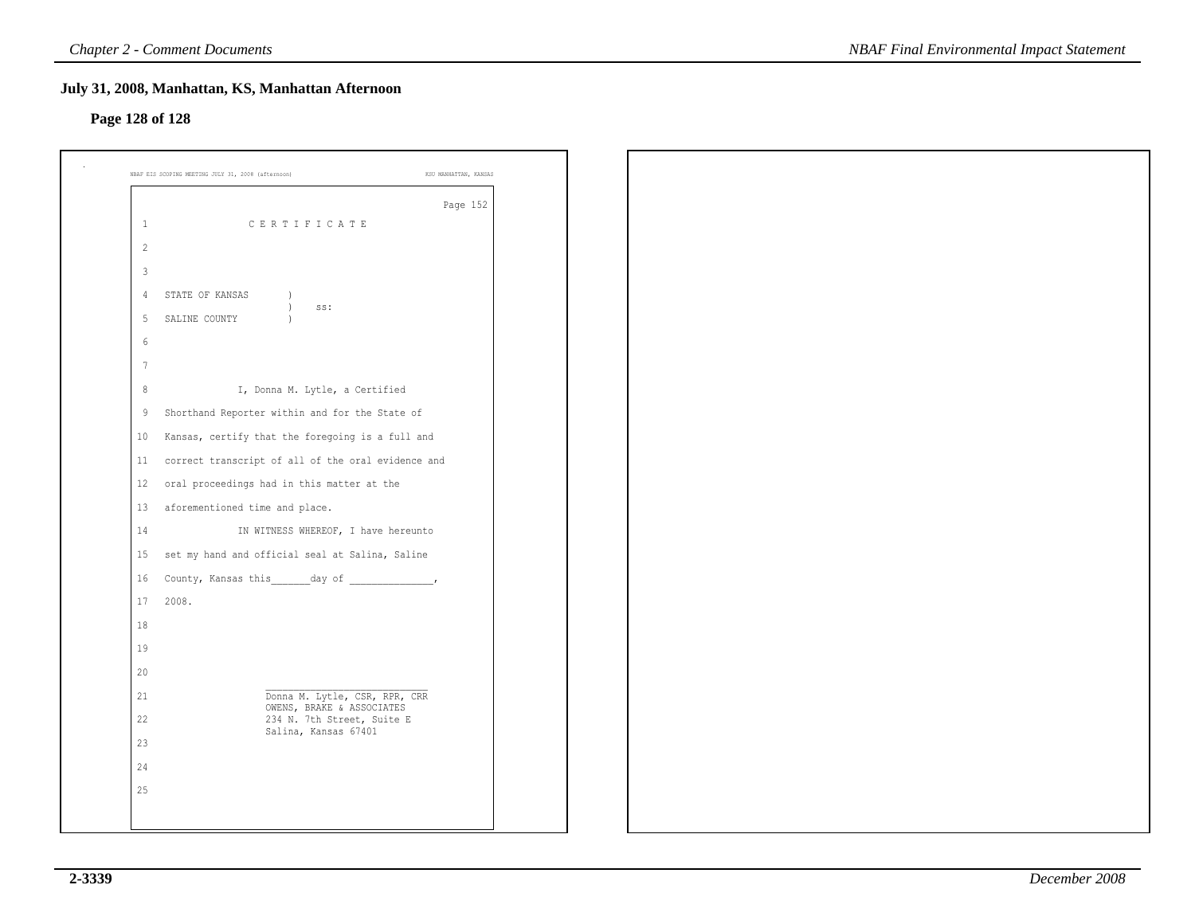### **Page 128 of 128**

|                 | Page 152                                                       |
|-----------------|----------------------------------------------------------------|
| 1               | CERTIFICATE                                                    |
| $\overline{2}$  |                                                                |
| 3               |                                                                |
| 4               | STATE OF KANSAS<br>$\left( \right)$<br>$\left( \right)$<br>SS: |
| 5               | SALINE COUNTY<br>$\lambda$                                     |
| 6               |                                                                |
| $7\phantom{.0}$ |                                                                |
| 8               | I, Donna M. Lytle, a Certified                                 |
| 9               | Shorthand Reporter within and for the State of                 |
| 10              | Kansas, certify that the foregoing is a full and               |
| 11              | correct transcript of all of the oral evidence and             |
| 12              | oral proceedings had in this matter at the                     |
| 13              | aforementioned time and place.                                 |
| 14              | IN WITNESS WHEREOF, I have hereunto                            |
| 15              | set my hand and official seal at Salina, Saline                |
| 16              | County, Kansas this day of _____________,                      |
| 17              | 2008.                                                          |
| 18              |                                                                |
| 19              |                                                                |
| 20              |                                                                |
| 21              | Donna M. Lytle, CSR, RPR, CRR                                  |
| 22              | OWENS, BRAKE & ASSOCIATES<br>234 N. 7th Street, Suite E        |
| 23              | Salina, Kansas 67401                                           |
| 24              |                                                                |
| 25              |                                                                |
|                 |                                                                |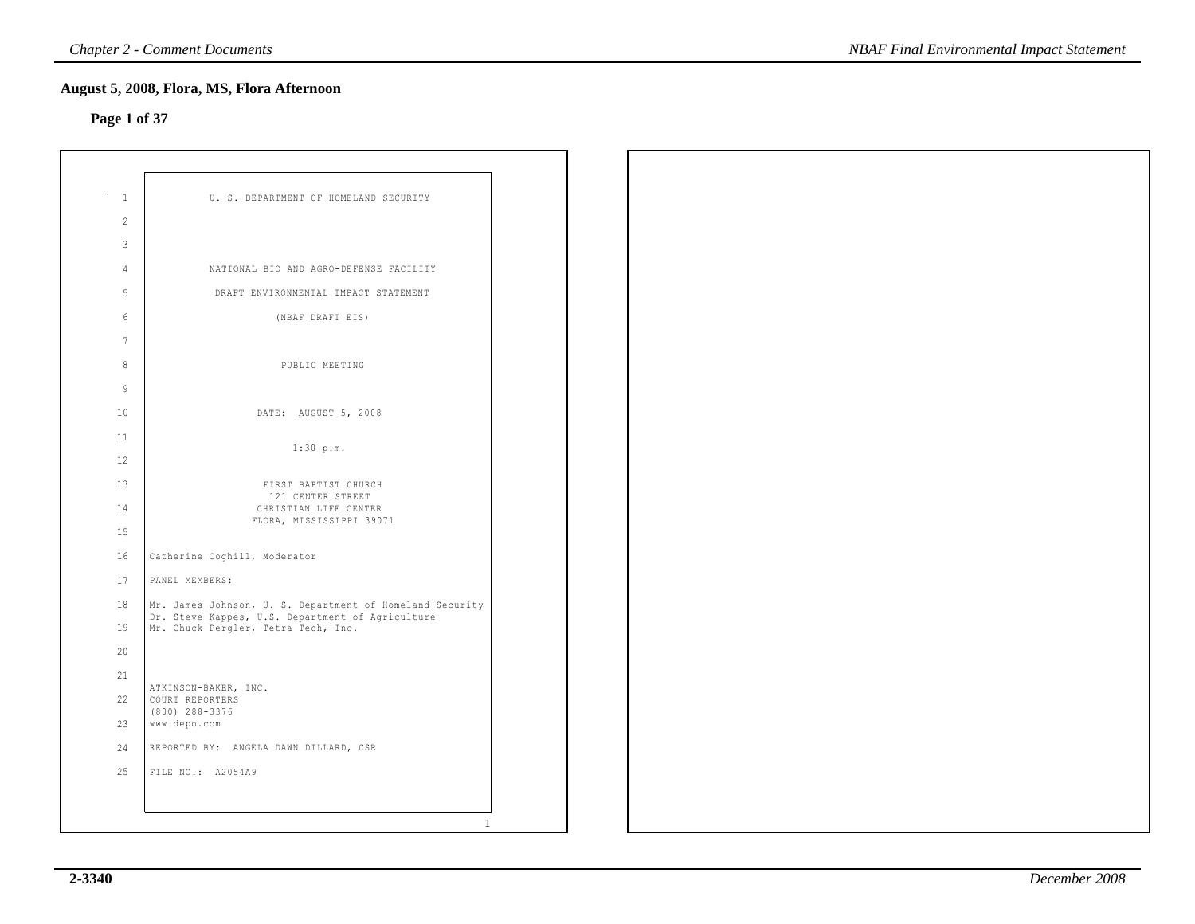### **Page 1 of 37**

| $\mathbf{1}$    | U. S. DEPARTMENT OF HOMELAND SECURITY                                                                        |  |
|-----------------|--------------------------------------------------------------------------------------------------------------|--|
| $\overline{2}$  |                                                                                                              |  |
| 3               |                                                                                                              |  |
| 4               | NATIONAL BIO AND AGRO-DEFENSE FACILITY                                                                       |  |
| 5               | DRAFT ENVIRONMENTAL IMPACT STATEMENT                                                                         |  |
| 6               | (NBAF DRAFT EIS)                                                                                             |  |
| $7\phantom{.0}$ |                                                                                                              |  |
| 8               | PUBLIC MEETING                                                                                               |  |
| 9               |                                                                                                              |  |
| 10              | DATE: AUGUST 5, 2008                                                                                         |  |
| 11              | 1:30 p.m.                                                                                                    |  |
| 12              |                                                                                                              |  |
| 13              | FIRST BAPTIST CHURCH<br>121 CENTER STREET                                                                    |  |
| 14              | CHRISTIAN LIFE CENTER<br>FLORA, MISSISSIPPI 39071                                                            |  |
| 15              |                                                                                                              |  |
| 16              | Catherine Coghill, Moderator                                                                                 |  |
| 17              | PANEL MEMBERS:                                                                                               |  |
| 18              | Mr. James Johnson, U. S. Department of Homeland Security<br>Dr. Steve Kappes, U.S. Department of Agriculture |  |
| 19              | Mr. Chuck Pergler, Tetra Tech, Inc.                                                                          |  |
| 20              |                                                                                                              |  |
| 21              | ATKINSON-BAKER, INC.                                                                                         |  |
| 22              | COURT REPORTERS<br>$(800)$ 288-3376                                                                          |  |
| 23              | www.depo.com                                                                                                 |  |
| 24              | REPORTED BY: ANGELA DAWN DILLARD, CSR                                                                        |  |
| 2.5             | FILE NO.: A2054A9                                                                                            |  |
|                 |                                                                                                              |  |
|                 | $\mathbf{1}$                                                                                                 |  |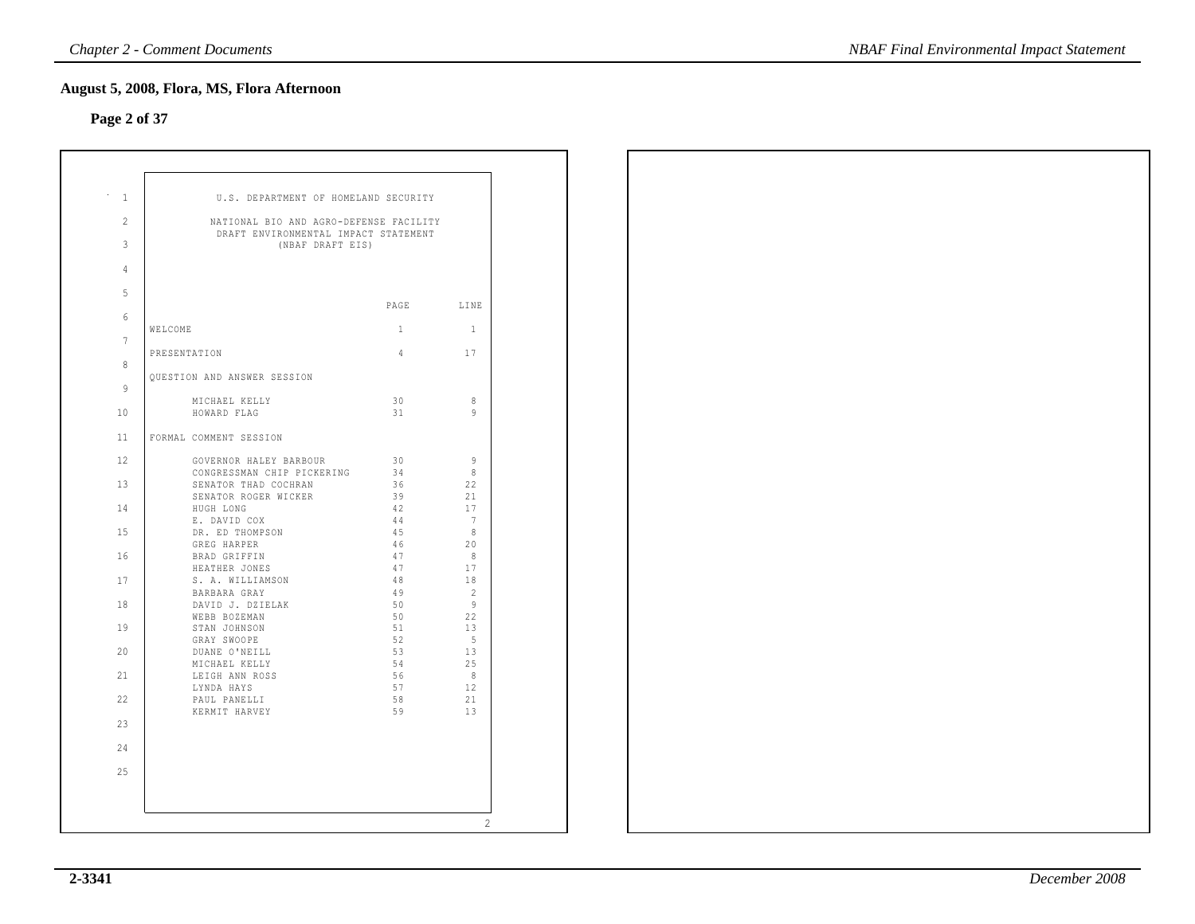### **Page 2 of 37**

|                                                                                     | U.S. DEPARTMENT OF HOMELAND SECURITY |                      |
|-------------------------------------------------------------------------------------|--------------------------------------|----------------------|
| 2<br>NATIONAL BIO AND AGRO-DEFENSE FACILITY<br>DRAFT ENVIRONMENTAL IMPACT STATEMENT |                                      |                      |
| 3<br>(NBAF DRAFT EIS)                                                               |                                      |                      |
| 4                                                                                   |                                      |                      |
| 5                                                                                   | PAGE                                 | LINE                 |
| 6                                                                                   |                                      |                      |
| WELCOME<br>$7\phantom{.0}$                                                          | $\mathbf{1}$                         | $\mathbf{1}$         |
| PRESENTATION<br>8                                                                   | 4                                    | 17                   |
| QUESTION AND ANSWER SESSION                                                         |                                      |                      |
| $\mathbf{Q}$<br>MICHAEL KELLY                                                       | 30                                   | 8                    |
| 10<br>HOWARD FLAG                                                                   | 31                                   | 9                    |
| 11<br>FORMAL COMMENT SESSION                                                        |                                      |                      |
| 12<br>GOVERNOR HALEY BARBOUR                                                        | 30                                   | $\overline{9}$       |
| CONGRESSMAN CHIP PICKERING<br>13<br>SENATOR THAD COCHRAN                            | - 34<br>36                           | 8<br>22              |
| SENATOR ROGER WICKER                                                                | 39                                   | 21                   |
| 14<br>HUGH LONG                                                                     | 42                                   | 17                   |
| E. DAVID COX<br>15<br>DR. ED THOMPSON                                               | 44<br>45                             | 7<br>- 8             |
| GREG HARPER                                                                         | 46                                   | 20                   |
| 16<br>BRAD GRIFFIN                                                                  | 47                                   | - 8                  |
| HEATHER JONES                                                                       | 47                                   | 17                   |
| 17<br>S. A. WILLIAMSON                                                              | 48                                   | 18                   |
| BARBARA GRAY                                                                        | 49                                   | $\overline{2}$<br>-9 |
| 18<br>DAVID J. DZIELAK<br>WEBB BOZEMAN                                              | 50<br>50                             | 22                   |
| 19<br>STAN JOHNSON                                                                  | 51                                   | 13                   |
| GRAY SWOOPE                                                                         | 52                                   | - 5                  |
| 20<br>DUANE O'NEILL                                                                 | 53                                   | 13                   |
| MICHAEL KELLY                                                                       | 54                                   | 25                   |
| 21<br>LEIGH ANN ROSS                                                                | 56<br>57                             | 8<br>12              |
| LYNDA HAYS<br>22<br>PAUL PANELLI                                                    | 58                                   | 21                   |
| KERMIT HARVEY                                                                       | 59                                   | 13                   |
| 23                                                                                  |                                      |                      |
| 2.4                                                                                 |                                      |                      |
| 25                                                                                  |                                      |                      |
|                                                                                     |                                      |                      |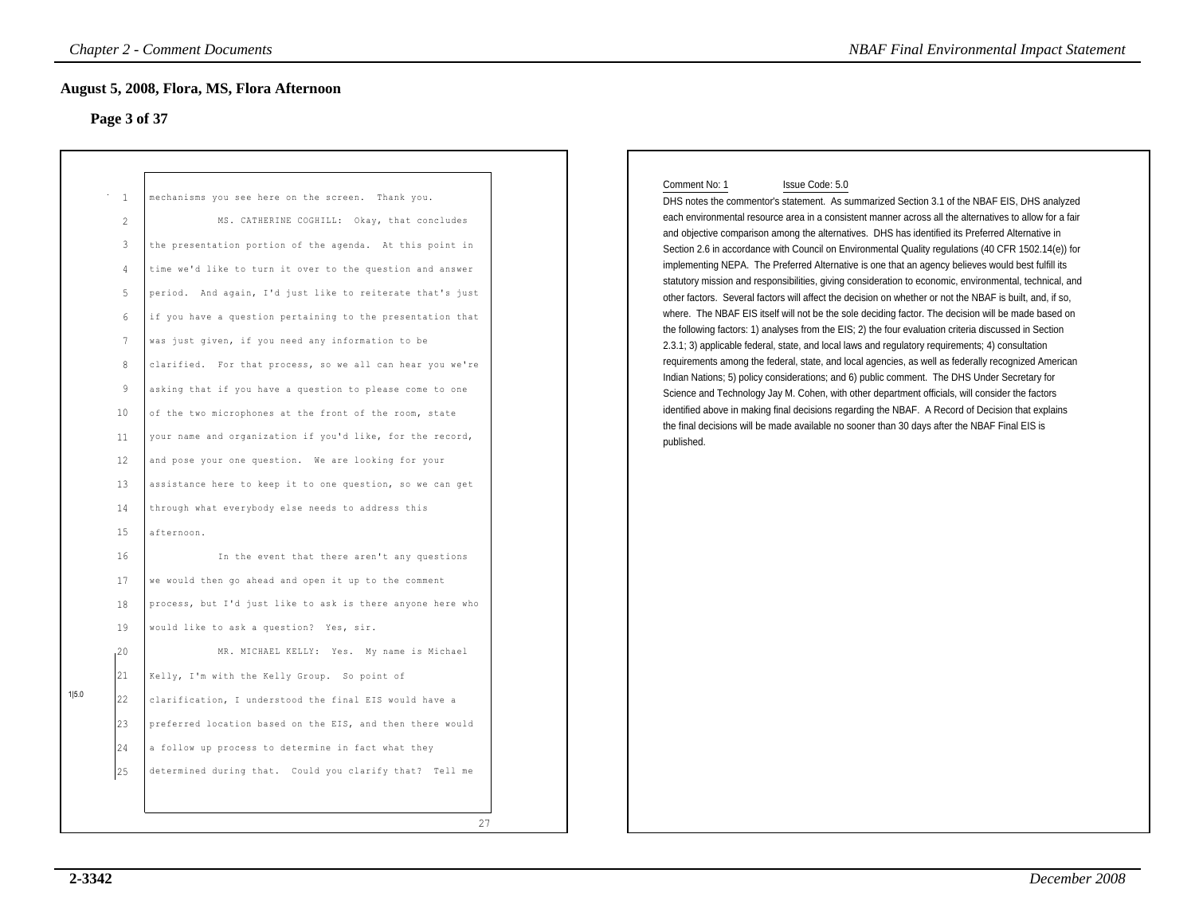### **Page 3 of 37**

| Page 3 of 37                                                                                                                                                                                                                | ugust 5, 2008, Flora, MS, Flora Afternoon                                                                                                                                                                                                                                                                                                                                                                                                                                                                                                                                                                                                                                                                                                                                                                                                                                                                                                                                                                                                                                                                                                                                                                                                                                                                                                                                                               |
|-----------------------------------------------------------------------------------------------------------------------------------------------------------------------------------------------------------------------------|---------------------------------------------------------------------------------------------------------------------------------------------------------------------------------------------------------------------------------------------------------------------------------------------------------------------------------------------------------------------------------------------------------------------------------------------------------------------------------------------------------------------------------------------------------------------------------------------------------------------------------------------------------------------------------------------------------------------------------------------------------------------------------------------------------------------------------------------------------------------------------------------------------------------------------------------------------------------------------------------------------------------------------------------------------------------------------------------------------------------------------------------------------------------------------------------------------------------------------------------------------------------------------------------------------------------------------------------------------------------------------------------------------|
| $\overline{1}$<br>2<br>$\mathbf{3}$<br>4<br>$\overline{5}$<br>$\epsilon$<br>$7\phantom{.0}$<br>$\mathcal{R}$<br>9<br>10<br>11<br>12<br>13<br>14<br>15<br>16<br>17<br>18<br>19<br>,20<br>21<br>1 5.0<br>22<br>23<br>24<br>25 | mechanisms you see here on the screen. Thank you.<br>MS. CATHERINE COGHILL: Okay, that concludes<br>the presentation portion of the agenda. At this point in<br>time we'd like to turn it over to the question and answer<br>period. And again, I'd just like to reiterate that's just<br>if you have a question pertaining to the presentation that<br>was just given, if you need any information to be<br>clarified. For that process, so we all can hear you we're<br>asking that if you have a question to please come to one<br>of the two microphones at the front of the room, state<br>your name and organization if you'd like, for the record,<br>and pose your one question. We are looking for your<br>assistance here to keep it to one question, so we can get<br>through what everybody else needs to address this<br>afternoon.<br>In the event that there aren't any questions<br>we would then go ahead and open it up to the comment<br>process, but I'd just like to ask is there anyone here who<br>would like to ask a question? Yes, sir.<br>MR. MICHAEL KELLY: Yes. My name is Michael<br>Kelly, I'm with the Kelly Group. So point of<br>clarification, I understood the final EIS would have a<br>preferred location based on the EIS, and then there would<br>a follow up process to determine in fact what they<br>determined during that. Could you clarify that? Tell me |

### Comment No: 1 Issue Code: 5.0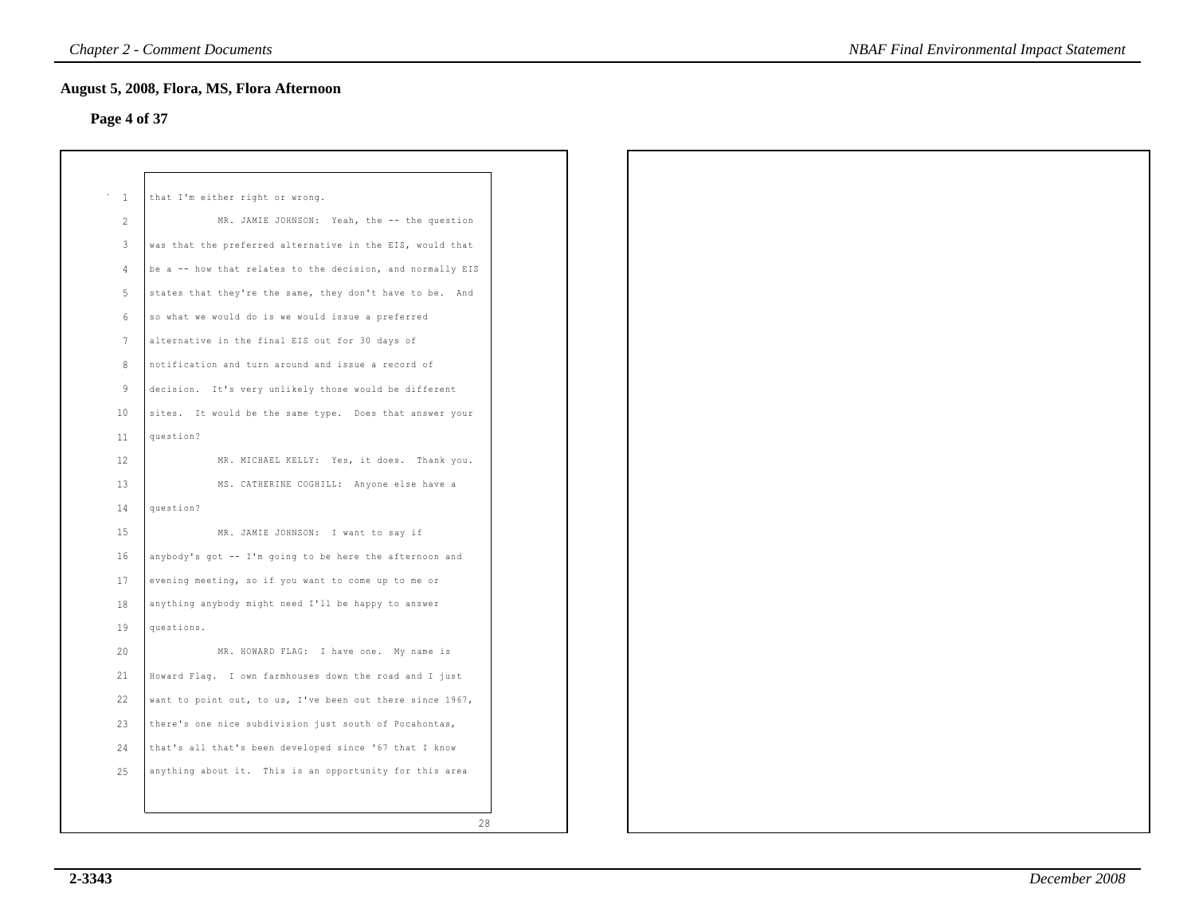### **Page 4 of 37**

| <sup>1</sup>      | that I'm either right or wrong.                            |
|-------------------|------------------------------------------------------------|
| 2                 | MR. JAMIE JOHNSON: Yeah, the -- the question               |
| $\mathbf{3}$      | was that the preferred alternative in the EIS, would that  |
| $\overline{4}$    | be a -- how that relates to the decision, and normally EIS |
| $5 -$             | states that they're the same, they don't have to be. And   |
| 6                 | so what we would do is we would issue a preferred          |
| 7                 | alternative in the final EIS out for 30 days of            |
| 8                 | notification and turn around and issue a record of         |
| 9                 | decision. It's very unlikely those would be different      |
| 10                | sites. It would be the same type. Does that answer your    |
| 11                | question?                                                  |
| $12 \overline{ }$ | MR. MICHAEL KELLY: Yes, it does. Thank you.                |
| 13                | MS. CATHERINE COGHILL: Anyone else have a                  |
| 14                | question?                                                  |
| 15                | MR. JAMIE JOHNSON: I want to say if                        |
| 16                | anybody's got -- I'm going to be here the afternoon and    |
| 17                | evening meeting, so if you want to come up to me or        |
| 18                | anything anybody might need I'll be happy to answer        |
| 19                | questions.                                                 |
| 20                | MR. HOWARD FLAG: I have one. My name is                    |
| 21                | Howard Flaq. I own farmhouses down the road and I just     |
| 22                | want to point out, to us, I've been out there since 1967,  |
| 23                | there's one nice subdivision just south of Pocahontas,     |
| 24                | that's all that's been developed since '67 that I know     |
| 25                | anything about it. This is an opportunity for this area    |
|                   |                                                            |
|                   | 28                                                         |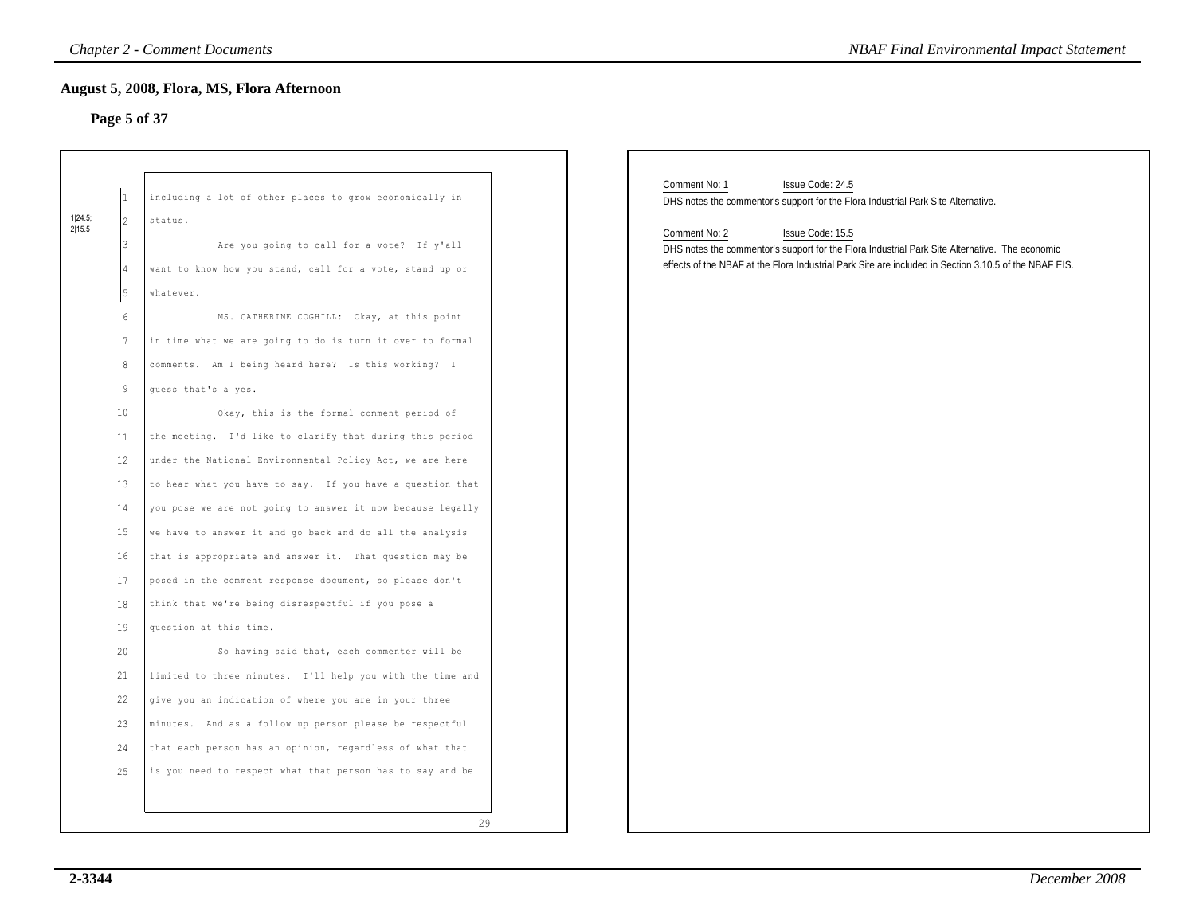### **Page 5 of 37**

|                   |                                                                                                                                                          | <b>Chapter 2 - Comment Documents</b>                                                                                                                                                                                                                                                                                                                                                                                                                                                                                                                                                                                                                                                                                                                                                                                                                                                                                                                                                                                                                                                                                                                                                                                                              | <b>NBAF Final Environmental Impact Statement</b>                                                                                                                                                                                                                                                                                                                       |
|-------------------|----------------------------------------------------------------------------------------------------------------------------------------------------------|---------------------------------------------------------------------------------------------------------------------------------------------------------------------------------------------------------------------------------------------------------------------------------------------------------------------------------------------------------------------------------------------------------------------------------------------------------------------------------------------------------------------------------------------------------------------------------------------------------------------------------------------------------------------------------------------------------------------------------------------------------------------------------------------------------------------------------------------------------------------------------------------------------------------------------------------------------------------------------------------------------------------------------------------------------------------------------------------------------------------------------------------------------------------------------------------------------------------------------------------------|------------------------------------------------------------------------------------------------------------------------------------------------------------------------------------------------------------------------------------------------------------------------------------------------------------------------------------------------------------------------|
|                   | Page 5 of 37                                                                                                                                             | August 5, 2008, Flora, MS, Flora Afternoon                                                                                                                                                                                                                                                                                                                                                                                                                                                                                                                                                                                                                                                                                                                                                                                                                                                                                                                                                                                                                                                                                                                                                                                                        |                                                                                                                                                                                                                                                                                                                                                                        |
| 1 24.5;<br>2 15.5 | 1<br>$\vert$ <sub>2</sub><br>l3<br>14<br>5<br>6<br>7<br>8<br>9<br>10<br>11<br>12<br>13<br>14<br>15<br>16<br>17<br>18<br>19<br>20<br>21<br>22<br>23<br>24 | including a lot of other places to grow economically in<br>status.<br>Are you going to call for a vote? If y'all<br>want to know how you stand, call for a vote, stand up or<br>whatever.<br>MS. CATHERINE COGHILL: Okay, at this point<br>in time what we are going to do is turn it over to formal<br>comments. Am I being heard here? Is this working? I<br>guess that's a yes.<br>Okay, this is the formal comment period of<br>the meeting. I'd like to clarify that during this period<br>under the National Environmental Policy Act, we are here<br>to hear what you have to say. If you have a question that<br>you pose we are not going to answer it now because legally<br>we have to answer it and go back and do all the analysis<br>that is appropriate and answer it. That question may be<br>posed in the comment response document, so please don't<br>think that we're being disrespectful if you pose a<br>question at this time.<br>So having said that, each commenter will be<br>limited to three minutes. I'll help you with the time and<br>give you an indication of where you are in your three<br>minutes. And as a follow up person please be respectful<br>that each person has an opinion, regardless of what that | Comment No: 1<br>Issue Code: 24.5<br>DHS notes the commentor's support for the Flora Industrial Park Site Alternative.<br>Comment No: 2<br>Issue Code: 15.5<br>DHS notes the commentor's support for the Flora Industrial Park Site Alternative. The economic<br>effects of the NBAF at the Flora Industrial Park Site are included in Section 3.10.5 of the NBAF EIS. |
|                   | 25                                                                                                                                                       | is you need to respect what that person has to say and be                                                                                                                                                                                                                                                                                                                                                                                                                                                                                                                                                                                                                                                                                                                                                                                                                                                                                                                                                                                                                                                                                                                                                                                         |                                                                                                                                                                                                                                                                                                                                                                        |
|                   |                                                                                                                                                          | 29                                                                                                                                                                                                                                                                                                                                                                                                                                                                                                                                                                                                                                                                                                                                                                                                                                                                                                                                                                                                                                                                                                                                                                                                                                                |                                                                                                                                                                                                                                                                                                                                                                        |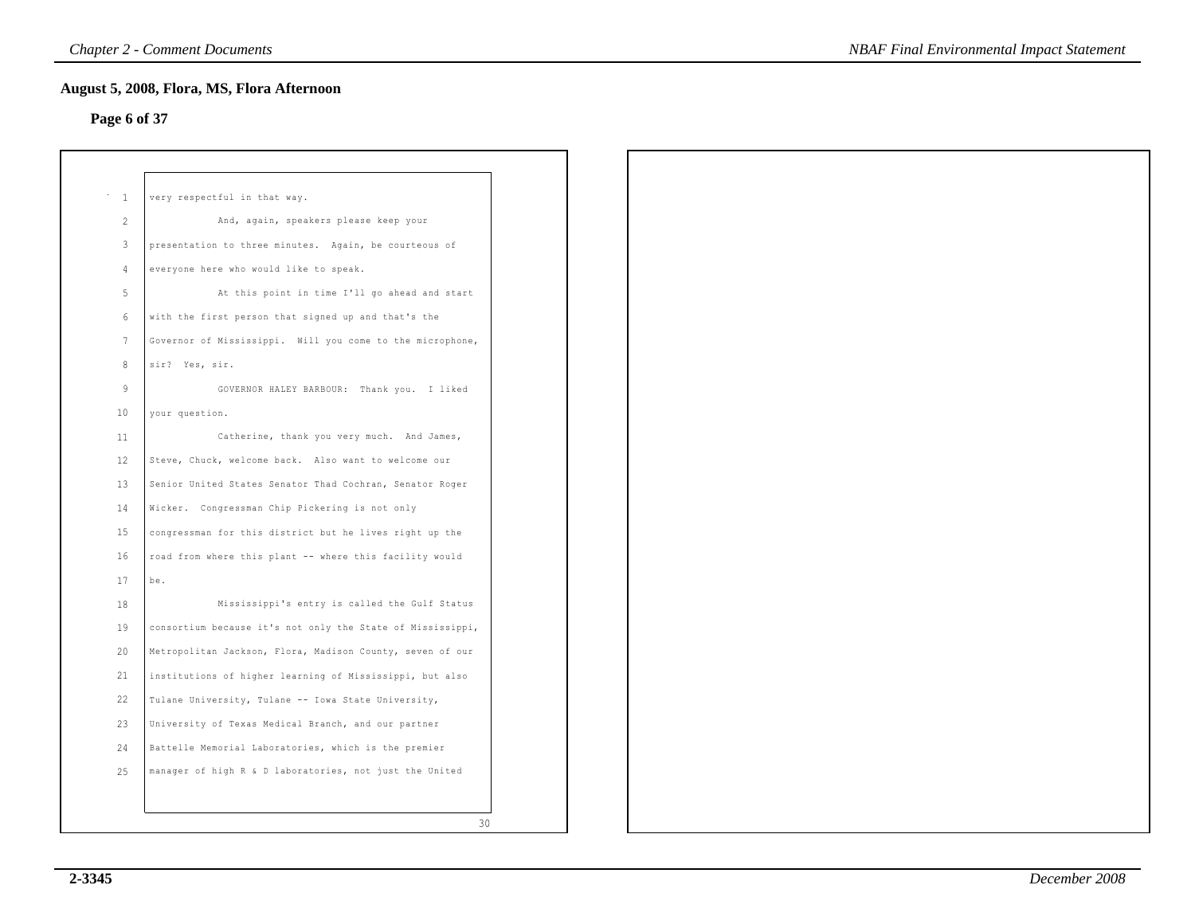### **Page 6 of 37**

| $\sim$ 1        | very respectful in that way.                               |
|-----------------|------------------------------------------------------------|
| 2               | And, again, speakers please keep your                      |
| $\overline{3}$  | presentation to three minutes. Again, be courteous of      |
| $\overline{4}$  | everyone here who would like to speak.                     |
| 5               | At this point in time I'll go ahead and start              |
| $6\phantom{.}6$ | with the first person that signed up and that's the        |
| 7               | Governor of Mississippi. Will you come to the microphone,  |
| 8               | sir? Yes, sir.                                             |
| 9               | GOVERNOR HALEY BARBOUR: Thank you. I liked                 |
| 10              | your question.                                             |
| 11              | Catherine, thank you very much. And James,                 |
| 12              | Steve, Chuck, welcome back. Also want to welcome our       |
| 13              | Senior United States Senator Thad Cochran, Senator Roger   |
| 14              | Wicker. Congressman Chip Pickering is not only             |
| 15              | congressman for this district but he lives right up the    |
| 16              | road from where this plant -- where this facility would    |
| 17              | be.                                                        |
| 18              | Mississippi's entry is called the Gulf Status              |
| 19              | consortium because it's not only the State of Mississippi, |
| 20              | Metropolitan Jackson, Flora, Madison County, seven of our  |
| 21              | institutions of higher learning of Mississippi, but also   |
| 22              | Tulane University, Tulane -- Iowa State University,        |
| 23              | University of Texas Medical Branch, and our partner        |
| 24              | Battelle Memorial Laboratories, which is the premier       |
| 25              | manager of high R & D laboratories, not just the United    |
|                 |                                                            |
|                 | 30                                                         |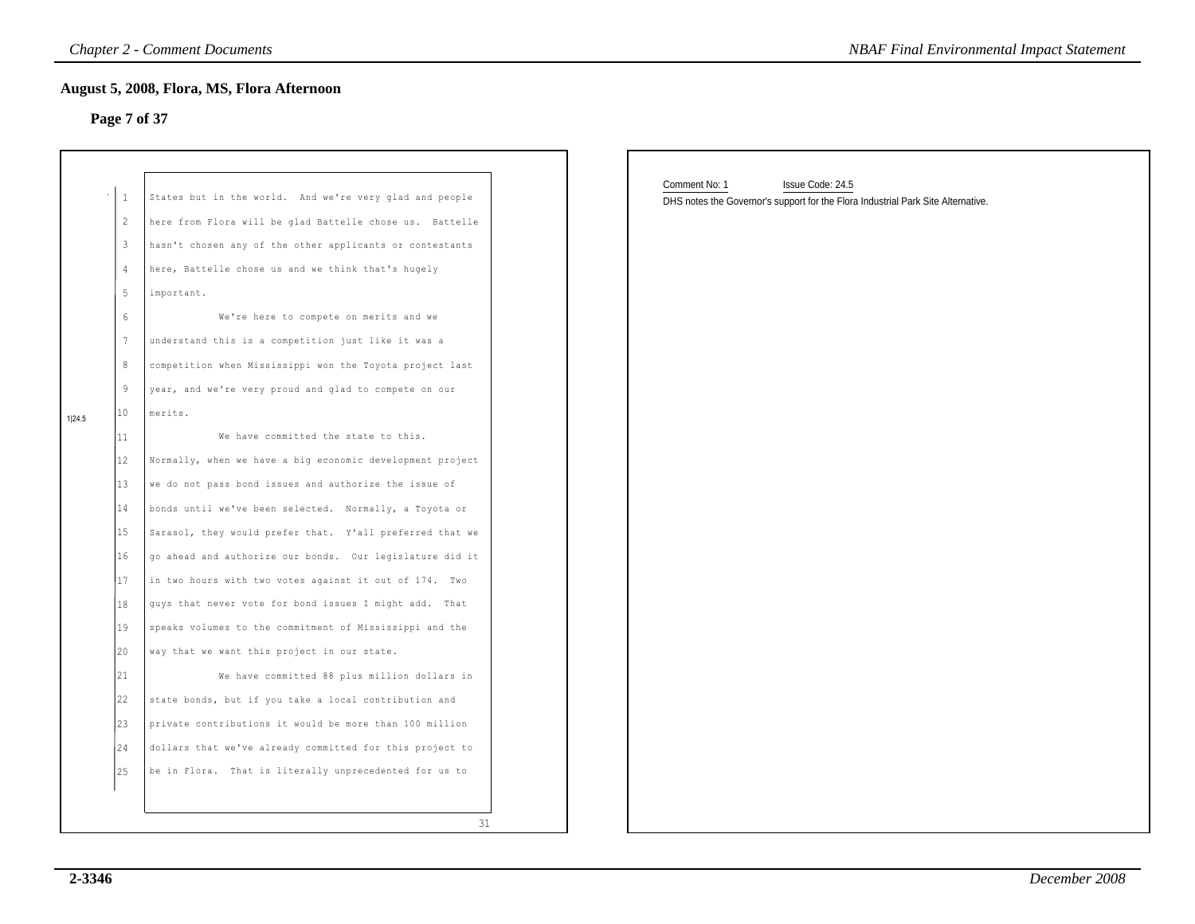### **Page 7 of 37**

| Comment No: 1<br>Issue Code: 24.5<br>$\mathbf{1}$<br>States but in the world. And we're very glad and people<br>DHS notes the Governor's support for the Flora Industrial Park Site Alternative.<br>here from Flora will be glad Battelle chose us. Battelle<br>2<br>$\mathbf{3}$<br>hasn't chosen any of the other applicants or contestants<br>$\overline{4}$<br>here, Battelle chose us and we think that's hugely<br>$5\phantom{.}$<br>important.<br>$6\,$<br>We're here to compete on merits and we<br>$7\phantom{.0}$<br>understand this is a competition just like it was a<br>$\,8\,$<br>competition when Mississippi won the Toyota project last<br>$\overline{9}$<br>year, and we're very proud and glad to compete on our<br>10<br>merits.<br>1 24.5<br>11<br>We have committed the state to this.<br>12<br>Normally, when we have a big economic development project<br>13<br>we do not pass bond issues and authorize the issue of<br>14<br>bonds until we've been selected. Normally, a Toyota or<br>15<br>Sarasol, they would prefer that. Y'all preferred that we<br>16<br>go ahead and authorize our bonds. Our legislature did it<br>17<br>in two hours with two votes against it out of 174. Two<br>18<br>guys that never vote for bond issues I might add. That<br>19<br>speaks volumes to the commitment of Mississippi and the<br>20<br>way that we want this project in our state.<br> 21 <br>We have committed 88 plus million dollars in<br>22<br>state bonds, but if you take a local contribution and<br>23<br>private contributions it would be more than 100 million<br>24<br>dollars that we've already committed for this project to<br>25<br>be in Flora. That is literally unprecedented for us to | Page 7 of 37 | <b>August 5, 2008, Flora, MS, Flora Afternoon</b> |  |
|-------------------------------------------------------------------------------------------------------------------------------------------------------------------------------------------------------------------------------------------------------------------------------------------------------------------------------------------------------------------------------------------------------------------------------------------------------------------------------------------------------------------------------------------------------------------------------------------------------------------------------------------------------------------------------------------------------------------------------------------------------------------------------------------------------------------------------------------------------------------------------------------------------------------------------------------------------------------------------------------------------------------------------------------------------------------------------------------------------------------------------------------------------------------------------------------------------------------------------------------------------------------------------------------------------------------------------------------------------------------------------------------------------------------------------------------------------------------------------------------------------------------------------------------------------------------------------------------------------------------------------------------------------------------------------------------------------------------------------------|--------------|---------------------------------------------------|--|
|                                                                                                                                                                                                                                                                                                                                                                                                                                                                                                                                                                                                                                                                                                                                                                                                                                                                                                                                                                                                                                                                                                                                                                                                                                                                                                                                                                                                                                                                                                                                                                                                                                                                                                                                     |              |                                                   |  |
|                                                                                                                                                                                                                                                                                                                                                                                                                                                                                                                                                                                                                                                                                                                                                                                                                                                                                                                                                                                                                                                                                                                                                                                                                                                                                                                                                                                                                                                                                                                                                                                                                                                                                                                                     |              |                                                   |  |
|                                                                                                                                                                                                                                                                                                                                                                                                                                                                                                                                                                                                                                                                                                                                                                                                                                                                                                                                                                                                                                                                                                                                                                                                                                                                                                                                                                                                                                                                                                                                                                                                                                                                                                                                     |              |                                                   |  |
|                                                                                                                                                                                                                                                                                                                                                                                                                                                                                                                                                                                                                                                                                                                                                                                                                                                                                                                                                                                                                                                                                                                                                                                                                                                                                                                                                                                                                                                                                                                                                                                                                                                                                                                                     |              |                                                   |  |
|                                                                                                                                                                                                                                                                                                                                                                                                                                                                                                                                                                                                                                                                                                                                                                                                                                                                                                                                                                                                                                                                                                                                                                                                                                                                                                                                                                                                                                                                                                                                                                                                                                                                                                                                     |              |                                                   |  |
|                                                                                                                                                                                                                                                                                                                                                                                                                                                                                                                                                                                                                                                                                                                                                                                                                                                                                                                                                                                                                                                                                                                                                                                                                                                                                                                                                                                                                                                                                                                                                                                                                                                                                                                                     |              |                                                   |  |
|                                                                                                                                                                                                                                                                                                                                                                                                                                                                                                                                                                                                                                                                                                                                                                                                                                                                                                                                                                                                                                                                                                                                                                                                                                                                                                                                                                                                                                                                                                                                                                                                                                                                                                                                     |              |                                                   |  |
|                                                                                                                                                                                                                                                                                                                                                                                                                                                                                                                                                                                                                                                                                                                                                                                                                                                                                                                                                                                                                                                                                                                                                                                                                                                                                                                                                                                                                                                                                                                                                                                                                                                                                                                                     |              |                                                   |  |
|                                                                                                                                                                                                                                                                                                                                                                                                                                                                                                                                                                                                                                                                                                                                                                                                                                                                                                                                                                                                                                                                                                                                                                                                                                                                                                                                                                                                                                                                                                                                                                                                                                                                                                                                     |              |                                                   |  |
|                                                                                                                                                                                                                                                                                                                                                                                                                                                                                                                                                                                                                                                                                                                                                                                                                                                                                                                                                                                                                                                                                                                                                                                                                                                                                                                                                                                                                                                                                                                                                                                                                                                                                                                                     |              |                                                   |  |
|                                                                                                                                                                                                                                                                                                                                                                                                                                                                                                                                                                                                                                                                                                                                                                                                                                                                                                                                                                                                                                                                                                                                                                                                                                                                                                                                                                                                                                                                                                                                                                                                                                                                                                                                     |              |                                                   |  |
|                                                                                                                                                                                                                                                                                                                                                                                                                                                                                                                                                                                                                                                                                                                                                                                                                                                                                                                                                                                                                                                                                                                                                                                                                                                                                                                                                                                                                                                                                                                                                                                                                                                                                                                                     |              |                                                   |  |
|                                                                                                                                                                                                                                                                                                                                                                                                                                                                                                                                                                                                                                                                                                                                                                                                                                                                                                                                                                                                                                                                                                                                                                                                                                                                                                                                                                                                                                                                                                                                                                                                                                                                                                                                     |              |                                                   |  |
|                                                                                                                                                                                                                                                                                                                                                                                                                                                                                                                                                                                                                                                                                                                                                                                                                                                                                                                                                                                                                                                                                                                                                                                                                                                                                                                                                                                                                                                                                                                                                                                                                                                                                                                                     |              |                                                   |  |
|                                                                                                                                                                                                                                                                                                                                                                                                                                                                                                                                                                                                                                                                                                                                                                                                                                                                                                                                                                                                                                                                                                                                                                                                                                                                                                                                                                                                                                                                                                                                                                                                                                                                                                                                     |              |                                                   |  |
|                                                                                                                                                                                                                                                                                                                                                                                                                                                                                                                                                                                                                                                                                                                                                                                                                                                                                                                                                                                                                                                                                                                                                                                                                                                                                                                                                                                                                                                                                                                                                                                                                                                                                                                                     |              |                                                   |  |
|                                                                                                                                                                                                                                                                                                                                                                                                                                                                                                                                                                                                                                                                                                                                                                                                                                                                                                                                                                                                                                                                                                                                                                                                                                                                                                                                                                                                                                                                                                                                                                                                                                                                                                                                     |              |                                                   |  |
|                                                                                                                                                                                                                                                                                                                                                                                                                                                                                                                                                                                                                                                                                                                                                                                                                                                                                                                                                                                                                                                                                                                                                                                                                                                                                                                                                                                                                                                                                                                                                                                                                                                                                                                                     |              |                                                   |  |
|                                                                                                                                                                                                                                                                                                                                                                                                                                                                                                                                                                                                                                                                                                                                                                                                                                                                                                                                                                                                                                                                                                                                                                                                                                                                                                                                                                                                                                                                                                                                                                                                                                                                                                                                     |              |                                                   |  |
|                                                                                                                                                                                                                                                                                                                                                                                                                                                                                                                                                                                                                                                                                                                                                                                                                                                                                                                                                                                                                                                                                                                                                                                                                                                                                                                                                                                                                                                                                                                                                                                                                                                                                                                                     |              |                                                   |  |
|                                                                                                                                                                                                                                                                                                                                                                                                                                                                                                                                                                                                                                                                                                                                                                                                                                                                                                                                                                                                                                                                                                                                                                                                                                                                                                                                                                                                                                                                                                                                                                                                                                                                                                                                     |              |                                                   |  |
|                                                                                                                                                                                                                                                                                                                                                                                                                                                                                                                                                                                                                                                                                                                                                                                                                                                                                                                                                                                                                                                                                                                                                                                                                                                                                                                                                                                                                                                                                                                                                                                                                                                                                                                                     |              |                                                   |  |
|                                                                                                                                                                                                                                                                                                                                                                                                                                                                                                                                                                                                                                                                                                                                                                                                                                                                                                                                                                                                                                                                                                                                                                                                                                                                                                                                                                                                                                                                                                                                                                                                                                                                                                                                     |              |                                                   |  |
|                                                                                                                                                                                                                                                                                                                                                                                                                                                                                                                                                                                                                                                                                                                                                                                                                                                                                                                                                                                                                                                                                                                                                                                                                                                                                                                                                                                                                                                                                                                                                                                                                                                                                                                                     |              |                                                   |  |
|                                                                                                                                                                                                                                                                                                                                                                                                                                                                                                                                                                                                                                                                                                                                                                                                                                                                                                                                                                                                                                                                                                                                                                                                                                                                                                                                                                                                                                                                                                                                                                                                                                                                                                                                     |              |                                                   |  |
|                                                                                                                                                                                                                                                                                                                                                                                                                                                                                                                                                                                                                                                                                                                                                                                                                                                                                                                                                                                                                                                                                                                                                                                                                                                                                                                                                                                                                                                                                                                                                                                                                                                                                                                                     |              | 31                                                |  |

| Comment No: 1 | Issue Code: 24.5<br>DHS notes the Governor's support for the Flora Industrial Park Site Alternative. |
|---------------|------------------------------------------------------------------------------------------------------|
|               |                                                                                                      |
|               |                                                                                                      |
|               |                                                                                                      |
|               |                                                                                                      |
|               |                                                                                                      |
|               |                                                                                                      |
|               |                                                                                                      |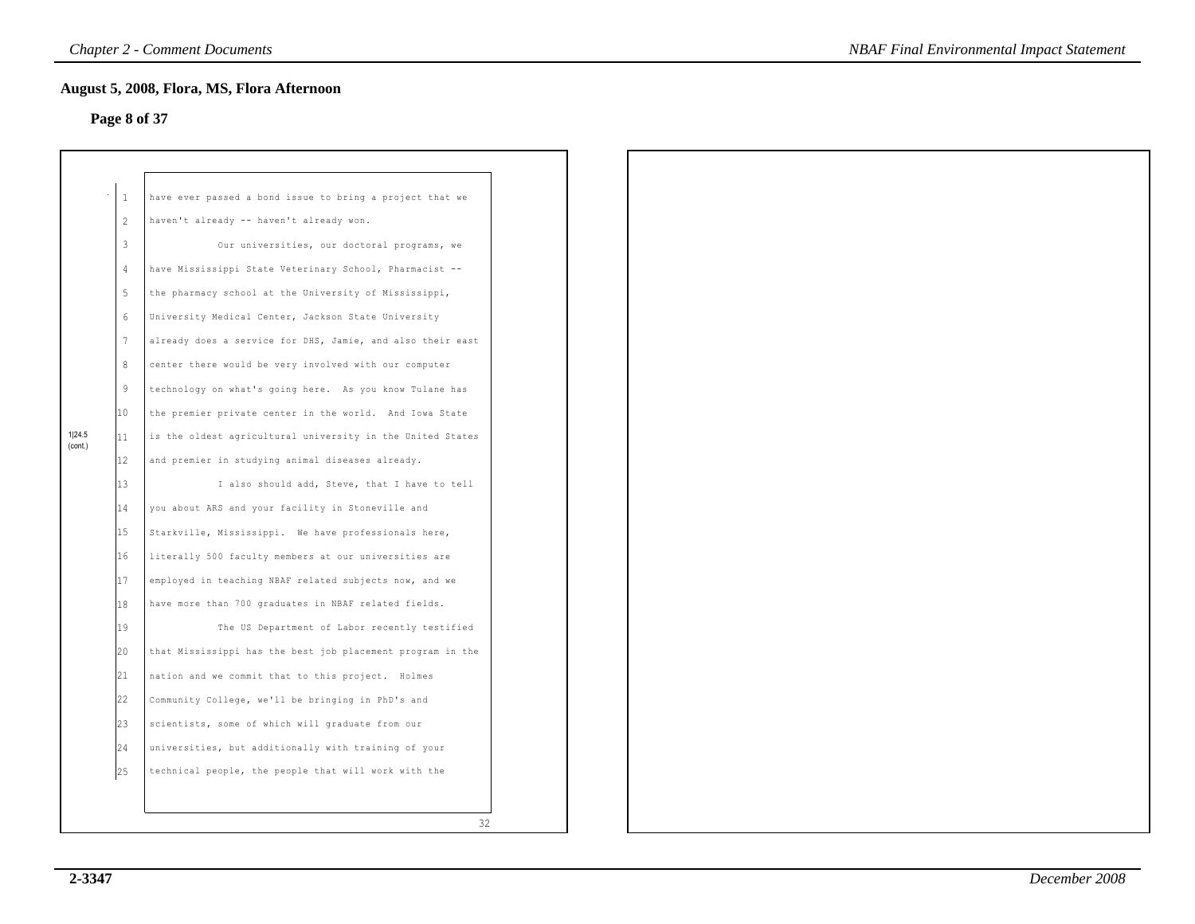### **Page 8 of 37**

|                   | 1  | have ever passed a bond issue to bring a project that we   |
|-------------------|----|------------------------------------------------------------|
|                   | 2  | haven't already -- haven't already won.                    |
|                   | 3  | Our universities, our doctoral programs, we                |
|                   | 4  | have Mississippi State Veterinary School, Pharmacist --    |
|                   | 5  | the pharmacy school at the University of Mississippi,      |
|                   | 6  | University Medical Center, Jackson State University        |
|                   | 7  | already does a service for DHS, Jamie, and also their east |
|                   | 8  | center there would be very involved with our computer      |
|                   | 9  | technology on what's going here. As you know Tulane has    |
|                   | 10 | the premier private center in the world. And Iowa State    |
| 1 24.5<br>(cont.) | 11 | is the oldest agricultural university in the United States |
|                   | 12 | and premier in studying animal diseases already.           |
|                   | 13 | I also should add, Steve, that I have to tell              |
|                   | 14 | you about ARS and your facility in Stoneville and          |
|                   | 15 | Starkville, Mississippi. We have professionals here,       |
|                   | 16 | literally 500 faculty members at our universities are      |
|                   | 17 | employed in teaching NBAF related subjects now, and we     |
|                   | 18 | have more than 700 graduates in NBAF related fields.       |
|                   | 19 | The US Department of Labor recently testified              |
|                   | 20 | that Mississippi has the best job placement program in the |
|                   | 21 | nation and we commit that to this project. Holmes          |
|                   | 22 | Community College, we'll be bringing in PhD's and          |
|                   | 23 | scientists, some of which will graduate from our           |
|                   | 24 | universities, but additionally with training of your       |
|                   | 25 | technical people, the people that will work with the       |
|                   |    |                                                            |
|                   |    | 32                                                         |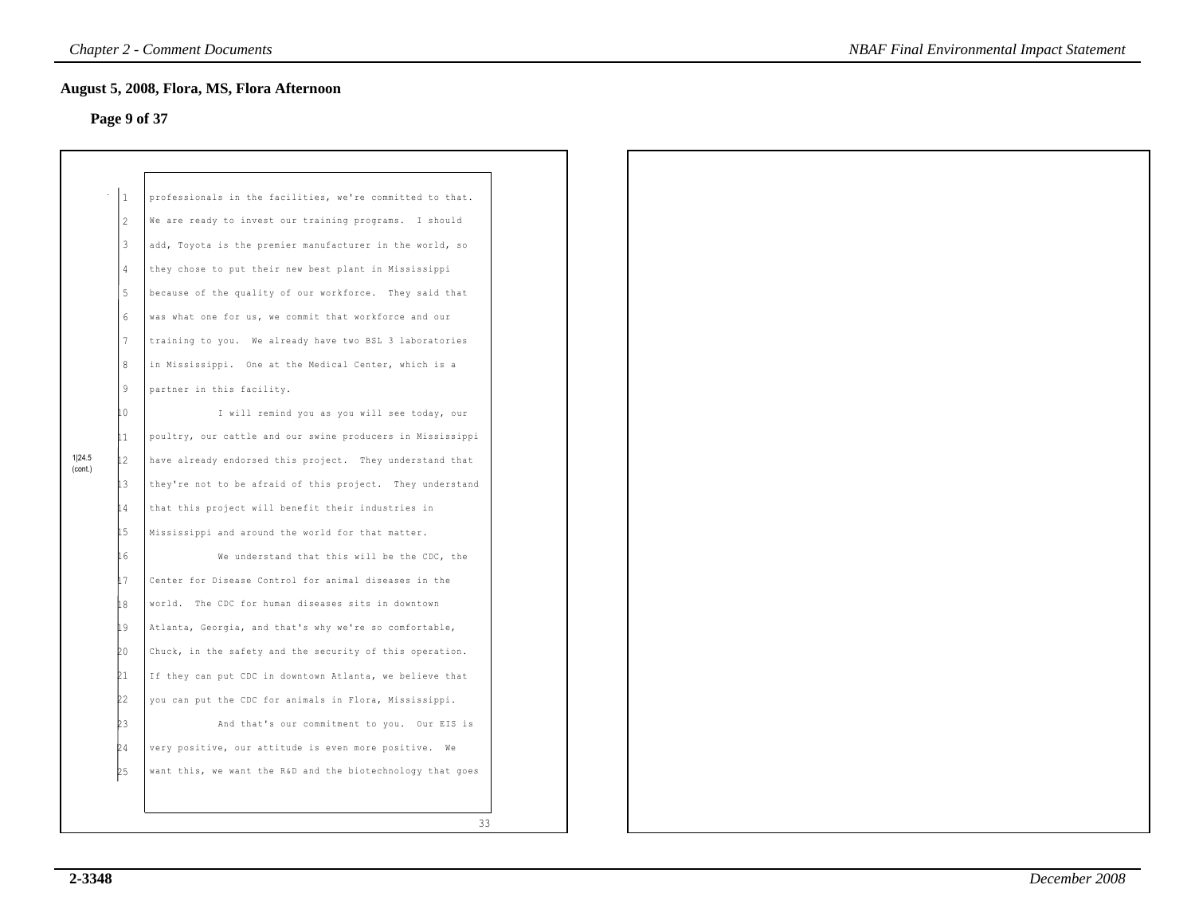# **Page 9 of 37**

|                   | 1                | professionals in the facilities, we're committed to that.  |  |
|-------------------|------------------|------------------------------------------------------------|--|
|                   | 2                | We are ready to invest our training programs. I should     |  |
|                   | $\overline{3}$   | add, Toyota is the premier manufacturer in the world, so   |  |
|                   | $\overline{4}$   | they chose to put their new best plant in Mississippi      |  |
|                   | 5                | because of the quality of our workforce. They said that    |  |
|                   | $6 \overline{6}$ | was what one for us, we commit that workforce and our      |  |
|                   | $7\phantom{.0}$  | training to you. We already have two BSL 3 laboratories    |  |
|                   | 8                | in Mississippi. One at the Medical Center, which is a      |  |
|                   | 9                | partner in this facility.                                  |  |
|                   | ħ٥               | I will remind you as you will see today, our               |  |
|                   | Lı               | poultry, our cattle and our swine producers in Mississippi |  |
| 1 24.5<br>(cont.) | 12               | have already endorsed this project. They understand that   |  |
|                   | İЗ               | they're not to be afraid of this project. They understand  |  |
|                   | 14               | that this project will benefit their industries in         |  |
|                   | 15               | Mississippi and around the world for that matter.          |  |
|                   | 16               | We understand that this will be the CDC, the               |  |
|                   | 17               | Center for Disease Control for animal diseases in the      |  |
|                   | 18               | world. The CDC for human diseases sits in downtown         |  |
|                   | 19               | Atlanta, Georgia, and that's why we're so comfortable,     |  |
|                   | 20               | Chuck, in the safety and the security of this operation.   |  |
|                   | 21               | If they can put CDC in downtown Atlanta, we believe that   |  |
|                   | 2                | you can put the CDC for animals in Flora, Mississippi.     |  |
|                   | b3               | And that's our commitment to you. Our EIS is               |  |
|                   | þ4               | very positive, our attitude is even more positive. We      |  |
|                   | k <sub>2</sub>   | want this, we want the R&D and the biotechnology that goes |  |
|                   |                  |                                                            |  |
|                   |                  | 33                                                         |  |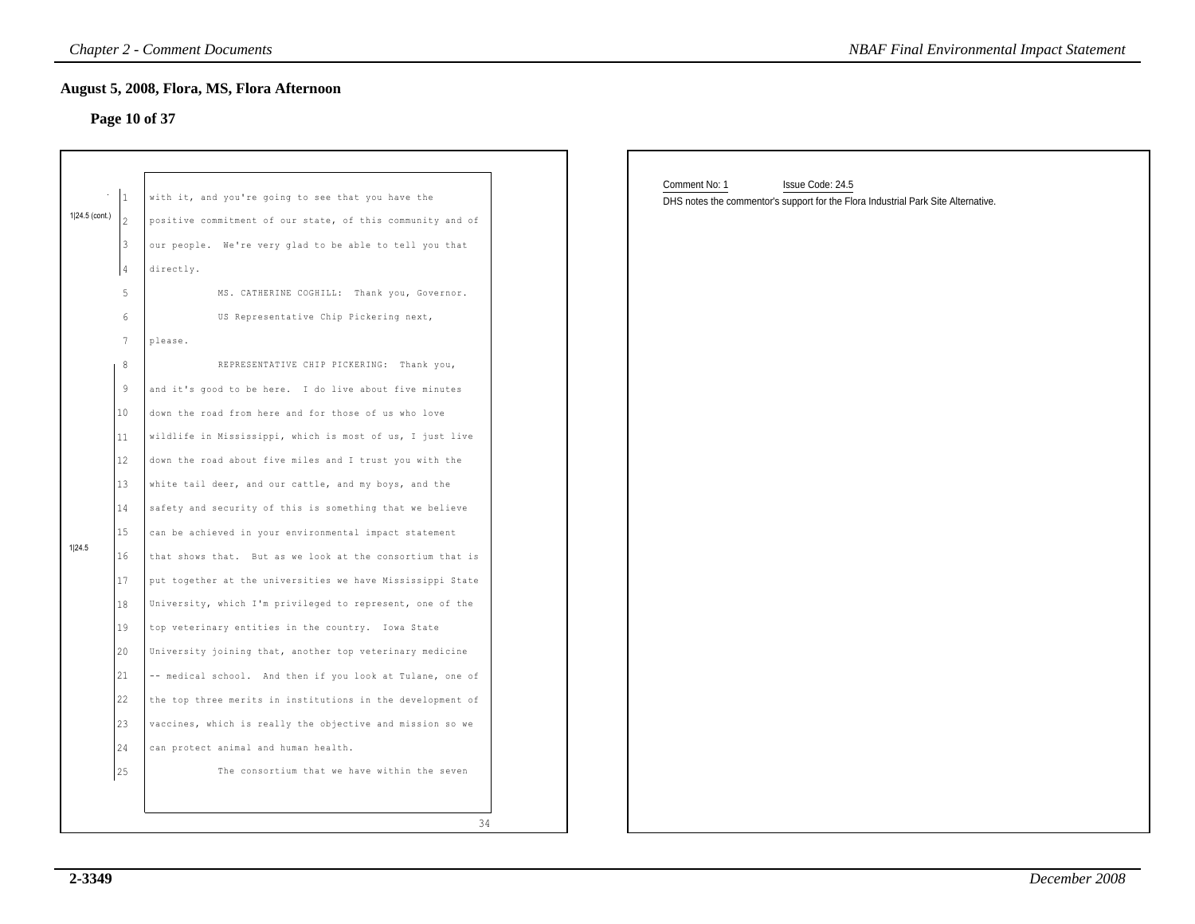### **Page 10 of 37**

|                |                                                                                  | <b>Chapter 2 - Comment Documents</b><br>August 5, 2008, Flora, MS, Flora Afternoon                                                                                                                                                                                                                                                                                                                                                                                                                                                                                                                                                                                                                                                                                                                                               | <b>NBAF Final Environmental Impact Statement</b>                                                                       |
|----------------|----------------------------------------------------------------------------------|----------------------------------------------------------------------------------------------------------------------------------------------------------------------------------------------------------------------------------------------------------------------------------------------------------------------------------------------------------------------------------------------------------------------------------------------------------------------------------------------------------------------------------------------------------------------------------------------------------------------------------------------------------------------------------------------------------------------------------------------------------------------------------------------------------------------------------|------------------------------------------------------------------------------------------------------------------------|
| 1 24.5 (cont.) | 3<br>$\sqrt{4}$<br>5<br>6<br>$7\phantom{.0}$<br>8<br>9<br>10<br>11               | Page 10 of 37<br>with it, and you're going to see that you have the<br>positive commitment of our state, of this community and of<br>our people. We're very glad to be able to tell you that<br>directly.<br>MS. CATHERINE COGHILL: Thank you, Governor.<br>US Representative Chip Pickering next,<br>please.<br>REPRESENTATIVE CHIP PICKERING: Thank you,<br>and it's good to be here. I do live about five minutes<br>down the road from here and for those of us who love<br>wildlife in Mississippi, which is most of us, I just live                                                                                                                                                                                                                                                                                        | Comment No: 1<br>Issue Code: 24.5<br>DHS notes the commentor's support for the Flora Industrial Park Site Alternative. |
| 1 24.5         | 12<br>13<br>14<br>15<br>16<br>17<br>18<br>19<br>20<br>21<br>22<br>23<br>24<br>25 | down the road about five miles and I trust you with the<br>white tail deer, and our cattle, and my boys, and the<br>safety and security of this is something that we believe<br>can be achieved in your environmental impact statement<br>that shows that. But as we look at the consortium that is<br>put together at the universities we have Mississippi State<br>University, which I'm privileged to represent, one of the<br>top veterinary entities in the country. Iowa State<br>University joining that, another top veterinary medicine<br>-- medical school. And then if you look at Tulane, one of<br>the top three merits in institutions in the development of<br>vaccines, which is really the objective and mission so we<br>can protect animal and human health.<br>The consortium that we have within the seven |                                                                                                                        |
|                |                                                                                  | 34                                                                                                                                                                                                                                                                                                                                                                                                                                                                                                                                                                                                                                                                                                                                                                                                                               |                                                                                                                        |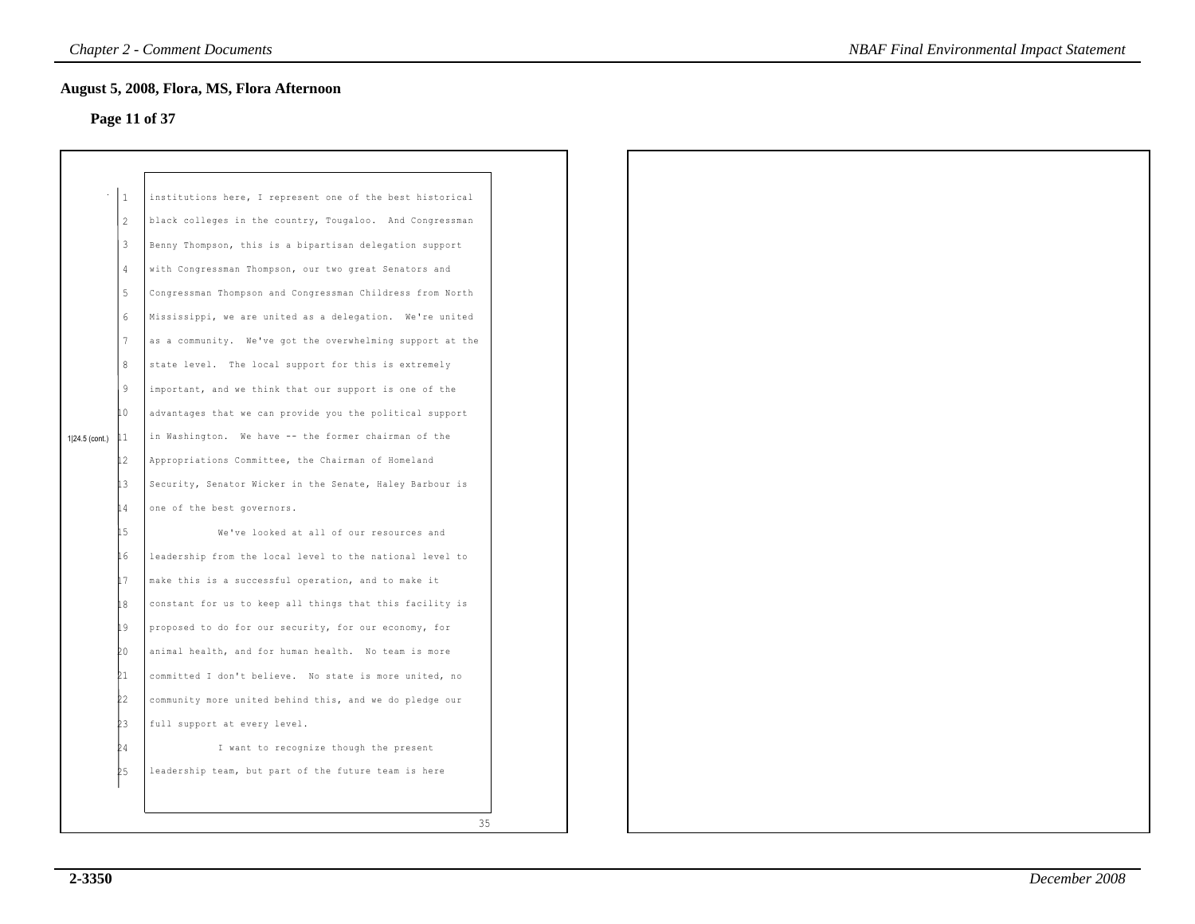### **Page 11 of 37**

|                |              | August 5, 2008, Flora, MS, Flora Afternoon<br>Page 11 of 37 |  |
|----------------|--------------|-------------------------------------------------------------|--|
|                |              |                                                             |  |
|                |              |                                                             |  |
|                | $\mathbf{1}$ | institutions here, I represent one of the best historical   |  |
|                | 2            | black colleges in the country, Tougaloo. And Congressman    |  |
|                | 3            | Benny Thompson, this is a bipartisan delegation support     |  |
|                | 4            | with Congressman Thompson, our two great Senators and       |  |
|                | 5            | Congressman Thompson and Congressman Childress from North   |  |
|                | 6            | Mississippi, we are united as a delegation. We're united    |  |
|                | 7            | as a community. We've got the overwhelming support at the   |  |
|                | 8            | state level. The local support for this is extremely        |  |
|                | 9            | important, and we think that our support is one of the      |  |
|                | 10           | advantages that we can provide you the political support    |  |
| 1 24.5 (cont.) | 11           | in Washington. We have -- the former chairman of the        |  |
|                | 12           | Appropriations Committee, the Chairman of Homeland          |  |
|                | İЗ           | Security, Senator Wicker in the Senate, Haley Barbour is    |  |
|                | 14           | one of the best governors.                                  |  |
|                | 15           | We've looked at all of our resources and                    |  |
|                | 16           | leadership from the local level to the national level to    |  |
|                | 17           | make this is a successful operation, and to make it         |  |
|                | İ8           | constant for us to keep all things that this facility is    |  |
|                | 19           | proposed to do for our security, for our economy, for       |  |
|                | bo           | animal health, and for human health. No team is more        |  |
|                | 21           | committed I don't believe. No state is more united, no      |  |
|                | Þ2           | community more united behind this, and we do pledge our     |  |
|                | ÞЗ           | full support at every level.                                |  |
|                | 24           | I want to recognize though the present                      |  |
|                | þ5           | leadership team, but part of the future team is here        |  |
|                |              |                                                             |  |
|                |              | 35                                                          |  |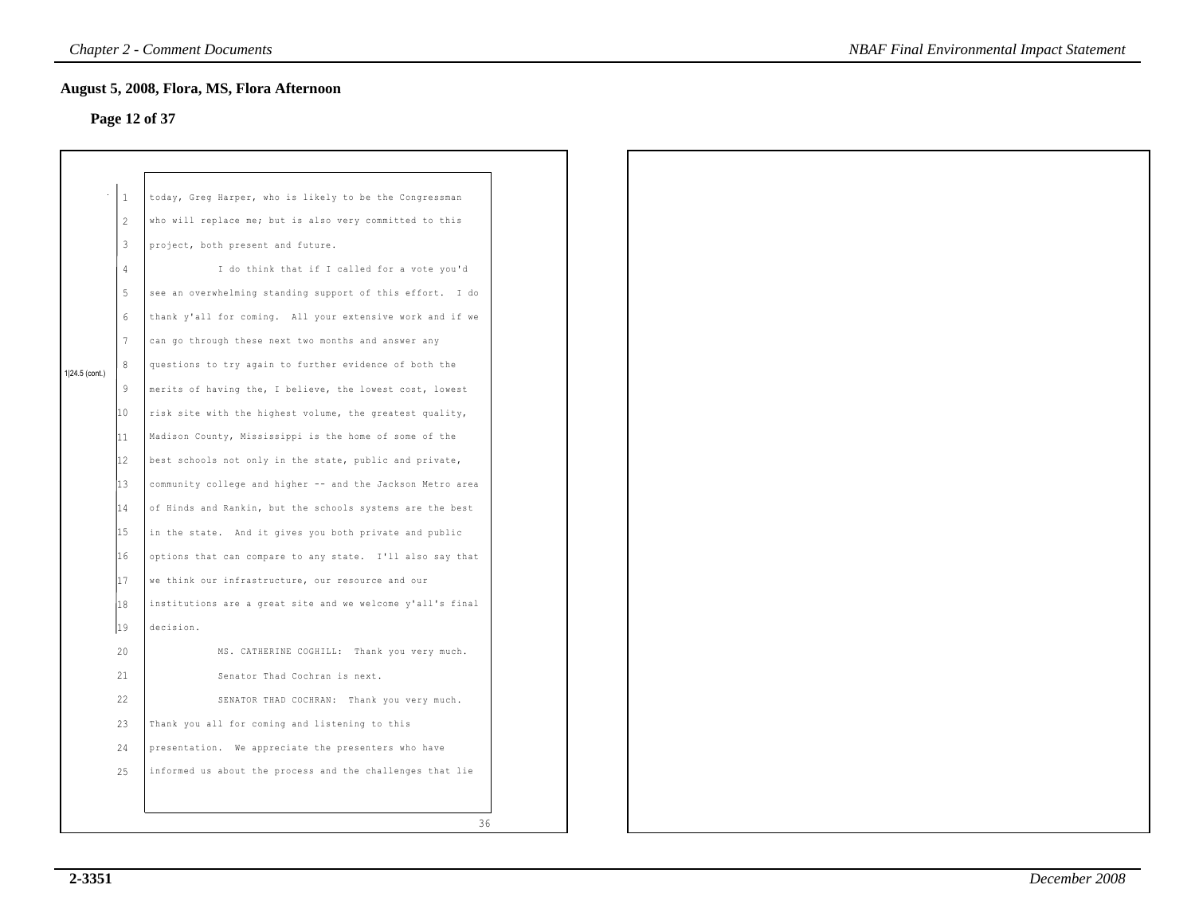# **Page 12 of 37**

|                |                  | August 5, 2008, Flora, MS, Flora Afternoon                 |
|----------------|------------------|------------------------------------------------------------|
|                |                  | Page 12 of 37                                              |
|                |                  |                                                            |
|                |                  |                                                            |
|                | $\mathbf{1}$     | today, Greg Harper, who is likely to be the Congressman    |
|                | $\overline{c}$   | who will replace me; but is also very committed to this    |
|                | 3                | project, both present and future.                          |
|                | $\overline{4}$   | I do think that if I called for a vote you'd               |
|                | 5                | see an overwhelming standing support of this effort. I do  |
|                | 6                | thank y'all for coming. All your extensive work and if we  |
|                | $\boldsymbol{7}$ | can go through these next two months and answer any        |
| 1 24.5 (cont.) | 8                | questions to try again to further evidence of both the     |
|                | 9                | merits of having the, I believe, the lowest cost, lowest   |
|                | 10               | risk site with the highest volume, the greatest quality,   |
|                | 11               | Madison County, Mississippi is the home of some of the     |
|                | $ 12\rangle$     | best schools not only in the state, public and private,    |
|                | 13               | community college and higher -- and the Jackson Metro area |
|                | 14               | of Hinds and Rankin, but the schools systems are the best  |
|                | 15               | in the state. And it gives you both private and public     |
|                | 16               | options that can compare to any state. I'll also say that  |
|                | 17               | we think our infrastructure, our resource and our          |
|                | 18               | institutions are a great site and we welcome y'all's final |
|                | 19               | decision.                                                  |
|                | 20               | MS. CATHERINE COGHILL: Thank you very much.                |
|                | 21               | Senator Thad Cochran is next.                              |
|                | 22               | SENATOR THAD COCHRAN: Thank you very much.                 |
|                | 23               | Thank you all for coming and listening to this             |
|                | 24               | presentation. We appreciate the presenters who have        |
|                | 25               | informed us about the process and the challenges that lie  |
|                |                  |                                                            |
|                |                  | 36                                                         |
|                |                  |                                                            |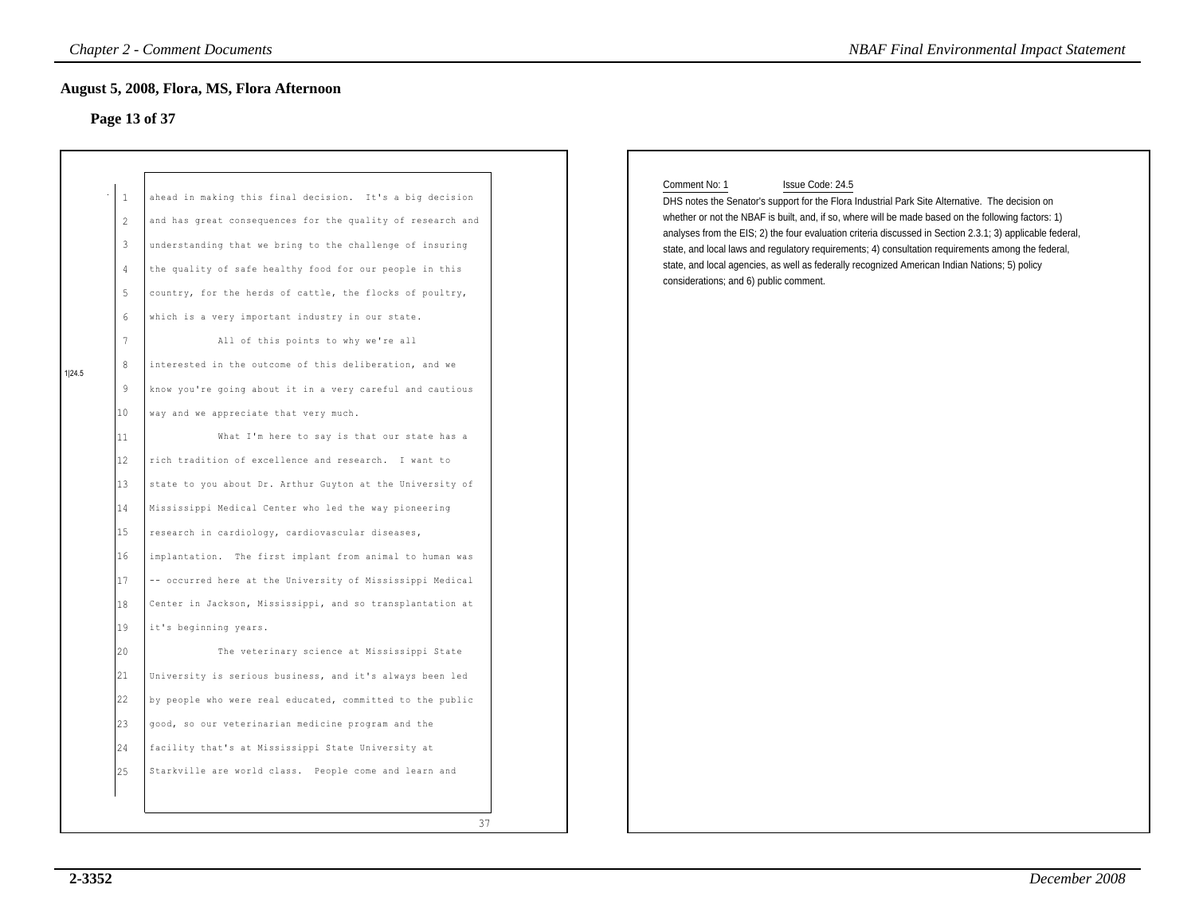# **Page 13 of 37**

#### Comment No: 1 Issue Code: 24.5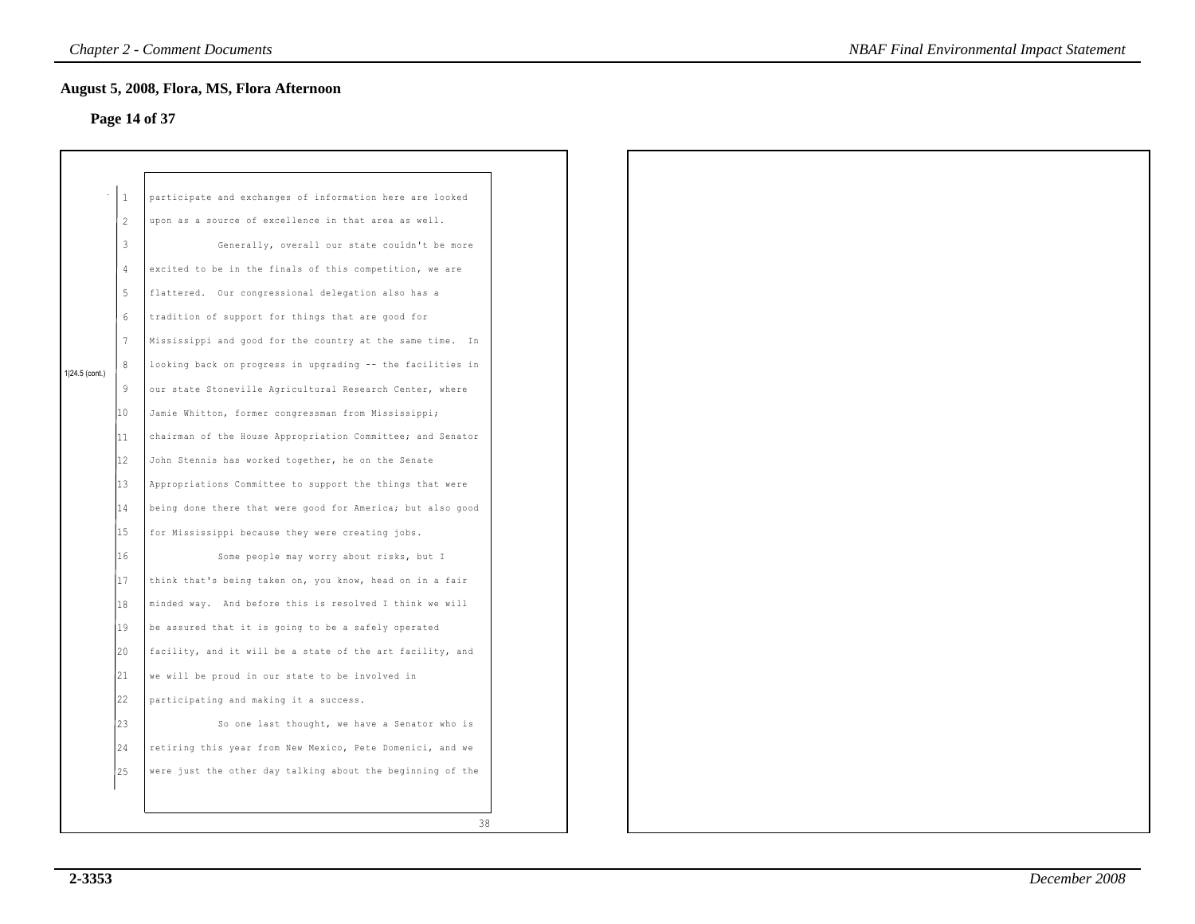# **Page 14 of 37**

|                | $\mathbf{1}$    | participate and exchanges of information here are looked     |
|----------------|-----------------|--------------------------------------------------------------|
|                | $\mathfrak{D}$  | upon as a source of excellence in that area as well.         |
|                | 3               | Generally, overall our state couldn't be more                |
|                | 4               | excited to be in the finals of this competition, we are      |
|                | 5               | flattered. Our congressional delegation also has a           |
|                | 6               | tradition of support for things that are good for            |
|                | $7\phantom{.0}$ | Mississippi and good for the country at the same time.<br>In |
| 1 24.5 (cont.) | 8               | looking back on progress in upgrading -- the facilities in   |
|                | 9               | our state Stoneville Agricultural Research Center, where     |
|                | 10              | Jamie Whitton, former congressman from Mississippi;          |
|                | 11              | chairman of the House Appropriation Committee; and Senator   |
|                | 12              | John Stennis has worked together, he on the Senate           |
|                | 13              | Appropriations Committee to support the things that were     |
|                | 14              | being done there that were good for America; but also good   |
|                | 15              | for Mississippi because they were creating jobs.             |
|                | 16              | Some people may worry about risks, but I                     |
|                | 17              | think that's being taken on, you know, head on in a fair     |
|                | 18              | minded way. And before this is resolved I think we will      |
|                | 19              | be assured that it is going to be a safely operated          |
|                | 20              | facility, and it will be a state of the art facility, and    |
|                | 21              | we will be proud in our state to be involved in              |
|                | 22              | participating and making it a success.                       |
|                | 23              | So one last thought, we have a Senator who is                |
|                | 24              | retiring this year from New Mexico, Pete Domenici, and we    |
|                | 25              | were just the other day talking about the beginning of the   |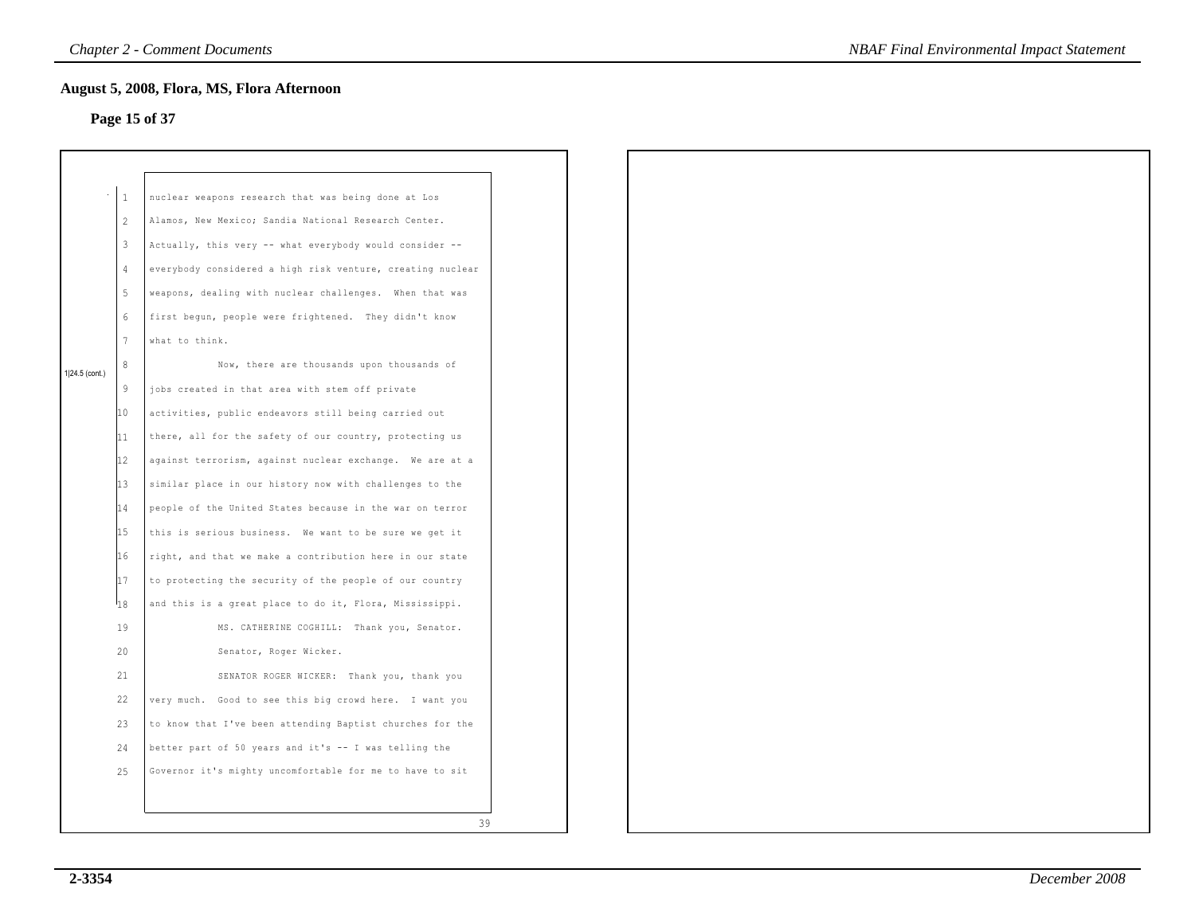# **Page 15 of 37**

|                |                 | August 5, 2008, Flora, MS, Flora Afternoon<br>Page 15 of 37 |  |
|----------------|-----------------|-------------------------------------------------------------|--|
|                |                 |                                                             |  |
|                |                 |                                                             |  |
|                | $\mathbf{1}$    | nuclear weapons research that was being done at Los         |  |
|                | 2               | Alamos, New Mexico; Sandia National Research Center.        |  |
|                | $\mathbf{3}$    | Actually, this very -- what everybody would consider --     |  |
|                | $\overline{4}$  | everybody considered a high risk venture, creating nuclear  |  |
|                | 5               | weapons, dealing with nuclear challenges. When that was     |  |
|                | 6               | first begun, people were frightened. They didn't know       |  |
|                | $7\phantom{.0}$ | what to think.                                              |  |
| 1 24.5 (cont.) | 8               | Now, there are thousands upon thousands of                  |  |
|                | 9               | jobs created in that area with stem off private             |  |
|                | 10 <sup>°</sup> | activities, public endeavors still being carried out        |  |
|                | 11              | there, all for the safety of our country, protecting us     |  |
|                | 12              | against terrorism, against nuclear exchange. We are at a    |  |
|                | 13              | similar place in our history now with challenges to the     |  |
|                | 14              | people of the United States because in the war on terror    |  |
|                | 15              | this is serious business. We want to be sure we get it      |  |
|                | 16              | right, and that we make a contribution here in our state    |  |
|                | 17              | to protecting the security of the people of our country     |  |
|                | hε              | and this is a great place to do it, Flora, Mississippi.     |  |
|                | 19              | MS. CATHERINE COGHILL: Thank you, Senator.                  |  |
|                | 20              | Senator, Roger Wicker.                                      |  |
|                | 21              | SENATOR ROGER WICKER: Thank you, thank you                  |  |
|                | 22              | very much. Good to see this big crowd here. I want you      |  |
|                | 23              | to know that I've been attending Baptist churches for the   |  |
|                | 24              | better part of 50 years and it's -- I was telling the       |  |
|                | 25              | Governor it's mighty uncomfortable for me to have to sit    |  |
|                |                 |                                                             |  |
|                |                 | 39                                                          |  |
|                |                 |                                                             |  |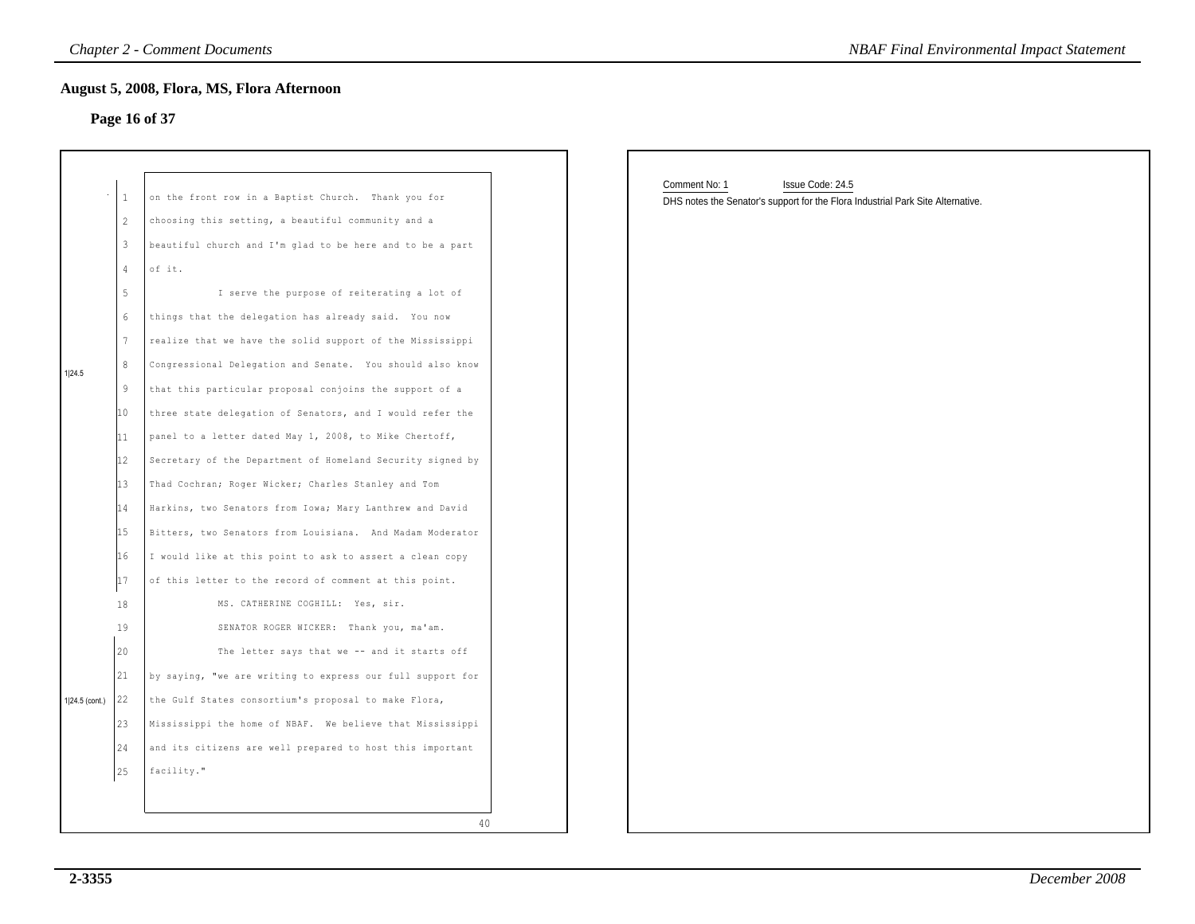# **Page 16 of 37**

|                  |                                                                                                                                             | August 5, 2008, Flora, MS, Flora Afternoon<br>Page 16 of 37                                                                                                                                                                                                                                                                                                                                                                                                                                                                                                                                                                                                                                                                                                                                                                                                                                                                                                             |                                                                                                                      |
|------------------|---------------------------------------------------------------------------------------------------------------------------------------------|-------------------------------------------------------------------------------------------------------------------------------------------------------------------------------------------------------------------------------------------------------------------------------------------------------------------------------------------------------------------------------------------------------------------------------------------------------------------------------------------------------------------------------------------------------------------------------------------------------------------------------------------------------------------------------------------------------------------------------------------------------------------------------------------------------------------------------------------------------------------------------------------------------------------------------------------------------------------------|----------------------------------------------------------------------------------------------------------------------|
| 1 24.5           | 1<br>2<br>$\mathbf{3}$<br>$\overline{4}$<br>5<br>6<br>$\overline{7}$<br>8<br>$\overline{9}$<br>10<br>11<br>12<br>13<br>14<br>15<br>16<br>17 | on the front row in a Baptist Church. Thank you for<br>choosing this setting, a beautiful community and a<br>beautiful church and I'm glad to be here and to be a part<br>of it.<br>I serve the purpose of reiterating a lot of<br>things that the delegation has already said. You now<br>realize that we have the solid support of the Mississippi<br>Congressional Delegation and Senate. You should also know<br>that this particular proposal conjoins the support of a<br>three state delegation of Senators, and I would refer the<br>panel to a letter dated May 1, 2008, to Mike Chertoff,<br>Secretary of the Department of Homeland Security signed by<br>Thad Cochran; Roger Wicker; Charles Stanley and Tom<br>Harkins, two Senators from Iowa; Mary Lanthrew and David<br>Bitters, two Senators from Louisiana. And Madam Moderator<br>I would like at this point to ask to assert a clean copy<br>of this letter to the record of comment at this point. | Comment No: 1<br>Issue Code: 24.5<br>DHS notes the Senator's support for the Flora Industrial Park Site Alternative. |
| $1 24.5$ (cont.) | 18<br>19<br>20<br>21<br>22<br>23<br>24<br>25                                                                                                | MS. CATHERINE COGHILL: Yes, sir.<br>SENATOR ROGER WICKER: Thank you, ma'am.<br>The letter says that we -- and it starts off<br>by saying, "we are writing to express our full support for<br>the Gulf States consortium's proposal to make Flora,<br>Mississippi the home of NBAF. We believe that Mississippi<br>and its citizens are well prepared to host this important<br>facility."                                                                                                                                                                                                                                                                                                                                                                                                                                                                                                                                                                               |                                                                                                                      |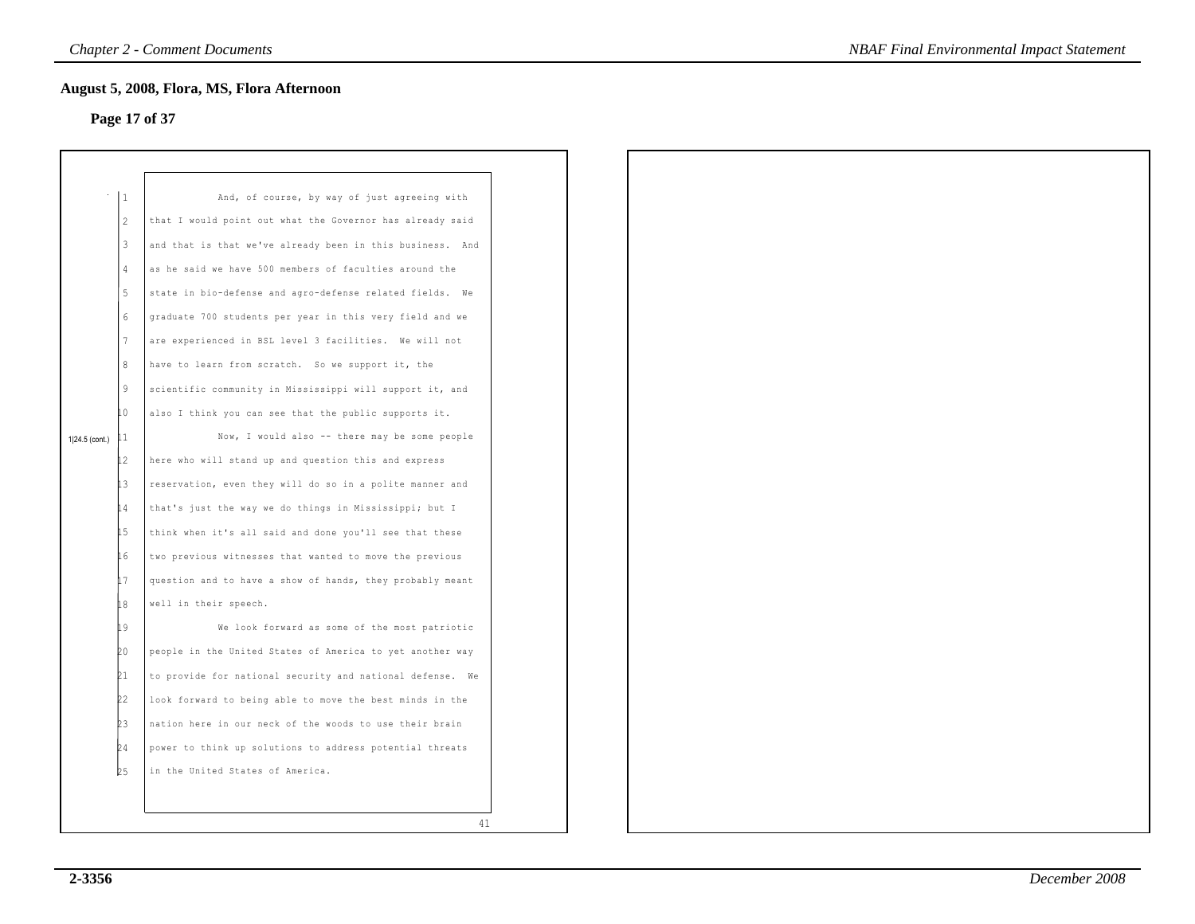# **Page 17 of 37**

|                |              | August 5, 2008, Flora, MS, Flora Afternoon<br>Page 17 of 37  |
|----------------|--------------|--------------------------------------------------------------|
|                |              |                                                              |
|                |              |                                                              |
|                | $\mathbf{1}$ | And, of course, by way of just agreeing with                 |
|                | 2            | that I would point out what the Governor has already said    |
|                | 3            | and that is that we've already been in this business.<br>And |
|                | 4            | as he said we have 500 members of faculties around the       |
|                | 5            | state in bio-defense and agro-defense related fields.<br>We  |
|                | 6            | graduate 700 students per year in this very field and we     |
|                | 7            | are experienced in BSL level 3 facilities. We will not       |
|                | 8            | have to learn from scratch. So we support it, the            |
|                | 9            | scientific community in Mississippi will support it, and     |
|                | 10           | also I think you can see that the public supports it.        |
| 1 24.5 (cont.) | 11           | Now, I would also -- there may be some people                |
|                | 12           | here who will stand up and question this and express         |
|                | İЗ           | reservation, even they will do so in a polite manner and     |
|                | 14           | that's just the way we do things in Mississippi; but I       |
|                | 15           | think when it's all said and done you'll see that these      |
|                | 16           | two previous witnesses that wanted to move the previous      |
|                | 17           | question and to have a show of hands, they probably meant    |
|                | 18           | well in their speech.                                        |
|                | 19           | We look forward as some of the most patriotic                |
|                | 20           | people in the United States of America to yet another way    |
|                | 21           | to provide for national security and national defense.<br>We |
|                | 22           | look forward to being able to move the best minds in the     |
|                | 23           | nation here in our neck of the woods to use their brain      |
|                | 24           | power to think up solutions to address potential threats     |
|                | b5           | in the United States of America.                             |
|                |              |                                                              |
|                |              | 41                                                           |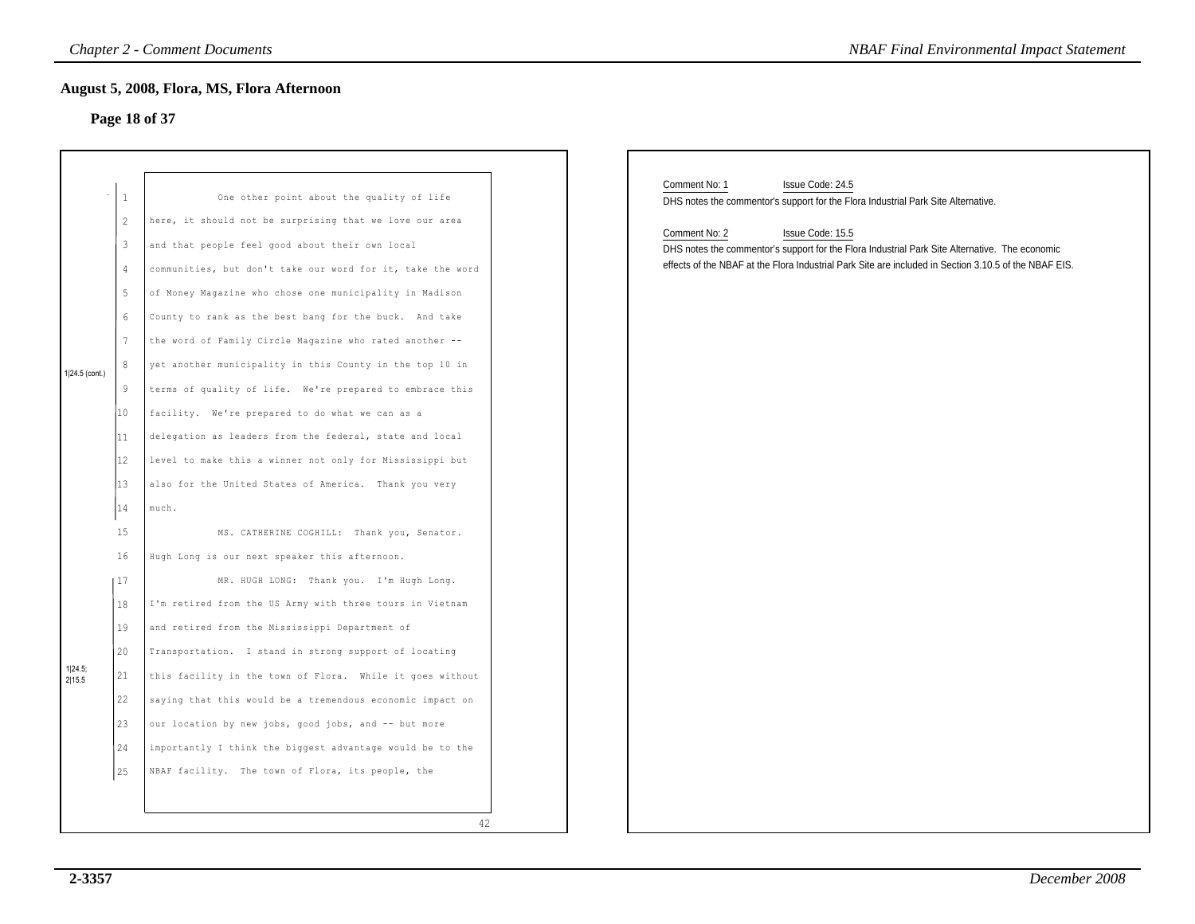# **Page 18 of 37**

|                   |                                                                                                               | <b>Chapter 2 - Comment Documents</b>                                                                                                                                                                                                                                                                                                                                                                                                                                                                                                                                                                                                                                                                                                                                      | <b>NBAF Final Environmental Impact Statement</b>                                                                                                                                                                                                                                                                                                                       |
|-------------------|---------------------------------------------------------------------------------------------------------------|---------------------------------------------------------------------------------------------------------------------------------------------------------------------------------------------------------------------------------------------------------------------------------------------------------------------------------------------------------------------------------------------------------------------------------------------------------------------------------------------------------------------------------------------------------------------------------------------------------------------------------------------------------------------------------------------------------------------------------------------------------------------------|------------------------------------------------------------------------------------------------------------------------------------------------------------------------------------------------------------------------------------------------------------------------------------------------------------------------------------------------------------------------|
|                   |                                                                                                               | August 5, 2008, Flora, MS, Flora Afternoon<br>Page 18 of 37                                                                                                                                                                                                                                                                                                                                                                                                                                                                                                                                                                                                                                                                                                               |                                                                                                                                                                                                                                                                                                                                                                        |
| 1 24.5 (cont.)    | -1<br>2<br>$\mathbf{3}$<br>$\frac{4}{3}$<br>5<br>6<br>$7\phantom{.0}$<br>8<br>9<br>10<br>11<br>12<br>13<br>14 | One other point about the quality of life<br>here, it should not be surprising that we love our area<br>and that people feel good about their own local<br>communities, but don't take our word for it, take the word<br>of Money Magazine who chose one municipality in Madison<br>County to rank as the best bang for the buck. And take<br>the word of Family Circle Magazine who rated another --<br>yet another municipality in this County in the top 10 in<br>terms of quality of life. We're prepared to embrace this<br>facility. We're prepared to do what we can as a<br>delegation as leaders from the federal, state and local<br>level to make this a winner not only for Mississippi but<br>also for the United States of America. Thank you very<br>much. | Comment No: 1<br>Issue Code: 24.5<br>DHS notes the commentor's support for the Flora Industrial Park Site Alternative.<br>Comment No: 2<br>Issue Code: 15.5<br>DHS notes the commentor's support for the Flora Industrial Park Site Alternative. The economic<br>effects of the NBAF at the Flora Industrial Park Site are included in Section 3.10.5 of the NBAF EIS. |
| 1 24.5;<br>2 15.5 | 15<br>16<br>117<br>18<br>19<br>20<br>21<br>22<br>23<br>24<br>25                                               | MS. CATHERINE COGHILL: Thank you, Senator.<br>Hugh Long is our next speaker this afternoon.<br>MR. HUGH LONG: Thank you. I'm Hugh Long.<br>I'm retired from the US Army with three tours in Vietnam<br>and retired from the Mississippi Department of<br>Transportation. I stand in strong support of locating<br>this facility in the town of Flora. While it goes without<br>saying that this would be a tremendous economic impact on<br>our location by new jobs, good jobs, and -- but more<br>importantly I think the biggest advantage would be to the<br>NBAF facility. The town of Flora, its people, the                                                                                                                                                        |                                                                                                                                                                                                                                                                                                                                                                        |
|                   |                                                                                                               | 42                                                                                                                                                                                                                                                                                                                                                                                                                                                                                                                                                                                                                                                                                                                                                                        |                                                                                                                                                                                                                                                                                                                                                                        |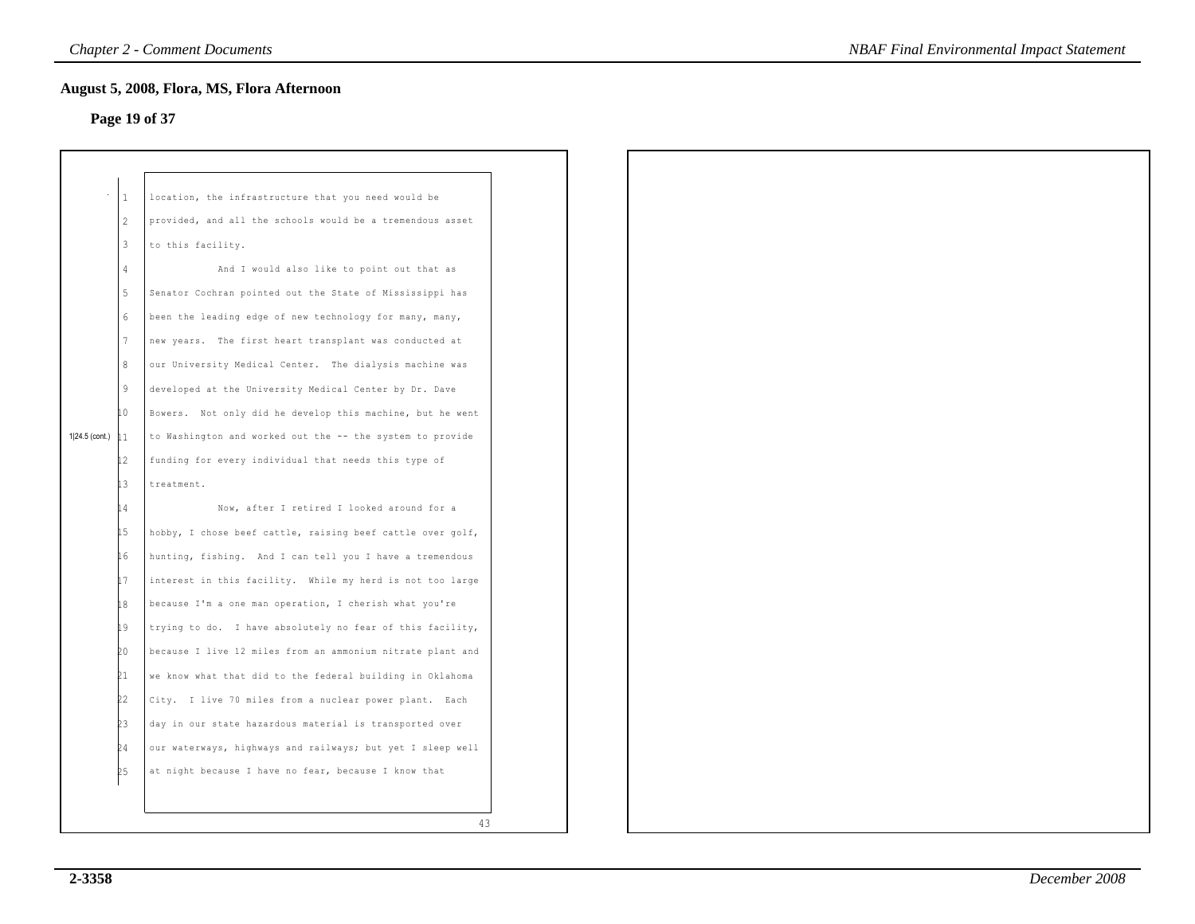# **Page 19 of 37**

|               | August 5, 2008, Flora, MS, Flora Afternoon                                                             |
|---------------|--------------------------------------------------------------------------------------------------------|
|               | Page 19 of 37                                                                                          |
|               |                                                                                                        |
|               |                                                                                                        |
|               | location, the infrastructure that you need would be                                                    |
|               |                                                                                                        |
|               | provided, and all the schools would be a tremendous asset                                              |
|               | to this facility.                                                                                      |
|               | And I would also like to point out that as                                                             |
| 5             | Senator Cochran pointed out the State of Mississippi has                                               |
| 6             | been the leading edge of new technology for many, many,                                                |
| 7             | new years. The first heart transplant was conducted at                                                 |
| 8             | our University Medical Center. The dialysis machine was                                                |
| 9             | developed at the University Medical Center by Dr. Dave                                                 |
| 10            | Bowers. Not only did he develop this machine, but he went                                              |
| $\mathbf{11}$ | to Washington and worked out the -- the system to provide                                              |
| 12            | funding for every individual that needs this type of                                                   |
| 13            | treatment.                                                                                             |
| 14            | Now, after I retired I looked around for a                                                             |
|               | hobby, I chose beef cattle, raising beef cattle over golf,                                             |
|               | hunting, fishing. And I can tell you I have a tremendous                                               |
|               |                                                                                                        |
|               | interest in this facility. While my herd is not too large                                              |
|               | because I'm a one man operation, I cherish what you're                                                 |
|               | trying to do. I have absolutely no fear of this facility,                                              |
| ÞΟ.           | because I live 12 miles from an ammonium nitrate plant and                                             |
| 21            | we know what that did to the federal building in Oklahoma                                              |
| 22            | City. I live 70 miles from a nuclear power plant. Each                                                 |
| þЗ            | day in our state hazardous material is transported over                                                |
| þ4            | our waterways, highways and railways; but yet I sleep well                                             |
| 25            | at night because I have no fear, because I know that                                                   |
|               |                                                                                                        |
|               | 43                                                                                                     |
|               | $\vert$ 1<br>$\sqrt{2}$<br>$\overline{3}$<br>$\overline{4}$<br>15 <sub>2</sub><br>16<br>17<br>18<br>19 |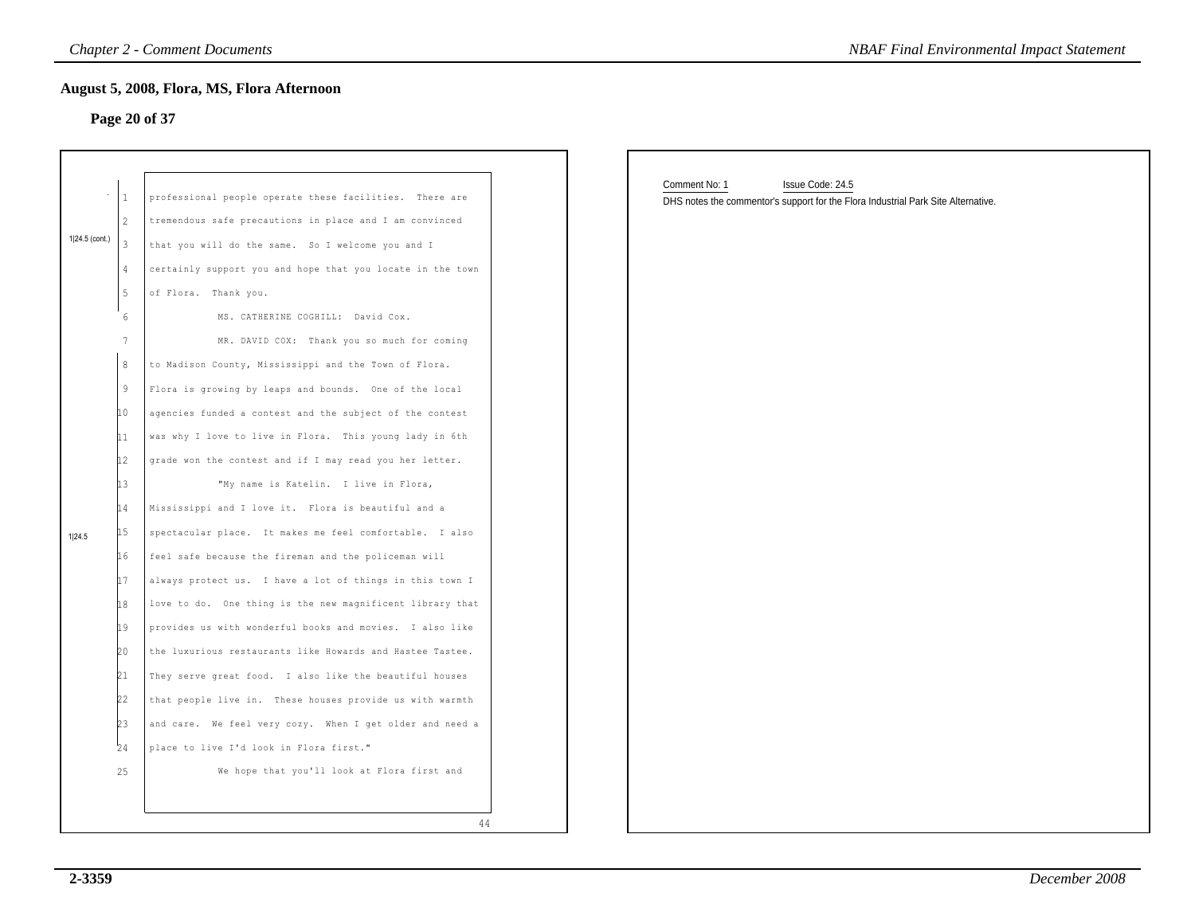#### **Page 20 of 37**

|                | $\mathbf{1}$             | professional people operate these facilities. There are    |
|----------------|--------------------------|------------------------------------------------------------|
|                | $\overline{\mathcal{L}}$ | tremendous safe precautions in place and I am convinced    |
| 1 24.5 (cont.) | 3                        | that you will do the same. So I welcome you and I          |
|                | 4                        | certainly support you and hope that you locate in the town |
|                | 5                        | of Flora. Thank you.                                       |
|                | 6                        | MS. CATHERINE COGHILL: David Cox.                          |
|                | 7                        | MR. DAVID COX: Thank you so much for coming                |
|                | 8                        | to Madison County, Mississippi and the Town of Flora.      |
|                | 9                        | Flora is growing by leaps and bounds. One of the local     |
|                | 10                       | agencies funded a contest and the subject of the contest   |
|                | 11                       | was why I love to live in Flora. This young lady in 6th    |
|                | 12                       | grade won the contest and if I may read you her letter.    |
|                | 13                       | "My name is Katelin. I live in Flora,                      |
|                | 14                       | Mississippi and I love it. Flora is beautiful and a        |
| 1 24.5         | 15                       | spectacular place. It makes me feel comfortable. I also    |
|                | 16                       | feel safe because the fireman and the policeman will       |
|                | 17                       | always protect us. I have a lot of things in this town I   |
|                | 18                       | love to do. One thing is the new magnificent library that  |
|                | 19                       | provides us with wonderful books and movies. I also like   |
|                | 20                       | the luxurious restaurants like Howards and Hastee Tastee.  |
|                | 21                       | They serve great food. I also like the beautiful houses    |
|                | 22                       | that people live in. These houses provide us with warmth   |
|                | b3                       | and care. We feel very cozy. When I get older and need a   |
|                | 24                       | place to live I'd look in Flora first."                    |
|                | 25                       | We hope that you'll look at Flora first and                |

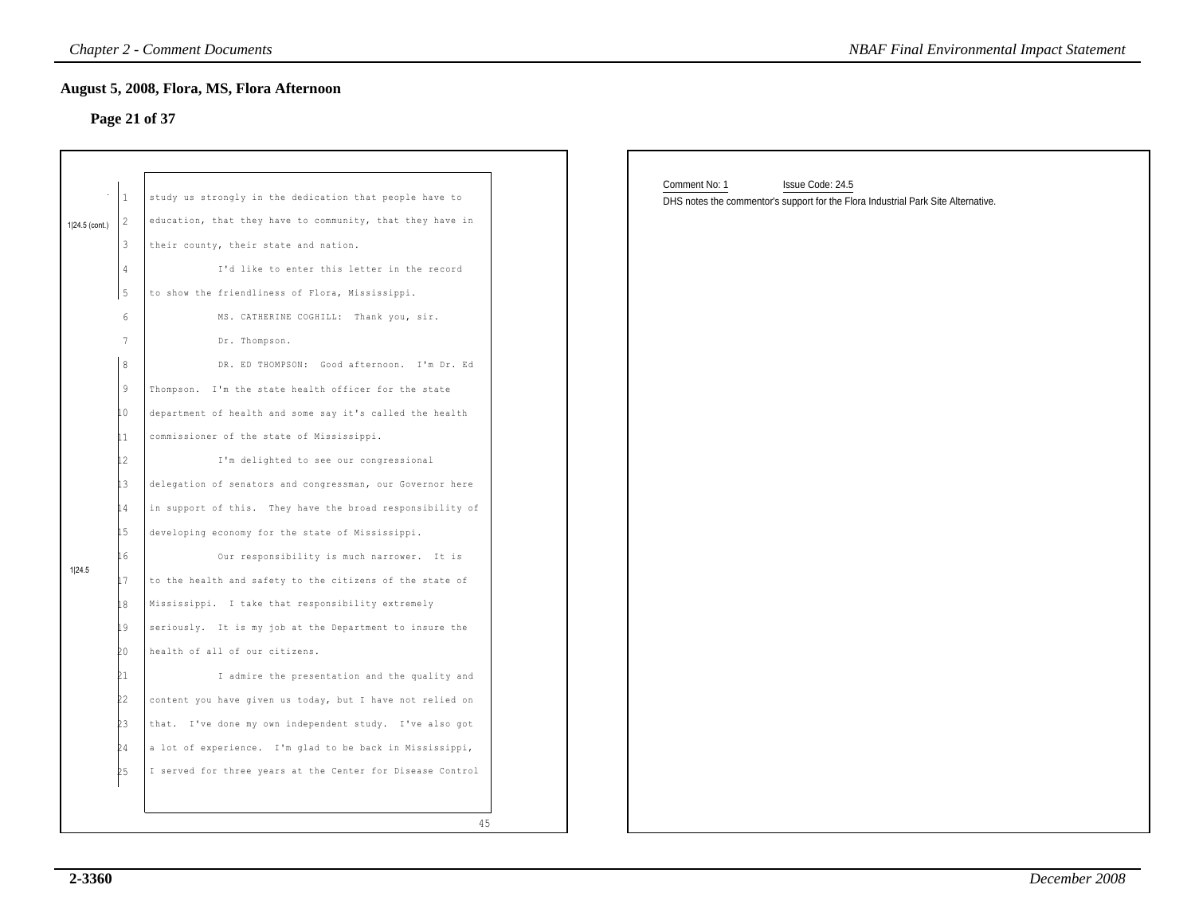# **Page 21 of 37**

|                |                                                                                                                                                | <b>Chapter 2 - Comment Documents</b>                                                                                                                                                                                                                                                                                                                                                                                                                                                                                                                                                                                                                                                                                                                                                                                                                                                                                                                                                                                                                           | <b>NBAF Final Environmental Impact Statement</b>                                                                       |
|----------------|------------------------------------------------------------------------------------------------------------------------------------------------|----------------------------------------------------------------------------------------------------------------------------------------------------------------------------------------------------------------------------------------------------------------------------------------------------------------------------------------------------------------------------------------------------------------------------------------------------------------------------------------------------------------------------------------------------------------------------------------------------------------------------------------------------------------------------------------------------------------------------------------------------------------------------------------------------------------------------------------------------------------------------------------------------------------------------------------------------------------------------------------------------------------------------------------------------------------|------------------------------------------------------------------------------------------------------------------------|
|                |                                                                                                                                                | August 5, 2008, Flora, MS, Flora Afternoon<br>Page 21 of 37                                                                                                                                                                                                                                                                                                                                                                                                                                                                                                                                                                                                                                                                                                                                                                                                                                                                                                                                                                                                    |                                                                                                                        |
| 1 24.5 (cont.) | $\mathbf{1}$<br>2<br>3<br>4<br>5                                                                                                               | study us strongly in the dedication that people have to<br>education, that they have to community, that they have in<br>their county, their state and nation.<br>I'd like to enter this letter in the record<br>to show the friendliness of Flora, Mississippi.                                                                                                                                                                                                                                                                                                                                                                                                                                                                                                                                                                                                                                                                                                                                                                                                | Comment No: 1<br>Issue Code: 24.5<br>DHS notes the commentor's support for the Flora Industrial Park Site Alternative. |
| 1 24.5         | 6<br>$7\phantom{.0}$<br>8<br>$\overline{9}$<br>İΟ.<br>11<br>12<br>İЗ<br>l 4<br>İ5<br>L 6<br>17<br>18<br>19<br>20<br>21<br>22<br>23<br>24<br>25 | MS. CATHERINE COGHILL: Thank you, sir.<br>Dr. Thompson.<br>DR. ED THOMPSON: Good afternoon. I'm Dr. Ed<br>Thompson. I'm the state health officer for the state<br>department of health and some say it's called the health<br>commissioner of the state of Mississippi.<br>I'm delighted to see our congressional<br>delegation of senators and congressman, our Governor here<br>in support of this. They have the broad responsibility of<br>developing economy for the state of Mississippi.<br>Our responsibility is much narrower. It is<br>to the health and safety to the citizens of the state of<br>Mississippi. I take that responsibility extremely<br>seriously. It is my job at the Department to insure the<br>health of all of our citizens.<br>I admire the presentation and the quality and<br>content you have given us today, but I have not relied on<br>that. I've done my own independent study. I've also got<br>a lot of experience. I'm glad to be back in Mississippi,<br>I served for three years at the Center for Disease Control |                                                                                                                        |
|                |                                                                                                                                                | 45                                                                                                                                                                                                                                                                                                                                                                                                                                                                                                                                                                                                                                                                                                                                                                                                                                                                                                                                                                                                                                                             |                                                                                                                        |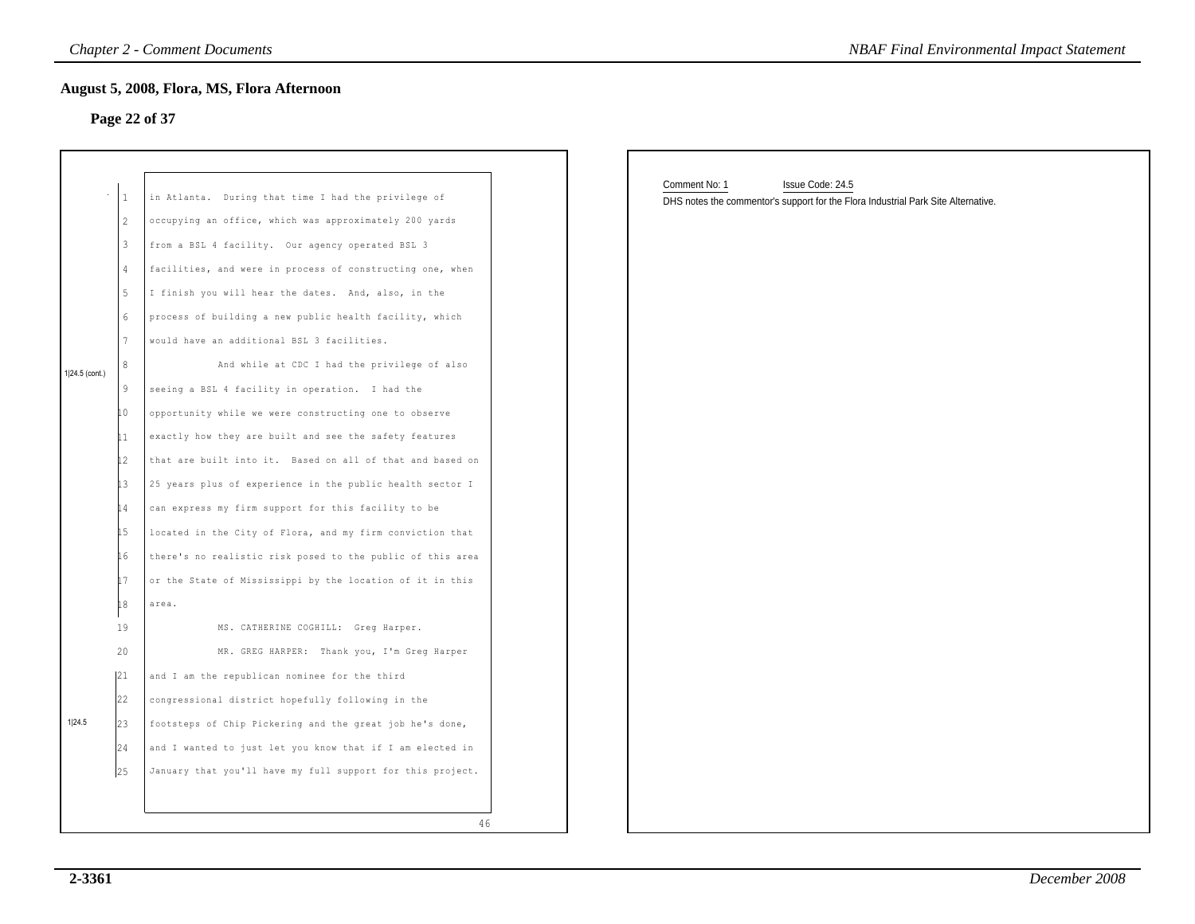#### **Page 22 of 37**

|                | $\mathbf{1}$ | in Atlanta. During that time I had the privilege of        |
|----------------|--------------|------------------------------------------------------------|
|                | 2            | occupying an office, which was approximately 200 yards     |
|                | 3            | from a BSL 4 facility. Our agency operated BSL 3           |
|                | 4            | facilities, and were in process of constructing one, when  |
|                | 5            | I finish you will hear the dates. And, also, in the        |
|                | 6            | process of building a new public health facility, which    |
|                | 7            | would have an additional BSL 3 facilities.                 |
| 1 24.5 (cont.) | 8            | And while at CDC I had the privilege of also               |
|                | 9            | seeing a BSL 4 facility in operation. I had the            |
|                | LO           | opportunity while we were constructing one to observe      |
|                | 11           | exactly how they are built and see the safety features     |
|                | l2           | that are built into it. Based on all of that and based on  |
|                | İЗ           | 25 years plus of experience in the public health sector I  |
|                | 14           | can express my firm support for this facility to be        |
|                | 15           | located in the City of Flora, and my firm conviction that  |
|                | 16           | there's no realistic risk posed to the public of this area |
|                | 17           | or the State of Mississippi by the location of it in this  |
|                | 18           | area.                                                      |
|                | 19           | MS. CATHERINE COGHILL: Greq Harper.                        |
|                | 20           | MR. GREG HARPER: Thank you, I'm Greg Harper                |
|                | 121          | and I am the republican nominee for the third              |
|                | 22           | congressional district hopefully following in the          |
| 1 24.5         | 23           | footsteps of Chip Pickering and the great job he's done,   |
|                | 24           | and I wanted to just let you know that if I am elected in  |
|                | 25           | January that you'll have my full support for this project. |

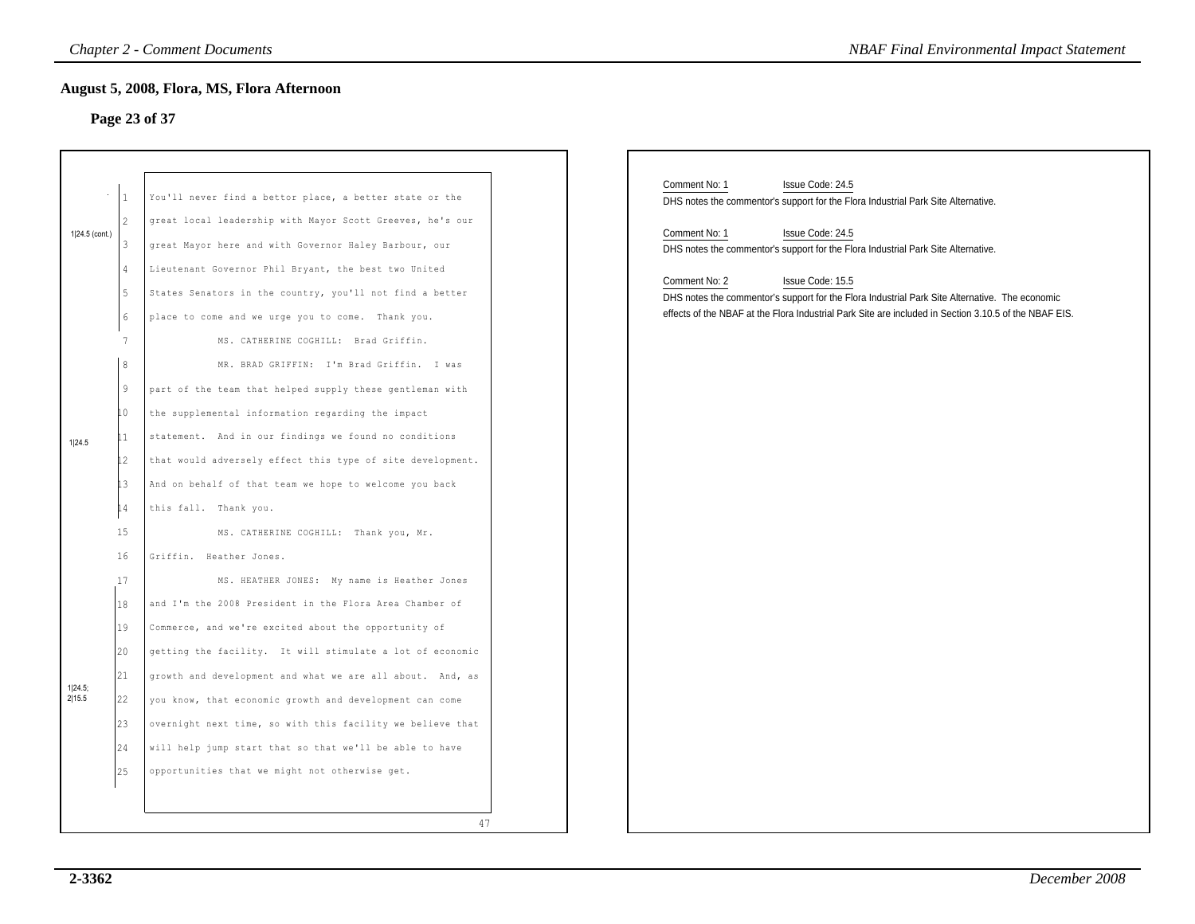# **Page 23 of 37**

|                          |                                                                                                                                 | <b>Chapter 2 - Comment Documents</b>                                                                                                                                                                                                                                                                                                                                                                                                                                                                                                                                                                                                                                                                                                                                   | <b>NBAF Final Environmental Impact Statement</b>                                                                                                                                                                                                                                                                                                                                                                                                                                                 |
|--------------------------|---------------------------------------------------------------------------------------------------------------------------------|------------------------------------------------------------------------------------------------------------------------------------------------------------------------------------------------------------------------------------------------------------------------------------------------------------------------------------------------------------------------------------------------------------------------------------------------------------------------------------------------------------------------------------------------------------------------------------------------------------------------------------------------------------------------------------------------------------------------------------------------------------------------|--------------------------------------------------------------------------------------------------------------------------------------------------------------------------------------------------------------------------------------------------------------------------------------------------------------------------------------------------------------------------------------------------------------------------------------------------------------------------------------------------|
|                          |                                                                                                                                 | <b>August 5, 2008, Flora, MS, Flora Afternoon</b><br>Page 23 of 37                                                                                                                                                                                                                                                                                                                                                                                                                                                                                                                                                                                                                                                                                                     |                                                                                                                                                                                                                                                                                                                                                                                                                                                                                                  |
| 1 24.5 (cont.)<br>1 24.5 | l 1.<br>$\overline{\mathcal{L}}$<br>3<br>4<br>5<br>$\epsilon$<br>7<br>8<br>9<br>10<br>$\mathbf{1}$<br>$\mathsf{12}$<br>13<br>14 | You'll never find a bettor place, a better state or the<br>great local leadership with Mayor Scott Greeves, he's our<br>great Mayor here and with Governor Haley Barbour, our<br>Lieutenant Governor Phil Bryant, the best two United<br>States Senators in the country, you'll not find a better<br>place to come and we urge you to come. Thank you.<br>MS. CATHERINE COGHILL: Brad Griffin.<br>MR. BRAD GRIFFIN: I'm Brad Griffin. I was<br>part of the team that helped supply these gentleman with<br>the supplemental information regarding the impact<br>statement. And in our findings we found no conditions<br>that would adversely effect this type of site development.<br>And on behalf of that team we hope to welcome you back<br>this fall. Thank you. | Comment No: 1<br>Issue Code: 24.5<br>DHS notes the commentor's support for the Flora Industrial Park Site Alternative.<br>Comment No: 1<br>Issue Code: 24.5<br>DHS notes the commentor's support for the Flora Industrial Park Site Alternative.<br>Comment No: 2<br>Issue Code: 15.5<br>DHS notes the commentor's support for the Flora Industrial Park Site Alternative. The economic<br>effects of the NBAF at the Flora Industrial Park Site are included in Section 3.10.5 of the NBAF EIS. |
| 1 24.5;<br>2 15.5        | 15<br>16<br>17<br>18<br>19<br>20<br>21<br>22<br>23<br>24<br>25                                                                  | MS. CATHERINE COGHILL: Thank you, Mr.<br>Griffin. Heather Jones.<br>MS. HEATHER JONES: My name is Heather Jones<br>and I'm the 2008 President in the Flora Area Chamber of<br>Commerce, and we're excited about the opportunity of<br>getting the facility. It will stimulate a lot of economic<br>growth and development and what we are all about. And, as<br>you know, that economic growth and development can come<br>overnight next time, so with this facility we believe that<br>will help jump start that so that we'll be able to have<br>opportunities that we might not otherwise get.                                                                                                                                                                     |                                                                                                                                                                                                                                                                                                                                                                                                                                                                                                  |
|                          |                                                                                                                                 | 47                                                                                                                                                                                                                                                                                                                                                                                                                                                                                                                                                                                                                                                                                                                                                                     |                                                                                                                                                                                                                                                                                                                                                                                                                                                                                                  |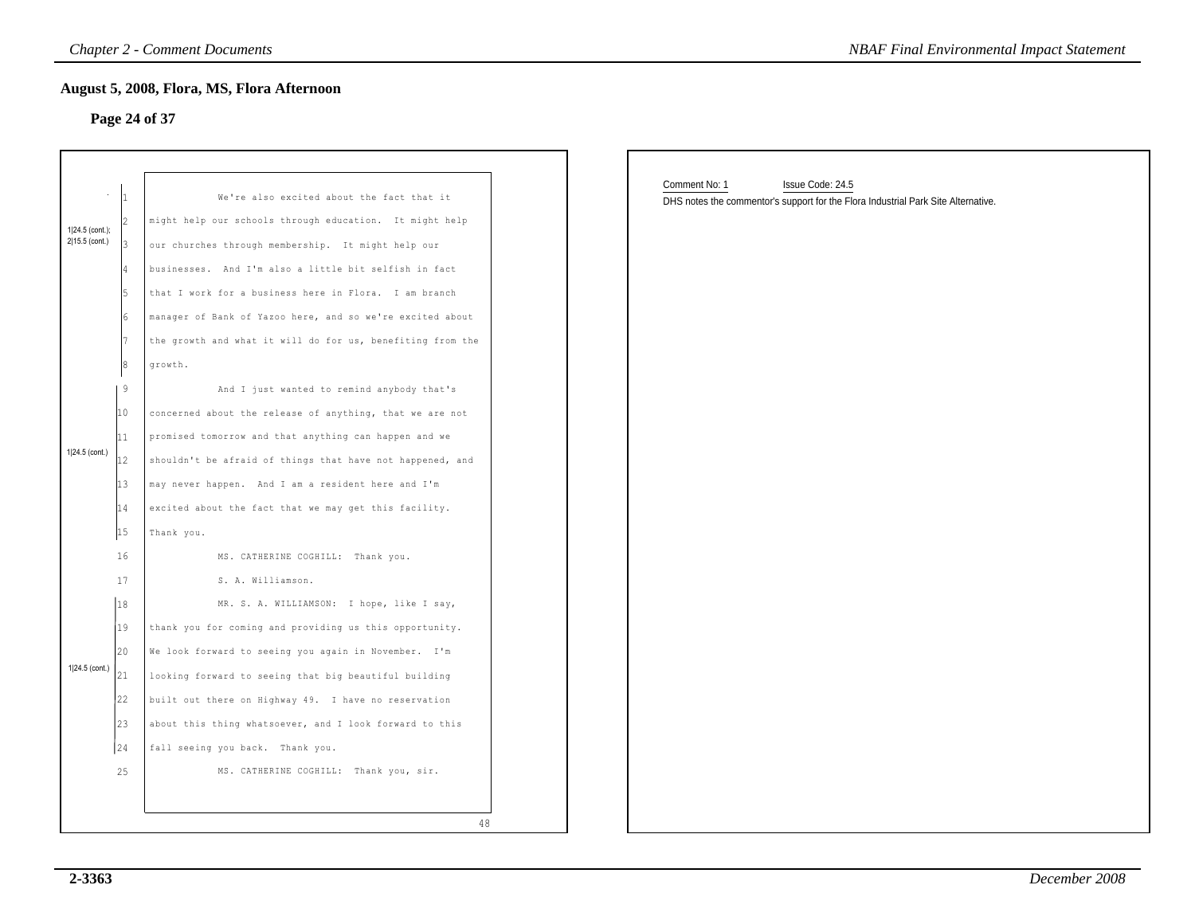# **Page 24 of 37**

|                                   |                                                                      | <b>Chapter 2 - Comment Documents</b>                                                                                                                                                                                                                                                                                                                                                                                                                                             | <b>NBAF Final Environmental Impact Statement</b>                                                                       |
|-----------------------------------|----------------------------------------------------------------------|----------------------------------------------------------------------------------------------------------------------------------------------------------------------------------------------------------------------------------------------------------------------------------------------------------------------------------------------------------------------------------------------------------------------------------------------------------------------------------|------------------------------------------------------------------------------------------------------------------------|
|                                   |                                                                      | August 5, 2008, Flora, MS, Flora Afternoon<br>Page 24 of 37                                                                                                                                                                                                                                                                                                                                                                                                                      |                                                                                                                        |
| 1 24.5 (cont.);<br>2 15.5 (cont.) | I4<br>l5<br>l6                                                       | We're also excited about the fact that it<br>might help our schools through education. It might help<br>our churches through membership. It might help our<br>businesses. And I'm also a little bit selfish in fact<br>that I work for a business here in Flora. I am branch<br>manager of Bank of Yazoo here, and so we're excited about                                                                                                                                        | Comment No: 1<br>Issue Code: 24.5<br>DHS notes the commentor's support for the Flora Industrial Park Site Alternative. |
| 1 24.5 (cont.)                    | l7<br>8<br>19<br>10<br>11<br>12<br>13<br>14<br>15                    | the growth and what it will do for us, benefiting from the<br>growth.<br>And I just wanted to remind anybody that's<br>concerned about the release of anything, that we are not<br>promised tomorrow and that anything can happen and we<br>shouldn't be afraid of things that have not happened, and<br>may never happen. And I am a resident here and I'm<br>excited about the fact that we may get this facility.<br>Thank you.                                               |                                                                                                                        |
| 1 24.5 (cont.)                    | 16<br>17<br> 18 <br>19<br>20<br>21<br>22<br>$ 23\rangle$<br>24<br>25 | MS. CATHERINE COGHILL: Thank you.<br>S. A. Williamson.<br>MR. S. A. WILLIAMSON: I hope, like I say,<br>thank you for coming and providing us this opportunity.<br>We look forward to seeing you again in November. I'm<br>looking forward to seeing that big beautiful building<br>built out there on Highway 49. I have no reservation<br>about this thing whatsoever, and I look forward to this<br>fall seeing you back. Thank you.<br>MS. CATHERINE COGHILL: Thank you, sir. |                                                                                                                        |
|                                   |                                                                      | 48                                                                                                                                                                                                                                                                                                                                                                                                                                                                               |                                                                                                                        |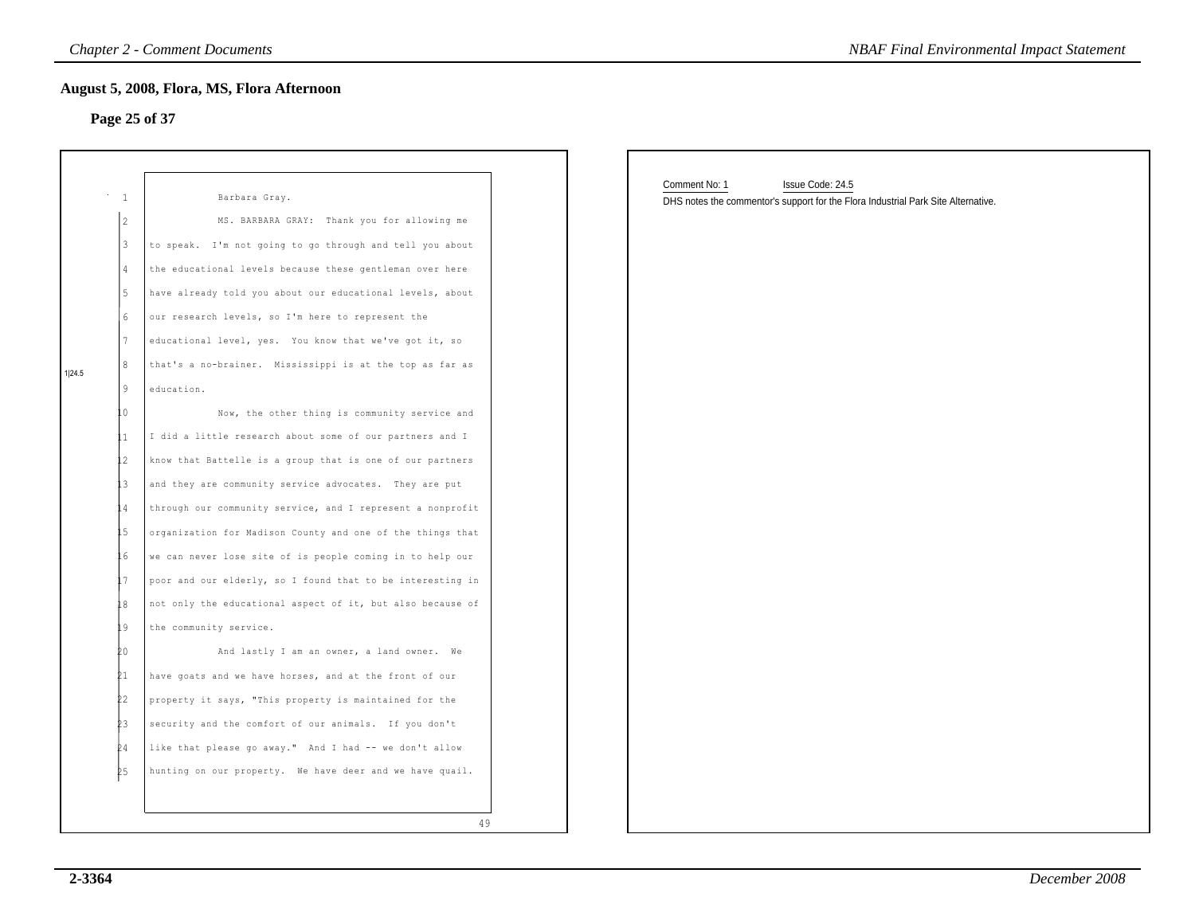# **Page 25 of 37**

| Page 25 of 37<br>$^{\circ}$ – $1$<br>2<br>3<br>$\overline{4}$<br>5<br>6<br>7<br>8<br>1 24.5<br>9<br>education.<br>L O<br>L1.<br>12<br>13<br>L 4<br>15<br>İб<br>L 7<br>L8<br>19<br>Þ0 | Barbara Gray.<br>MS. BARBARA GRAY: Thank you for allowing me | Comment No: 1<br>Issue Code: 24.5                                                 |
|--------------------------------------------------------------------------------------------------------------------------------------------------------------------------------------|--------------------------------------------------------------|-----------------------------------------------------------------------------------|
|                                                                                                                                                                                      |                                                              |                                                                                   |
|                                                                                                                                                                                      |                                                              |                                                                                   |
|                                                                                                                                                                                      |                                                              | DHS notes the commentor's support for the Flora Industrial Park Site Alternative. |
|                                                                                                                                                                                      |                                                              |                                                                                   |
|                                                                                                                                                                                      | to speak. I'm not going to go through and tell you about     |                                                                                   |
|                                                                                                                                                                                      | the educational levels because these gentleman over here     |                                                                                   |
|                                                                                                                                                                                      | have already told you about our educational levels, about    |                                                                                   |
|                                                                                                                                                                                      | our research levels, so I'm here to represent the            |                                                                                   |
|                                                                                                                                                                                      | educational level, yes. You know that we've got it, so       |                                                                                   |
|                                                                                                                                                                                      | that's a no-brainer. Mississippi is at the top as far as     |                                                                                   |
|                                                                                                                                                                                      |                                                              |                                                                                   |
|                                                                                                                                                                                      | Now, the other thing is community service and                |                                                                                   |
|                                                                                                                                                                                      | I did a little research about some of our partners and I     |                                                                                   |
|                                                                                                                                                                                      | know that Battelle is a group that is one of our partners    |                                                                                   |
|                                                                                                                                                                                      | and they are community service advocates. They are put       |                                                                                   |
|                                                                                                                                                                                      | through our community service, and I represent a nonprofit   |                                                                                   |
|                                                                                                                                                                                      | organization for Madison County and one of the things that   |                                                                                   |
|                                                                                                                                                                                      | we can never lose site of is people coming in to help our    |                                                                                   |
|                                                                                                                                                                                      | poor and our elderly, so I found that to be interesting in   |                                                                                   |
|                                                                                                                                                                                      | not only the educational aspect of it, but also because of   |                                                                                   |
|                                                                                                                                                                                      | the community service.                                       |                                                                                   |
|                                                                                                                                                                                      | And lastly I am an owner, a land owner. We                   |                                                                                   |
| 21                                                                                                                                                                                   | have goats and we have horses, and at the front of our       |                                                                                   |
| 22.                                                                                                                                                                                  | property it says, "This property is maintained for the       |                                                                                   |
|                                                                                                                                                                                      | security and the comfort of our animals. If you don't        |                                                                                   |
|                                                                                                                                                                                      | like that please go away." And I had -- we don't allow       |                                                                                   |
| hunting on our property. We have deer and we have quail.<br>25                                                                                                                       |                                                              |                                                                                   |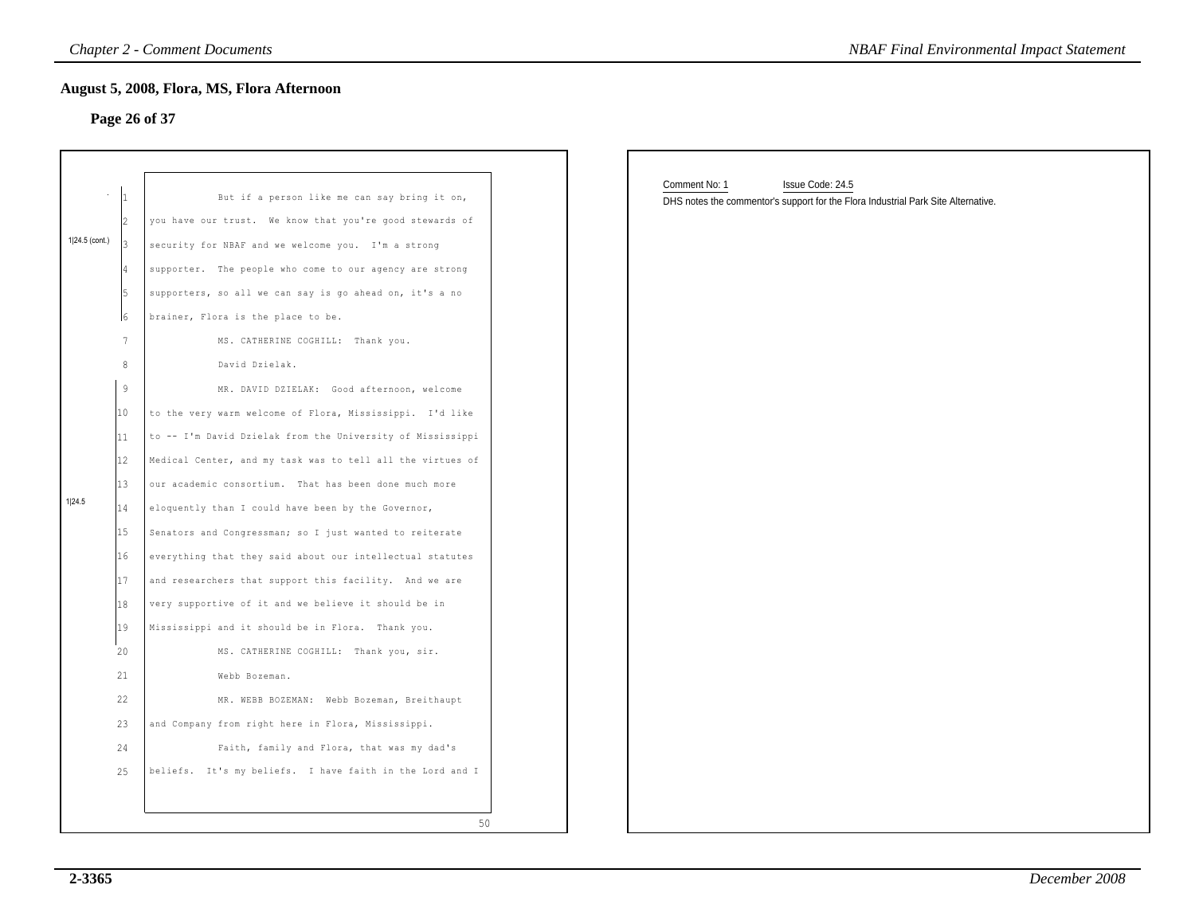# **Page 26 of 37**

|                  |                 | <b>Chapter 2 - Comment Documents</b>                        |  |                                                                                                                        | <b>NBAF Final Environmental Impact Statement</b> |
|------------------|-----------------|-------------------------------------------------------------|--|------------------------------------------------------------------------------------------------------------------------|--------------------------------------------------|
|                  |                 | August 5, 2008, Flora, MS, Flora Afternoon<br>Page 26 of 37 |  |                                                                                                                        |                                                  |
|                  |                 |                                                             |  |                                                                                                                        |                                                  |
|                  |                 | But if a person like me can say bring it on,                |  | Comment No: 1<br>Issue Code: 24.5<br>DHS notes the commentor's support for the Flora Industrial Park Site Alternative. |                                                  |
|                  |                 | you have our trust. We know that you're good stewards of    |  |                                                                                                                        |                                                  |
| $1 24.5$ (cont.) |                 | security for NBAF and we welcome you. I'm a strong          |  |                                                                                                                        |                                                  |
|                  |                 | supporter. The people who come to our agency are strong     |  |                                                                                                                        |                                                  |
|                  |                 | supporters, so all we can say is go ahead on, it's a no     |  |                                                                                                                        |                                                  |
|                  | 16              | brainer, Flora is the place to be.                          |  |                                                                                                                        |                                                  |
|                  | $7\phantom{.0}$ | MS. CATHERINE COGHILL: Thank you.                           |  |                                                                                                                        |                                                  |
|                  | 8               | David Dzielak.                                              |  |                                                                                                                        |                                                  |
|                  | 9               | MR. DAVID DZIELAK: Good afternoon, welcome                  |  |                                                                                                                        |                                                  |
|                  | 10              | to the very warm welcome of Flora, Mississippi. I'd like    |  |                                                                                                                        |                                                  |
|                  | 11              | to -- I'm David Dzielak from the University of Mississippi  |  |                                                                                                                        |                                                  |
|                  | 12              | Medical Center, and my task was to tell all the virtues of  |  |                                                                                                                        |                                                  |
|                  | 13              | our academic consortium. That has been done much more       |  |                                                                                                                        |                                                  |
| 1 24.5           | 14              | eloquently than I could have been by the Governor,          |  |                                                                                                                        |                                                  |
|                  | 15              | Senators and Congressman; so I just wanted to reiterate     |  |                                                                                                                        |                                                  |
|                  | 16              | everything that they said about our intellectual statutes   |  |                                                                                                                        |                                                  |
|                  | 17              | and researchers that support this facility. And we are      |  |                                                                                                                        |                                                  |
|                  | 18              | very supportive of it and we believe it should be in        |  |                                                                                                                        |                                                  |
|                  | 19              | Mississippi and it should be in Flora. Thank you.           |  |                                                                                                                        |                                                  |
|                  | 20              | MS. CATHERINE COGHILL: Thank you, sir.                      |  |                                                                                                                        |                                                  |
|                  | 21              | Webb Bozeman.                                               |  |                                                                                                                        |                                                  |
|                  | 22              | MR. WEBB BOZEMAN: Webb Bozeman, Breithaupt                  |  |                                                                                                                        |                                                  |
|                  | 23              | and Company from right here in Flora, Mississippi.          |  |                                                                                                                        |                                                  |
|                  | 24              | Faith, family and Flora, that was my dad's                  |  |                                                                                                                        |                                                  |
|                  | 25              | beliefs. It's my beliefs. I have faith in the Lord and I    |  |                                                                                                                        |                                                  |
|                  |                 | 50                                                          |  |                                                                                                                        |                                                  |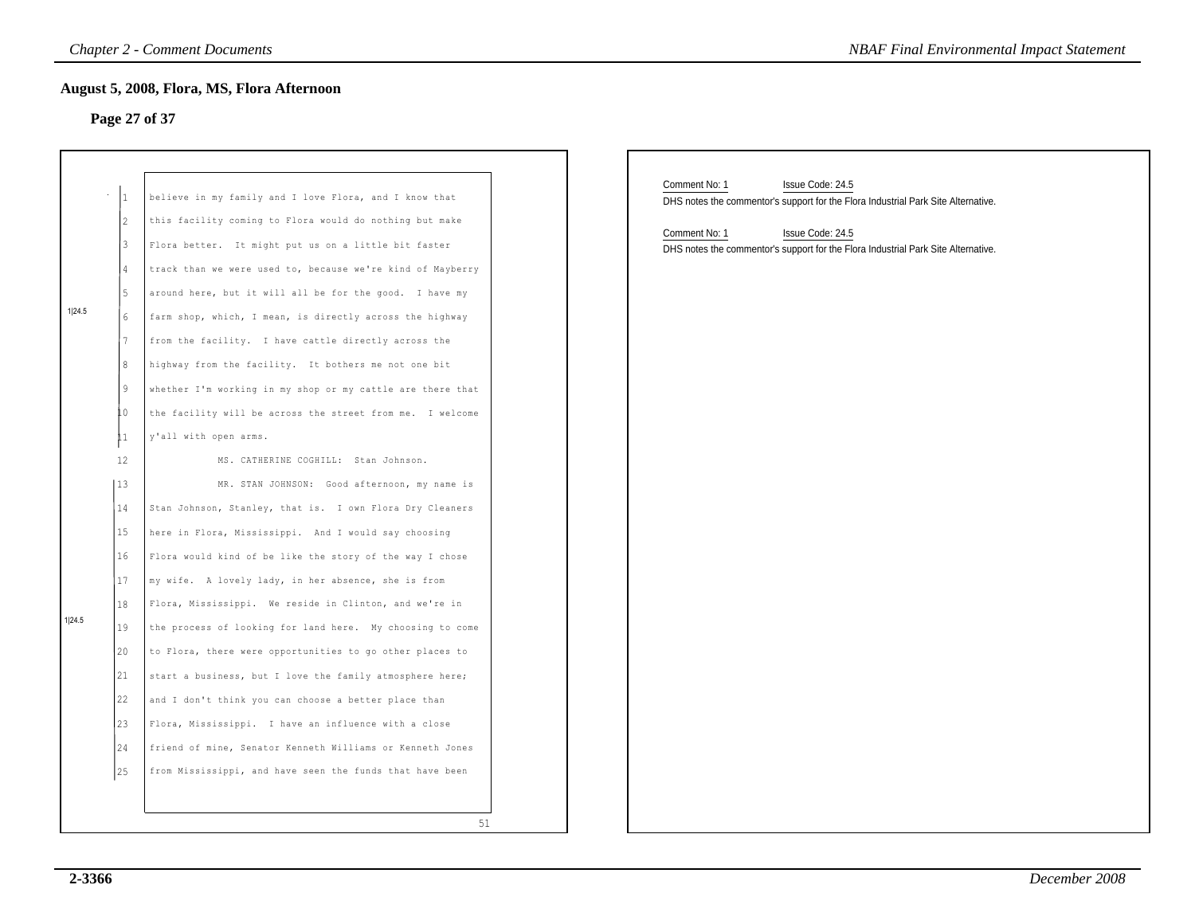# **Page 27 of 37**

|        |                                                                                                         | <b>Chapter 2 - Comment Documents</b>                                                                                                                                                                                                                                                                                                                                                                                                                                                                                                                                                                                                                                                                                                                                                                                | <b>NBAF Final Environmental Impact Statement</b>                                                                                                                                                                                                 |
|--------|---------------------------------------------------------------------------------------------------------|---------------------------------------------------------------------------------------------------------------------------------------------------------------------------------------------------------------------------------------------------------------------------------------------------------------------------------------------------------------------------------------------------------------------------------------------------------------------------------------------------------------------------------------------------------------------------------------------------------------------------------------------------------------------------------------------------------------------------------------------------------------------------------------------------------------------|--------------------------------------------------------------------------------------------------------------------------------------------------------------------------------------------------------------------------------------------------|
|        | Page 27 of 37                                                                                           | August 5, 2008, Flora, MS, Flora Afternoon                                                                                                                                                                                                                                                                                                                                                                                                                                                                                                                                                                                                                                                                                                                                                                          |                                                                                                                                                                                                                                                  |
| 1 24.5 | $ 1\rangle$<br>2<br>3<br>$\overline{4}$<br>5<br>6<br>$7\phantom{.0}$<br>8<br>9<br>LO.<br>$\overline{1}$ | believe in my family and I love Flora, and I know that<br>this facility coming to Flora would do nothing but make<br>Flora better. It might put us on a little bit faster<br>track than we were used to, because we're kind of Mayberry<br>around here, but it will all be for the good. I have my<br>farm shop, which, I mean, is directly across the highway<br>from the facility. I have cattle directly across the<br>highway from the facility. It bothers me not one bit<br>whether I'm working in my shop or my cattle are there that<br>the facility will be across the street from me. I welcome<br>y'all with open arms.                                                                                                                                                                                  | Comment No: 1<br>Issue Code: 24.5<br>DHS notes the commentor's support for the Flora Industrial Park Site Alternative.<br>Comment No: 1<br>Issue Code: 24.5<br>DHS notes the commentor's support for the Flora Industrial Park Site Alternative. |
| 1 24.5 | 12<br>13<br>14<br>15<br>16<br>17<br>18<br>19<br>20<br>21<br>22<br>123<br>24<br>25                       | MS. CATHERINE COGHILL: Stan Johnson.<br>MR. STAN JOHNSON: Good afternoon, my name is<br>Stan Johnson, Stanley, that is. I own Flora Dry Cleaners<br>here in Flora, Mississippi. And I would say choosing<br>Flora would kind of be like the story of the way I chose<br>my wife. A lovely lady, in her absence, she is from<br>Flora, Mississippi. We reside in Clinton, and we're in<br>the process of looking for land here. My choosing to come<br>to Flora, there were opportunities to go other places to<br>start a business, but I love the family atmosphere here;<br>and I don't think you can choose a better place than<br>Flora, Mississippi. I have an influence with a close<br>friend of mine, Senator Kenneth Williams or Kenneth Jones<br>from Mississippi, and have seen the funds that have been |                                                                                                                                                                                                                                                  |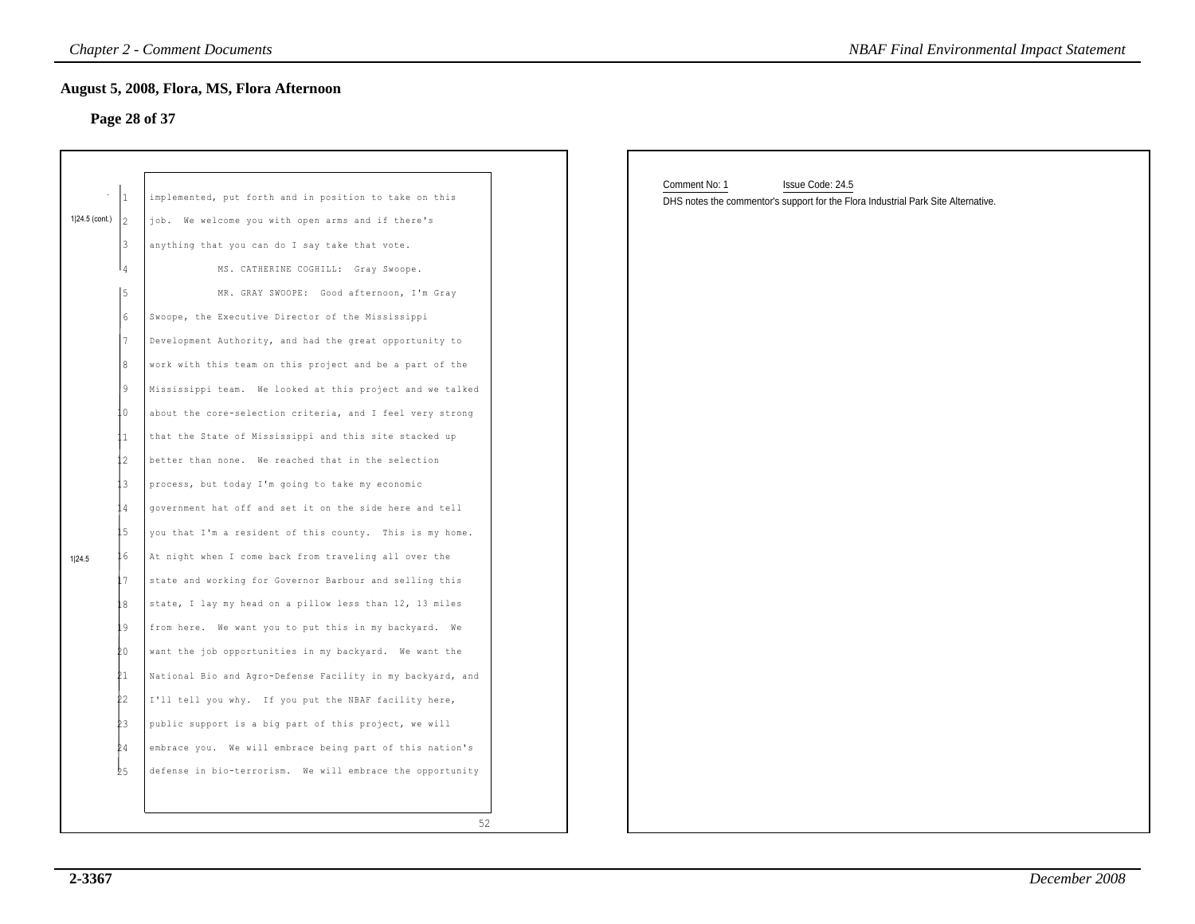# **Page 28 of 37**

|                | $\mathbf{1}$            | implemented, put forth and in position to take on this     |
|----------------|-------------------------|------------------------------------------------------------|
| 1 24.5 (cont.) | 2                       | We welcome you with open arms and if there's<br>iob.       |
|                | 3                       | anything that you can do I say take that vote.             |
|                | $\Delta$                | MS. CATHERINE COGHILL: Gray Swoope.                        |
|                | 5                       | MR. GRAY SWOOPE: Good afternoon, I'm Gray                  |
|                | 6                       | Swoope, the Executive Director of the Mississippi          |
|                | 7                       | Development Authority, and had the great opportunity to    |
|                | 8                       | work with this team on this project and be a part of the   |
|                | 9                       | Mississippi team. We looked at this project and we talked  |
|                | $\Omega$                | about the core-selection criteria, and I feel very strong  |
|                | 11                      | that the State of Mississippi and this site stacked up     |
|                | $\overline{2}$          | better than none. We reached that in the selection         |
|                | $\overline{\mathbf{3}}$ | process, but today I'm going to take my economic           |
|                | $\sqrt{4}$              | government hat off and set it on the side here and tell    |
|                | 15                      | you that I'm a resident of this county. This is my home.   |
| 1 24.5         | L 6                     | At night when I come back from traveling all over the      |
|                | L7                      | state and working for Governor Barbour and selling this    |
|                | 18                      | state, I lay my head on a pillow less than 12, 13 miles    |
|                | L9                      | from here. We want you to put this in my backyard. We      |
|                | 20                      | want the job opportunities in my backyard. We want the     |
|                | 21                      | National Bio and Agro-Defense Facility in my backyard, and |
|                | Þ2                      | I'll tell you why. If you put the NBAF facility here,      |
|                | ÞЗ                      | public support is a big part of this project, we will      |
|                | 24                      | embrace you. We will embrace being part of this nation's   |
|                | 25                      | defense in bio-terrorism. We will embrace the opportunity  |
|                |                         |                                                            |
|                |                         | 52                                                         |

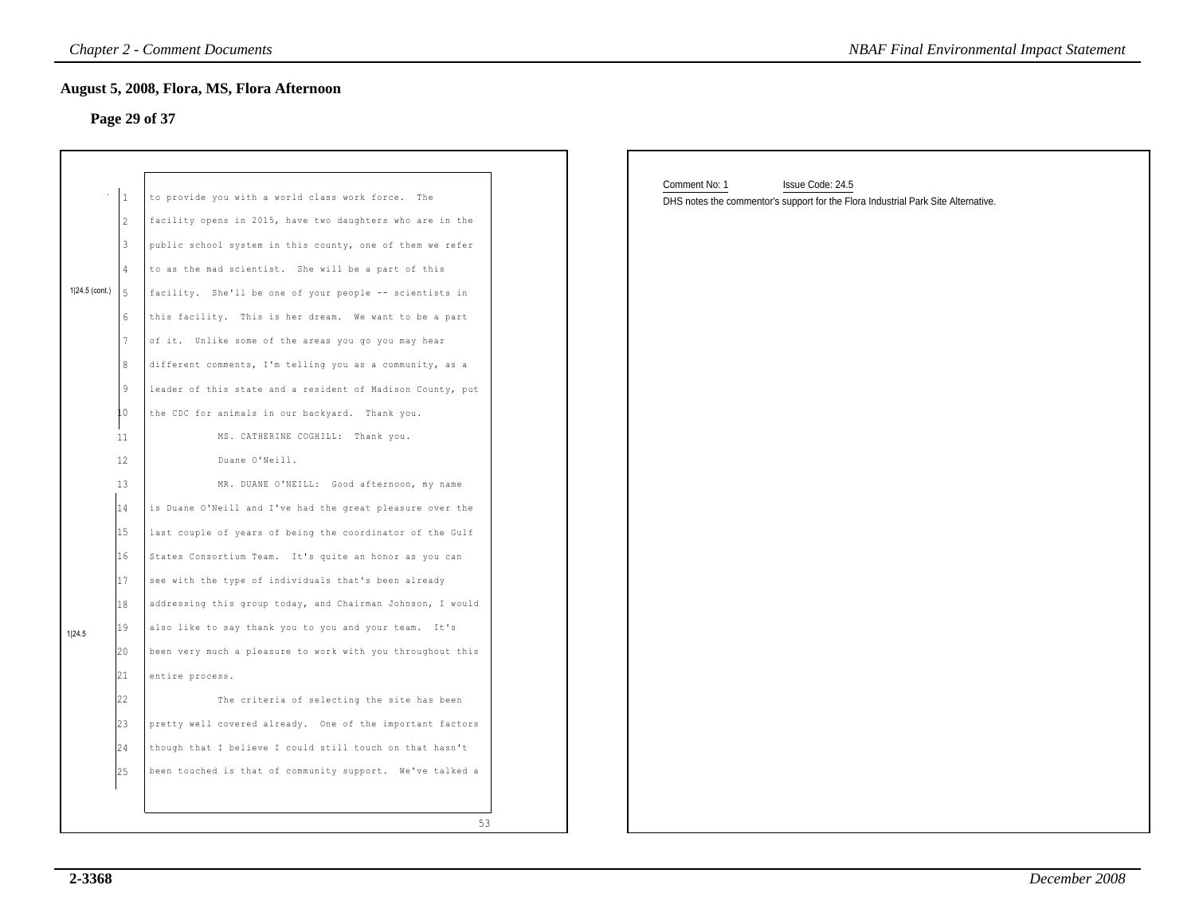#### **Page 29 of 37**

|                | $\mathbf{1}$ | to provide you with a world class work force. The          |
|----------------|--------------|------------------------------------------------------------|
|                | 2            | facility opens in 2015, have two daughters who are in the  |
|                | 3            |                                                            |
|                |              | public school system in this county, one of them we refer  |
|                | 4            | to as the mad scientist. She will be a part of this        |
| 1 24.5 (cont.) | 5            | facility. She'll be one of your people -- scientists in    |
|                | 6            | this facility. This is her dream. We want to be a part     |
|                | 7            | of it. Unlike some of the areas you go you may hear        |
|                | 8            | different comments, I'm telling you as a community, as a   |
|                | 9            | leader of this state and a resident of Madison County, put |
|                | LO.          | the CDC for animals in our backyard. Thank you.            |
|                | 11           | MS. CATHERINE COGHILL: Thank you.                          |
|                | 12           | Duane O'Neill.                                             |
|                | 13           | MR. DUANE O'NEILL: Good afternoon, my name                 |
|                | 14           | is Duane O'Neill and I've had the great pleasure over the  |
|                | 15           | last couple of years of being the coordinator of the Gulf  |
|                | 16           | States Consortium Team. It's quite an honor as you can     |
|                | 17           | see with the type of individuals that's been already       |
|                | 18           | addressing this group today, and Chairman Johnson, I would |
| 1 24.5         | 19           | also like to say thank you to you and your team. It's      |
|                | 20           | been very much a pleasure to work with you throughout this |
|                | 21           | entire process.                                            |
|                | 22           | The criteria of selecting the site has been                |
|                | 23           | pretty well covered already. One of the important factors  |
|                | 24           | though that I believe I could still touch on that hasn't   |
|                | 25           | been touched is that of community support. We've talked a  |

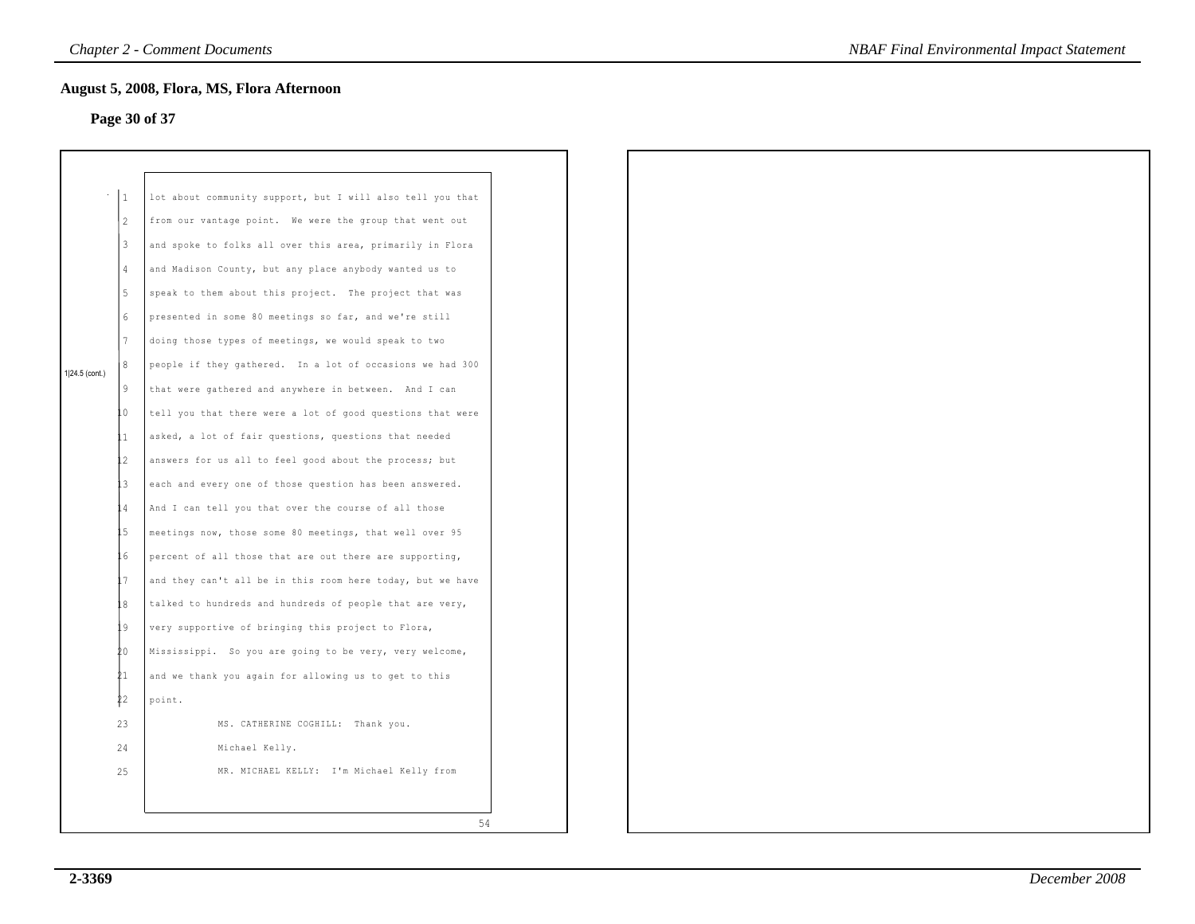# **Page 30 of 37**

|                  | 1              | lot about community support, but I will also tell you that |
|------------------|----------------|------------------------------------------------------------|
|                  | $\overline{2}$ | from our vantage point. We were the group that went out    |
|                  | 3              | and spoke to folks all over this area, primarily in Flora  |
|                  | 4              | and Madison County, but any place anybody wanted us to     |
|                  | 5              | speak to them about this project. The project that was     |
|                  | 6              | presented in some 80 meetings so far, and we're still      |
|                  | 7              | doing those types of meetings, we would speak to two       |
| $1 24.5$ (cont.) | 8              | people if they gathered. In a lot of occasions we had 300  |
|                  | 9              | that were gathered and anywhere in between. And I can      |
|                  | 0              | tell you that there were a lot of good questions that were |
|                  | 1              | asked, a lot of fair questions, questions that needed      |
|                  | 2              | answers for us all to feel good about the process; but     |
|                  | 3              | each and every one of those question has been answered.    |
|                  | $\overline{4}$ | And I can tell you that over the course of all those       |
|                  | .5             | meetings now, those some 80 meetings, that well over 95    |
|                  | . 6            | percent of all those that are out there are supporting,    |
|                  | . 7            | and they can't all be in this room here today, but we have |
|                  | .8             | talked to hundreds and hundreds of people that are very,   |
|                  | . 9            | very supportive of bringing this project to Flora,         |
|                  | 20             | Mississippi. So you are going to be very, very welcome,    |
|                  | 21             | and we thank you again for allowing us to get to this      |
|                  | \$2            | point.                                                     |
|                  | 23             | MS. CATHERINE COGHILL: Thank you.                          |
|                  | 24             | Michael Kelly.                                             |
|                  | 25             | MR. MICHAEL KELLY: I'm Michael Kelly from                  |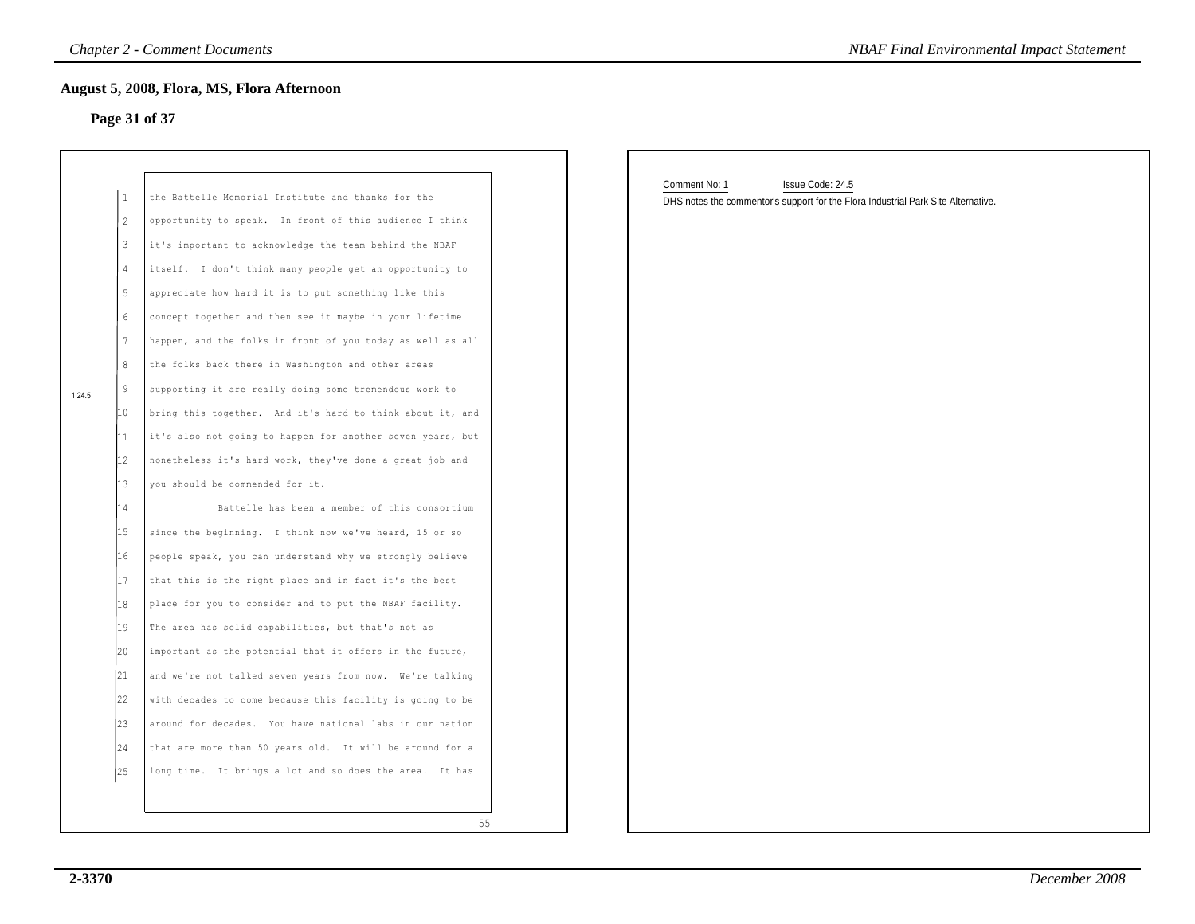#### **Page 31 of 37**

|        | 1  | the Battelle Memorial Institute and thanks for the         |
|--------|----|------------------------------------------------------------|
|        | 2  | opportunity to speak. In front of this audience I think    |
|        | 3  | it's important to acknowledge the team behind the NBAF     |
|        | 4  | itself. I don't think many people get an opportunity to    |
|        | 5  | appreciate how hard it is to put something like this       |
|        | 6  | concept together and then see it maybe in your lifetime    |
|        | 7  | happen, and the folks in front of you today as well as all |
|        | 8  | the folks back there in Washington and other areas         |
| 1 24.5 | 9  | supporting it are really doing some tremendous work to     |
|        | 10 | bring this together. And it's hard to think about it, and  |
|        | 11 | it's also not going to happen for another seven years, but |
|        | 12 | nonetheless it's hard work, they've done a great job and   |
|        | 13 | you should be commended for it.                            |
|        | 14 | Battelle has been a member of this consortium              |
|        | 15 | since the beginning. I think now we've heard, 15 or so     |
|        | 16 | people speak, you can understand why we strongly believe   |
|        | 17 | that this is the right place and in fact it's the best     |
|        | 18 | place for you to consider and to put the NBAF facility.    |
|        | 19 | The area has solid capabilities, but that's not as         |
|        | 20 | important as the potential that it offers in the future,   |
|        | 21 | and we're not talked seven years from now. We're talking   |
|        | 22 | with decades to come because this facility is going to be  |
|        | 23 | around for decades. You have national labs in our nation   |
|        | 24 | that are more than 50 years old. It will be around for a   |
|        | 25 | long time. It brings a lot and so does the area. It has    |

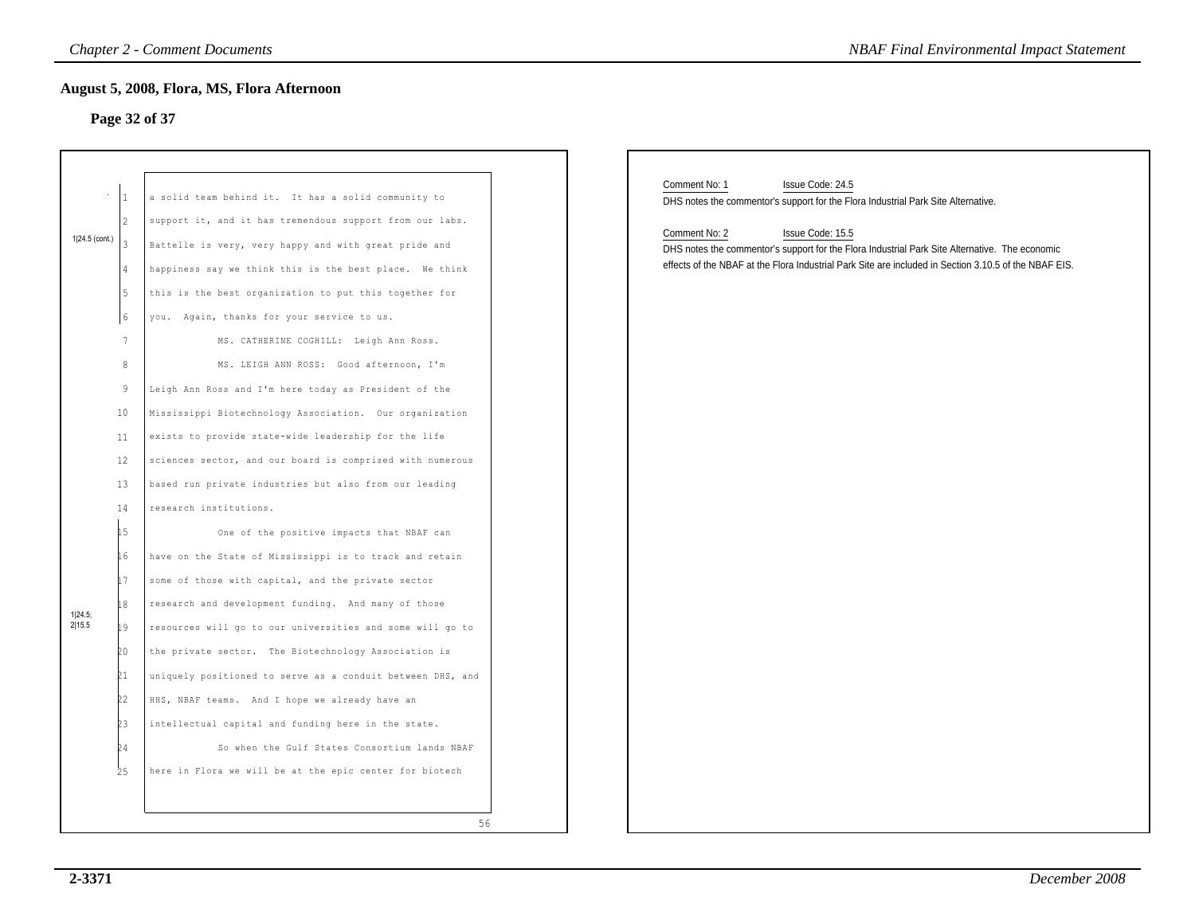# **Page 32 of 37**

| <b>Chapter 2 - Comment Documents</b>                                                                                                                                                                                                                                                                                                                                                                                                                                                                                                                                                      | <b>NBAF Final Environmental Impact Statement</b>                                                                                                                                                                                                                                                                                                                       |
|-------------------------------------------------------------------------------------------------------------------------------------------------------------------------------------------------------------------------------------------------------------------------------------------------------------------------------------------------------------------------------------------------------------------------------------------------------------------------------------------------------------------------------------------------------------------------------------------|------------------------------------------------------------------------------------------------------------------------------------------------------------------------------------------------------------------------------------------------------------------------------------------------------------------------------------------------------------------------|
| <b>August 5, 2008, Flora, MS, Flora Afternoon</b><br>Page 32 of 37                                                                                                                                                                                                                                                                                                                                                                                                                                                                                                                        |                                                                                                                                                                                                                                                                                                                                                                        |
| a solid team behind it. It has a solid community to<br>support it, and it has tremendous support from our labs.<br>Battelle is very, very happy and with great pride and<br>happiness say we think this is the best place. We think<br>this is the best organization to put this together for<br>you. Again, thanks for your service to us.<br>MS. CATHERINE COGHILL: Leigh Ann Ross.                                                                                                                                                                                                     | Comment No: 1<br>Issue Code: 24.5<br>DHS notes the commentor's support for the Flora Industrial Park Site Alternative.<br>Comment No: 2<br>Issue Code: 15.5<br>DHS notes the commentor's support for the Flora Industrial Park Site Alternative. The economic<br>effects of the NBAF at the Flora Industrial Park Site are included in Section 3.10.5 of the NBAF EIS. |
| MS. LEIGH ANN ROSS: Good afternoon, I'm<br>Leigh Ann Ross and I'm here today as President of the<br>Mississippi Biotechnology Association. Our organization<br>exists to provide state-wide leadership for the life<br>sciences sector, and our board is comprised with numerous<br>based run private industries but also from our leading<br>research institutions.<br>One of the positive impacts that NBAF can<br>have on the State of Mississippi is to track and retain<br>some of those with capital, and the private sector<br>research and development funding. And many of those |                                                                                                                                                                                                                                                                                                                                                                        |
| resources will go to our universities and some will go to<br>the private sector. The Biotechnology Association is<br>uniquely positioned to serve as a conduit between DHS, and<br>HHS, NBAF teams. And I hope we already have an<br>intellectual capital and funding here in the state.<br>So when the Gulf States Consortium lands NBAF<br>here in Flora we will be at the epic center for biotech<br>56                                                                                                                                                                                |                                                                                                                                                                                                                                                                                                                                                                        |
|                                                                                                                                                                                                                                                                                                                                                                                                                                                                                                                                                                                           |                                                                                                                                                                                                                                                                                                                                                                        |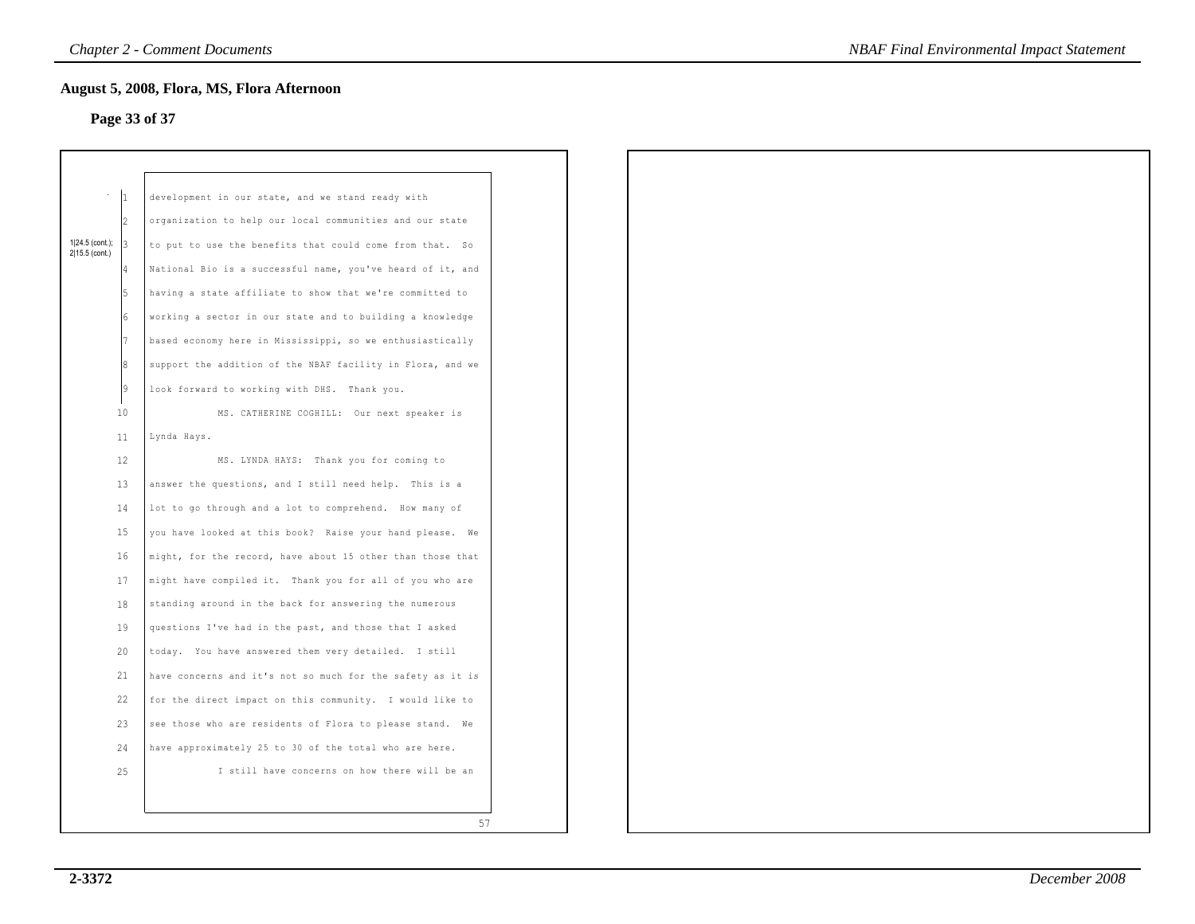# **Page 33 of 37**

|                                   |                | August 5, 2008, Flora, MS, Flora Afternoon                 |  |  |
|-----------------------------------|----------------|------------------------------------------------------------|--|--|
|                                   |                | Page 33 of 37                                              |  |  |
|                                   |                |                                                            |  |  |
|                                   |                |                                                            |  |  |
|                                   |                | development in our state, and we stand ready with          |  |  |
|                                   | 12.            | organization to help our local communities and our state   |  |  |
| 1 24.5 (cont.);<br>2 15.5 (cont.) |                | to put to use the benefits that could come from that. So   |  |  |
|                                   | $\overline{4}$ | National Bio is a successful name, you've heard of it, and |  |  |
|                                   |                | having a state affiliate to show that we're committed to   |  |  |
|                                   |                | working a sector in our state and to building a knowledge  |  |  |
|                                   |                | based economy here in Mississippi, so we enthusiastically  |  |  |
|                                   | 8              | support the addition of the NBAF facility in Flora, and we |  |  |
|                                   | l9             | look forward to working with DHS. Thank you.               |  |  |
|                                   | 10             | MS. CATHERINE COGHILL: Our next speaker is                 |  |  |
|                                   | 11             | Lynda Hays.                                                |  |  |
|                                   | 12             | MS. LYNDA HAYS: Thank you for coming to                    |  |  |
|                                   | 13             | answer the questions, and I still need help. This is a     |  |  |
|                                   | 14             | lot to go through and a lot to comprehend. How many of     |  |  |
|                                   | 15             | you have looked at this book? Raise your hand please. We   |  |  |
|                                   | 16             | might, for the record, have about 15 other than those that |  |  |
|                                   | 17             | might have compiled it. Thank you for all of you who are   |  |  |
|                                   | 18             | standing around in the back for answering the numerous     |  |  |
|                                   | 19             | questions I've had in the past, and those that I asked     |  |  |
|                                   | 20             | today. You have answered them very detailed. I still       |  |  |
|                                   | 21             | have concerns and it's not so much for the safety as it is |  |  |
|                                   | 22             | for the direct impact on this community. I would like to   |  |  |
|                                   | 23             | see those who are residents of Flora to please stand. We   |  |  |
|                                   | 24             | have approximately 25 to 30 of the total who are here.     |  |  |
|                                   | 25             | I still have concerns on how there will be an              |  |  |
|                                   |                |                                                            |  |  |
|                                   |                | 57                                                         |  |  |
|                                   |                |                                                            |  |  |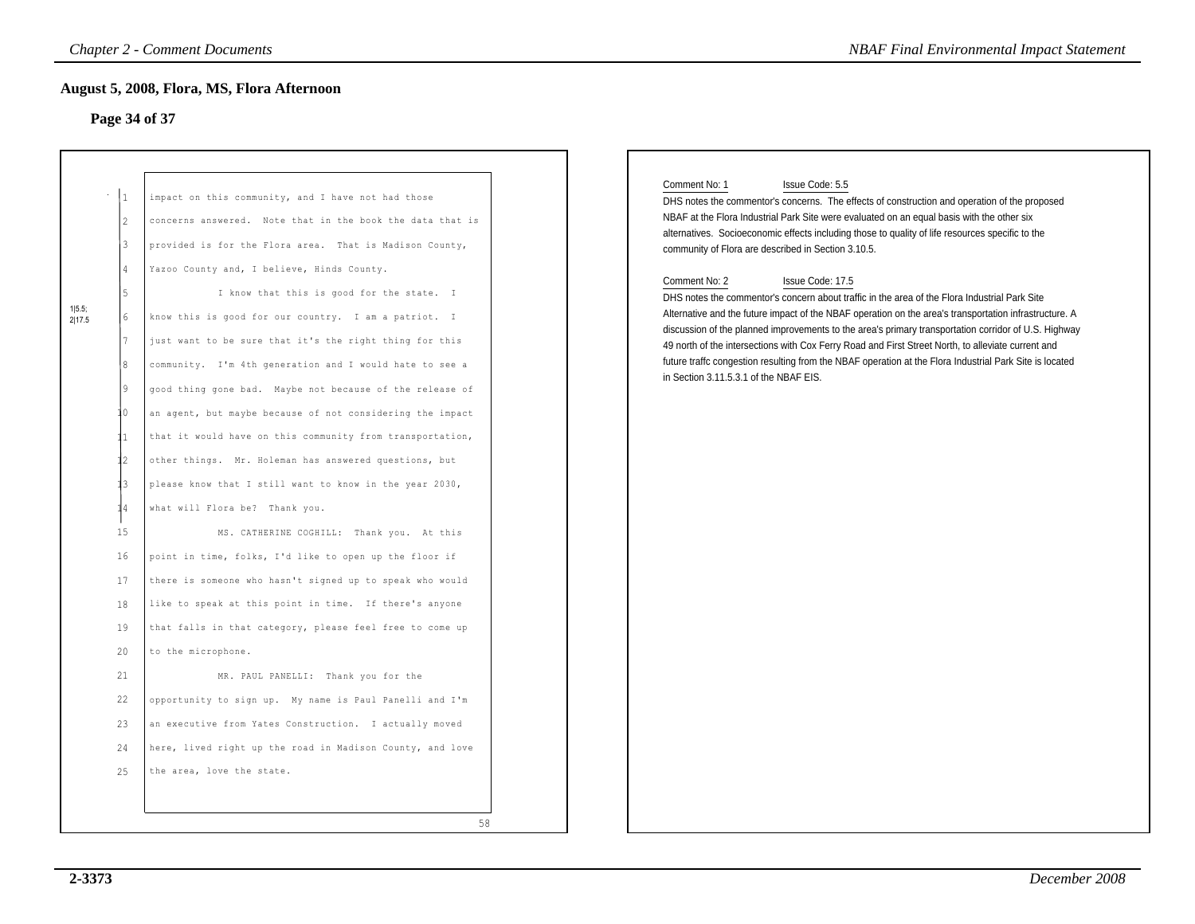#### **Page 34 of 37**

|                                                                                                                                                                 | Page 34 of 37                                                                                                                                                                                                                                                                                                                                                                                                                                                                                                                                                                                                                                                                                                                                                                                                                                                                                                                                                                                                                                                                                                                                                                                                                                                                                                                                                        |
|-----------------------------------------------------------------------------------------------------------------------------------------------------------------|----------------------------------------------------------------------------------------------------------------------------------------------------------------------------------------------------------------------------------------------------------------------------------------------------------------------------------------------------------------------------------------------------------------------------------------------------------------------------------------------------------------------------------------------------------------------------------------------------------------------------------------------------------------------------------------------------------------------------------------------------------------------------------------------------------------------------------------------------------------------------------------------------------------------------------------------------------------------------------------------------------------------------------------------------------------------------------------------------------------------------------------------------------------------------------------------------------------------------------------------------------------------------------------------------------------------------------------------------------------------|
| $\vert$ 1<br>2<br>3<br>$\overline{4}$<br>5<br>6<br>8<br>19<br>10<br>11<br>$12 \,$<br>13<br>14<br>15<br>16<br>17<br>18<br>19<br>20<br>21<br>22<br>23<br>24<br>25 | impact on this community, and I have not had those<br>concerns answered. Note that in the book the data that is<br>provided is for the Flora area. That is Madison County,<br>Yazoo County and, I believe, Hinds County.<br>I know that this is good for the state. I<br>know this is good for our country. I am a patriot. I<br>just want to be sure that it's the right thing for this<br>community. I'm 4th generation and I would hate to see a<br>good thing gone bad. Maybe not because of the release of<br>an agent, but maybe because of not considering the impact<br>that it would have on this community from transportation,<br>other things. Mr. Holeman has answered questions, but<br>please know that I still want to know in the year 2030,<br>what will Flora be? Thank you.<br>MS. CATHERINE COGHILL: Thank you. At this<br>point in time, folks, I'd like to open up the floor if<br>there is someone who hasn't signed up to speak who would<br>like to speak at this point in time. If there's anyone<br>that falls in that category, please feel free to come up<br>to the microphone.<br>MR. PAUL PANELLI: Thank you for the<br>opportunity to sign up. My name is Paul Panelli and I'm<br>an executive from Yates Construction. I actually moved<br>here, lived right up the road in Madison County, and love<br>the area, love the state. |

#### Comment No: 1 Issue Code: 5.5

#### Comment No: 2 Issue Code: 17.5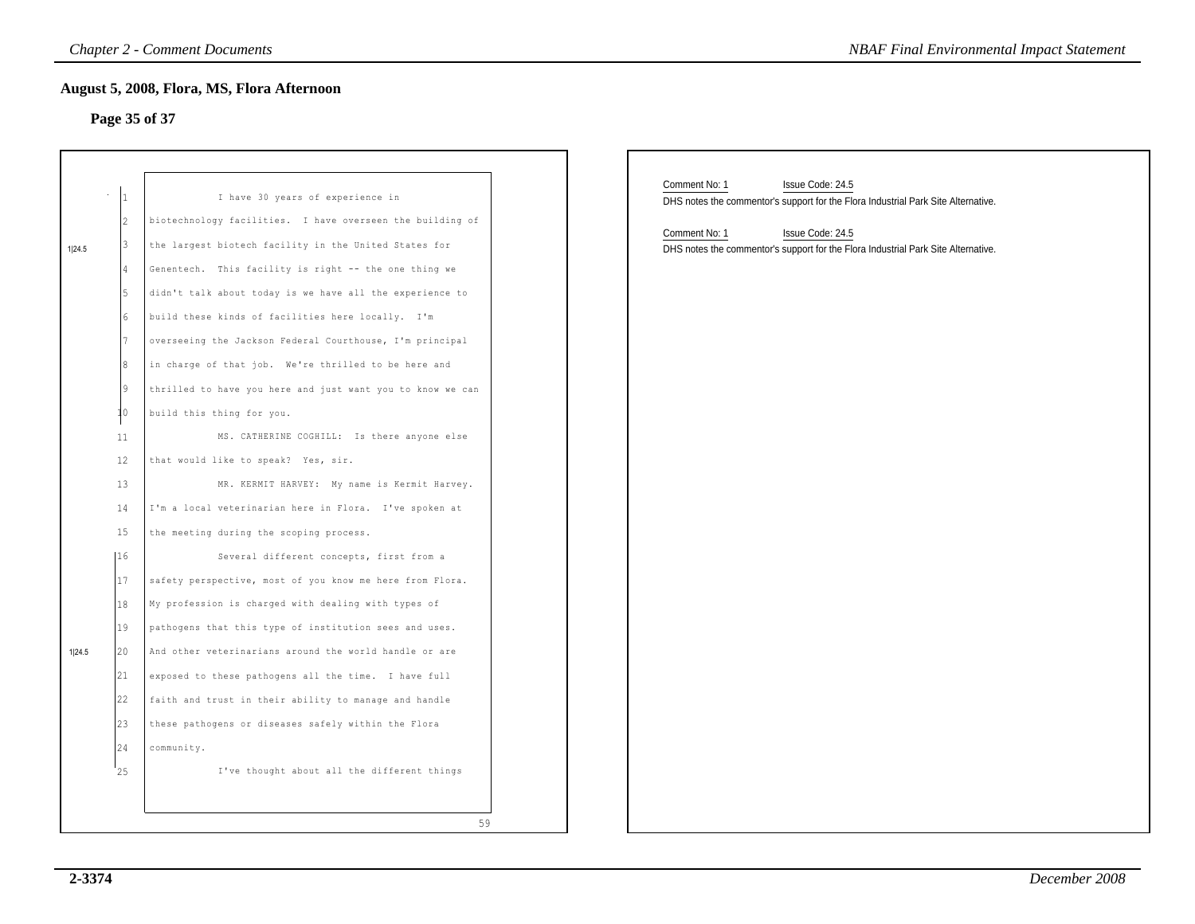# **Page 35 of 37**

|        |                                                                             | <b>Chapter 2 - Comment Documents</b>                                                                                                                                                                                                                                                                                                                                                                                                                                                                                                                                                                                                                                            | <b>NBAF Final Environmental Impact Statement</b>                                                                                                                                                                                                 |
|--------|-----------------------------------------------------------------------------|---------------------------------------------------------------------------------------------------------------------------------------------------------------------------------------------------------------------------------------------------------------------------------------------------------------------------------------------------------------------------------------------------------------------------------------------------------------------------------------------------------------------------------------------------------------------------------------------------------------------------------------------------------------------------------|--------------------------------------------------------------------------------------------------------------------------------------------------------------------------------------------------------------------------------------------------|
|        |                                                                             | August 5, 2008, Flora, MS, Flora Afternoon<br>Page 35 of 37                                                                                                                                                                                                                                                                                                                                                                                                                                                                                                                                                                                                                     |                                                                                                                                                                                                                                                  |
| 1 24.5 | I1<br>I2<br>13<br>4<br>l5<br>16<br>17<br>l8<br>19<br>10<br>11<br>12         | I have 30 years of experience in<br>biotechnology facilities. I have overseen the building of<br>the largest biotech facility in the United States for<br>Genentech. This facility is right -- the one thing we<br>didn't talk about today is we have all the experience to<br>build these kinds of facilities here locally. I'm<br>overseeing the Jackson Federal Courthouse, I'm principal<br>in charge of that job. We're thrilled to be here and<br>thrilled to have you here and just want you to know we can<br>build this thing for you.<br>MS. CATHERINE COGHILL: Is there anyone else<br>that would like to speak? Yes, sir.                                           | Comment No: 1<br>Issue Code: 24.5<br>DHS notes the commentor's support for the Flora Industrial Park Site Alternative.<br>Comment No: 1<br>Issue Code: 24.5<br>DHS notes the commentor's support for the Flora Industrial Park Site Alternative. |
| 1 24.5 | 13<br>14<br>15<br> 16<br>17<br>18<br>19<br>20<br>21<br>22<br>23<br>24<br>25 | MR. KERMIT HARVEY: My name is Kermit Harvey.<br>I'm a local veterinarian here in Flora. I've spoken at<br>the meeting during the scoping process.<br>Several different concepts, first from a<br>safety perspective, most of you know me here from Flora.<br>My profession is charged with dealing with types of<br>pathogens that this type of institution sees and uses.<br>And other veterinarians around the world handle or are<br>exposed to these pathogens all the time. I have full<br>faith and trust in their ability to manage and handle<br>these pathogens or diseases safely within the Flora<br>community.<br>I've thought about all the different things<br>59 |                                                                                                                                                                                                                                                  |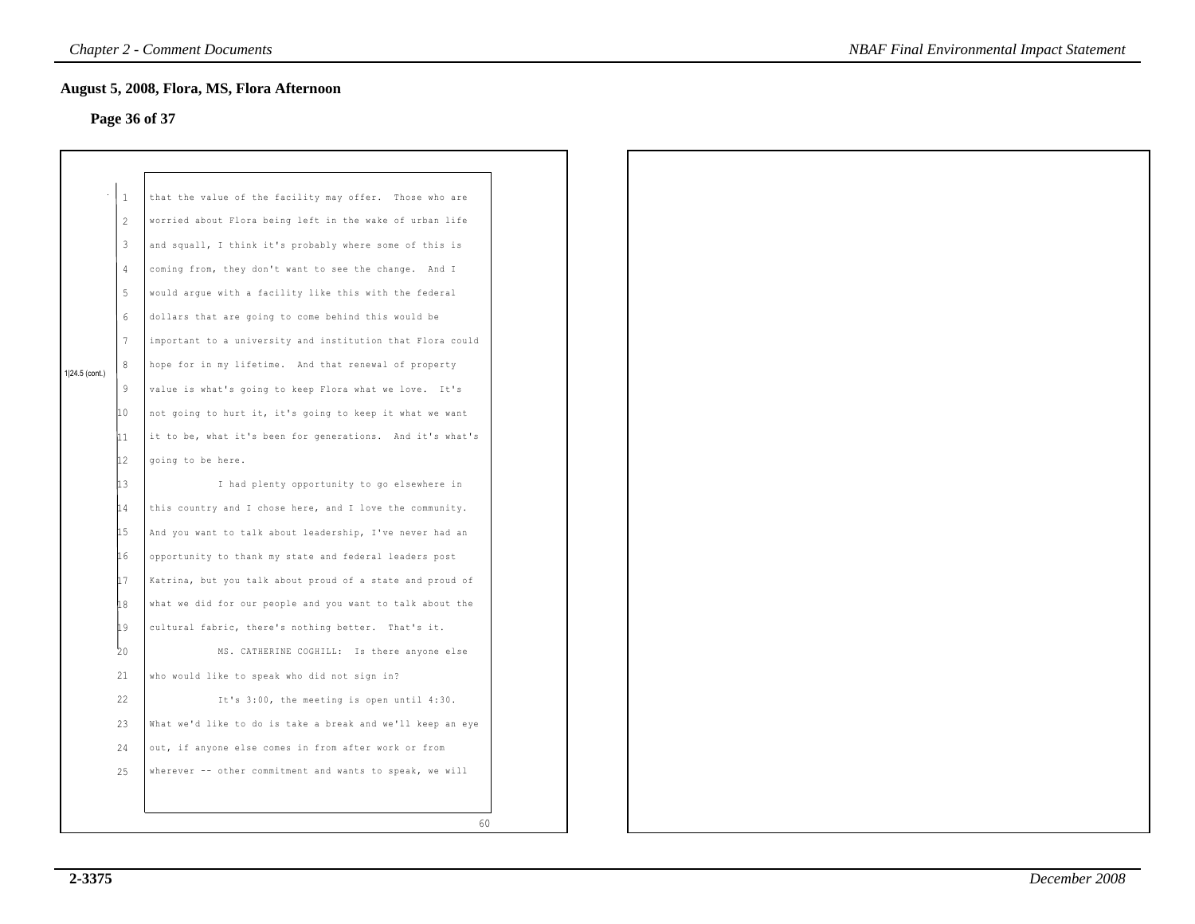# **Page 36 of 37**

|                |                 | August 5, 2008, Flora, MS, Flora Afternoon                 |  |
|----------------|-----------------|------------------------------------------------------------|--|
|                |                 | Page 36 of 37                                              |  |
|                |                 |                                                            |  |
|                |                 |                                                            |  |
|                | $\mathbf{1}$    | that the value of the facility may offer. Those who are    |  |
|                | 2               | worried about Flora being left in the wake of urban life   |  |
|                | $\overline{3}$  | and squall, I think it's probably where some of this is    |  |
|                | $\overline{4}$  | coming from, they don't want to see the change. And I      |  |
|                | $5\phantom{.0}$ | would argue with a facility like this with the federal     |  |
|                | $\epsilon$      | dollars that are going to come behind this would be        |  |
|                | $7\phantom{.0}$ | important to a university and institution that Flora could |  |
|                | 8               | hope for in my lifetime. And that renewal of property      |  |
| 1 24.5 (cont.) | 9               |                                                            |  |
|                |                 | value is what's going to keep Flora what we love. It's     |  |
|                | 10              | not going to hurt it, it's going to keep it what we want   |  |
|                | 11              | it to be, what it's been for generations. And it's what's  |  |
|                | 12              | going to be here.                                          |  |
|                | 13              | I had plenty opportunity to go elsewhere in                |  |
|                | 14              | this country and I chose here, and I love the community.   |  |
|                | 15              | And you want to talk about leadership, I've never had an   |  |
|                | 16              | opportunity to thank my state and federal leaders post     |  |
|                | 17              | Katrina, but you talk about proud of a state and proud of  |  |
|                | 18              | what we did for our people and you want to talk about the  |  |
|                | 19              | cultural fabric, there's nothing better. That's it.        |  |
|                | 20              | MS. CATHERINE COGHILL: Is there anyone else                |  |
|                | 21              | who would like to speak who did not sign in?               |  |
|                | 22              | It's 3:00, the meeting is open until 4:30.                 |  |
|                | 23              | What we'd like to do is take a break and we'll keep an eye |  |
|                | 24              | out, if anyone else comes in from after work or from       |  |
|                | 25              | wherever -- other commitment and wants to speak, we will   |  |
|                |                 |                                                            |  |
|                |                 |                                                            |  |
|                |                 | 60                                                         |  |